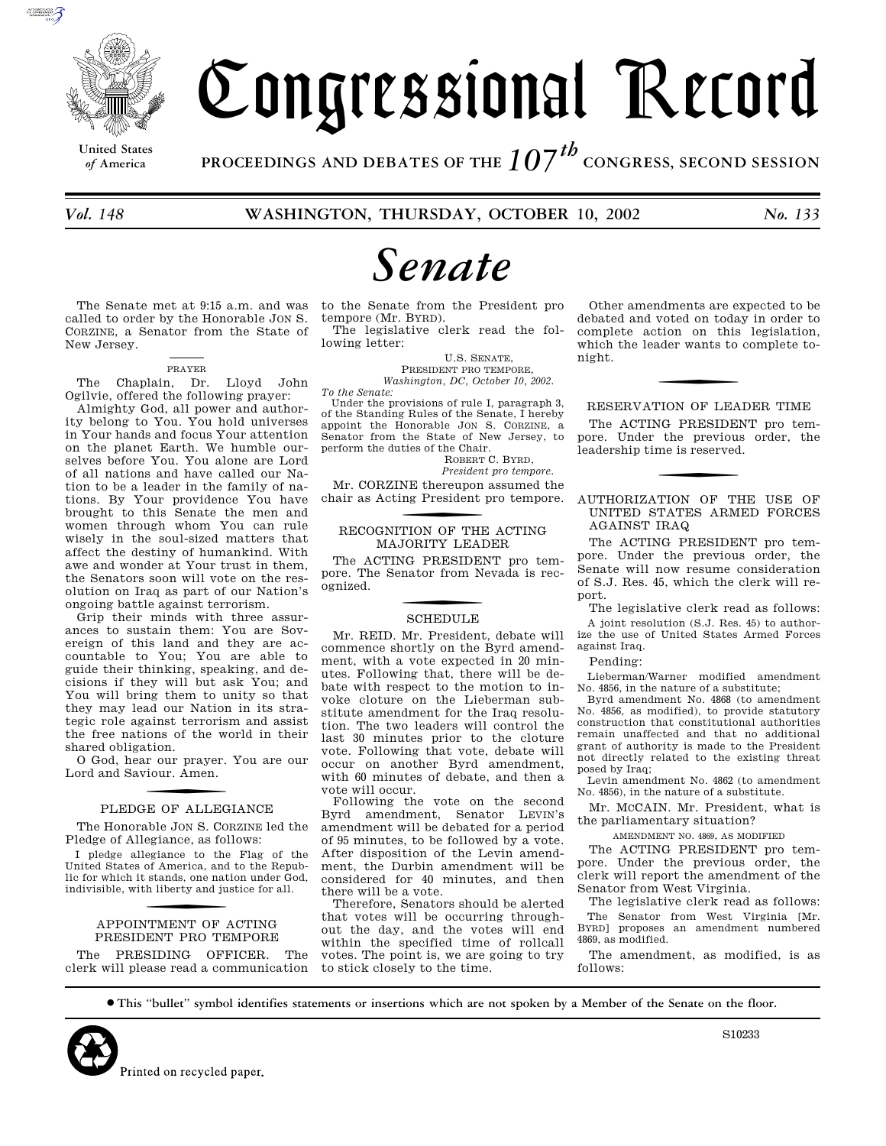

# Congressional Record

**United States**

*of* **America PROCEEDINGS AND DEBATES OF THE** *107th*  **CONGRESS, SECOND SESSION**

*Vol. 148* **WASHINGTON, THURSDAY, OCTOBER 10, 2002** *No. 133* 

## *Senate*

The Senate met at 9:15 a.m. and was called to order by the Honorable JON S. CORZINE, a Senator from the State of New Jersey.

#### PRAYER

The Chaplain, Dr. Lloyd John Ogilvie, offered the following prayer:

Almighty God, all power and authority belong to You. You hold universes in Your hands and focus Your attention on the planet Earth. We humble ourselves before You. You alone are Lord of all nations and have called our Nation to be a leader in the family of nations. By Your providence You have brought to this Senate the men and women through whom You can rule wisely in the soul-sized matters that affect the destiny of humankind. With awe and wonder at Your trust in them, the Senators soon will vote on the resolution on Iraq as part of our Nation's ongoing battle against terrorism.

Grip their minds with three assurances to sustain them: You are Sovereign of this land and they are accountable to You; You are able to guide their thinking, speaking, and decisions if they will but ask You; and You will bring them to unity so that they may lead our Nation in its strategic role against terrorism and assist the free nations of the world in their shared obligation.

O God, hear our prayer. You are our Lord and Saviour. Amen.

### PLEDGE OF ALLEGIANCE

The Honorable JON S. CORZINE led the Pledge of Allegiance, as follows:

I pledge allegiance to the Flag of the United States of America, and to the Republic for which it stands, one nation under God, indivisible, with liberty and justice for all.

#### f APPOINTMENT OF ACTING PRESIDENT PRO TEMPORE

The PRESIDING OFFICER. The clerk will please read a communication to the Senate from the President pro tempore (Mr. BYRD).

The legislative clerk read the following letter: U.S. SENATE,

PRESIDENT PRO TEMPORE, *Washington, DC, October 10, 2002.* 

*To the Senate:* 

Under the provisions of rule I, paragraph 3, of the Standing Rules of the Senate, I hereby appoint the Honorable JON S. CORZINE, a Senator from the State of New Jersey, to perform the duties of the Chair.

ROBERT C. BYRD,

*President pro tempore.*  Mr. CORZINE thereupon assumed the chair as Acting President pro tempore.

#### RECOGNITION OF THE ACTING MAJORITY LEADER

The ACTING PRESIDENT pro tempore. The Senator from Nevada is recognized.

#### **SCHEDULE**

Mr. REID. Mr. President, debate will commence shortly on the Byrd amendment, with a vote expected in 20 minutes. Following that, there will be debate with respect to the motion to invoke cloture on the Lieberman substitute amendment for the Iraq resolution. The two leaders will control the last 30 minutes prior to the cloture vote. Following that vote, debate will occur on another Byrd amendment, with 60 minutes of debate, and then a vote will occur.

Following the vote on the second Byrd amendment, Senator LEVIN's amendment will be debated for a period of 95 minutes, to be followed by a vote. After disposition of the Levin amendment, the Durbin amendment will be considered for 40 minutes, and then there will be a vote.

Therefore, Senators should be alerted that votes will be occurring throughout the day, and the votes will end within the specified time of rollcall votes. The point is, we are going to try to stick closely to the time.

Other amendments are expected to be debated and voted on today in order to complete action on this legislation, which the leader wants to complete tonight.

#### RESERVATION OF LEADER TIME

The ACTING PRESIDENT pro tempore. Under the previous order, the leadership time is reserved.

#### AUTHORIZATION OF THE USE OF UNITED STATES ARMED FORCES AGAINST IRAQ

The ACTING PRESIDENT pro tempore. Under the previous order, the Senate will now resume consideration of S.J. Res. 45, which the clerk will report.

The legislative clerk read as follows:

A joint resolution (S.J. Res. 45) to authorize the use of United States Armed Forces against Iraq.

Pending:

Lieberman/Warner modified amendment No. 4856, in the nature of a substitute;

Byrd amendment No. 4868 (to amendment No. 4856, as modified), to provide statutory construction that constitutional authorities remain unaffected and that no additional grant of authority is made to the President not directly related to the existing threat posed by Iraq;

Levin amendment No. 4862 (to amendment No. 4856), in the nature of a substitute.

Mr. MCCAIN. Mr. President, what is the parliamentary situation?

AMENDMENT NO. 4869, AS MODIFIED

The ACTING PRESIDENT pro tempore. Under the previous order, the clerk will report the amendment of the Senator from West Virginia.

The legislative clerk read as follows: The Senator from West Virginia [Mr. BYRD] proposes an amendment numbered 4869, as modified.

The amendment, as modified, is as follows:

∑ **This ''bullet'' symbol identifies statements or insertions which are not spoken by a Member of the Senate on the floor.**

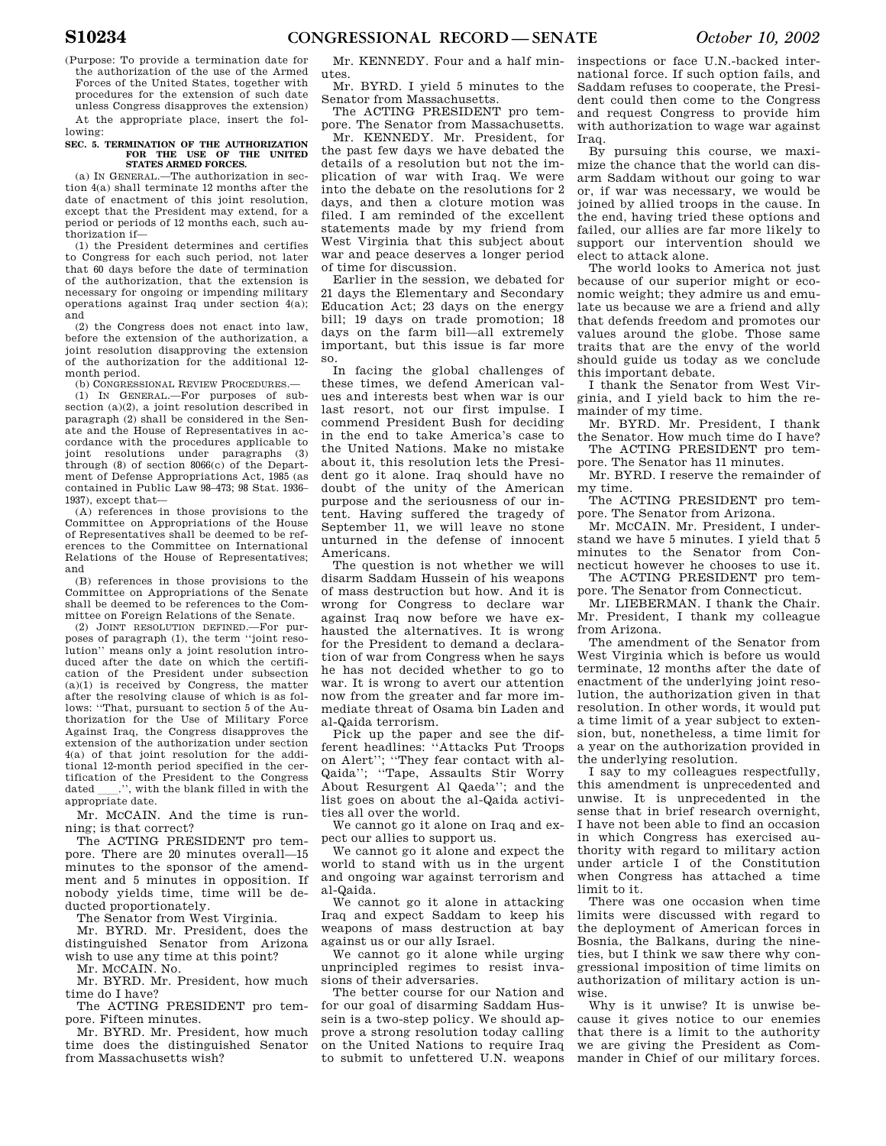(Purpose: To provide a termination date for the authorization of the use of the Armed Forces of the United States, together with procedures for the extension of such date unless Congress disapproves the extension) At the appropriate place, insert the following:

#### **SEC. 5. TERMINATION OF THE AUTHORIZATION FOR THE USE OF THE UNITED STATES ARMED FORCES.**

(a) IN GENERAL.—The authorization in section 4(a) shall terminate 12 months after the date of enactment of this joint resolution, except that the President may extend, for a period or periods of 12 months each, such authorization if—

(1) the President determines and certifies to Congress for each such period, not later that 60 days before the date of termination of the authorization, that the extension is necessary for ongoing or impending military operations against Iraq under section 4(a); and

(2) the Congress does not enact into law, before the extension of the authorization, a joint resolution disapproving the extension of the authorization for the additional 12 month period.

(b) CONGRESSIONAL REVIEW PROCEDURES.—

(1) IN GENERAL.—For purposes of subsection (a)(2), a joint resolution described in paragraph (2) shall be considered in the Senate and the House of Representatives in accordance with the procedures applicable to joint resolutions under paragraphs (3) through (8) of section 8066(c) of the Department of Defense Appropriations Act, 1985 (as contained in Public Law 98–473; 98 Stat. 1936– 1937), except that—

(A) references in those provisions to the Committee on Appropriations of the House of Representatives shall be deemed to be references to the Committee on International Relations of the House of Representatives; and

(B) references in those provisions to the Committee on Appropriations of the Senate shall be deemed to be references to the Committee on Foreign Relations of the Senate.

(2) JOINT RESOLUTION DEFINED.—For purposes of paragraph (1), the term ''joint resolution'' means only a joint resolution introduced after the date on which the certification of the President under subsection (a)(1) is received by Congress, the matter after the resolving clause of which is as follows: ''That, pursuant to section 5 of the Authorization for the Use of Military Force Against Iraq, the Congress disapproves the extension of the authorization under section 4(a) of that joint resolution for the additional 12-month period specified in the certification of the President to the Congress dated \_\_\_.'', with the blank filled in with the appropriate date.

Mr. MCCAIN. And the time is running; is that correct?

The ACTING PRESIDENT pro tempore. There are 20 minutes overall—15 minutes to the sponsor of the amendment and 5 minutes in opposition. If nobody yields time, time will be deducted proportionately.

The Senator from West Virginia.

Mr. BYRD. Mr. President, does the distinguished Senator from Arizona wish to use any time at this point?

Mr. MCCAIN. No.

Mr. BYRD. Mr. President, how much time do I have?

The ACTING PRESIDENT pro tempore. Fifteen minutes.

Mr. BYRD. Mr. President, how much time does the distinguished Senator from Massachusetts wish?

Mr. KENNEDY. Four and a half minutes.

Mr. BYRD. I yield 5 minutes to the Senator from Massachusetts.

The ACTING PRESIDENT pro tempore. The Senator from Massachusetts.

Mr. KENNEDY. Mr. President, for the past few days we have debated the details of a resolution but not the implication of war with Iraq. We were into the debate on the resolutions for 2 days, and then a cloture motion was filed. I am reminded of the excellent statements made by my friend from West Virginia that this subject about war and peace deserves a longer period of time for discussion.

Earlier in the session, we debated for 21 days the Elementary and Secondary Education Act; 23 days on the energy bill; 19 days on trade promotion; 18 days on the farm bill—all extremely important, but this issue is far more so.

In facing the global challenges of these times, we defend American values and interests best when war is our last resort, not our first impulse. I commend President Bush for deciding in the end to take America's case to the United Nations. Make no mistake about it, this resolution lets the President go it alone. Iraq should have no doubt of the unity of the American purpose and the seriousness of our intent. Having suffered the tragedy of September 11, we will leave no stone unturned in the defense of innocent Americans.

The question is not whether we will disarm Saddam Hussein of his weapons of mass destruction but how. And it is wrong for Congress to declare war against Iraq now before we have exhausted the alternatives. It is wrong for the President to demand a declaration of war from Congress when he says he has not decided whether to go to war. It is wrong to avert our attention now from the greater and far more immediate threat of Osama bin Laden and al-Qaida terrorism.

Pick up the paper and see the different headlines: ''Attacks Put Troops on Alert''; ''They fear contact with al-Qaida''; ''Tape, Assaults Stir Worry About Resurgent Al Qaeda''; and the list goes on about the al-Qaida activities all over the world.

We cannot go it alone on Iraq and expect our allies to support us.

We cannot go it alone and expect the world to stand with us in the urgent and ongoing war against terrorism and al-Qaida.

We cannot go it alone in attacking Iraq and expect Saddam to keep his weapons of mass destruction at bay against us or our ally Israel.

We cannot go it alone while urging unprincipled regimes to resist invasions of their adversaries.

The better course for our Nation and for our goal of disarming Saddam Hussein is a two-step policy. We should approve a strong resolution today calling on the United Nations to require Iraq to submit to unfettered U.N. weapons

inspections or face U.N.-backed international force. If such option fails, and Saddam refuses to cooperate, the President could then come to the Congress and request Congress to provide him with authorization to wage war against Iraq.

By pursuing this course, we maximize the chance that the world can disarm Saddam without our going to war or, if war was necessary, we would be joined by allied troops in the cause. In the end, having tried these options and failed, our allies are far more likely to support our intervention should we elect to attack alone.

The world looks to America not just because of our superior might or economic weight; they admire us and emulate us because we are a friend and ally that defends freedom and promotes our values around the globe. Those same traits that are the envy of the world should guide us today as we conclude this important debate.

I thank the Senator from West Virginia, and I yield back to him the remainder of my time.

Mr. BYRD. Mr. President, I thank the Senator. How much time do I have?

The ACTING PRESIDENT pro tempore. The Senator has 11 minutes.

Mr. BYRD. I reserve the remainder of my time.

The ACTING PRESIDENT pro tempore. The Senator from Arizona.

Mr. MCCAIN. Mr. President, I understand we have 5 minutes. I yield that 5 minutes to the Senator from Connecticut however he chooses to use it.

The ACTING PRESIDENT pro tempore. The Senator from Connecticut.

Mr. LIEBERMAN. I thank the Chair. Mr. President, I thank my colleague from Arizona.

The amendment of the Senator from West Virginia which is before us would terminate, 12 months after the date of enactment of the underlying joint resolution, the authorization given in that resolution. In other words, it would put a time limit of a year subject to extension, but, nonetheless, a time limit for a year on the authorization provided in the underlying resolution.

I say to my colleagues respectfully, this amendment is unprecedented and unwise. It is unprecedented in the sense that in brief research overnight, I have not been able to find an occasion in which Congress has exercised authority with regard to military action under article I of the Constitution when Congress has attached a time limit to it.

There was one occasion when time limits were discussed with regard to the deployment of American forces in Bosnia, the Balkans, during the nineties, but I think we saw there why congressional imposition of time limits on authorization of military action is unwise.

Why is it unwise? It is unwise because it gives notice to our enemies that there is a limit to the authority we are giving the President as Commander in Chief of our military forces.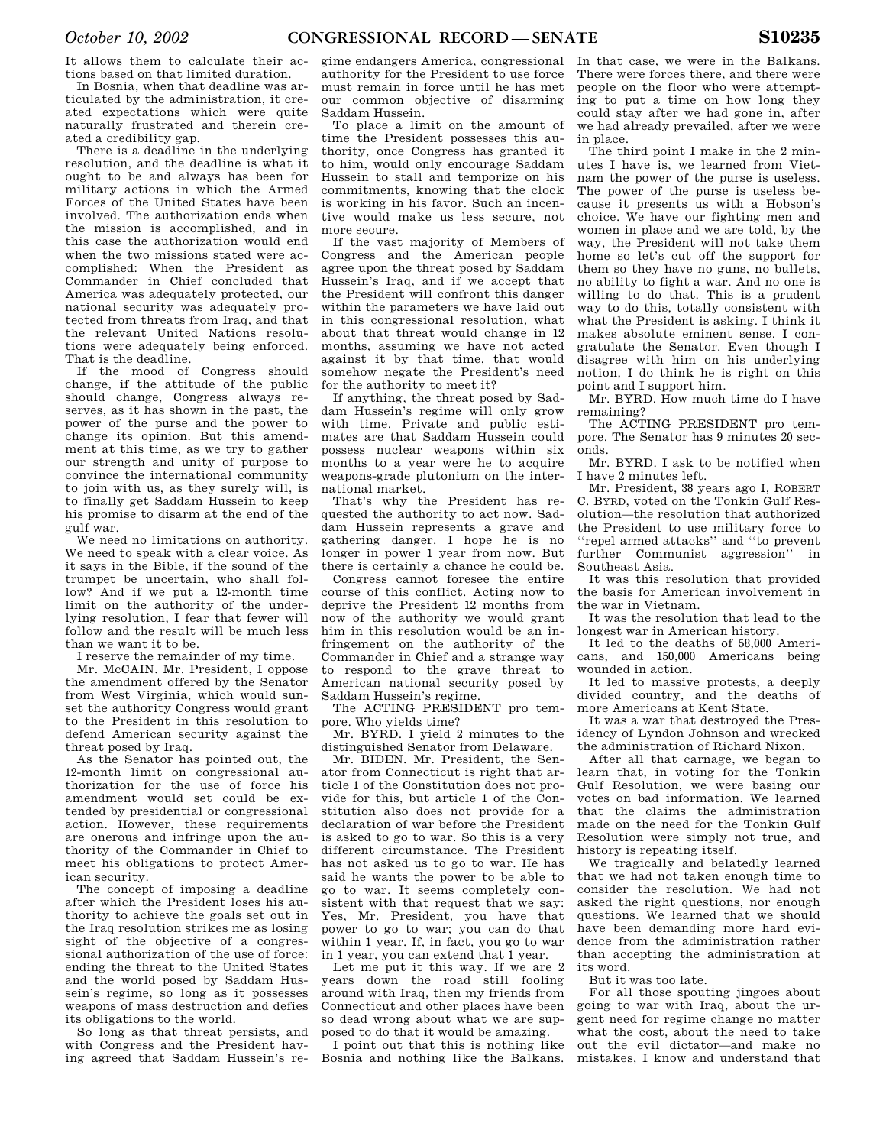It allows them to calculate their actions based on that limited duration.

In Bosnia, when that deadline was articulated by the administration, it created expectations which were quite naturally frustrated and therein created a credibility gap.

There is a deadline in the underlying resolution, and the deadline is what it ought to be and always has been for military actions in which the Armed Forces of the United States have been involved. The authorization ends when the mission is accomplished, and in this case the authorization would end when the two missions stated were accomplished: When the President as Commander in Chief concluded that America was adequately protected, our national security was adequately protected from threats from Iraq, and that the relevant United Nations resolutions were adequately being enforced. That is the deadline.

If the mood of Congress should change, if the attitude of the public should change, Congress always reserves, as it has shown in the past, the power of the purse and the power to change its opinion. But this amendment at this time, as we try to gather our strength and unity of purpose to convince the international community to join with us, as they surely will, is to finally get Saddam Hussein to keep his promise to disarm at the end of the gulf war.

We need no limitations on authority. We need to speak with a clear voice. As it says in the Bible, if the sound of the trumpet be uncertain, who shall follow? And if we put a 12-month time limit on the authority of the underlying resolution, I fear that fewer will follow and the result will be much less than we want it to be.

I reserve the remainder of my time.

Mr. McCAIN. Mr. President, I oppose the amendment offered by the Senator from West Virginia, which would sunset the authority Congress would grant to the President in this resolution to defend American security against the threat posed by Iraq.

As the Senator has pointed out, the 12-month limit on congressional authorization for the use of force his amendment would set could be extended by presidential or congressional action. However, these requirements are onerous and infringe upon the authority of the Commander in Chief to meet his obligations to protect American security.

The concept of imposing a deadline after which the President loses his authority to achieve the goals set out in the Iraq resolution strikes me as losing sight of the objective of a congressional authorization of the use of force: ending the threat to the United States and the world posed by Saddam Hussein's regime, so long as it possesses weapons of mass destruction and defies its obligations to the world.

So long as that threat persists, and with Congress and the President having agreed that Saddam Hussein's regime endangers America, congressional authority for the President to use force must remain in force until he has met our common objective of disarming Saddam Hussein.

To place a limit on the amount of time the President possesses this authority, once Congress has granted it to him, would only encourage Saddam Hussein to stall and temporize on his commitments, knowing that the clock is working in his favor. Such an incentive would make us less secure, not more secure.

If the vast majority of Members of Congress and the American people agree upon the threat posed by Saddam Hussein's Iraq, and if we accept that the President will confront this danger within the parameters we have laid out in this congressional resolution, what about that threat would change in 12 months, assuming we have not acted against it by that time, that would somehow negate the President's need for the authority to meet it?

If anything, the threat posed by Saddam Hussein's regime will only grow with time. Private and public estimates are that Saddam Hussein could possess nuclear weapons within six months to a year were he to acquire weapons-grade plutonium on the international market.

That's why the President has requested the authority to act now. Saddam Hussein represents a grave and gathering danger. I hope he is no longer in power 1 year from now. But there is certainly a chance he could be.

Congress cannot foresee the entire course of this conflict. Acting now to deprive the President 12 months from now of the authority we would grant him in this resolution would be an infringement on the authority of the Commander in Chief and a strange way to respond to the grave threat to American national security posed by Saddam Hussein's regime.

The ACTING PRESIDENT pro tempore. Who yields time?

Mr. BYRD. I yield 2 minutes to the distinguished Senator from Delaware.

Mr. BIDEN. Mr. President, the Senator from Connecticut is right that article 1 of the Constitution does not provide for this, but article 1 of the Constitution also does not provide for a declaration of war before the President is asked to go to war. So this is a very different circumstance. The President has not asked us to go to war. He has said he wants the power to be able to go to war. It seems completely consistent with that request that we say: Yes, Mr. President, you have that power to go to war; you can do that within 1 year. If, in fact, you go to war in 1 year, you can extend that 1 year.

Let me put it this way. If we are 2 years down the road still fooling around with Iraq, then my friends from Connecticut and other places have been so dead wrong about what we are supposed to do that it would be amazing.

I point out that this is nothing like Bosnia and nothing like the Balkans. In that case, we were in the Balkans. There were forces there, and there were people on the floor who were attempting to put a time on how long they could stay after we had gone in, after we had already prevailed, after we were in place.

The third point I make in the 2 minutes I have is, we learned from Vietnam the power of the purse is useless. The power of the purse is useless because it presents us with a Hobson's choice. We have our fighting men and women in place and we are told, by the way, the President will not take them home so let's cut off the support for them so they have no guns, no bullets, no ability to fight a war. And no one is willing to do that. This is a prudent way to do this, totally consistent with what the President is asking. I think it makes absolute eminent sense. I congratulate the Senator. Even though I disagree with him on his underlying notion, I do think he is right on this point and I support him.

Mr. BYRD. How much time do I have remaining?

The ACTING PRESIDENT pro tempore. The Senator has 9 minutes 20 seconds.

Mr. BYRD. I ask to be notified when I have 2 minutes left.

Mr. President, 38 years ago I, ROBERT C. BYRD, voted on the Tonkin Gulf Resolution—the resolution that authorized the President to use military force to ''repel armed attacks'' and ''to prevent further Communist aggression'' in Southeast Asia.

It was this resolution that provided the basis for American involvement in the war in Vietnam.

It was the resolution that lead to the longest war in American history.

It led to the deaths of 58,000 Americans, and 150,000 Americans being wounded in action.

It led to massive protests, a deeply divided country, and the deaths of more Americans at Kent State.

It was a war that destroyed the Presidency of Lyndon Johnson and wrecked the administration of Richard Nixon.

After all that carnage, we began to learn that, in voting for the Tonkin Gulf Resolution, we were basing our votes on bad information. We learned that the claims the administration made on the need for the Tonkin Gulf Resolution were simply not true, and history is repeating itself.

We tragically and belatedly learned that we had not taken enough time to consider the resolution. We had not asked the right questions, nor enough questions. We learned that we should have been demanding more hard evidence from the administration rather than accepting the administration at its word.

But it was too late.

For all those spouting jingoes about going to war with Iraq, about the urgent need for regime change no matter what the cost, about the need to take out the evil dictator—and make no mistakes, I know and understand that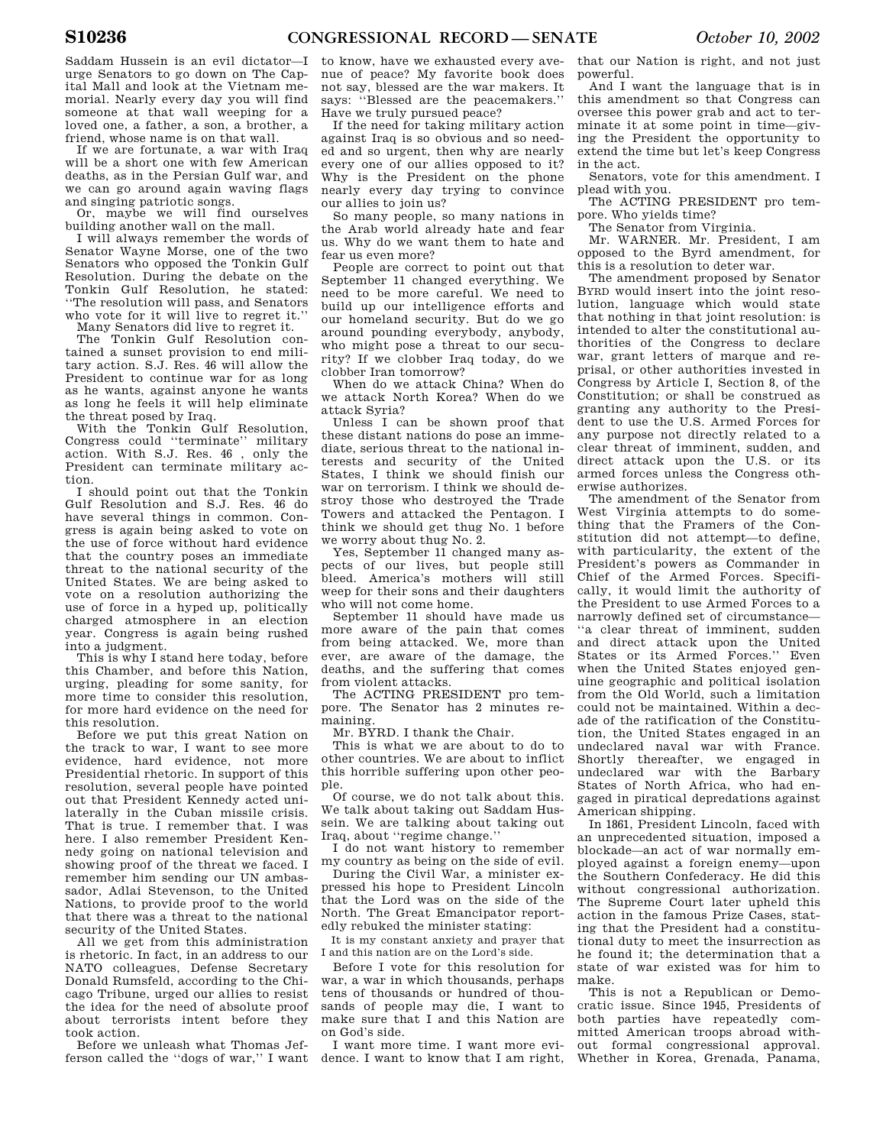friend, whose name is on that wall. If we are fortunate, a war with Iraq will be a short one with few American deaths, as in the Persian Gulf war, and we can go around again waving flags and singing patriotic songs.

loved one, a father, a son, a brother, a

Or, maybe we will find ourselves building another wall on the mall.

I will always remember the words of Senator Wayne Morse, one of the two Senators who opposed the Tonkin Gulf Resolution. During the debate on the Tonkin Gulf Resolution, he stated: ''The resolution will pass, and Senators who vote for it will live to regret it.''

Many Senators did live to regret it.

The Tonkin Gulf Resolution contained a sunset provision to end military action. S.J. Res. 46 will allow the President to continue war for as long as he wants, against anyone he wants as long he feels it will help eliminate the threat posed by Iraq.

With the Tonkin Gulf Resolution, Congress could ''terminate'' military action. With S.J. Res. 46 , only the President can terminate military action.

I should point out that the Tonkin Gulf Resolution and S.J. Res. 46 do have several things in common. Congress is again being asked to vote on the use of force without hard evidence that the country poses an immediate threat to the national security of the United States. We are being asked to vote on a resolution authorizing the use of force in a hyped up, politically charged atmosphere in an election year. Congress is again being rushed into a judgment.

This is why I stand here today, before this Chamber, and before this Nation, urging, pleading for some sanity, for more time to consider this resolution, for more hard evidence on the need for this resolution.

Before we put this great Nation on the track to war, I want to see more evidence, hard evidence, not more Presidential rhetoric. In support of this resolution, several people have pointed out that President Kennedy acted unilaterally in the Cuban missile crisis. That is true. I remember that. I was here. I also remember President Kennedy going on national television and showing proof of the threat we faced. I remember him sending our UN ambassador, Adlai Stevenson, to the United Nations, to provide proof to the world that there was a threat to the national security of the United States.

All we get from this administration is rhetoric. In fact, in an address to our NATO colleagues, Defense Secretary Donald Rumsfeld, according to the Chicago Tribune, urged our allies to resist the idea for the need of absolute proof about terrorists intent before they took action.

Before we unleash what Thomas Jefferson called the ''dogs of war,'' I want

to know, have we exhausted every avenue of peace? My favorite book does not say, blessed are the war makers. It says: ''Blessed are the peacemakers.'' Have we truly pursued peace?

If the need for taking military action against Iraq is so obvious and so needed and so urgent, then why are nearly every one of our allies opposed to it? Why is the President on the phone nearly every day trying to convince our allies to join us?

So many people, so many nations in the Arab world already hate and fear us. Why do we want them to hate and fear us even more?

People are correct to point out that September 11 changed everything. We need to be more careful. We need to build up our intelligence efforts and our homeland security. But do we go around pounding everybody, anybody, who might pose a threat to our security? If we clobber Iraq today, do we clobber Iran tomorrow?

When do we attack China? When do we attack North Korea? When do we attack Syria?

Unless I can be shown proof that these distant nations do pose an immediate, serious threat to the national interests and security of the United States, I think we should finish our war on terrorism. I think we should destroy those who destroyed the Trade Towers and attacked the Pentagon. I think we should get thug No. 1 before we worry about thug No. 2.

Yes, September 11 changed many aspects of our lives, but people still bleed. America's mothers will still weep for their sons and their daughters who will not come home.

September 11 should have made us more aware of the pain that comes from being attacked. We, more than ever, are aware of the damage, the deaths, and the suffering that comes from violent attacks.

The ACTING PRESIDENT pro tempore. The Senator has 2 minutes remaining.

Mr. BYRD. I thank the Chair.

This is what we are about to do to other countries. We are about to inflict this horrible suffering upon other people.

Of course, we do not talk about this. We talk about taking out Saddam Hussein. We are talking about taking out Iraq, about ''regime change.''

I do not want history to remember my country as being on the side of evil.

During the Civil War, a minister expressed his hope to President Lincoln that the Lord was on the side of the North. The Great Emancipator reportedly rebuked the minister stating:

It is my constant anxiety and prayer that I and this nation are on the Lord's side.

Before I vote for this resolution for war, a war in which thousands, perhaps tens of thousands or hundred of thousands of people may die, I want to make sure that I and this Nation are on God's side.

I want more time. I want more evidence. I want to know that I am right,

that our Nation is right, and not just powerful.

And I want the language that is in this amendment so that Congress can oversee this power grab and act to terminate it at some point in time—giving the President the opportunity to extend the time but let's keep Congress in the act.

Senators, vote for this amendment. I plead with you.

The ACTING PRESIDENT pro tempore. Who yields time?

The Senator from Virginia.

Mr. WARNER. Mr. President, I am opposed to the Byrd amendment, for this is a resolution to deter war.

The amendment proposed by Senator BYRD would insert into the joint resolution, language which would state that nothing in that joint resolution: is intended to alter the constitutional authorities of the Congress to declare war, grant letters of marque and reprisal, or other authorities invested in Congress by Article I, Section 8, of the Constitution; or shall be construed as granting any authority to the President to use the U.S. Armed Forces for any purpose not directly related to a clear threat of imminent, sudden, and direct attack upon the U.S. or its armed forces unless the Congress otherwise authorizes.

The amendment of the Senator from West Virginia attempts to do something that the Framers of the Constitution did not attempt—to define, with particularity, the extent of the President's powers as Commander in Chief of the Armed Forces. Specifically, it would limit the authority of the President to use Armed Forces to a narrowly defined set of circumstance— ''a clear threat of imminent, sudden and direct attack upon the United States or its Armed Forces.'' Even when the United States enjoyed genuine geographic and political isolation from the Old World, such a limitation could not be maintained. Within a decade of the ratification of the Constitution, the United States engaged in an undeclared naval war with France. Shortly thereafter, we engaged in undeclared war with the Barbary States of North Africa, who had engaged in piratical depredations against American shipping.

In 1861, President Lincoln, faced with an unprecedented situation, imposed a blockade—an act of war normally employed against a foreign enemy—upon the Southern Confederacy. He did this without congressional authorization. The Supreme Court later upheld this action in the famous Prize Cases, stating that the President had a constitutional duty to meet the insurrection as he found it; the determination that a state of war existed was for him to make.

This is not a Republican or Democratic issue. Since 1945, Presidents of both parties have repeatedly committed American troops abroad without formal congressional approval. Whether in Korea, Grenada, Panama,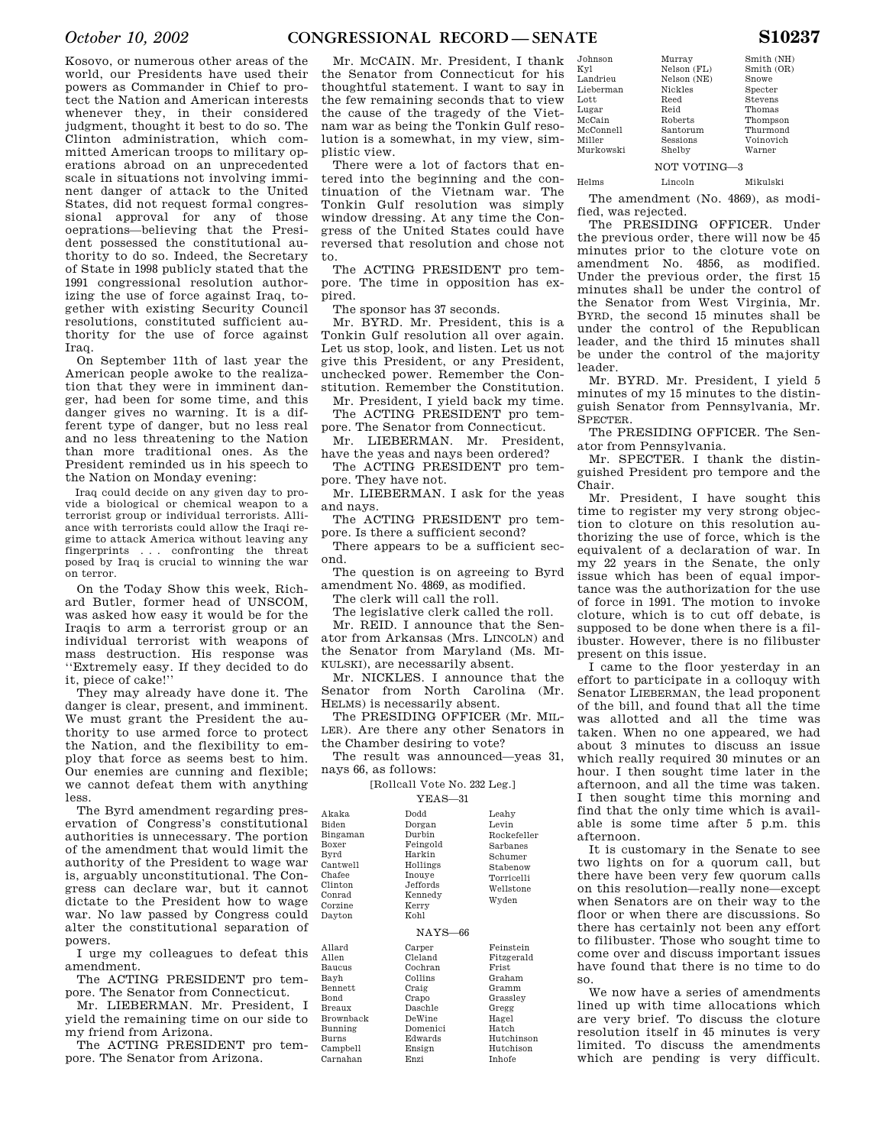Kosovo, or numerous other areas of the world, our Presidents have used their powers as Commander in Chief to protect the Nation and American interests whenever they, in their considered judgment, thought it best to do so. The Clinton administration, which committed American troops to military operations abroad on an unprecedented scale in situations not involving imminent danger of attack to the United States, did not request formal congressional approval for any of those oeprations—believing that the President possessed the constitutional authority to do so. Indeed, the Secretary of State in 1998 publicly stated that the 1991 congressional resolution authorizing the use of force against Iraq, together with existing Security Council resolutions, constituted sufficient authority for the use of force against Iraq.

On September 11th of last year the American people awoke to the realization that they were in imminent danger, had been for some time, and this danger gives no warning. It is a different type of danger, but no less real and no less threatening to the Nation than more traditional ones. As the President reminded us in his speech to the Nation on Monday evening:

Iraq could decide on any given day to provide a biological or chemical weapon to a terrorist group or individual terrorists. Alliance with terrorists could allow the Iraqi regime to attack America without leaving any fingerprints . . . confronting the threat posed by Iraq is crucial to winning the war on terror.

On the Today Show this week, Richard Butler, former head of UNSCOM, was asked how easy it would be for the Iraqis to arm a terrorist group or an individual terrorist with weapons of mass destruction. His response was ''Extremely easy. If they decided to do it, piece of cake!''

They may already have done it. The danger is clear, present, and imminent. We must grant the President the authority to use armed force to protect the Nation, and the flexibility to employ that force as seems best to him. Our enemies are cunning and flexible; we cannot defeat them with anything less.

The Byrd amendment regarding preservation of Congress's constitutional authorities is unnecessary. The portion of the amendment that would limit the authority of the President to wage war is, arguably unconstitutional. The Congress can declare war, but it cannot dictate to the President how to wage war. No law passed by Congress could alter the constitutional separation of powers.  $A<sub>k</sub>$ Bi **Bingaman**  $B<sub>c</sub>$ By  $\overline{\text{Ch}}$  $Cl<sub>i</sub>$ Da  $A<sub>1</sub>$ 

I urge my colleagues to defeat this amendment.

The ACTING PRESIDENT pro tempore. The Senator from Connecticut.

Mr. LIEBERMAN. Mr. President, I yield the remaining time on our side to my friend from Arizona.

The ACTING PRESIDENT pro tempore. The Senator from Arizona.

Mr. MCCAIN. Mr. President, I thank the Senator from Connecticut for his thoughtful statement. I want to say in the few remaining seconds that to view the cause of the tragedy of the Vietnam war as being the Tonkin Gulf resolution is a somewhat, in my view, simplistic view.

There were a lot of factors that entered into the beginning and the continuation of the Vietnam war. The Tonkin Gulf resolution was simply window dressing. At any time the Congress of the United States could have reversed that resolution and chose not to.

The ACTING PRESIDENT pro tempore. The time in opposition has expired.

The sponsor has 37 seconds.

Mr. BYRD. Mr. President, this is a Tonkin Gulf resolution all over again. Let us stop, look, and listen. Let us not give this President, or any President, unchecked power. Remember the Constitution. Remember the Constitution.

Mr. President, I yield back my time. The ACTING PRESIDENT pro tempore. The Senator from Connecticut.

Mr. LIEBERMAN. Mr. President, have the yeas and nays been ordered?

The ACTING PRESIDENT pro tempore. They have not.

Mr. LIEBERMAN. I ask for the yeas and nays.

The ACTING PRESIDENT pro tempore. Is there a sufficient second?

There appears to be a sufficient second.

The question is on agreeing to Byrd amendment No. 4869, as modified.

The clerk will call the roll.

The legislative clerk called the roll.

Mr. REID. I announce that the Senator from Arkansas (Mrs. LINCOLN) and the Senator from Maryland (Ms. MI-KULSKI), are necessarily absent.

Mr. NICKLES. I announce that the Senator from North Carolina (Mr. HELMS) is necessarily absent.

The PRESIDING OFFICER (Mr. MIL-LER). Are there any other Senators in the Chamber desiring to vote?

The result was announced—yeas 31, nays 66, as follows:

[Rollcall Vote No. 232 Leg.]

| `<br>,<br>× |  |
|-------------|--|
|-------------|--|

| Akaka<br><b>Biden</b><br>Bingaman<br>Boxer<br>Byrd<br>Cantwell<br>Chafee<br>Clinton<br>Conrad<br>Corzine<br>Dayton                           | <b>Dodd</b><br>Dorgan<br>Durbin<br>Feingold<br>Harkin<br>Hollings<br>Inouye<br><b>Jeffords</b><br>Kennedy<br>Kerry<br>Kohl | Leahy<br>Levin<br>Rockefeller<br>Sarbanes<br>Schumer<br>Stabenow<br>Torricelli<br>Wellstone<br>Wyden                            |  |
|----------------------------------------------------------------------------------------------------------------------------------------------|----------------------------------------------------------------------------------------------------------------------------|---------------------------------------------------------------------------------------------------------------------------------|--|
| $NAYS-66$                                                                                                                                    |                                                                                                                            |                                                                                                                                 |  |
| Allard<br>Allen<br>Baucus<br>Bayh<br><b>Bennett</b><br>Bond<br><b>Breaux</b><br><b>Brownback</b><br>Bunning<br>Burns<br>Campbell<br>Carnahan | Carper<br>Cleland<br>Cochran<br>Collins<br>Craig<br>Crapo<br>Daschle<br>DeWine<br>Domenici<br>Edwards<br>Ensign<br>Enzi    | Feinstein<br>Fitzgerald<br>Frist<br>Graham<br>Gramm<br>Grassley<br>Gregg<br>Hagel<br>Hatch<br>Hutchinson<br>Hutchison<br>Inhofe |  |

| Johnson           | Murray      | Smith ( |
|-------------------|-------------|---------|
| Kyl               | Nelson (FL) | Smith ( |
| Landrieu          | Nelson (NE) | Snowe   |
| Lieberman         | Nickles     | Specter |
| Lott              | Reed        | Stevens |
| Lugar             | Reid        | Thomas  |
| McCain            | Roberts     | Thomps  |
| $\rm_{McConnell}$ | Santorum    | Thurmo  |
| Miller            | Sessions    | Voinovi |
| Murkowski         | Shelby      | Warner  |
|                   |             |         |

Helms Lincoln Mikulski

Miller

NOT VOTING—3

The amendment (No. 4869), as modified, was rejected.

The PRESIDING OFFICER. Under the previous order, there will now be 45 minutes prior to the cloture vote on amendment No. 4856, as modified. Under the previous order, the first 15 minutes shall be under the control of the Senator from West Virginia, Mr. BYRD, the second 15 minutes shall be under the control of the Republican leader, and the third 15 minutes shall be under the control of the majority leader.

Mr. BYRD. Mr. President, I yield 5 minutes of my 15 minutes to the distinguish Senator from Pennsylvania, Mr. SPECTER.

The PRESIDING OFFICER. The Senator from Pennsylvania.

Mr. SPECTER. I thank the distinguished President pro tempore and the Chair.

Mr. President, I have sought this time to register my very strong objection to cloture on this resolution authorizing the use of force, which is the equivalent of a declaration of war. In my 22 years in the Senate, the only issue which has been of equal importance was the authorization for the use of force in 1991. The motion to invoke cloture, which is to cut off debate, is supposed to be done when there is a filibuster. However, there is no filibuster present on this issue.

I came to the floor yesterday in an effort to participate in a colloquy with Senator LIEBERMAN, the lead proponent of the bill, and found that all the time was allotted and all the time was taken. When no one appeared, we had about 3 minutes to discuss an issue which really required 30 minutes or an hour. I then sought time later in the afternoon, and all the time was taken. I then sought time this morning and find that the only time which is available is some time after 5 p.m. this afternoon.

It is customary in the Senate to see two lights on for a quorum call, but there have been very few quorum calls on this resolution—really none—except when Senators are on their way to the floor or when there are discussions. So there has certainly not been any effort to filibuster. Those who sought time to come over and discuss important issues have found that there is no time to do so.

We now have a series of amendments lined up with time allocations which are very brief. To discuss the cloture resolution itself in 45 minutes is very limited. To discuss the amendments which are pending is very difficult.

| Smith (NH)     |
|----------------|
| Smith (OR)     |
| Snowe          |
| Specter        |
| <b>Stevens</b> |
| Thomas         |
| Thompson       |
| Thurmond       |
| Voinovich      |
|                |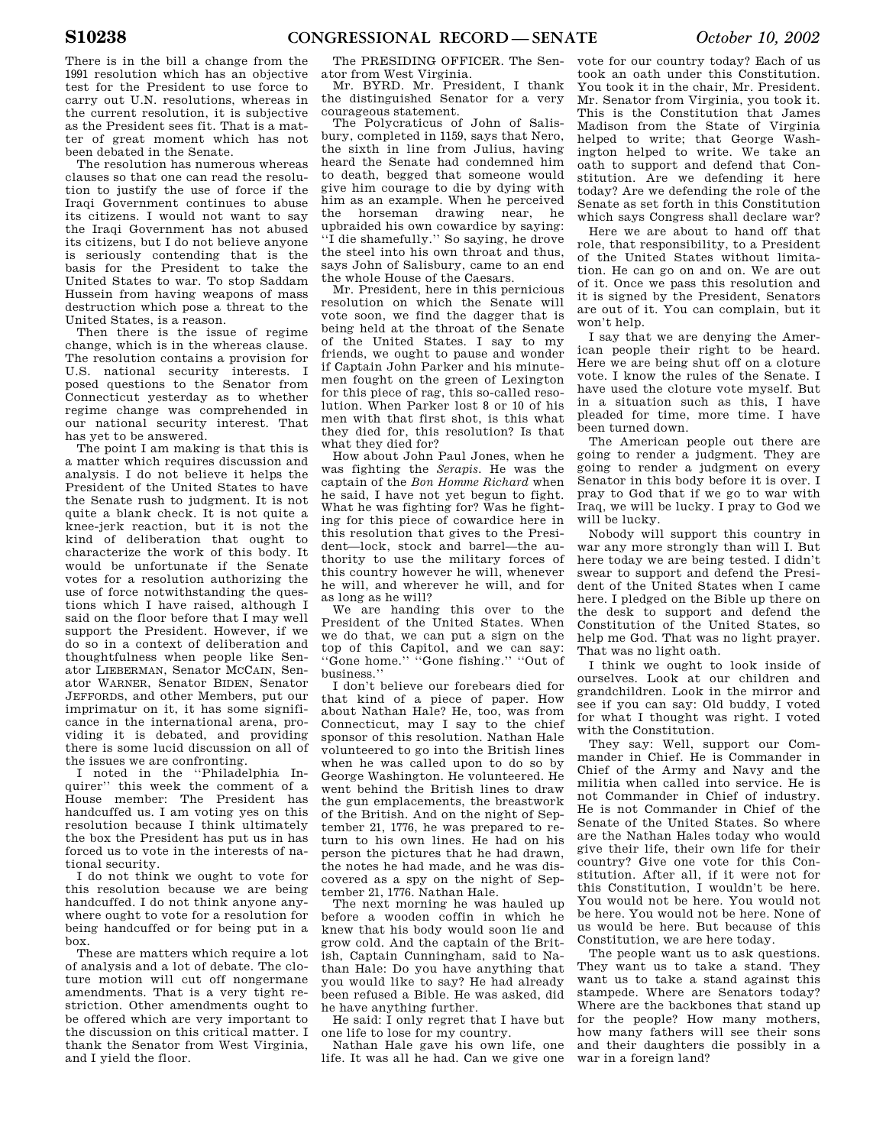There is in the bill a change from the 1991 resolution which has an objective test for the President to use force to carry out U.N. resolutions, whereas in the current resolution, it is subjective as the President sees fit. That is a matter of great moment which has not been debated in the Senate.

The resolution has numerous whereas clauses so that one can read the resolution to justify the use of force if the Iraqi Government continues to abuse its citizens. I would not want to say the Iraqi Government has not abused its citizens, but I do not believe anyone is seriously contending that is the basis for the President to take the United States to war. To stop Saddam Hussein from having weapons of mass destruction which pose a threat to the United States, is a reason.

Then there is the issue of regime change, which is in the whereas clause. The resolution contains a provision for U.S. national security interests. I posed questions to the Senator from Connecticut yesterday as to whether regime change was comprehended in our national security interest. That has yet to be answered.

The point I am making is that this is a matter which requires discussion and analysis. I do not believe it helps the President of the United States to have the Senate rush to judgment. It is not quite a blank check. It is not quite a knee-jerk reaction, but it is not the kind of deliberation that ought to characterize the work of this body. It would be unfortunate if the Senate votes for a resolution authorizing the use of force notwithstanding the questions which I have raised, although I said on the floor before that I may well support the President. However, if we do so in a context of deliberation and thoughtfulness when people like Senator LIEBERMAN, Senator MCCAIN, Senator WARNER, Senator BIDEN, Senator JEFFORDS, and other Members, put our imprimatur on it, it has some significance in the international arena, providing it is debated, and providing there is some lucid discussion on all of the issues we are confronting.

I noted in the ''Philadelphia Inquirer'' this week the comment of a House member: The President has handcuffed us. I am voting yes on this resolution because I think ultimately the box the President has put us in has forced us to vote in the interests of national security.

I do not think we ought to vote for this resolution because we are being handcuffed. I do not think anyone anywhere ought to vote for a resolution for being handcuffed or for being put in a box.

These are matters which require a lot of analysis and a lot of debate. The cloture motion will cut off nongermane amendments. That is a very tight restriction. Other amendments ought to be offered which are very important to the discussion on this critical matter. I thank the Senator from West Virginia, and I yield the floor.

The PRESIDING OFFICER. The Senator from West Virginia.

Mr. BYRD. Mr. President, I thank the distinguished Senator for a very courageous statement.

The Polycraticus of John of Salisbury, completed in 1159, says that Nero, the sixth in line from Julius, having heard the Senate had condemned him to death, begged that someone would give him courage to die by dying with him as an example. When he perceived the horseman drawing near, he upbraided his own cowardice by saying: ''I die shamefully.'' So saying, he drove the steel into his own throat and thus, says John of Salisbury, came to an end the whole House of the Caesars.

Mr. President, here in this pernicious resolution on which the Senate will vote soon, we find the dagger that is being held at the throat of the Senate of the United States. I say to my friends, we ought to pause and wonder if Captain John Parker and his minutemen fought on the green of Lexington for this piece of rag, this so-called resolution. When Parker lost 8 or 10 of his men with that first shot, is this what they died for, this resolution? Is that what they died for?

How about John Paul Jones, when he was fighting the *Serapis.* He was the captain of the *Bon Homme Richard* when he said, I have not yet begun to fight. What he was fighting for? Was he fighting for this piece of cowardice here in this resolution that gives to the President—lock, stock and barrel—the authority to use the military forces of this country however he will, whenever he will, and wherever he will, and for as long as he will?

We are handing this over to the President of the United States. When we do that, we can put a sign on the top of this Capitol, and we can say: ''Gone home.'' ''Gone fishing.'' ''Out of business.''

I don't believe our forebears died for that kind of a piece of paper. How about Nathan Hale? He, too, was from Connecticut, may I say to the chief sponsor of this resolution. Nathan Hale volunteered to go into the British lines when he was called upon to do so by George Washington. He volunteered. He went behind the British lines to draw the gun emplacements, the breastwork of the British. And on the night of September 21, 1776, he was prepared to return to his own lines. He had on his person the pictures that he had drawn, the notes he had made, and he was discovered as a spy on the night of September 21, 1776. Nathan Hale.

The next morning he was hauled up before a wooden coffin in which he knew that his body would soon lie and grow cold. And the captain of the British, Captain Cunningham, said to Nathan Hale: Do you have anything that you would like to say? He had already been refused a Bible. He was asked, did he have anything further.

He said: I only regret that I have but one life to lose for my country.

Nathan Hale gave his own life, one life. It was all he had. Can we give one

vote for our country today? Each of us took an oath under this Constitution. You took it in the chair, Mr. President. Mr. Senator from Virginia, you took it. This is the Constitution that James Madison from the State of Virginia helped to write; that George Washington helped to write. We take an oath to support and defend that Constitution. Are we defending it here today? Are we defending the role of the Senate as set forth in this Constitution which says Congress shall declare war?

Here we are about to hand off that role, that responsibility, to a President of the United States without limitation. He can go on and on. We are out of it. Once we pass this resolution and it is signed by the President, Senators are out of it. You can complain, but it won't help.

I say that we are denying the American people their right to be heard. Here we are being shut off on a cloture vote. I know the rules of the Senate. I have used the cloture vote myself. But in a situation such as this, I have pleaded for time, more time. I have been turned down.

The American people out there are going to render a judgment. They are going to render a judgment on every Senator in this body before it is over. I pray to God that if we go to war with Iraq, we will be lucky. I pray to God we will be lucky.

Nobody will support this country in war any more strongly than will I. But here today we are being tested. I didn't swear to support and defend the President of the United States when I came here. I pledged on the Bible up there on the desk to support and defend the Constitution of the United States, so help me God. That was no light prayer. That was no light oath.

I think we ought to look inside of ourselves. Look at our children and grandchildren. Look in the mirror and see if you can say: Old buddy, I voted for what I thought was right. I voted with the Constitution.

They say: Well, support our Commander in Chief. He is Commander in Chief of the Army and Navy and the militia when called into service. He is not Commander in Chief of industry. He is not Commander in Chief of the Senate of the United States. So where are the Nathan Hales today who would give their life, their own life for their country? Give one vote for this Constitution. After all, if it were not for this Constitution, I wouldn't be here. You would not be here. You would not be here. You would not be here. None of us would be here. But because of this Constitution, we are here today.

The people want us to ask questions. They want us to take a stand. They want us to take a stand against this stampede. Where are Senators today? Where are the backbones that stand up for the people? How many mothers, how many fathers will see their sons and their daughters die possibly in a war in a foreign land?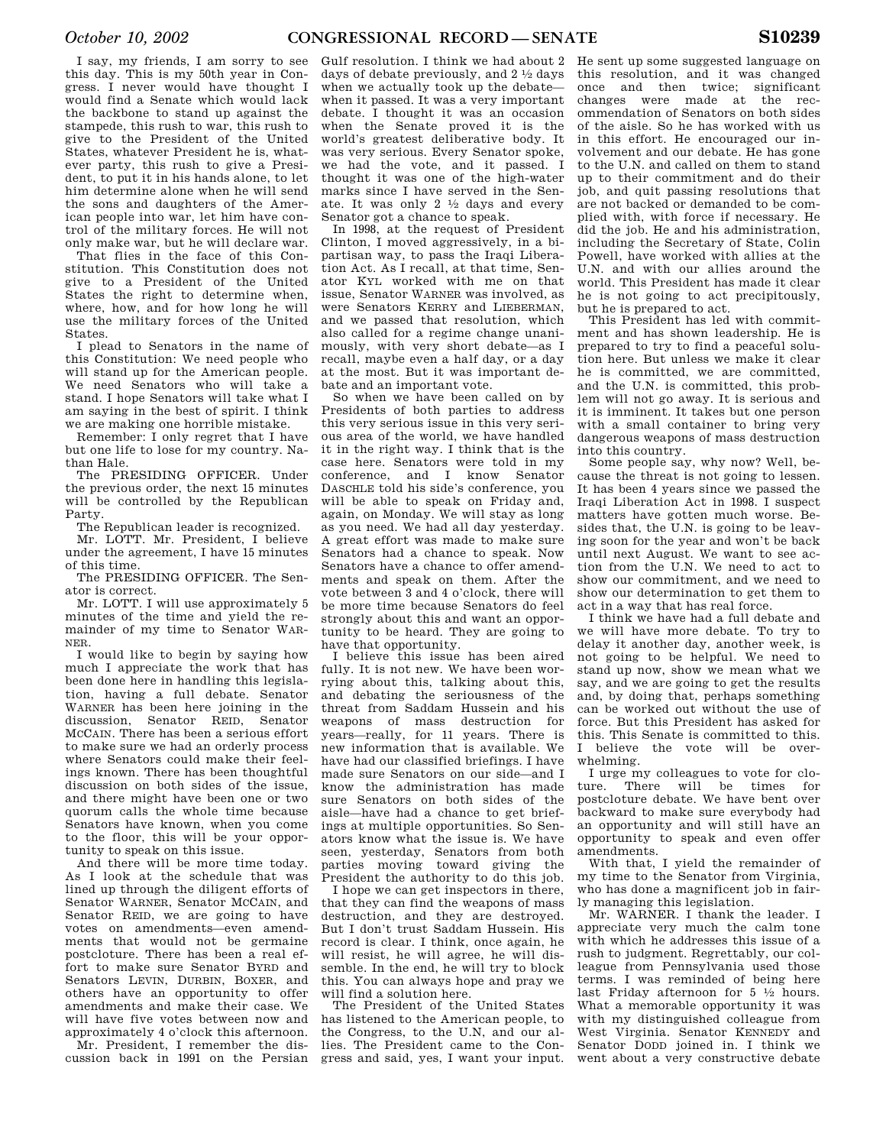I say, my friends, I am sorry to see this day. This is my 50th year in Congress. I never would have thought I would find a Senate which would lack the backbone to stand up against the stampede, this rush to war, this rush to give to the President of the United States, whatever President he is, whatever party, this rush to give a President, to put it in his hands alone, to let him determine alone when he will send the sons and daughters of the American people into war, let him have control of the military forces. He will not only make war, but he will declare war.

That flies in the face of this Constitution. This Constitution does not give to a President of the United States the right to determine when, where, how, and for how long he will use the military forces of the United States.

I plead to Senators in the name of this Constitution: We need people who will stand up for the American people. We need Senators who will take a stand. I hope Senators will take what I am saying in the best of spirit. I think we are making one horrible mistake.

Remember: I only regret that I have but one life to lose for my country. Nathan Hale.

The PRESIDING OFFICER. Under the previous order, the next 15 minutes will be controlled by the Republican Party.

The Republican leader is recognized.

Mr. LOTT. Mr. President, I believe under the agreement, I have 15 minutes of this time.

The PRESIDING OFFICER. The Senator is correct.

Mr. LOTT. I will use approximately 5 minutes of the time and yield the remainder of my time to Senator WAR-NER.

I would like to begin by saying how much I appreciate the work that has been done here in handling this legislation, having a full debate. Senator WARNER has been here joining in the discussion, Senator REID, Senator MCCAIN. There has been a serious effort to make sure we had an orderly process where Senators could make their feelings known. There has been thoughtful discussion on both sides of the issue and there might have been one or two quorum calls the whole time because Senators have known, when you come to the floor, this will be your opportunity to speak on this issue.

And there will be more time today. As I look at the schedule that was lined up through the diligent efforts of Senator WARNER, Senator MCCAIN, and Senator REID, we are going to have votes on amendments—even amendments that would not be germaine postcloture. There has been a real effort to make sure Senator BYRD and Senators LEVIN, DURBIN, BOXER, and others have an opportunity to offer amendments and make their case. We will have five votes between now and approximately 4 o'clock this afternoon.

Mr. President, I remember the discussion back in 1991 on the Persian

Gulf resolution. I think we had about 2 days of debate previously, and  $2 \frac{1}{2}$  days when we actually took up the debate when it passed. It was a very important debate. I thought it was an occasion when the Senate proved it is the world's greatest deliberative body. It was very serious. Every Senator spoke, we had the vote, and it passed. I thought it was one of the high-water marks since I have served in the Senate. It was only 2 1⁄2 days and every Senator got a chance to speak.

In 1998, at the request of President Clinton, I moved aggressively, in a bipartisan way, to pass the Iraqi Liberation Act. As I recall, at that time, Senator KYL worked with me on that issue, Senator WARNER was involved, as were Senators KERRY and LIEBERMAN, and we passed that resolution, which also called for a regime change unanimously, with very short debate—as I recall, maybe even a half day, or a day at the most. But it was important debate and an important vote.

So when we have been called on by Presidents of both parties to address this very serious issue in this very serious area of the world, we have handled it in the right way. I think that is the case here. Senators were told in my conference, and I know Senator DASCHLE told his side's conference, you will be able to speak on Friday and, again, on Monday. We will stay as long as you need. We had all day yesterday. A great effort was made to make sure Senators had a chance to speak. Now Senators have a chance to offer amendments and speak on them. After the vote between 3 and 4 o'clock, there will be more time because Senators do feel strongly about this and want an opportunity to be heard. They are going to have that opportunity.

I believe this issue has been aired fully. It is not new. We have been worrying about this, talking about this, and debating the seriousness of the threat from Saddam Hussein and his weapons of mass destruction for years—really, for 11 years. There is new information that is available. We have had our classified briefings. I have made sure Senators on our side—and I know the administration has made sure Senators on both sides of the aisle—have had a chance to get briefings at multiple opportunities. So Senators know what the issue is. We have seen, yesterday, Senators from both parties moving toward giving the President the authority to do this job.

I hope we can get inspectors in there, that they can find the weapons of mass destruction, and they are destroyed. But I don't trust Saddam Hussein. His record is clear. I think, once again, he will resist, he will agree, he will dissemble. In the end, he will try to block this. You can always hope and pray we will find a solution here.

The President of the United States has listened to the American people, to the Congress, to the U.N, and our allies. The President came to the Congress and said, yes, I want your input.

He sent up some suggested language on this resolution, and it was changed once and then twice; significant changes were made at the recommendation of Senators on both sides of the aisle. So he has worked with us in this effort. He encouraged our involvement and our debate. He has gone to the U.N. and called on them to stand up to their commitment and do their job, and quit passing resolutions that are not backed or demanded to be complied with, with force if necessary. He did the job. He and his administration, including the Secretary of State, Colin Powell, have worked with allies at the U.N. and with our allies around the world. This President has made it clear he is not going to act precipitously, but he is prepared to act.

This President has led with commitment and has shown leadership. He is prepared to try to find a peaceful solution here. But unless we make it clear he is committed, we are committed, and the U.N. is committed, this problem will not go away. It is serious and it is imminent. It takes but one person with a small container to bring very dangerous weapons of mass destruction into this country.

Some people say, why now? Well, because the threat is not going to lessen. It has been 4 years since we passed the Iraqi Liberation Act in 1998. I suspect matters have gotten much worse. Besides that, the U.N. is going to be leaving soon for the year and won't be back until next August. We want to see action from the U.N. We need to act to show our commitment, and we need to show our determination to get them to act in a way that has real force.

I think we have had a full debate and we will have more debate. To try to delay it another day, another week, is not going to be helpful. We need to stand up now, show we mean what we say, and we are going to get the results and, by doing that, perhaps something can be worked out without the use of force. But this President has asked for this. This Senate is committed to this. I believe the vote will be overwhelming.

I urge my colleagues to vote for clo-<br>ure. There will be times for ture. There will be times for postcloture debate. We have bent over backward to make sure everybody had an opportunity and will still have an opportunity to speak and even offer amendments.

With that, I yield the remainder of my time to the Senator from Virginia, who has done a magnificent job in fairly managing this legislation.

Mr. WARNER. I thank the leader. I appreciate very much the calm tone with which he addresses this issue of a rush to judgment. Regrettably, our colleague from Pennsylvania used those terms. I was reminded of being here last Friday afternoon for  $5\frac{1}{2}$  hours. What a memorable opportunity it was with my distinguished colleague from West Virginia. Senator KENNEDY and Senator DODD joined in. I think we went about a very constructive debate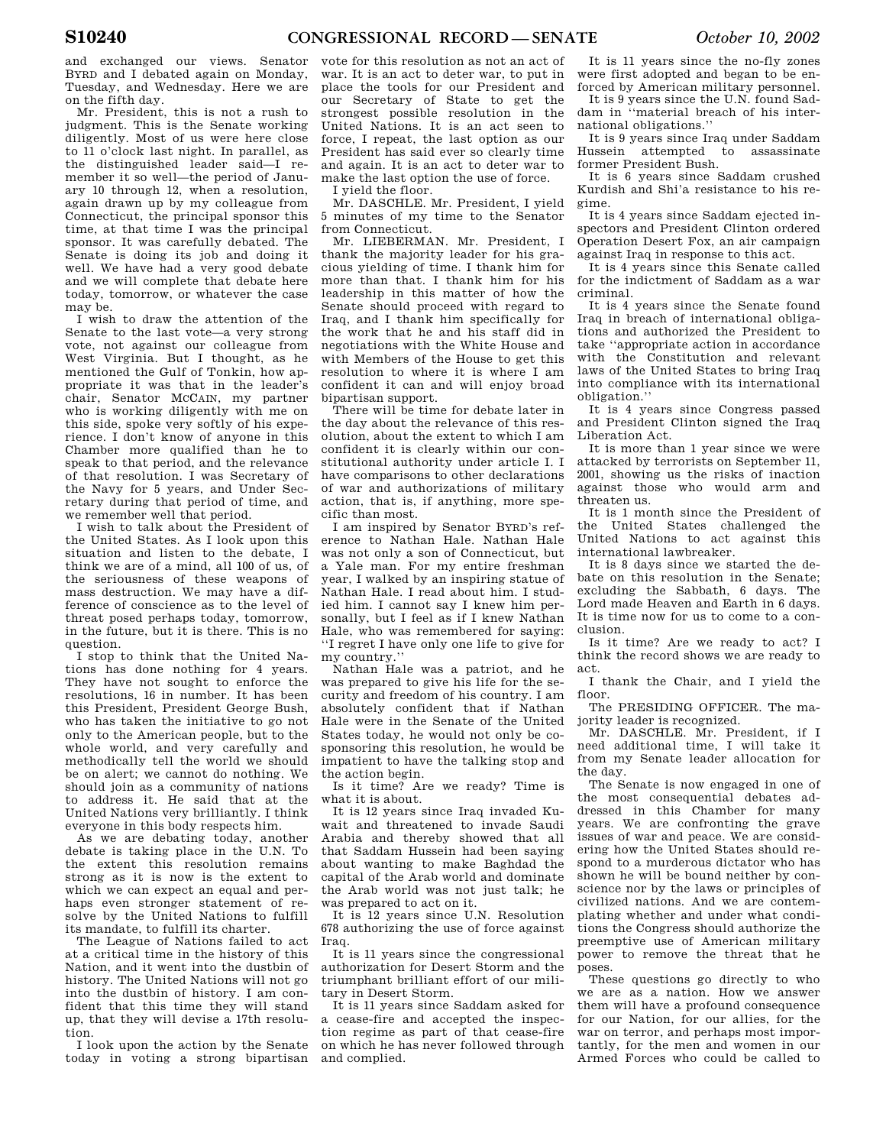and exchanged our views. Senator BYRD and I debated again on Monday, Tuesday, and Wednesday. Here we are on the fifth day.

Mr. President, this is not a rush to judgment. This is the Senate working diligently. Most of us were here close to 11 o'clock last night. In parallel, as the distinguished leader said—I remember it so well—the period of January 10 through 12, when a resolution, again drawn up by my colleague from Connecticut, the principal sponsor this time, at that time I was the principal sponsor. It was carefully debated. The Senate is doing its job and doing it well. We have had a very good debate and we will complete that debate here today, tomorrow, or whatever the case may be.

I wish to draw the attention of the Senate to the last vote—a very strong vote, not against our colleague from West Virginia. But I thought, as he mentioned the Gulf of Tonkin, how appropriate it was that in the leader's chair, Senator MCCAIN, my partner who is working diligently with me on this side, spoke very softly of his experience. I don't know of anyone in this Chamber more qualified than he to speak to that period, and the relevance of that resolution. I was Secretary of the Navy for 5 years, and Under Secretary during that period of time, and we remember well that period.

I wish to talk about the President of the United States. As I look upon this situation and listen to the debate, I think we are of a mind, all 100 of us, of the seriousness of these weapons of mass destruction. We may have a difference of conscience as to the level of threat posed perhaps today, tomorrow, in the future, but it is there. This is no question.

I stop to think that the United Nations has done nothing for 4 years. They have not sought to enforce the resolutions, 16 in number. It has been this President, President George Bush, who has taken the initiative to go not only to the American people, but to the whole world, and very carefully and methodically tell the world we should be on alert; we cannot do nothing. We should join as a community of nations to address it. He said that at the United Nations very brilliantly. I think everyone in this body respects him.

As we are debating today, another debate is taking place in the U.N. To the extent this resolution remains strong as it is now is the extent to which we can expect an equal and perhaps even stronger statement of resolve by the United Nations to fulfill its mandate, to fulfill its charter.

The League of Nations failed to act at a critical time in the history of this Nation, and it went into the dustbin of history. The United Nations will not go into the dustbin of history. I am confident that this time they will stand up, that they will devise a 17th resolution.

I look upon the action by the Senate today in voting a strong bipartisan

vote for this resolution as not an act of war. It is an act to deter war, to put in place the tools for our President and our Secretary of State to get the strongest possible resolution in the United Nations. It is an act seen to force, I repeat, the last option as our President has said ever so clearly time and again. It is an act to deter war to make the last option the use of force.

I yield the floor.

Mr. DASCHLE. Mr. President, I yield 5 minutes of my time to the Senator from Connecticut.

Mr. LIEBERMAN. Mr. President, I thank the majority leader for his gracious yielding of time. I thank him for more than that. I thank him for his leadership in this matter of how the Senate should proceed with regard to Iraq, and I thank him specifically for the work that he and his staff did in negotiations with the White House and with Members of the House to get this resolution to where it is where I am confident it can and will enjoy broad bipartisan support.

There will be time for debate later in the day about the relevance of this resolution, about the extent to which I am confident it is clearly within our constitutional authority under article I. I have comparisons to other declarations of war and authorizations of military action, that is, if anything, more specific than most.

I am inspired by Senator BYRD's reference to Nathan Hale. Nathan Hale was not only a son of Connecticut, but a Yale man. For my entire freshman year, I walked by an inspiring statue of Nathan Hale. I read about him. I studied him. I cannot say I knew him personally, but I feel as if I knew Nathan Hale, who was remembered for saying: ''I regret I have only one life to give for my country.''

Nathan Hale was a patriot, and he was prepared to give his life for the security and freedom of his country. I am absolutely confident that if Nathan Hale were in the Senate of the United States today, he would not only be cosponsoring this resolution, he would be impatient to have the talking stop and the action begin.

Is it time? Are we ready? Time is what it is about.

It is 12 years since Iraq invaded Kuwait and threatened to invade Saudi Arabia and thereby showed that all that Saddam Hussein had been saying about wanting to make Baghdad the capital of the Arab world and dominate the Arab world was not just talk; he was prepared to act on it.

It is 12 years since U.N. Resolution 678 authorizing the use of force against Iraq.

It is 11 years since the congressional authorization for Desert Storm and the triumphant brilliant effort of our military in Desert Storm.

It is 11 years since Saddam asked for a cease-fire and accepted the inspection regime as part of that cease-fire on which he has never followed through and complied.

It is 11 years since the no-fly zones were first adopted and began to be enforced by American military personnel.

It is 9 years since the U.N. found Saddam in ''material breach of his international obligations.''

It is 9 years since Iraq under Saddam Hussein attempted to assassinate former President Bush.

It is 6 years since Saddam crushed Kurdish and Shi'a resistance to his regime.

It is 4 years since Saddam ejected inspectors and President Clinton ordered Operation Desert Fox, an air campaign against Iraq in response to this act.

It is 4 years since this Senate called for the indictment of Saddam as a war criminal.

It is 4 years since the Senate found Iraq in breach of international obligations and authorized the President to take ''appropriate action in accordance with the Constitution and relevant laws of the United States to bring Iraq into compliance with its international obligation.''

It is 4 years since Congress passed and President Clinton signed the Iraq Liberation Act.

It is more than 1 year since we were attacked by terrorists on September 11, 2001, showing us the risks of inaction against those who would arm and threaten us.

It is 1 month since the President of the United States challenged the United Nations to act against this international lawbreaker.

It is 8 days since we started the debate on this resolution in the Senate; excluding the Sabbath, 6 days. The Lord made Heaven and Earth in 6 days. It is time now for us to come to a conclusion.

Is it time? Are we ready to act? I think the record shows we are ready to act.

I thank the Chair, and I yield the floor.

The PRESIDING OFFICER. The majority leader is recognized.

Mr. DASCHLE. Mr. President, if I need additional time, I will take it from my Senate leader allocation for the day.

The Senate is now engaged in one of the most consequential debates addressed in this Chamber for many years. We are confronting the grave issues of war and peace. We are considering how the United States should respond to a murderous dictator who has shown he will be bound neither by conscience nor by the laws or principles of civilized nations. And we are contemplating whether and under what conditions the Congress should authorize the preemptive use of American military power to remove the threat that he poses.

These questions go directly to who we are as a nation. How we answer them will have a profound consequence for our Nation, for our allies, for the war on terror, and perhaps most importantly, for the men and women in our Armed Forces who could be called to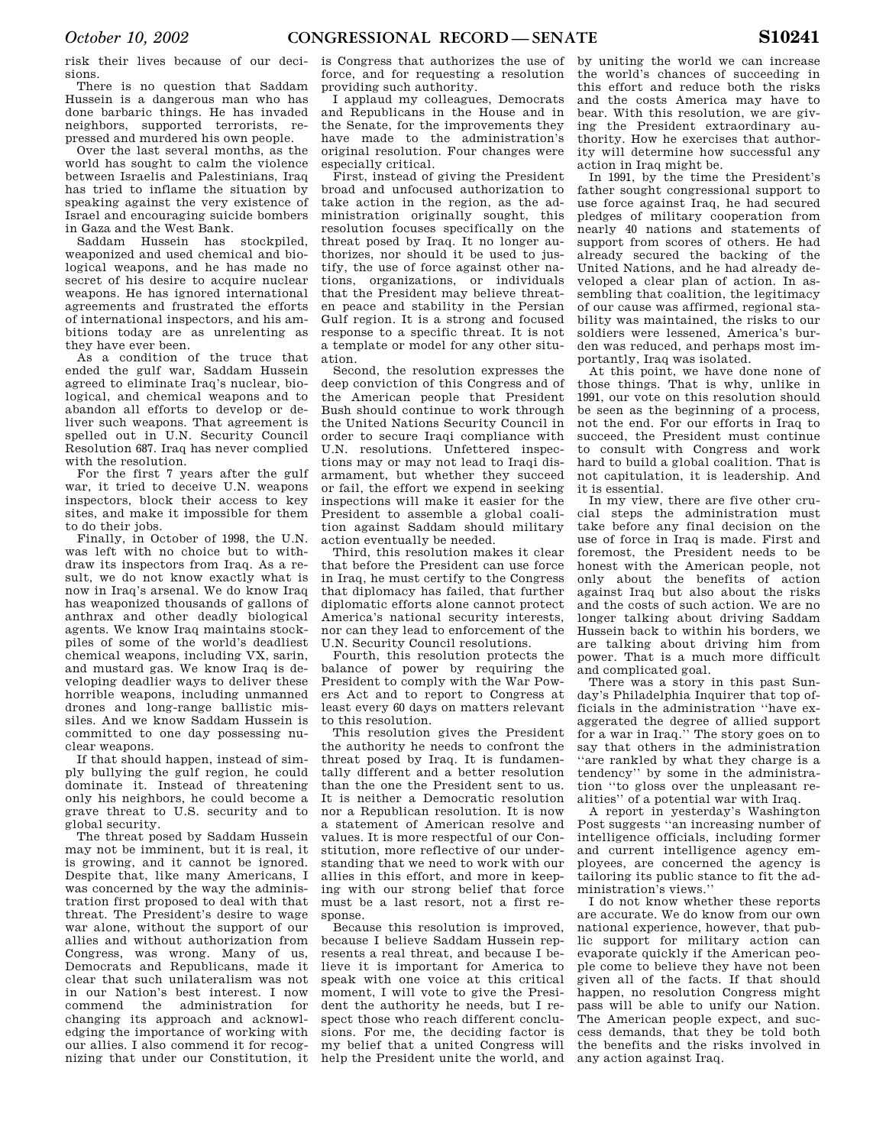risk their lives because of our decisions.

There is no question that Saddam Hussein is a dangerous man who has done barbaric things. He has invaded neighbors, supported terrorists, repressed and murdered his own people.

Over the last several months, as the world has sought to calm the violence between Israelis and Palestinians, Iraq has tried to inflame the situation by speaking against the very existence of Israel and encouraging suicide bombers in Gaza and the West Bank.

Saddam Hussein has stockpiled, weaponized and used chemical and biological weapons, and he has made no secret of his desire to acquire nuclear weapons. He has ignored international agreements and frustrated the efforts of international inspectors, and his ambitions today are as unrelenting as they have ever been.

As a condition of the truce that ended the gulf war, Saddam Hussein agreed to eliminate Iraq's nuclear, biological, and chemical weapons and to abandon all efforts to develop or deliver such weapons. That agreement is spelled out in U.N. Security Council Resolution 687. Iraq has never complied with the resolution.

For the first 7 years after the gulf war, it tried to deceive U.N. weapons inspectors, block their access to key sites, and make it impossible for them to do their jobs.

Finally, in October of 1998, the U.N. was left with no choice but to withdraw its inspectors from Iraq. As a result, we do not know exactly what is now in Iraq's arsenal. We do know Iraq has weaponized thousands of gallons of anthrax and other deadly biological agents. We know Iraq maintains stockpiles of some of the world's deadliest chemical weapons, including VX, sarin, and mustard gas. We know Iraq is developing deadlier ways to deliver these horrible weapons, including unmanned drones and long-range ballistic missiles. And we know Saddam Hussein is committed to one day possessing nuclear weapons.

If that should happen, instead of simply bullying the gulf region, he could dominate it. Instead of threatening only his neighbors, he could become a grave threat to U.S. security and to global security.

The threat posed by Saddam Hussein may not be imminent, but it is real, it is growing, and it cannot be ignored. Despite that, like many Americans, I was concerned by the way the administration first proposed to deal with that threat. The President's desire to wage war alone, without the support of our allies and without authorization from Congress, was wrong. Many of us, Democrats and Republicans, made it clear that such unilateralism was not in our Nation's best interest. I now commend the administration for changing its approach and acknowledging the importance of working with our allies. I also commend it for recognizing that under our Constitution, it

is Congress that authorizes the use of force, and for requesting a resolution providing such authority.

I applaud my colleagues, Democrats and Republicans in the House and in the Senate, for the improvements they have made to the administration's original resolution. Four changes were especially critical.

First, instead of giving the President broad and unfocused authorization to take action in the region, as the administration originally sought, this resolution focuses specifically on the threat posed by Iraq. It no longer authorizes, nor should it be used to justify, the use of force against other nations, organizations, or individuals that the President may believe threaten peace and stability in the Persian Gulf region. It is a strong and focused response to a specific threat. It is not a template or model for any other situation.

Second, the resolution expresses the deep conviction of this Congress and of the American people that President Bush should continue to work through the United Nations Security Council in order to secure Iraqi compliance with U.N. resolutions. Unfettered inspections may or may not lead to Iraqi disarmament, but whether they succeed or fail, the effort we expend in seeking inspections will make it easier for the President to assemble a global coalition against Saddam should military action eventually be needed.

Third, this resolution makes it clear that before the President can use force in Iraq, he must certify to the Congress that diplomacy has failed, that further diplomatic efforts alone cannot protect America's national security interests, nor can they lead to enforcement of the U.N. Security Council resolutions.

Fourth, this resolution protects the balance of power by requiring the President to comply with the War Powers Act and to report to Congress at least every 60 days on matters relevant to this resolution.

This resolution gives the President the authority he needs to confront the threat posed by Iraq. It is fundamentally different and a better resolution than the one the President sent to us. It is neither a Democratic resolution nor a Republican resolution. It is now a statement of American resolve and values. It is more respectful of our Constitution, more reflective of our understanding that we need to work with our allies in this effort, and more in keeping with our strong belief that force must be a last resort, not a first response.

Because this resolution is improved, because I believe Saddam Hussein represents a real threat, and because I believe it is important for America to speak with one voice at this critical moment, I will vote to give the President the authority he needs, but I respect those who reach different conclusions. For me, the deciding factor is my belief that a united Congress will help the President unite the world, and

by uniting the world we can increase the world's chances of succeeding in this effort and reduce both the risks and the costs America may have to bear. With this resolution, we are giving the President extraordinary authority. How he exercises that authority will determine how successful any action in Iraq might be.

In 1991, by the time the President's father sought congressional support to use force against Iraq, he had secured pledges of military cooperation from nearly 40 nations and statements of support from scores of others. He had already secured the backing of the United Nations, and he had already developed a clear plan of action. In assembling that coalition, the legitimacy of our cause was affirmed, regional stability was maintained, the risks to our soldiers were lessened, America's burden was reduced, and perhaps most importantly, Iraq was isolated.

At this point, we have done none of those things. That is why, unlike in 1991, our vote on this resolution should be seen as the beginning of a process, not the end. For our efforts in Iraq to succeed, the President must continue to consult with Congress and work hard to build a global coalition. That is not capitulation, it is leadership. And it is essential.

In my view, there are five other crucial steps the administration must take before any final decision on the use of force in Iraq is made. First and foremost, the President needs to be honest with the American people, not only about the benefits of action against Iraq but also about the risks and the costs of such action. We are no longer talking about driving Saddam Hussein back to within his borders, we are talking about driving him from power. That is a much more difficult and complicated goal.

There was a story in this past Sunday's Philadelphia Inquirer that top officials in the administration ''have exaggerated the degree of allied support for a war in Iraq.'' The story goes on to say that others in the administration ''are rankled by what they charge is a tendency'' by some in the administration ''to gloss over the unpleasant realities'' of a potential war with Iraq.

A report in yesterday's Washington Post suggests ''an increasing number of intelligence officials, including former and current intelligence agency employees, are concerned the agency is tailoring its public stance to fit the administration's views.''

I do not know whether these reports are accurate. We do know from our own national experience, however, that public support for military action can evaporate quickly if the American people come to believe they have not been given all of the facts. If that should happen, no resolution Congress might pass will be able to unify our Nation. The American people expect, and success demands, that they be told both the benefits and the risks involved in any action against Iraq.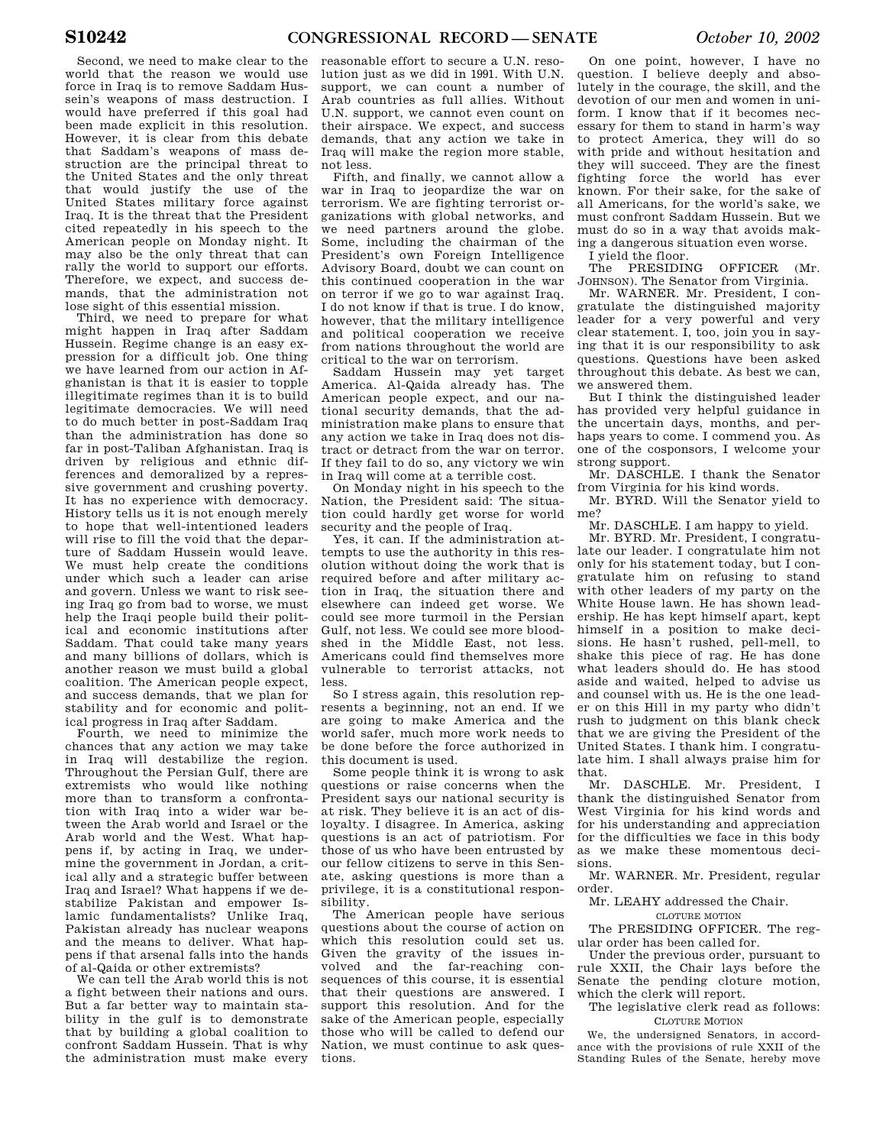Second, we need to make clear to the world that the reason we would use force in Iraq is to remove Saddam Hussein's weapons of mass destruction. I would have preferred if this goal had been made explicit in this resolution. However, it is clear from this debate that Saddam's weapons of mass destruction are the principal threat to the United States and the only threat that would justify the use of the United States military force against Iraq. It is the threat that the President cited repeatedly in his speech to the American people on Monday night. It may also be the only threat that can rally the world to support our efforts. Therefore, we expect, and success demands, that the administration not lose sight of this essential mission.

Third, we need to prepare for what might happen in Iraq after Saddam Hussein. Regime change is an easy expression for a difficult job. One thing we have learned from our action in Afghanistan is that it is easier to topple illegitimate regimes than it is to build legitimate democracies. We will need to do much better in post-Saddam Iraq than the administration has done so far in post-Taliban Afghanistan. Iraq is driven by religious and ethnic differences and demoralized by a repressive government and crushing poverty. It has no experience with democracy. History tells us it is not enough merely to hope that well-intentioned leaders will rise to fill the void that the departure of Saddam Hussein would leave. We must help create the conditions under which such a leader can arise and govern. Unless we want to risk seeing Iraq go from bad to worse, we must help the Iraqi people build their political and economic institutions after Saddam. That could take many years and many billions of dollars, which is another reason we must build a global coalition. The American people expect, and success demands, that we plan for stability and for economic and political progress in Iraq after Saddam.

Fourth, we need to minimize the chances that any action we may take in Iraq will destabilize the region. Throughout the Persian Gulf, there are extremists who would like nothing more than to transform a confrontation with Iraq into a wider war between the Arab world and Israel or the Arab world and the West. What happens if, by acting in Iraq, we undermine the government in Jordan, a critical ally and a strategic buffer between Iraq and Israel? What happens if we destabilize Pakistan and empower Islamic fundamentalists? Unlike Iraq, Pakistan already has nuclear weapons and the means to deliver. What happens if that arsenal falls into the hands of al-Qaida or other extremists?

We can tell the Arab world this is not a fight between their nations and ours. But a far better way to maintain stability in the gulf is to demonstrate that by building a global coalition to confront Saddam Hussein. That is why the administration must make every

reasonable effort to secure a U.N. resolution just as we did in 1991. With U.N. support, we can count a number of Arab countries as full allies. Without U.N. support, we cannot even count on their airspace. We expect, and success demands, that any action we take in Iraq will make the region more stable, not less.

Fifth, and finally, we cannot allow a war in Iraq to jeopardize the war on terrorism. We are fighting terrorist organizations with global networks, and we need partners around the globe. Some, including the chairman of the President's own Foreign Intelligence Advisory Board, doubt we can count on this continued cooperation in the war on terror if we go to war against Iraq. I do not know if that is true. I do know, however, that the military intelligence and political cooperation we receive from nations throughout the world are critical to the war on terrorism.

Saddam Hussein may yet target America. Al-Qaida already has. The American people expect, and our national security demands, that the administration make plans to ensure that any action we take in Iraq does not distract or detract from the war on terror. If they fail to do so, any victory we win in Iraq will come at a terrible cost.

On Monday night in his speech to the Nation, the President said: The situation could hardly get worse for world security and the people of Iraq.

Yes, it can. If the administration attempts to use the authority in this resolution without doing the work that is required before and after military action in Iraq, the situation there and elsewhere can indeed get worse. We could see more turmoil in the Persian Gulf, not less. We could see more bloodshed in the Middle East, not less. Americans could find themselves more vulnerable to terrorist attacks, not less.

So I stress again, this resolution represents a beginning, not an end. If we are going to make America and the world safer, much more work needs to be done before the force authorized in this document is used.

Some people think it is wrong to ask questions or raise concerns when the President says our national security is at risk. They believe it is an act of disloyalty. I disagree. In America, asking questions is an act of patriotism. For those of us who have been entrusted by our fellow citizens to serve in this Senate, asking questions is more than a privilege, it is a constitutional responsibility.

The American people have serious questions about the course of action on which this resolution could set us. Given the gravity of the issues involved and the far-reaching consequences of this course, it is essential that their questions are answered. I support this resolution. And for the sake of the American people, especially those who will be called to defend our Nation, we must continue to ask questions.

On one point, however, I have no question. I believe deeply and absolutely in the courage, the skill, and the devotion of our men and women in uniform. I know that if it becomes necessary for them to stand in harm's way to protect America, they will do so with pride and without hesitation and they will succeed. They are the finest fighting force the world has ever known. For their sake, for the sake of all Americans, for the world's sake, we must confront Saddam Hussein. But we must do so in a way that avoids making a dangerous situation even worse.

I yield the floor.

The PRESIDING OFFICER (Mr. JOHNSON). The Senator from Virginia.

Mr. WARNER. Mr. President, I congratulate the distinguished majority leader for a very powerful and very clear statement. I, too, join you in saying that it is our responsibility to ask questions. Questions have been asked throughout this debate. As best we can, we answered them.

But I think the distinguished leader has provided very helpful guidance in the uncertain days, months, and perhaps years to come. I commend you. As one of the cosponsors, I welcome your strong support.

Mr. DASCHLE. I thank the Senator from Virginia for his kind words.

Mr. BYRD. Will the Senator yield to me?

Mr. DASCHLE. I am happy to yield.

Mr. BYRD. Mr. President, I congratulate our leader. I congratulate him not only for his statement today, but I congratulate him on refusing to stand with other leaders of my party on the White House lawn. He has shown leadership. He has kept himself apart, kept himself in a position to make decisions. He hasn't rushed, pell-mell, to shake this piece of rag. He has done what leaders should do. He has stood aside and waited, helped to advise us and counsel with us. He is the one leader on this Hill in my party who didn't rush to judgment on this blank check that we are giving the President of the United States. I thank him. I congratulate him. I shall always praise him for that.

Mr. DASCHLE. Mr. President, I thank the distinguished Senator from West Virginia for his kind words and for his understanding and appreciation for the difficulties we face in this body as we make these momentous decisions.

Mr. WARNER. Mr. President, regular order.

Mr. LEAHY addressed the Chair.

CLOTURE MOTION

The PRESIDING OFFICER. The regular order has been called for.

Under the previous order, pursuant to rule XXII, the Chair lays before the Senate the pending cloture motion, which the clerk will report.

The legislative clerk read as follows: CLOTURE MOTION

We, the undersigned Senators, in accordance with the provisions of rule XXII of the Standing Rules of the Senate, hereby move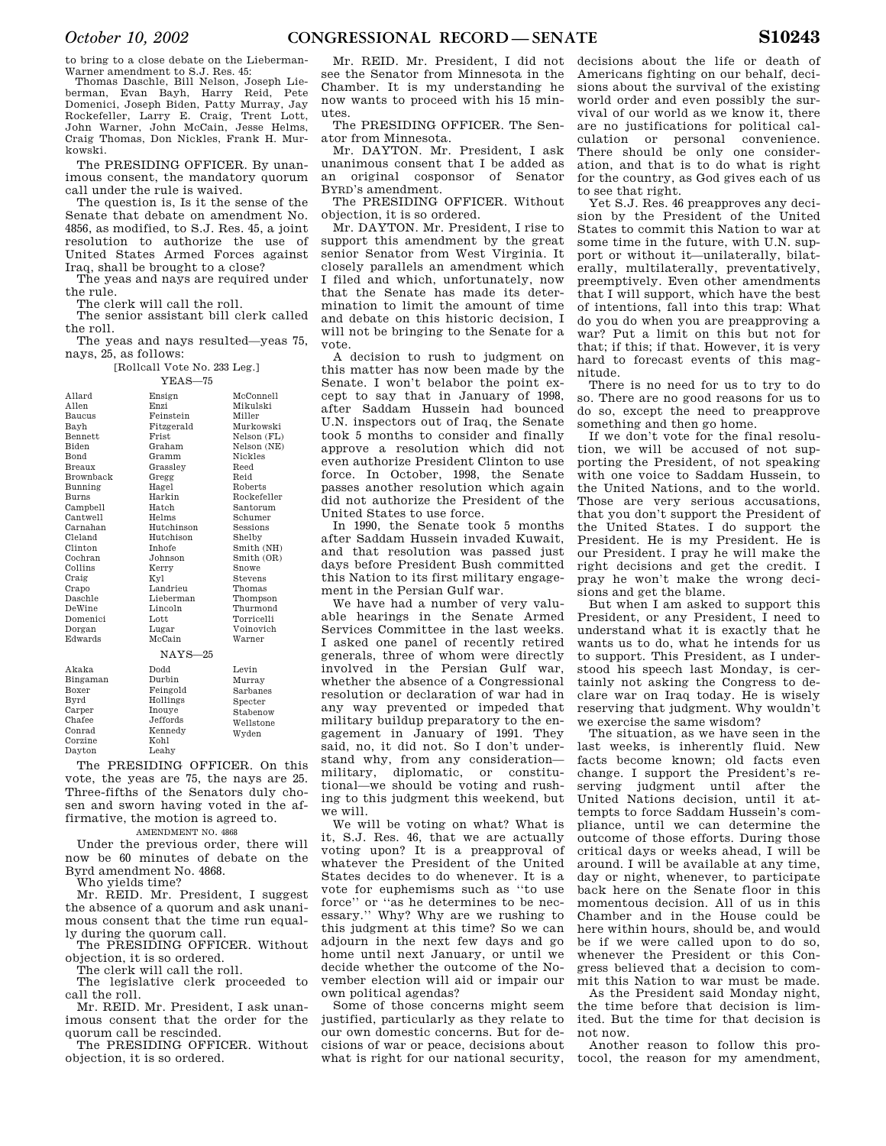to bring to a close debate on the Lieberman-Warner amendment to S.J. Res. 45:

Thomas Daschle, Bill Nelson, Joseph Lieberman, Evan Bayh, Harry Domenici, Joseph Biden, Patty Murray, Jay Rockefeller, Larry E. Craig, Trent Lott, John Warner, John McCain, Jesse Helms, Craig Thomas, Don Nickles, Frank H. Murkowski.

The PRESIDING OFFICER. By unanimous consent, the mandatory quorum call under the rule is waived.

The question is, Is it the sense of the Senate that debate on amendment No. 4856, as modified, to S.J. Res. 45, a joint resolution to authorize the use of United States Armed Forces against Iraq, shall be brought to a close?

The yeas and nays are required under the rule.

The clerk will call the roll.

The senior assistant bill clerk called the roll.

The yeas and nays resulted—yeas 75, nays, 25, as follows:

> [Rollcall Vote No. 233 Leg.] YEAS—75

| Allard           | Ensign        | McConnell   |
|------------------|---------------|-------------|
| Allen            | Enzi          | Mikulski    |
| Baucus           | Feinstein     | Miller      |
| Bayh             | Fitzgerald    | Murkowski   |
| <b>Bennett</b>   | Frist         | Nelson (FL) |
| Biden            | Graham        | Nelson (NE) |
| <b>Bond</b>      | Gramm         | Nickles     |
| <b>Breaux</b>    | Grasslev      | Reed        |
| <b>Brownback</b> | Gregg         | Reid        |
| Bunning          | Hagel         | Roberts     |
| <b>Burns</b>     | Harkin        | Rockefeller |
| Campbell         | Hatch         | Santorum    |
| Cantwell         | Helms         | Schumer     |
| Carnahan         | Hutchinson    | Sessions    |
| Cleland          | Hutchison     | Shelby      |
| Clinton          | <b>Inhofe</b> | Smith (NH)  |
| Cochran          | Johnson       | Smith (OR)  |
| Collins          | Kerry         | Snowe       |
| Craig            | Kvl           | Stevens     |
| Crapo            | Landrieu      | Thomas      |
| Daschle          | Lieberman     | Thompson    |
| DeWine           | Lincoln       | Thurmond    |
| Domenici         | Lott          | Torricelli  |
| Dorgan           | Lugar         | Voinovich   |
| Edwards          | McCain        | Warner      |
| $NAYS-25$        |               |             |
| Akaka            | <b>Dodd</b>   | Levin       |
| Bingaman         | Durbin        | Murrav      |
| Boxer            | Feingold      | Sarbanes    |
| Byrd             | Hollings      | Specter     |
| Carper           | Inouve        | Stabenow    |
| Chafee           | Jeffords.     | Wellstone   |
| Conrad           | Kennedy       |             |
| Corzine          | Kohl          | Wyden       |
| Davton           | Leahv         |             |
|                  |               |             |

The PRESIDING OFFICER. On this vote, the yeas are 75, the nays are 25. Three-fifths of the Senators duly chosen and sworn having voted in the affirmative, the motion is agreed to.

AMENDMENT NO. 4868

Under the previous order, there will now be 60 minutes of debate on the Byrd amendment No. 4868.

Who yields time?

Mr. REID. Mr. President, I suggest the absence of a quorum and ask unanimous consent that the time run equally during the quorum call.

The PRESIDING OFFICER. Without objection, it is so ordered.

The clerk will call the roll.

The legislative clerk proceeded to call the roll.

Mr. REID. Mr. President, I ask unanimous consent that the order for the quorum call be rescinded.

The PRESIDING OFFICER. Without objection, it is so ordered.

Mr. REID. Mr. President, I did not see the Senator from Minnesota in the Chamber. It is my understanding he now wants to proceed with his 15 minutes.

The PRESIDING OFFICER. The Senator from Minnesota.

Mr. DAYTON. Mr. President, I ask unanimous consent that I be added as an original cosponsor of Senator BYRD's amendment.

The PRESIDING OFFICER. Without objection, it is so ordered.

Mr. DAYTON. Mr. President, I rise to support this amendment by the great senior Senator from West Virginia. It closely parallels an amendment which I filed and which, unfortunately, now that the Senate has made its determination to limit the amount of time and debate on this historic decision. I will not be bringing to the Senate for a vote.

A decision to rush to judgment on this matter has now been made by the Senate. I won't belabor the point except to say that in January of 1998, after Saddam Hussein had bounced U.N. inspectors out of Iraq, the Senate took 5 months to consider and finally approve a resolution which did not even authorize President Clinton to use force. In October, 1998, the Senate passes another resolution which again did not authorize the President of the United States to use force.

In 1990, the Senate took 5 months after Saddam Hussein invaded Kuwait, and that resolution was passed just days before President Bush committed this Nation to its first military engagement in the Persian Gulf war.

We have had a number of very valuable hearings in the Senate Armed Services Committee in the last weeks. I asked one panel of recently retired generals, three of whom were directly involved in the Persian Gulf war, whether the absence of a Congressional resolution or declaration of war had in any way prevented or impeded that military buildup preparatory to the engagement in January of 1991. They said, no, it did not. So I don't understand why, from any consideration military, diplomatic, or constitutional—we should be voting and rushing to this judgment this weekend, but we will.

We will be voting on what? What is it, S.J. Res. 46, that we are actually voting upon? It is a preapproval of whatever the President of the United States decides to do whenever. It is a vote for euphemisms such as ''to use force'' or ''as he determines to be necessary.'' Why? Why are we rushing to this judgment at this time? So we can adjourn in the next few days and go home until next January, or until we decide whether the outcome of the November election will aid or impair our own political agendas?

Some of those concerns might seem justified, particularly as they relate to our own domestic concerns. But for decisions of war or peace, decisions about what is right for our national security,

decisions about the life or death of Americans fighting on our behalf, decisions about the survival of the existing world order and even possibly the survival of our world as we know it, there are no justifications for political calculation or personal convenience. There should be only one consideration, and that is to do what is right for the country, as God gives each of us to see that right.

Yet S.J. Res. 46 preapproves any decision by the President of the United States to commit this Nation to war at some time in the future, with U.N. support or without it—unilaterally, bilaterally, multilaterally, preventatively, preemptively. Even other amendments that I will support, which have the best of intentions, fall into this trap: What do you do when you are preapproving a war? Put a limit on this but not for that; if this; if that. However, it is very hard to forecast events of this magnitude.

There is no need for us to try to do so. There are no good reasons for us to do so, except the need to preapprove something and then go home.

If we don't vote for the final resolution, we will be accused of not supporting the President, of not speaking with one voice to Saddam Hussein, to the United Nations, and to the world. Those are very serious accusations, that you don't support the President of the United States. I do support the President. He is my President. He is our President. I pray he will make the right decisions and get the credit. I pray he won't make the wrong decisions and get the blame.

But when I am asked to support this President, or any President, I need to understand what it is exactly that he wants us to do, what he intends for us to support. This President, as I understood his speech last Monday, is certainly not asking the Congress to declare war on Iraq today. He is wisely reserving that judgment. Why wouldn't we exercise the same wisdom?

The situation, as we have seen in the last weeks, is inherently fluid. New facts become known; old facts even change. I support the President's reserving judgment until after the United Nations decision, until it attempts to force Saddam Hussein's compliance, until we can determine the outcome of those efforts. During those critical days or weeks ahead, I will be around. I will be available at any time, day or night, whenever, to participate back here on the Senate floor in this momentous decision. All of us in this Chamber and in the House could be here within hours, should be, and would be if we were called upon to do so, whenever the President or this Congress believed that a decision to commit this Nation to war must be made.

As the President said Monday night, the time before that decision is limited. But the time for that decision is not now.

Another reason to follow this protocol, the reason for my amendment,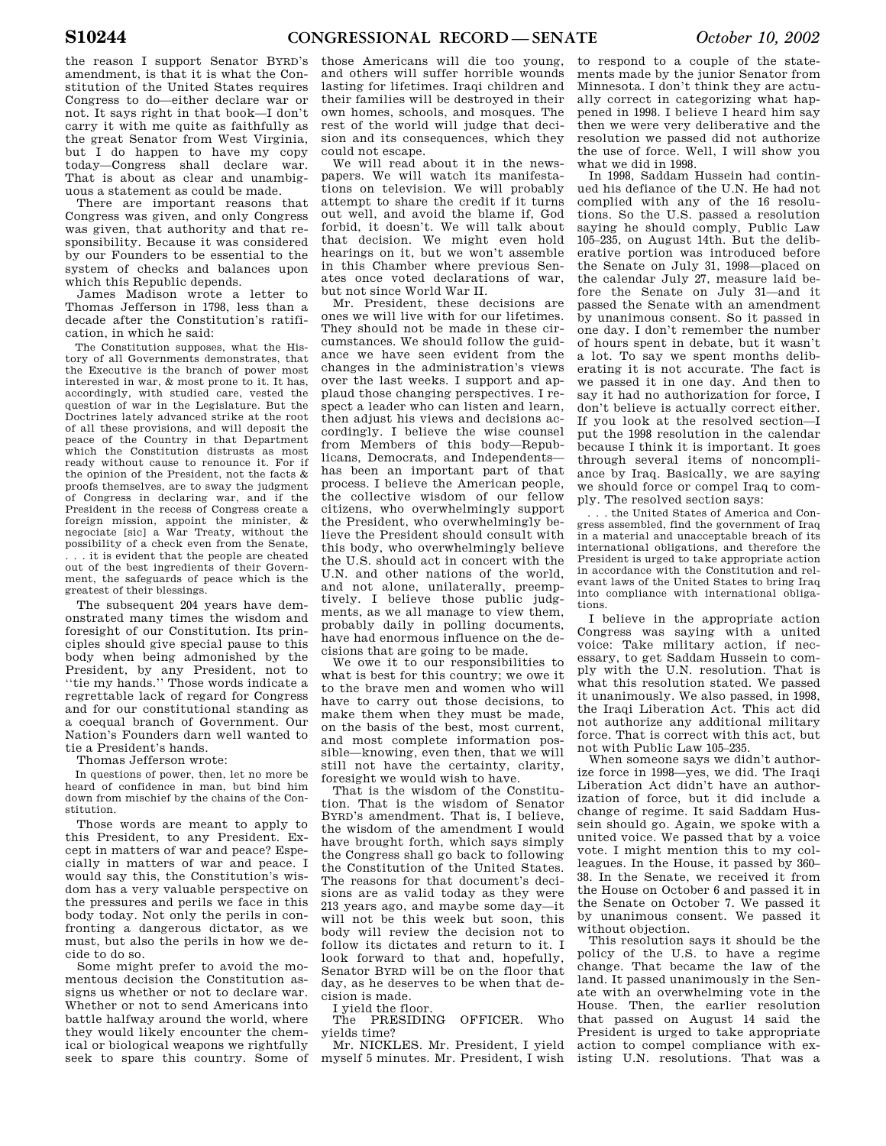amendment, is that it is what the Constitution of the United States requires Congress to do—either declare war or not. It says right in that book—I don't carry it with me quite as faithfully as the great Senator from West Virginia, but I do happen to have my copy today—Congress shall declare war. That is about as clear and unambiguous a statement as could be made.

There are important reasons that Congress was given, and only Congress was given, that authority and that responsibility. Because it was considered by our Founders to be essential to the system of checks and balances upon which this Republic depends.

James Madison wrote a letter to Thomas Jefferson in 1798, less than a decade after the Constitution's ratification, in which he said:

The Constitution supposes, what the History of all Governments demonstrates, that the Executive is the branch of power most interested in war, & most prone to it. It has, accordingly, with studied care, vested the question of war in the Legislature. But the Doctrines lately advanced strike at the root of all these provisions, and will deposit the peace of the Country in that Department which the Constitution distrusts as most ready without cause to renounce it. For if the opinion of the President, not the facts & proofs themselves, are to sway the judgment of Congress in declaring war, and if the President in the recess of Congress create a foreign mission, appoint the minister, & negociate [sic] a War Treaty, without the possibility of a check even from the Senate, . . . it is evident that the people are cheated out of the best ingredients of their Government, the safeguards of peace which is the greatest of their blessings.

The subsequent 204 years have demonstrated many times the wisdom and foresight of our Constitution. Its principles should give special pause to this body when being admonished by the President, by any President, not to ''tie my hands.'' Those words indicate a regrettable lack of regard for Congress and for our constitutional standing as a coequal branch of Government. Our Nation's Founders darn well wanted to tie a President's hands.

Thomas Jefferson wrote:

In questions of power, then, let no more be heard of confidence in man, but bind him down from mischief by the chains of the Constitution.

Those words are meant to apply to this President, to any President. Except in matters of war and peace? Especially in matters of war and peace. I would say this, the Constitution's wisdom has a very valuable perspective on the pressures and perils we face in this body today. Not only the perils in confronting a dangerous dictator, as we must, but also the perils in how we decide to do so.

Some might prefer to avoid the momentous decision the Constitution assigns us whether or not to declare war. Whether or not to send Americans into battle halfway around the world, where they would likely encounter the chemical or biological weapons we rightfully seek to spare this country. Some of

those Americans will die too young, and others will suffer horrible wounds lasting for lifetimes. Iraqi children and their families will be destroyed in their own homes, schools, and mosques. The rest of the world will judge that decision and its consequences, which they could not escape.

We will read about it in the newspapers. We will watch its manifestations on television. We will probably attempt to share the credit if it turns out well, and avoid the blame if, God forbid, it doesn't. We will talk about that decision. We might even hold hearings on it, but we won't assemble in this Chamber where previous Senates once voted declarations of war, but not since World War II.

Mr. President, these decisions are ones we will live with for our lifetimes. They should not be made in these circumstances. We should follow the guidance we have seen evident from the changes in the administration's views over the last weeks. I support and applaud those changing perspectives. I respect a leader who can listen and learn, then adjust his views and decisions accordingly. I believe the wise counsel from Members of this body—Republicans, Democrats, and Independents has been an important part of that process. I believe the American people, the collective wisdom of our fellow citizens, who overwhelmingly support the President, who overwhelmingly believe the President should consult with this body, who overwhelmingly believe the U.S. should act in concert with the U.N. and other nations of the world, and not alone, unilaterally, preemptively. I believe those public judgments, as we all manage to view them, probably daily in polling documents, have had enormous influence on the decisions that are going to be made.

We owe it to our responsibilities to what is best for this country; we owe it to the brave men and women who will have to carry out those decisions, to make them when they must be made, on the basis of the best, most current, and most complete information possible—knowing, even then, that we will still not have the certainty, clarity, foresight we would wish to have.

That is the wisdom of the Constitution. That is the wisdom of Senator BYRD's amendment. That is, I believe, the wisdom of the amendment I would have brought forth, which says simply the Congress shall go back to following the Constitution of the United States. The reasons for that document's decisions are as valid today as they were 213 years ago, and maybe some day—it will not be this week but soon, this body will review the decision not to follow its dictates and return to it. I look forward to that and, hopefully, Senator BYRD will be on the floor that day, as he deserves to be when that decision is made.

I yield the floor.

The PRESIDING OFFICER. Who yields time?

Mr. NICKLES. Mr. President, I yield myself 5 minutes. Mr. President, I wish

to respond to a couple of the statements made by the junior Senator from Minnesota. I don't think they are actually correct in categorizing what happened in 1998. I believe I heard him say then we were very deliberative and the resolution we passed did not authorize the use of force. Well, I will show you what we did in 1998.

In 1998, Saddam Hussein had continued his defiance of the U.N. He had not complied with any of the 16 resolutions. So the U.S. passed a resolution saying he should comply, Public Law 105–235, on August 14th. But the deliberative portion was introduced before the Senate on July 31, 1998—placed on the calendar July 27, measure laid before the Senate on July 31—and it passed the Senate with an amendment by unanimous consent. So it passed in one day. I don't remember the number of hours spent in debate, but it wasn't a lot. To say we spent months deliberating it is not accurate. The fact is we passed it in one day. And then to say it had no authorization for force, I don't believe is actually correct either. If you look at the resolved section—I put the 1998 resolution in the calendar because I think it is important. It goes through several items of noncompliance by Iraq. Basically, we are saying we should force or compel Iraq to comply. The resolved section says:

. . . the United States of America and Congress assembled, find the government of Iraq in a material and unacceptable breach of its international obligations, and therefore the President is urged to take appropriate action in accordance with the Constitution and relevant laws of the United States to bring Iraq into compliance with international obligations.

I believe in the appropriate action Congress was saying with a united voice: Take military action, if necessary, to get Saddam Hussein to comply with the U.N. resolution. That is what this resolution stated. We passed it unanimously. We also passed, in 1998, the Iraqi Liberation Act. This act did not authorize any additional military force. That is correct with this act, but not with Public Law 105–235.

When someone says we didn't authorize force in 1998—yes, we did. The Iraqi Liberation Act didn't have an authorization of force, but it did include a change of regime. It said Saddam Hussein should go. Again, we spoke with a united voice. We passed that by a voice vote. I might mention this to my colleagues. In the House, it passed by 360– 38. In the Senate, we received it from the House on October 6 and passed it in the Senate on October 7. We passed it by unanimous consent. We passed it without objection.

This resolution says it should be the policy of the U.S. to have a regime change. That became the law of the land. It passed unanimously in the Senate with an overwhelming vote in the House. Then, the earlier resolution that passed on August 14 said the President is urged to take appropriate action to compel compliance with existing U.N. resolutions. That was a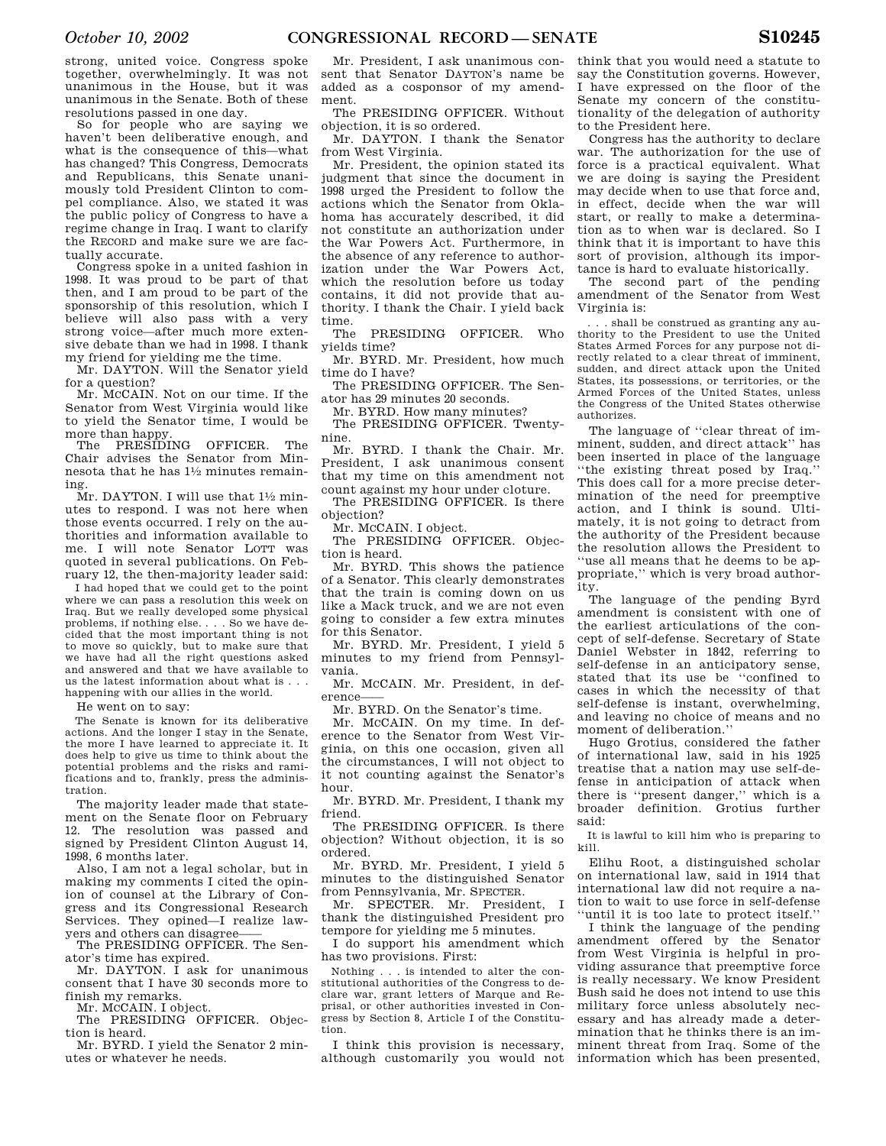strong, united voice. Congress spoke together, overwhelmingly. It was not unanimous in the House, but it was unanimous in the Senate. Both of these resolutions passed in one day.

So for people who are saying we haven't been deliberative enough, and what is the consequence of this—what has changed? This Congress, Democrats and Republicans, this Senate unanimously told President Clinton to compel compliance. Also, we stated it was the public policy of Congress to have a regime change in Iraq. I want to clarify the RECORD and make sure we are factually accurate.

Congress spoke in a united fashion in 1998. It was proud to be part of that then, and I am proud to be part of the sponsorship of this resolution, which I believe will also pass with a very strong voice—after much more extensive debate than we had in 1998. I thank my friend for yielding me the time.

Mr. DAYTON. Will the Senator yield for a question?

Mr. MCCAIN. Not on our time. If the Senator from West Virginia would like to yield the Senator time, I would be more than happy.

The PRESIDING OFFICER. The Chair advises the Senator from Minnesota that he has  $1\frac{1}{2}$  minutes remaining.

 $\overline{M}$ r. DAYTON. I will use that  $1\frac{1}{2}$  minutes to respond. I was not here when those events occurred. I rely on the authorities and information available to me. I will note Senator LOTT was quoted in several publications. On February 12, the then-majority leader said:

I had hoped that we could get to the point where we can pass a resolution this week on Iraq. But we really developed some physical problems, if nothing else. . . . So we have decided that the most important thing is not to move so quickly, but to make sure that we have had all the right questions asked and answered and that we have available to us the latest information about what is . . . happening with our allies in the world.

He went on to say:

The Senate is known for its deliberative actions. And the longer I stay in the Senate, the more I have learned to appreciate it. It does help to give us time to think about the potential problems and the risks and ramifications and to, frankly, press the administration.

The majority leader made that statement on the Senate floor on February 12. The resolution was passed and signed by President Clinton August 14, 1998, 6 months later.

Also, I am not a legal scholar, but in making my comments I cited the opinion of counsel at the Library of Congress and its Congressional Research Services. They opined—I realize lawyers and others can disagree——

The PRESIDING OFFICER. The Senator's time has expired.

Mr. DAYTON. I ask for unanimous consent that I have 30 seconds more to finish my remarks.

Mr. MCCAIN. I object.

The PRESIDING OFFICER. Objection is heard.

Mr. BYRD. I yield the Senator 2 minutes or whatever he needs.

Mr. President, I ask unanimous consent that Senator DAYTON's name be added as a cosponsor of my amendment.

The PRESIDING OFFICER. Without objection, it is so ordered.

Mr. DAYTON. I thank the Senator from West Virginia.

Mr. President, the opinion stated its judgment that since the document in 1998 urged the President to follow the actions which the Senator from Oklahoma has accurately described, it did not constitute an authorization under the War Powers Act. Furthermore, in the absence of any reference to authorization under the War Powers Act, which the resolution before us today contains, it did not provide that authority. I thank the Chair. I yield back time.

The PRESIDING OFFICER. Who yields time?

Mr. BYRD. Mr. President, how much time do I have?

The PRESIDING OFFICER. The Senator has 29 minutes 20 seconds.

Mr. BYRD. How many minutes?

The PRESIDING OFFICER. Twentynine.

Mr. BYRD. I thank the Chair. Mr. President, I ask unanimous consent that my time on this amendment not count against my hour under cloture.

The PRESIDING OFFICER. Is there objection?

Mr. MCCAIN. I object.

The PRESIDING OFFICER. Objection is heard.

Mr. BYRD. This shows the patience of a Senator. This clearly demonstrates that the train is coming down on us like a Mack truck, and we are not even going to consider a few extra minutes for this Senator.

Mr. BYRD. Mr. President, I yield 5 minutes to my friend from Pennsylvania.

Mr. MCCAIN. Mr. President, in deference——

Mr. BYRD. On the Senator's time.

Mr. MCCAIN. On my time. In deference to the Senator from West Virginia, on this one occasion, given all the circumstances, I will not object to it not counting against the Senator's hour.

Mr. BYRD. Mr. President, I thank my friend.

The PRESIDING OFFICER. Is there objection? Without objection, it is so ordered.

Mr. BYRD. Mr. President, I yield 5 minutes to the distinguished Senator from Pennsylvania, Mr. SPECTER.

Mr. SPECTER. Mr. President, I thank the distinguished President pro tempore for yielding me 5 minutes.

I do support his amendment which has two provisions. First:

Nothing . . . is intended to alter the constitutional authorities of the Congress to declare war, grant letters of Marque and Reprisal, or other authorities invested in Congress by Section 8, Article I of the Constitution.

I think this provision is necessary, although customarily you would not

think that you would need a statute to say the Constitution governs. However, I have expressed on the floor of the Senate my concern of the constitutionality of the delegation of authority to the President here.

Congress has the authority to declare war. The authorization for the use of force is a practical equivalent. What we are doing is saying the President may decide when to use that force and, in effect, decide when the war will start, or really to make a determination as to when war is declared. So I think that it is important to have this sort of provision, although its importance is hard to evaluate historically.

The second part of the pending amendment of the Senator from West Virginia is:

. . . shall be construed as granting any authority to the President to use the United States Armed Forces for any purpose not directly related to a clear threat of imminent, sudden, and direct attack upon the United States, its possessions, or territories, or the Armed Forces of the United States, unless the Congress of the United States otherwise authorizes.

The language of ''clear threat of imminent, sudden, and direct attack'' has been inserted in place of the language ''the existing threat posed by Iraq.'' This does call for a more precise determination of the need for preemptive action, and I think is sound. Ultimately, it is not going to detract from the authority of the President because the resolution allows the President to ''use all means that he deems to be appropriate,'' which is very broad authority.

The language of the pending Byrd amendment is consistent with one of the earliest articulations of the concept of self-defense. Secretary of State Daniel Webster in 1842, referring to self-defense in an anticipatory sense, stated that its use be ''confined to cases in which the necessity of that self-defense is instant, overwhelming, and leaving no choice of means and no moment of deliberation.''

Hugo Grotius, considered the father of international law, said in his 1925 treatise that a nation may use self-defense in anticipation of attack when there is ''present danger,'' which is a broader definition. Grotius further said:

It is lawful to kill him who is preparing to kill.

Elihu Root, a distinguished scholar on international law, said in 1914 that international law did not require a nation to wait to use force in self-defense ''until it is too late to protect itself.''

I think the language of the pending amendment offered by the Senator from West Virginia is helpful in providing assurance that preemptive force is really necessary. We know President Bush said he does not intend to use this military force unless absolutely necessary and has already made a determination that he thinks there is an imminent threat from Iraq. Some of the information which has been presented,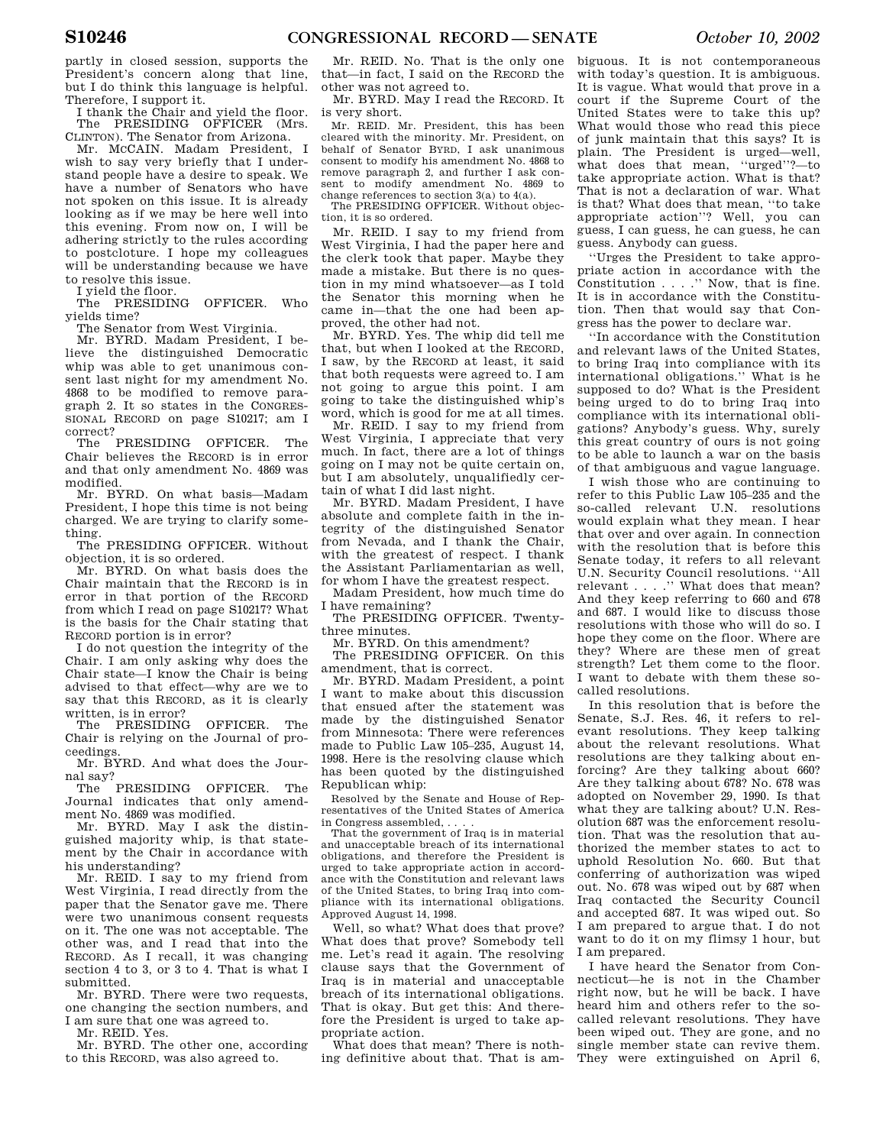partly in closed session, supports the President's concern along that line, but I do think this language is helpful. Therefore, I support it.

I thank the Chair and yield the floor. The PRESIDING OFFICER (Mrs. CLINTON). The Senator from Arizona.

Mr. MCCAIN. Madam President, I wish to say very briefly that I understand people have a desire to speak. We have a number of Senators who have not spoken on this issue. It is already looking as if we may be here well into this evening. From now on, I will be adhering strictly to the rules according to postcloture. I hope my colleagues will be understanding because we have to resolve this issue.

I yield the floor.

The PRESIDING OFFICER. Who yields time?

The Senator from West Virginia.

Mr. BYRD. Madam President, I believe the distinguished Democratic whip was able to get unanimous consent last night for my amendment No. 4868 to be modified to remove paragraph 2. It so states in the CONGRES-SIONAL RECORD on page S10217; am I correct?

The PRESIDING OFFICER. The Chair believes the RECORD is in error and that only amendment No. 4869 was modified.

Mr. BYRD. On what basis—Madam President, I hope this time is not being charged. We are trying to clarify something.

The PRESIDING OFFICER. Without objection, it is so ordered.

Mr. BYRD. On what basis does the Chair maintain that the RECORD is in error in that portion of the RECORD from which I read on page S10217? What is the basis for the Chair stating that RECORD portion is in error?

I do not question the integrity of the Chair. I am only asking why does the Chair state—I know the Chair is being advised to that effect—why are we to say that this RECORD, as it is clearly written, is in error?

The PRESIDING OFFICER. The Chair is relying on the Journal of proceedings.

Mr. BYRD. And what does the Journal say?

The PRESIDING OFFICER. The Journal indicates that only amendment No. 4869 was modified.

Mr. BYRD. May I ask the distinguished majority whip, is that statement by the Chair in accordance with his understanding?

Mr. REID. I say to my friend from West Virginia, I read directly from the paper that the Senator gave me. There were two unanimous consent requests on it. The one was not acceptable. The other was, and I read that into the RECORD. As I recall, it was changing section 4 to 3, or 3 to 4. That is what I submitted.

Mr. BYRD. There were two requests one changing the section numbers, and I am sure that one was agreed to.

Mr. REID. Yes.

Mr. BYRD. The other one, according to this RECORD, was also agreed to.

Mr. REID. No. That is the only one that—in fact, I said on the RECORD the other was not agreed to.

Mr. BYRD. May I read the RECORD. It is very short.

Mr. REID. Mr. President, this has been cleared with the minority. Mr. President, on behalf of Senator BYRD, I ask unanimous consent to modify his amendment No. 4868 to remove paragraph 2, and further I ask consent to modify amendment No. 4869 to change references to section 3(a) to 4(a).

The PRESIDING OFFICER. Without objection, it is so ordered.

Mr. REID. I say to my friend from West Virginia, I had the paper here and the clerk took that paper. Maybe they made a mistake. But there is no question in my mind whatsoever—as I told the Senator this morning when he came in—that the one had been approved, the other had not.

Mr. BYRD. Yes. The whip did tell me that, but when I looked at the RECORD, I saw, by the RECORD at least, it said that both requests were agreed to. I am not going to argue this point. I am going to take the distinguished whip's word, which is good for me at all times.

Mr. REID. I say to my friend from West Virginia, I appreciate that very much. In fact, there are a lot of things going on I may not be quite certain on, but I am absolutely, unqualifiedly certain of what I did last night.

Mr. BYRD. Madam President, I have absolute and complete faith in the integrity of the distinguished Senator from Nevada, and I thank the Chair, with the greatest of respect. I thank the Assistant Parliamentarian as well, for whom I have the greatest respect.

Madam President, how much time do I have remaining?

The PRESIDING OFFICER. Twentythree minutes.

Mr. BYRD. On this amendment?

The PRESIDING OFFICER. On this amendment, that is correct.

Mr. BYRD. Madam President, a point I want to make about this discussion that ensued after the statement was made by the distinguished Senator from Minnesota: There were references made to Public Law 105–235, August 14, 1998. Here is the resolving clause which has been quoted by the distinguished Republican whip:

Resolved by the Senate and House of Representatives of the United States of America in Congress assembled, . . . .

That the government of Iraq is in material and unacceptable breach of its international obligations, and therefore the President is urged to take appropriate action in accordance with the Constitution and relevant laws of the United States, to bring Iraq into compliance with its international obligations. Approved August 14, 1998.

Well, so what? What does that prove? What does that prove? Somebody tell me. Let's read it again. The resolving clause says that the Government of Iraq is in material and unacceptable breach of its international obligations. That is okay. But get this: And therefore the President is urged to take appropriate action.

What does that mean? There is nothing definitive about that. That is ambiguous. It is not contemporaneous with today's question. It is ambiguous. It is vague. What would that prove in a court if the Supreme Court of the United States were to take this up? What would those who read this piece of junk maintain that this says? It is plain. The President is urged—well, what does that mean, ''urged''?—to take appropriate action. What is that? That is not a declaration of war. What is that? What does that mean, ''to take appropriate action''? Well, you can guess, I can guess, he can guess, he can guess. Anybody can guess.

''Urges the President to take appropriate action in accordance with the Constitution . . . .'' Now, that is fine. It is in accordance with the Constitution. Then that would say that Congress has the power to declare war.

''In accordance with the Constitution and relevant laws of the United States, to bring Iraq into compliance with its international obligations.'' What is he supposed to do? What is the President being urged to do to bring Iraq into compliance with its international obligations? Anybody's guess. Why, surely this great country of ours is not going to be able to launch a war on the basis of that ambiguous and vague language.

I wish those who are continuing to refer to this Public Law 105–235 and the so-called relevant U.N. resolutions would explain what they mean. I hear that over and over again. In connection with the resolution that is before this Senate today, it refers to all relevant U.N. Security Council resolutions. ''All relevant . . . .'' What does that mean? And they keep referring to 660 and 678 and 687. I would like to discuss those resolutions with those who will do so. I hope they come on the floor. Where are they? Where are these men of great strength? Let them come to the floor. I want to debate with them these socalled resolutions.

In this resolution that is before the Senate, S.J. Res. 46, it refers to relevant resolutions. They keep talking about the relevant resolutions. What resolutions are they talking about enforcing? Are they talking about 660? Are they talking about 678? No. 678 was adopted on November 29, 1990. Is that what they are talking about? U.N. Resolution 687 was the enforcement resolution. That was the resolution that authorized the member states to act to uphold Resolution No. 660. But that conferring of authorization was wiped out. No. 678 was wiped out by 687 when Iraq contacted the Security Council and accepted 687. It was wiped out. So I am prepared to argue that. I do not want to do it on my flimsy 1 hour, but I am prepared.

I have heard the Senator from Connecticut—he is not in the Chamber right now, but he will be back. I have heard him and others refer to the socalled relevant resolutions. They have been wiped out. They are gone, and no single member state can revive them. They were extinguished on April 6,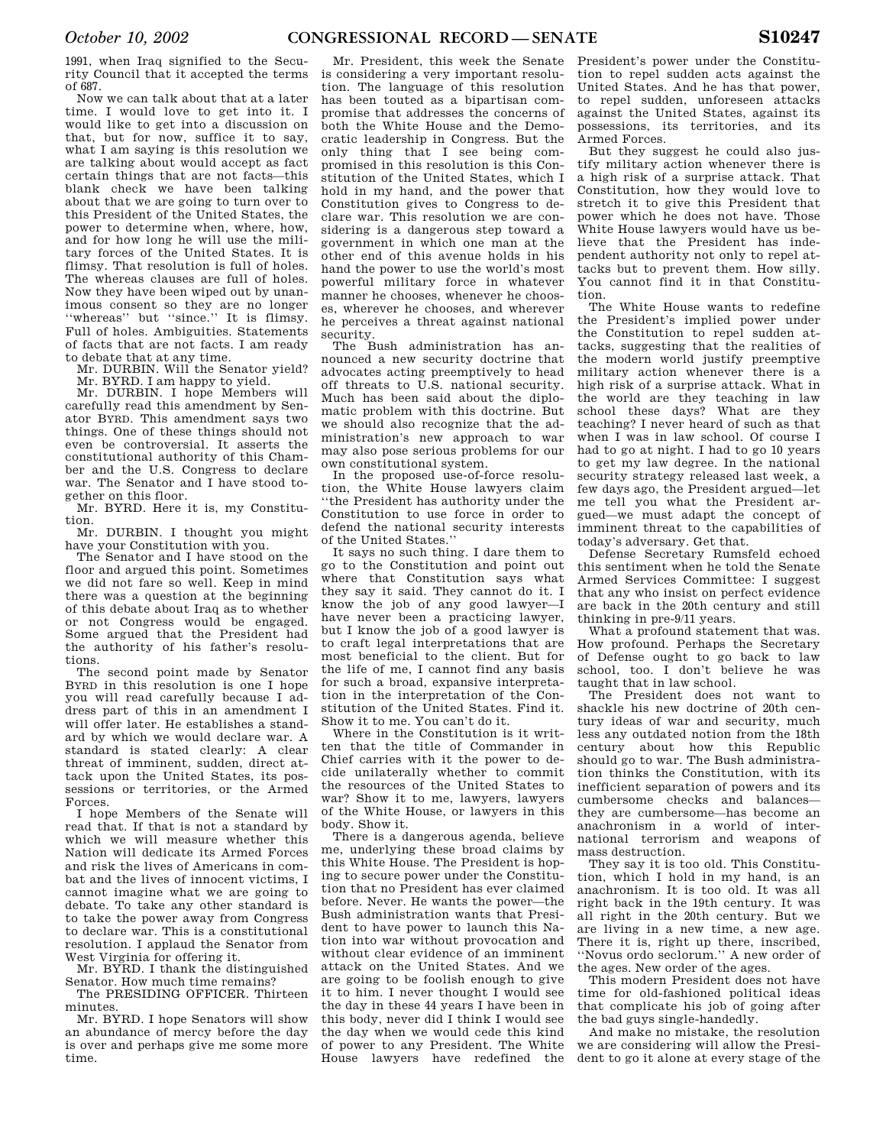1991, when Iraq signified to the Security Council that it accepted the terms of 687.

Now we can talk about that at a later time. I would love to get into it. I would like to get into a discussion on that, but for now, suffice it to say, what I am saying is this resolution we are talking about would accept as fact certain things that are not facts—this blank check we have been talking about that we are going to turn over to this President of the United States, the power to determine when, where, how, and for how long he will use the military forces of the United States. It is flimsy. That resolution is full of holes. The whereas clauses are full of holes. Now they have been wiped out by unanimous consent so they are no longer ''whereas'' but ''since.'' It is flimsy. Full of holes. Ambiguities. Statements of facts that are not facts. I am ready to debate that at any time.

Mr. DURBIN. Will the Senator yield? Mr. BYRD. I am happy to yield.

Mr. DURBIN. I hope Members will carefully read this amendment by Senator BYRD. This amendment says two things. One of these things should not even be controversial. It asserts the constitutional authority of this Chamber and the U.S. Congress to declare war. The Senator and I have stood together on this floor.

Mr. BYRD. Here it is, my Constitution.

Mr. DURBIN. I thought you might have your Constitution with you.

The Senator and I have stood on the floor and argued this point. Sometimes we did not fare so well. Keep in mind there was a question at the beginning of this debate about Iraq as to whether or not Congress would be engaged. Some argued that the President had the authority of his father's resolutions.

The second point made by Senator BYRD in this resolution is one I hope you will read carefully because I address part of this in an amendment I will offer later. He establishes a standard by which we would declare war. A standard is stated clearly: A clear threat of imminent, sudden, direct attack upon the United States, its possessions or territories, or the Armed Forces.

I hope Members of the Senate will read that. If that is not a standard by which we will measure whether this Nation will dedicate its Armed Forces and risk the lives of Americans in combat and the lives of innocent victims, I cannot imagine what we are going to debate. To take any other standard is to take the power away from Congress to declare war. This is a constitutional resolution. I applaud the Senator from West Virginia for offering it.

Mr. BYRD. I thank the distinguished Senator. How much time remains?

The PRESIDING OFFICER. Thirteen minutes.

Mr. BYRD. I hope Senators will show an abundance of mercy before the day is over and perhaps give me some more time.

Mr. President, this week the Senate is considering a very important resolution. The language of this resolution has been touted as a bipartisan compromise that addresses the concerns of both the White House and the Democratic leadership in Congress. But the only thing that I see being compromised in this resolution is this Constitution of the United States, which I hold in my hand, and the power that Constitution gives to Congress to declare war. This resolution we are considering is a dangerous step toward a government in which one man at the other end of this avenue holds in his hand the power to use the world's most powerful military force in whatever manner he chooses, whenever he chooses, wherever he chooses, and wherever he perceives a threat against national security.

The Bush administration has announced a new security doctrine that advocates acting preemptively to head off threats to U.S. national security. Much has been said about the diplomatic problem with this doctrine. But we should also recognize that the administration's new approach to war may also pose serious problems for our own constitutional system.

In the proposed use-of-force resolution, the White House lawyers claim ''the President has authority under the Constitution to use force in order to defend the national security interests of the United States.''

It says no such thing. I dare them to go to the Constitution and point out where that Constitution says what they say it said. They cannot do it. I know the job of any good lawyer—I have never been a practicing lawyer, but I know the job of a good lawyer is to craft legal interpretations that are most beneficial to the client. But for the life of me, I cannot find any basis for such a broad, expansive interpretation in the interpretation of the Constitution of the United States. Find it. Show it to me. You can't do it.

Where in the Constitution is it written that the title of Commander in Chief carries with it the power to decide unilaterally whether to commit the resources of the United States to war? Show it to me, lawyers, lawyers of the White House, or lawyers in this body. Show it.

There is a dangerous agenda, believe me, underlying these broad claims by this White House. The President is hoping to secure power under the Constitution that no President has ever claimed before. Never. He wants the power—the Bush administration wants that President to have power to launch this Nation into war without provocation and without clear evidence of an imminent attack on the United States. And we are going to be foolish enough to give it to him. I never thought I would see the day in these 44 years I have been in this body, never did I think I would see the day when we would cede this kind of power to any President. The White House lawyers have redefined the

President's power under the Constitution to repel sudden acts against the United States. And he has that power, to repel sudden, unforeseen attacks against the United States, against its possessions, its territories, and its Armed Forces.

But they suggest he could also justify military action whenever there is a high risk of a surprise attack. That Constitution, how they would love to stretch it to give this President that power which he does not have. Those White House lawyers would have us believe that the President has independent authority not only to repel attacks but to prevent them. How silly. You cannot find it in that Constitution.

The White House wants to redefine the President's implied power under the Constitution to repel sudden attacks, suggesting that the realities of the modern world justify preemptive military action whenever there is a high risk of a surprise attack. What in the world are they teaching in law school these days? What are they teaching? I never heard of such as that when I was in law school. Of course I had to go at night. I had to go 10 years to get my law degree. In the national security strategy released last week, a few days ago, the President argued—let me tell you what the President argued—we must adapt the concept of imminent threat to the capabilities of today's adversary. Get that.

Defense Secretary Rumsfeld echoed this sentiment when he told the Senate Armed Services Committee: I suggest that any who insist on perfect evidence are back in the 20th century and still thinking in pre-9/11 years.

What a profound statement that was. How profound. Perhaps the Secretary of Defense ought to go back to law school, too. I don't believe he was taught that in law school.

The President does not want to shackle his new doctrine of 20th century ideas of war and security, much less any outdated notion from the 18th century about how this Republic should go to war. The Bush administration thinks the Constitution, with its inefficient separation of powers and its cumbersome checks and balances they are cumbersome—has become an anachronism in a world of international terrorism and weapons of mass destruction.

They say it is too old. This Constitution, which I hold in my hand, is an anachronism. It is too old. It was all right back in the 19th century. It was all right in the 20th century. But we are living in a new time, a new age. There it is, right up there, inscribed, ''Novus ordo seclorum.'' A new order of the ages. New order of the ages.

This modern President does not have time for old-fashioned political ideas that complicate his job of going after the bad guys single-handedly.

And make no mistake, the resolution we are considering will allow the President to go it alone at every stage of the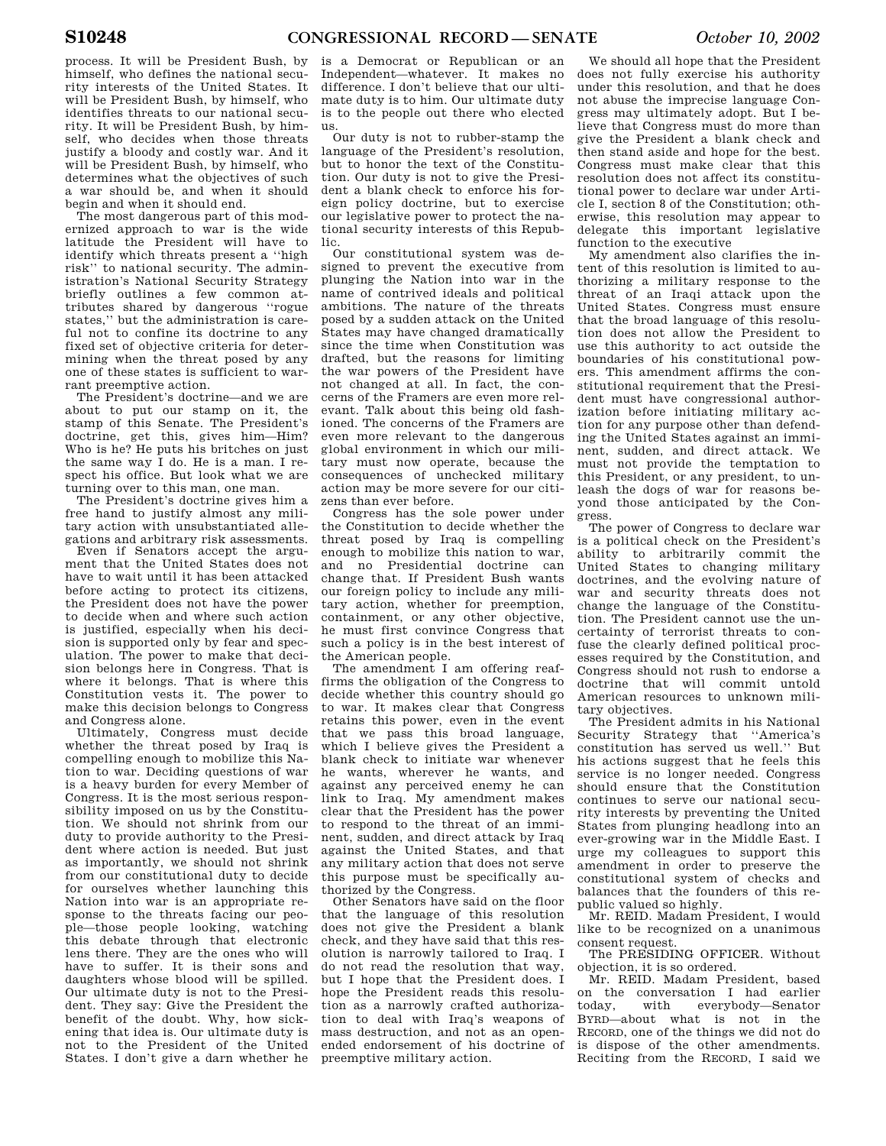process. It will be President Bush, by himself, who defines the national security interests of the United States. It will be President Bush, by himself, who identifies threats to our national security. It will be President Bush, by himself, who decides when those threats justify a bloody and costly war. And it will be President Bush, by himself, who determines what the objectives of such a war should be, and when it should begin and when it should end.

The most dangerous part of this modernized approach to war is the wide latitude the President will have to identify which threats present a ''high risk'' to national security. The administration's National Security Strategy briefly outlines a few common attributes shared by dangerous ''rogue states,'' but the administration is careful not to confine its doctrine to any fixed set of objective criteria for determining when the threat posed by any one of these states is sufficient to warrant preemptive action.

The President's doctrine—and we are about to put our stamp on it, the stamp of this Senate. The President's doctrine, get this, gives him—Him? Who is he? He puts his britches on just the same way I do. He is a man. I respect his office. But look what we are turning over to this man, one man.

The President's doctrine gives him a free hand to justify almost any military action with unsubstantiated allegations and arbitrary risk assessments.

Even if Senators accept the argument that the United States does not have to wait until it has been attacked before acting to protect its citizens, the President does not have the power to decide when and where such action is justified, especially when his decision is supported only by fear and speculation. The power to make that decision belongs here in Congress. That is where it belongs. That is where this Constitution vests it. The power to make this decision belongs to Congress and Congress alone.

Ultimately, Congress must decide whether the threat posed by Iraq is compelling enough to mobilize this Nation to war. Deciding questions of war is a heavy burden for every Member of Congress. It is the most serious responsibility imposed on us by the Constitution. We should not shrink from our duty to provide authority to the President where action is needed. But just as importantly, we should not shrink from our constitutional duty to decide for ourselves whether launching this Nation into war is an appropriate response to the threats facing our people—those people looking, watching this debate through that electronic lens there. They are the ones who will have to suffer. It is their sons and daughters whose blood will be spilled. Our ultimate duty is not to the President. They say: Give the President the benefit of the doubt. Why, how sickening that idea is. Our ultimate duty is not to the President of the United States. I don't give a darn whether he

is a Democrat or Republican or an Independent—whatever. It makes no difference. I don't believe that our ultimate duty is to him. Our ultimate duty is to the people out there who elected us.

Our duty is not to rubber-stamp the language of the President's resolution, but to honor the text of the Constitution. Our duty is not to give the President a blank check to enforce his foreign policy doctrine, but to exercise our legislative power to protect the national security interests of this Republic.

Our constitutional system was designed to prevent the executive from plunging the Nation into war in the name of contrived ideals and political ambitions. The nature of the threats posed by a sudden attack on the United States may have changed dramatically since the time when Constitution was drafted, but the reasons for limiting the war powers of the President have not changed at all. In fact, the concerns of the Framers are even more relevant. Talk about this being old fashioned. The concerns of the Framers are even more relevant to the dangerous global environment in which our military must now operate, because the consequences of unchecked military action may be more severe for our citizens than ever before.

Congress has the sole power under the Constitution to decide whether the threat posed by Iraq is compelling enough to mobilize this nation to war, and no Presidential doctrine can change that. If President Bush wants our foreign policy to include any military action, whether for preemption, containment, or any other objective, he must first convince Congress that such a policy is in the best interest of the American people.

The amendment I am offering reaffirms the obligation of the Congress to decide whether this country should go to war. It makes clear that Congress retains this power, even in the event that we pass this broad language, which I believe gives the President a blank check to initiate war whenever he wants, wherever he wants, and against any perceived enemy he can link to Iraq. My amendment makes clear that the President has the power to respond to the threat of an imminent, sudden, and direct attack by Iraq against the United States, and that any military action that does not serve this purpose must be specifically authorized by the Congress.

Other Senators have said on the floor that the language of this resolution does not give the President a blank check, and they have said that this resolution is narrowly tailored to Iraq. I do not read the resolution that way, but I hope that the President does. I hope the President reads this resolution as a narrowly crafted authorization to deal with Iraq's weapons of mass destruction, and not as an openended endorsement of his doctrine of preemptive military action.

We should all hope that the President does not fully exercise his authority under this resolution, and that he does not abuse the imprecise language Congress may ultimately adopt. But I believe that Congress must do more than give the President a blank check and then stand aside and hope for the best. Congress must make clear that this resolution does not affect its constitutional power to declare war under Article I, section 8 of the Constitution; otherwise, this resolution may appear to delegate this important legislative function to the executive

My amendment also clarifies the intent of this resolution is limited to authorizing a military response to the threat of an Iraqi attack upon the United States. Congress must ensure that the broad language of this resolution does not allow the President to use this authority to act outside the boundaries of his constitutional powers. This amendment affirms the constitutional requirement that the President must have congressional authorization before initiating military action for any purpose other than defending the United States against an imminent, sudden, and direct attack. We must not provide the temptation to this President, or any president, to unleash the dogs of war for reasons beyond those anticipated by the Congress.

The power of Congress to declare war is a political check on the President's ability to arbitrarily commit the United States to changing military doctrines, and the evolving nature of war and security threats does not change the language of the Constitution. The President cannot use the uncertainty of terrorist threats to confuse the clearly defined political processes required by the Constitution, and Congress should not rush to endorse a doctrine that will commit untold American resources to unknown military objectives.

The President admits in his National Security Strategy that ''America's constitution has served us well.'' But his actions suggest that he feels this service is no longer needed. Congress should ensure that the Constitution continues to serve our national security interests by preventing the United States from plunging headlong into an ever-growing war in the Middle East. I urge my colleagues to support this amendment in order to preserve the constitutional system of checks and balances that the founders of this republic valued so highly.

Mr. REID. Madam President, I would like to be recognized on a unanimous consent request.

The PRESIDING OFFICER. Without objection, it is so ordered.

Mr. REID. Madam President, based on the conversation I had earlier today, with everybody—Senator BYRD—about what is not in the RECORD, one of the things we did not do is dispose of the other amendments. Reciting from the RECORD, I said we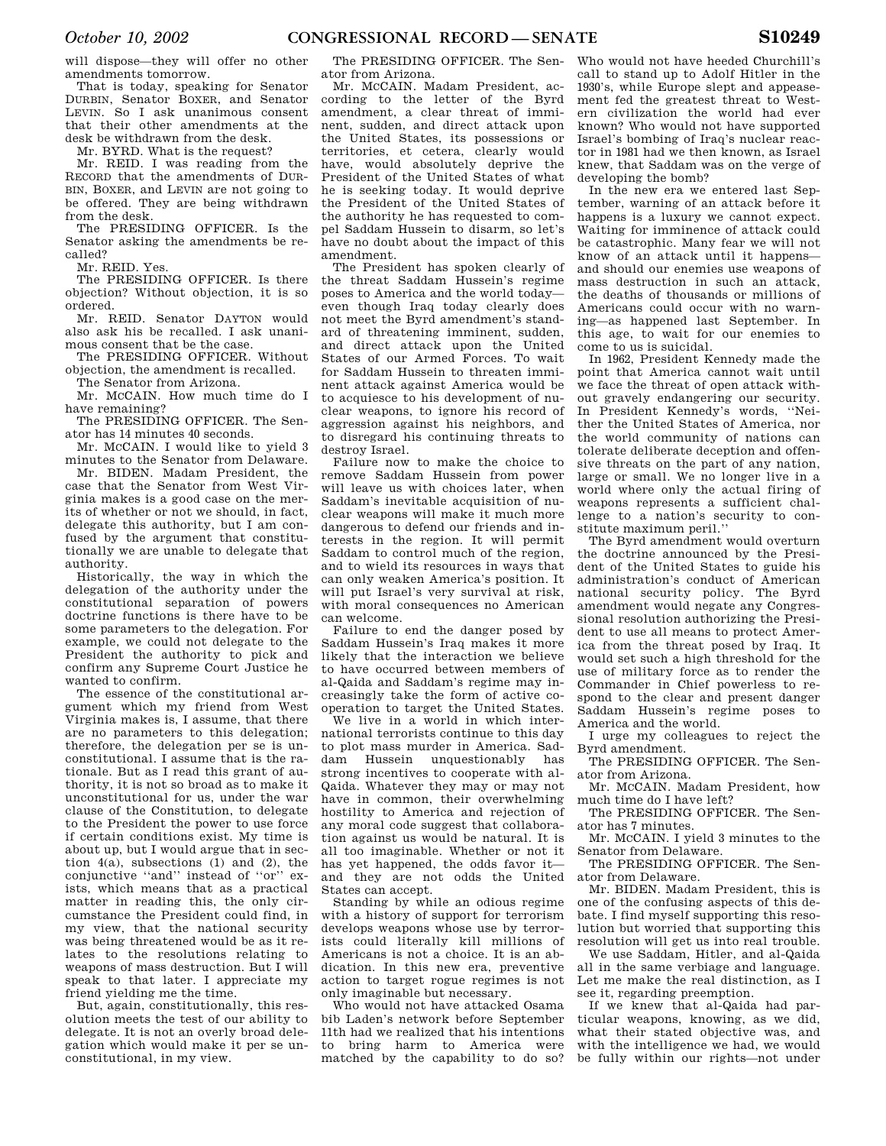will dispose—they will offer no other amendments tomorrow.

That is today, speaking for Senator DURBIN, Senator BOXER, and Senator LEVIN. So I ask unanimous consent that their other amendments at the desk be withdrawn from the desk.

Mr. BYRD. What is the request?

Mr. REID. I was reading from the RECORD that the amendments of DUR-BIN, BOXER, and LEVIN are not going to be offered. They are being withdrawn from the desk.

The PRESIDING OFFICER. Is the Senator asking the amendments be recalled?

Mr. REID. Yes.

The PRESIDING OFFICER. Is there objection? Without objection, it is so ordered.

Mr. REID. Senator DAYTON would also ask his be recalled. I ask unanimous consent that be the case.

The PRESIDING OFFICER. Without objection, the amendment is recalled.

The Senator from Arizona. Mr. MCCAIN. How much time do I

have remaining? The PRESIDING OFFICER. The Sen-

ator has 14 minutes 40 seconds. Mr. MCCAIN. I would like to yield 3

minutes to the Senator from Delaware. Mr. BIDEN. Madam President, the case that the Senator from West Virginia makes is a good case on the merits of whether or not we should, in fact, delegate this authority, but I am confused by the argument that constitu-

tionally we are unable to delegate that authority. Historically, the way in which the delegation of the authority under the constitutional separation of powers doctrine functions is there have to be some parameters to the delegation. For example, we could not delegate to the President the authority to pick and confirm any Supreme Court Justice he

wanted to confirm. The essence of the constitutional argument which my friend from West Virginia makes is, I assume, that there are no parameters to this delegation; therefore, the delegation per se is unconstitutional. I assume that is the rationale. But as I read this grant of authority, it is not so broad as to make it unconstitutional for us, under the war clause of the Constitution, to delegate to the President the power to use force if certain conditions exist. My time is about up, but I would argue that in section  $4(a)$ , subsections  $(1)$  and  $(2)$ , the conjunctive ''and'' instead of ''or'' exists, which means that as a practical matter in reading this, the only circumstance the President could find, in my view, that the national security was being threatened would be as it relates to the resolutions relating to weapons of mass destruction. But I will speak to that later. I appreciate my friend yielding me the time.

But, again, constitutionally, this resolution meets the test of our ability to delegate. It is not an overly broad delegation which would make it per se unconstitutional, in my view.

The PRESIDING OFFICER. The Senator from Arizona.

Mr. MCCAIN. Madam President, according to the letter of the Byrd amendment, a clear threat of imminent, sudden, and direct attack upon the United States, its possessions or territories, et cetera, clearly would have, would absolutely deprive the President of the United States of what he is seeking today. It would deprive the President of the United States of the authority he has requested to compel Saddam Hussein to disarm, so let's have no doubt about the impact of this amendment.

The President has spoken clearly of the threat Saddam Hussein's regime poses to America and the world today even though Iraq today clearly does not meet the Byrd amendment's standard of threatening imminent, sudden, and direct attack upon the United States of our Armed Forces. To wait for Saddam Hussein to threaten imminent attack against America would be to acquiesce to his development of nuclear weapons, to ignore his record of aggression against his neighbors, and to disregard his continuing threats to destroy Israel.

Failure now to make the choice to remove Saddam Hussein from power will leave us with choices later, when Saddam's inevitable acquisition of nuclear weapons will make it much more dangerous to defend our friends and interests in the region. It will permit Saddam to control much of the region, and to wield its resources in ways that can only weaken America's position. It will put Israel's very survival at risk, with moral consequences no American can welcome.

Failure to end the danger posed by Saddam Hussein's Iraq makes it more likely that the interaction we believe to have occurred between members of al-Qaida and Saddam's regime may increasingly take the form of active cooperation to target the United States.

We live in a world in which international terrorists continue to this day to plot mass murder in America. Saddam Hussein unquestionably has strong incentives to cooperate with al-Qaida. Whatever they may or may not have in common, their overwhelming hostility to America and rejection of any moral code suggest that collaboration against us would be natural. It is all too imaginable. Whether or not it has yet happened, the odds favor it and they are not odds the United States can accept.

Standing by while an odious regime with a history of support for terrorism develops weapons whose use by terrorists could literally kill millions of Americans is not a choice. It is an abdication. In this new era, preventive action to target rogue regimes is not only imaginable but necessary.

Who would not have attacked Osama bib Laden's network before September 11th had we realized that his intentions to bring harm to America were matched by the capability to do so?

Who would not have heeded Churchill's call to stand up to Adolf Hitler in the 1930's, while Europe slept and appeasement fed the greatest threat to Western civilization the world had ever known? Who would not have supported Israel's bombing of Iraq's nuclear reactor in 1981 had we then known, as Israel knew, that Saddam was on the verge of developing the bomb?

In the new era we entered last September, warning of an attack before it happens is a luxury we cannot expect. Waiting for imminence of attack could be catastrophic. Many fear we will not know of an attack until it happens and should our enemies use weapons of mass destruction in such an attack, the deaths of thousands or millions of Americans could occur with no warning—as happened last September. In this age, to wait for our enemies to come to us is suicidal.

In 1962, President Kennedy made the point that America cannot wait until we face the threat of open attack without gravely endangering our security. In President Kennedy's words, ''Neither the United States of America, nor the world community of nations can tolerate deliberate deception and offensive threats on the part of any nation, large or small. We no longer live in a world where only the actual firing of weapons represents a sufficient challenge to a nation's security to constitute maximum peril.''

The Byrd amendment would overturn the doctrine announced by the President of the United States to guide his administration's conduct of American national security policy. The Byrd amendment would negate any Congressional resolution authorizing the President to use all means to protect America from the threat posed by Iraq. It would set such a high threshold for the use of military force as to render the Commander in Chief powerless to respond to the clear and present danger Saddam Hussein's regime poses to America and the world.

I urge my colleagues to reject the Byrd amendment.

The PRESIDING OFFICER. The Senator from Arizona.

Mr. MCCAIN. Madam President, how much time do I have left?

The PRESIDING OFFICER. The Senator has 7 minutes.

Mr. MCCAIN. I yield 3 minutes to the Senator from Delaware.

The PRESIDING OFFICER. The Senator from Delaware.

Mr. BIDEN. Madam President, this is one of the confusing aspects of this debate. I find myself supporting this resolution but worried that supporting this resolution will get us into real trouble.

We use Saddam, Hitler, and al-Qaida all in the same verbiage and language. Let me make the real distinction, as I see it, regarding preemption.

If we knew that al-Qaida had particular weapons, knowing, as we did, what their stated objective was, and with the intelligence we had, we would be fully within our rights—not under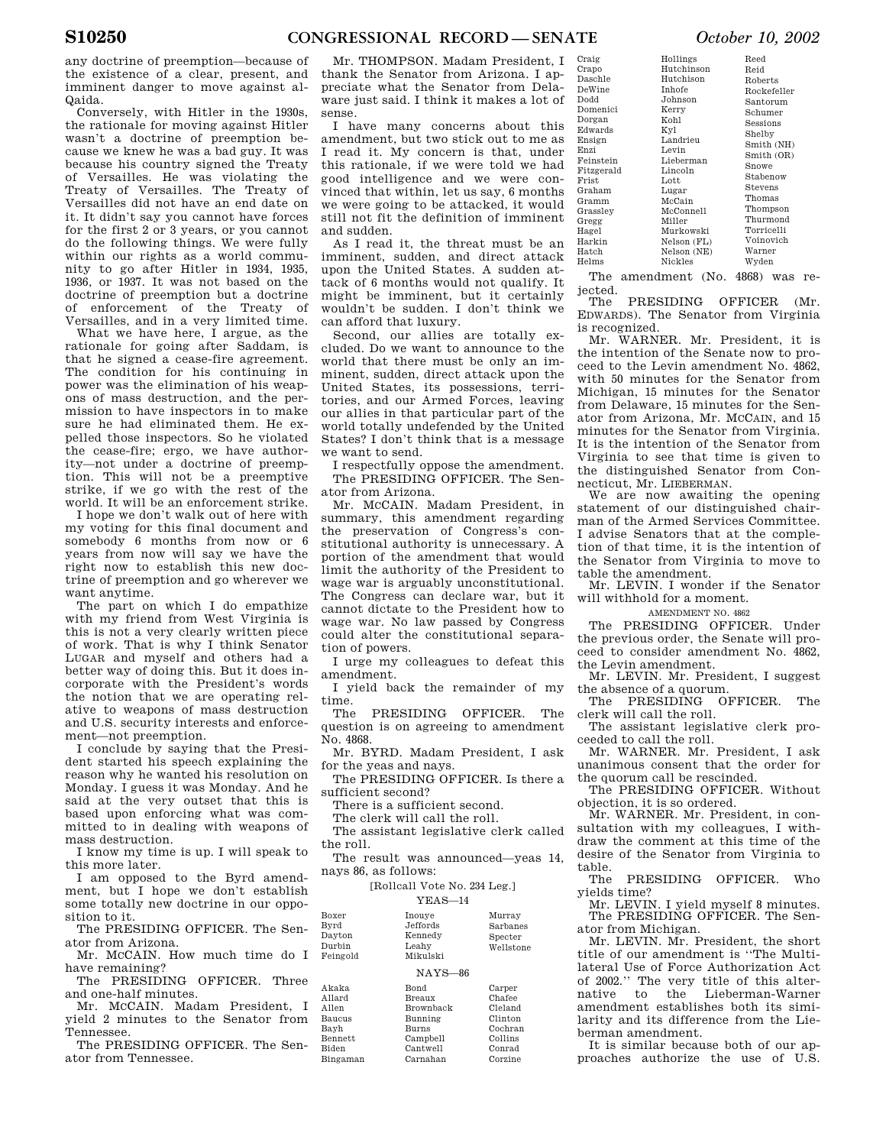any doctrine of preemption—because of the existence of a clear, present, and imminent danger to move against al-Qaida.

Conversely, with Hitler in the 1930s, the rationale for moving against Hitler wasn't a doctrine of preemption because we knew he was a bad guy. It was because his country signed the Treaty of Versailles. He was violating the Treaty of Versailles. The Treaty of Versailles did not have an end date on it. It didn't say you cannot have forces for the first 2 or 3 years, or you cannot do the following things. We were fully within our rights as a world community to go after Hitler in 1934, 1935, 1936, or 1937. It was not based on the doctrine of preemption but a doctrine of enforcement of the Treaty of Versailles, and in a very limited time.

What we have here, I argue, as the rationale for going after Saddam, is that he signed a cease-fire agreement. The condition for his continuing in power was the elimination of his weapons of mass destruction, and the permission to have inspectors in to make sure he had eliminated them. He expelled those inspectors. So he violated the cease-fire; ergo, we have authority—not under a doctrine of preemption. This will not be a preemptive strike, if we go with the rest of the world. It will be an enforcement strike.

I hope we don't walk out of here with my voting for this final document and somebody 6 months from now or 6 years from now will say we have the right now to establish this new doctrine of preemption and go wherever we want anytime.

The part on which I do empathize with my friend from West Virginia is this is not a very clearly written piece of work. That is why I think Senator LUGAR and myself and others had a better way of doing this. But it does incorporate with the President's words the notion that we are operating relative to weapons of mass destruction and U.S. security interests and enforcement—not preemption.

I conclude by saying that the President started his speech explaining the reason why he wanted his resolution on Monday. I guess it was Monday. And he said at the very outset that this is based upon enforcing what was committed to in dealing with weapons of mass destruction.

I know my time is up. I will speak to this more later.

I am opposed to the Byrd amendment, but I hope we don't establish some totally new doctrine in our opposition to it.

The PRESIDING OFFICER. The Senator from Arizona.

Mr. MCCAIN. How much time do I have remaining?

The PRESIDING OFFICER. Three and one-half minutes. Akaka A<sub>1</sub>

Mr. MCCAIN. Madam President, I yield 2 minutes to the Senator from Tennessee. Allen B<sub>a</sub> B<sub>a</sub>

The PRESIDING OFFICER. The Senator from Tennessee. Bingaman

Mr. THOMPSON. Madam President, I thank the Senator from Arizona. I appreciate what the Senator from Delaware just said. I think it makes a lot of sense. Craig DeW

I have many concerns about this amendment, but two stick out to me as I read it. My concern is that, under this rationale, if we were told we had good intelligence and we were convinced that within, let us say, 6 months we were going to be attacked, it would still not fit the definition of imminent and sudden.

As I read it, the threat must be an imminent, sudden, and direct attack upon the United States. A sudden attack of 6 months would not qualify. It might be imminent, but it certainly wouldn't be sudden. I don't think we can afford that luxury.

Second, our allies are totally excluded. Do we want to announce to the world that there must be only an imminent, sudden, direct attack upon the United States, its possessions, territories, and our Armed Forces, leaving our allies in that particular part of the world totally undefended by the United States? I don't think that is a message we want to send.

I respectfully oppose the amendment. The PRESIDING OFFICER. The Senator from Arizona.

Mr. MCCAIN. Madam President, in summary, this amendment regarding the preservation of Congress's constitutional authority is unnecessary. A portion of the amendment that would limit the authority of the President to wage war is arguably unconstitutional. The Congress can declare war, but it cannot dictate to the President how to wage war. No law passed by Congress could alter the constitutional separation of powers.

I urge my colleagues to defeat this amendment.

I yield back the remainder of my time.<br>The

PRESIDING OFFICER. The question is on agreeing to amendment No. 4868.

Mr. BYRD. Madam President, I ask for the yeas and nays.

The PRESIDING OFFICER. Is there a sufficient second?

There is a sufficient second.

The clerk will call the roll.

The assistant legislative clerk called the roll.

The result was announced—yeas 14, nays 86, as follows:

#### [Rollcall Vote No. 234 Leg.] YEAS—14

| Boxer<br>Byrd<br>Dayton<br>Durbin<br>Feingold | Inouve<br>Jeffords.<br>Kennedy<br>Leahv<br>Mikulski | Murray<br>Sarbanes<br>Specter<br>Wellstone |
|-----------------------------------------------|-----------------------------------------------------|--------------------------------------------|
|                                               | $NAYS-86$                                           |                                            |
| Akaka<br>Allard                               | Bond<br><b>Breaux</b>                               | Carper<br>Chafee                           |
| Allen                                         | <b>Brownback</b>                                    | Cleland                                    |
| Baucus                                        | Bunning                                             | Clinton                                    |
| Bayh                                          | <b>Burns</b>                                        | Cochran                                    |
| <b>Bennett</b>                                | Campbell                                            | Collins                                    |
| Biden                                         | Cantwell                                            | Conrad                                     |

Carnahan

Corzine

| Craig      | Hollings    | Reed        |
|------------|-------------|-------------|
| Crapo      | Hutchinson  | Reid        |
| Daschle    | Hutchison   | Roberts     |
| DeWine     | Inhofe      | Rockefeller |
| Dodd       | Johnson     | Santorum    |
| Domenici   | Kerry       | Schumer     |
| Dorgan     | Kohl        | Sessions    |
| Edwards    | Kyl         | Shelby      |
| Ensign     | Landrieu    | Smith (NH)  |
| Enzi       | Levin       | Smith (OR)  |
| Feinstein  | Lieberman   | Snowe       |
| Fitzgerald | Lincoln     |             |
| Frist      | Lott        | Stabenow    |
| Graham     | Lugar       | Stevens     |
| Gramm      | McCain      | Thomas      |
| Grassley   | McConnell   | Thompson    |
| Gregg      | Miller      | Thurmond    |
| Hagel      | Murkowski   | Torricelli  |
| Harkin     | Nelson (FL) | Voinovich   |
| Hatch      | Nelson (NE) | Warner      |
| Helms      | Nickles     | Wyden       |

The amendment (No. 4868) was re-

jected. PRESIDING OFFICER (Mr. EDWARDS). The Senator from Virginia is recognized.

Mr. WARNER. Mr. President, it is the intention of the Senate now to proceed to the Levin amendment No. 4862, with 50 minutes for the Senator from Michigan, 15 minutes for the Senator from Delaware, 15 minutes for the Senator from Arizona, Mr. MCCAIN, and 15 minutes for the Senator from Virginia. It is the intention of the Senator from Virginia to see that time is given to the distinguished Senator from Connecticut, Mr. LIEBERMAN.

We are now awaiting the opening statement of our distinguished chairman of the Armed Services Committee. I advise Senators that at the completion of that time, it is the intention of the Senator from Virginia to move to table the amendment.

Mr. LEVIN. I wonder if the Senator will withhold for a moment.

AMENDMENT NO. 4862

The PRESIDING OFFICER. Under the previous order, the Senate will proceed to consider amendment No. 4862, the Levin amendment.

Mr. LEVIN. Mr. President, I suggest the absence of a quorum.

The PRESIDING OFFICER. The clerk will call the roll.

The assistant legislative clerk proceeded to call the roll.

Mr. WARNER. Mr. President, I ask unanimous consent that the order for the quorum call be rescinded.

The PRESIDING OFFICER. Without objection, it is so ordered.

Mr. WARNER. Mr. President, in consultation with my colleagues, I withdraw the comment at this time of the desire of the Senator from Virginia to table.

The PRESIDING OFFICER. Who yields time?

Mr. LEVIN. I yield myself 8 minutes. The PRESIDING OFFICER. The Senator from Michigan.

Mr. LEVIN. Mr. President, the short title of our amendment is ''The Multilateral Use of Force Authorization Act of 2002.'' The very title of this alternative to the amendment establishes both its similarity and its difference from the Lieberman amendment.

It is similar because both of our approaches authorize the use of U.S.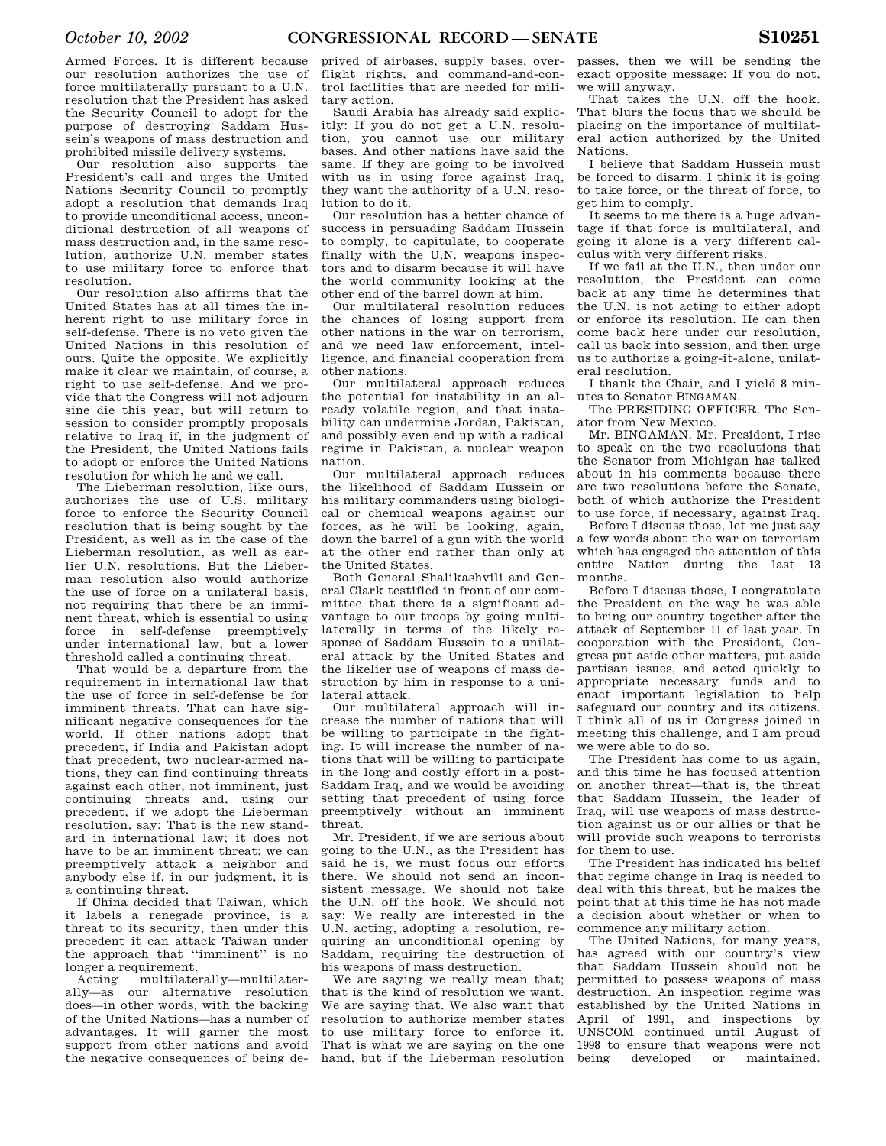Armed Forces. It is different because our resolution authorizes the use of force multilaterally pursuant to a U.N. resolution that the President has asked the Security Council to adopt for the purpose of destroying Saddam Hussein's weapons of mass destruction and prohibited missile delivery systems.

Our resolution also supports the President's call and urges the United Nations Security Council to promptly adopt a resolution that demands Iraq to provide unconditional access, unconditional destruction of all weapons of mass destruction and, in the same resolution, authorize U.N. member states to use military force to enforce that resolution.

Our resolution also affirms that the United States has at all times the inherent right to use military force in self-defense. There is no veto given the United Nations in this resolution of ours. Quite the opposite. We explicitly make it clear we maintain, of course, a right to use self-defense. And we provide that the Congress will not adjourn sine die this year, but will return to session to consider promptly proposals relative to Iraq if, in the judgment of the President, the United Nations fails to adopt or enforce the United Nations resolution for which he and we call.

The Lieberman resolution, like ours, authorizes the use of U.S. military force to enforce the Security Council resolution that is being sought by the President, as well as in the case of the Lieberman resolution, as well as earlier U.N. resolutions. But the Lieberman resolution also would authorize the use of force on a unilateral basis, not requiring that there be an imminent threat, which is essential to using force in self-defense preemptively under international law, but a lower threshold called a continuing threat.

That would be a departure from the requirement in international law that the use of force in self-defense be for imminent threats. That can have significant negative consequences for the world. If other nations adopt that precedent, if India and Pakistan adopt that precedent, two nuclear-armed nations, they can find continuing threats against each other, not imminent, just continuing threats and, using our precedent, if we adopt the Lieberman resolution, say: That is the new standard in international law; it does not have to be an imminent threat; we can preemptively attack a neighbor and anybody else if, in our judgment, it is a continuing threat.

If China decided that Taiwan, which it labels a renegade province, is a threat to its security, then under this precedent it can attack Taiwan under the approach that ''imminent'' is no longer a requirement.

Acting multilaterally—multilaterally—as our alternative resolution does—in other words, with the backing of the United Nations—has a number of advantages. It will garner the most support from other nations and avoid the negative consequences of being de-

prived of airbases, supply bases, overflight rights, and command-and-control facilities that are needed for military action.

Saudi Arabia has already said explicitly: If you do not get a U.N. resolution, you cannot use our military bases. And other nations have said the same. If they are going to be involved with us in using force against Iraq, they want the authority of a U.N. resolution to do it.

Our resolution has a better chance of success in persuading Saddam Hussein to comply, to capitulate, to cooperate finally with the U.N. weapons inspectors and to disarm because it will have the world community looking at the other end of the barrel down at him.

Our multilateral resolution reduces the chances of losing support from other nations in the war on terrorism, and we need law enforcement, intelligence, and financial cooperation from other nations.

Our multilateral approach reduces the potential for instability in an already volatile region, and that instability can undermine Jordan, Pakistan, and possibly even end up with a radical regime in Pakistan, a nuclear weapon nation.

Our multilateral approach reduces the likelihood of Saddam Hussein or his military commanders using biological or chemical weapons against our forces, as he will be looking, again, down the barrel of a gun with the world at the other end rather than only at the United States.

Both General Shalikashvili and General Clark testified in front of our committee that there is a significant advantage to our troops by going multilaterally in terms of the likely response of Saddam Hussein to a unilateral attack by the United States and the likelier use of weapons of mass destruction by him in response to a unilateral attack.

Our multilateral approach will increase the number of nations that will be willing to participate in the fighting. It will increase the number of nations that will be willing to participate in the long and costly effort in a post-Saddam Iraq, and we would be avoiding setting that precedent of using force preemptively without an imminent threat.

Mr. President, if we are serious about going to the U.N., as the President has said he is, we must focus our efforts there. We should not send an inconsistent message. We should not take the U.N. off the hook. We should not say: We really are interested in the U.N. acting, adopting a resolution, requiring an unconditional opening by Saddam, requiring the destruction of his weapons of mass destruction.

We are saying we really mean that; that is the kind of resolution we want. We are saying that. We also want that resolution to authorize member states to use military force to enforce it. That is what we are saying on the one hand, but if the Lieberman resolution

passes, then we will be sending the exact opposite message: If you do not, we will anyway.

That takes the U.N. off the hook. That blurs the focus that we should be placing on the importance of multilateral action authorized by the United Nations.

I believe that Saddam Hussein must be forced to disarm. I think it is going to take force, or the threat of force, to get him to comply.

It seems to me there is a huge advantage if that force is multilateral, and going it alone is a very different calculus with very different risks.

If we fail at the U.N., then under our resolution, the President can come back at any time he determines that the U.N. is not acting to either adopt or enforce its resolution. He can then come back here under our resolution, call us back into session, and then urge us to authorize a going-it-alone, unilateral resolution.

I thank the Chair, and I yield 8 minutes to Senator BINGAMAN.

The PRESIDING OFFICER. The Senator from New Mexico.

Mr. BINGAMAN. Mr. President, I rise to speak on the two resolutions that the Senator from Michigan has talked about in his comments because there are two resolutions before the Senate, both of which authorize the President to use force, if necessary, against Iraq.

Before I discuss those, let me just say a few words about the war on terrorism which has engaged the attention of this entire Nation during the last 13 months.

Before I discuss those, I congratulate the President on the way he was able to bring our country together after the attack of September 11 of last year. In cooperation with the President, Congress put aside other matters, put aside partisan issues, and acted quickly to appropriate necessary funds and to enact important legislation to help safeguard our country and its citizens. I think all of us in Congress joined in meeting this challenge, and I am proud we were able to do so.

The President has come to us again, and this time he has focused attention on another threat—that is, the threat that Saddam Hussein, the leader of Iraq, will use weapons of mass destruction against us or our allies or that he will provide such weapons to terrorists for them to use.

The President has indicated his belief that regime change in Iraq is needed to deal with this threat, but he makes the point that at this time he has not made a decision about whether or when to commence any military action.

The United Nations, for many years, has agreed with our country's view that Saddam Hussein should not be permitted to possess weapons of mass destruction. An inspection regime was established by the United Nations in April of 1991, and inspections by UNSCOM continued until August of 1998 to ensure that weapons were not being developed or maintained.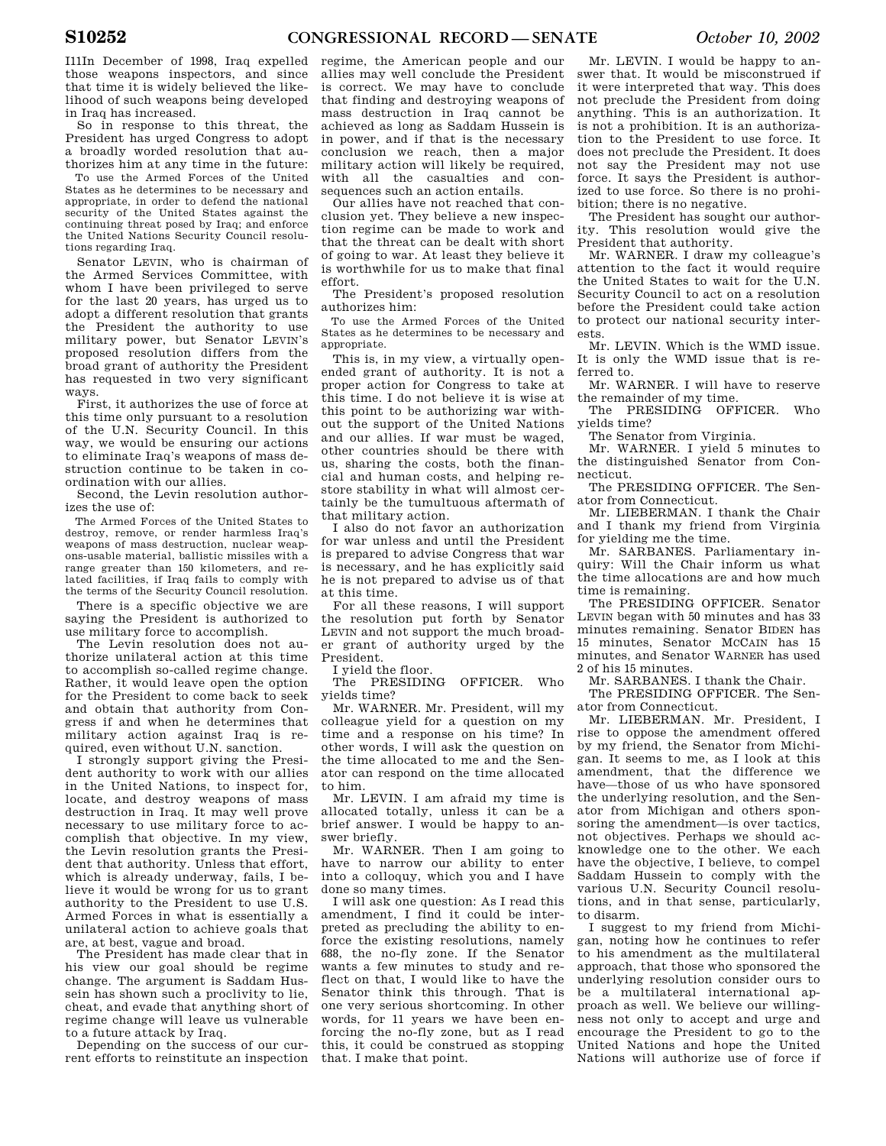I11In December of 1998, Iraq expelled those weapons inspectors, and since that time it is widely believed the likelihood of such weapons being developed in Iraq has increased.

So in response to this threat, the President has urged Congress to adopt a broadly worded resolution that authorizes him at any time in the future:

To use the Armed Forces of the United States as he determines to be necessary and appropriate, in order to defend the national security of the United States against the continuing threat posed by Iraq; and enforce the United Nations Security Council resolutions regarding Iraq.

Senator LEVIN, who is chairman of the Armed Services Committee, with whom I have been privileged to serve for the last 20 years, has urged us to adopt a different resolution that grants the President the authority to use military power, but Senator LEVIN's proposed resolution differs from the broad grant of authority the President has requested in two very significant ways.

First, it authorizes the use of force at this time only pursuant to a resolution of the U.N. Security Council. In this way, we would be ensuring our actions to eliminate Iraq's weapons of mass destruction continue to be taken in coordination with our allies.

Second, the Levin resolution authorizes the use of:

The Armed Forces of the United States to destroy, remove, or render harmless Iraq's weapons of mass destruction, nuclear weapons-usable material, ballistic missiles with a range greater than 150 kilometers, and related facilities, if Iraq fails to comply with the terms of the Security Council resolution.

There is a specific objective we are saying the President is authorized to use military force to accomplish.

The Levin resolution does not authorize unilateral action at this time to accomplish so-called regime change. Rather, it would leave open the option for the President to come back to seek and obtain that authority from Congress if and when he determines that military action against Iraq is required, even without U.N. sanction.

I strongly support giving the President authority to work with our allies in the United Nations, to inspect for, locate, and destroy weapons of mass destruction in Iraq. It may well prove necessary to use military force to accomplish that objective. In my view, the Levin resolution grants the President that authority. Unless that effort, which is already underway, fails, I believe it would be wrong for us to grant authority to the President to use U.S. Armed Forces in what is essentially a unilateral action to achieve goals that are, at best, vague and broad.

The President has made clear that in his view our goal should be regime change. The argument is Saddam Hussein has shown such a proclivity to lie, cheat, and evade that anything short of regime change will leave us vulnerable to a future attack by Iraq.

Depending on the success of our current efforts to reinstitute an inspection

regime, the American people and our allies may well conclude the President is correct. We may have to conclude that finding and destroying weapons of mass destruction in Iraq cannot be achieved as long as Saddam Hussein is in power, and if that is the necessary conclusion we reach, then a major military action will likely be required, with all the casualties and consequences such an action entails.

Our allies have not reached that conclusion yet. They believe a new inspection regime can be made to work and that the threat can be dealt with short of going to war. At least they believe it is worthwhile for us to make that final effort.

The President's proposed resolution authorizes him:

To use the Armed Forces of the United States as he determines to be necessary and appropriate.

This is, in my view, a virtually openended grant of authority. It is not a proper action for Congress to take at this time. I do not believe it is wise at this point to be authorizing war without the support of the United Nations and our allies. If war must be waged, other countries should be there with us, sharing the costs, both the financial and human costs, and helping restore stability in what will almost certainly be the tumultuous aftermath of that military action.

I also do not favor an authorization for war unless and until the President is prepared to advise Congress that war is necessary, and he has explicitly said he is not prepared to advise us of that at this time.

For all these reasons, I will support the resolution put forth by Senator LEVIN and not support the much broader grant of authority urged by the President.

I yield the floor.

The PRESIDING OFFICER. Who yields time?

Mr. WARNER. Mr. President, will my colleague yield for a question on my time and a response on his time? In other words, I will ask the question on the time allocated to me and the Senator can respond on the time allocated to him.

Mr. LEVIN. I am afraid my time is allocated totally, unless it can be a brief answer. I would be happy to answer briefly.

Mr. WARNER. Then I am going to have to narrow our ability to enter into a colloquy, which you and I have done so many times.

I will ask one question: As I read this amendment, I find it could be interpreted as precluding the ability to enforce the existing resolutions, namely 688, the no-fly zone. If the Senator wants a few minutes to study and reflect on that, I would like to have the Senator think this through. That is one very serious shortcoming. In other words, for 11 years we have been enforcing the no-fly zone, but as I read this, it could be construed as stopping that. I make that point.

Mr. LEVIN. I would be happy to answer that. It would be misconstrued if it were interpreted that way. This does not preclude the President from doing anything. This is an authorization. It is not a prohibition. It is an authorization to the President to use force. It does not preclude the President. It does not say the President may not use force. It says the President is authorized to use force. So there is no prohibition; there is no negative.

The President has sought our authority. This resolution would give the President that authority.

Mr. WARNER. I draw my colleague's attention to the fact it would require the United States to wait for the U.N. Security Council to act on a resolution before the President could take action to protect our national security interests.

Mr. LEVIN. Which is the WMD issue. It is only the WMD issue that is referred to.

Mr. WARNER. I will have to reserve the remainder of my time.

The PRESIDING OFFICER. Who yields time?

The Senator from Virginia.

Mr. WARNER. I yield 5 minutes to the distinguished Senator from Connecticut.

The PRESIDING OFFICER. The Senator from Connecticut.

Mr. LIEBERMAN. I thank the Chair and I thank my friend from Virginia for yielding me the time.

Mr. SARBANES. Parliamentary inquiry: Will the Chair inform us what the time allocations are and how much time is remaining.

The PRESIDING OFFICER. Senator LEVIN began with 50 minutes and has 33 minutes remaining. Senator BIDEN has 15 minutes, Senator MCCAIN has 15 minutes, and Senator WARNER has used 2 of his 15 minutes.

Mr. SARBANES. I thank the Chair.

The PRESIDING OFFICER. The Senator from Connecticut.

Mr. LIEBERMAN. Mr. President, I rise to oppose the amendment offered by my friend, the Senator from Michigan. It seems to me, as I look at this amendment, that the difference we have—those of us who have sponsored the underlying resolution, and the Senator from Michigan and others sponsoring the amendment—is over tactics, not objectives. Perhaps we should acknowledge one to the other. We each have the objective, I believe, to compel Saddam Hussein to comply with the various U.N. Security Council resolutions, and in that sense, particularly, to disarm.

I suggest to my friend from Michigan, noting how he continues to refer to his amendment as the multilateral approach, that those who sponsored the underlying resolution consider ours to be a multilateral international approach as well. We believe our willingness not only to accept and urge and encourage the President to go to the United Nations and hope the United Nations will authorize use of force if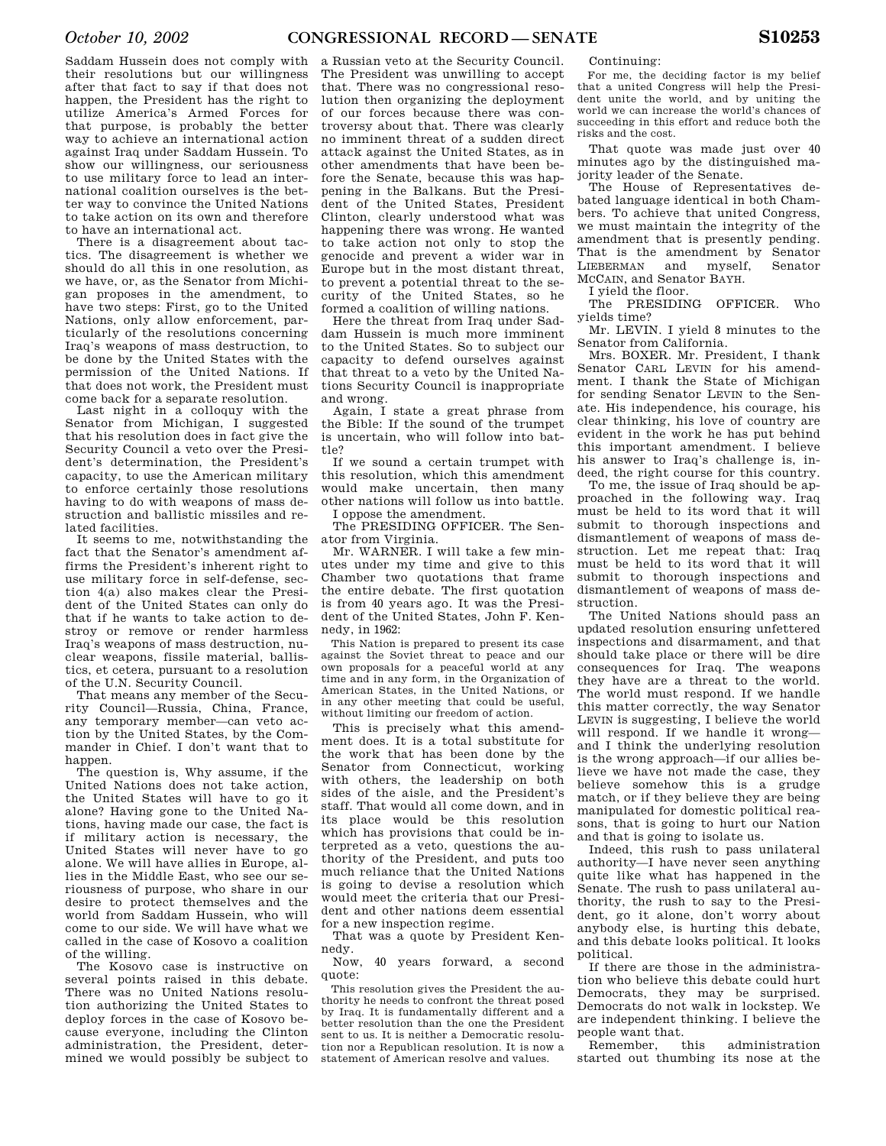Saddam Hussein does not comply with their resolutions but our willingness after that fact to say if that does not happen, the President has the right to utilize America's Armed Forces for that purpose, is probably the better way to achieve an international action against Iraq under Saddam Hussein. To show our willingness, our seriousness to use military force to lead an international coalition ourselves is the better way to convince the United Nations to take action on its own and therefore to have an international act.

There is a disagreement about tactics. The disagreement is whether we should do all this in one resolution, as we have, or, as the Senator from Michigan proposes in the amendment, to have two steps: First, go to the United Nations, only allow enforcement, particularly of the resolutions concerning Iraq's weapons of mass destruction, to be done by the United States with the permission of the United Nations. If that does not work, the President must come back for a separate resolution.

Last night in a colloquy with the Senator from Michigan, I suggested that his resolution does in fact give the Security Council a veto over the President's determination, the President's capacity, to use the American military to enforce certainly those resolutions having to do with weapons of mass destruction and ballistic missiles and related facilities.

It seems to me, notwithstanding the fact that the Senator's amendment affirms the President's inherent right to use military force in self-defense, section 4(a) also makes clear the President of the United States can only do that if he wants to take action to destroy or remove or render harmless Iraq's weapons of mass destruction, nuclear weapons, fissile material, ballistics, et cetera, pursuant to a resolution of the U.N. Security Council.

That means any member of the Security Council—Russia, China, France, any temporary member—can veto action by the United States, by the Commander in Chief. I don't want that to happen.

The question is, Why assume, if the United Nations does not take action, the United States will have to go it alone? Having gone to the United Nations, having made our case, the fact is if military action is necessary, the United States will never have to go alone. We will have allies in Europe, allies in the Middle East, who see our seriousness of purpose, who share in our desire to protect themselves and the world from Saddam Hussein, who will come to our side. We will have what we called in the case of Kosovo a coalition of the willing.

The Kosovo case is instructive on several points raised in this debate. There was no United Nations resolution authorizing the United States to deploy forces in the case of Kosovo because everyone, including the Clinton administration, the President, determined we would possibly be subject to

a Russian veto at the Security Council. The President was unwilling to accept that. There was no congressional resolution then organizing the deployment of our forces because there was controversy about that. There was clearly no imminent threat of a sudden direct attack against the United States, as in other amendments that have been before the Senate, because this was happening in the Balkans. But the President of the United States, President Clinton, clearly understood what was happening there was wrong. He wanted to take action not only to stop the genocide and prevent a wider war in Europe but in the most distant threat, to prevent a potential threat to the security of the United States, so he formed a coalition of willing nations.

Here the threat from Iraq under Saddam Hussein is much more imminent to the United States. So to subject our capacity to defend ourselves against that threat to a veto by the United Nations Security Council is inappropriate and wrong.

Again, I state a great phrase from the Bible: If the sound of the trumpet is uncertain, who will follow into battle?

If we sound a certain trumpet with this resolution, which this amendment would make uncertain, then many other nations will follow us into battle. I oppose the amendment.

The PRESIDING OFFICER. The Senator from Virginia.

Mr. WARNER. I will take a few minutes under my time and give to this Chamber two quotations that frame the entire debate. The first quotation is from 40 years ago. It was the President of the United States, John F. Kennedy, in 1962:

This Nation is prepared to present its case against the Soviet threat to peace and our own proposals for a peaceful world at any time and in any form, in the Organization of American States, in the United Nations, or in any other meeting that could be useful, without limiting our freedom of action.

This is precisely what this amendment does. It is a total substitute for the work that has been done by the Senator from Connecticut, working with others, the leadership on both sides of the aisle, and the President's staff. That would all come down, and in its place would be this resolution which has provisions that could be interpreted as a veto, questions the authority of the President, and puts too much reliance that the United Nations is going to devise a resolution which would meet the criteria that our President and other nations deem essential for a new inspection regime.

That was a quote by President Kennedy.

Now, 40 years forward, a second quote:

This resolution gives the President the authority he needs to confront the threat posed by Iraq. It is fundamentally different and a better resolution than the one the President sent to us. It is neither a Democratic resolution nor a Republican resolution. It is now a statement of American resolve and values.

#### Continuing:

For me, the deciding factor is my belief that a united Congress will help the President unite the world, and by uniting the world we can increase the world's chances of succeeding in this effort and reduce both the risks and the cost.

That quote was made just over 40 minutes ago by the distinguished majority leader of the Senate.

The House of Representatives debated language identical in both Chambers. To achieve that united Congress, we must maintain the integrity of the amendment that is presently pending. That is the amendment by Senator LIEBERMAN and myself, Senator MCCAIN, and Senator BAYH.

I yield the floor.

The PRESIDING OFFICER. Who yields time?

Mr. LEVIN. I yield 8 minutes to the Senator from California.

Mrs. BOXER. Mr. President, I thank Senator CARL LEVIN for his amendment. I thank the State of Michigan for sending Senator LEVIN to the Senate. His independence, his courage, his clear thinking, his love of country are evident in the work he has put behind this important amendment. I believe his answer to Iraq's challenge is, indeed, the right course for this country.

To me, the issue of Iraq should be approached in the following way. Iraq must be held to its word that it will submit to thorough inspections and dismantlement of weapons of mass destruction. Let me repeat that: Iraq must be held to its word that it will submit to thorough inspections and dismantlement of weapons of mass destruction.

The United Nations should pass an updated resolution ensuring unfettered inspections and disarmament, and that should take place or there will be dire consequences for Iraq. The weapons they have are a threat to the world. The world must respond. If we handle this matter correctly, the way Senator LEVIN is suggesting, I believe the world will respond. If we handle it wrong and I think the underlying resolution is the wrong approach—if our allies believe we have not made the case, they believe somehow this is a grudge match, or if they believe they are being manipulated for domestic political reasons, that is going to hurt our Nation and that is going to isolate us.

Indeed, this rush to pass unilateral authority—I have never seen anything quite like what has happened in the Senate. The rush to pass unilateral authority, the rush to say to the President, go it alone, don't worry about anybody else, is hurting this debate, and this debate looks political. It looks political.

If there are those in the administration who believe this debate could hurt Democrats, they may be surprised. Democrats do not walk in lockstep. We are independent thinking. I believe the people want that.

Remember, this administration started out thumbing its nose at the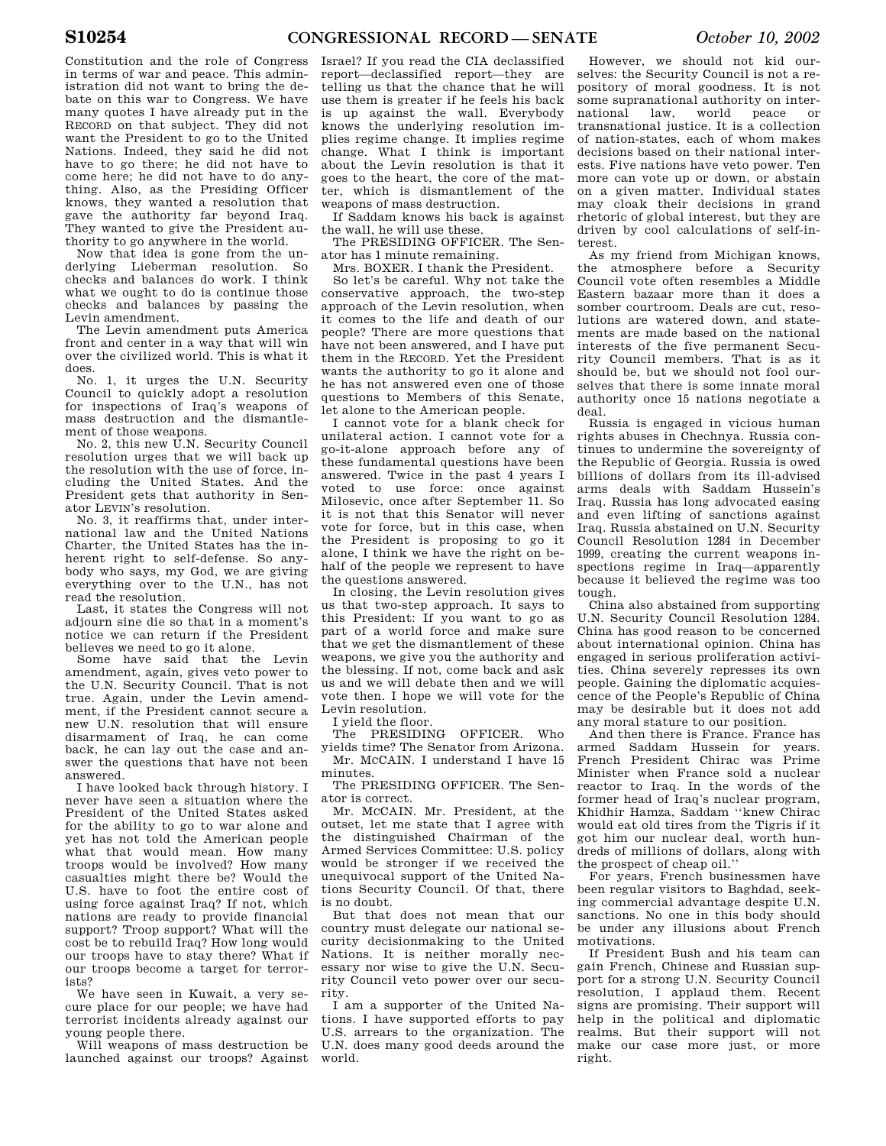Constitution and the role of Congress in terms of war and peace. This administration did not want to bring the debate on this war to Congress. We have many quotes I have already put in the RECORD on that subject. They did not want the President to go to the United Nations. Indeed, they said he did not have to go there; he did not have to come here; he did not have to do anything. Also, as the Presiding Officer knows, they wanted a resolution that gave the authority far beyond Iraq. They wanted to give the President authority to go anywhere in the world.

Now that idea is gone from the underlying Lieberman resolution. So checks and balances do work. I think what we ought to do is continue those checks and balances by passing the Levin amendment.

The Levin amendment puts America front and center in a way that will win over the civilized world. This is what it does.

No. 1, it urges the U.N. Security Council to quickly adopt a resolution for inspections of Iraq's weapons of mass destruction and the dismantlement of those weapons.

No. 2, this new U.N. Security Council resolution urges that we will back up the resolution with the use of force, including the United States. And the President gets that authority in Senator LEVIN's resolution.

No. 3, it reaffirms that, under international law and the United Nations Charter, the United States has the inherent right to self-defense. So anybody who says, my God, we are giving everything over to the U.N., has not read the resolution.

Last, it states the Congress will not adjourn sine die so that in a moment's notice we can return if the President believes we need to go it alone.

Some have said that the Levin amendment, again, gives veto power to the U.N. Security Council. That is not true. Again, under the Levin amendment, if the President cannot secure a new U.N. resolution that will ensure disarmament of Iraq, he can come back, he can lay out the case and answer the questions that have not been answered.

I have looked back through history. I never have seen a situation where the President of the United States asked for the ability to go to war alone and yet has not told the American people what that would mean. How many troops would be involved? How many casualties might there be? Would the U.S. have to foot the entire cost of using force against Iraq? If not, which nations are ready to provide financial support? Troop support? What will the cost be to rebuild Iraq? How long would our troops have to stay there? What if our troops become a target for terrorists?

We have seen in Kuwait, a very secure place for our people; we have had terrorist incidents already against our young people there.

Will weapons of mass destruction be launched against our troops? Against

Israel? If you read the CIA declassified report—declassified report—they are telling us that the chance that he will use them is greater if he feels his back is up against the wall. Everybody knows the underlying resolution implies regime change. It implies regime change. What I think is important about the Levin resolution is that it goes to the heart, the core of the matter, which is dismantlement of the weapons of mass destruction.

If Saddam knows his back is against the wall, he will use these.

The PRESIDING OFFICER. The Senator has 1 minute remaining.

Mrs. BOXER. I thank the President.

So let's be careful. Why not take the conservative approach, the two-step approach of the Levin resolution, when it comes to the life and death of our people? There are more questions that have not been answered, and I have put them in the RECORD. Yet the President wants the authority to go it alone and he has not answered even one of those questions to Members of this Senate, let alone to the American people.

I cannot vote for a blank check for unilateral action. I cannot vote for a go-it-alone approach before any of these fundamental questions have been answered. Twice in the past 4 years I voted to use force: once against Milosevic, once after September 11. So it is not that this Senator will never vote for force, but in this case, when the President is proposing to go it alone, I think we have the right on behalf of the people we represent to have the questions answered.

In closing, the Levin resolution gives us that two-step approach. It says to this President: If you want to go as part of a world force and make sure that we get the dismantlement of these weapons, we give you the authority and the blessing. If not, come back and ask us and we will debate then and we will vote then. I hope we will vote for the Levin resolution.

I yield the floor.

The PRESIDING OFFICER. Who yields time? The Senator from Arizona.

Mr. MCCAIN. I understand I have 15 minutes.

The PRESIDING OFFICER. The Senator is correct.

Mr. MCCAIN. Mr. President, at the outset, let me state that I agree with the distinguished Chairman of the Armed Services Committee: U.S. policy would be stronger if we received the unequivocal support of the United Nations Security Council. Of that, there is no doubt.

But that does not mean that our country must delegate our national security decisionmaking to the United Nations. It is neither morally necessary nor wise to give the U.N. Security Council veto power over our security.

I am a supporter of the United Nations. I have supported efforts to pay U.S. arrears to the organization. The U.N. does many good deeds around the world.

However, we should not kid ourselves: the Security Council is not a repository of moral goodness. It is not some supranational authority on international law, world peace or transnational justice. It is a collection of nation-states, each of whom makes decisions based on their national interests. Five nations have veto power. Ten more can vote up or down, or abstain on a given matter. Individual states may cloak their decisions in grand rhetoric of global interest, but they are driven by cool calculations of self-interest.

As my friend from Michigan knows, the atmosphere before a Security Council vote often resembles a Middle Eastern bazaar more than it does a somber courtroom. Deals are cut, resolutions are watered down, and statements are made based on the national interests of the five permanent Security Council members. That is as it should be, but we should not fool ourselves that there is some innate moral authority once 15 nations negotiate a deal.

Russia is engaged in vicious human rights abuses in Chechnya. Russia continues to undermine the sovereignty of the Republic of Georgia. Russia is owed billions of dollars from its ill-advised arms deals with Saddam Hussein's Iraq. Russia has long advocated easing and even lifting of sanctions against Iraq. Russia abstained on U.N. Security Council Resolution 1284 in December 1999, creating the current weapons inspections regime in Iraq—apparently because it believed the regime was too tough.

China also abstained from supporting U.N. Security Council Resolution 1284. China has good reason to be concerned about international opinion. China has engaged in serious proliferation activities. China severely represses its own people. Gaining the diplomatic acquiescence of the People's Republic of China may be desirable but it does not add any moral stature to our position.

And then there is France. France has armed Saddam Hussein for years. French President Chirac was Prime Minister when France sold a nuclear reactor to Iraq. In the words of the former head of Iraq's nuclear program, Khidhir Hamza, Saddam ''knew Chirac would eat old tires from the Tigris if it got him our nuclear deal, worth hundreds of millions of dollars, along with the prospect of cheap oil.''

For years, French businessmen have been regular visitors to Baghdad, seeking commercial advantage despite U.N. sanctions. No one in this body should be under any illusions about French motivations.

If President Bush and his team can gain French, Chinese and Russian support for a strong U.N. Security Council resolution, I applaud them. Recent signs are promising. Their support will help in the political and diplomatic realms. But their support will not make our case more just, or more right.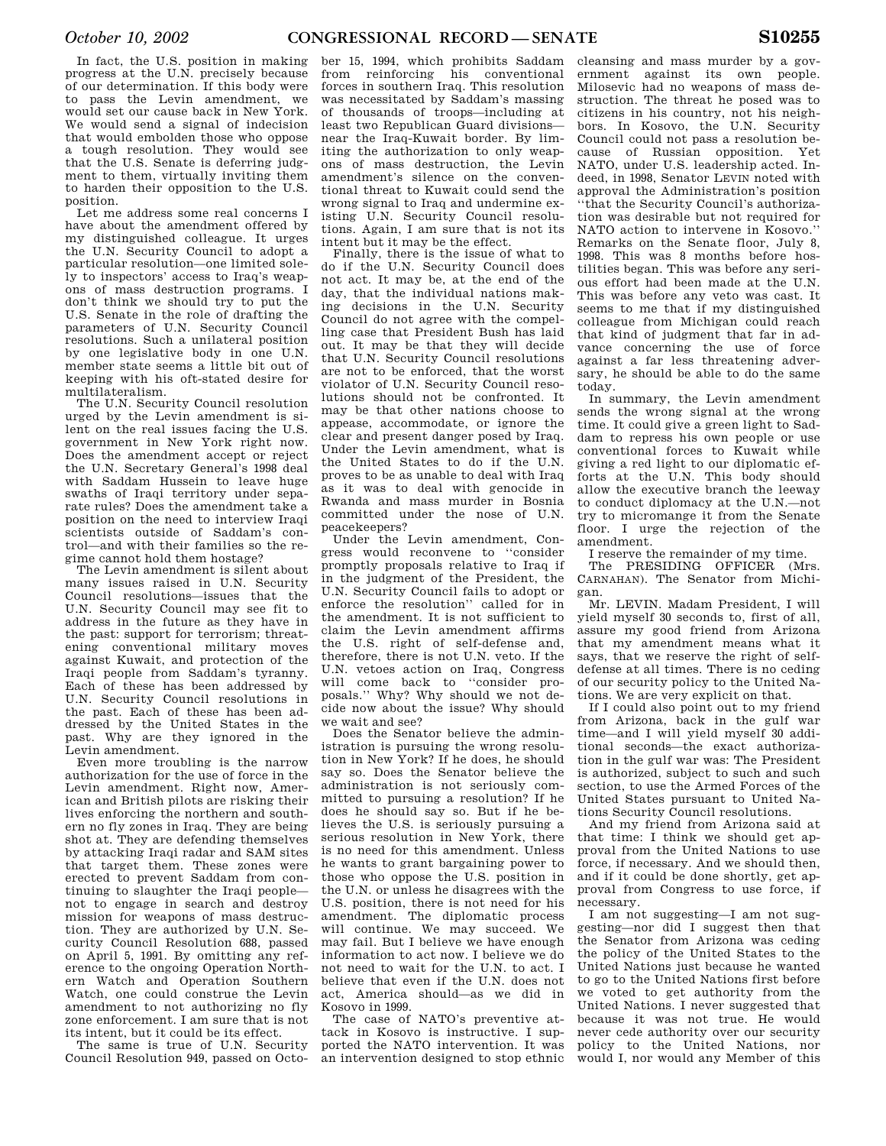In fact, the U.S. position in making progress at the U.N. precisely because of our determination. If this body were to pass the Levin amendment, we would set our cause back in New York. We would send a signal of indecision that would embolden those who oppose a tough resolution. They would see that the U.S. Senate is deferring judgment to them, virtually inviting them to harden their opposition to the U.S. position.

Let me address some real concerns I have about the amendment offered by my distinguished colleague. It urges the U.N. Security Council to adopt a particular resolution—one limited solely to inspectors' access to Iraq's weapons of mass destruction programs. I don't think we should try to put the U.S. Senate in the role of drafting the parameters of U.N. Security Council resolutions. Such a unilateral position by one legislative body in one U.N. member state seems a little bit out of keeping with his oft-stated desire for multilateralism.

The U.N. Security Council resolution urged by the Levin amendment is silent on the real issues facing the U.S. government in New York right now. Does the amendment accept or reject the U.N. Secretary General's 1998 deal with Saddam Hussein to leave huge swaths of Iraqi territory under separate rules? Does the amendment take a position on the need to interview Iraqi scientists outside of Saddam's control—and with their families so the regime cannot hold them hostage?

The Levin amendment is silent about many issues raised in U.N. Security Council resolutions—issues that the U.N. Security Council may see fit to address in the future as they have in the past: support for terrorism; threatening conventional military moves against Kuwait, and protection of the Iraqi people from Saddam's tyranny. Each of these has been addressed by U.N. Security Council resolutions in the past. Each of these has been addressed by the United States in the past. Why are they ignored in the Levin amendment.

Even more troubling is the narrow authorization for the use of force in the Levin amendment. Right now, American and British pilots are risking their lives enforcing the northern and southern no fly zones in Iraq. They are being shot at. They are defending themselves by attacking Iraqi radar and SAM sites that target them. These zones were erected to prevent Saddam from continuing to slaughter the Iraqi people not to engage in search and destroy mission for weapons of mass destruction. They are authorized by U.N. Security Council Resolution 688, passed on April 5, 1991. By omitting any reference to the ongoing Operation Northern Watch and Operation Southern Watch, one could construe the Levin amendment to not authorizing no fly zone enforcement. I am sure that is not its intent, but it could be its effect.

The same is true of U.N. Security Council Resolution 949, passed on Octo-

ber 15, 1994, which prohibits Saddam from reinforcing his conventional forces in southern Iraq. This resolution was necessitated by Saddam's massing of thousands of troops—including at least two Republican Guard divisions near the Iraq-Kuwait border. By limiting the authorization to only weapons of mass destruction, the Levin amendment's silence on the conventional threat to Kuwait could send the wrong signal to Iraq and undermine existing U.N. Security Council resolutions. Again, I am sure that is not its intent but it may be the effect.

Finally, there is the issue of what to do if the U.N. Security Council does not act. It may be, at the end of the day, that the individual nations making decisions in the U.N. Security Council do not agree with the compelling case that President Bush has laid out. It may be that they will decide that U.N. Security Council resolutions are not to be enforced, that the worst violator of U.N. Security Council resolutions should not be confronted. It may be that other nations choose to appease, accommodate, or ignore the clear and present danger posed by Iraq. Under the Levin amendment, what is the United States to do if the U.N. proves to be as unable to deal with Iraq as it was to deal with genocide in Rwanda and mass murder in Bosnia committed under the nose of U.N. peacekeepers?

Under the Levin amendment, Congress would reconvene to ''consider promptly proposals relative to Iraq if in the judgment of the President, the U.N. Security Council fails to adopt or enforce the resolution'' called for in the amendment. It is not sufficient to claim the Levin amendment affirms the U.S. right of self-defense and, therefore, there is not U.N. veto. If the U.N. vetoes action on Iraq, Congress will come back to ''consider proposals.'' Why? Why should we not decide now about the issue? Why should we wait and see?

Does the Senator believe the administration is pursuing the wrong resolution in New York? If he does, he should say so. Does the Senator believe the administration is not seriously committed to pursuing a resolution? If he does he should say so. But if he believes the U.S. is seriously pursuing a serious resolution in New York, there is no need for this amendment. Unless he wants to grant bargaining power to those who oppose the U.S. position in the U.N. or unless he disagrees with the U.S. position, there is not need for his amendment. The diplomatic process will continue. We may succeed. We may fail. But I believe we have enough information to act now. I believe we do not need to wait for the U.N. to act. I believe that even if the U.N. does not act, America should—as we did in Kosovo in 1999.

The case of NATO's preventive attack in Kosovo is instructive. I supported the NATO intervention. It was an intervention designed to stop ethnic

cleansing and mass murder by a government against its own people. Milosevic had no weapons of mass destruction. The threat he posed was to citizens in his country, not his neighbors. In Kosovo, the U.N. Security Council could not pass a resolution because of Russian opposition. Yet NATO, under U.S. leadership acted. Indeed, in 1998, Senator LEVIN noted with approval the Administration's position ''that the Security Council's authorization was desirable but not required for NATO action to intervene in Kosovo.'' Remarks on the Senate floor, July 8, 1998. This was 8 months before hostilities began. This was before any serious effort had been made at the U.N. This was before any veto was cast. It seems to me that if my distinguished colleague from Michigan could reach that kind of judgment that far in advance concerning the use of force against a far less threatening adversary, he should be able to do the same today.

In summary, the Levin amendment sends the wrong signal at the wrong time. It could give a green light to Saddam to repress his own people or use conventional forces to Kuwait while giving a red light to our diplomatic efforts at the U.N. This body should allow the executive branch the leeway to conduct diplomacy at the U.N.—not try to micromange it from the Senate floor. I urge the rejection of the amendment.

I reserve the remainder of my time.

The PRESIDING OFFICER (Mrs. CARNAHAN). The Senator from Michigan.

Mr. LEVIN. Madam President, I will yield myself 30 seconds to, first of all, assure my good friend from Arizona that my amendment means what it says, that we reserve the right of selfdefense at all times. There is no ceding of our security policy to the United Nations. We are very explicit on that.

If I could also point out to my friend from Arizona, back in the gulf war time—and I will yield myself 30 additional seconds—the exact authorization in the gulf war was: The President is authorized, subject to such and such section, to use the Armed Forces of the United States pursuant to United Nations Security Council resolutions.

And my friend from Arizona said at that time: I think we should get approval from the United Nations to use force, if necessary. And we should then, and if it could be done shortly, get approval from Congress to use force, if necessary.

I am not suggesting—I am not suggesting—nor did I suggest then that the Senator from Arizona was ceding the policy of the United States to the United Nations just because he wanted to go to the United Nations first before we voted to get authority from the United Nations. I never suggested that because it was not true. He would never cede authority over our security policy to the United Nations, nor would I, nor would any Member of this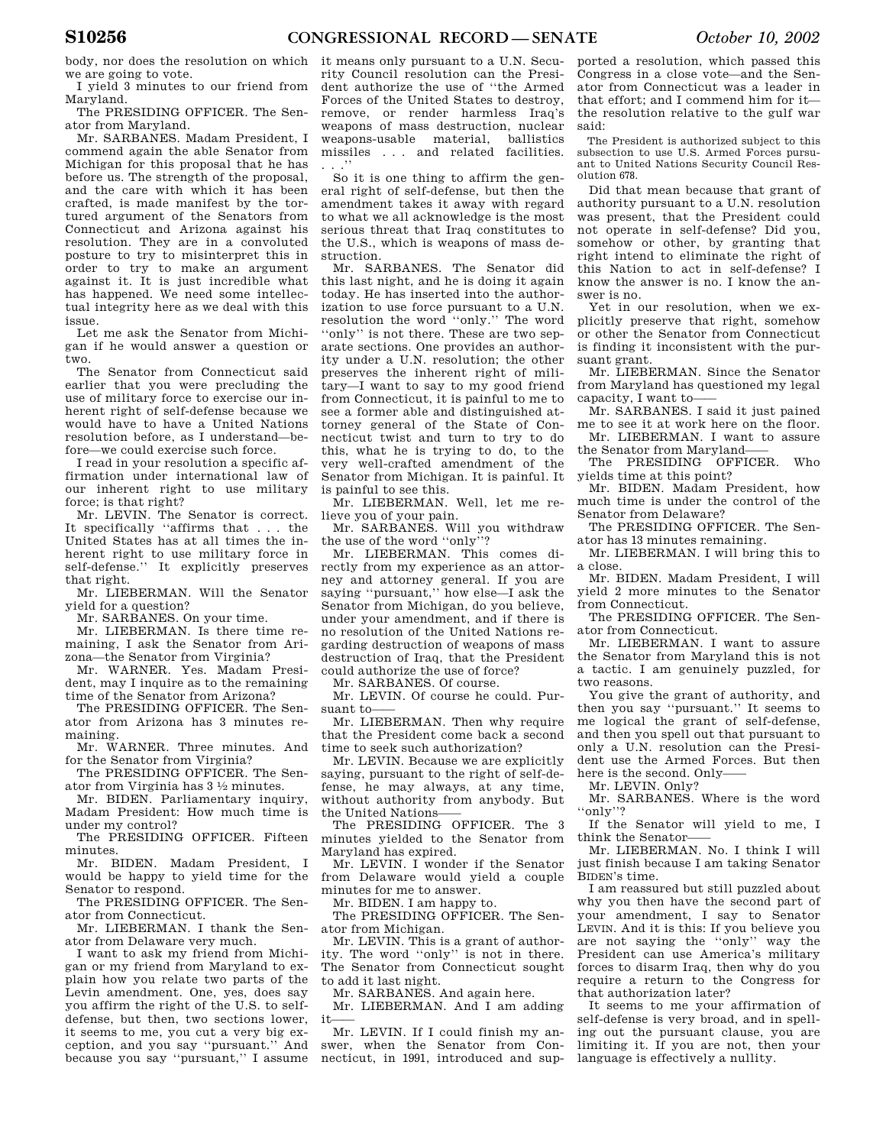body, nor does the resolution on which we are going to vote.

I yield 3 minutes to our friend from Maryland.

The PRESIDING OFFICER. The Senator from Maryland.

Mr. SARBANES. Madam President, I commend again the able Senator from Michigan for this proposal that he has before us. The strength of the proposal, and the care with which it has been crafted, is made manifest by the tortured argument of the Senators from Connecticut and Arizona against his resolution. They are in a convoluted posture to try to misinterpret this in order to try to make an argument against it. It is just incredible what has happened. We need some intellectual integrity here as we deal with this issue.

Let me ask the Senator from Michigan if he would answer a question or two.

The Senator from Connecticut said earlier that you were precluding the use of military force to exercise our inherent right of self-defense because we would have to have a United Nations resolution before, as I understand—before—we could exercise such force.

I read in your resolution a specific affirmation under international law of our inherent right to use military force; is that right?

Mr. LEVIN. The Senator is correct. It specifically ''affirms that . . . the United States has at all times the inherent right to use military force in self-defense.'' It explicitly preserves that right.

Mr. LIEBERMAN. Will the Senator yield for a question?

Mr. SARBANES. On your time.

Mr. LIEBERMAN. Is there time remaining, I ask the Senator from Arizona—the Senator from Virginia?

Mr. WARNER. Yes. Madam President, may I inquire as to the remaining time of the Senator from Arizona?

The PRESIDING OFFICER. The Senator from Arizona has 3 minutes remaining.

Mr. WARNER. Three minutes. And for the Senator from Virginia?

The PRESIDING OFFICER. The Senator from Virginia has 3 1⁄2 minutes.

Mr. BIDEN. Parliamentary inquiry, Madam President: How much time is under my control?

The PRESIDING OFFICER. Fifteen minutes.

Mr. BIDEN. Madam President, I would be happy to yield time for the Senator to respond.

The PRESIDING OFFICER. The Senator from Connecticut.

Mr. LIEBERMAN. I thank the Senator from Delaware very much.

I want to ask my friend from Michigan or my friend from Maryland to explain how you relate two parts of the Levin amendment. One, yes, does say you affirm the right of the U.S. to selfdefense, but then, two sections lower, it seems to me, you cut a very big exception, and you say ''pursuant.'' And because you say ''pursuant,'' I assume

it means only pursuant to a U.N. Security Council resolution can the President authorize the use of ''the Armed Forces of the United States to destroy, remove, or render harmless Iraq's weapons of mass destruction, nuclear weapons-usable material, ballistics missiles . . . and related facilities. . . .''

So it is one thing to affirm the general right of self-defense, but then the amendment takes it away with regard to what we all acknowledge is the most serious threat that Iraq constitutes to the U.S., which is weapons of mass destruction.

Mr. SARBANES. The Senator did this last night, and he is doing it again today. He has inserted into the authorization to use force pursuant to a U.N. resolution the word ''only.'' The word ''only'' is not there. These are two separate sections. One provides an authority under a U.N. resolution; the other preserves the inherent right of military—I want to say to my good friend from Connecticut, it is painful to me to see a former able and distinguished attorney general of the State of Connecticut twist and turn to try to do this, what he is trying to do, to the very well-crafted amendment of the Senator from Michigan. It is painful. It is painful to see this.

Mr. LIEBERMAN. Well, let me relieve you of your pain.

Mr. SARBANES. Will you withdraw the use of the word ''only''?

Mr. LIEBERMAN. This comes directly from my experience as an attorney and attorney general. If you are saying ''pursuant,'' how else—I ask the Senator from Michigan, do you believe, under your amendment, and if there is no resolution of the United Nations regarding destruction of weapons of mass destruction of Iraq, that the President could authorize the use of force?

Mr. SARBANES. Of course.

Mr. LEVIN. Of course he could. Pursuant to——

Mr. LIEBERMAN. Then why require that the President come back a second time to seek such authorization?

Mr. LEVIN. Because we are explicitly saying, pursuant to the right of self-defense, he may always, at any time, without authority from anybody. But the United Nations-

The PRESIDING OFFICER. The 3 minutes yielded to the Senator from Maryland has expired.

Mr. LEVIN. I wonder if the Senator from Delaware would yield a couple minutes for me to answer.

Mr. BIDEN. I am happy to.

The PRESIDING OFFICER. The Senator from Michigan.

Mr. LEVIN. This is a grant of authority. The word "only" is not in there. The Senator from Connecticut sought to add it last night.

Mr. SARBANES. And again here.

Mr. LIEBERMAN. And I am adding it

Mr. LEVIN. If I could finish my answer, when the Senator from Connecticut, in 1991, introduced and sup-

ported a resolution, which passed this Congress in a close vote—and the Senator from Connecticut was a leader in that effort; and I commend him for it the resolution relative to the gulf war said:

The President is authorized subject to this subsection to use U.S. Armed Forces pursuant to United Nations Security Council Resolution 678.

Did that mean because that grant of authority pursuant to a U.N. resolution was present, that the President could not operate in self-defense? Did you, somehow or other, by granting that right intend to eliminate the right of this Nation to act in self-defense? I know the answer is no. I know the answer is no.

Yet in our resolution, when we explicitly preserve that right, somehow or other the Senator from Connecticut is finding it inconsistent with the pursuant grant.

Mr. LIEBERMAN. Since the Senator from Maryland has questioned my legal capacity, I want to——

Mr. SARBANES. I said it just pained me to see it at work here on the floor. Mr. LIEBERMAN. I want to assure

the Senator from Maryland—— The PRESIDING OFFICER. Who yields time at this point?

Mr. BIDEN. Madam President, how much time is under the control of the Senator from Delaware?

The PRESIDING OFFICER. The Senator has 13 minutes remaining.

Mr. LIEBERMAN. I will bring this to a close.

Mr. BIDEN. Madam President, I will yield 2 more minutes to the Senator from Connecticut.

The PRESIDING OFFICER. The Senator from Connecticut.

Mr. LIEBERMAN. I want to assure the Senator from Maryland this is not a tactic. I am genuinely puzzled, for two reasons.

You give the grant of authority, and then you say ''pursuant.'' It seems to me logical the grant of self-defense, and then you spell out that pursuant to only a U.N. resolution can the President use the Armed Forces. But then here is the second. Only-

Mr. LEVIN. Only?

Mr. SARBANES. Where is the word ''only''?

If the Senator will yield to me, I think the Senator-

Mr. LIEBERMAN. No. I think I will just finish because I am taking Senator BIDEN's time.

I am reassured but still puzzled about why you then have the second part of your amendment, I say to Senator LEVIN. And it is this: If you believe you are not saying the ''only'' way the President can use America's military forces to disarm Iraq, then why do you require a return to the Congress for that authorization later?

It seems to me your affirmation of self-defense is very broad, and in spelling out the pursuant clause, you are limiting it. If you are not, then your language is effectively a nullity.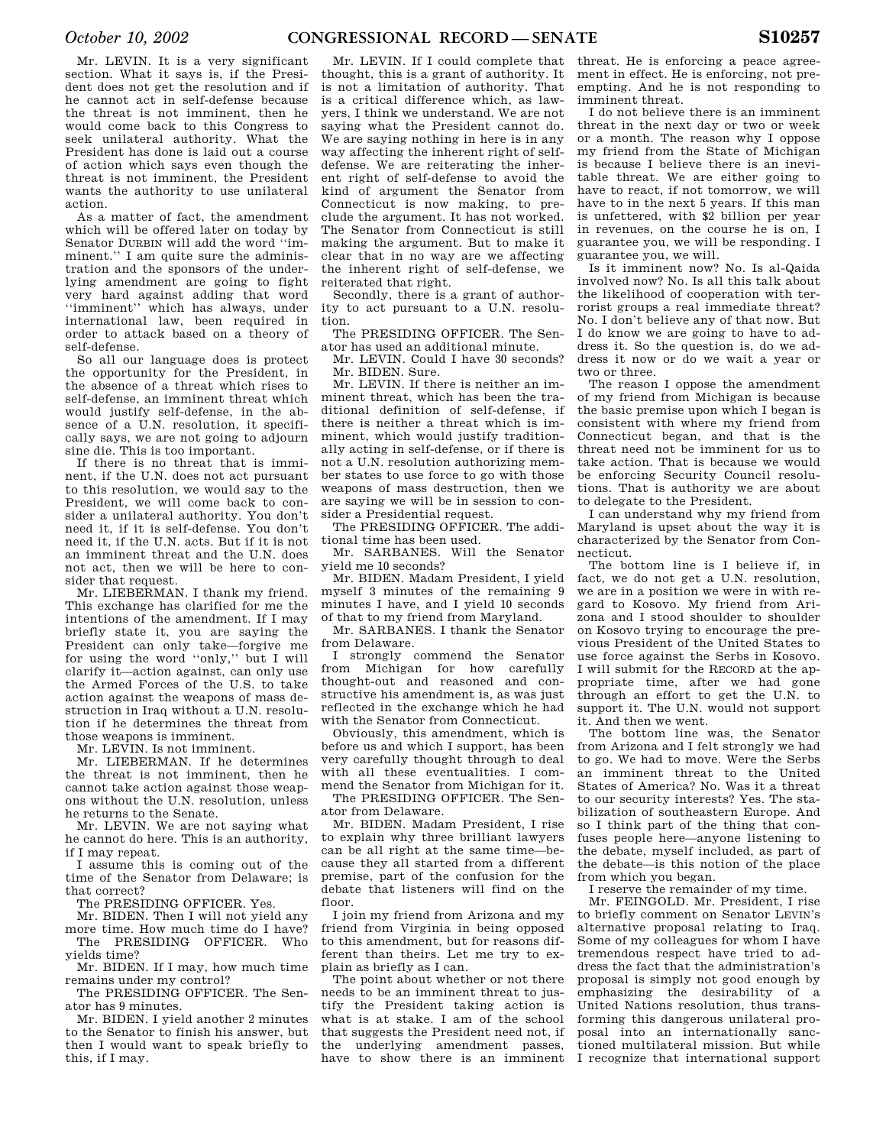Mr. LEVIN. It is a very significant section. What it says is, if the President does not get the resolution and if he cannot act in self-defense because the threat is not imminent, then he would come back to this Congress to seek unilateral authority. What the President has done is laid out a course of action which says even though the threat is not imminent, the President wants the authority to use unilateral action.

As a matter of fact, the amendment which will be offered later on today by Senator DURBIN will add the word ''imminent.'' I am quite sure the administration and the sponsors of the underlying amendment are going to fight very hard against adding that word ''imminent'' which has always, under international law, been required in order to attack based on a theory of self-defense.

So all our language does is protect the opportunity for the President, in the absence of a threat which rises to self-defense, an imminent threat which would justify self-defense, in the absence of a U.N. resolution, it specifically says, we are not going to adjourn sine die. This is too important.

If there is no threat that is imminent, if the U.N. does not act pursuant to this resolution, we would say to the President, we will come back to consider a unilateral authority. You don't need it, if it is self-defense. You don't need it, if the U.N. acts. But if it is not an imminent threat and the U.N. does not act, then we will be here to consider that request.

Mr. LIEBERMAN. I thank my friend. This exchange has clarified for me the intentions of the amendment. If I may briefly state it, you are saying the President can only take—forgive me for using the word ''only,'' but I will clarify it—action against, can only use the Armed Forces of the U.S. to take action against the weapons of mass destruction in Iraq without a U.N. resolution if he determines the threat from those weapons is imminent.

Mr. LEVIN. Is not imminent.

Mr. LIEBERMAN. If he determines the threat is not imminent, then he cannot take action against those weapons without the U.N. resolution, unless he returns to the Senate.

Mr. LEVIN. We are not saying what he cannot do here. This is an authority, if I may repeat.

I assume this is coming out of the time of the Senator from Delaware; is that correct?

The PRESIDING OFFICER. Yes.

Mr. BIDEN. Then I will not yield any more time. How much time do I have? The PRESIDING OFFICER. Who

yields time? Mr. BIDEN. If I may, how much time

remains under my control? The PRESIDING OFFICER. The Senator has 9 minutes.

Mr. BIDEN. I yield another 2 minutes to the Senator to finish his answer, but then I would want to speak briefly to this, if I may.

Mr. LEVIN. If I could complete that thought, this is a grant of authority. It is not a limitation of authority. That is a critical difference which, as lawyers, I think we understand. We are not saying what the President cannot do. We are saying nothing in here is in any way affecting the inherent right of selfdefense. We are reiterating the inherent right of self-defense to avoid the kind of argument the Senator from Connecticut is now making, to preclude the argument. It has not worked. The Senator from Connecticut is still making the argument. But to make it clear that in no way are we affecting the inherent right of self-defense, we reiterated that right.

Secondly, there is a grant of authority to act pursuant to a U.N. resolution.

The PRESIDING OFFICER. The Senator has used an additional minute.

Mr. LEVIN. Could I have 30 seconds? Mr. BIDEN. Sure.

Mr. LEVIN. If there is neither an imminent threat, which has been the traditional definition of self-defense, if there is neither a threat which is imminent, which would justify traditionally acting in self-defense, or if there is not a U.N. resolution authorizing member states to use force to go with those weapons of mass destruction, then we are saying we will be in session to consider a Presidential request.

The PRESIDING OFFICER. The additional time has been used.

Mr. SARBANES. Will the Senator yield me 10 seconds?

Mr. BIDEN. Madam President, I yield myself 3 minutes of the remaining 9 minutes I have, and I yield 10 seconds of that to my friend from Maryland.

Mr. SARBANES. I thank the Senator from Delaware.

I strongly commend the Senator from Michigan for how carefully thought-out and reasoned and constructive his amendment is, as was just reflected in the exchange which he had with the Senator from Connecticut.

Obviously, this amendment, which is before us and which I support, has been very carefully thought through to deal with all these eventualities. I commend the Senator from Michigan for it. The PRESIDING OFFICER. The Sen-

ator from Delaware.

Mr. BIDEN. Madam President, I rise to explain why three brilliant lawyers can be all right at the same time—because they all started from a different premise, part of the confusion for the debate that listeners will find on the floor.

I join my friend from Arizona and my friend from Virginia in being opposed to this amendment, but for reasons different than theirs. Let me try to explain as briefly as I can.

The point about whether or not there needs to be an imminent threat to justify the President taking action is what is at stake. I am of the school that suggests the President need not, if the underlying amendment passes, have to show there is an imminent

threat. He is enforcing a peace agreement in effect. He is enforcing, not preempting. And he is not responding to imminent threat.

I do not believe there is an imminent threat in the next day or two or week or a month. The reason why I oppose my friend from the State of Michigan is because I believe there is an inevitable threat. We are either going to have to react, if not tomorrow, we will have to in the next 5 years. If this man is unfettered, with \$2 billion per year in revenues, on the course he is on, I guarantee you, we will be responding. I guarantee you, we will.

Is it imminent now? No. Is al-Qaida involved now? No. Is all this talk about the likelihood of cooperation with terrorist groups a real immediate threat? No. I don't believe any of that now. But I do know we are going to have to address it. So the question is, do we address it now or do we wait a year or two or three.

The reason I oppose the amendment of my friend from Michigan is because the basic premise upon which I began is consistent with where my friend from Connecticut began, and that is the threat need not be imminent for us to take action. That is because we would be enforcing Security Council resolutions. That is authority we are about to delegate to the President.

I can understand why my friend from Maryland is upset about the way it is characterized by the Senator from Connecticut.

The bottom line is I believe if, in fact, we do not get a U.N. resolution, we are in a position we were in with regard to Kosovo. My friend from Arizona and I stood shoulder to shoulder on Kosovo trying to encourage the previous President of the United States to use force against the Serbs in Kosovo. I will submit for the RECORD at the appropriate time, after we had gone through an effort to get the U.N. to support it. The U.N. would not support it. And then we went.

The bottom line was, the Senator from Arizona and I felt strongly we had to go. We had to move. Were the Serbs an imminent threat to the United States of America? No. Was it a threat to our security interests? Yes. The stabilization of southeastern Europe. And so I think part of the thing that confuses people here—anyone listening to the debate, myself included, as part of the debate—is this notion of the place from which you began.

I reserve the remainder of my time.

Mr. FEINGOLD. Mr. President, I rise to briefly comment on Senator LEVIN's alternative proposal relating to Iraq. Some of my colleagues for whom I have tremendous respect have tried to address the fact that the administration's proposal is simply not good enough by emphasizing the desirability of a United Nations resolution, thus transforming this dangerous unilateral proposal into an internationally sanctioned multilateral mission. But while I recognize that international support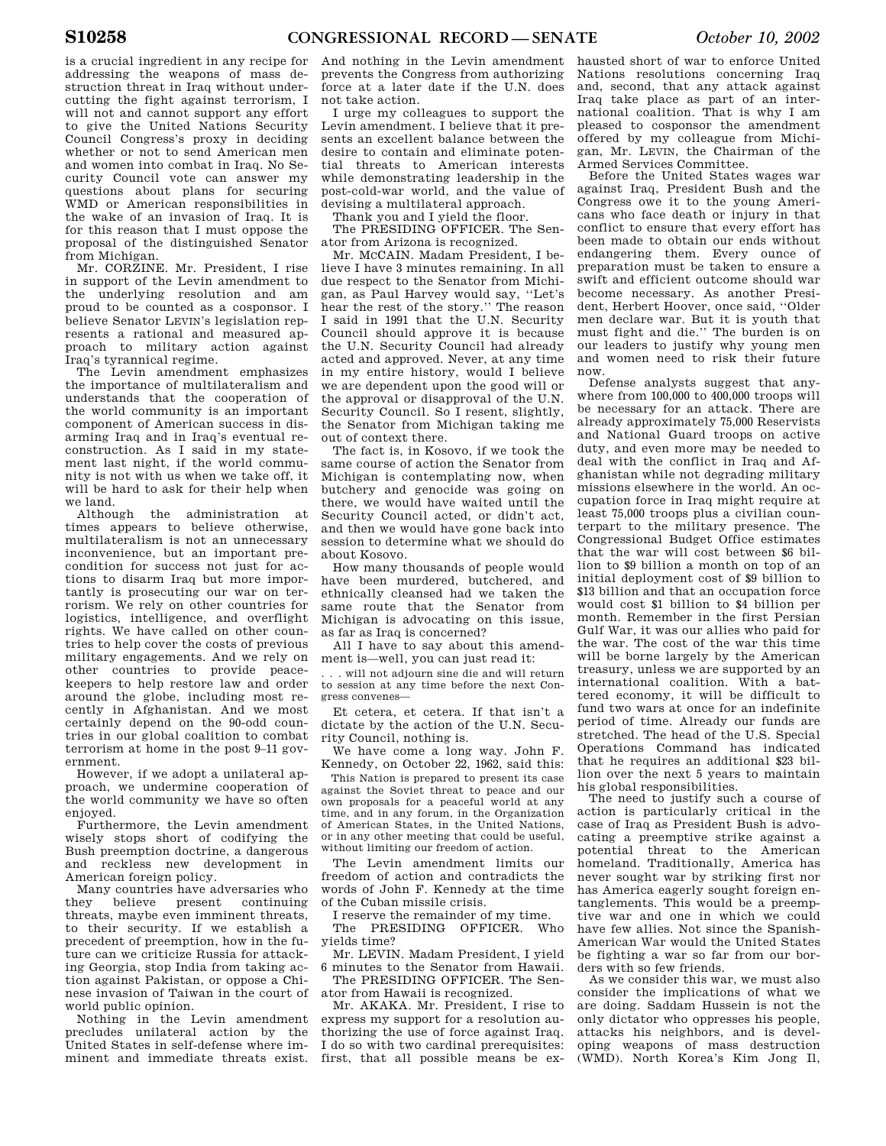is a crucial ingredient in any recipe for addressing the weapons of mass destruction threat in Iraq without undercutting the fight against terrorism, I will not and cannot support any effort to give the United Nations Security Council Congress's proxy in deciding whether or not to send American men and women into combat in Iraq. No Security Council vote can answer my questions about plans for securing WMD or American responsibilities in the wake of an invasion of Iraq. It is for this reason that I must oppose the proposal of the distinguished Senator from Michigan.

Mr. CORZINE. Mr. President, I rise in support of the Levin amendment to the underlying resolution and am proud to be counted as a cosponsor. I believe Senator LEVIN's legislation represents a rational and measured approach to military action against Iraq's tyrannical regime.

The Levin amendment emphasizes the importance of multilateralism and understands that the cooperation of the world community is an important component of American success in disarming Iraq and in Iraq's eventual reconstruction. As I said in my statement last night, if the world community is not with us when we take off, it will be hard to ask for their help when we land.

Although the administration at times appears to believe otherwise, multilateralism is not an unnecessary inconvenience, but an important precondition for success not just for actions to disarm Iraq but more importantly is prosecuting our war on terrorism. We rely on other countries for logistics, intelligence, and overflight rights. We have called on other countries to help cover the costs of previous military engagements. And we rely on other countries to provide peacekeepers to help restore law and order around the globe, including most recently in Afghanistan. And we most certainly depend on the 90-odd countries in our global coalition to combat terrorism at home in the post 9–11 government.

However, if we adopt a unilateral approach, we undermine cooperation of the world community we have so often enjoyed.

Furthermore, the Levin amendment wisely stops short of codifying the Bush preemption doctrine, a dangerous and reckless new development in American foreign policy.

Many countries have adversaries who<br>they believe present continuing believe present continuing threats, maybe even imminent threats, to their security. If we establish a precedent of preemption, how in the future can we criticize Russia for attacking Georgia, stop India from taking action against Pakistan, or oppose a Chinese invasion of Taiwan in the court of world public opinion.

Nothing in the Levin amendment precludes unilateral action by the United States in self-defense where imminent and immediate threats exist.

And nothing in the Levin amendment prevents the Congress from authorizing force at a later date if the U.N. does not take action.

I urge my colleagues to support the Levin amendment. I believe that it presents an excellent balance between the desire to contain and eliminate potential threats to American interests while demonstrating leadership in the post-cold-war world, and the value of devising a multilateral approach.

Thank you and I yield the floor.

The PRESIDING OFFICER. The Senator from Arizona is recognized.

Mr. MCCAIN. Madam President, I believe I have 3 minutes remaining. In all due respect to the Senator from Michigan, as Paul Harvey would say, ''Let's hear the rest of the story.'' The reason I said in 1991 that the U.N. Security Council should approve it is because the U.N. Security Council had already acted and approved. Never, at any time in my entire history, would I believe we are dependent upon the good will or the approval or disapproval of the U.N. Security Council. So I resent, slightly, the Senator from Michigan taking me out of context there.

The fact is, in Kosovo, if we took the same course of action the Senator from Michigan is contemplating now, when butchery and genocide was going on there, we would have waited until the Security Council acted, or didn't act, and then we would have gone back into session to determine what we should do about Kosovo.

How many thousands of people would have been murdered, butchered, and ethnically cleansed had we taken the same route that the Senator from Michigan is advocating on this issue, as far as Iraq is concerned?

All I have to say about this amendment is—well, you can just read it:

. . . will not adjourn sine die and will return to session at any time before the next Congress convenes—

Et cetera, et cetera. If that isn't a dictate by the action of the U.N. Security Council, nothing is.

We have come a long way. John F. Kennedy, on October 22, 1962, said this:

This Nation is prepared to present its case against the Soviet threat to peace and our own proposals for a peaceful world at any time, and in any forum, in the Organization of American States, in the United Nations, or in any other meeting that could be useful, without limiting our freedom of action.

The Levin amendment limits our freedom of action and contradicts the words of John F. Kennedy at the time of the Cuban missile crisis.

I reserve the remainder of my time.

The PRESIDING OFFICER. Who yields time?

Mr. LEVIN. Madam President, I yield 6 minutes to the Senator from Hawaii. The PRESIDING OFFICER. The Sen-

ator from Hawaii is recognized. Mr. AKAKA. Mr. President, I rise to

express my support for a resolution authorizing the use of force against Iraq. I do so with two cardinal prerequisites: first, that all possible means be ex-

hausted short of war to enforce United Nations resolutions concerning Iraq and, second, that any attack against Iraq take place as part of an international coalition. That is why I am pleased to cosponsor the amendment offered by my colleague from Michigan, Mr. LEVIN, the Chairman of the Armed Services Committee.

Before the United States wages war against Iraq, President Bush and the Congress owe it to the young Americans who face death or injury in that conflict to ensure that every effort has been made to obtain our ends without endangering them. Every ounce of preparation must be taken to ensure a swift and efficient outcome should war become necessary. As another President, Herbert Hoover, once said, ''Older men declare war. But it is youth that must fight and die.'' The burden is on our leaders to justify why young men and women need to risk their future now.

Defense analysts suggest that anywhere from 100,000 to 400,000 troops will be necessary for an attack. There are already approximately 75,000 Reservists and National Guard troops on active duty, and even more may be needed to deal with the conflict in Iraq and Afghanistan while not degrading military missions elsewhere in the world. An occupation force in Iraq might require at least 75,000 troops plus a civilian counterpart to the military presence. The Congressional Budget Office estimates that the war will cost between \$6 billion to \$9 billion a month on top of an initial deployment cost of \$9 billion to \$13 billion and that an occupation force would cost \$1 billion to \$4 billion per month. Remember in the first Persian Gulf War, it was our allies who paid for the war. The cost of the war this time will be borne largely by the American treasury, unless we are supported by an international coalition. With a battered economy, it will be difficult to fund two wars at once for an indefinite period of time. Already our funds are stretched. The head of the U.S. Special Operations Command has indicated that he requires an additional \$23 billion over the next 5 years to maintain his global responsibilities.

The need to justify such a course of action is particularly critical in the case of Iraq as President Bush is advocating a preemptive strike against a potential threat to the American homeland. Traditionally, America has never sought war by striking first nor has America eagerly sought foreign entanglements. This would be a preemptive war and one in which we could have few allies. Not since the Spanish-American War would the United States be fighting a war so far from our borders with so few friends.

As we consider this war, we must also consider the implications of what we are doing. Saddam Hussein is not the only dictator who oppresses his people, attacks his neighbors, and is developing weapons of mass destruction (WMD). North Korea's Kim Jong Il,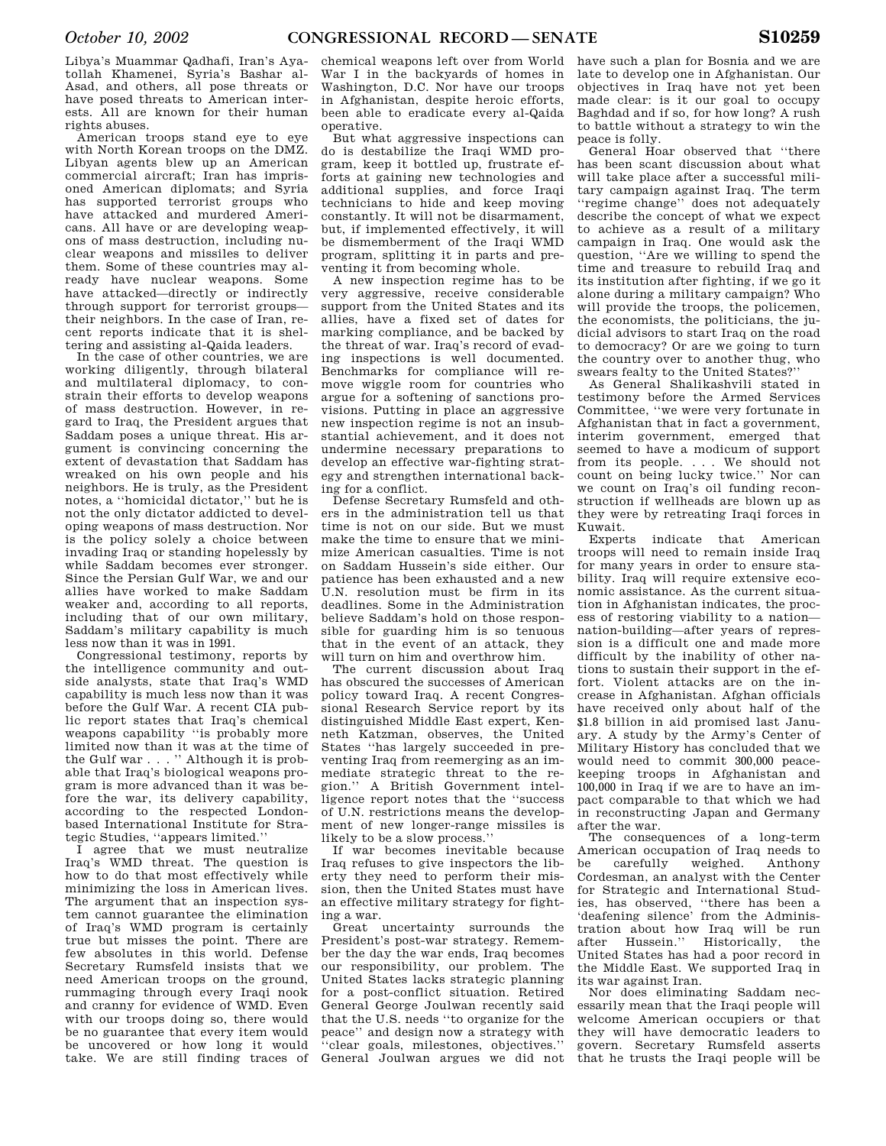Libya's Muammar Qadhafi, Iran's Ayatollah Khamenei, Syria's Bashar al-Asad, and others, all pose threats or have posed threats to American interests. All are known for their human rights abuses.

American troops stand eye to eye with North Korean troops on the DMZ. Libyan agents blew up an American commercial aircraft; Iran has imprisoned American diplomats; and Syria has supported terrorist groups who have attacked and murdered Americans. All have or are developing weapons of mass destruction, including nuclear weapons and missiles to deliver them. Some of these countries may already have nuclear weapons. Some have attacked—directly or indirectly through support for terrorist groups their neighbors. In the case of Iran, recent reports indicate that it is sheltering and assisting al-Qaida leaders.

In the case of other countries, we are working diligently, through bilateral and multilateral diplomacy, to constrain their efforts to develop weapons of mass destruction. However, in regard to Iraq, the President argues that Saddam poses a unique threat. His argument is convincing concerning the extent of devastation that Saddam has wreaked on his own people and his neighbors. He is truly, as the President notes, a ''homicidal dictator,'' but he is not the only dictator addicted to developing weapons of mass destruction. Nor is the policy solely a choice between invading Iraq or standing hopelessly by while Saddam becomes ever stronger. Since the Persian Gulf War, we and our allies have worked to make Saddam weaker and, according to all reports, including that of our own military, Saddam's military capability is much less now than it was in 1991.

Congressional testimony, reports by the intelligence community and outside analysts, state that Iraq's WMD capability is much less now than it was before the Gulf War. A recent CIA public report states that Iraq's chemical weapons capability ''is probably more limited now than it was at the time of the Gulf war . . . '' Although it is probable that Iraq's biological weapons program is more advanced than it was before the war, its delivery capability, according to the respected Londonbased International Institute for Strategic Studies, ''appears limited.''

I agree that we must neutralize Iraq's WMD threat. The question is how to do that most effectively while minimizing the loss in American lives. The argument that an inspection system cannot guarantee the elimination of Iraq's WMD program is certainly true but misses the point. There are few absolutes in this world. Defense Secretary Rumsfeld insists that we need American troops on the ground, rummaging through every Iraqi nook and cranny for evidence of WMD. Even with our troops doing so, there would be no guarantee that every item would be uncovered or how long it would take. We are still finding traces of

chemical weapons left over from World War I in the backyards of homes in Washington, D.C. Nor have our troops in Afghanistan, despite heroic efforts, been able to eradicate every al-Qaida operative.

But what aggressive inspections can do is destabilize the Iraqi WMD program, keep it bottled up, frustrate efforts at gaining new technologies and additional supplies, and force Iraqi technicians to hide and keep moving constantly. It will not be disarmament, but, if implemented effectively, it will be dismemberment of the Iraqi WMD program, splitting it in parts and preventing it from becoming whole.

A new inspection regime has to be very aggressive, receive considerable support from the United States and its allies, have a fixed set of dates for marking compliance, and be backed by the threat of war. Iraq's record of evading inspections is well documented. Benchmarks for compliance will remove wiggle room for countries who argue for a softening of sanctions provisions. Putting in place an aggressive new inspection regime is not an insubstantial achievement, and it does not undermine necessary preparations to develop an effective war-fighting strategy and strengthen international backing for a conflict.

Defense Secretary Rumsfeld and others in the administration tell us that time is not on our side. But we must make the time to ensure that we minimize American casualties. Time is not on Saddam Hussein's side either. Our patience has been exhausted and a new U.N. resolution must be firm in its deadlines. Some in the Administration believe Saddam's hold on those responsible for guarding him is so tenuous that in the event of an attack, they will turn on him and overthrow him.

The current discussion about Iraq has obscured the successes of American policy toward Iraq. A recent Congressional Research Service report by its distinguished Middle East expert, Kenneth Katzman, observes, the United States ''has largely succeeded in preventing Iraq from reemerging as an immediate strategic threat to the region.'' A British Government intelligence report notes that the ''success of U.N. restrictions means the development of new longer-range missiles is likely to be a slow process.''

If war becomes inevitable because Iraq refuses to give inspectors the liberty they need to perform their mission, then the United States must have an effective military strategy for fighting a war.

Great uncertainty surrounds the President's post-war strategy. Remember the day the war ends, Iraq becomes our responsibility, our problem. The United States lacks strategic planning for a post-conflict situation. Retired General George Joulwan recently said that the U.S. needs ''to organize for the peace'' and design now a strategy with ''clear goals, milestones, objectives.'' General Joulwan argues we did not

have such a plan for Bosnia and we are late to develop one in Afghanistan. Our objectives in Iraq have not yet been made clear: is it our goal to occupy Baghdad and if so, for how long? A rush to battle without a strategy to win the peace is folly.

General Hoar observed that ''there has been scant discussion about what will take place after a successful military campaign against Iraq. The term ''regime change'' does not adequately describe the concept of what we expect to achieve as a result of a military campaign in Iraq. One would ask the question, ''Are we willing to spend the time and treasure to rebuild Iraq and its institution after fighting, if we go it alone during a military campaign? Who will provide the troops, the policemen, the economists, the politicians, the judicial advisors to start Iraq on the road to democracy? Or are we going to turn the country over to another thug, who swears fealty to the United States?''

As General Shalikashvili stated in testimony before the Armed Services Committee, ''we were very fortunate in Afghanistan that in fact a government, interim government, emerged that seemed to have a modicum of support from its people. . . . We should not count on being lucky twice.'' Nor can we count on Iraq's oil funding reconstruction if wellheads are blown up as they were by retreating Iraqi forces in Kuwait.

Experts indicate that American troops will need to remain inside Iraq for many years in order to ensure stability. Iraq will require extensive economic assistance. As the current situation in Afghanistan indicates, the process of restoring viability to a nation nation-building—after years of repression is a difficult one and made more difficult by the inability of other nations to sustain their support in the effort. Violent attacks are on the increase in Afghanistan. Afghan officials have received only about half of the \$1.8 billion in aid promised last January. A study by the Army's Center of Military History has concluded that we would need to commit 300,000 peacekeeping troops in Afghanistan and 100,000 in Iraq if we are to have an impact comparable to that which we had in reconstructing Japan and Germany after the war.

The consequences of a long-term American occupation of Iraq needs to be carefully weighed. Anthony Cordesman, an analyst with the Center for Strategic and International Studies, has observed, ''there has been a 'deafening silence' from the Administration about how Iraq will be run after Hussein.'' Historically, the United States has had a poor record in the Middle East. We supported Iraq in its war against Iran.

Nor does eliminating Saddam necessarily mean that the Iraqi people will welcome American occupiers or that they will have democratic leaders to govern. Secretary Rumsfeld asserts that he trusts the Iraqi people will be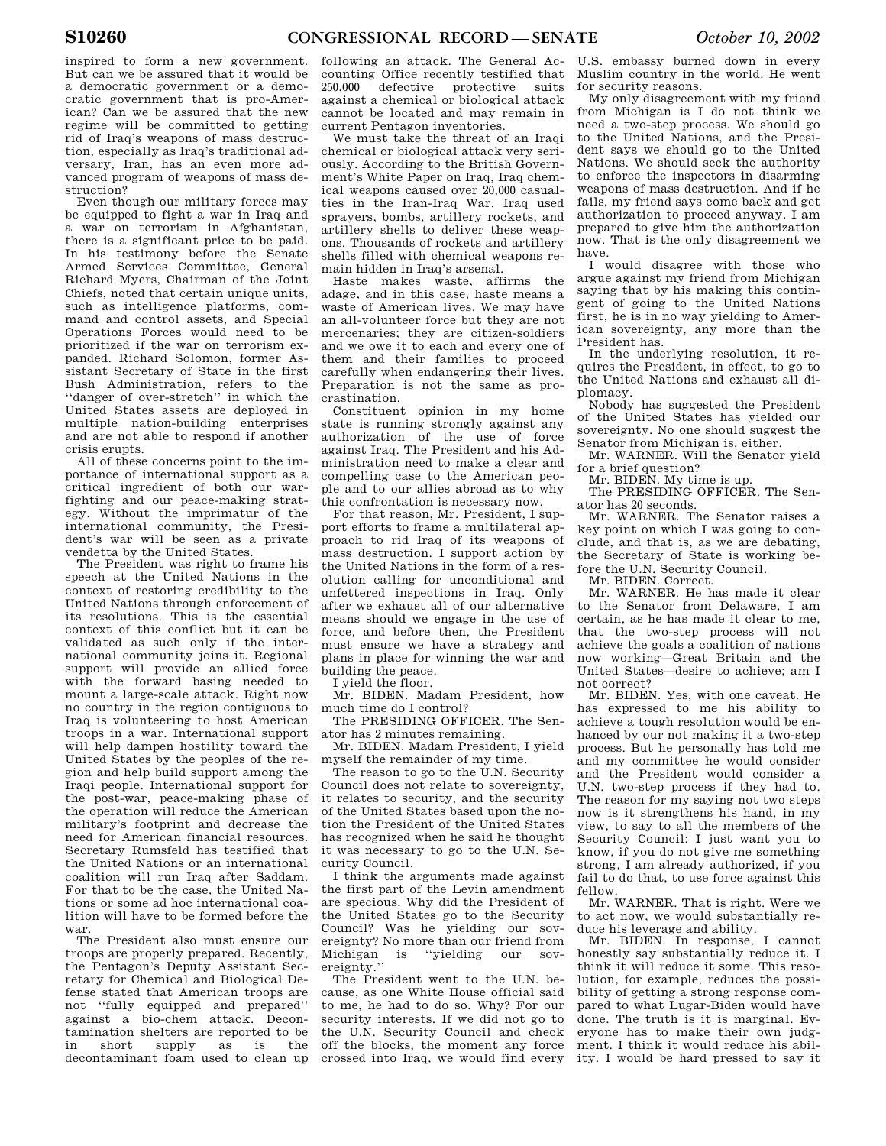inspired to form a new government. But can we be assured that it would be a democratic government or a democratic government that is pro-American? Can we be assured that the new regime will be committed to getting rid of Iraq's weapons of mass destruction, especially as Iraq's traditional adversary, Iran, has an even more advanced program of weapons of mass destruction?

Even though our military forces may be equipped to fight a war in Iraq and a war on terrorism in Afghanistan, there is a significant price to be paid. In his testimony before the Senate Armed Services Committee, General Richard Myers, Chairman of the Joint Chiefs, noted that certain unique units, such as intelligence platforms, command and control assets, and Special Operations Forces would need to be prioritized if the war on terrorism expanded. Richard Solomon, former Assistant Secretary of State in the first Bush Administration, refers to the ''danger of over-stretch'' in which the United States assets are deployed in multiple nation-building enterprises and are not able to respond if another crisis erupts.

All of these concerns point to the importance of international support as a critical ingredient of both our warfighting and our peace-making strategy. Without the imprimatur of the international community, the President's war will be seen as a private vendetta by the United States.

The President was right to frame his speech at the United Nations in the context of restoring credibility to the United Nations through enforcement of its resolutions. This is the essential context of this conflict but it can be validated as such only if the international community joins it. Regional support will provide an allied force with the forward basing needed to mount a large-scale attack. Right now no country in the region contiguous to Iraq is volunteering to host American troops in a war. International support will help dampen hostility toward the United States by the peoples of the region and help build support among the Iraqi people. International support for the post-war, peace-making phase of the operation will reduce the American military's footprint and decrease the need for American financial resources. Secretary Rumsfeld has testified that the United Nations or an international coalition will run Iraq after Saddam. For that to be the case, the United Nations or some ad hoc international coalition will have to be formed before the war.

The President also must ensure our troops are properly prepared. Recently, the Pentagon's Deputy Assistant Secretary for Chemical and Biological Defense stated that American troops are not ''fully equipped and prepared'' against a bio-chem attack. Decontamination shelters are reported to be in short supply as is the decontaminant foam used to clean up

following an attack. The General Accounting Office recently testified that 250,000 defective protective suits against a chemical or biological attack cannot be located and may remain in current Pentagon inventories.

We must take the threat of an Iraqi chemical or biological attack very seriously. According to the British Government's White Paper on Iraq, Iraq chemical weapons caused over 20,000 casualties in the Iran-Iraq War. Iraq used sprayers, bombs, artillery rockets, and artillery shells to deliver these weapons. Thousands of rockets and artillery shells filled with chemical weapons remain hidden in Iraq's arsenal.

Haste makes waste, affirms the adage, and in this case, haste means a waste of American lives. We may have an all-volunteer force but they are not mercenaries; they are citizen-soldiers and we owe it to each and every one of them and their families to proceed carefully when endangering their lives. Preparation is not the same as procrastination.

Constituent opinion in my home state is running strongly against any authorization of the use of force against Iraq. The President and his Administration need to make a clear and compelling case to the American people and to our allies abroad as to why this confrontation is necessary now.

For that reason, Mr. President, I support efforts to frame a multilateral approach to rid Iraq of its weapons of mass destruction. I support action by the United Nations in the form of a resolution calling for unconditional and unfettered inspections in Iraq. Only after we exhaust all of our alternative means should we engage in the use of force, and before then, the President must ensure we have a strategy and plans in place for winning the war and building the peace.

I yield the floor.

Mr. BIDEN. Madam President, how much time do I control?

The PRESIDING OFFICER. The Senator has 2 minutes remaining.

Mr. BIDEN. Madam President, I yield myself the remainder of my time.

The reason to go to the U.N. Security Council does not relate to sovereignty, it relates to security, and the security of the United States based upon the notion the President of the United States has recognized when he said he thought it was necessary to go to the U.N. Security Council.

I think the arguments made against the first part of the Levin amendment are specious. Why did the President of the United States go to the Security Council? Was he yielding our sovereignty? No more than our friend from Michigan is ''yielding our sovereignty.''

The President went to the U.N. because, as one White House official said to me, he had to do so. Why? For our security interests. If we did not go to the U.N. Security Council and check off the blocks, the moment any force crossed into Iraq, we would find every

U.S. embassy burned down in every Muslim country in the world. He went for security reasons.

My only disagreement with my friend from Michigan is I do not think we need a two-step process. We should go to the United Nations, and the President says we should go to the United Nations. We should seek the authority to enforce the inspectors in disarming weapons of mass destruction. And if he fails, my friend says come back and get authorization to proceed anyway. I am prepared to give him the authorization now. That is the only disagreement we have.

I would disagree with those who argue against my friend from Michigan saying that by his making this contingent of going to the United Nations first, he is in no way yielding to American sovereignty, any more than the President has.

In the underlying resolution, it requires the President, in effect, to go to the United Nations and exhaust all diplomacy.

Nobody has suggested the President of the United States has yielded our sovereignty. No one should suggest the Senator from Michigan is, either.

Mr. WARNER. Will the Senator yield for a brief question?

Mr. BIDEN. My time is up.

The PRESIDING OFFICER. The Senator has 20 seconds.

Mr. WARNER. The Senator raises a key point on which I was going to conclude, and that is, as we are debating, the Secretary of State is working before the U.N. Security Council.

Mr. BIDEN. Correct.

Mr. WARNER. He has made it clear to the Senator from Delaware, I am certain, as he has made it clear to me, that the two-step process will not achieve the goals a coalition of nations now working—Great Britain and the United States—desire to achieve; am I not correct?

Mr. BIDEN. Yes, with one caveat. He has expressed to me his ability to achieve a tough resolution would be enhanced by our not making it a two-step process. But he personally has told me and my committee he would consider and the President would consider a U.N. two-step process if they had to. The reason for my saying not two steps now is it strengthens his hand, in my view, to say to all the members of the Security Council: I just want you to know, if you do not give me something strong, I am already authorized, if you fail to do that, to use force against this fellow.

Mr. WARNER. That is right. Were we to act now, we would substantially reduce his leverage and ability.

Mr. BIDEN. In response, I cannot honestly say substantially reduce it. I think it will reduce it some. This resolution, for example, reduces the possibility of getting a strong response compared to what Lugar-Biden would have done. The truth is it is marginal. Everyone has to make their own judgment. I think it would reduce his ability. I would be hard pressed to say it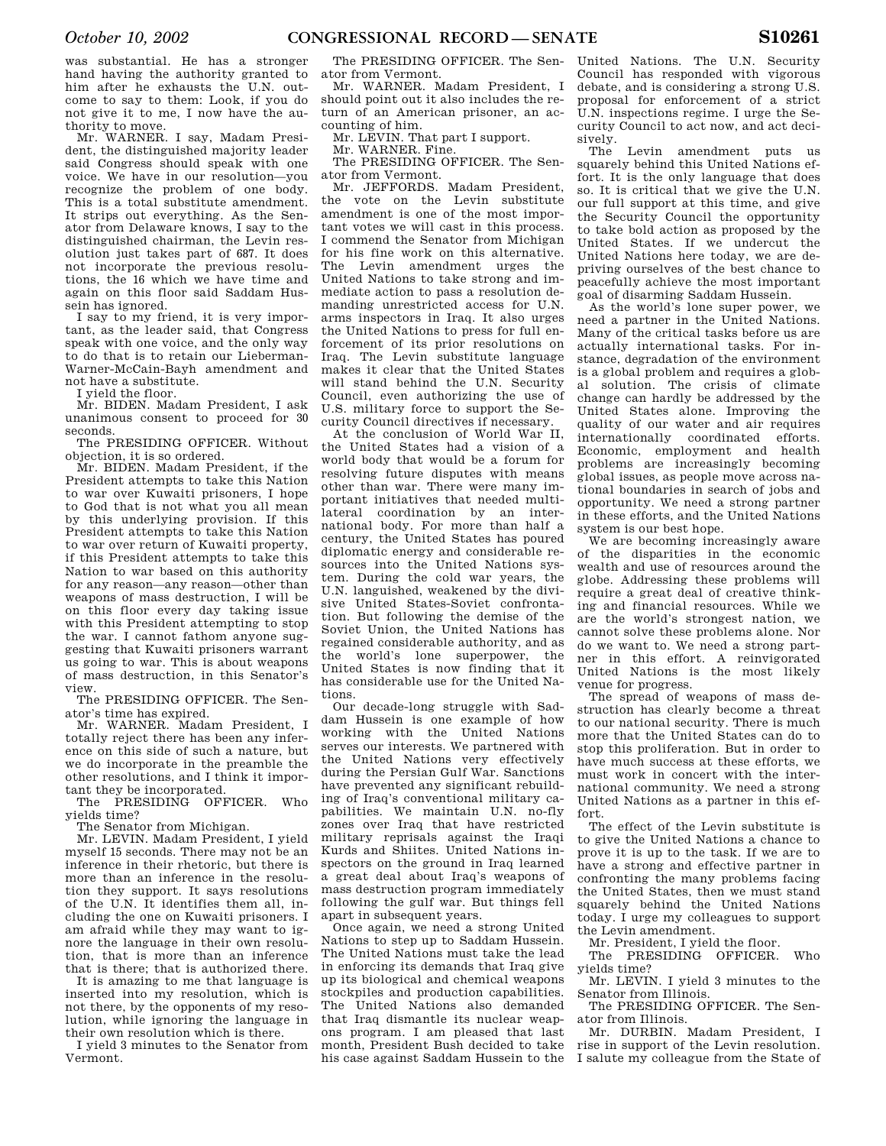was substantial. He has a stronger hand having the authority granted to him after he exhausts the U.N. outcome to say to them: Look, if you do not give it to me, I now have the authority to move.

Mr. WARNER. I say, Madam President, the distinguished majority leader said Congress should speak with one voice. We have in our resolution—you recognize the problem of one body. This is a total substitute amendment. It strips out everything. As the Senator from Delaware knows, I say to the distinguished chairman, the Levin resolution just takes part of 687. It does not incorporate the previous resolutions, the 16 which we have time and again on this floor said Saddam Hussein has ignored.

I say to my friend, it is very important, as the leader said, that Congress speak with one voice, and the only way to do that is to retain our Lieberman-Warner-McCain-Bayh amendment and not have a substitute.

I yield the floor.

Mr. BIDEN. Madam President, I ask unanimous consent to proceed for 30 seconds.

The PRESIDING OFFICER. Without objection, it is so ordered.

Mr. BIDEN. Madam President, if the President attempts to take this Nation to war over Kuwaiti prisoners, I hope to God that is not what you all mean by this underlying provision. If this President attempts to take this Nation to war over return of Kuwaiti property, if this President attempts to take this Nation to war based on this authority for any reason—any reason—other than weapons of mass destruction, I will be on this floor every day taking issue with this President attempting to stop the war. I cannot fathom anyone suggesting that Kuwaiti prisoners warrant us going to war. This is about weapons of mass destruction, in this Senator's view.

The PRESIDING OFFICER. The Senator's time has expired.

Mr. WARNER. Madam President, I totally reject there has been any inference on this side of such a nature, but we do incorporate in the preamble the other resolutions, and I think it important they be incorporated.

The PRESIDING OFFICER. Who yields time?

The Senator from Michigan.

Mr. LEVIN. Madam President, I yield myself 15 seconds. There may not be an inference in their rhetoric, but there is more than an inference in the resolution they support. It says resolutions of the U.N. It identifies them all, including the one on Kuwaiti prisoners. I am afraid while they may want to ignore the language in their own resolution, that is more than an inference that is there; that is authorized there.

It is amazing to me that language is inserted into my resolution, which is not there, by the opponents of my resolution, while ignoring the language in their own resolution which is there.

I yield 3 minutes to the Senator from Vermont.

The PRESIDING OFFICER. The Senator from Vermont.

Mr. WARNER. Madam President, I should point out it also includes the return of an American prisoner, an accounting of him.

Mr. LEVIN. That part I support.

Mr. WARNER. Fine.

The PRESIDING OFFICER. The Senator from Vermont.

Mr. JEFFORDS. Madam President, the vote on the Levin substitute amendment is one of the most important votes we will cast in this process. I commend the Senator from Michigan for his fine work on this alternative. The Levin amendment urges the United Nations to take strong and immediate action to pass a resolution demanding unrestricted access for U.N. arms inspectors in Iraq. It also urges the United Nations to press for full enforcement of its prior resolutions on Iraq. The Levin substitute language makes it clear that the United States will stand behind the U.N. Security Council, even authorizing the use of U.S. military force to support the Security Council directives if necessary.

At the conclusion of World War II, the United States had a vision of a world body that would be a forum for resolving future disputes with means other than war. There were many important initiatives that needed multilateral coordination by an international body. For more than half a century, the United States has poured diplomatic energy and considerable resources into the United Nations system. During the cold war years, the U.N. languished, weakened by the divisive United States-Soviet confrontation. But following the demise of the Soviet Union, the United Nations has regained considerable authority, and as the world's lone superpower, the United States is now finding that it has considerable use for the United Nations.

Our decade-long struggle with Saddam Hussein is one example of how working with the United Nations serves our interests. We partnered with the United Nations very effectively during the Persian Gulf War. Sanctions have prevented any significant rebuilding of Iraq's conventional military capabilities. We maintain U.N. no-fly zones over Iraq that have restricted military reprisals against the Iraqi Kurds and Shiites. United Nations inspectors on the ground in Iraq learned a great deal about Iraq's weapons of mass destruction program immediately following the gulf war. But things fell apart in subsequent years.

Once again, we need a strong United Nations to step up to Saddam Hussein. The United Nations must take the lead in enforcing its demands that Iraq give up its biological and chemical weapons stockpiles and production capabilities. The United Nations also demanded that Iraq dismantle its nuclear weapons program. I am pleased that last month, President Bush decided to take his case against Saddam Hussein to the

United Nations. The U.N. Security Council has responded with vigorous debate, and is considering a strong U.S. proposal for enforcement of a strict U.N. inspections regime. I urge the Security Council to act now, and act decisively.

The Levin amendment puts us squarely behind this United Nations effort. It is the only language that does so. It is critical that we give the U.N. our full support at this time, and give the Security Council the opportunity to take bold action as proposed by the United States. If we undercut the United Nations here today, we are depriving ourselves of the best chance to peacefully achieve the most important goal of disarming Saddam Hussein.

As the world's lone super power, we need a partner in the United Nations. Many of the critical tasks before us are actually international tasks. For instance, degradation of the environment is a global problem and requires a global solution. The crisis of climate change can hardly be addressed by the United States alone. Improving the quality of our water and air requires internationally coordinated efforts. Economic, employment and health problems are increasingly becoming global issues, as people move across national boundaries in search of jobs and opportunity. We need a strong partner in these efforts, and the United Nations system is our best hope.

We are becoming increasingly aware of the disparities in the economic wealth and use of resources around the globe. Addressing these problems will require a great deal of creative thinking and financial resources. While we are the world's strongest nation, we cannot solve these problems alone. Nor do we want to. We need a strong partner in this effort. A reinvigorated United Nations is the most likely venue for progress.

The spread of weapons of mass destruction has clearly become a threat to our national security. There is much more that the United States can do to stop this proliferation. But in order to have much success at these efforts, we must work in concert with the international community. We need a strong United Nations as a partner in this effort.

The effect of the Levin substitute is to give the United Nations a chance to prove it is up to the task. If we are to have a strong and effective partner in confronting the many problems facing the United States, then we must stand squarely behind the United Nations today. I urge my colleagues to support the Levin amendment.

Mr. President, I yield the floor.

The PRESIDING OFFICER. Who yields time?

Mr. LEVIN. I yield 3 minutes to the Senator from Illinois.

The PRESIDING OFFICER. The Senator from Illinois.

Mr. DURBIN. Madam President, I rise in support of the Levin resolution. I salute my colleague from the State of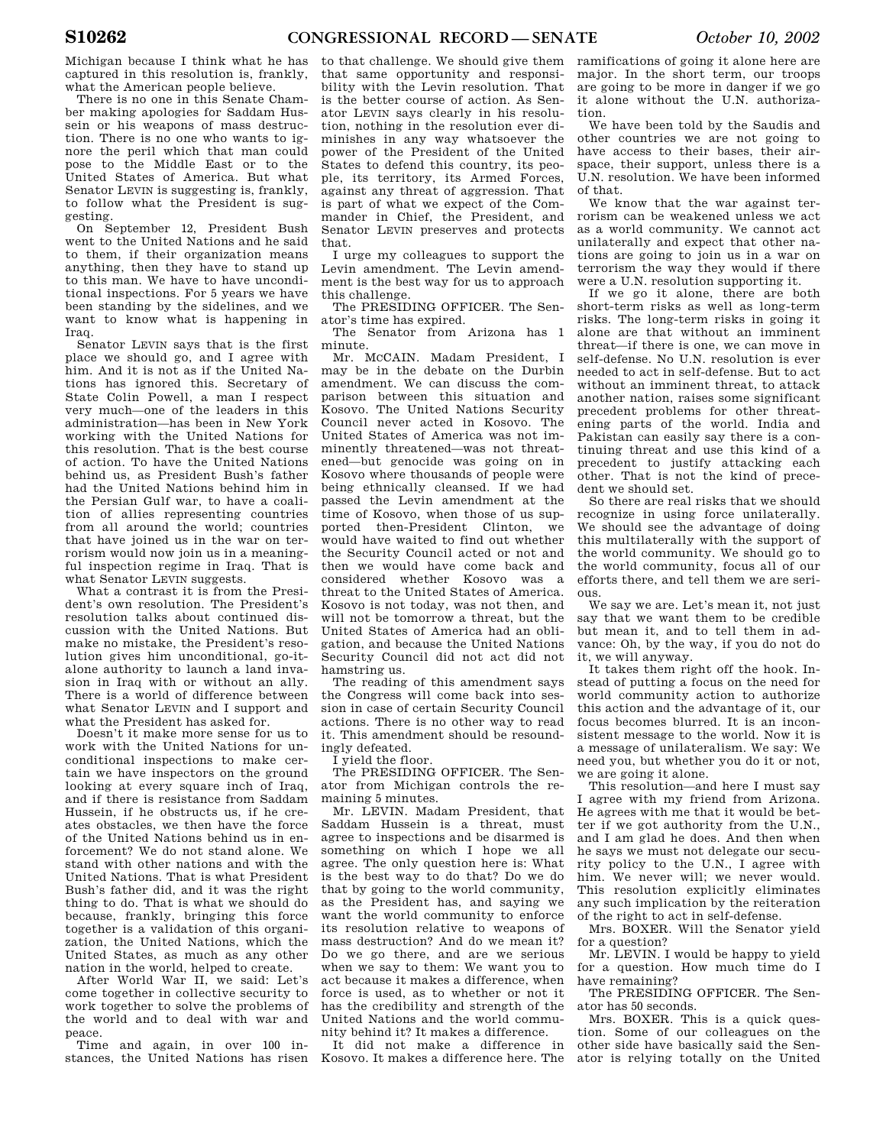Michigan because I think what he has captured in this resolution is, frankly, what the American people believe.

There is no one in this Senate Chamber making apologies for Saddam Hussein or his weapons of mass destruction. There is no one who wants to ignore the peril which that man could pose to the Middle East or to the United States of America. But what Senator LEVIN is suggesting is, frankly, to follow what the President is suggesting.

On September 12, President Bush went to the United Nations and he said to them, if their organization means anything, then they have to stand up to this man. We have to have unconditional inspections. For 5 years we have been standing by the sidelines, and we want to know what is happening in Iraq.

Senator LEVIN says that is the first place we should go, and I agree with him. And it is not as if the United Nations has ignored this. Secretary of State Colin Powell, a man I respect very much—one of the leaders in this administration—has been in New York working with the United Nations for this resolution. That is the best course of action. To have the United Nations behind us, as President Bush's father had the United Nations behind him in the Persian Gulf war, to have a coalition of allies representing countries from all around the world; countries that have joined us in the war on terrorism would now join us in a meaningful inspection regime in Iraq. That is what Senator LEVIN suggests.

What a contrast it is from the President's own resolution. The President's resolution talks about continued discussion with the United Nations. But make no mistake, the President's resolution gives him unconditional, go-italone authority to launch a land invasion in Iraq with or without an ally. There is a world of difference between what Senator LEVIN and I support and what the President has asked for.

Doesn't it make more sense for us to work with the United Nations for unconditional inspections to make certain we have inspectors on the ground looking at every square inch of Iraq, and if there is resistance from Saddam Hussein, if he obstructs us, if he creates obstacles, we then have the force of the United Nations behind us in enforcement? We do not stand alone. We stand with other nations and with the United Nations. That is what President Bush's father did, and it was the right thing to do. That is what we should do because, frankly, bringing this force together is a validation of this organization, the United Nations, which the United States, as much as any other nation in the world, helped to create.

After World War II, we said: Let's come together in collective security to work together to solve the problems of the world and to deal with war and peace.

Time and again, in over 100 instances, the United Nations has risen

to that challenge. We should give them that same opportunity and responsibility with the Levin resolution. That is the better course of action. As Senator LEVIN says clearly in his resolution, nothing in the resolution ever diminishes in any way whatsoever the power of the President of the United States to defend this country, its people, its territory, its Armed Forces, against any threat of aggression. That is part of what we expect of the Commander in Chief, the President, and Senator LEVIN preserves and protects that.

I urge my colleagues to support the Levin amendment. The Levin amendment is the best way for us to approach this challenge.

The PRESIDING OFFICER. The Senator's time has expired.

The Senator from Arizona has 1 minute.

Mr. MCCAIN. Madam President, I may be in the debate on the Durbin amendment. We can discuss the comparison between this situation and Kosovo. The United Nations Security Council never acted in Kosovo. The United States of America was not imminently threatened—was not threatened—but genocide was going on in Kosovo where thousands of people were being ethnically cleansed. If we had passed the Levin amendment at the time of Kosovo, when those of us supported then-President Clinton, we would have waited to find out whether the Security Council acted or not and then we would have come back and considered whether Kosovo was a threat to the United States of America. Kosovo is not today, was not then, and will not be tomorrow a threat, but the United States of America had an obligation, and because the United Nations Security Council did not act did not hamstring us.

The reading of this amendment says the Congress will come back into session in case of certain Security Council actions. There is no other way to read it. This amendment should be resoundingly defeated.

I yield the floor.

The PRESIDING OFFICER. The Senator from Michigan controls the remaining 5 minutes.

Mr. LEVIN. Madam President, that Saddam Hussein is a threat, must agree to inspections and be disarmed is something on which I hope we all agree. The only question here is: What is the best way to do that? Do we do that by going to the world community, as the President has, and saying we want the world community to enforce its resolution relative to weapons of mass destruction? And do we mean it? Do we go there, and are we serious when we say to them: We want you to act because it makes a difference, when force is used, as to whether or not it has the credibility and strength of the United Nations and the world community behind it? It makes a difference.

It did not make a difference in Kosovo. It makes a difference here. The

ramifications of going it alone here are major. In the short term, our troops are going to be more in danger if we go it alone without the U.N. authorization.

We have been told by the Saudis and other countries we are not going to have access to their bases, their airspace, their support, unless there is a U.N. resolution. We have been informed of that.

We know that the war against terrorism can be weakened unless we act as a world community. We cannot act unilaterally and expect that other nations are going to join us in a war on terrorism the way they would if there were a U.N. resolution supporting it.

If we go it alone, there are both short-term risks as well as long-term risks. The long-term risks in going it alone are that without an imminent threat—if there is one, we can move in self-defense. No U.N. resolution is ever needed to act in self-defense. But to act without an imminent threat, to attack another nation, raises some significant precedent problems for other threatening parts of the world. India and Pakistan can easily say there is a continuing threat and use this kind of a precedent to justify attacking each other. That is not the kind of precedent we should set.

So there are real risks that we should recognize in using force unilaterally. We should see the advantage of doing this multilaterally with the support of the world community. We should go to the world community, focus all of our efforts there, and tell them we are serious.

We say we are. Let's mean it, not just say that we want them to be credible but mean it, and to tell them in advance: Oh, by the way, if you do not do it, we will anyway.

It takes them right off the hook. Instead of putting a focus on the need for world community action to authorize this action and the advantage of it, our focus becomes blurred. It is an inconsistent message to the world. Now it is a message of unilateralism. We say: We need you, but whether you do it or not, we are going it alone.

This resolution—and here I must say I agree with my friend from Arizona. He agrees with me that it would be better if we got authority from the U.N., and I am glad he does. And then when he says we must not delegate our security policy to the U.N., I agree with him. We never will; we never would. This resolution explicitly eliminates any such implication by the reiteration of the right to act in self-defense.

Mrs. BOXER. Will the Senator yield for a question?

Mr. LEVIN. I would be happy to yield for a question. How much time do I have remaining?

The PRESIDING OFFICER. The Senator has 50 seconds.

Mrs. BOXER. This is a quick question. Some of our colleagues on the other side have basically said the Senator is relying totally on the United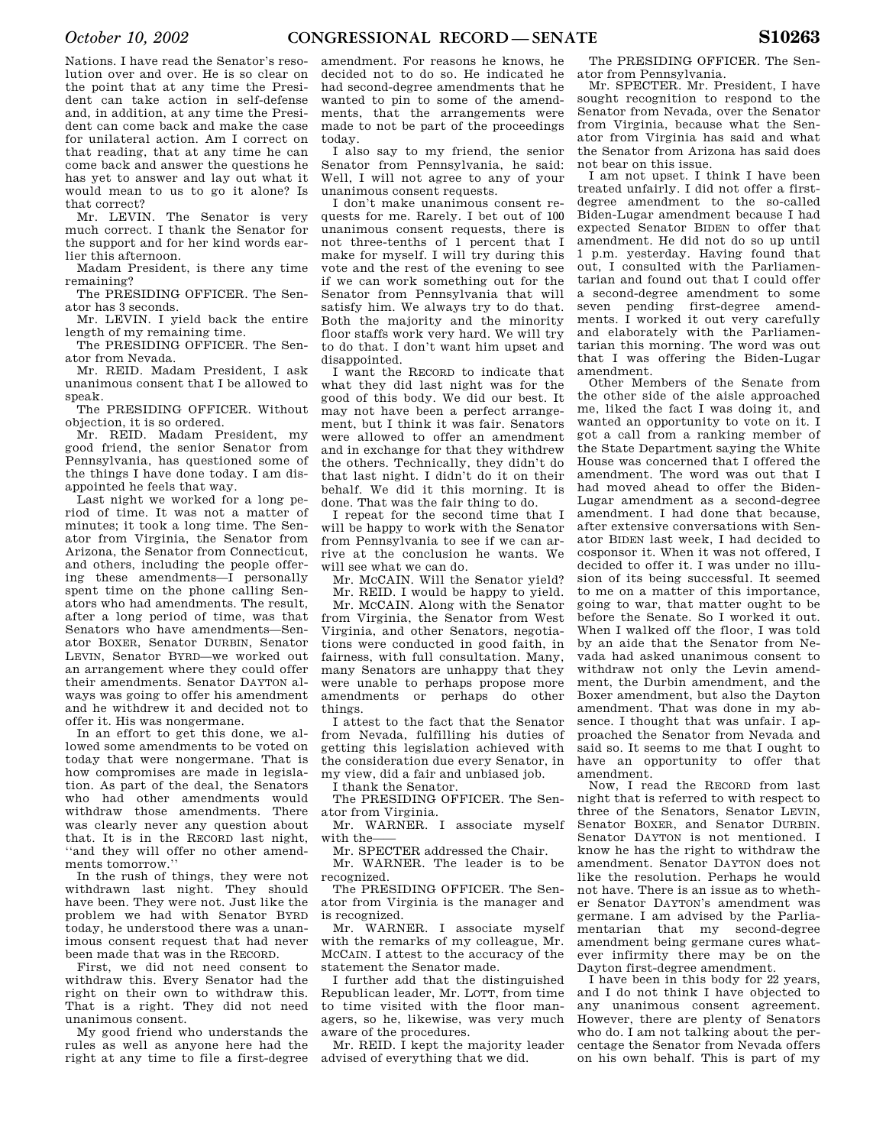Nations. I have read the Senator's resolution over and over. He is so clear on the point that at any time the President can take action in self-defense and, in addition, at any time the President can come back and make the case for unilateral action. Am I correct on that reading, that at any time he can come back and answer the questions he has yet to answer and lay out what it would mean to us to go it alone? Is that correct?

Mr. LEVIN. The Senator is very much correct. I thank the Senator for the support and for her kind words earlier this afternoon.

Madam President, is there any time remaining?

The PRESIDING OFFICER. The Senator has 3 seconds.

Mr. LEVIN. I yield back the entire length of my remaining time.

The PRESIDING OFFICER. The Senator from Nevada.

Mr. REID. Madam President, I ask unanimous consent that I be allowed to speak.

The PRESIDING OFFICER. Without objection, it is so ordered.

Mr. REID. Madam President, my good friend, the senior Senator from Pennsylvania, has questioned some of the things I have done today. I am disappointed he feels that way.

Last night we worked for a long period of time. It was not a matter of minutes; it took a long time. The Senator from Virginia, the Senator from Arizona, the Senator from Connecticut, and others, including the people offering these amendments—I personally spent time on the phone calling Senators who had amendments. The result, after a long period of time, was that Senators who have amendments—Senator BOXER, Senator DURBIN, Senator LEVIN, Senator BYRD—we worked out an arrangement where they could offer their amendments. Senator DAYTON always was going to offer his amendment and he withdrew it and decided not to offer it. His was nongermane.

In an effort to get this done, we allowed some amendments to be voted on today that were nongermane. That is how compromises are made in legislation. As part of the deal, the Senators who had other amendments would withdraw those amendments. There was clearly never any question about that. It is in the RECORD last night, ''and they will offer no other amendments tomorrow.''

In the rush of things, they were not withdrawn last night. They should have been. They were not. Just like the problem we had with Senator BYRD today, he understood there was a unanimous consent request that had never been made that was in the RECORD.

First, we did not need consent to withdraw this. Every Senator had the right on their own to withdraw this. That is a right. They did not need unanimous consent.

My good friend who understands the rules as well as anyone here had the right at any time to file a first-degree

amendment. For reasons he knows, he decided not to do so. He indicated he had second-degree amendments that he wanted to pin to some of the amendments, that the arrangements were made to not be part of the proceedings today.

I also say to my friend, the senior Senator from Pennsylvania, he said: Well, I will not agree to any of your unanimous consent requests.

I don't make unanimous consent requests for me. Rarely. I bet out of 100 unanimous consent requests, there is not three-tenths of 1 percent that I make for myself. I will try during this vote and the rest of the evening to see if we can work something out for the Senator from Pennsylvania that will satisfy him. We always try to do that. Both the majority and the minority floor staffs work very hard. We will try to do that. I don't want him upset and disappointed.

I want the RECORD to indicate that what they did last night was for the good of this body. We did our best. It may not have been a perfect arrangement, but I think it was fair. Senators were allowed to offer an amendment and in exchange for that they withdrew the others. Technically, they didn't do that last night. I didn't do it on their behalf. We did it this morning. It is done. That was the fair thing to do.

I repeat for the second time that I will be happy to work with the Senator from Pennsylvania to see if we can arrive at the conclusion he wants. We will see what we can do.

Mr. MCCAIN. Will the Senator yield?

Mr. REID. I would be happy to yield. Mr. MCCAIN. Along with the Senator from Virginia, the Senator from West Virginia, and other Senators, negotiations were conducted in good faith, in fairness, with full consultation. Many, many Senators are unhappy that they were unable to perhaps propose more amendments or perhaps do other things.

I attest to the fact that the Senator from Nevada, fulfilling his duties of getting this legislation achieved with the consideration due every Senator, in my view, did a fair and unbiased job.

I thank the Senator.

The PRESIDING OFFICER. The Senator from Virginia.

Mr. WARNER. I associate myself with the—

Mr. SPECTER addressed the Chair.

Mr. WARNER. The leader is to be recognized.

The PRESIDING OFFICER. The Senator from Virginia is the manager and is recognized.

Mr. WARNER. I associate myself with the remarks of my colleague, Mr. MCCAIN. I attest to the accuracy of the statement the Senator made.

I further add that the distinguished Republican leader, Mr. LOTT, from time to time visited with the floor managers, so he, likewise, was very much aware of the procedures.

Mr. REID. I kept the majority leader advised of everything that we did.

The PRESIDING OFFICER. The Senator from Pennsylvania.

Mr. SPECTER. Mr. President, I have sought recognition to respond to the Senator from Nevada, over the Senator from Virginia, because what the Senator from Virginia has said and what the Senator from Arizona has said does not bear on this issue.

I am not upset. I think I have been treated unfairly. I did not offer a firstdegree amendment to the so-called Biden-Lugar amendment because I had expected Senator BIDEN to offer that amendment. He did not do so up until 1 p.m. yesterday. Having found that out, I consulted with the Parliamentarian and found out that I could offer a second-degree amendment to some seven pending first-degree amendments. I worked it out very carefully and elaborately with the Parliamentarian this morning. The word was out that I was offering the Biden-Lugar amendment.

Other Members of the Senate from the other side of the aisle approached me, liked the fact I was doing it, and wanted an opportunity to vote on it. I got a call from a ranking member of the State Department saying the White House was concerned that I offered the amendment. The word was out that I had moved ahead to offer the Biden-Lugar amendment as a second-degree amendment. I had done that because, after extensive conversations with Senator BIDEN last week, I had decided to cosponsor it. When it was not offered, I decided to offer it. I was under no illusion of its being successful. It seemed to me on a matter of this importance, going to war, that matter ought to be before the Senate. So I worked it out. When I walked off the floor, I was told by an aide that the Senator from Nevada had asked unanimous consent to withdraw not only the Levin amendment, the Durbin amendment, and the Boxer amendment, but also the Dayton amendment. That was done in my absence. I thought that was unfair. I approached the Senator from Nevada and said so. It seems to me that I ought to have an opportunity to offer that amendment.

Now, I read the RECORD from last night that is referred to with respect to three of the Senators, Senator LEVIN, Senator BOXER, and Senator DURBIN. Senator DAYTON is not mentioned. I know he has the right to withdraw the amendment. Senator DAYTON does not like the resolution. Perhaps he would not have. There is an issue as to whether Senator DAYTON's amendment was germane. I am advised by the Parliamentarian that my second-degree amendment being germane cures whatever infirmity there may be on the Dayton first-degree amendment.

I have been in this body for 22 years, and I do not think I have objected to any unanimous consent agreement. However, there are plenty of Senators who do. I am not talking about the percentage the Senator from Nevada offers on his own behalf. This is part of my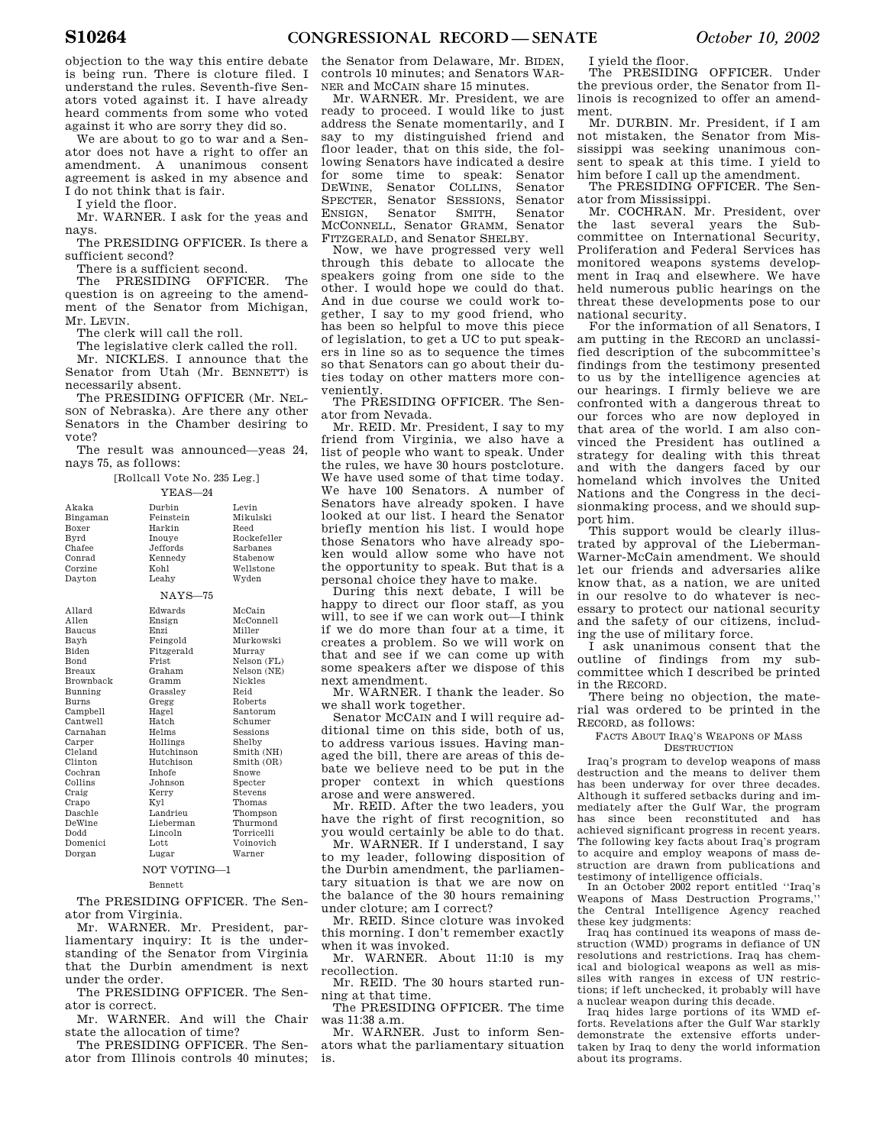objection to the way this entire debate is being run. There is cloture filed. I understand the rules. Seventh-five Senators voted against it. I have already heard comments from some who voted against it who are sorry they did so.

We are about to go to war and a Senator does not have a right to offer an amendment. A unanimous consent agreement is asked in my absence and I do not think that is fair.

I yield the floor.

Mr. WARNER. I ask for the yeas and nays.

The PRESIDING OFFICER. Is there a sufficient second?

There is a sufficient second.

The PRESIDING OFFICER. The question is on agreeing to the amendment of the Senator from Michigan, Mr. LEVIN.

The clerk will call the roll.

The legislative clerk called the roll. Mr. NICKLES. I announce that the Senator from Utah (Mr. BENNETT) is necessarily absent.

The PRESIDING OFFICER (Mr. NEL-SON of Nebraska). Are there any other Senators in the Chamber desiring to vote?

The result was announced—yeas 24, nays 75, as follows:

[Rollcall Vote No. 235 Leg.]

#### YEAS—24

| Akaka<br>Bingaman<br>Boxer<br>Byrd<br>Chafee<br>Conrad<br>Corzine<br>Dayton                                                                                                                                                                                    | Durbin<br>Feinstein<br>Harkin<br>Inouye<br>Jeffords.<br>Kennedy<br>Kohl<br>Leahy                                                                                                                                               | Levin<br>Mikulski<br>Reed<br>Rockefeller<br>Sarbanes<br>Stabenow<br>Wellstone<br>Wyden                                                                                                                                                         |
|----------------------------------------------------------------------------------------------------------------------------------------------------------------------------------------------------------------------------------------------------------------|--------------------------------------------------------------------------------------------------------------------------------------------------------------------------------------------------------------------------------|------------------------------------------------------------------------------------------------------------------------------------------------------------------------------------------------------------------------------------------------|
|                                                                                                                                                                                                                                                                | $NAYS-75$                                                                                                                                                                                                                      |                                                                                                                                                                                                                                                |
| Allard<br>Allen<br><b>Baucus</b><br>Bayh<br><b>Biden</b><br><b>Bond</b><br><b>Breaux</b><br><b>Brownback</b><br>Bunning<br><b>Burns</b><br>Campbell<br>Cantwell<br>Carnahan<br>Carper<br>Cleland<br>Clinton<br>Cochran<br>Collins<br>Craig<br>Crapo<br>Daschle | Edwards<br>Ensign<br>Enzi<br>Feingold<br>Fitzgerald<br>Frist<br>Graham<br>Gramm<br>Grasslev<br>Gregg<br>Hagel<br>Hatch<br>Helms<br>Hollings<br>Hutchinson<br>Hutchison<br><b>Inhofe</b><br>Johnson<br>Kerry<br>Kvl<br>Landrieu | McCain<br>McConnell<br>Miller<br>Murkowski<br>Murray<br>Nelson (FL)<br>Nelson (NE)<br>Nickles<br>Reid<br>Roberts<br>Santorum<br>Schumer<br>Sessions<br>Shelby<br>Smith (NH)<br>Smith (OR)<br>Snowe<br>Specter<br>Stevens<br>Thomas<br>Thompson |
| DeWine                                                                                                                                                                                                                                                         | Lieberman                                                                                                                                                                                                                      | Thurmond                                                                                                                                                                                                                                       |
| Dodd                                                                                                                                                                                                                                                           | Lincoln                                                                                                                                                                                                                        | Torricelli                                                                                                                                                                                                                                     |
| Domenici                                                                                                                                                                                                                                                       | Lott                                                                                                                                                                                                                           | Voinovich                                                                                                                                                                                                                                      |
| Dorgan                                                                                                                                                                                                                                                         | Lugar                                                                                                                                                                                                                          | Warner                                                                                                                                                                                                                                         |
| NOT VOTING-1                                                                                                                                                                                                                                                   |                                                                                                                                                                                                                                |                                                                                                                                                                                                                                                |

Bennett

The PRESIDING OFFICER. The Senator from Virginia.

Mr. WARNER. Mr. President, parliamentary inquiry: It is the understanding of the Senator from Virginia that the Durbin amendment is next under the order.

The PRESIDING OFFICER. The Senator is correct.

Mr. WARNER. And will the Chair state the allocation of time?

The PRESIDING OFFICER. The Senator from Illinois controls 40 minutes; is.

the Senator from Delaware, Mr. BIDEN, controls 10 minutes; and Senators WAR-NER and MCCAIN share 15 minutes.

Mr. WARNER. Mr. President, we are ready to proceed. I would like to just address the Senate momentarily, and I say to my distinguished friend and floor leader, that on this side, the following Senators have indicated a desire for some time to speak: Senator DEWINE, Senator COLLINS, SPECTER, Senator SESSIONS, Senator ENSIGN, Senator MCCONNELL, Senator GRAMM, Senator FITZGERALD, and Senator SHELBY.

Now, we have progressed very well through this debate to allocate the speakers going from one side to the other. I would hope we could do that. And in due course we could work together, I say to my good friend, who has been so helpful to move this piece of legislation, to get a UC to put speakers in line so as to sequence the times so that Senators can go about their duties today on other matters more conveniently.

The PRESIDING OFFICER. The Senator from Nevada.

Mr. REID. Mr. President, I say to my friend from Virginia, we also have a list of people who want to speak. Under the rules, we have 30 hours postcloture. We have used some of that time today. We have 100 Senators. A number of Senators have already spoken. I have looked at our list. I heard the Senator briefly mention his list. I would hope those Senators who have already spoken would allow some who have not the opportunity to speak. But that is a personal choice they have to make.

During this next debate, I will be happy to direct our floor staff, as you will, to see if we can work out—I think if we do more than four at a time, it creates a problem. So we will work on that and see if we can come up with some speakers after we dispose of this next amendment.

Mr. WARNER. I thank the leader. So we shall work together.

Senator MCCAIN and I will require additional time on this side, both of us, to address various issues. Having managed the bill, there are areas of this debate we believe need to be put in the proper context in which questions arose and were answered.

Mr. REID. After the two leaders, you have the right of first recognition, so you would certainly be able to do that.

Mr. WARNER. If I understand, I say to my leader, following disposition of the Durbin amendment, the parliamentary situation is that we are now on the balance of the 30 hours remaining under cloture; am I correct?

Mr. REID. Since cloture was invoked this morning. I don't remember exactly when it was invoked.

Mr. WARNER. About 11:10 is my recollection.

Mr. REID. The 30 hours started running at that time.

The PRESIDING OFFICER. The time was 11:38 a.m.

Mr. WARNER. Just to inform Senators what the parliamentary situation

I yield the floor. The PRESIDING OFFICER. Under

the previous order, the Senator from Illinois is recognized to offer an amendment.

Mr. DURBIN. Mr. President, if I am not mistaken, the Senator from Mississippi was seeking unanimous consent to speak at this time. I yield to him before I call up the amendment.

The PRESIDING OFFICER. The Senator from Mississippi.

Mr. COCHRAN. Mr. President, over the last several years the Subcommittee on International Security, Proliferation and Federal Services has monitored weapons systems development in Iraq and elsewhere. We have held numerous public hearings on the threat these developments pose to our national security.

For the information of all Senators, I am putting in the RECORD an unclassified description of the subcommittee's findings from the testimony presented to us by the intelligence agencies at our hearings. I firmly believe we are confronted with a dangerous threat to our forces who are now deployed in that area of the world. I am also convinced the President has outlined a strategy for dealing with this threat and with the dangers faced by our homeland which involves the United Nations and the Congress in the decisionmaking process, and we should support him.

This support would be clearly illustrated by approval of the Lieberman-Warner-McCain amendment. We should let our friends and adversaries alike know that, as a nation, we are united in our resolve to do whatever is necessary to protect our national security and the safety of our citizens, including the use of military force.

I ask unanimous consent that the outline of findings from my subcommittee which I described be printed in the RECORD.

There being no objection, the material was ordered to be printed in the RECORD, as follows:

#### FACTS ABOUT IRAQ'S WEAPONS OF MASS DESTRUCTION

Iraq's program to develop weapons of mass destruction and the means to deliver them has been underway for over three decades. Although it suffered setbacks during and immediately after the Gulf War, the program has since been reconstituted and has achieved significant progress in recent years. The following key facts about Iraq's program to acquire and employ weapons of mass destruction are drawn from publications and testimony of intelligence officials.

In an October 2002 report entitled ''Iraq's Weapons of Mass Destruction Programs, the Central Intelligence Agency reached these key judgments:

Iraq has continued its weapons of mass destruction (WMD) programs in defiance of UN resolutions and restrictions. Iraq has chemical and biological weapons as well as missiles with ranges in excess of UN restrictions; if left unchecked, it probably will have a nuclear weapon during this decade.

Iraq hides large portions of its WMD efforts. Revelations after the Gulf War starkly demonstrate the extensive efforts undertaken by Iraq to deny the world information about its programs.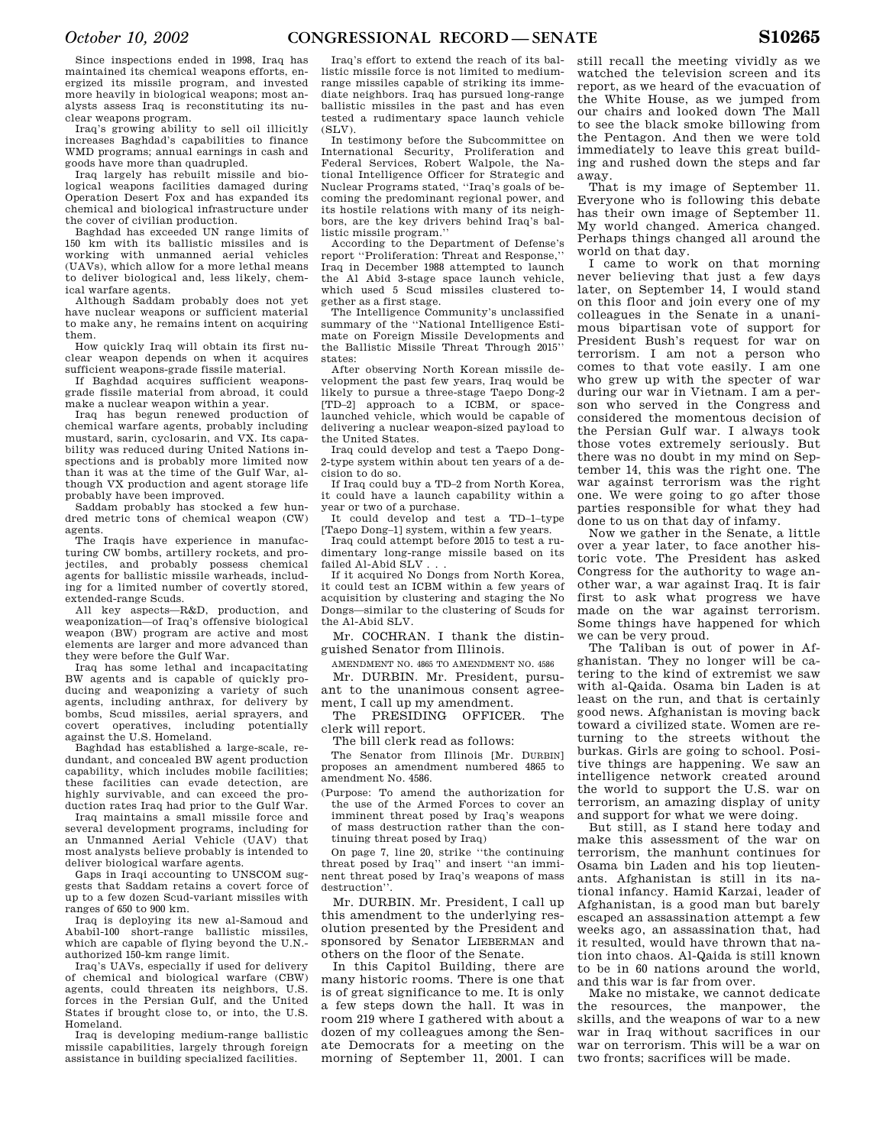maintained its chemical weapons efforts, energized its missile program, and invested more heavily in biological weapons; most analysts assess Iraq is reconstituting its nuclear weapons program.

Iraq's growing ability to sell oil illicitly increases Baghdad's capabilities to finance WMD programs; annual earnings in cash and goods have more than quadrupled.

Iraq largely has rebuilt missile and biological weapons facilities damaged during Operation Desert Fox and has expanded its chemical and biological infrastructure under the cover of civilian production.

Baghdad has exceeded UN range limits of 150 km with its ballistic missiles and is working with unmanned aerial vehicles (UAVs), which allow for a more lethal means to deliver biological and, less likely, chemical warfare agents.

Although Saddam probably does not yet have nuclear weapons or sufficient material to make any, he remains intent on acquiring them.

How quickly Iraq will obtain its first nuclear weapon depends on when it acquires sufficient weapons-grade fissile material.

If Baghdad acquires sufficient weaponsgrade fissile material from abroad, it could make a nuclear weapon within a year.

Iraq has begun renewed production of chemical warfare agents, probably including mustard, sarin, cyclosarin, and VX. Its capability was reduced during United Nations inspections and is probably more limited now than it was at the time of the Gulf War, although VX production and agent storage life probably have been improved.

Saddam probably has stocked a few hundred metric tons of chemical weapon (CW) agents.

The Iraqis have experience in manufacturing CW bombs, artillery rockets, and projectiles, and probably possess chemical agents for ballistic missile warheads, including for a limited number of covertly stored, extended-range Scuds.

All key aspects—R&D, production, and weaponization—of Iraq's offensive biological weapon (BW) program are active and most elements are larger and more advanced than they were before the Gulf War.

Iraq has some lethal and incapacitating BW agents and is capable of quickly producing and weaponizing a variety of such agents, including anthrax, for delivery by bombs, Scud missiles, aerial sprayers, and covert operatives, including potentially against the U.S. Homeland.

Baghdad has established a large-scale, redundant, and concealed BW agent production capability, which includes mobile facilities; these facilities can evade detection, are highly survivable, and can exceed the production rates Iraq had prior to the Gulf War.

Iraq maintains a small missile force and several development programs, including for an Unmanned Aerial Vehicle (UAV) that most analysts believe probably is intended to deliver biological warfare agents.

Gaps in Iraqi accounting to UNSCOM suggests that Saddam retains a covert force of up to a few dozen Scud-variant missiles with ranges of 650 to 900 km.

Iraq is deploying its new al-Samoud and Ababil-100 short-range ballistic missiles, which are capable of flying beyond the U.N. authorized 150-km range limit.

Iraq's UAVs, especially if used for delivery of chemical and biological warfare (CBW) agents, could threaten its neighbors, U.S. forces in the Persian Gulf, and the United States if brought close to, or into, the U.S. Homeland.

Iraq is developing medium-range ballistic missile capabilities, largely through foreign assistance in building specialized facilities.

Iraq's effort to extend the reach of its ballistic missile force is not limited to mediumrange missiles capable of striking its immediate neighbors. Iraq has pursued long-range ballistic missiles in the past and has even tested a rudimentary space launch vehicle (SLV).

In testimony before the Subcommittee on International Security, Proliferation and Federal Services, Robert Walpole, the National Intelligence Officer for Strategic and Nuclear Programs stated, ''Iraq's goals of becoming the predominant regional power, and its hostile relations with many of its neighbors, are the key drivers behind Iraq's ballistic missile program.''

According to the Department of Defense's report ''Proliferation: Threat and Response,'' Iraq in December 1988 attempted to launch the Al Abid 3-stage space launch vehicle, which used 5 Scud missiles clustered together as a first stage.

The Intelligence Community's unclassified summary of the ''National Intelligence Estimate on Foreign Missile Developments and the Ballistic Missile Threat Through 2015'' states:

After observing North Korean missile development the past few years, Iraq would be likely to pursue a three-stage Taepo Dong-2 [TD–2] approach to a ICBM, or spacelaunched vehicle, which would be capable of delivering a nuclear weapon-sized payload to the United States.

Iraq could develop and test a Taepo Dong-2-type system within about ten years of a decision to do so.

If Iraq could buy a TD–2 from North Korea, it could have a launch capability within a year or two of a purchase.

It could develop and test a TD–1–type [Taepo Dong–1] system, within a few years.

Iraq could attempt before 2015 to test a rudimentary long-range missile based on its failed Al-Abid SLV

If it acquired No Dongs from North Korea, it could test an ICBM within a few years of acquisition by clustering and staging the No Dongs—similar to the clustering of Scuds for the Al-Abid SLV.

Mr. COCHRAN. I thank the distinguished Senator from Illinois.

AMENDMENT NO. 4865 TO AMENDMENT NO. 4586

Mr. DURBIN. Mr. President, pursuant to the unanimous consent agreement, I call up my amendment.

The PRESIDING OFFICER. The clerk will report.

The bill clerk read as follows:

The Senator from Illinois [Mr. DURBIN] proposes an amendment numbered 4865 to amendment No. 4586.

(Purpose: To amend the authorization for the use of the Armed Forces to cover an imminent threat posed by Iraq's weapons of mass destruction rather than the continuing threat posed by Iraq)

On page 7, line 20, strike ''the continuing threat posed by Iraq'' and insert ''an imminent threat posed by Iraq's weapons of mass destruction''.

Mr. DURBIN. Mr. President, I call up this amendment to the underlying resolution presented by the President and sponsored by Senator LIEBERMAN and others on the floor of the Senate.

In this Capitol Building, there are many historic rooms. There is one that is of great significance to me. It is only a few steps down the hall. It was in room 219 where I gathered with about a dozen of my colleagues among the Senate Democrats for a meeting on the morning of September 11, 2001. I can

still recall the meeting vividly as we watched the television screen and its report, as we heard of the evacuation of the White House, as we jumped from our chairs and looked down The Mall to see the black smoke billowing from the Pentagon. And then we were told immediately to leave this great building and rushed down the steps and far away.

That is my image of September 11. Everyone who is following this debate has their own image of September 11. My world changed. America changed. Perhaps things changed all around the world on that day.

I came to work on that morning never believing that just a few days later, on September 14, I would stand on this floor and join every one of my colleagues in the Senate in a unanimous bipartisan vote of support for President Bush's request for war on terrorism. I am not a person who comes to that vote easily. I am one who grew up with the specter of war during our war in Vietnam. I am a person who served in the Congress and considered the momentous decision of the Persian Gulf war. I always took those votes extremely seriously. But there was no doubt in my mind on September 14, this was the right one. The war against terrorism was the right one. We were going to go after those parties responsible for what they had done to us on that day of infamy.

Now we gather in the Senate, a little over a year later, to face another historic vote. The President has asked Congress for the authority to wage another war, a war against Iraq. It is fair first to ask what progress we have made on the war against terrorism. Some things have happened for which we can be very proud.

The Taliban is out of power in Afghanistan. They no longer will be catering to the kind of extremist we saw with al-Qaida. Osama bin Laden is at least on the run, and that is certainly good news. Afghanistan is moving back toward a civilized state. Women are returning to the streets without the burkas. Girls are going to school. Positive things are happening. We saw an intelligence network created around the world to support the U.S. war on terrorism, an amazing display of unity and support for what we were doing.

But still, as I stand here today and make this assessment of the war on terrorism, the manhunt continues for Osama bin Laden and his top lieutenants. Afghanistan is still in its national infancy. Hamid Karzai, leader of Afghanistan, is a good man but barely escaped an assassination attempt a few weeks ago, an assassination that, had it resulted, would have thrown that nation into chaos. Al-Qaida is still known to be in 60 nations around the world, and this war is far from over.

Make no mistake, we cannot dedicate the resources, the manpower, the skills, and the weapons of war to a new war in Iraq without sacrifices in our war on terrorism. This will be a war on two fronts; sacrifices will be made.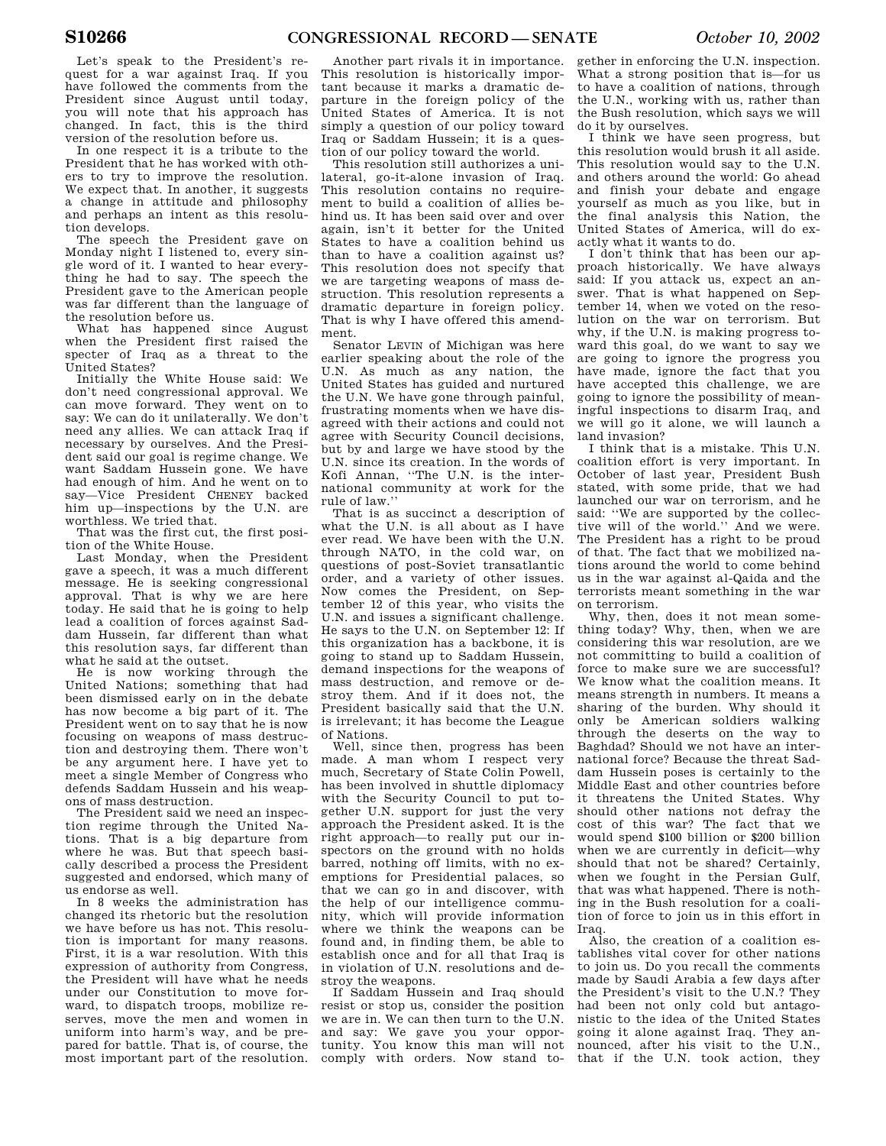Let's speak to the President's request for a war against Iraq. If you have followed the comments from the President since August until today, you will note that his approach has changed. In fact, this is the third version of the resolution before us.

In one respect it is a tribute to the President that he has worked with others to try to improve the resolution. We expect that. In another, it suggests a change in attitude and philosophy and perhaps an intent as this resolution develops.

The speech the President gave on Monday night I listened to, every single word of it. I wanted to hear everything he had to say. The speech the President gave to the American people was far different than the language of the resolution before us.

What has happened since August when the President first raised the specter of Iraq as a threat to the United States?

Initially the White House said: We don't need congressional approval. We can move forward. They went on to say: We can do it unilaterally. We don't need any allies. We can attack Iraq if necessary by ourselves. And the President said our goal is regime change. We want Saddam Hussein gone. We have had enough of him. And he went on to say—Vice President CHENEY backed him up—inspections by the U.N. are worthless. We tried that.

That was the first cut, the first position of the White House.

Last Monday, when the President gave a speech, it was a much different message. He is seeking congressional approval. That is why we are here today. He said that he is going to help lead a coalition of forces against Saddam Hussein, far different than what this resolution says, far different than what he said at the outset.

He is now working through the United Nations; something that had been dismissed early on in the debate has now become a big part of it. The President went on to say that he is now focusing on weapons of mass destruction and destroying them. There won't be any argument here. I have yet to meet a single Member of Congress who defends Saddam Hussein and his weapons of mass destruction.

The President said we need an inspection regime through the United Nations. That is a big departure from where he was. But that speech basically described a process the President suggested and endorsed, which many of us endorse as well.

In 8 weeks the administration has changed its rhetoric but the resolution we have before us has not. This resolution is important for many reasons. First, it is a war resolution. With this expression of authority from Congress, the President will have what he needs under our Constitution to move forward, to dispatch troops, mobilize reserves, move the men and women in uniform into harm's way, and be prepared for battle. That is, of course, the most important part of the resolution.

Another part rivals it in importance. This resolution is historically important because it marks a dramatic departure in the foreign policy of the United States of America. It is not simply a question of our policy toward Iraq or Saddam Hussein; it is a question of our policy toward the world.

This resolution still authorizes a unilateral, go-it-alone invasion of Iraq. This resolution contains no requirement to build a coalition of allies behind us. It has been said over and over again, isn't it better for the United States to have a coalition behind us than to have a coalition against us? This resolution does not specify that we are targeting weapons of mass destruction. This resolution represents a dramatic departure in foreign policy. That is why I have offered this amendment.

Senator LEVIN of Michigan was here earlier speaking about the role of the U.N. As much as any nation, the United States has guided and nurtured the U.N. We have gone through painful, frustrating moments when we have disagreed with their actions and could not agree with Security Council decisions, but by and large we have stood by the U.N. since its creation. In the words of Kofi Annan, ''The U.N. is the international community at work for the rule of law.''

That is as succinct a description of what the U.N. is all about as I have ever read. We have been with the U.N. through NATO, in the cold war, on questions of post-Soviet transatlantic order, and a variety of other issues. Now comes the President, on September 12 of this year, who visits the U.N. and issues a significant challenge. He says to the U.N. on September 12: If this organization has a backbone, it is going to stand up to Saddam Hussein, demand inspections for the weapons of mass destruction, and remove or destroy them. And if it does not, the President basically said that the U.N. is irrelevant; it has become the League of Nations.

Well, since then, progress has been made. A man whom I respect very much, Secretary of State Colin Powell, has been involved in shuttle diplomacy with the Security Council to put together U.N. support for just the very approach the President asked. It is the right approach—to really put our inspectors on the ground with no holds barred, nothing off limits, with no exemptions for Presidential palaces, so that we can go in and discover, with the help of our intelligence community, which will provide information where we think the weapons can be found and, in finding them, be able to establish once and for all that Iraq is in violation of U.N. resolutions and destroy the weapons.

If Saddam Hussein and Iraq should resist or stop us, consider the position we are in. We can then turn to the U.N. and say: We gave you your opportunity. You know this man will not comply with orders. Now stand to-

gether in enforcing the U.N. inspection. What a strong position that is—for us to have a coalition of nations, through the U.N., working with us, rather than the Bush resolution, which says we will do it by ourselves.

I think we have seen progress, but this resolution would brush it all aside. This resolution would say to the U.N. and others around the world: Go ahead and finish your debate and engage yourself as much as you like, but in the final analysis this Nation, the United States of America, will do exactly what it wants to do.

I don't think that has been our approach historically. We have always said: If you attack us, expect an answer. That is what happened on September 14, when we voted on the resolution on the war on terrorism. But why, if the U.N. is making progress toward this goal, do we want to say we are going to ignore the progress you have made, ignore the fact that you have accepted this challenge, we are going to ignore the possibility of meaningful inspections to disarm Iraq, and we will go it alone, we will launch a land invasion?

I think that is a mistake. This U.N. coalition effort is very important. In October of last year, President Bush stated, with some pride, that we had launched our war on terrorism, and he said: ''We are supported by the collective will of the world.'' And we were. The President has a right to be proud of that. The fact that we mobilized nations around the world to come behind us in the war against al-Qaida and the terrorists meant something in the war on terrorism.

Why, then, does it not mean something today? Why, then, when we are considering this war resolution, are we not committing to build a coalition of force to make sure we are successful? We know what the coalition means. It means strength in numbers. It means a sharing of the burden. Why should it only be American soldiers walking through the deserts on the way to Baghdad? Should we not have an international force? Because the threat Saddam Hussein poses is certainly to the Middle East and other countries before it threatens the United States. Why should other nations not defray the cost of this war? The fact that we would spend \$100 billion or \$200 billion when we are currently in deficit—why should that not be shared? Certainly, when we fought in the Persian Gulf, that was what happened. There is nothing in the Bush resolution for a coalition of force to join us in this effort in Iraq.

Also, the creation of a coalition establishes vital cover for other nations to join us. Do you recall the comments made by Saudi Arabia a few days after the President's visit to the U.N.? They had been not only cold but antagonistic to the idea of the United States going it alone against Iraq. They announced, after his visit to the U.N., that if the U.N. took action, they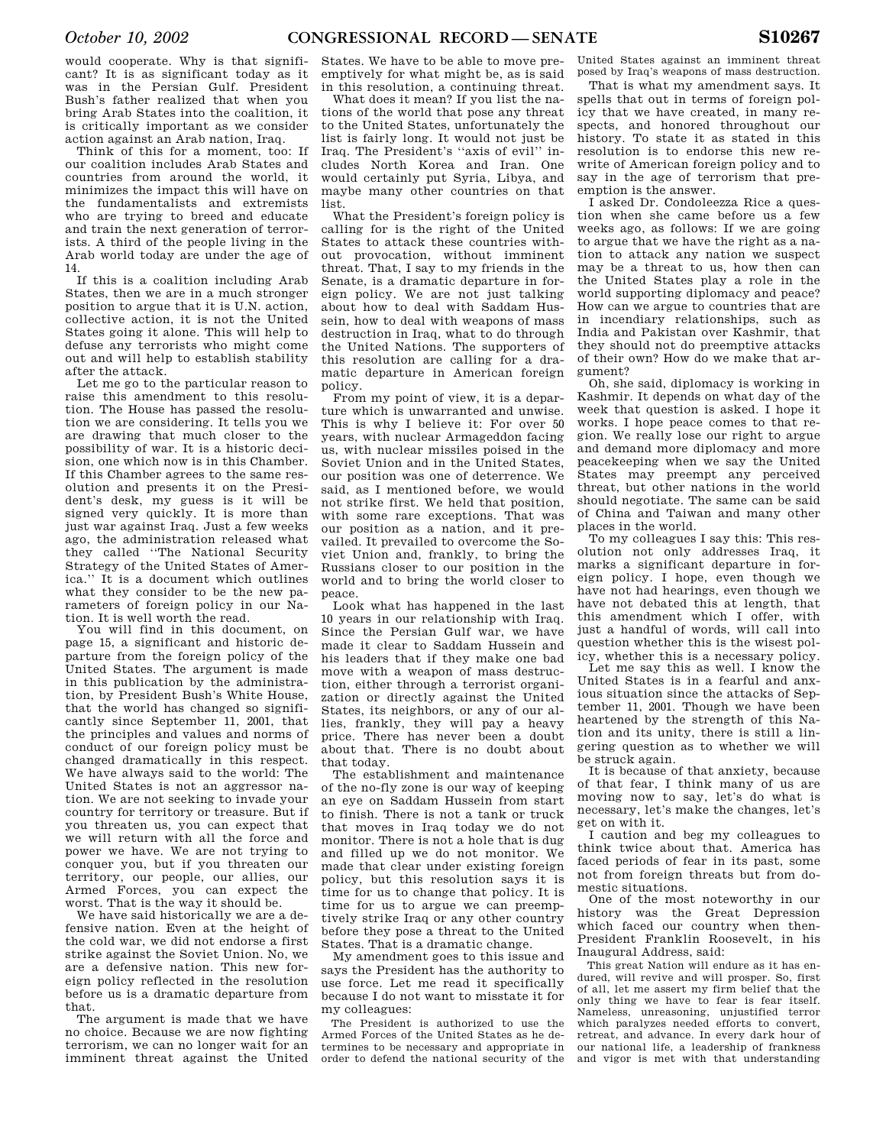would cooperate. Why is that significant? It is as significant today as it was in the Persian Gulf. President Bush's father realized that when you bring Arab States into the coalition, it is critically important as we consider action against an Arab nation, Iraq.

Think of this for a moment, too: If our coalition includes Arab States and countries from around the world, it minimizes the impact this will have on the fundamentalists and extremists who are trying to breed and educate and train the next generation of terrorists. A third of the people living in the Arab world today are under the age of 14.

If this is a coalition including Arab States, then we are in a much stronger position to argue that it is U.N. action, collective action, it is not the United States going it alone. This will help to defuse any terrorists who might come out and will help to establish stability after the attack.

Let me go to the particular reason to raise this amendment to this resolution. The House has passed the resolution we are considering. It tells you we are drawing that much closer to the possibility of war. It is a historic decision, one which now is in this Chamber. If this Chamber agrees to the same resolution and presents it on the President's desk, my guess is it will be signed very quickly. It is more than just war against Iraq. Just a few weeks ago, the administration released what they called ''The National Security Strategy of the United States of America.'' It is a document which outlines what they consider to be the new parameters of foreign policy in our Nation. It is well worth the read.

You will find in this document, on page 15, a significant and historic departure from the foreign policy of the United States. The argument is made in this publication by the administration, by President Bush's White House, that the world has changed so significantly since September 11, 2001, that the principles and values and norms of conduct of our foreign policy must be changed dramatically in this respect. We have always said to the world: The United States is not an aggressor nation. We are not seeking to invade your country for territory or treasure. But if you threaten us, you can expect that we will return with all the force and power we have. We are not trying to conquer you, but if you threaten our territory, our people, our allies, our Armed Forces, you can expect the worst. That is the way it should be.

We have said historically we are a defensive nation. Even at the height of the cold war, we did not endorse a first strike against the Soviet Union. No, we are a defensive nation. This new foreign policy reflected in the resolution before us is a dramatic departure from that.

The argument is made that we have no choice. Because we are now fighting terrorism, we can no longer wait for an imminent threat against the United

States. We have to be able to move preemptively for what might be, as is said in this resolution, a continuing threat.

What does it mean? If you list the nations of the world that pose any threat to the United States, unfortunately the list is fairly long. It would not just be Iraq. The President's ''axis of evil'' includes North Korea and Iran. One would certainly put Syria, Libya, and maybe many other countries on that list.

What the President's foreign policy is calling for is the right of the United States to attack these countries without provocation, without imminent threat. That, I say to my friends in the Senate, is a dramatic departure in foreign policy. We are not just talking about how to deal with Saddam Hussein, how to deal with weapons of mass destruction in Iraq, what to do through the United Nations. The supporters of this resolution are calling for a dramatic departure in American foreign policy.

From my point of view, it is a departure which is unwarranted and unwise. This is why I believe it: For over 50 years, with nuclear Armageddon facing us, with nuclear missiles poised in the Soviet Union and in the United States, our position was one of deterrence. We said, as I mentioned before, we would not strike first. We held that position, with some rare exceptions. That was our position as a nation, and it prevailed. It prevailed to overcome the Soviet Union and, frankly, to bring the Russians closer to our position in the world and to bring the world closer to peace.

Look what has happened in the last 10 years in our relationship with Iraq. Since the Persian Gulf war, we have made it clear to Saddam Hussein and his leaders that if they make one bad move with a weapon of mass destruction, either through a terrorist organization or directly against the United States, its neighbors, or any of our allies, frankly, they will pay a heavy price. There has never been a doubt about that. There is no doubt about that today.

The establishment and maintenance of the no-fly zone is our way of keeping an eye on Saddam Hussein from start to finish. There is not a tank or truck that moves in Iraq today we do not monitor. There is not a hole that is dug and filled up we do not monitor. We made that clear under existing foreign policy, but this resolution says it is time for us to change that policy. It is time for us to argue we can preemptively strike Iraq or any other country before they pose a threat to the United States. That is a dramatic change.

My amendment goes to this issue and says the President has the authority to use force. Let me read it specifically because I do not want to misstate it for my colleagues:

The President is authorized to use the Armed Forces of the United States as he determines to be necessary and appropriate in order to defend the national security of the

United States against an imminent threat posed by Iraq's weapons of mass destruction.

That is what my amendment says. It spells that out in terms of foreign policy that we have created, in many respects, and honored throughout our history. To state it as stated in this resolution is to endorse this new rewrite of American foreign policy and to say in the age of terrorism that preemption is the answer.

I asked Dr. Condoleezza Rice a question when she came before us a few weeks ago, as follows: If we are going to argue that we have the right as a nation to attack any nation we suspect may be a threat to us, how then can the United States play a role in the world supporting diplomacy and peace? How can we argue to countries that are in incendiary relationships, such as India and Pakistan over Kashmir, that they should not do preemptive attacks of their own? How do we make that argument?

Oh, she said, diplomacy is working in Kashmir. It depends on what day of the week that question is asked. I hope it works. I hope peace comes to that region. We really lose our right to argue and demand more diplomacy and more peacekeeping when we say the United States may preempt any perceived threat, but other nations in the world should negotiate. The same can be said of China and Taiwan and many other places in the world.

To my colleagues I say this: This resolution not only addresses Iraq, it marks a significant departure in foreign policy. I hope, even though we have not had hearings, even though we have not debated this at length, that this amendment which I offer, with just a handful of words, will call into question whether this is the wisest policy, whether this is a necessary policy.

Let me say this as well. I know the United States is in a fearful and anxious situation since the attacks of September 11, 2001. Though we have been heartened by the strength of this Nation and its unity, there is still a lingering question as to whether we will be struck again.

It is because of that anxiety, because of that fear, I think many of us are moving now to say, let's do what is necessary, let's make the changes, let's get on with it.

I caution and beg my colleagues to think twice about that. America has faced periods of fear in its past, some not from foreign threats but from domestic situations.

One of the most noteworthy in our history was the Great Depression which faced our country when then-President Franklin Roosevelt, in his Inaugural Address, said:

This great Nation will endure as it has endured, will revive and will prosper. So, first of all, let me assert my firm belief that the only thing we have to fear is fear itself. Nameless, unreasoning, unjustified terror which paralyzes needed efforts to convert, retreat, and advance. In every dark hour of our national life, a leadership of frankness and vigor is met with that understanding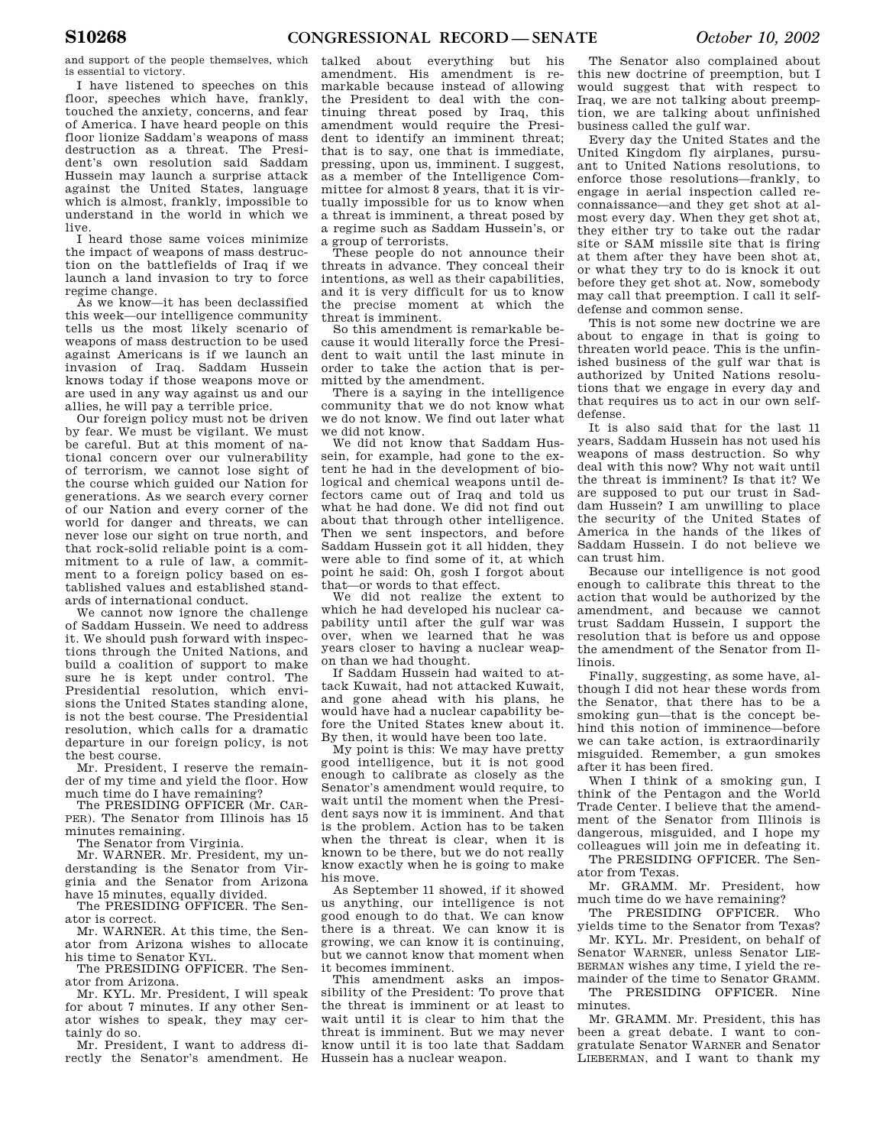and support of the people themselves, which is essential to victory.

I have listened to speeches on this floor, speeches which have, frankly, touched the anxiety, concerns, and fear of America. I have heard people on this floor lionize Saddam's weapons of mass destruction as a threat. The President's own resolution said Saddam Hussein may launch a surprise attack against the United States, language which is almost, frankly, impossible to understand in the world in which we live.

I heard those same voices minimize the impact of weapons of mass destruction on the battlefields of Iraq if we launch a land invasion to try to force regime change.

As we know—it has been declassified this week—our intelligence community tells us the most likely scenario of weapons of mass destruction to be used against Americans is if we launch an invasion of Iraq. Saddam Hussein knows today if those weapons move or are used in any way against us and our allies, he will pay a terrible price.

Our foreign policy must not be driven by fear. We must be vigilant. We must be careful. But at this moment of national concern over our vulnerability of terrorism, we cannot lose sight of the course which guided our Nation for generations. As we search every corner of our Nation and every corner of the world for danger and threats, we can never lose our sight on true north, and that rock-solid reliable point is a commitment to a rule of law, a commitment to a foreign policy based on established values and established standards of international conduct.

We cannot now ignore the challenge of Saddam Hussein. We need to address it. We should push forward with inspections through the United Nations, and build a coalition of support to make sure he is kept under control. The Presidential resolution, which envisions the United States standing alone, is not the best course. The Presidential resolution, which calls for a dramatic departure in our foreign policy, is not the best course.

Mr. President, I reserve the remainder of my time and yield the floor. How much time do I have remaining?

The PRESIDING OFFICER (Mr. CAR-PER). The Senator from Illinois has 15 minutes remaining.

The Senator from Virginia.

Mr. WARNER. Mr. President, my understanding is the Senator from Virginia and the Senator from Arizona have 15 minutes, equally divided.

The PRESIDING OFFICER. The Senator is correct.

Mr. WARNER. At this time, the Senator from Arizona wishes to allocate his time to Senator KYL.

The PRESIDING OFFICER. The Senator from Arizona.

Mr. KYL. Mr. President, I will speak for about 7 minutes. If any other Senator wishes to speak, they may certainly do so.

Mr. President, I want to address directly the Senator's amendment. He

talked about everything but his amendment. His amendment is remarkable because instead of allowing the President to deal with the continuing threat posed by Iraq, this amendment would require the President to identify an imminent threat; that is to say, one that is immediate, pressing, upon us, imminent. I suggest, as a member of the Intelligence Committee for almost 8 years, that it is virtually impossible for us to know when a threat is imminent, a threat posed by a regime such as Saddam Hussein's, or a group of terrorists.

These people do not announce their threats in advance. They conceal their intentions, as well as their capabilities, and it is very difficult for us to know the precise moment at which the threat is imminent.

So this amendment is remarkable because it would literally force the President to wait until the last minute in order to take the action that is permitted by the amendment.

There is a saying in the intelligence community that we do not know what we do not know. We find out later what we did not know.

We did not know that Saddam Hussein, for example, had gone to the extent he had in the development of biological and chemical weapons until defectors came out of Iraq and told us what he had done. We did not find out about that through other intelligence. Then we sent inspectors, and before Saddam Hussein got it all hidden, they were able to find some of it, at which point he said: Oh, gosh I forgot about that—or words to that effect.

We did not realize the extent to which he had developed his nuclear capability until after the gulf war was over, when we learned that he was years closer to having a nuclear weapon than we had thought.

If Saddam Hussein had waited to attack Kuwait, had not attacked Kuwait, and gone ahead with his plans, he would have had a nuclear capability before the United States knew about it. By then, it would have been too late.

My point is this: We may have pretty good intelligence, but it is not good enough to calibrate as closely as the Senator's amendment would require, to wait until the moment when the President says now it is imminent. And that is the problem. Action has to be taken when the threat is clear, when it is known to be there, but we do not really know exactly when he is going to make his move.

As September 11 showed, if it showed us anything, our intelligence is not good enough to do that. We can know there is a threat. We can know it is growing, we can know it is continuing, but we cannot know that moment when it becomes imminent.

This amendment asks an impossibility of the President: To prove that the threat is imminent or at least to wait until it is clear to him that the threat is imminent. But we may never know until it is too late that Saddam Hussein has a nuclear weapon.

The Senator also complained about this new doctrine of preemption, but I would suggest that with respect to Iraq, we are not talking about preemption, we are talking about unfinished business called the gulf war.

Every day the United States and the United Kingdom fly airplanes, pursuant to United Nations resolutions, to enforce those resolutions—frankly, to engage in aerial inspection called reconnaissance—and they get shot at almost every day. When they get shot at, they either try to take out the radar site or SAM missile site that is firing at them after they have been shot at, or what they try to do is knock it out before they get shot at. Now, somebody may call that preemption. I call it selfdefense and common sense.

This is not some new doctrine we are about to engage in that is going to threaten world peace. This is the unfinished business of the gulf war that is authorized by United Nations resolutions that we engage in every day and that requires us to act in our own selfdefense.

It is also said that for the last 11 years, Saddam Hussein has not used his weapons of mass destruction. So why deal with this now? Why not wait until the threat is imminent? Is that it? We are supposed to put our trust in Saddam Hussein? I am unwilling to place the security of the United States of America in the hands of the likes of Saddam Hussein. I do not believe we can trust him.

Because our intelligence is not good enough to calibrate this threat to the action that would be authorized by the amendment, and because we cannot trust Saddam Hussein, I support the resolution that is before us and oppose the amendment of the Senator from Illinois.

Finally, suggesting, as some have, although I did not hear these words from the Senator, that there has to be a smoking gun—that is the concept behind this notion of imminence—before we can take action, is extraordinarily misguided. Remember, a gun smokes after it has been fired.

When I think of a smoking gun, I think of the Pentagon and the World Trade Center. I believe that the amendment of the Senator from Illinois is dangerous, misguided, and I hope my colleagues will join me in defeating it.

The PRESIDING OFFICER. The Senator from Texas.

Mr. GRAMM. Mr. President, how much time do we have remaining?

The PRESIDING OFFICER. Who yields time to the Senator from Texas?

Mr. KYL. Mr. President, on behalf of Senator WARNER, unless Senator LIE-BERMAN wishes any time, I yield the remainder of the time to Senator GRAMM. The PRESIDING OFFICER. Nine minutes.

Mr. GRAMM. Mr. President, this has been a great debate. I want to congratulate Senator WARNER and Senator LIEBERMAN, and I want to thank my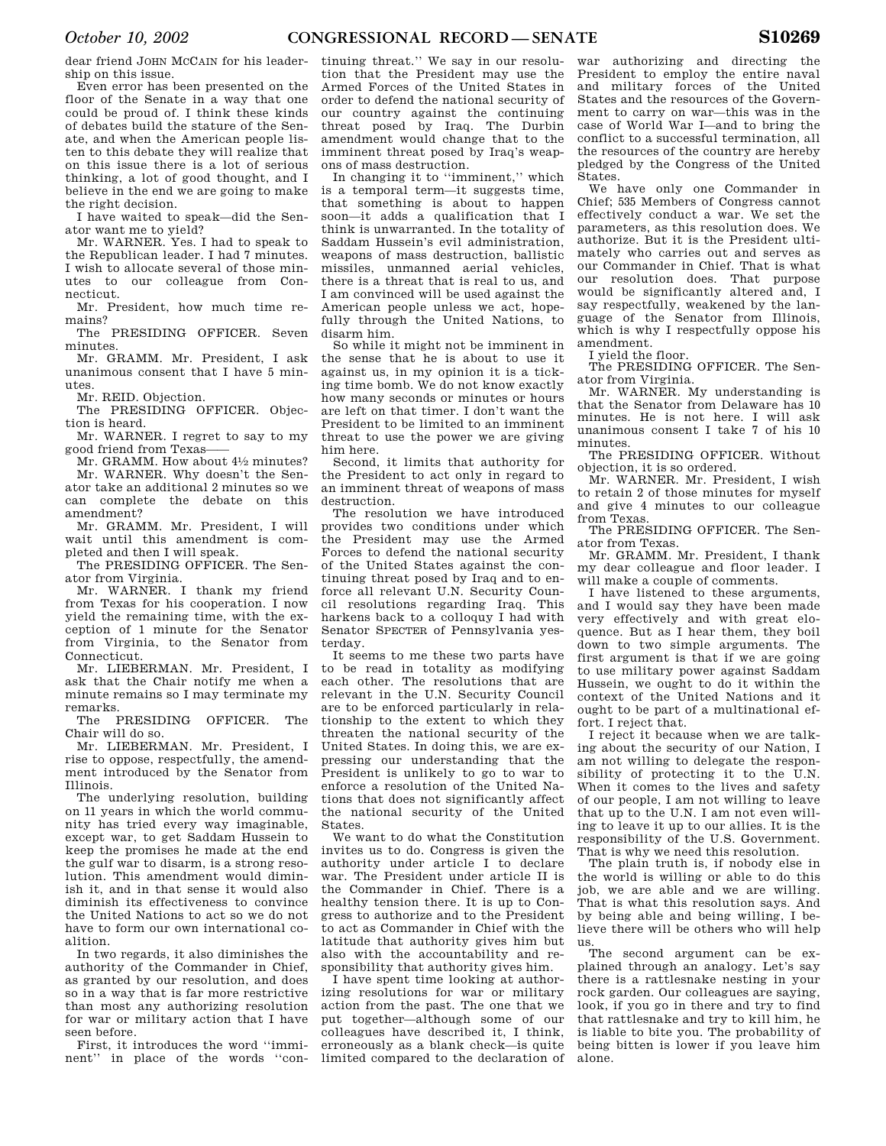dear friend JOHN MCCAIN for his leadership on this issue.

Even error has been presented on the floor of the Senate in a way that one could be proud of. I think these kinds of debates build the stature of the Senate, and when the American people listen to this debate they will realize that on this issue there is a lot of serious thinking, a lot of good thought, and I believe in the end we are going to make the right decision.

I have waited to speak—did the Senator want me to yield?

Mr. WARNER. Yes. I had to speak to the Republican leader. I had 7 minutes. I wish to allocate several of those minutes to our colleague from Connecticut.

Mr. President, how much time remains?

The PRESIDING OFFICER. Seven minutes.

Mr. GRAMM. Mr. President, I ask unanimous consent that I have 5 minutes.

Mr. REID. Objection.

The PRESIDING OFFICER. Objection is heard.

Mr. WARNER. I regret to say to my good friend from Texas——

Mr. GRAMM. How about 41⁄2 minutes? Mr. WARNER. Why doesn't the Senator take an additional 2 minutes so we can complete the debate on this

amendment? Mr. GRAMM. Mr. President, I will wait until this amendment is completed and then I will speak.

The PRESIDING OFFICER. The Senator from Virginia.

Mr. WARNER. I thank my friend from Texas for his cooperation. I now yield the remaining time, with the exception of 1 minute for the Senator from Virginia, to the Senator from Connecticut.

Mr. LIEBERMAN. Mr. President, I ask that the Chair notify me when a minute remains so I may terminate my remarks.

The PRESIDING OFFICER. The Chair will do so.

Mr. LIEBERMAN. Mr. President, I rise to oppose, respectfully, the amendment introduced by the Senator from Illinois.

The underlying resolution, building on 11 years in which the world community has tried every way imaginable, except war, to get Saddam Hussein to keep the promises he made at the end the gulf war to disarm, is a strong resolution. This amendment would diminish it, and in that sense it would also diminish its effectiveness to convince the United Nations to act so we do not have to form our own international coalition.

In two regards, it also diminishes the authority of the Commander in Chief, as granted by our resolution, and does so in a way that is far more restrictive than most any authorizing resolution for war or military action that I have seen before.

First, it introduces the word ''imminent'' in place of the words ''continuing threat.'' We say in our resolution that the President may use the Armed Forces of the United States in order to defend the national security of our country against the continuing threat posed by Iraq. The Durbin amendment would change that to the imminent threat posed by Iraq's weapons of mass destruction.

In changing it to ''imminent,'' which is a temporal term—it suggests time, that something is about to happen soon—it adds a qualification that I think is unwarranted. In the totality of Saddam Hussein's evil administration, weapons of mass destruction, ballistic missiles, unmanned aerial vehicles, there is a threat that is real to us, and I am convinced will be used against the American people unless we act, hopefully through the United Nations, to disarm him.

So while it might not be imminent in the sense that he is about to use it against us, in my opinion it is a ticking time bomb. We do not know exactly how many seconds or minutes or hours are left on that timer. I don't want the President to be limited to an imminent threat to use the power we are giving him here.

Second, it limits that authority for the President to act only in regard to an imminent threat of weapons of mass destruction.

The resolution we have introduced provides two conditions under which the President may use the Armed Forces to defend the national security of the United States against the continuing threat posed by Iraq and to enforce all relevant U.N. Security Council resolutions regarding Iraq. This harkens back to a colloquy I had with Senator SPECTER of Pennsylvania yesterday.

It seems to me these two parts have to be read in totality as modifying each other. The resolutions that are relevant in the U.N. Security Council are to be enforced particularly in relationship to the extent to which they threaten the national security of the United States. In doing this, we are expressing our understanding that the President is unlikely to go to war to enforce a resolution of the United Nations that does not significantly affect the national security of the United States.

We want to do what the Constitution invites us to do. Congress is given the authority under article I to declare war. The President under article II is the Commander in Chief. There is a healthy tension there. It is up to Congress to authorize and to the President to act as Commander in Chief with the latitude that authority gives him but also with the accountability and responsibility that authority gives him.

I have spent time looking at authorizing resolutions for war or military action from the past. The one that we put together—although some of our colleagues have described it, I think, erroneously as a blank check—is quite limited compared to the declaration of

war authorizing and directing the President to employ the entire naval and military forces of the United States and the resources of the Government to carry on war—this was in the case of World War I—and to bring the conflict to a successful termination, all the resources of the country are hereby pledged by the Congress of the United States.

We have only one Commander in Chief; 535 Members of Congress cannot effectively conduct a war. We set the parameters, as this resolution does. We authorize. But it is the President ultimately who carries out and serves as our Commander in Chief. That is what our resolution does. That purpose would be significantly altered and, I say respectfully, weakened by the language of the Senator from Illinois, which is why I respectfully oppose his amendment.

I yield the floor.

The PRESIDING OFFICER. The Senator from Virginia.

Mr. WARNER. My understanding is that the Senator from Delaware has 10 minutes. He is not here. I will ask unanimous consent I take 7 of his 10 minutes.

The PRESIDING OFFICER. Without objection, it is so ordered.

Mr. WARNER. Mr. President, I wish to retain 2 of those minutes for myself and give 4 minutes to our colleague from Texas.

The PRESIDING OFFICER. The Senator from Texas.

Mr. GRAMM. Mr. President, I thank my dear colleague and floor leader. I will make a couple of comments.

I have listened to these arguments, and I would say they have been made very effectively and with great eloquence. But as I hear them, they boil down to two simple arguments. The first argument is that if we are going to use military power against Saddam Hussein, we ought to do it within the context of the United Nations and it ought to be part of a multinational effort. I reject that.

I reject it because when we are talking about the security of our Nation, I am not willing to delegate the responsibility of protecting it to the U.N. When it comes to the lives and safety of our people, I am not willing to leave that up to the U.N. I am not even willing to leave it up to our allies. It is the responsibility of the U.S. Government. That is why we need this resolution.

The plain truth is, if nobody else in the world is willing or able to do this job, we are able and we are willing. That is what this resolution says. And by being able and being willing, I believe there will be others who will help us.

The second argument can be explained through an analogy. Let's say there is a rattlesnake nesting in your rock garden. Our colleagues are saying, look, if you go in there and try to find that rattlesnake and try to kill him, he is liable to bite you. The probability of being bitten is lower if you leave him alone.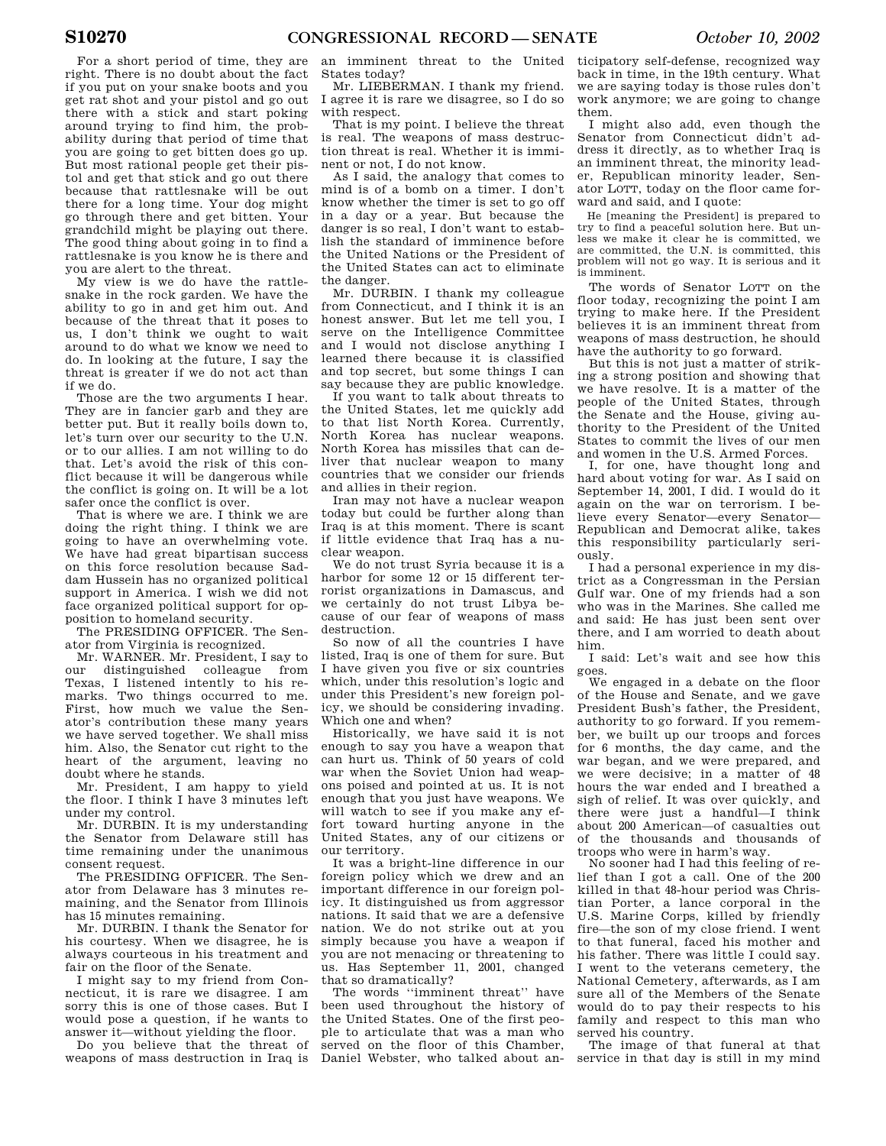For a short period of time, they are right. There is no doubt about the fact if you put on your snake boots and you get rat shot and your pistol and go out there with a stick and start poking around trying to find him, the probability during that period of time that you are going to get bitten does go up. But most rational people get their pistol and get that stick and go out there because that rattlesnake will be out there for a long time. Your dog might go through there and get bitten. Your grandchild might be playing out there. The good thing about going in to find a rattlesnake is you know he is there and you are alert to the threat.

My view is we do have the rattlesnake in the rock garden. We have the ability to go in and get him out. And because of the threat that it poses to us, I don't think we ought to wait around to do what we know we need to do. In looking at the future, I say the threat is greater if we do not act than if we do.

Those are the two arguments I hear. They are in fancier garb and they are better put. But it really boils down to, let's turn over our security to the U.N. or to our allies. I am not willing to do that. Let's avoid the risk of this conflict because it will be dangerous while the conflict is going on. It will be a lot safer once the conflict is over.

That is where we are. I think we are doing the right thing. I think we are going to have an overwhelming vote. We have had great bipartisan success on this force resolution because Saddam Hussein has no organized political support in America. I wish we did not face organized political support for opposition to homeland security.

The PRESIDING OFFICER. The Senator from Virginia is recognized.

Mr. WARNER. Mr. President, I say to our distinguished colleague from Texas, I listened intently to his remarks. Two things occurred to me. First, how much we value the Senator's contribution these many years we have served together. We shall miss him. Also, the Senator cut right to the heart of the argument, leaving no doubt where he stands.

Mr. President, I am happy to yield the floor. I think I have 3 minutes left under my control.

Mr. DURBIN. It is my understanding the Senator from Delaware still has time remaining under the unanimous consent request.

The PRESIDING OFFICER. The Senator from Delaware has 3 minutes remaining, and the Senator from Illinois has 15 minutes remaining.

Mr. DURBIN. I thank the Senator for his courtesy. When we disagree, he is always courteous in his treatment and fair on the floor of the Senate.

I might say to my friend from Connecticut, it is rare we disagree. I am sorry this is one of those cases. But I would pose a question, if he wants to answer it—without yielding the floor.

Do you believe that the threat of weapons of mass destruction in Iraq is

an imminent threat to the United States today?

Mr. LIEBERMAN. I thank my friend. I agree it is rare we disagree, so I do so with respect.

That is my point. I believe the threat is real. The weapons of mass destruction threat is real. Whether it is imminent or not, I do not know.

As I said, the analogy that comes to mind is of a bomb on a timer. I don't know whether the timer is set to go off in a day or a year. But because the danger is so real, I don't want to establish the standard of imminence before the United Nations or the President of the United States can act to eliminate the danger.

Mr. DURBIN. I thank my colleague from Connecticut, and I think it is an honest answer. But let me tell you, I serve on the Intelligence Committee and I would not disclose anything I learned there because it is classified and top secret, but some things I can say because they are public knowledge.

If you want to talk about threats to the United States, let me quickly add to that list North Korea. Currently, North Korea has nuclear weapons. North Korea has missiles that can deliver that nuclear weapon to many countries that we consider our friends and allies in their region.

Iran may not have a nuclear weapon today but could be further along than Iraq is at this moment. There is scant if little evidence that Iraq has a nuclear weapon.

We do not trust Syria because it is a harbor for some 12 or 15 different terrorist organizations in Damascus, and we certainly do not trust Libya because of our fear of weapons of mass destruction.

So now of all the countries I have listed, Iraq is one of them for sure. But I have given you five or six countries which, under this resolution's logic and under this President's new foreign policy, we should be considering invading. Which one and when?

Historically, we have said it is not enough to say you have a weapon that can hurt us. Think of 50 years of cold war when the Soviet Union had weapons poised and pointed at us. It is not enough that you just have weapons. We will watch to see if you make any effort toward hurting anyone in the United States, any of our citizens or our territory.

It was a bright-line difference in our foreign policy which we drew and an important difference in our foreign policy. It distinguished us from aggressor nations. It said that we are a defensive nation. We do not strike out at you simply because you have a weapon if you are not menacing or threatening to us. Has September 11, 2001, changed that so dramatically?

The words ''imminent threat'' have been used throughout the history of the United States. One of the first people to articulate that was a man who served on the floor of this Chamber, Daniel Webster, who talked about an-

ticipatory self-defense, recognized way back in time, in the 19th century. What we are saying today is those rules don't work anymore; we are going to change them.

I might also add, even though the Senator from Connecticut didn't address it directly, as to whether Iraq is an imminent threat, the minority leader, Republican minority leader, Senator LOTT, today on the floor came forward and said, and I quote:

He [meaning the President] is prepared to try to find a peaceful solution here. But unless we make it clear he is committed, we are committed, the U.N. is committed, this problem will not go way. It is serious and it is imminent.

The words of Senator LOTT on the floor today, recognizing the point I am trying to make here. If the President believes it is an imminent threat from weapons of mass destruction, he should have the authority to go forward.

But this is not just a matter of striking a strong position and showing that we have resolve. It is a matter of the people of the United States, through the Senate and the House, giving authority to the President of the United States to commit the lives of our men and women in the U.S. Armed Forces.

I, for one, have thought long and hard about voting for war. As I said on September 14, 2001, I did. I would do it again on the war on terrorism. I believe every Senator—every Senator— Republican and Democrat alike, takes this responsibility particularly seriously.

I had a personal experience in my district as a Congressman in the Persian Gulf war. One of my friends had a son who was in the Marines. She called me and said: He has just been sent over there, and I am worried to death about him.

I said: Let's wait and see how this goes.

We engaged in a debate on the floor of the House and Senate, and we gave President Bush's father, the President, authority to go forward. If you remember, we built up our troops and forces for 6 months, the day came, and the war began, and we were prepared, and we were decisive; in a matter of 48 hours the war ended and I breathed a sigh of relief. It was over quickly, and there were just a handful—I think about 200 American—of casualties out of the thousands and thousands of troops who were in harm's way.

No sooner had I had this feeling of relief than I got a call. One of the 200 killed in that 48-hour period was Christian Porter, a lance corporal in the U.S. Marine Corps, killed by friendly fire—the son of my close friend. I went to that funeral, faced his mother and his father. There was little I could say. I went to the veterans cemetery, the National Cemetery, afterwards, as I am sure all of the Members of the Senate would do to pay their respects to his family and respect to this man who served his country.

The image of that funeral at that service in that day is still in my mind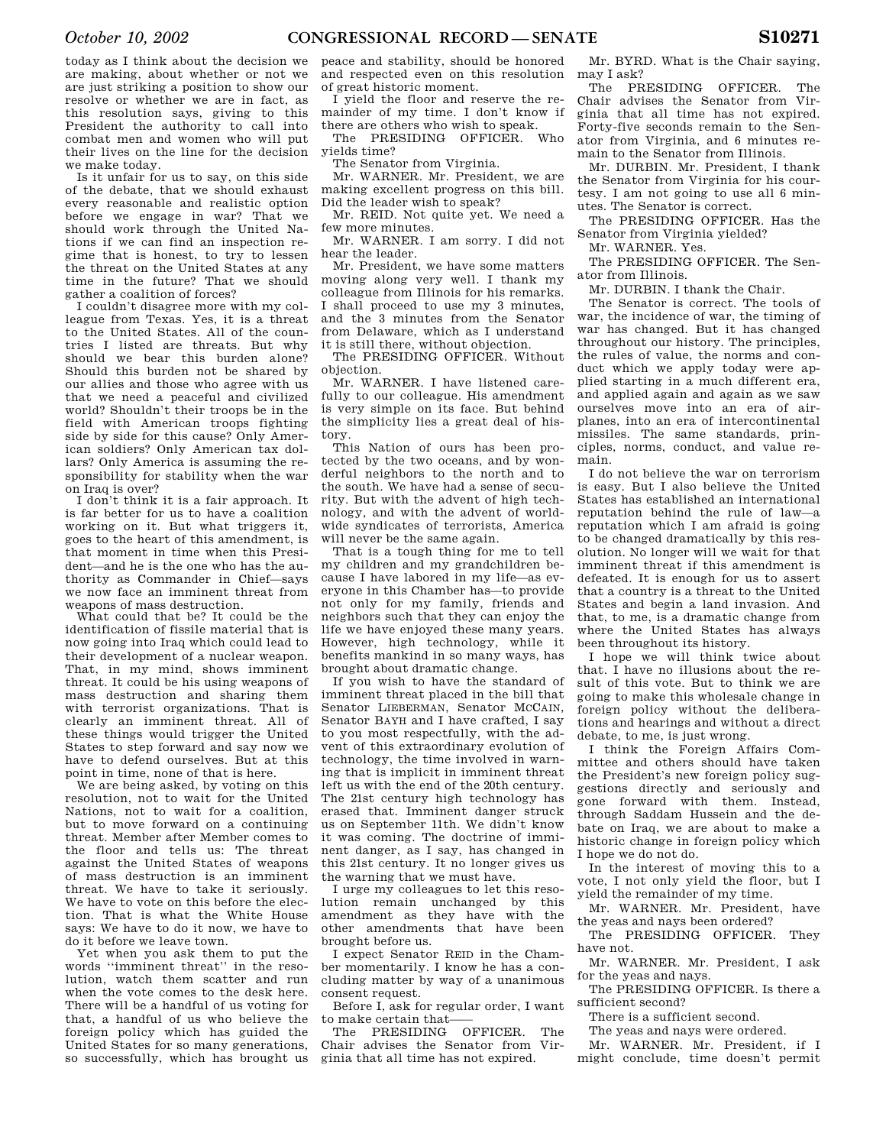today as I think about the decision we are making, about whether or not we are just striking a position to show our resolve or whether we are in fact, as this resolution says, giving to this President the authority to call into combat men and women who will put their lives on the line for the decision we make today.

Is it unfair for us to say, on this side of the debate, that we should exhaust every reasonable and realistic option before we engage in war? That we should work through the United Nations if we can find an inspection regime that is honest, to try to lessen the threat on the United States at any time in the future? That we should gather a coalition of forces?

I couldn't disagree more with my colleague from Texas. Yes, it is a threat to the United States. All of the countries I listed are threats. But why should we bear this burden alone? Should this burden not be shared by our allies and those who agree with us that we need a peaceful and civilized world? Shouldn't their troops be in the field with American troops fighting side by side for this cause? Only American soldiers? Only American tax dollars? Only America is assuming the responsibility for stability when the war on Iraq is over?

I don't think it is a fair approach. It is far better for us to have a coalition working on it. But what triggers it, goes to the heart of this amendment, is that moment in time when this President—and he is the one who has the authority as Commander in Chief—says we now face an imminent threat from weapons of mass destruction.

What could that be? It could be the identification of fissile material that is now going into Iraq which could lead to their development of a nuclear weapon. That, in my mind, shows imminent threat. It could be his using weapons of mass destruction and sharing them with terrorist organizations. That is clearly an imminent threat. All of these things would trigger the United States to step forward and say now we have to defend ourselves. But at this point in time, none of that is here.

We are being asked, by voting on this resolution, not to wait for the United Nations, not to wait for a coalition, but to move forward on a continuing threat. Member after Member comes to the floor and tells us: The threat against the United States of weapons of mass destruction is an imminent threat. We have to take it seriously. We have to vote on this before the election. That is what the White House says: We have to do it now, we have to do it before we leave town.

Yet when you ask them to put the words ''imminent threat'' in the resolution, watch them scatter and run when the vote comes to the desk here. There will be a handful of us voting for that, a handful of us who believe the foreign policy which has guided the United States for so many generations, so successfully, which has brought us

peace and stability, should be honored and respected even on this resolution of great historic moment.

I yield the floor and reserve the remainder of my time. I don't know if there are others who wish to speak.<br>The PRESIDING OFFICER. Who

The PRESIDING OFFICER. yields time?

The Senator from Virginia.

Mr. WARNER. Mr. President, we are making excellent progress on this bill. Did the leader wish to speak?

Mr. REID. Not quite yet. We need a few more minutes.

Mr. WARNER. I am sorry. I did not hear the leader.

Mr. President, we have some matters moving along very well. I thank my colleague from Illinois for his remarks. I shall proceed to use my 3 minutes, and the 3 minutes from the Senator from Delaware, which as I understand it is still there, without objection.

The PRESIDING OFFICER. Without objection.

Mr. WARNER. I have listened carefully to our colleague. His amendment is very simple on its face. But behind the simplicity lies a great deal of history.

This Nation of ours has been protected by the two oceans, and by wonderful neighbors to the north and to the south. We have had a sense of security. But with the advent of high technology, and with the advent of worldwide syndicates of terrorists, America will never be the same again.

That is a tough thing for me to tell my children and my grandchildren because I have labored in my life—as everyone in this Chamber has—to provide not only for my family, friends and neighbors such that they can enjoy the life we have enjoyed these many years. However, high technology, while it benefits mankind in so many ways, has brought about dramatic change.

If you wish to have the standard of imminent threat placed in the bill that Senator LIEBERMAN, Senator MCCAIN, Senator BAYH and I have crafted, I say to you most respectfully, with the advent of this extraordinary evolution of technology, the time involved in warning that is implicit in imminent threat left us with the end of the 20th century. The 21st century high technology has erased that. Imminent danger struck us on September 11th. We didn't know it was coming. The doctrine of imminent danger, as I say, has changed in this 21st century. It no longer gives us the warning that we must have.

I urge my colleagues to let this resolution remain unchanged by this amendment as they have with the other amendments that have been brought before us.

I expect Senator REID in the Chamber momentarily. I know he has a concluding matter by way of a unanimous consent request.

Before I, ask for regular order, I want to make certain that——

The PRESIDING OFFICER. The Chair advises the Senator from Virginia that all time has not expired.

Mr. BYRD. What is the Chair saying, may I ask?

The PRESIDING OFFICER. The Chair advises the Senator from Virginia that all time has not expired. Forty-five seconds remain to the Senator from Virginia, and 6 minutes remain to the Senator from Illinois.

Mr. DURBIN. Mr. President, I thank the Senator from Virginia for his courtesy. I am not going to use all 6 minutes. The Senator is correct.

The PRESIDING OFFICER. Has the Senator from Virginia yielded?

Mr. WARNER. Yes.

The PRESIDING OFFICER. The Senator from Illinois.

Mr. DURBIN. I thank the Chair.

The Senator is correct. The tools of war, the incidence of war, the timing of war has changed. But it has changed throughout our history. The principles, the rules of value, the norms and conduct which we apply today were applied starting in a much different era, and applied again and again as we saw ourselves move into an era of airplanes, into an era of intercontinental missiles. The same standards, principles, norms, conduct, and value remain.

I do not believe the war on terrorism is easy. But I also believe the United States has established an international reputation behind the rule of law—a reputation which I am afraid is going to be changed dramatically by this resolution. No longer will we wait for that imminent threat if this amendment is defeated. It is enough for us to assert that a country is a threat to the United States and begin a land invasion. And that, to me, is a dramatic change from where the United States has always been throughout its history.

I hope we will think twice about that. I have no illusions about the result of this vote. But to think we are going to make this wholesale change in foreign policy without the deliberations and hearings and without a direct debate, to me, is just wrong.

I think the Foreign Affairs Committee and others should have taken the President's new foreign policy suggestions directly and seriously and gone forward with them. Instead, through Saddam Hussein and the debate on Iraq, we are about to make a historic change in foreign policy which I hope we do not do.

In the interest of moving this to a vote, I not only yield the floor, but I yield the remainder of my time.

Mr. WARNER. Mr. President, have the yeas and nays been ordered?

The PRESIDING OFFICER. They have not.

Mr. WARNER. Mr. President, I ask for the yeas and nays.

The PRESIDING OFFICER. Is there a sufficient second?

There is a sufficient second.

The yeas and nays were ordered.

Mr. WARNER. Mr. President, if I might conclude, time doesn't permit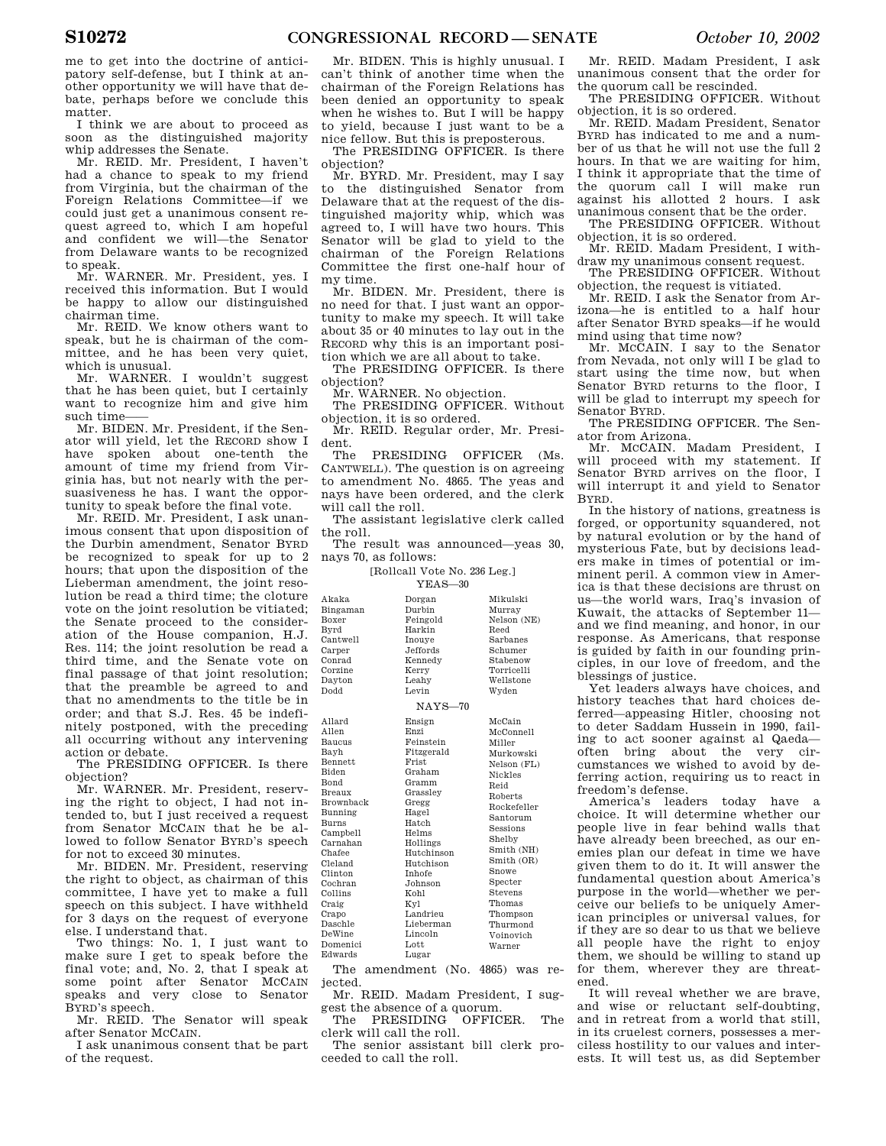matter. I think we are about to proceed as soon as the distinguished majority whip addresses the Senate.

Mr. REID. Mr. President, I haven't had a chance to speak to my friend from Virginia, but the chairman of the Foreign Relations Committee—if we could just get a unanimous consent request agreed to, which I am hopeful and confident we will—the Senator from Delaware wants to be recognized to speak.

Mr. WARNER. Mr. President, yes. I received this information. But I would be happy to allow our distinguished chairman time.

Mr. REID. We know others want to speak, but he is chairman of the committee, and he has been very quiet, which is unusual.

Mr. WARNER. I wouldn't suggest that he has been quiet, but I certainly want to recognize him and give him such time-

Mr. BIDEN. Mr. President, if the Senator will yield, let the RECORD show I have spoken about one-tenth the amount of time my friend from Virginia has, but not nearly with the persuasiveness he has. I want the opportunity to speak before the final vote.

Mr. REID. Mr. President, I ask unanimous consent that upon disposition of the Durbin amendment, Senator BYRD be recognized to speak for up to 2 hours; that upon the disposition of the Lieberman amendment, the joint resolution be read a third time; the cloture vote on the joint resolution be vitiated; the Senate proceed to the consideration of the House companion, H.J. Res. 114; the joint resolution be read a third time, and the Senate vote on final passage of that joint resolution; that the preamble be agreed to and that no amendments to the title be in order; and that S.J. Res. 45 be indefinitely postponed, with the preceding all occurring without any intervening action or debate.

The PRESIDING OFFICER. Is there objection?

Mr. WARNER. Mr. President, reserving the right to object, I had not intended to, but I just received a request from Senator MCCAIN that he be allowed to follow Senator BYRD's speech for not to exceed 30 minutes.

Mr. BIDEN. Mr. President, reserving the right to object, as chairman of this committee, I have yet to make a full speech on this subject. I have withheld for 3 days on the request of everyone else. I understand that.

Two things: No. 1, I just want to make sure I get to speak before the final vote; and, No. 2, that I speak at some point after Senator MCCAIN speaks and very close to Senator BYRD's speech.

Mr. REID. The Senator will speak after Senator MCCAIN.

I ask unanimous consent that be part of the request.

Mr. BIDEN. This is highly unusual. I can't think of another time when the chairman of the Foreign Relations has been denied an opportunity to speak when he wishes to. But I will be happy to yield, because I just want to be a nice fellow. But this is preposterous.

The PRESIDING OFFICER. Is there objection?

Mr. BYRD. Mr. President, may I say to the distinguished Senator from Delaware that at the request of the distinguished majority whip, which was agreed to, I will have two hours. This Senator will be glad to yield to the chairman of the Foreign Relations Committee the first one-half hour of my time.

Mr. BIDEN. Mr. President, there is no need for that. I just want an opportunity to make my speech. It will take about 35 or 40 minutes to lay out in the RECORD why this is an important position which we are all about to take.

The PRESIDING OFFICER. Is there objection?

Mr. WARNER. No objection.

The PRESIDING OFFICER. Without objection, it is so ordered.

Mr. REID. Regular order, Mr. President.

The PRESIDING OFFICER (Ms. CANTWELL). The question is on agreeing to amendment No. 4865. The yeas and nays have been ordered, and the clerk will call the roll.

The assistant legislative clerk called the roll.

The result was announced—yeas 30, nays 70, as follows:

# [Rollcall Vote No. 236 Leg.]

|                                                                                                                                                                                        | $YFAS - 30$                                                                                                                                                                               |                                                                                                                                                                                                            |
|----------------------------------------------------------------------------------------------------------------------------------------------------------------------------------------|-------------------------------------------------------------------------------------------------------------------------------------------------------------------------------------------|------------------------------------------------------------------------------------------------------------------------------------------------------------------------------------------------------------|
| Akaka<br>Bingaman<br>Boxer<br>Byrd<br>Cantwell<br>Carper<br>Conrad<br>Corzine<br>Dayton<br><b>bbo</b> C                                                                                | Dorgan<br>Durbin<br>Feingold<br>Harkin<br>Inouye<br>Jeffords.<br>Kennedy<br>Kerry<br>Leahv<br>Levin                                                                                       | Mikulski<br>Murray<br>Nelson (NE)<br>Reed<br>Sarbanes<br>Schumer<br>Stabenow<br>Torricelli<br>Wellstone<br>Wyden                                                                                           |
|                                                                                                                                                                                        | $NAYS-70$                                                                                                                                                                                 |                                                                                                                                                                                                            |
| Allard<br>Allen<br>Baucus<br>Bayh<br>Bennett<br>Biden<br>Bond<br>Breaux<br>Brownback<br>Bunning<br>Burns<br>Campbell<br>Carnahan<br>Chafee<br>Cleland<br>Clinton<br>Cochran<br>Collins | Ensign<br>Enzi<br>Feinstein<br>Fitzgerald<br>Frist<br>Graham<br>Gramm<br>Grassley<br>Gregg<br>Hagel<br>Hatch<br>Helms<br>Hollings<br>Hutchinson<br>Hutchison<br>Inhofe<br>Johnson<br>Kohl | McCain<br>McConnell<br>Miller<br>Murkowski<br>Nelson (FL)<br><b>Nickles</b><br>Reid<br>Roberts<br>Rockefeller<br>Santorum<br>Sessions<br>Shelby<br>Smith (NH)<br>Smith (OR)<br>Snowe<br>Specter<br>Stevens |
| Craig<br>Crapo<br>Daschle<br>DeWine<br>Domenici<br>Edwards                                                                                                                             | Kyl<br>Landrieu<br>Lieberman<br>Lincoln<br>Lott<br>Lugar                                                                                                                                  | Thomas<br>Thompson<br>Thurmond<br>Voinovich<br>Warner                                                                                                                                                      |

The amendment (No. 4865) was rejected.

Mr. REID. Madam President, I suggest the absence of a quorum. The PRESIDING OFFICER. The

clerk will call the roll.

The senior assistant bill clerk proceeded to call the roll.

Mr. REID. Madam President, I ask unanimous consent that the order for the quorum call be rescinded.

The PRESIDING OFFICER. Without objection, it is so ordered.

Mr. REID. Madam President, Senator BYRD has indicated to me and a number of us that he will not use the full 2 hours. In that we are waiting for him, I think it appropriate that the time of the quorum call I will make run against his allotted 2 hours. I ask unanimous consent that be the order.

The PRESIDING OFFICER. Without objection, it is so ordered.

Mr. REID. Madam President, I withdraw my unanimous consent request.

The PRESIDING OFFICER. Without objection, the request is vitiated.

Mr. REID. I ask the Senator from Arizona—he is entitled to a half hour after Senator BYRD speaks—if he would mind using that time now?

Mr. MCCAIN. I say to the Senator from Nevada, not only will I be glad to start using the time now, but when Senator BYRD returns to the floor, I will be glad to interrupt my speech for Senator BYRD.

The PRESIDING OFFICER. The Senator from Arizona.

Mr. MCCAIN. Madam President, I will proceed with my statement. If Senator BYRD arrives on the floor, I will interrupt it and yield to Senator BYRD.

In the history of nations, greatness is forged, or opportunity squandered, not by natural evolution or by the hand of mysterious Fate, but by decisions leaders make in times of potential or imminent peril. A common view in America is that these decisions are thrust on us—the world wars, Iraq's invasion of Kuwait, the attacks of September 11 and we find meaning, and honor, in our response. As Americans, that response is guided by faith in our founding principles, in our love of freedom, and the blessings of justice.

Yet leaders always have choices, and history teaches that hard choices deferred—appeasing Hitler, choosing not to deter Saddam Hussein in 1990, failing to act sooner against al Qaeda often bring about the very circumstances we wished to avoid by deferring action, requiring us to react in freedom's defense.

America's leaders today have a choice. It will determine whether our people live in fear behind walls that have already been breeched, as our enemies plan our defeat in time we have given them to do it. It will answer the fundamental question about America's purpose in the world—whether we perceive our beliefs to be uniquely American principles or universal values, for if they are so dear to us that we believe all people have the right to enjoy them, we should be willing to stand up for them, wherever they are threatened.

It will reveal whether we are brave, and wise or reluctant self-doubting, and in retreat from a world that still, in its cruelest corners, possesses a merciless hostility to our values and interests. It will test us, as did September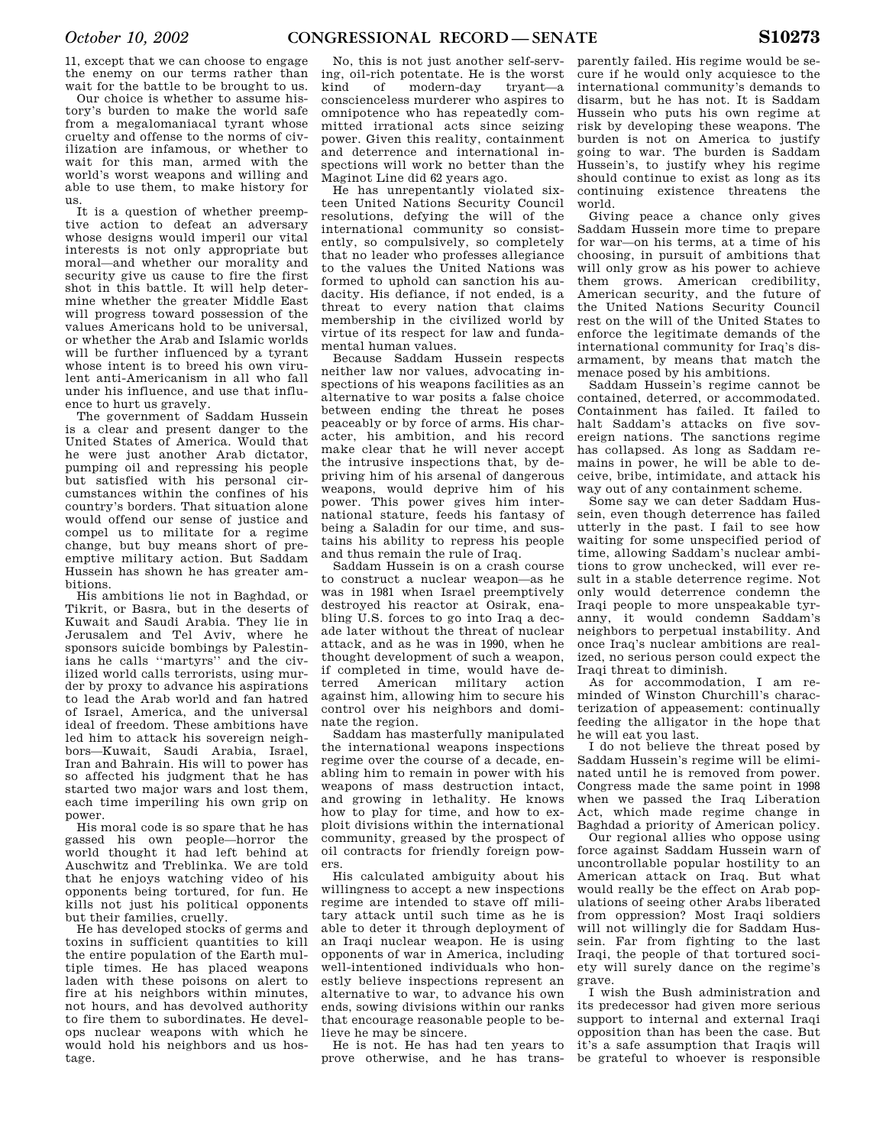11, except that we can choose to engage the enemy on our terms rather than wait for the battle to be brought to us.

Our choice is whether to assume history's burden to make the world safe from a megalomaniacal tyrant whose cruelty and offense to the norms of civilization are infamous, or whether to wait for this man, armed with the world's worst weapons and willing and able to use them, to make history for  $11S$ .

It is a question of whether preemptive action to defeat an adversary whose designs would imperil our vital interests is not only appropriate but moral—and whether our morality and security give us cause to fire the first shot in this battle. It will help determine whether the greater Middle East will progress toward possession of the values Americans hold to be universal, or whether the Arab and Islamic worlds will be further influenced by a tyrant whose intent is to breed his own virulent anti-Americanism in all who fall under his influence, and use that influence to hurt us gravely.

The government of Saddam Hussein is a clear and present danger to the United States of America. Would that he were just another Arab dictator, pumping oil and repressing his people but satisfied with his personal circumstances within the confines of his country's borders. That situation alone would offend our sense of justice and compel us to militate for a regime change, but buy means short of preemptive military action. But Saddam Hussein has shown he has greater ambitions.

His ambitions lie not in Baghdad, or Tikrit, or Basra, but in the deserts of Kuwait and Saudi Arabia. They lie in Jerusalem and Tel Aviv, where he sponsors suicide bombings by Palestinians he calls ''martyrs'' and the civilized world calls terrorists, using murder by proxy to advance his aspirations to lead the Arab world and fan hatred of Israel, America, and the universal ideal of freedom. These ambitions have led him to attack his sovereign neighbors—Kuwait, Saudi Arabia, Israel, Iran and Bahrain. His will to power has so affected his judgment that he has started two major wars and lost them, each time imperiling his own grip on power.

His moral code is so spare that he has gassed his own people—horror the world thought it had left behind at Auschwitz and Treblinka. We are told that he enjoys watching video of his opponents being tortured, for fun. He kills not just his political opponents but their families, cruelly.

He has developed stocks of germs and toxins in sufficient quantities to kill the entire population of the Earth multiple times. He has placed weapons laden with these poisons on alert to fire at his neighbors within minutes, not hours, and has devolved authority to fire them to subordinates. He develops nuclear weapons with which he would hold his neighbors and us hostage.

No, this is not just another self-serving, oil-rich potentate. He is the worst kind of modern-day tryant—a conscienceless murderer who aspires to omnipotence who has repeatedly committed irrational acts since seizing power. Given this reality, containment and deterrence and international inspections will work no better than the Maginot Line did 62 years ago.

He has unrepentantly violated sixteen United Nations Security Council resolutions, defying the will of the international community so consistently, so compulsively, so completely that no leader who professes allegiance to the values the United Nations was formed to uphold can sanction his audacity. His defiance, if not ended, is a threat to every nation that claims membership in the civilized world by virtue of its respect for law and fundamental human values.

Because Saddam Hussein respects neither law nor values, advocating inspections of his weapons facilities as an alternative to war posits a false choice between ending the threat he poses peaceably or by force of arms. His character, his ambition, and his record make clear that he will never accept the intrusive inspections that, by depriving him of his arsenal of dangerous weapons, would deprive him of his power. This power gives him international stature, feeds his fantasy of being a Saladin for our time, and sustains his ability to repress his people and thus remain the rule of Iraq.

Saddam Hussein is on a crash course to construct a nuclear weapon—as he was in 1981 when Israel preemptively destroyed his reactor at Osirak, enabling U.S. forces to go into Iraq a decade later without the threat of nuclear attack, and as he was in 1990, when he thought development of such a weapon, if completed in time, would have deterred American military action against him, allowing him to secure his control over his neighbors and dominate the region.

Saddam has masterfully manipulated the international weapons inspections regime over the course of a decade, enabling him to remain in power with his weapons of mass destruction intact, and growing in lethality. He knows how to play for time, and how to exploit divisions within the international community, greased by the prospect of oil contracts for friendly foreign powers.

His calculated ambiguity about his willingness to accept a new inspections regime are intended to stave off military attack until such time as he is able to deter it through deployment of an Iraqi nuclear weapon. He is using opponents of war in America, including well-intentioned individuals who honestly believe inspections represent an alternative to war, to advance his own ends, sowing divisions within our ranks that encourage reasonable people to believe he may be sincere.

He is not. He has had ten years to prove otherwise, and he has trans-

parently failed. His regime would be secure if he would only acquiesce to the international community's demands to disarm, but he has not. It is Saddam Hussein who puts his own regime at risk by developing these weapons. The burden is not on America to justify going to war. The burden is Saddam Hussein's, to justify whey his regime should continue to exist as long as its continuing existence threatens the world.

Giving peace a chance only gives Saddam Hussein more time to prepare for war—on his terms, at a time of his choosing, in pursuit of ambitions that will only grow as his power to achieve them grows. American credibility, American security, and the future of the United Nations Security Council rest on the will of the United States to enforce the legitimate demands of the international community for Iraq's disarmament, by means that match the menace posed by his ambitions.

Saddam Hussein's regime cannot be contained, deterred, or accommodated. Containment has failed. It failed to halt Saddam's attacks on five sovereign nations. The sanctions regime has collapsed. As long as Saddam remains in power, he will be able to deceive, bribe, intimidate, and attack his way out of any containment scheme.

Some say we can deter Saddam Hussein, even though deterrence has failed utterly in the past. I fail to see how waiting for some unspecified period of time, allowing Saddam's nuclear ambitions to grow unchecked, will ever result in a stable deterrence regime. Not only would deterrence condemn the Iraqi people to more unspeakable tyranny, it would condemn Saddam's neighbors to perpetual instability. And once Iraq's nuclear ambitions are realized, no serious person could expect the Iraqi threat to diminish.

As for accommodation, I am reminded of Winston Churchill's characterization of appeasement: continually feeding the alligator in the hope that he will eat you last.

I do not believe the threat posed by Saddam Hussein's regime will be eliminated until he is removed from power. Congress made the same point in 1998 when we passed the Iraq Liberation Act, which made regime change in Baghdad a priority of American policy.

Our regional allies who oppose using force against Saddam Hussein warn of uncontrollable popular hostility to an American attack on Iraq. But what would really be the effect on Arab populations of seeing other Arabs liberated from oppression? Most Iraqi soldiers will not willingly die for Saddam Hussein. Far from fighting to the last Iraqi, the people of that tortured society will surely dance on the regime's grave.

I wish the Bush administration and its predecessor had given more serious support to internal and external Iraqi opposition than has been the case. But it's a safe assumption that Iraqis will be grateful to whoever is responsible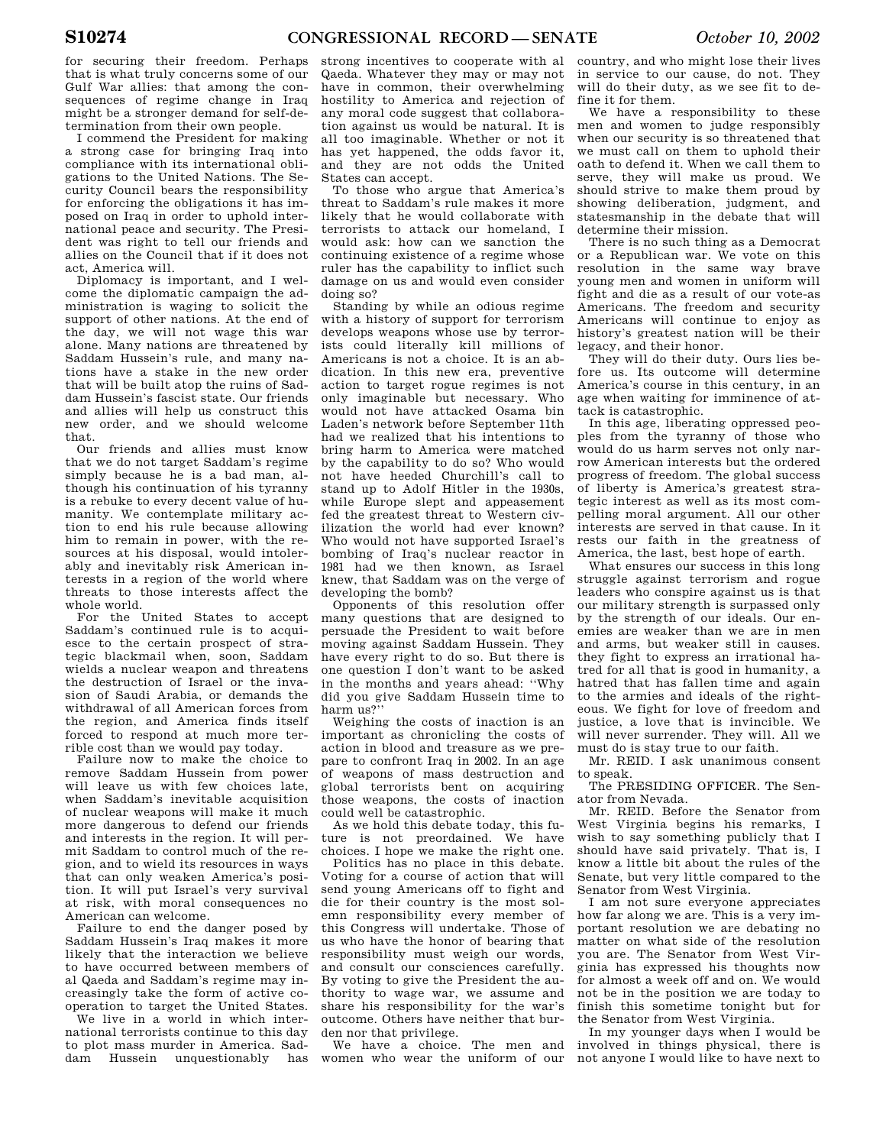for securing their freedom. Perhaps that is what truly concerns some of our Gulf War allies: that among the consequences of regime change in Iraq might be a stronger demand for self-determination from their own people.

I commend the President for making a strong case for bringing Iraq into compliance with its international obligations to the United Nations. The Security Council bears the responsibility for enforcing the obligations it has imposed on Iraq in order to uphold international peace and security. The President was right to tell our friends and allies on the Council that if it does not act, America will.

Diplomacy is important, and I welcome the diplomatic campaign the administration is waging to solicit the support of other nations. At the end of the day, we will not wage this war alone. Many nations are threatened by Saddam Hussein's rule, and many nations have a stake in the new order that will be built atop the ruins of Saddam Hussein's fascist state. Our friends and allies will help us construct this new order, and we should welcome that.

Our friends and allies must know that we do not target Saddam's regime simply because he is a bad man, although his continuation of his tyranny is a rebuke to every decent value of humanity. We contemplate military action to end his rule because allowing him to remain in power, with the resources at his disposal, would intolerably and inevitably risk American interests in a region of the world where threats to those interests affect the whole world.

For the United States to accept Saddam's continued rule is to acquiesce to the certain prospect of strategic blackmail when, soon, Saddam wields a nuclear weapon and threatens the destruction of Israel or the invasion of Saudi Arabia, or demands the withdrawal of all American forces from the region, and America finds itself forced to respond at much more terrible cost than we would pay today.

Failure now to make the choice to remove Saddam Hussein from power will leave us with few choices late, when Saddam's inevitable acquisition of nuclear weapons will make it much more dangerous to defend our friends and interests in the region. It will permit Saddam to control much of the region, and to wield its resources in ways that can only weaken America's position. It will put Israel's very survival at risk, with moral consequences no American can welcome.

Failure to end the danger posed by Saddam Hussein's Iraq makes it more likely that the interaction we believe to have occurred between members of al Qaeda and Saddam's regime may increasingly take the form of active cooperation to target the United States.

We live in a world in which international terrorists continue to this day to plot mass murder in America. Saddam Hussein unquestionably has

strong incentives to cooperate with al Qaeda. Whatever they may or may not have in common, their overwhelming hostility to America and rejection of any moral code suggest that collaboration against us would be natural. It is all too imaginable. Whether or not it has yet happened, the odds favor it, and they are not odds the United States can accept.

To those who argue that America's threat to Saddam's rule makes it more likely that he would collaborate with terrorists to attack our homeland, I would ask: how can we sanction the continuing existence of a regime whose ruler has the capability to inflict such damage on us and would even consider doing so?

Standing by while an odious regime with a history of support for terrorism develops weapons whose use by terrorists could literally kill millions of Americans is not a choice. It is an abdication. In this new era, preventive action to target rogue regimes is not only imaginable but necessary. Who would not have attacked Osama bin Laden's network before September 11th had we realized that his intentions to bring harm to America were matched by the capability to do so? Who would not have heeded Churchill's call to stand up to Adolf Hitler in the 1930s, while Europe slept and appeasement fed the greatest threat to Western civilization the world had ever known? Who would not have supported Israel's bombing of Iraq's nuclear reactor in 1981 had we then known, as Israel knew, that Saddam was on the verge of developing the bomb?

Opponents of this resolution offer many questions that are designed to persuade the President to wait before moving against Saddam Hussein. They have every right to do so. But there is one question I don't want to be asked in the months and years ahead: ''Why did you give Saddam Hussein time to harm us?''

Weighing the costs of inaction is an important as chronicling the costs of action in blood and treasure as we prepare to confront Iraq in 2002. In an age of weapons of mass destruction and global terrorists bent on acquiring those weapons, the costs of inaction could well be catastrophic.

As we hold this debate today, this future is not preordained. We have choices. I hope we make the right one.

Politics has no place in this debate. Voting for a course of action that will send young Americans off to fight and die for their country is the most solemn responsibility every member of this Congress will undertake. Those of us who have the honor of bearing that responsibility must weigh our words, and consult our consciences carefully. By voting to give the President the authority to wage war, we assume and share his responsibility for the war's outcome. Others have neither that burden nor that privilege.

We have a choice. The men and

country, and who might lose their lives in service to our cause, do not. They will do their duty, as we see fit to define it for them.

We have a responsibility to these men and women to judge responsibly when our security is so threatened that we must call on them to uphold their oath to defend it. When we call them to serve, they will make us proud. We should strive to make them proud by showing deliberation, judgment, and statesmanship in the debate that will determine their mission.

There is no such thing as a Democrat or a Republican war. We vote on this resolution in the same way brave young men and women in uniform will fight and die as a result of our vote-as Americans. The freedom and security Americans will continue to enjoy as history's greatest nation will be their legacy, and their honor.

They will do their duty. Ours lies before us. Its outcome will determine America's course in this century, in an age when waiting for imminence of attack is catastrophic.

In this age, liberating oppressed peoples from the tyranny of those who would do us harm serves not only narrow American interests but the ordered progress of freedom. The global success of liberty is America's greatest strategic interest as well as its most compelling moral argument. All our other interests are served in that cause. In it rests our faith in the greatness of America, the last, best hope of earth.

What ensures our success in this long struggle against terrorism and rogue leaders who conspire against us is that our military strength is surpassed only by the strength of our ideals. Our enemies are weaker than we are in men and arms, but weaker still in causes. they fight to express an irrational hatred for all that is good in humanity, a hatred that has fallen time and again to the armies and ideals of the righteous. We fight for love of freedom and justice, a love that is invincible. We will never surrender. They will. All we must do is stay true to our faith.

Mr. REID. I ask unanimous consent to speak.

The PRESIDING OFFICER. The Senator from Nevada.

Mr. REID. Before the Senator from West Virginia begins his remarks, I wish to say something publicly that I should have said privately. That is, I know a little bit about the rules of the Senate, but very little compared to the Senator from West Virginia.

I am not sure everyone appreciates how far along we are. This is a very important resolution we are debating no matter on what side of the resolution you are. The Senator from West Virginia has expressed his thoughts now for almost a week off and on. We would not be in the position we are today to finish this sometime tonight but for the Senator from West Virginia.

women who wear the uniform of our not anyone I would like to have next to In my younger days when I would be involved in things physical, there is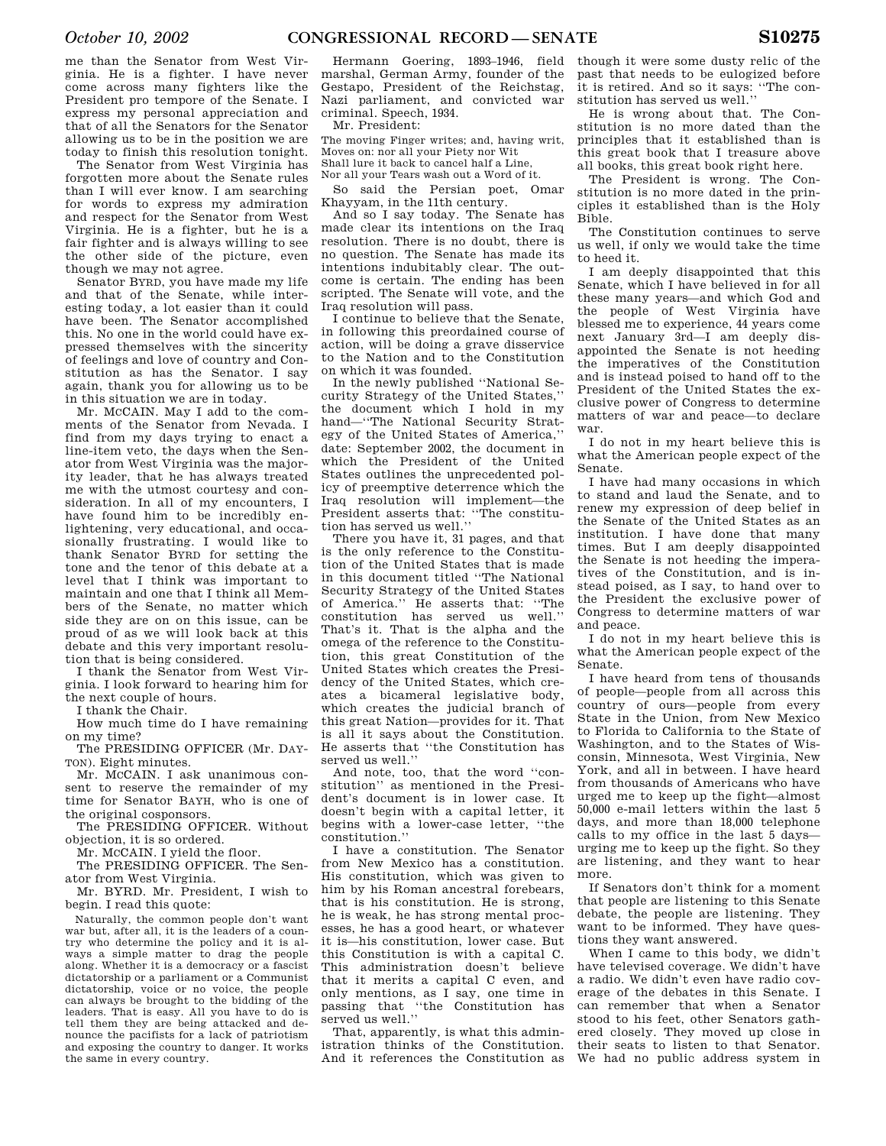me than the Senator from West Virginia. He is a fighter. I have never come across many fighters like the President pro tempore of the Senate. I express my personal appreciation and that of all the Senators for the Senator allowing us to be in the position we are today to finish this resolution tonight.

The Senator from West Virginia has forgotten more about the Senate rules than I will ever know. I am searching for words to express my admiration and respect for the Senator from West Virginia. He is a fighter, but he is a fair fighter and is always willing to see the other side of the picture, even though we may not agree.

Senator BYRD, you have made my life and that of the Senate, while interesting today, a lot easier than it could have been. The Senator accomplished this. No one in the world could have expressed themselves with the sincerity of feelings and love of country and Constitution as has the Senator. I say again, thank you for allowing us to be in this situation we are in today.

Mr. MCCAIN. May I add to the comments of the Senator from Nevada. I find from my days trying to enact a line-item veto, the days when the Senator from West Virginia was the majority leader, that he has always treated me with the utmost courtesy and consideration. In all of my encounters, I have found him to be incredibly enlightening, very educational, and occasionally frustrating. I would like to thank Senator BYRD for setting the tone and the tenor of this debate at a level that I think was important to maintain and one that I think all Members of the Senate, no matter which side they are on on this issue, can be proud of as we will look back at this debate and this very important resolution that is being considered.

I thank the Senator from West Virginia. I look forward to hearing him for the next couple of hours.

I thank the Chair.

How much time do I have remaining on my time?

The PRESIDING OFFICER (Mr. DAY-TON). Eight minutes.

Mr. MCCAIN. I ask unanimous consent to reserve the remainder of my time for Senator BAYH, who is one of the original cosponsors.

The PRESIDING OFFICER. Without objection, it is so ordered.

Mr. MCCAIN. I yield the floor.

The PRESIDING OFFICER. The Senator from West Virginia.

Mr. BYRD. Mr. President, I wish to begin. I read this quote:

Naturally, the common people don't want war but, after all, it is the leaders of a country who determine the policy and it is always a simple matter to drag the people along. Whether it is a democracy or a fascist dictatorship or a parliament or a Communist dictatorship, voice or no voice, the people can always be brought to the bidding of the leaders. That is easy. All you have to do is tell them they are being attacked and denounce the pacifists for a lack of patriotism and exposing the country to danger. It works the same in every country.

Hermann Goering, 1893–1946, field marshal, German Army, founder of the Gestapo, President of the Reichstag, Nazi parliament, and convicted war criminal. Speech, 1934.

Mr. President:

The moving Finger writes; and, having writ, Moves on: nor all your Piety nor Wit Shall lure it back to cancel half a Line,

Nor all your Tears wash out a Word of it.

So said the Persian poet, Omar Khayyam, in the 11th century.

And so I say today. The Senate has made clear its intentions on the Iraq resolution. There is no doubt, there is no question. The Senate has made its intentions indubitably clear. The outcome is certain. The ending has been scripted. The Senate will vote, and the Iraq resolution will pass.

I continue to believe that the Senate, in following this preordained course of action, will be doing a grave disservice to the Nation and to the Constitution on which it was founded.

In the newly published ''National Security Strategy of the United States,'' the document which I hold in my hand—''The National Security Strategy of the United States of America,'' date: September 2002, the document in which the President of the United States outlines the unprecedented policy of preemptive deterrence which the Iraq resolution will implement—the President asserts that: ''The constitution has served us well.''

There you have it, 31 pages, and that is the only reference to the Constitution of the United States that is made in this document titled ''The National Security Strategy of the United States of America.'' He asserts that: ''The constitution has served us well.'' That's it. That is the alpha and the omega of the reference to the Constitution, this great Constitution of the United States which creates the Presidency of the United States, which creates a bicameral legislative body, which creates the judicial branch of this great Nation—provides for it. That is all it says about the Constitution. He asserts that ''the Constitution has served us well.''

And note, too, that the word ''constitution'' as mentioned in the President's document is in lower case. It doesn't begin with a capital letter, it begins with a lower-case letter, ''the constitution.''

I have a constitution. The Senator from New Mexico has a constitution. His constitution, which was given to him by his Roman ancestral forebears, that is his constitution. He is strong, he is weak, he has strong mental processes, he has a good heart, or whatever it is—his constitution, lower case. But this Constitution is with a capital C. This administration doesn't believe that it merits a capital C even, and only mentions, as I say, one time in passing that ''the Constitution has served us well.''

That, apparently, is what this administration thinks of the Constitution. And it references the Constitution as

though it were some dusty relic of the past that needs to be eulogized before it is retired. And so it says: ''The constitution has served us well.''

He is wrong about that. The Constitution is no more dated than the principles that it established than is this great book that I treasure above all books, this great book right here.

The President is wrong. The Constitution is no more dated in the principles it established than is the Holy Bible.

The Constitution continues to serve us well, if only we would take the time to heed it.

I am deeply disappointed that this Senate, which I have believed in for all these many years—and which God and the people of West Virginia have blessed me to experience, 44 years come next January 3rd—I am deeply disappointed the Senate is not heeding the imperatives of the Constitution and is instead poised to hand off to the President of the United States the exclusive power of Congress to determine matters of war and peace—to declare war.

I do not in my heart believe this is what the American people expect of the Senate.

I have had many occasions in which to stand and laud the Senate, and to renew my expression of deep belief in the Senate of the United States as an institution. I have done that many times. But I am deeply disappointed the Senate is not heeding the imperatives of the Constitution, and is instead poised, as I say, to hand over to the President the exclusive power of Congress to determine matters of war and peace.

I do not in my heart believe this is what the American people expect of the Senate.

I have heard from tens of thousands of people—people from all across this country of ours—people from every State in the Union, from New Mexico to Florida to California to the State of Washington, and to the States of Wisconsin, Minnesota, West Virginia, New York, and all in between. I have heard from thousands of Americans who have urged me to keep up the fight—almost 50,000 e-mail letters within the last 5 days, and more than 18,000 telephone calls to my office in the last 5 days urging me to keep up the fight. So they are listening, and they want to hear more.

If Senators don't think for a moment that people are listening to this Senate debate, the people are listening. They want to be informed. They have questions they want answered.

When I came to this body, we didn't have televised coverage. We didn't have a radio. We didn't even have radio coverage of the debates in this Senate. I can remember that when a Senator stood to his feet, other Senators gathered closely. They moved up close in their seats to listen to that Senator. We had no public address system in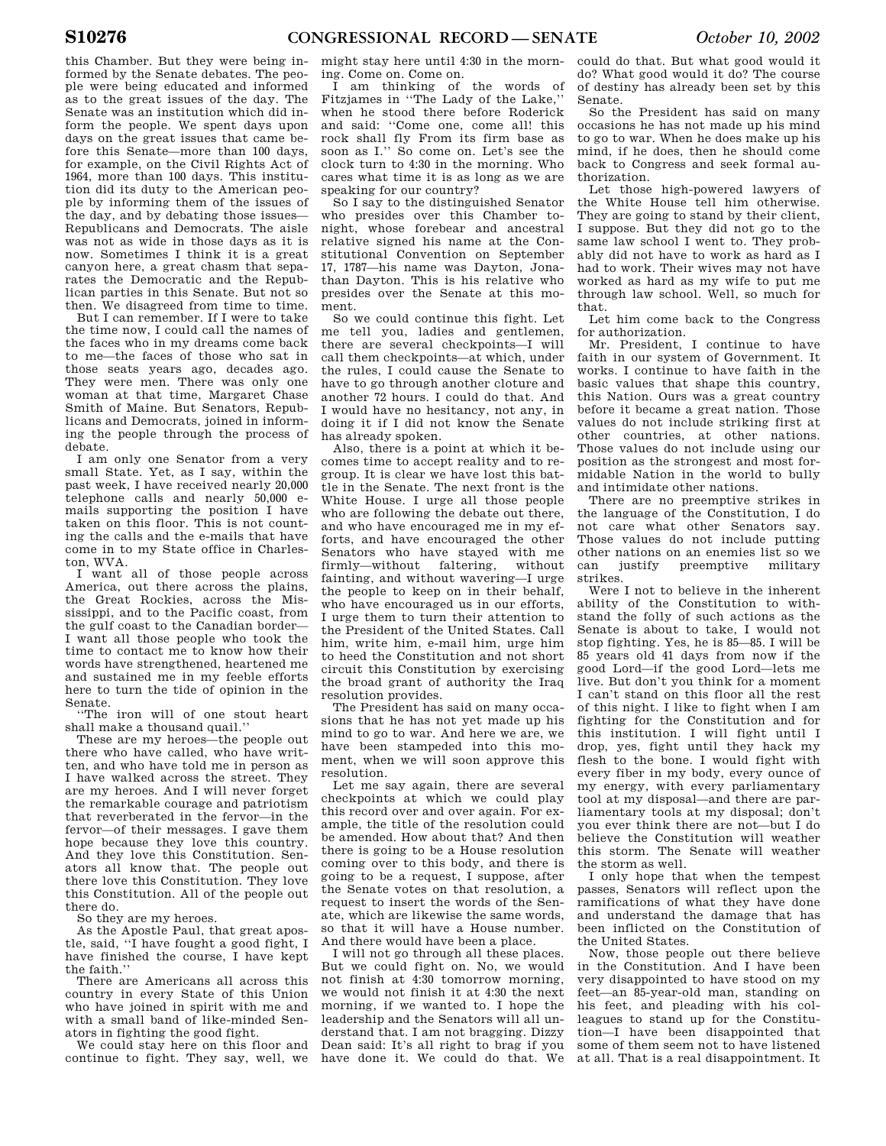this Chamber. But they were being informed by the Senate debates. The people were being educated and informed as to the great issues of the day. The Senate was an institution which did inform the people. We spent days upon days on the great issues that came before this Senate—more than 100 days, for example, on the Civil Rights Act of 1964, more than 100 days. This institution did its duty to the American people by informing them of the issues of the day, and by debating those issues— Republicans and Democrats. The aisle was not as wide in those days as it is now. Sometimes I think it is a great canyon here, a great chasm that separates the Democratic and the Republican parties in this Senate. But not so then. We disagreed from time to time.

But I can remember. If I were to take the time now, I could call the names of the faces who in my dreams come back to me—the faces of those who sat in those seats years ago, decades ago. They were men. There was only one woman at that time, Margaret Chase Smith of Maine. But Senators, Republicans and Democrats, joined in informing the people through the process of debate.

I am only one Senator from a very small State. Yet, as I say, within the past week, I have received nearly 20,000 telephone calls and nearly 50,000 emails supporting the position I have taken on this floor. This is not counting the calls and the e-mails that have come in to my State office in Charleston, WVA.

I want all of those people across America, out there across the plains, the Great Rockies, across the Mississippi, and to the Pacific coast, from the gulf coast to the Canadian border— I want all those people who took the time to contact me to know how their words have strengthened, heartened me and sustained me in my feeble efforts here to turn the tide of opinion in the Senate.

''The iron will of one stout heart shall make a thousand quail.''

These are my heroes—the people out there who have called, who have written, and who have told me in person as I have walked across the street. They are my heroes. And I will never forget the remarkable courage and patriotism that reverberated in the fervor—in the fervor—of their messages. I gave them hope because they love this country. And they love this Constitution. Senators all know that. The people out there love this Constitution. They love this Constitution. All of the people out there do.

So they are my heroes.

As the Apostle Paul, that great apostle, said, ''I have fought a good fight, I have finished the course, I have kept the faith.''

There are Americans all across this country in every State of this Union who have joined in spirit with me and with a small band of like-minded Senators in fighting the good fight.

We could stay here on this floor and continue to fight. They say, well, we

might stay here until 4:30 in the morning. Come on. Come on.

I am thinking of the words of Fitzjames in ''The Lady of the Lake,'' when he stood there before Roderick and said: ''Come one, come all! this rock shall fly From its firm base as soon as I.'' So come on. Let's see the clock turn to 4:30 in the morning. Who cares what time it is as long as we are speaking for our country?

So I say to the distinguished Senator who presides over this Chamber tonight, whose forebear and ancestral relative signed his name at the Constitutional Convention on September 17, 1787—his name was Dayton, Jonathan Dayton. This is his relative who presides over the Senate at this moment.

So we could continue this fight. Let me tell you, ladies and gentlemen, there are several checkpoints—I will call them checkpoints—at which, under the rules, I could cause the Senate to have to go through another cloture and another 72 hours. I could do that. And I would have no hesitancy, not any, in doing it if I did not know the Senate has already spoken.

Also, there is a point at which it becomes time to accept reality and to regroup. It is clear we have lost this battle in the Senate. The next front is the White House. I urge all those people who are following the debate out there, and who have encouraged me in my efforts, and have encouraged the other Senators who have stayed with me firmly—without faltering, without fainting, and without wavering—I urge the people to keep on in their behalf, who have encouraged us in our efforts, I urge them to turn their attention to the President of the United States. Call him, write him, e-mail him, urge him to heed the Constitution and not short circuit this Constitution by exercising the broad grant of authority the Iraq resolution provides.

The President has said on many occasions that he has not yet made up his mind to go to war. And here we are, we have been stampeded into this moment, when we will soon approve this resolution.

Let me say again, there are several checkpoints at which we could play this record over and over again. For example, the title of the resolution could be amended. How about that? And then there is going to be a House resolution coming over to this body, and there is going to be a request, I suppose, after the Senate votes on that resolution, a request to insert the words of the Senate, which are likewise the same words, so that it will have a House number. And there would have been a place.

I will not go through all these places. But we could fight on. No, we would not finish at 4:30 tomorrow morning, we would not finish it at 4:30 the next morning, if we wanted to. I hope the leadership and the Senators will all understand that. I am not bragging. Dizzy Dean said: It's all right to brag if you have done it. We could do that. We

could do that. But what good would it do? What good would it do? The course of destiny has already been set by this Senate.

So the President has said on many occasions he has not made up his mind to go to war. When he does make up his mind, if he does, then he should come back to Congress and seek formal authorization.

Let those high-powered lawyers of the White House tell him otherwise. They are going to stand by their client, I suppose. But they did not go to the same law school I went to. They probably did not have to work as hard as I had to work. Their wives may not have worked as hard as my wife to put me through law school. Well, so much for that.

Let him come back to the Congress for authorization.

Mr. President, I continue to have faith in our system of Government. It works. I continue to have faith in the basic values that shape this country, this Nation. Ours was a great country before it became a great nation. Those values do not include striking first at other countries, at other nations. Those values do not include using our position as the strongest and most formidable Nation in the world to bully and intimidate other nations.

There are no preemptive strikes in the language of the Constitution, I do not care what other Senators say. Those values do not include putting other nations on an enemies list so we can justify preemptive military strikes.

Were I not to believe in the inherent ability of the Constitution to withstand the folly of such actions as the Senate is about to take, I would not stop fighting. Yes, he is 85—85. I will be 85 years old 41 days from now if the good Lord—if the good Lord—lets me live. But don't you think for a moment I can't stand on this floor all the rest of this night. I like to fight when I am fighting for the Constitution and for this institution. I will fight until I drop, yes, fight until they hack my flesh to the bone. I would fight with every fiber in my body, every ounce of my energy, with every parliamentary tool at my disposal—and there are parliamentary tools at my disposal; don't you ever think there are not—but I do believe the Constitution will weather this storm. The Senate will weather the storm as well.

I only hope that when the tempest passes, Senators will reflect upon the ramifications of what they have done and understand the damage that has been inflicted on the Constitution of the United States.

Now, those people out there believe in the Constitution. And I have been very disappointed to have stood on my feet—an 85-year-old man, standing on his feet, and pleading with his colleagues to stand up for the Constitution—I have been disappointed that some of them seem not to have listened at all. That is a real disappointment. It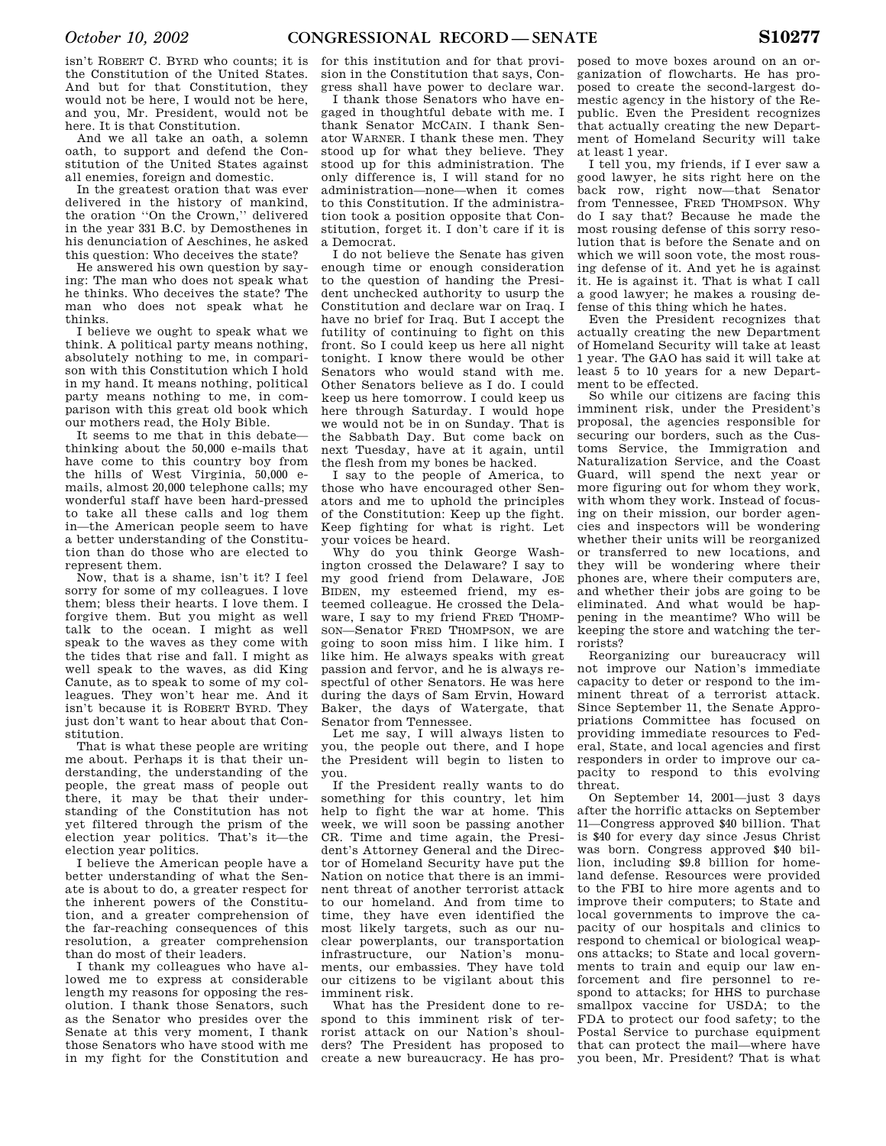isn't ROBERT C. BYRD who counts; it is the Constitution of the United States. And but for that Constitution, they would not be here, I would not be here, and you, Mr. President, would not be here. It is that Constitution.

And we all take an oath, a solemn oath, to support and defend the Constitution of the United States against all enemies, foreign and domestic.

In the greatest oration that was ever delivered in the history of mankind, the oration ''On the Crown,'' delivered in the year 331 B.C. by Demosthenes in his denunciation of Aeschines, he asked this question: Who deceives the state?

He answered his own question by saying: The man who does not speak what he thinks. Who deceives the state? The man who does not speak what he thinks.

I believe we ought to speak what we think. A political party means nothing, absolutely nothing to me, in comparison with this Constitution which I hold in my hand. It means nothing, political party means nothing to me, in comparison with this great old book which our mothers read, the Holy Bible.

It seems to me that in this debate thinking about the 50,000 e-mails that have come to this country boy from the hills of West Virginia, 50,000 emails, almost 20,000 telephone calls; my wonderful staff have been hard-pressed to take all these calls and log them in—the American people seem to have a better understanding of the Constitution than do those who are elected to represent them.

Now, that is a shame, isn't it? I feel sorry for some of my colleagues. I love them; bless their hearts. I love them. I forgive them. But you might as well talk to the ocean. I might as well speak to the waves as they come with the tides that rise and fall. I might as well speak to the waves, as did King Canute, as to speak to some of my colleagues. They won't hear me. And it isn't because it is ROBERT BYRD. They just don't want to hear about that Constitution.

That is what these people are writing me about. Perhaps it is that their understanding, the understanding of the people, the great mass of people out there, it may be that their understanding of the Constitution has not yet filtered through the prism of the election year politics. That's it—the election year politics.

I believe the American people have a better understanding of what the Senate is about to do, a greater respect for the inherent powers of the Constitution, and a greater comprehension of the far-reaching consequences of this resolution, a greater comprehension than do most of their leaders.

I thank my colleagues who have allowed me to express at considerable length my reasons for opposing the resolution. I thank those Senators, such as the Senator who presides over the Senate at this very moment, I thank those Senators who have stood with me in my fight for the Constitution and

for this institution and for that provision in the Constitution that says, Congress shall have power to declare war.

I thank those Senators who have engaged in thoughtful debate with me. I thank Senator MCCAIN. I thank Senator WARNER. I thank these men. They stood up for what they believe. They stood up for this administration. The only difference is, I will stand for no administration—none—when it comes to this Constitution. If the administration took a position opposite that Constitution, forget it. I don't care if it is a Democrat.

I do not believe the Senate has given enough time or enough consideration to the question of handing the President unchecked authority to usurp the Constitution and declare war on Iraq. I have no brief for Iraq. But I accept the futility of continuing to fight on this front. So I could keep us here all night tonight. I know there would be other Senators who would stand with me. Other Senators believe as I do. I could keep us here tomorrow. I could keep us here through Saturday. I would hope we would not be in on Sunday. That is the Sabbath Day. But come back on next Tuesday, have at it again, until the flesh from my bones be hacked.

I say to the people of America, to those who have encouraged other Senators and me to uphold the principles of the Constitution: Keep up the fight. Keep fighting for what is right. Let your voices be heard.

Why do you think George Washington crossed the Delaware? I say to my good friend from Delaware, JOE BIDEN, my esteemed friend, my esteemed colleague. He crossed the Delaware, I say to my friend FRED THOMP-SON—Senator FRED THOMPSON, we are going to soon miss him. I like him. I like him. He always speaks with great passion and fervor, and he is always respectful of other Senators. He was here during the days of Sam Ervin, Howard Baker, the days of Watergate, that Senator from Tennessee.

Let me say, I will always listen to you, the people out there, and I hope the President will begin to listen to you.

If the President really wants to do something for this country, let him help to fight the war at home. This week, we will soon be passing another CR. Time and time again, the President's Attorney General and the Director of Homeland Security have put the Nation on notice that there is an imminent threat of another terrorist attack to our homeland. And from time to time, they have even identified the most likely targets, such as our nuclear powerplants, our transportation infrastructure, our Nation's monuments, our embassies. They have told our citizens to be vigilant about this imminent risk.

What has the President done to respond to this imminent risk of terrorist attack on our Nation's shoulders? The President has proposed to create a new bureaucracy. He has pro-

posed to move boxes around on an organization of flowcharts. He has proposed to create the second-largest domestic agency in the history of the Republic. Even the President recognizes that actually creating the new Department of Homeland Security will take at least 1 year.

I tell you, my friends, if I ever saw a good lawyer, he sits right here on the back row, right now—that Senator from Tennessee, FRED THOMPSON. Why do I say that? Because he made the most rousing defense of this sorry resolution that is before the Senate and on which we will soon vote, the most rousing defense of it. And yet he is against it. He is against it. That is what I call a good lawyer; he makes a rousing defense of this thing which he hates.

Even the President recognizes that actually creating the new Department of Homeland Security will take at least 1 year. The GAO has said it will take at least 5 to 10 years for a new Department to be effected.

So while our citizens are facing this imminent risk, under the President's proposal, the agencies responsible for securing our borders, such as the Customs Service, the Immigration and Naturalization Service, and the Coast Guard, will spend the next year or more figuring out for whom they work, with whom they work. Instead of focusing on their mission, our border agencies and inspectors will be wondering whether their units will be reorganized or transferred to new locations, and they will be wondering where their phones are, where their computers are, and whether their jobs are going to be eliminated. And what would be happening in the meantime? Who will be keeping the store and watching the terrorists?

Reorganizing our bureaucracy will not improve our Nation's immediate capacity to deter or respond to the imminent threat of a terrorist attack. Since September 11, the Senate Appropriations Committee has focused on providing immediate resources to Federal, State, and local agencies and first responders in order to improve our capacity to respond to this evolving threat.

On September 14, 2001—just 3 days after the horrific attacks on September 11—Congress approved \$40 billion. That is \$40 for every day since Jesus Christ was born. Congress approved \$40 billion, including \$9.8 billion for homeland defense. Resources were provided to the FBI to hire more agents and to improve their computers; to State and local governments to improve the capacity of our hospitals and clinics to respond to chemical or biological weapons attacks; to State and local governments to train and equip our law enforcement and fire personnel to respond to attacks; for HHS to purchase smallpox vaccine for USDA; to the FDA to protect our food safety; to the Postal Service to purchase equipment that can protect the mail—where have you been, Mr. President? That is what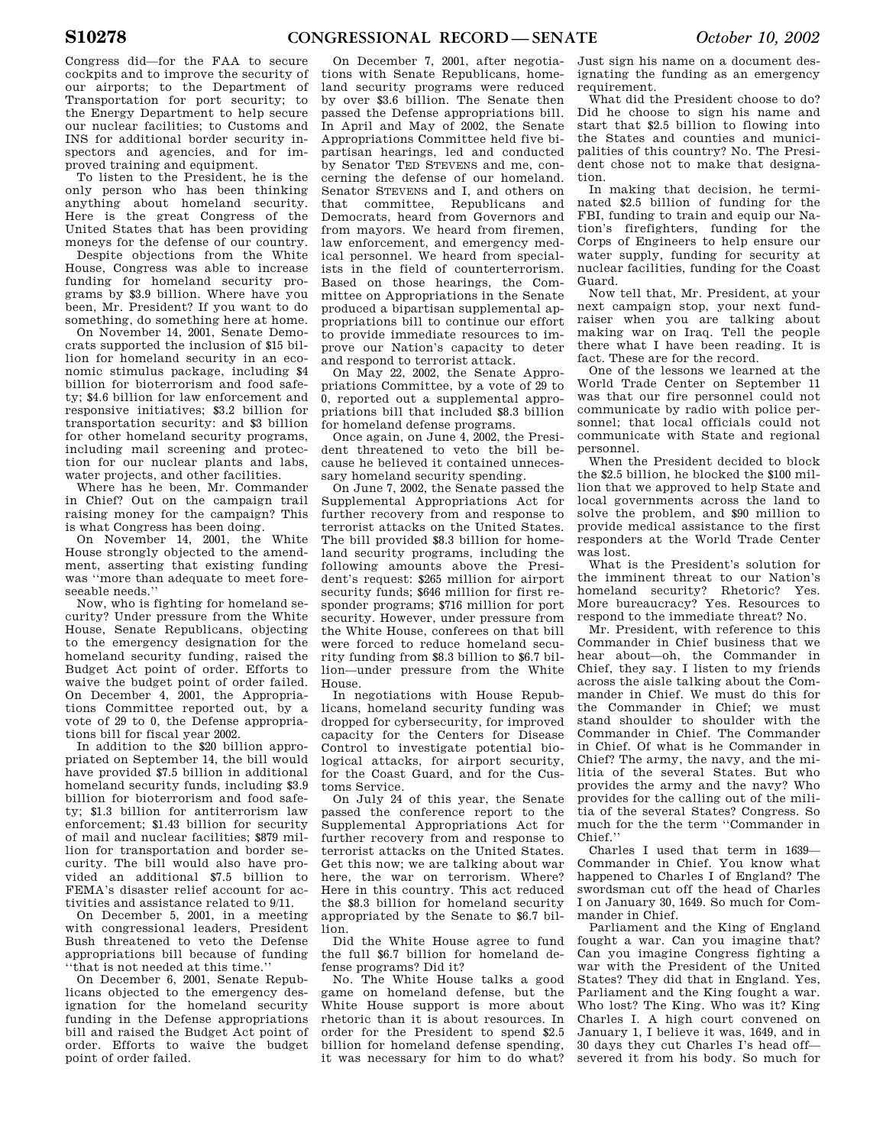Congress did—for the FAA to secure cockpits and to improve the security of our airports; to the Department of Transportation for port security; to the Energy Department to help secure our nuclear facilities; to Customs and INS for additional border security inspectors and agencies, and for improved training and equipment.

To listen to the President, he is the only person who has been thinking anything about homeland security. Here is the great Congress of the United States that has been providing moneys for the defense of our country.

Despite objections from the White House, Congress was able to increase funding for homeland security programs by \$3.9 billion. Where have you been, Mr. President? If you want to do something, do something here at home.

On November 14, 2001, Senate Democrats supported the inclusion of \$15 billion for homeland security in an economic stimulus package, including \$4 billion for bioterrorism and food safety; \$4.6 billion for law enforcement and responsive initiatives; \$3.2 billion for transportation security: and \$3 billion for other homeland security programs, including mail screening and protection for our nuclear plants and labs, water projects, and other facilities.

Where has he been, Mr. Commander in Chief? Out on the campaign trail raising money for the campaign? This is what Congress has been doing.

On November 14, 2001, the White House strongly objected to the amendment, asserting that existing funding was ''more than adequate to meet foreseeable needs.''

Now, who is fighting for homeland security? Under pressure from the White House, Senate Republicans, objecting to the emergency designation for the homeland security funding, raised the Budget Act point of order. Efforts to waive the budget point of order failed. On December 4, 2001, the Appropriations Committee reported out, by a vote of 29 to 0, the Defense appropriations bill for fiscal year 2002.

In addition to the \$20 billion appropriated on September 14, the bill would have provided \$7.5 billion in additional homeland security funds, including \$3.9 billion for bioterrorism and food safety; \$1.3 billion for antiterrorism law enforcement; \$1.43 billion for security of mail and nuclear facilities; \$879 million for transportation and border security. The bill would also have provided an additional \$7.5 billion to FEMA's disaster relief account for activities and assistance related to 9/11.

On December 5, 2001, in a meeting with congressional leaders, President Bush threatened to veto the Defense appropriations bill because of funding ''that is not needed at this time.''

On December 6, 2001, Senate Republicans objected to the emergency designation for the homeland security funding in the Defense appropriations bill and raised the Budget Act point of order. Efforts to waive the budget point of order failed.

On December 7, 2001, after negotiations with Senate Republicans, homeland security programs were reduced by over \$3.6 billion. The Senate then passed the Defense appropriations bill. In April and May of 2002, the Senate Appropriations Committee held five bipartisan hearings, led and conducted by Senator TED STEVENS and me, concerning the defense of our homeland. Senator STEVENS and I, and others on that committee, Republicans and Democrats, heard from Governors and from mayors. We heard from firemen, law enforcement, and emergency medical personnel. We heard from specialists in the field of counterterrorism. Based on those hearings, the Committee on Appropriations in the Senate produced a bipartisan supplemental appropriations bill to continue our effort to provide immediate resources to improve our Nation's capacity to deter and respond to terrorist attack.

On May 22, 2002, the Senate Appropriations Committee, by a vote of 29 to 0, reported out a supplemental appropriations bill that included \$8.3 billion for homeland defense programs.

Once again, on June 4, 2002, the President threatened to veto the bill because he believed it contained unnecessary homeland security spending.

On June 7, 2002, the Senate passed the Supplemental Appropriations Act for further recovery from and response to terrorist attacks on the United States. The bill provided \$8.3 billion for homeland security programs, including the following amounts above the President's request: \$265 million for airport security funds; \$646 million for first responder programs; \$716 million for port security. However, under pressure from the White House, conferees on that bill were forced to reduce homeland security funding from \$8.3 billion to \$6.7 billion—under pressure from the White House.

In negotiations with House Republicans, homeland security funding was dropped for cybersecurity, for improved capacity for the Centers for Disease Control to investigate potential biological attacks, for airport security, for the Coast Guard, and for the Customs Service.

On July 24 of this year, the Senate passed the conference report to the Supplemental Appropriations Act for further recovery from and response to terrorist attacks on the United States. Get this now; we are talking about war here, the war on terrorism. Where? Here in this country. This act reduced the \$8.3 billion for homeland security appropriated by the Senate to \$6.7 billion.

Did the White House agree to fund the full \$6.7 billion for homeland defense programs? Did it?

No. The White House talks a good game on homeland defense, but the White House support is more about rhetoric than it is about resources. In order for the President to spend \$2.5 billion for homeland defense spending, it was necessary for him to do what?

Just sign his name on a document designating the funding as an emergency requirement.

What did the President choose to do? Did he choose to sign his name and start that \$2.5 billion to flowing into the States and counties and municipalities of this country? No. The President chose not to make that designation.

In making that decision, he terminated \$2.5 billion of funding for the FBI, funding to train and equip our Nation's firefighters, funding for the Corps of Engineers to help ensure our water supply, funding for security at nuclear facilities, funding for the Coast Guard.

Now tell that, Mr. President, at your next campaign stop, your next fundraiser when you are talking about making war on Iraq. Tell the people there what I have been reading. It is fact. These are for the record.

One of the lessons we learned at the World Trade Center on September 11 was that our fire personnel could not communicate by radio with police personnel; that local officials could not communicate with State and regional personnel.

When the President decided to block the \$2.5 billion, he blocked the \$100 million that we approved to help State and local governments across the land to solve the problem, and \$90 million to provide medical assistance to the first responders at the World Trade Center was lost.

What is the President's solution for the imminent threat to our Nation's homeland security? Rhetoric? Yes. More bureaucracy? Yes. Resources to respond to the immediate threat? No.

Mr. President, with reference to this Commander in Chief business that we hear about—oh, the Commander in Chief, they say. I listen to my friends across the aisle talking about the Commander in Chief. We must do this for the Commander in Chief; we must stand shoulder to shoulder with the Commander in Chief. The Commander in Chief. Of what is he Commander in Chief? The army, the navy, and the militia of the several States. But who provides the army and the navy? Who provides for the calling out of the militia of the several States? Congress. So much for the the term ''Commander in Chief.''

Charles I used that term in 1639— Commander in Chief. You know what happened to Charles I of England? The swordsman cut off the head of Charles I on January 30, 1649. So much for Commander in Chief.

Parliament and the King of England fought a war. Can you imagine that? Can you imagine Congress fighting a war with the President of the United States? They did that in England. Yes, Parliament and the King fought a war. Who lost? The King. Who was it? King Charles I. A high court convened on January 1, I believe it was, 1649, and in 30 days they cut Charles I's head off severed it from his body. So much for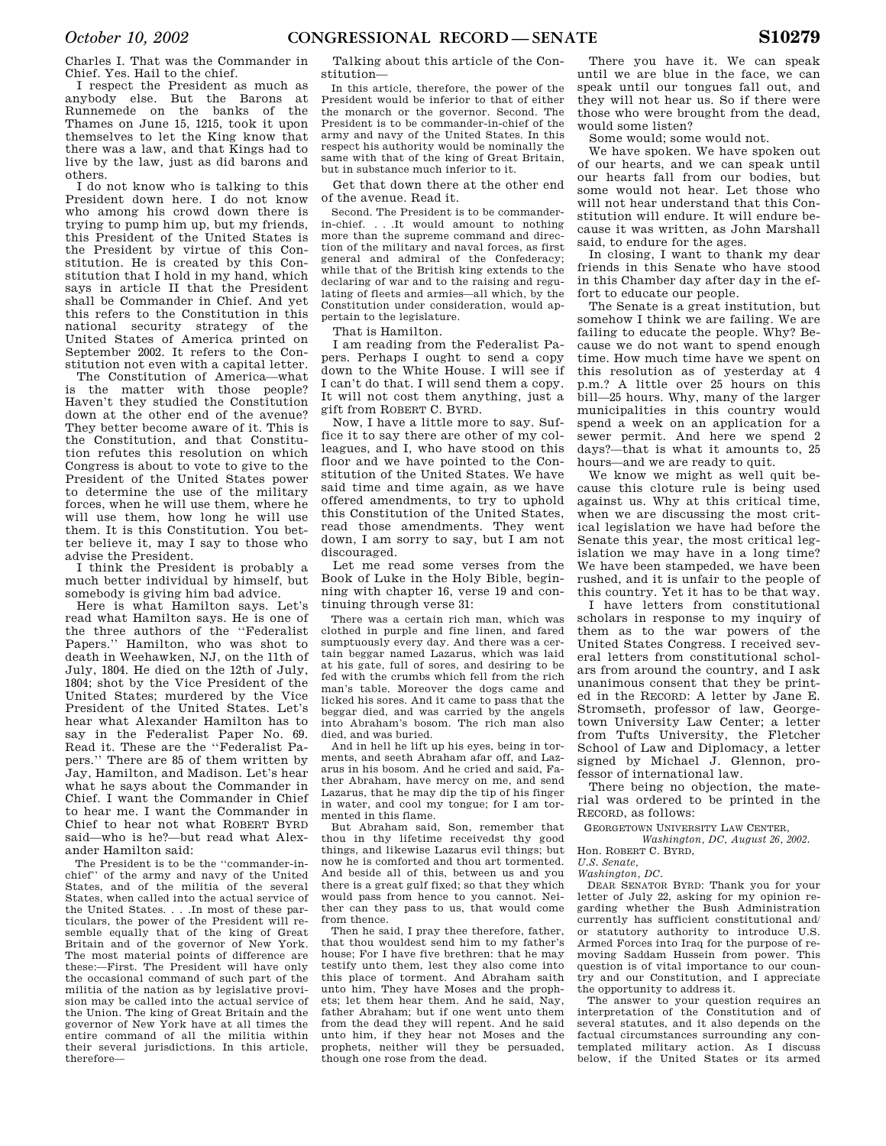Charles I. That was the Commander in Chief. Yes. Hail to the chief.

I respect the President as much as anybody else. But the Barons at Runnemede on the banks of the Thames on June 15, 1215, took it upon themselves to let the King know that there was a law, and that Kings had to live by the law, just as did barons and others.

I do not know who is talking to this President down here. I do not know who among his crowd down there is trying to pump him up, but my friends, this President of the United States is the President by virtue of this Constitution. He is created by this Constitution that I hold in my hand, which says in article II that the President shall be Commander in Chief. And yet this refers to the Constitution in this national security strategy of the United States of America printed on September 2002. It refers to the Constitution not even with a capital letter.

The Constitution of America—what is the matter with those people? Haven't they studied the Constitution down at the other end of the avenue? They better become aware of it. This is the Constitution, and that Constitution refutes this resolution on which Congress is about to vote to give to the President of the United States power to determine the use of the military forces, when he will use them, where he will use them, how long he will use them. It is this Constitution. You better believe it, may I say to those who advise the President.

I think the President is probably a much better individual by himself, but somebody is giving him bad advice.

Here is what Hamilton says. Let's read what Hamilton says. He is one of the three authors of the ''Federalist Papers.'' Hamilton, who was shot to death in Weehawken, NJ, on the 11th of July, 1804. He died on the 12th of July, 1804; shot by the Vice President of the United States; murdered by the Vice President of the United States. Let's hear what Alexander Hamilton has to say in the Federalist Paper No. 69. Read it. These are the ''Federalist Papers.'' There are 85 of them written by Jay, Hamilton, and Madison. Let's hear what he says about the Commander in Chief. I want the Commander in Chief to hear me. I want the Commander in Chief to hear not what ROBERT BYRD said—who is he?—but read what Alexander Hamilton said:

The President is to be the ''commander-inchief'' of the army and navy of the United States, and of the militia of the several States, when called into the actual service of the United States. . . .In most of these particulars, the power of the President will resemble equally that of the king of Great Britain and of the governor of New York. The most material points of difference are these:—First. The President will have only the occasional command of such part of the militia of the nation as by legislative provision may be called into the actual service of the Union. The king of Great Britain and the governor of New York have at all times the entire command of all the militia within their several jurisdictions. In this article, therefore—

Talking about this article of the Constitution—

In this article, therefore, the power of the President would be inferior to that of either the monarch or the governor. Second. The President is to be commander-in-chief of the army and navy of the United States. In this respect his authority would be nominally the same with that of the king of Great Britain, but in substance much inferior to it.

Get that down there at the other end of the avenue. Read it.

Second. The President is to be commanderin-chief. . . .It would amount to nothing more than the supreme command and direction of the military and naval forces, as first general and admiral of the Confederacy; while that of the British king extends to the declaring of war and to the raising and regulating of fleets and armies—all which, by the Constitution under consideration, would appertain to the legislature.

That is Hamilton.

I am reading from the Federalist Papers. Perhaps I ought to send a copy down to the White House. I will see if I can't do that. I will send them a copy. It will not cost them anything, just a gift from ROBERT C. BYRD.

Now, I have a little more to say. Suffice it to say there are other of my colleagues, and I, who have stood on this floor and we have pointed to the Constitution of the United States. We have said time and time again, as we have offered amendments, to try to uphold this Constitution of the United States, read those amendments. They went down, I am sorry to say, but I am not discouraged.

Let me read some verses from the Book of Luke in the Holy Bible, beginning with chapter 16, verse 19 and continuing through verse 31:

There was a certain rich man, which was clothed in purple and fine linen, and fared sumptuously every day. And there was a certain beggar named Lazarus, which was laid at his gate, full of sores, and desiring to be fed with the crumbs which fell from the rich man's table. Moreover the dogs came and licked his sores. And it came to pass that the beggar died, and was carried by the angels into Abraham's bosom. The rich man also died, and was buried.

And in hell he lift up his eyes, being in torments, and seeth Abraham afar off, and Lazarus in his bosom. And he cried and said, Father Abraham, have mercy on me, and send Lazarus, that he may dip the tip of his finger in water, and cool my tongue; for I am tormented in this flame.

But Abraham said, Son, remember that thou in thy lifetime receivedst thy good things, and likewise Lazarus evil things; but now he is comforted and thou art tormented. And beside all of this, between us and you there is a great gulf fixed; so that they which would pass from hence to you cannot. Neither can they pass to us, that would come from thence.

Then he said, I pray thee therefore, father, that thou wouldest send him to my father's house; For I have five brethren: that he may testify unto them, lest they also come into this place of torment. And Abraham saith unto him, They have Moses and the prophets; let them hear them. And he said, Nay, father Abraham; but if one went unto them from the dead they will repent. And he said unto him, if they hear not Moses and the prophets, neither will they be persuaded, though one rose from the dead.

There you have it. We can speak until we are blue in the face, we can speak until our tongues fall out, and they will not hear us. So if there were those who were brought from the dead, would some listen?

Some would; some would not.

We have spoken. We have spoken out of our hearts, and we can speak until our hearts fall from our bodies, but some would not hear. Let those who will not hear understand that this Constitution will endure. It will endure because it was written, as John Marshall said, to endure for the ages.

In closing, I want to thank my dear friends in this Senate who have stood in this Chamber day after day in the effort to educate our people.

The Senate is a great institution, but somehow I think we are failing. We are failing to educate the people. Why? Because we do not want to spend enough time. How much time have we spent on this resolution as of yesterday at 4 p.m.? A little over 25 hours on this bill—25 hours. Why, many of the larger municipalities in this country would spend a week on an application for a sewer permit. And here we spend 2 days?—that is what it amounts to, 25 hours—and we are ready to quit.

We know we might as well quit because this cloture rule is being used against us. Why at this critical time, when we are discussing the most critical legislation we have had before the Senate this year, the most critical legislation we may have in a long time? We have been stampeded, we have been rushed, and it is unfair to the people of this country. Yet it has to be that way.

I have letters from constitutional scholars in response to my inquiry of them as to the war powers of the United States Congress. I received several letters from constitutional scholars from around the country, and I ask unanimous consent that they be printed in the RECORD: A letter by Jane E. Stromseth, professor of law, Georgetown University Law Center; a letter from Tufts University, the Fletcher School of Law and Diplomacy, a letter signed by Michael J. Glennon, professor of international law.

There being no objection, the material was ordered to be printed in the RECORD, as follows:

GEORGETOWN UNIVERSITY LAW CENTER,

*Washington, DC, August 26, 2002.*  Hon. ROBERT C. BYRD,

*U.S. Senate,* 

*Washington, DC.* 

DEAR SENATOR BYRD: Thank you for your letter of July 22, asking for my opinion regarding whether the Bush Administration currently has sufficient constitutional and/ or statutory authority to introduce U.S. Armed Forces into Iraq for the purpose of removing Saddam Hussein from power. This question is of vital importance to our country and our Constitution, and I appreciate the opportunity to address it.

The answer to your question requires an interpretation of the Constitution and of several statutes, and it also depends on the factual circumstances surrounding any contemplated military action. As I discuss below, if the United States or its armed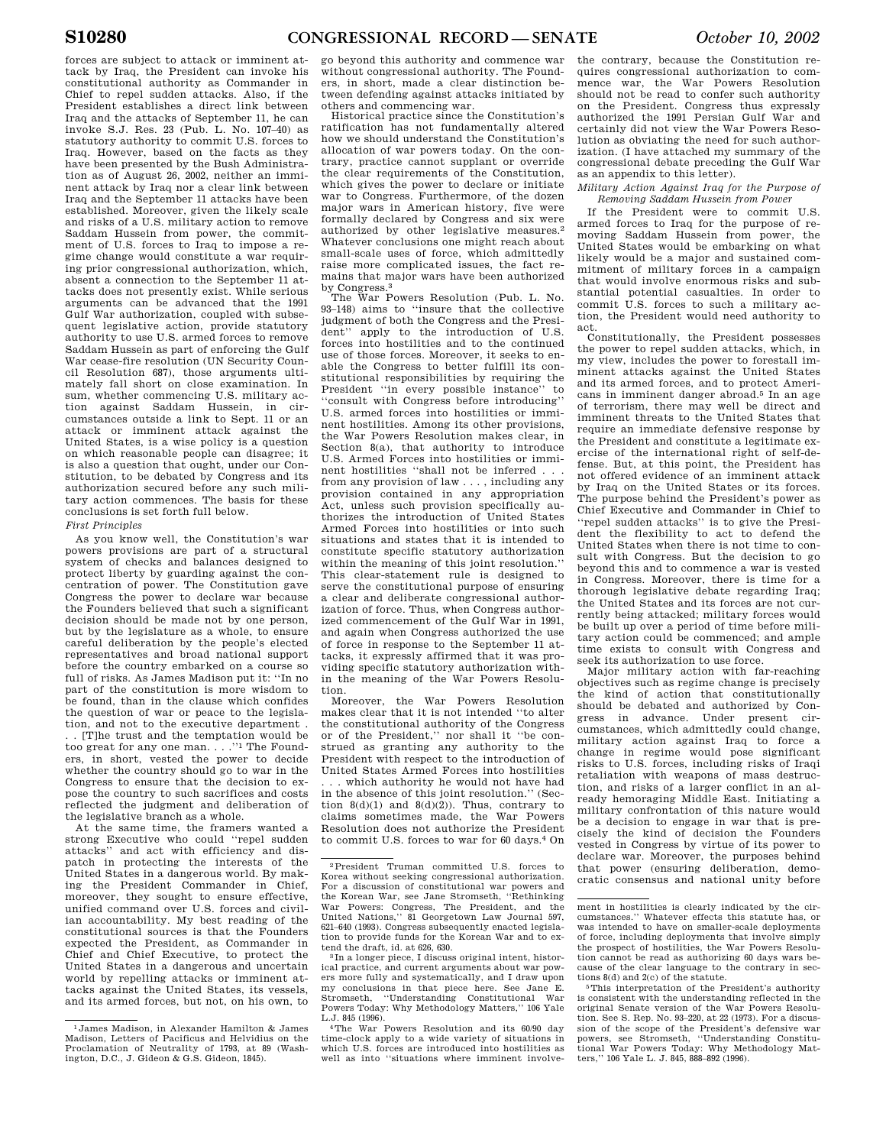forces are subject to attack or imminent attack by Iraq, the President can invoke his constitutional authority as Commander in Chief to repel sudden attacks. Also, if the President establishes a direct link between Iraq and the attacks of September 11, he can invoke S.J. Res. 23 (Pub. L. No. 107–40) as statutory authority to commit U.S. forces to Iraq. However, based on the facts as they have been presented by the Bush Administration as of August 26, 2002, neither an imminent attack by Iraq nor a clear link between Iraq and the September 11 attacks have been established. Moreover, given the likely scale and risks of a U.S. military action to remove Saddam Hussein from power, the commitment of U.S. forces to Iraq to impose a regime change would constitute a war requiring prior congressional authorization, which, absent a connection to the September 11 attacks does not presently exist. While serious arguments can be advanced that the 1991 Gulf War authorization, coupled with subsequent legislative action, provide statutory authority to use U.S. armed forces to remove Saddam Hussein as part of enforcing the Gulf War cease-fire resolution (UN Security Council Resolution 687), those arguments ultimately fall short on close examination. In sum, whether commencing U.S. military action against Saddam Hussein, in circumstances outside a link to Sept. 11 or an attack or imminent attack against the United States, is a wise policy is a question on which reasonable people can disagree; it is also a question that ought, under our Constitution, to be debated by Congress and its authorization secured before any such military action commences. The basis for these conclusions is set forth full below.

### *First Principles*

As you know well, the Constitution's war powers provisions are part of a structural system of checks and balances designed to protect liberty by guarding against the concentration of power. The Constitution gave Congress the power to declare war because the Founders believed that such a significant decision should be made not by one person, but by the legislature as a whole, to ensure careful deliberation by the people's elected representatives and broad national support before the country embarked on a course so full of risks. As James Madison put it: ''In no part of the constitution is more wisdom to be found, than in the clause which confides the question of war or peace to the legislation, and not to the executive department . . . [T]he trust and the temptation would be too great for any one man. . . .''1 The Founders, in short, vested the power to decide whether the country should go to war in the Congress to ensure that the decision to expose the country to such sacrifices and costs reflected the judgment and deliberation of the legislative branch as a whole.

At the same time, the framers wanted a strong Executive who could ''repel sudden attacks'' and act with efficiency and dispatch in protecting the interests of the United States in a dangerous world. By making the President Commander in Chief, moreover, they sought to ensure effective, unified command over U.S. forces and civilian accountability. My best reading of the constitutional sources is that the Founders expected the President, as Commander in Chief and Chief Executive, to protect the United States in a dangerous and uncertain world by repelling attacks or imminent attacks against the United States, its vessels, and its armed forces, but not, on his own, to go beyond this authority and commence war without congressional authority. The Founders, in short, made a clear distinction between defending against attacks initiated by others and commencing war.

Historical practice since the Constitution's ratification has not fundamentally altered how we should understand the Constitution's allocation of war powers today. On the contrary, practice cannot supplant or override the clear requirements of the Constitution, which gives the power to declare or initiate war to Congress. Furthermore, of the dozen major wars in American history, five were formally declared by Congress and six were authorized by other legislative measures.2 Whatever conclusions one might reach about small-scale uses of force, which admittedly raise more complicated issues, the fact remains that major wars have been authorized by Congress.3

The War Powers Resolution (Pub. L. No. 93–148) aims to ''insure that the collective judgment of both the Congress and the President'' apply to the introduction of U.S. forces into hostilities and to the continued use of those forces. Moreover, it seeks to enable the Congress to better fulfill its constitutional responsibilities by requiring the President ''in every possible instance'' to ''consult with Congress before introducing'' U.S. armed forces into hostilities or imminent hostilities. Among its other provisions, the War Powers Resolution makes clear, in Section 8(a), that authority to introduce U.S. Armed Forces into hostilities or imminent hostilities ''shall not be inferred . . . from any provision of law . . . , including any provision contained in any appropriation Act, unless such provision specifically authorizes the introduction of United States Armed Forces into hostilities or into such situations and states that it is intended to constitute specific statutory authorization within the meaning of this joint resolution.<sup>'</sup> This clear-statement rule is designed to serve the constitutional purpose of ensuring a clear and deliberate congressional authorization of force. Thus, when Congress authorized commencement of the Gulf War in 1991, and again when Congress authorized the use of force in response to the September 11 attacks, it expressly affirmed that it was providing specific statutory authorization within the meaning of the War Powers Resolution.

Moreover, the War Powers Resolution makes clear that it is not intended ''to alter the constitutional authority of the Congress or of the President,'' nor shall it ''be construed as granting any authority to the President with respect to the introduction of United States Armed Forces into hostilities . . . which authority he would not have had in the absence of this joint resolution.'' (Section  $8(d)(1)$  and  $8(d)(2)$ ). Thus, contrary to claims sometimes made, the War Powers Resolution does not authorize the President to commit U.S. forces to war for 60 days.4 On

 $3$ In a longer piece, I discuss original intent, historical practice, and current arguments about war powers more fully and systematically, and I draw upon my conclusions in that piece here. See Jane E. Stromseth, ''Understanding Constitutional War Powers Today: Why Methodology Matters,'' 106 Yale

 $4$ The War Powers Resolution and its  $60/90$  day time-clock apply to a wide variety of situations in which U.S. forces are introduced into hostilities as well as into ''situations where imminent involve-

the contrary, because the Constitution requires congressional authorization to commence war, the War Powers Resolution should not be read to confer such authority on the President. Congress thus expressly authorized the 1991 Persian Gulf War and certainly did not view the War Powers Resolution as obviating the need for such authorization. (I have attached my summary of the congressional debate preceding the Gulf War as an appendix to this letter).

#### *Military Action Against Iraq for the Purpose of Removing Saddam Hussein from Power*

If the President were to commit U.S. armed forces to Iraq for the purpose of removing Saddam Hussein from power, the United States would be embarking on what likely would be a major and sustained commitment of military forces in a campaign that would involve enormous risks and substantial potential casualties. In order to commit U.S. forces to such a military action, the President would need authority to act.

Constitutionally, the President possesses the power to repel sudden attacks, which, in my view, includes the power to forestall imminent attacks against the United States and its armed forces, and to protect Americans in imminent danger abroad.5 In an age of terrorism, there may well be direct and imminent threats to the United States that require an immediate defensive response by the President and constitute a legitimate exercise of the international right of self-defense. But, at this point, the President has not offered evidence of an imminent attack by Iraq on the United States or its forces. The purpose behind the President's power as Chief Executive and Commander in Chief to ''repel sudden attacks'' is to give the President the flexibility to act to defend the United States when there is not time to consult with Congress. But the decision to go beyond this and to commence a war is vested in Congress. Moreover, there is time for a thorough legislative debate regarding Iraq; the United States and its forces are not currently being attacked; military forces would be built up over a period of time before military action could be commenced; and ample time exists to consult with Congress and seek its authorization to use force.

Major military action with far-reaching objectives such as regime change is precisely the kind of action that constitutionally should be debated and authorized by Congress in advance. Under present circumstances, which admittedly could change, military action against Iraq to force a change in regime would pose significant risks to U.S. forces, including risks of Iraqi retaliation with weapons of mass destruction, and risks of a larger conflict in an already hemoraging Middle East. Initiating a military confrontation of this nature would be a decision to engage in war that is precisely the kind of decision the Founders vested in Congress by virtue of its power to declare war. Moreover, the purposes behind that power (ensuring deliberation, democratic consensus and national unity before

<sup>1</sup>James Madison, in Alexander Hamilton & James Madison, Letters of Pacificus and Helvidius on the Proclamation of Neutrality of 1793, at 89 (Washington, D.C., J. Gideon & G.S. Gideon, 1845).

<sup>2</sup>President Truman committed U.S. forces to Korea without seeking congressional authorization. For a discussion of constitutional war powers and the Korean War, see Jane Stromseth, ''Rethinking War Powers: Congress, The President, and the United Nations,'' 81 Georgetown Law Journal 597, 621–640 (1993). Congress subsequently enacted legislation to provide funds for the Korean War and to extend the draft, id. at  $626,\,630.$ 

ment in hostilities is clearly indicated by the circumstances.'' Whatever effects this statute has, or was intended to have on smaller-scale deployments of force, including deployments that involve simply the prospect of hostilities, the War Powers Resolution cannot be read as authorizing 60 days wars because of the clear language to the contrary in sections  $8(d)$  and  $2(c)$  of the statute.

 $^5\mathrm{This}\,$  interpretation of the President's authority is consistent with the understanding reflected in the original Senate version of the War tion. See S. Rep. No. 93–220, at 22 (1973). For a discussion of the scope of the President's defensive war powers, see Stromseth, ''Understanding Constitutional War Powers Today: Why Methodology Matters,'' 106 Yale L. J. 845, 888–892 (1996).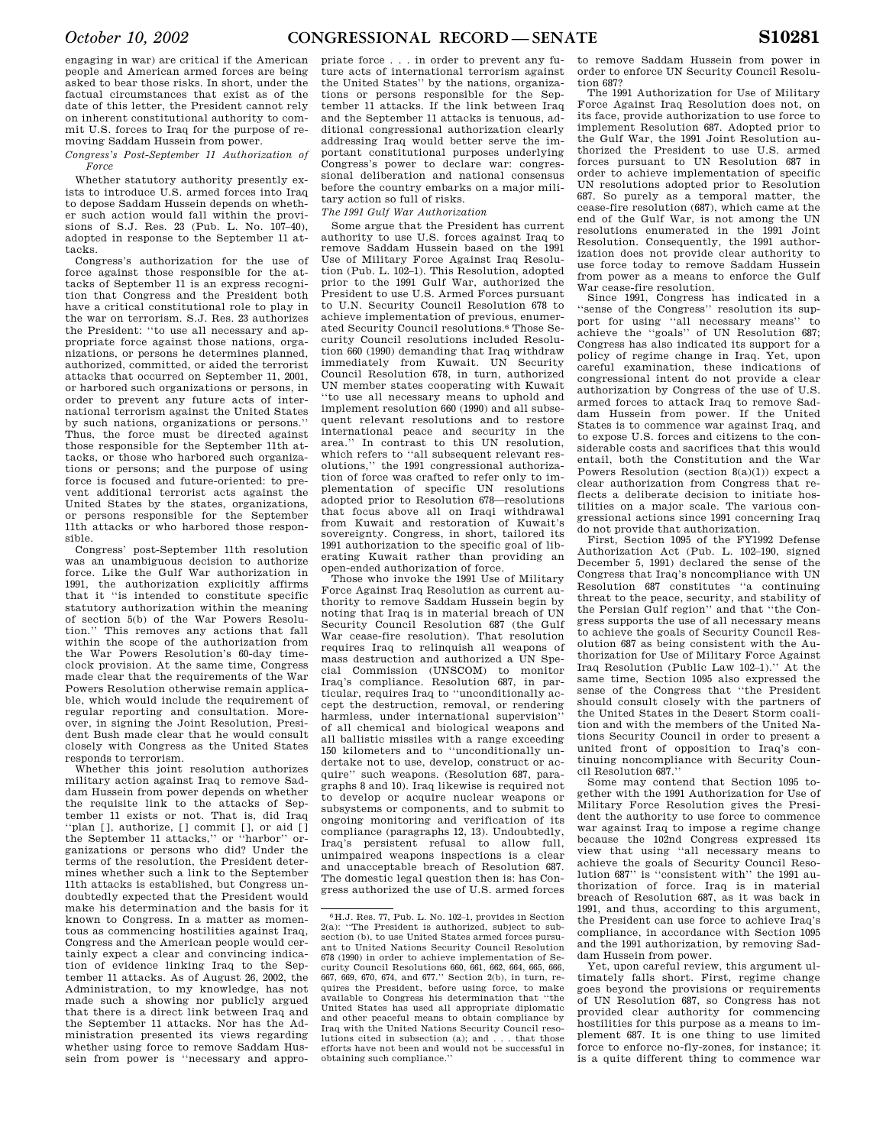engaging in war) are critical if the American people and American armed forces are being asked to bear those risks. In short, under the factual circumstances that exist as of the date of this letter, the President cannot rely on inherent constitutional authority to commit U.S. forces to Iraq for the purpose of removing Saddam Hussein from power.

*Congress's Post-September 11 Authorization of Force* 

Whether statutory authority presently exists to introduce U.S. armed forces into Iraq to depose Saddam Hussein depends on whether such action would fall within the provisions of S.J. Res. 23 (Pub. L. No. 107–40), adopted in response to the September 11 attacks.

Congress's authorization for the use of force against those responsible for the attacks of September 11 is an express recognition that Congress and the President both have a critical constitutional role to play in the war on terrorism. S.J. Res. 23 authorizes the President: ''to use all necessary and appropriate force against those nations, organizations, or persons he determines planned, authorized, committed, or aided the terrorist attacks that occurred on September 11, 2001, or harbored such organizations or persons, in order to prevent any future acts of international terrorism against the United States by such nations, organizations or persons.'' Thus, the force must be directed against those responsible for the September 11th attacks, or those who harbored such organizations or persons; and the purpose of using force is focused and future-oriented: to prevent additional terrorist acts against the United States by the states, organizations, or persons responsible for the September 11th attacks or who harbored those responsible.

Congress' post-September 11th resolution was an unambiguous decision to authorize force. Like the Gulf War authorization in 1991, the authorization explicitly affirms that it ''is intended to constitute specific statutory authorization within the meaning of section 5(b) of the War Powers Resolution.'' This removes any actions that fall within the scope of the authorization from the War Powers Resolution's 60-day timeclock provision. At the same time, Congress made clear that the requirements of the War Powers Resolution otherwise remain applicable, which would include the requirement of regular reporting and consultation. Moreover, in signing the Joint Resolution, President Bush made clear that he would consult closely with Congress as the United States responds to terrorism.

Whether this joint resolution authorizes military action against Iraq to remove Saddam Hussein from power depends on whether the requisite link to the attacks of September 11 exists or not. That is, did Iraq ''plan [], authorize, [] commit [], or aid [] the September 11 attacks,'' or ''harbor'' organizations or persons who did? Under the terms of the resolution, the President determines whether such a link to the September 11th attacks is established, but Congress undoubtedly expected that the President would make his determination and the basis for it known to Congress. In a matter as momentous as commencing hostilities against Iraq, Congress and the American people would certainly expect a clear and convincing indication of evidence linking Iraq to the September 11 attacks. As of August 26, 2002, the Administration, to my knowledge, has not made such a showing nor publicly argued that there is a direct link between Iraq and the September 11 attacks. Nor has the Administration presented its views regarding whether using force to remove Saddam Hussein from power is ''necessary and appro-

priate force . . . in order to prevent any future acts of international terrorism against the United States'' by the nations, organizations or persons responsible for the September 11 attacks. If the link between Iraq and the September 11 attacks is tenuous, additional congressional authorization clearly addressing Iraq would better serve the important constitutional purposes underlying Congress's power to declare war: congressional deliberation and national consensus before the country embarks on a major military action so full of risks.

*The 1991 Gulf War Authorization* 

Some argue that the President has current authority to use U.S. forces against Iraq to remove Saddam Hussein based on the 1991 Use of Military Force Against Iraq Resolution (Pub. L. 102–1). This Resolution, adopted prior to the 1991 Gulf War, authorized the President to use U.S. Armed Forces pursuant to U.N. Security Council Resolution 678 to achieve implementation of previous, enumerated Security Council resolutions.6 Those Security Council resolutions included Resolution 660 (1990) demanding that Iraq withdraw immediately from Kuwait. UN Security Council Resolution 678, in turn, authorized UN member states cooperating with Kuwait 'to use all necessary means to uphold and implement resolution 660 (1990) and all subsequent relevant resolutions and to restore international peace and security in the area.'' In contrast to this UN resolution, which refers to ''all subsequent relevant resolutions,'' the 1991 congressional authorization of force was crafted to refer only to implementation of specific UN resolutions adopted prior to Resolution 678—resolutions that focus above all on Iraqi withdrawal from Kuwait and restoration of Kuwait's sovereignty. Congress, in short, tailored its 1991 authorization to the specific goal of liberating Kuwait rather than providing an open-ended authorization of force.

Those who invoke the 1991 Use of Military Force Against Iraq Resolution as current authority to remove Saddam Hussein begin by noting that Iraq is in material breach of UN Security Council Resolution 687 (the Gulf War cease-fire resolution). That resolution requires Iraq to relinquish all weapons of mass destruction and authorized a UN Special Commission (UNSCOM) to monitor Iraq's compliance. Resolution 687, in particular, requires Iraq to ''unconditionally accept the destruction, removal, or rendering harmless, under international supervision'' of all chemical and biological weapons and all ballistic missiles with a range exceeding 150 kilometers and to ''unconditionally undertake not to use, develop, construct or acquire'' such weapons. (Resolution 687, paragraphs 8 and 10). Iraq likewise is required not to develop or acquire nuclear weapons or subsystems or components, and to submit to ongoing monitoring and verification of its compliance (paragraphs 12, 13). Undoubtedly, Iraq's persistent refusal to allow full, unimpaired weapons inspections is a clear and unacceptable breach of Resolution 687. The domestic legal question then is: has Congress authorized the use of U.S. armed forces to remove Saddam Hussein from power in order to enforce UN Security Council Resolution 687?

The 1991 Authorization for Use of Military Force Against Iraq Resolution does not, on its face, provide authorization to use force to implement Resolution 687. Adopted prior to the Gulf War, the 1991 Joint Resolution authorized the President to use U.S. armed forces pursuant to UN Resolution 687 in order to achieve implementation of specific UN resolutions adopted prior to Resolution 687. So purely as a temporal matter, the cease-fire resolution (687), which came at the end of the Gulf War, is not among the UN resolutions enumerated in the 1991 Joint Resolution. Consequently, the 1991 authorization does not provide clear authority to use force today to remove Saddam Hussein from power as a means to enforce the Gulf War cease-fire resolution.

Since 1991, Congress has indicated in a ''sense of the Congress'' resolution its support for using "all necessary means" achieve the ''goals'' of UN Resolution 687; Congress has also indicated its support for a policy of regime change in Iraq. Yet, upon careful examination, these indications of congressional intent do not provide a clear authorization by Congress of the use of U.S. armed forces to attack Iraq to remove Saddam Hussein from power. If the United States is to commence war against Iraq, and to expose U.S. forces and citizens to the considerable costs and sacrifices that this would entail, both the Constitution and the War Powers Resolution (section 8(a)(1)) expect a clear authorization from Congress that reflects a deliberate decision to initiate hostilities on a major scale. The various congressional actions since 1991 concerning Iraq do not provide that authorization.

First, Section 1095 of the FY1992 Defense Authorization Act (Pub. L. 102–190, signed December 5, 1991) declared the sense of the Congress that Iraq's noncompliance with UN Resolution 687 constitutes ''a continuing threat to the peace, security, and stability of the Persian Gulf region'' and that ''the Congress supports the use of all necessary means to achieve the goals of Security Council Resolution 687 as being consistent with the Authorization for Use of Military Force Against Iraq Resolution (Public Law 102–1).'' At the same time, Section 1095 also expressed the sense of the Congress that ''the President should consult closely with the partners of the United States in the Desert Storm coalition and with the members of the United Nations Security Council in order to present a united front of opposition to Iraq's continuing noncompliance with Security Council Resolution 687.''

Some may contend that Section 1095 together with the 1991 Authorization for Use of Military Force Resolution gives the President the authority to use force to commence war against Iraq to impose a regime change because the 102nd Congress expressed its view that using ''all necessary means to achieve the goals of Security Council Resolution 687'' is ''consistent with'' the 1991 authorization of force. Iraq is in material breach of Resolution 687, as it was back in 1991, and thus, according to this argument, the President can use force to achieve Iraq's compliance, in accordance with Section 1095 and the 1991 authorization, by removing Sad-

dam Hussein from power. Yet, upon careful review, this argument ultimately falls short. First, regime change goes beyond the provisions or requirements of UN Resolution 687, so Congress has not provided clear authority for commencing hostilities for this purpose as a means to implement 687. It is one thing to use limited force to enforce no-fly-zones, for instance; it is a quite different thing to commence war

<sup>6</sup> H.J. Res. 77, Pub. L. No. 102–1, provides in Section 2(a): ''The President is authorized, subject to subsection (b), to use United States armed forces pursuant to United Nations Security Council Resolution 678 (1990) in order to achieve implementation of Security Council Resolutions 660, 661, 662, 664, 665, 666, 667, 669, 670, 674, and 677." quires the President, before using force, to make available to Congress his determination that ''the United States has used all appropriate diplomatic and other peaceful means to obtain compliance by Iraq with the United Nations Security Council resolutions cited in subsection (a); and . . . that those efforts have not been and would not be successful in obtaining such compliance.''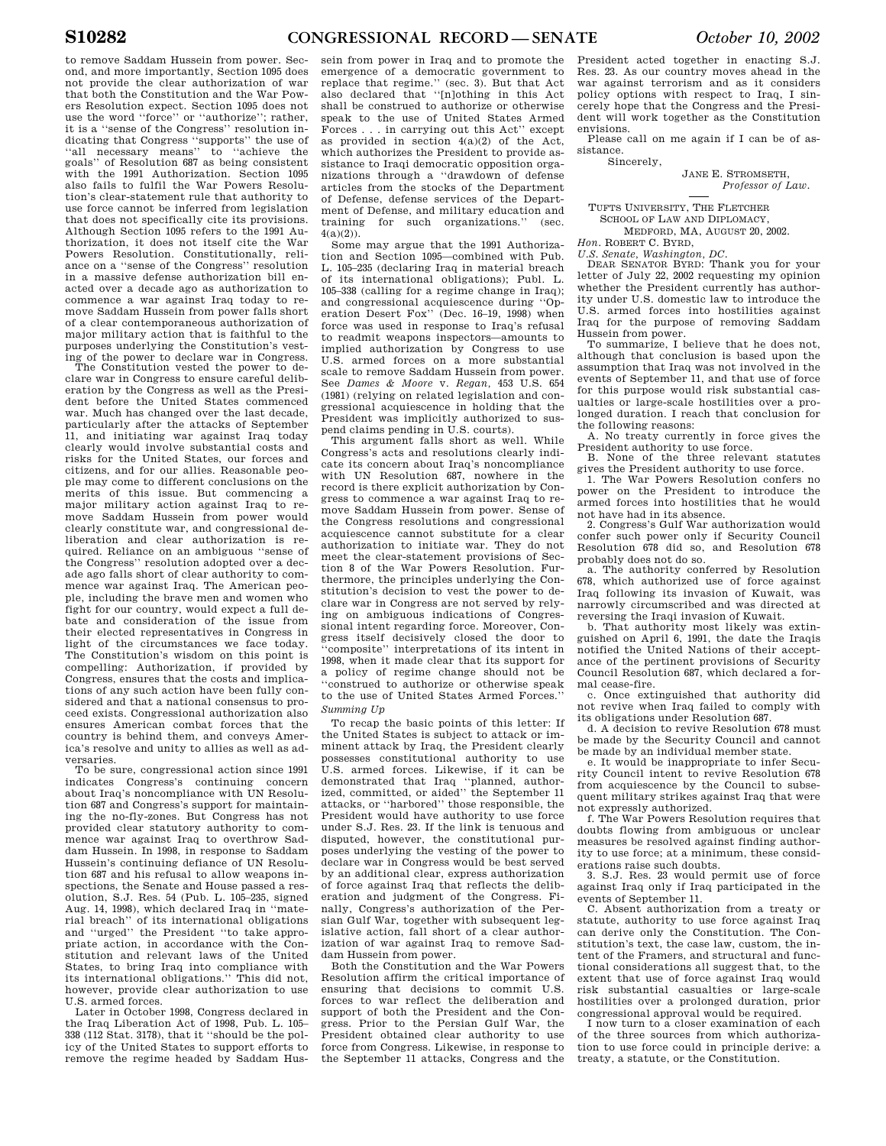to remove Saddam Hussein from power. Second, and more importantly, Section 1095 does not provide the clear authorization of war that both the Constitution and the War Powers Resolution expect. Section 1095 does not use the word ''force'' or ''authorize''; rather, it is a ''sense of the Congress'' resolution indicating that Congress ''supports'' the use of ''all necessary means'' to ''achieve the goals'' of Resolution 687 as being consistent with the 1991 Authorization. Section 1095 also fails to fulfil the War Powers Resolution's clear-statement rule that authority to use force cannot be inferred from legislation that does not specifically cite its provisions. Although Section 1095 refers to the 1991 Authorization, it does not itself cite the War Powers Resolution. Constitutionally, reliance on a ''sense of the Congress'' resolution in a massive defense authorization bill enacted over a decade ago as authorization to commence a war against Iraq today to remove Saddam Hussein from power falls short of a clear contemporaneous authorization of major military action that is faithful to the purposes underlying the Constitution's vesting of the power to declare war in Congress.

The Constitution vested the power to declare war in Congress to ensure careful deliberation by the Congress as well as the President before the United States commenced war. Much has changed over the last decade, particularly after the attacks of September 11, and initiating war against Iraq today clearly would involve substantial costs and risks for the United States, our forces and citizens, and for our allies. Reasonable people may come to different conclusions on the merits of this issue. But commencing a major military action against Iraq to remove Saddam Hussein from power would clearly constitute war, and congressional deliberation and clear authorization is required. Reliance on an ambiguous ''sense of the Congress'' resolution adopted over a decade ago falls short of clear authority to commence war against Iraq. The American people, including the brave men and women who fight for our country, would expect a full debate and consideration of the issue from their elected representatives in Congress in light of the circumstances we face today. The Constitution's wisdom on this point is compelling: Authorization, if provided by Congress, ensures that the costs and implications of any such action have been fully considered and that a national consensus to proceed exists. Congressional authorization also ensures American combat forces that the country is behind them, and conveys America's resolve and unity to allies as well as adversaries.

To be sure, congressional action since 1991 indicates Congress's continuing concern about Iraq's noncompliance with UN Resolution 687 and Congress's support for maintaining the no-fly-zones. But Congress has not provided clear statutory authority to commence war against Iraq to overthrow Saddam Hussein. In 1998, in response to Saddam Hussein's continuing defiance of UN Resolution 687 and his refusal to allow weapons inspections, the Senate and House passed a resolution, S.J. Res. 54 (Pub. L. 105–235, signed Aug. 14, 1998), which declared Iraq in ''material breach'' of its international obligations and ''urged'' the President ''to take appropriate action, in accordance with the Constitution and relevant laws of the United States, to bring Iraq into compliance with its international obligations.'' This did not, however, provide clear authorization to use U.S. armed forces.

Later in October 1998, Congress declared in the Iraq Liberation Act of 1998, Pub. L. 105– 338 (112 Stat. 3178), that it ''should be the policy of the United States to support efforts to remove the regime headed by Saddam Hus-

sein from power in Iraq and to promote the emergence of a democratic government to replace that regime.'' (sec. 3). But that Act also declared that ''[n]othing in this Act shall be construed to authorize or otherwise speak to the use of United States Armed Forces . . . in carrying out this Act'' except as provided in section  $4(a)(2)$  of the Act, which authorizes the President to provide assistance to Iraqi democratic opposition organizations through a ''drawdown of defense articles from the stocks of the Department of Defense, defense services of the Department of Defense, and military education and<br>training for such organizations," (sec. training for such organizations."  $4(a)(2)$ ).

Some may argue that the 1991 Authorization and Section 1095—combined with Pub. L. 105–235 (declaring Iraq in material breach of its international obligations); Publ. L. 105–338 (calling for a regime change in Iraq); and congressional acquiescence during ''Operation Desert Fox'' (Dec. 16–19, 1998) when force was used in response to Iraq's refusal to readmit weapons inspectors—amounts to implied authorization by Congress to use U.S. armed forces on a more substantial scale to remove Saddam Hussein from power. See *Dames & Moore* v. *Regan,* 453 U.S. 654 (1981) (relying on related legislation and congressional acquiescence in holding that the President was implicitly authorized to suspend claims pending in U.S. courts).

This argument falls short as well. While Congress's acts and resolutions clearly indicate its concern about Iraq's noncompliance with UN Resolution 687, nowhere in the record is there explicit authorization by Congress to commence a war against Iraq to remove Saddam Hussein from power. Sense of the Congress resolutions and congressional acquiescence cannot substitute for a clear authorization to initiate war. They do not meet the clear-statement provisions of Section 8 of the War Powers Resolution. Furthermore, the principles underlying the Constitution's decision to vest the power to declare war in Congress are not served by relying on ambiguous indications of Congressional intent regarding force. Moreover, Congress itself decisively closed the door to ''composite'' interpretations of its intent in 1998, when it made clear that its support for a policy of regime change should not be 'construed to authorize or otherwise speak to the use of United States Armed Forces.'' *Summing Up* 

To recap the basic points of this letter: If the United States is subject to attack or imminent attack by Iraq, the President clearly possesses constitutional authority to use U.S. armed forces. Likewise, if it can be demonstrated that Iraq ''planned, authorized, committed, or aided'' the September 11 attacks, or ''harbored'' those responsible, the President would have authority to use force under S.J. Res. 23. If the link is tenuous and disputed, however, the constitutional purposes underlying the vesting of the power to declare war in Congress would be best served by an additional clear, express authorization of force against Iraq that reflects the deliberation and judgment of the Congress. Finally, Congress's authorization of the Persian Gulf War, together with subsequent legislative action, fall short of a clear authorization of war against Iraq to remove Saddam Hussein from power.

Both the Constitution and the War Powers Resolution affirm the critical importance of ensuring that decisions to commit U.S. forces to war reflect the deliberation and support of both the President and the Congress. Prior to the Persian Gulf War, the President obtained clear authority to use force from Congress. Likewise, in response to the September 11 attacks, Congress and the

President acted together in enacting S.J. Res. 23. As our country moves ahead in the war against terrorism and as it considers policy options with respect to Iraq, I sincerely hope that the Congress and the President will work together as the Constitution envisions.

Please call on me again if I can be of assistance. Sincerely,

JANE E. STROMSETH, *Professor of Law.* 

TUFTS UNIVERSITY, THE FLETCHER SCHOOL OF LAW AND DIPLOMACY, MEDFORD, MA, AUGUST 20, 2002.

*Hon.* ROBERT C. BYRD,

*U.S. Senate, Washington, DC.* 

DEAR SENATOR BYRD: Thank you for your letter of July 22, 2002 requesting my opinion whether the President currently has authority under U.S. domestic law to introduce the U.S. armed forces into hostilities against Iraq for the purpose of removing Saddam Hussein from power.

To summarize, I believe that he does not, although that conclusion is based upon the assumption that Iraq was not involved in the events of September 11, and that use of force for this purpose would risk substantial casualties or large-scale hostilities over a prolonged duration. I reach that conclusion for the following reasons:

A. No treaty currently in force gives the President authority to use force.

B. None of the three relevant statutes gives the President authority to use force.

1. The War Powers Resolution confers no power on the President to introduce the armed forces into hostilities that he would not have had in its absence.

2. Congress's Gulf War authorization would confer such power only if Security Council Resolution 678 did so, and Resolution 678 probably does not do so.

a. The authority conferred by Resolution 678, which authorized use of force against Iraq following its invasion of Kuwait, was narrowly circumscribed and was directed at reversing the Iraqi invasion of Kuwait.

b. That authority most likely was extinguished on April 6, 1991, the date the Iraqis notified the United Nations of their acceptance of the pertinent provisions of Security Council Resolution 687, which declared a formal cease-fire.

c. Once extinguished that authority did not revive when Iraq failed to comply with its obligations under Resolution 687.

d. A decision to revive Resolution 678 must be made by the Security Council and cannot be made by an individual member state.

e. It would be inappropriate to infer Security Council intent to revive Resolution 678 from acquiescence by the Council to subsequent military strikes against Iraq that were not expressly authorized.

f. The War Powers Resolution requires that doubts flowing from ambiguous or unclear measures be resolved against finding authority to use force; at a minimum, these consid-

erations raise such doubts. 3. S.J. Res. 23 would permit use of force against Iraq only if Iraq participated in the events of September 11.

C. Absent authorization from a treaty or statute, authority to use force against Iraq can derive only the Constitution. The Constitution's text, the case law, custom, the intent of the Framers, and structural and functional considerations all suggest that, to the extent that use of force against Iraq would risk substantial casualties or large-scale hostilities over a prolonged duration, prior congressional approval would be required.

I now turn to a closer examination of each of the three sources from which authorization to use force could in principle derive: a treaty, a statute, or the Constitution.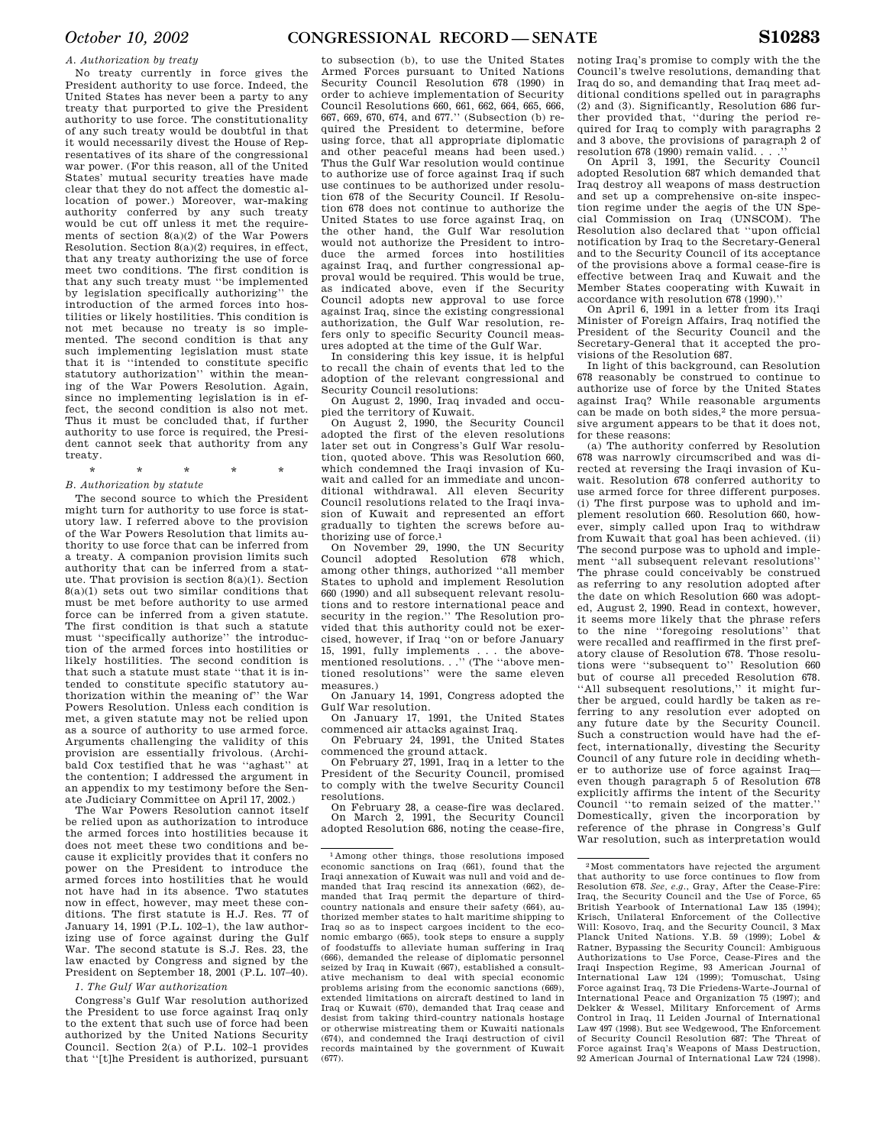### *A. Authorization by treaty*

No treaty currently in force gives the President authority to use force. Indeed, the United States has never been a party to any treaty that purported to give the President authority to use force. The constitutionality of any such treaty would be doubtful in that it would necessarily divest the House of Representatives of its share of the congressional war power. (For this reason, all of the United States' mutual security treaties have made clear that they do not affect the domestic allocation of power.) Moreover, war-making authority conferred by any such treaty would be cut off unless it met the requirements of section 8(a)(2) of the War Powers Resolution. Section 8(a)(2) requires, in effect, that any treaty authorizing the use of force meet two conditions. The first condition is that any such treaty must ''be implemented by legislation specifically authorizing'' the introduction of the armed forces into hostilities or likely hostilities. This condition is not met because no treaty is so implemented. The second condition is that any such implementing legislation must state that it is ''intended to constitute specific statutory authorization'' within the meaning of the War Powers Resolution. Again, since no implementing legislation is in effect, the second condition is also not met. Thus it must be concluded that, if further authority to use force is required, the President cannot seek that authority from any treaty.

\* \* \* \* \* *B. Authorization by statute* 

The second source to which the President might turn for authority to use force is statutory law. I referred above to the provision of the War Powers Resolution that limits authority to use force that can be inferred from a treaty. A companion provision limits such authority that can be inferred from a statute. That provision is section 8(a)(1). Section  $8(a)(1)$  sets out two similar conditions that must be met before authority to use armed force can be inferred from a given statute. The first condition is that such a statute must ''specifically authorize'' the introduction of the armed forces into hostilities or likely hostilities. The second condition is that such a statute must state ''that it is intended to constitute specific statutory authorization within the meaning of'' the War Powers Resolution. Unless each condition is met, a given statute may not be relied upon as a source of authority to use armed force. Arguments challenging the validity of this provision are essentially frivolous. (Archibald Cox testified that he was ''aghast'' at the contention; I addressed the argument in an appendix to my testimony before the Senate Judiciary Committee on April 17, 2002.)

The War Powers Resolution cannot itself be relied upon as authorization to introduce the armed forces into hostilities because it does not meet these two conditions and because it explicitly provides that it confers no power on the President to introduce the armed forces into hostilities that he would not have had in its absence. Two statutes now in effect, however, may meet these conditions. The first statute is H.J. Res. 77 of January 14, 1991 (P.L. 102–1), the law authorizing use of force against during the Gulf War. The second statute is S.J. Res. 23, the law enacted by Congress and signed by the President on September 18, 2001 (P.L. 107–40).

### *1. The Gulf War authorization*

Congress's Gulf War resolution authorized the President to use force against Iraq only to the extent that such use of force had been authorized by the United Nations Security Council. Section 2(a) of P.L. 102–1 provides that ''[t]he President is authorized, pursuant

to subsection (b), to use the United States Armed Forces pursuant to United Nations Security Council Resolution 678 (1990) in order to achieve implementation of Security Council Resolutions 660, 661, 662, 664, 665, 666, 667, 669, 670, 674, and 677.'' (Subsection (b) required the President to determine, before using force, that all appropriate diplomatic and other peaceful means had been used.) Thus the Gulf War resolution would continue to authorize use of force against Iraq if such use continues to be authorized under resolution 678 of the Security Council. If Resolution 678 does not continue to authorize the United States to use force against Iraq, on the other hand, the Gulf War resolution would not authorize the President to introduce the armed forces into hostilities against Iraq, and further congressional approval would be required. This would be true, as indicated above, even if the Security Council adopts new approval to use force against Iraq, since the existing congressional authorization, the Gulf War resolution, refers only to specific Security Council measures adopted at the time of the Gulf War.

In considering this key issue, it is helpful to recall the chain of events that led to the adoption of the relevant congressional and Security Council resolutions:

On August 2, 1990, Iraq invaded and occupied the territory of Kuwait.

On August 2, 1990, the Security Council adopted the first of the eleven resolutions later set out in Congress's Gulf War resolution, quoted above. This was Resolution 660, which condemned the Iraqi invasion of Kuwait and called for an immediate and unconditional withdrawal. All eleven Security Council resolutions related to the Iraqi invasion of Kuwait and represented an effort gradually to tighten the screws before authorizing use of force.1

On November 29, 1990, the UN Security Council adopted Resolution 678 which, among other things, authorized ''all member States to uphold and implement Resolution 660 (1990) and all subsequent relevant resolutions and to restore international peace and security in the region.'' The Resolution provided that this authority could not be exercised, however, if Iraq ''on or before January 15, 1991, fully implements . . . the abovementioned resolutions. . ." (The "above mentioned resolutions'' were the same eleven measures.)

On January 14, 1991, Congress adopted the Gulf War resolution.

On January 17, 1991, the United States commenced air attacks against Iraq. On February 24, 1991, the United States

commenced the ground attack. On February 27, 1991, Iraq in a letter to the

President of the Security Council, promised to comply with the twelve Security Council resolutions.

On February 28, a cease-fire was declared. On March 2, 1991, the Security Council adopted Resolution 686, noting the cease-fire,

noting Iraq's promise to comply with the the Council's twelve resolutions, demanding that Iraq do so, and demanding that Iraq meet additional conditions spelled out in paragraphs (2) and (3). Significantly, Resolution 686 further provided that, ''during the period required for Iraq to comply with paragraphs 2 and 3 above, the provisions of paragraph 2 of resolution 678 (1990) remain valid. . .

On April 3, 1991, the Security Council adopted Resolution 687 which demanded that Iraq destroy all weapons of mass destruction and set up a comprehensive on-site inspection regime under the aegis of the UN Special Commission on Iraq (UNSCOM). The Resolution also declared that ''upon official notification by Iraq to the Secretary-General and to the Security Council of its acceptance of the provisions above a formal cease-fire is effective between Iraq and Kuwait and the Member States cooperating with Kuwait in accordance with resolution 678 (1990).''

On April 6, 1991 in a letter from its Iraqi Minister of Foreign Affairs, Iraq notified the President of the Security Council and the Secretary-General that it accepted the provisions of the Resolution 687.

In light of this background, can Resolution 678 reasonably be construed to continue to authorize use of force by the United States against Iraq? While reasonable arguments can be made on both sides,<sup>2</sup> the more persuasive argument appears to be that it does not, for these reasons:

(a) The authority conferred by Resolution 678 was narrowly circumscribed and was directed at reversing the Iraqi invasion of Kuwait. Resolution 678 conferred authority to use armed force for three different purposes. (i) The first purpose was to uphold and implement resolution 660. Resolution 660, however, simply called upon Iraq to withdraw from Kuwait that goal has been achieved. (ii) The second purpose was to uphold and implement ''all subsequent relevant resolutions'' The phrase could conceivably be construed as referring to any resolution adopted after the date on which Resolution 660 was adopted, August 2, 1990. Read in context, however, it seems more likely that the phrase refers to the nine ''foregoing resolutions'' that were recalled and reaffirmed in the first prefatory clause of Resolution 678. Those resolutions were ''subsequent to'' Resolution 660 but of course all preceded Resolution 678. 'All subsequent resolutions," it might further be argued, could hardly be taken as referring to any resolution ever adopted on any future date by the Security Council. Such a construction would have had the effect, internationally, divesting the Security Council of any future role in deciding whether to authorize use of force against Iraq even though paragraph 5 of Resolution 678 explicitly affirms the intent of the Security Council ''to remain seized of the matter.'' Domestically, given the incorporation by reference of the phrase in Congress's Gulf War resolution, such as interpretation would

<sup>1</sup> Among other things, those resolutions imposed economic sanctions on Iraq (661), found that the Iraqi annexation of Kuwait was null and void and demanded that Iraq rescind its annexation (662), demanded that Iraq permit the departure of thirdcountry nationals and ensure their safety (664), authorized member states to halt maritime shipping to Iraq so as to inspect cargoes incident to the economic embargo (665), took steps to ensure a supply of foodstuffs to alleviate human suffering in Iraq (666), demanded the release of diplomatic personnel seized by Iraq in Kuwait (667), established a consultative mechanism to deal with special economic problems arising from the economic sanctions (669), extended limitations on aircraft destined to land in Iraq or Kuwait (670), demanded that Iraq cease and desist from taking third-country nationals hostage or otherwise mistreating them or Kuwaiti nationals (674), and condemned the Iraqi destruction of civil records maintained by the government of Kuwait (677).

<sup>2</sup>Most commentators have rejected the argument that authority to use force continues to flow from Resolution 678. *See, e.g.*, Gray, After the Cease-Fire: Iraq, the Security Council and the Use of Force, 65 British Yearbook of International Law 135 (1994); Krisch, Unilateral Enforcement of the Collective Will: Kosovo, Iraq, and the Security Council, 3 Max Planck United Nations. Y.B. 59 (1999); Lobel & Ratner, Bypassing the Security Council: Ambiguous Authorizations to Use Force, Cease-Fires and the Iraqi Inspection Regime, 93 American Journal of International Law 124 (1999); Tomuschat, Using Force against Iraq, 73 Die Friedens-Warte-Journal of International Peace and Organization 75 (1997); and Dekker & Wessel. Military Enforcement of Arms Wessel, Military Enforcement of Arms Control in Iraq, 11 Leiden Journal of International Law 497 (1998). But see Wedgewood, The Enforcement of Security Council Resolution 687: The Threat of Force against Iraq's Weapons of Mass Destruction, 92 American Journal of International Law 724 (1998).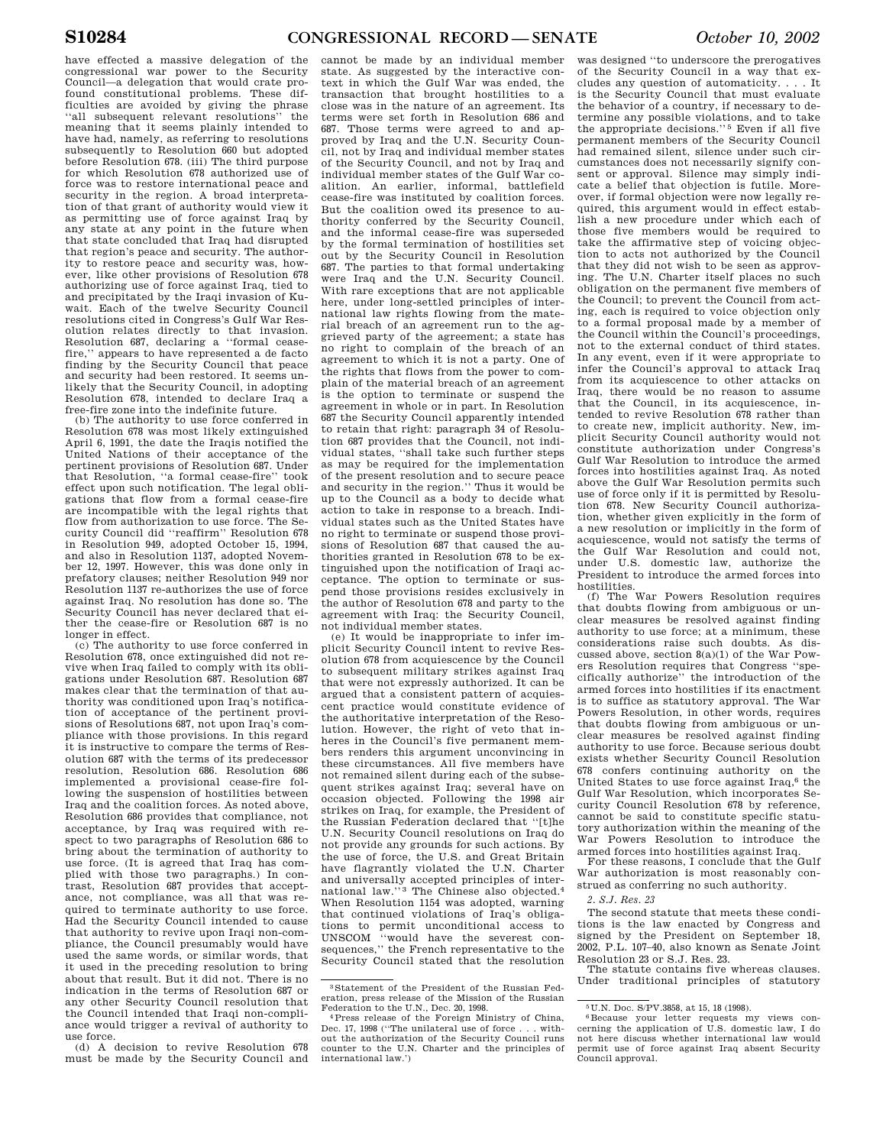have effected a massive delegation of the congressional war power to the Security Council—a delegation that would crate profound constitutional problems. These difficulties are avoided by giving the phrase ''all subsequent relevant resolutions'' the meaning that it seems plainly intended to have had, namely, as referring to resolutions subsequently to Resolution 660 but adopted before Resolution 678. (iii) The third purpose for which Resolution 678 authorized use of force was to restore international peace and security in the region. A broad interpretation of that grant of authority would view it as permitting use of force against Iraq by any state at any point in the future when that state concluded that Iraq had disrupted that region's peace and security. The authority to restore peace and security was, however, like other provisions of Resolution 678 authorizing use of force against Iraq, tied to and precipitated by the Iraqi invasion of Kuwait. Each of the twelve Security Council resolutions cited in Congress's Gulf War Resolution relates directly to that invasion. Resolution 687, declaring a ''formal ceasefire,'' appears to have represented a de facto finding by the Security Council that peace and security had been restored. It seems unlikely that the Security Council, in adopting Resolution 678, intended to declare Iraq a free-fire zone into the indefinite future.

(b) The authority to use force conferred in Resolution 678 was most likely extinguished April 6, 1991, the date the Iraqis notified the United Nations of their acceptance of the pertinent provisions of Resolution 687. Under that Resolution, ''a formal cease-fire'' took effect upon such notification. The legal obligations that flow from a formal cease-fire are incompatible with the legal rights that flow from authorization to use force. The Security Council did ''reaffirm'' Resolution 678 in Resolution 949, adopted October 15, 1994, and also in Resolution 1137, adopted November 12, 1997. However, this was done only in prefatory clauses; neither Resolution 949 nor Resolution 1137 re-authorizes the use of force against Iraq. No resolution has done so. The Security Council has never declared that either the cease-fire or Resolution 687 is no longer in effect.

(c) The authority to use force conferred in Resolution 678, once extinguished did not revive when Iraq failed to comply with its obligations under Resolution 687. Resolution 687 makes clear that the termination of that authority was conditioned upon Iraq's notification of acceptance of the pertinent provisions of Resolutions 687, not upon Iraq's compliance with those provisions. In this regard it is instructive to compare the terms of Resolution 687 with the terms of its predecessor resolution, Resolution 686. Resolution 686 implemented a provisional cease-fire following the suspension of hostilities between Iraq and the coalition forces. As noted above, Resolution 686 provides that compliance, not acceptance, by Iraq was required with respect to two paragraphs of Resolution 686 to bring about the termination of authority to use force. (It is agreed that Iraq has complied with those two paragraphs.) In contrast, Resolution 687 provides that acceptance, not compliance, was all that was required to terminate authority to use force. Had the Security Council intended to cause that authority to revive upon Iraqi non-compliance, the Council presumably would have used the same words, or similar words, that it used in the preceding resolution to bring about that result. But it did not. There is no indication in the terms of Resolution 687 or any other Security Council resolution that the Council intended that Iraqi non-compliance would trigger a revival of authority to use force.

(d) A decision to revive Resolution 678 must be made by the Security Council and

cannot be made by an individual member state. As suggested by the interactive context in which the Gulf War was ended, the transaction that brought hostilities to a close was in the nature of an agreement. Its terms were set forth in Resolution 686 and 687. Those terms were agreed to and approved by Iraq and the U.N. Security Council, not by Iraq and individual member states of the Security Council, and not by Iraq and individual member states of the Gulf War coalition. An earlier, informal, battlefield cease-fire was instituted by coalition forces. But the coalition owed its presence to authority conferred by the Security Council, and the informal cease-fire was superseded by the formal termination of hostilities set out by the Security Council in Resolution 687. The parties to that formal undertaking were Iraq and the U.N. Security Council. With rare exceptions that are not applicable here, under long-settled principles of international law rights flowing from the material breach of an agreement run to the aggrieved party of the agreement; a state has no right to complain of the breach of an agreement to which it is not a party. One of the rights that flows from the power to complain of the material breach of an agreement is the option to terminate or suspend the agreement in whole or in part. In Resolution 687 the Security Council apparently intended to retain that right: paragraph 34 of Resolution 687 provides that the Council, not individual states, ''shall take such further steps as may be required for the implementation of the present resolution and to secure peace and security in the region.'' Thus it would be up to the Council as a body to decide what action to take in response to a breach. Individual states such as the United States have no right to terminate or suspend those provisions of Resolution 687 that caused the authorities granted in Resolution 678 to be extinguished upon the notification of Iraqi acceptance. The option to terminate or suspend those provisions resides exclusively in the author of Resolution 678 and party to the agreement with Iraq: the Security Council, not individual member states.

(e) It would be inappropriate to infer implicit Security Council intent to revive Resolution 678 from acquiescence by the Council to subsequent military strikes against Iraq that were not expressly authorized. It can be argued that a consistent pattern of acquiescent practice would constitute evidence of the authoritative interpretation of the Resolution. However, the right of veto that inheres in the Council's five permanent members renders this argument unconvincing in these circumstances. All five members have not remained silent during each of the subsequent strikes against Iraq; several have on occasion objected. Following the 1998 air strikes on Iraq, for example, the President of the Russian Federation declared that ''[t]he U.N. Security Council resolutions on Iraq do not provide any grounds for such actions. By the use of force, the U.S. and Great Britain have flagrantly violated the U.N. Charter and universally accepted principles of international law."<sup>3</sup> The Chinese also objected.<sup>4</sup> When Resolution 1154 was adopted, warning that continued violations of Iraq's obligations to permit unconditional access to UNSCOM ''would have the severest consequences,'' the French representative to the Security Council stated that the resolution

was designed ''to underscore the prerogatives of the Security Council in a way that excludes any question of automaticity. . . . It is the Security Council that must evaluate the behavior of a country, if necessary to determine any possible violations, and to take the appropriate decisions.'' 5 Even if all five permanent members of the Security Council had remained silent, silence under such circumstances does not necessarily signify consent or approval. Silence may simply indicate a belief that objection is futile. Moreover, if formal objection were now legally required, this argument would in effect establish a new procedure under which each of those five members would be required to take the affirmative step of voicing objection to acts not authorized by the Council that they did not wish to be seen as approving. The U.N. Charter itself places no such obligation on the permanent five members of the Council; to prevent the Council from acting, each is required to voice objection only to a formal proposal made by a member of the Council within the Council's proceedings, not to the external conduct of third states. In any event, even if it were appropriate to infer the Council's approval to attack Iraq from its acquiescence to other attacks on Iraq, there would be no reason to assume that the Council, in its acquiescence, intended to revive Resolution 678 rather than to create new, implicit authority. New, implicit Security Council authority would not constitute authorization under Congress's Gulf War Resolution to introduce the armed forces into hostilities against Iraq. As noted above the Gulf War Resolution permits such use of force only if it is permitted by Resolution 678. New Security Council authorization, whether given explicitly in the form of a new resolution or implicitly in the form of acquiescence, would not satisfy the terms of the Gulf War Resolution and could not, under U.S. domestic law, authorize the President to introduce the armed forces into

hostilities. (f) The War Powers Resolution requires that doubts flowing from ambiguous or unclear measures be resolved against finding authority to use force; at a minimum, these considerations raise such doubts. As discussed above, section 8(a)(1) of the War Powers Resolution requires that Congress ''specifically authorize'' the introduction of the armed forces into hostilities if its enactment is to suffice as statutory approval. The War Powers Resolution, in other words, requires that doubts flowing from ambiguous or unclear measures be resolved against finding authority to use force. Because serious doubt exists whether Security Council Resolution 678 confers continuing authority on the United States to use force against Iraq,<sup>6</sup> the Gulf War Resolution, which incorporates Security Council Resolution 678 by reference, cannot be said to constitute specific statutory authorization within the meaning of the War Powers Resolution to introduce the armed forces into hostilities against Iraq.

For these reasons, I conclude that the Gulf War authorization is most reasonably construed as conferring no such authority.

*2. S.J. Res. 23* 

The second statute that meets these conditions is the law enacted by Congress and signed by the President on September 18, 2002, P.L. 107–40, also known as Senate Joint Resolution 23 or S.J. Res. 23.

The statute contains five whereas clauses. Under traditional principles of statutory

<sup>3</sup>Statement of the President of the Russian Federation, press release of the Mission of the Russian

<sup>&</sup>lt;sup>4</sup> Press release of the Foreign Ministry of China, Dec. 17, 1998 (''The unilateral use of force . . . without the authorization of the Security Council runs counter to the U.N. Charter and the principles of international law.')

<sup>5</sup> U.N. Doc. S/PV.3858, at 15, 18 (1998).

<sup>6</sup>Because your letter requests my views concerning the application of U.S. domestic law, I do not here discuss whether international law would permit use of force against Iraq absent Security Council approval.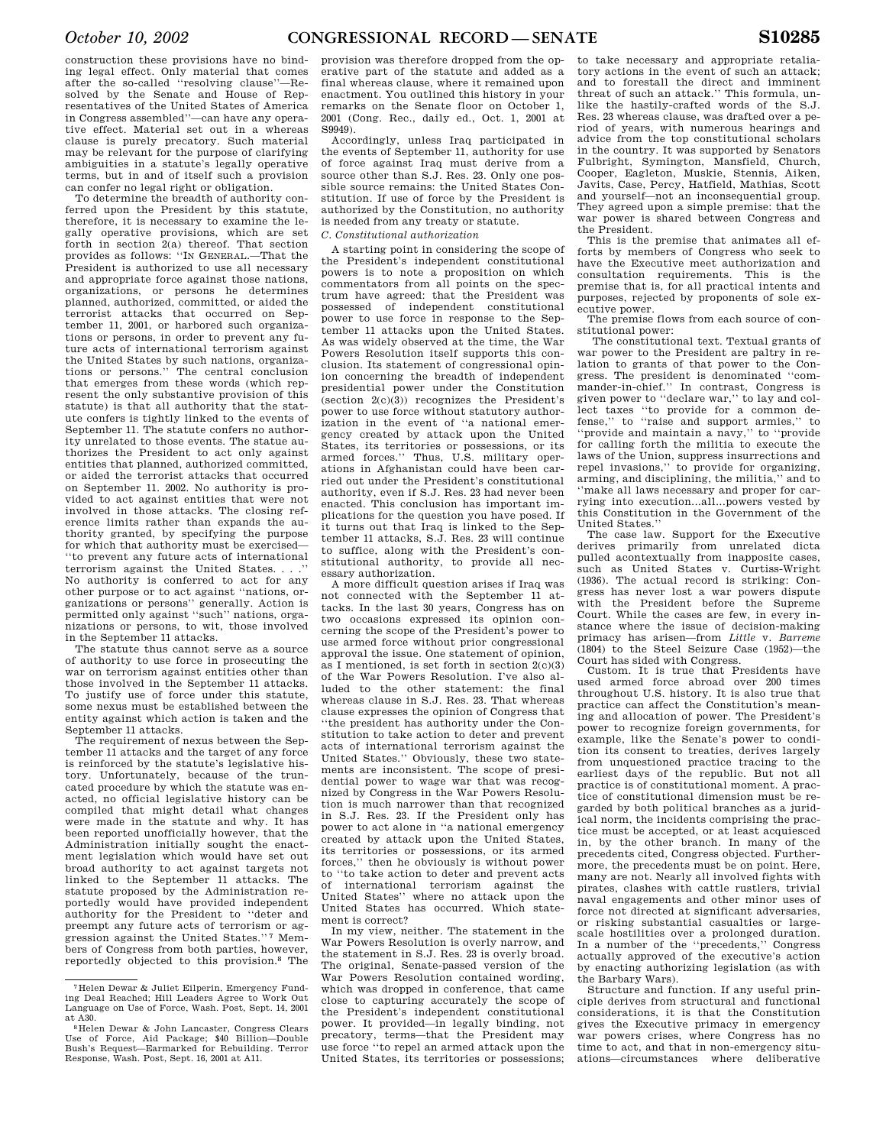construction these provisions have no binding legal effect. Only material that comes after the so-called ''resolving clause''—Resolved by the Senate and House of Representatives of the United States of America in Congress assembled''—can have any operative effect. Material set out in a whereas clause is purely precatory. Such material may be relevant for the purpose of clarifying ambiguities in a statute's legally operative terms, but in and of itself such a provision can confer no legal right or obligation.

To determine the breadth of authority conferred upon the President by this statute, therefore, it is necessary to examine the legally operative provisions, which are set forth in section 2(a) thereof. That section provides as follows: ''IN GENERAL.—That the President is authorized to use all necessary and appropriate force against those nations, organizations, or persons he determines planned, authorized, committed, or aided the terrorist attacks that occurred on September 11, 2001, or harbored such organizations or persons, in order to prevent any future acts of international terrorism against the United States by such nations, organiza-<br>tions or persons." The central conclusion The central conclusion that emerges from these words (which represent the only substantive provision of this statute) is that all authority that the statute confers is tightly linked to the events of September 11. The statute confers no authority unrelated to those events. The statue authorizes the President to act only against entities that planned, authorized committed, or aided the terrorist attacks that occurred on September 11. 2002. No authority is provided to act against entities that were not involved in those attacks. The closing reference limits rather than expands the authority granted, by specifying the purpose for which that authority must be exercised— ''to prevent any future acts of international terrorism against the United States. . . . No authority is conferred to act for any other purpose or to act against ''nations, organizations or persons'' generally. Action is permitted only against ''such'' nations, organizations or persons, to wit, those involved in the September 11 attacks.

The statute thus cannot serve as a source of authority to use force in prosecuting the war on terrorism against entities other than those involved in the September 11 attacks. To justify use of force under this statute, some nexus must be established between the entity against which action is taken and the September 11 attacks.

The requirement of nexus between the September 11 attacks and the target of any force is reinforced by the statute's legislative history. Unfortunately, because of the truncated procedure by which the statute was enacted, no official legislative history can be compiled that might detail what changes were made in the statute and why. It has been reported unofficially however, that the Administration initially sought the enactment legislation which would have set out broad authority to act against targets not linked to the September 11 attacks. The statute proposed by the Administration reportedly would have provided independent authority for the President to ''deter and preempt any future acts of terrorism or aggression against the United States."7 Members of Congress from both parties, however, reportedly objected to this provision.8 The provision was therefore dropped from the operative part of the statute and added as a final whereas clause, where it remained upon enactment. You outlined this history in your remarks on the Senate floor on October 1, 2001 (Cong. Rec., daily ed., Oct. 1, 2001 at S9949).

Accordingly, unless Iraq participated in the events of September 11, authority for use of force against Iraq must derive from a source other than S.J. Res. 23. Only one possible source remains: the United States Constitution. If use of force by the President is authorized by the Constitution, no authority is needed from any treaty or statute.

### *C. Constitutional authorization*

A starting point in considering the scope of the President's independent constitutional powers is to note a proposition on which commentators from all points on the spectrum have agreed: that the President was possessed of independent constitutional power to use force in response to the September 11 attacks upon the United States. As was widely observed at the time, the War Powers Resolution itself supports this conclusion. Its statement of congressional opinion concerning the breadth of independent presidential power under the Constitution (section 2(c)(3)) recognizes the President's power to use force without statutory authorization in the event of ''a national emergency created by attack upon the United States, its territories or possessions, or its armed forces.'' Thus, U.S. military operations in Afghanistan could have been carried out under the President's constitutional authority, even if S.J. Res. 23 had never been enacted. This conclusion has important implications for the question you have posed. If it turns out that Iraq is linked to the September 11 attacks, S.J. Res. 23 will continue to suffice, along with the President's constitutional authority, to provide all necessary authorization.

A more difficult question arises if Iraq was not connected with the September 11 attacks. In the last 30 years, Congress has on two occasions expressed its opinion concerning the scope of the President's power to use armed force without prior congressional approval the issue. One statement of opinion, as I mentioned, is set forth in section  $2(c)(3)$ of the War Powers Resolution. I've also alluded to the other statement: the final whereas clause in S.J. Res. 23. That whereas clause expresses the opinion of Congress that ''the president has authority under the Constitution to take action to deter and prevent acts of international terrorism against the United States.'' Obviously, these two statements are inconsistent. The scope of presidential power to wage war that was recognized by Congress in the War Powers Resolution is much narrower than that recognized in S.J. Res. 23. If the President only has power to act alone in ''a national emergency created by attack upon the United States, its territories or possessions, or its armed forces,'' then he obviously is without power to ''to take action to deter and prevent acts of international terrorism against the United States'' where no attack upon the United States has occurred. Which statement is correct?

In my view, neither. The statement in the War Powers Resolution is overly narrow, and the statement in S.J. Res. 23 is overly broad. The original, Senate-passed version of the War Powers Resolution contained wording, which was dropped in conference, that came close to capturing accurately the scope of the President's independent constitutional power. It provided—in legally binding, not precatory, terms—that the President may use force ''to repel an armed attack upon the United States, its territories or possessions;

to take necessary and appropriate retaliatory actions in the event of such an attack; and to forestall the direct and imminent threat of such an attack.'' This formula, unlike the hastily-crafted words of the S.J. Res. 23 whereas clause, was drafted over a period of years, with numerous hearings and advice from the top constitutional scholars in the country. It was supported by Senators Fulbright, Symington, Mansfield, Church, Cooper, Eagleton, Muskie, Stennis, Aiken, Javits, Case, Percy, Hatfield, Mathias, Scott and yourself—not an inconsequential group. They agreed upon a simple premise: that the war power is shared between Congress and the President.

This is the premise that animates all efforts by members of Congress who seek to have the Executive meet authorization and consultation requirements. This is the premise that is, for all practical intents and purposes, rejected by proponents of sole executive power.

The premise flows from each source of constitutional power:

The constitutional text. Textual grants of war power to the President are paltry in relation to grants of that power to the Congress. The president is denominated ''commander-in-chief.'' In contrast, Congress is given power to ''declare war,'' to lay and collect taxes ''to provide for a common defense,'' to ''raise and support armies,'' to ''provide and maintain a navy,'' to ''provide for calling forth the militia to execute the laws of the Union, suppress insurrections and repel invasions,'' to provide for organizing, arming, and disciplining, the militia,'' and to ''make all laws necessary and proper for carrying into execution...all...powers vested by this Constitution in the Government of the United States.''

The case law. Support for the Executive derives primarily from unrelated dicta pulled acontextually from inapposite cases, such as United States v. Curtiss-Wright (1936). The actual record is striking: Congress has never lost a war powers dispute with the President before the Supreme Court. While the cases are few, in every instance where the issue of decision-making primacy has arisen—from *Little* v. *Barreme*  (1804) to the Steel Seizure Case (1952)—the Court has sided with Congress.

Custom. It is true that Presidents have used armed force abroad over 200 times throughout U.S. history. It is also true that practice can affect the Constitution's meaning and allocation of power. The President's power to recognize foreign governments, for example, like the Senate's power to condition its consent to treaties, derives largely from unquestioned practice tracing to the earliest days of the republic. But not all practice is of constitutional moment. A practice of constitutional dimension must be regarded by both political branches as a juridical norm, the incidents comprising the practice must be accepted, or at least acquiesced in, by the other branch. In many of the precedents cited, Congress objected. Furthermore, the precedents must be on point. Here, many are not. Nearly all involved fights with pirates, clashes with cattle rustlers, trivial naval engagements and other minor uses of force not directed at significant adversaries, or risking substantial casualties or largescale hostilities over a prolonged duration. In a number of the ''precedents,'' Congress actually approved of the executive's action by enacting authorizing legislation (as with the Barbary Wars).

Structure and function. If any useful principle derives from structural and functional considerations, it is that the Constitution gives the Executive primacy in emergency war powers crises, where Congress has no time to act, and that in non-emergency situations—circumstances where deliberative

<sup>7</sup> Helen Dewar & Juliet Eilperin, Emergency Funding Deal Reached; Hill Leaders Agree to Work Out Language on Use of Force, Wash. Post, Sept. 14, 2001

<sup>&</sup>lt;sup>8</sup> Helen Dewar & John Lancaster, Congress Clears Use of Force, Aid Package; \$40 Billion—Double Bush's Request—Earmarked for Rebuilding. Terror Response, Wash. Post, Sept. 16, 2001 at A11.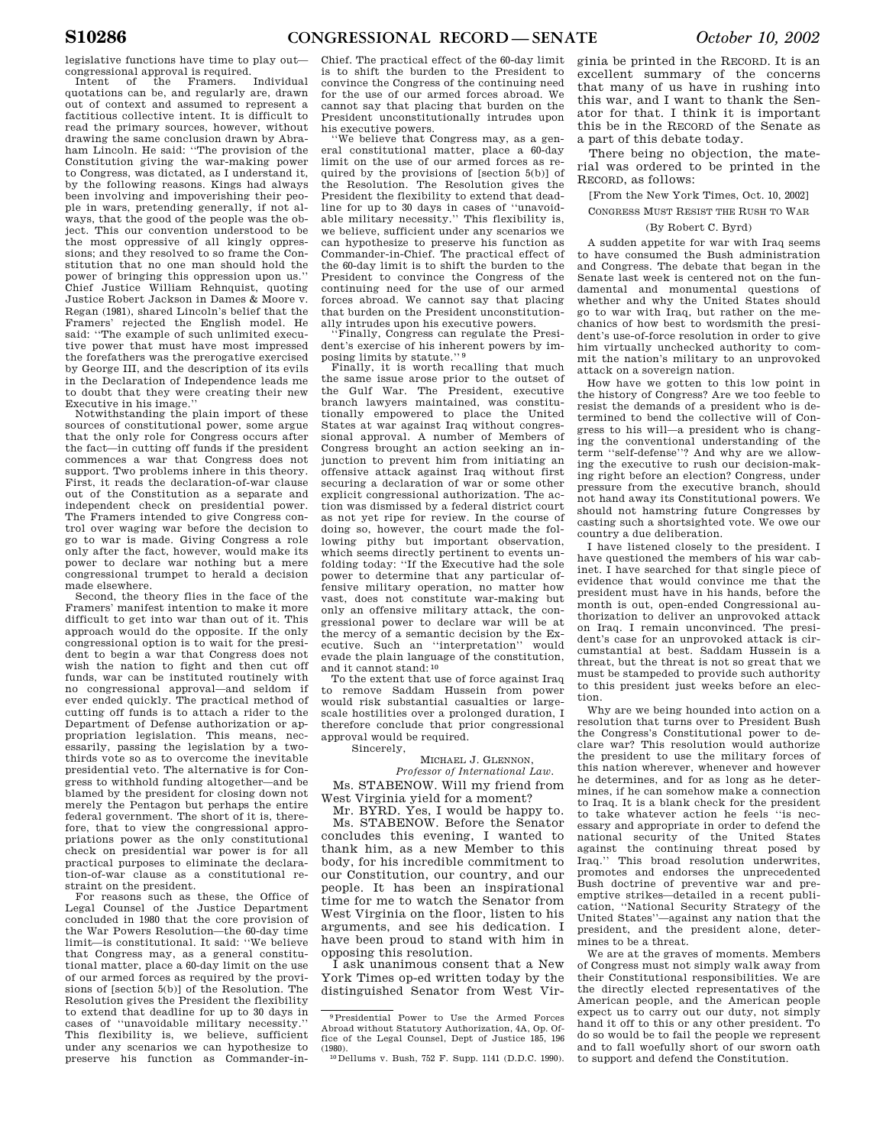legislative functions have time to play out congressional approval is required.

Intent of the Framers. quotations can be, and regularly are, drawn out of context and assumed to represent a factitious collective intent. It is difficult to read the primary sources, however, without drawing the same conclusion drawn by Abraham Lincoln. He said: ''The provision of the Constitution giving the war-making power to Congress, was dictated, as I understand it, by the following reasons. Kings had always been involving and impoverishing their people in wars, pretending generally, if not always, that the good of the people was the object. This our convention understood to be the most oppressive of all kingly oppressions; and they resolved to so frame the Constitution that no one man should hold the power of bringing this oppression upon us.'' Chief Justice William Rehnquist, quoting Justice Robert Jackson in Dames & Moore v. Regan (1981), shared Lincoln's belief that the Framers' rejected the English model. He said: "The example of such unlimited executive power that must have most impressed the forefathers was the prerogative exercised by George III, and the description of its evils in the Declaration of Independence leads me to doubt that they were creating their new Executive in his image.'

Notwithstanding the plain import of these sources of constitutional power, some argue that the only role for Congress occurs after the fact—in cutting off funds if the president commences a war that Congress does not support. Two problems inhere in this theory. First, it reads the declaration-of-war clause out of the Constitution as a separate and independent check on presidential power. The Framers intended to give Congress control over waging war before the decision to go to war is made. Giving Congress a role only after the fact, however, would make its power to declare war nothing but a mere congressional trumpet to herald a decision made elsewhere.

Second, the theory flies in the face of the Framers' manifest intention to make it more difficult to get into war than out of it. This approach would do the opposite. If the only congressional option is to wait for the president to begin a war that Congress does not wish the nation to fight and then cut off funds, war can be instituted routinely with no congressional approval—and seldom if ever ended quickly. The practical method of cutting off funds is to attach a rider to the Department of Defense authorization or appropriation legislation. This means, necessarily, passing the legislation by a twothirds vote so as to overcome the inevitable presidential veto. The alternative is for Congress to withhold funding altogether—and be blamed by the president for closing down not merely the Pentagon but perhaps the entire federal government. The short of it is, therefore, that to view the congressional appropriations power as the only constitutional check on presidential war power is for all practical purposes to eliminate the declaration-of-war clause as a constitutional restraint on the president.

For reasons such as these, the Office of Legal Counsel of the Justice Department concluded in 1980 that the core provision of the War Powers Resolution—the 60-day time limit—is constitutional. It said: ''We believe that Congress may, as a general constitutional matter, place a 60-day limit on the use of our armed forces as required by the provisions of [section 5(b)] of the Resolution. The Resolution gives the President the flexibility to extend that deadline for up to 30 days in cases of ''unavoidable military necessity.'' This flexibility is, we believe, sufficient under any scenarios we can hypothesize to preserve his function as Commander-in-

Chief. The practical effect of the 60-day limit is to shift the burden to the President to convince the Congress of the continuing need for the use of our armed forces abroad. We cannot say that placing that burden on the President unconstitutionally intrudes upon

his executive powers. ''We believe that Congress may, as a general constitutional matter, place a 60-day limit on the use of our armed forces as required by the provisions of [section 5(b)] of the Resolution. The Resolution gives the President the flexibility to extend that deadline for up to 30 days in cases of ''unavoidable military necessity.'' This flexibility is, we believe, sufficient under any scenarios we can hypothesize to preserve his function as Commander-in-Chief. The practical effect of the 60-day limit is to shift the burden to the President to convince the Congress of the continuing need for the use of our armed forces abroad. We cannot say that placing that burden on the President unconstitutionally intrudes upon his executive powers.

''Finally, Congress can regulate the President's exercise of his inherent powers by imposing limits by statute.'' 9

Finally, it is worth recalling that much the same issue arose prior to the outset of the Gulf War. The President, executive branch lawyers maintained, was constitutionally empowered to place the United States at war against Iraq without congressional approval. A number of Members of Congress brought an action seeking an injunction to prevent him from initiating an offensive attack against Iraq without first securing a declaration of war or some other explicit congressional authorization. The action was dismissed by a federal district court as not yet ripe for review. In the course of doing so, however, the court made the following pithy but important observation, which seems directly pertinent to events unfolding today: ''If the Executive had the sole power to determine that any particular offensive military operation, no matter how vast, does not constitute war-making but only an offensive military attack, the congressional power to declare war will be at the mercy of a semantic decision by the Executive. Such an ''interpretation'' would evade the plain language of the constitution, and it cannot stand: 10

To the extent that use of force against Iraq to remove Saddam Hussein from power would risk substantial casualties or largescale hostilities over a prolonged duration, I therefore conclude that prior congressional approval would be required.

Sincerely,

#### MICHAEL J. GLENNON, *Professor of International Law.*

Ms. STABENOW. Will my friend from West Virginia yield for a moment?

Mr. BYRD. Yes, I would be happy to.

Ms. STABENOW. Before the Senator concludes this evening, I wanted to thank him, as a new Member to this body, for his incredible commitment to our Constitution, our country, and our people. It has been an inspirational time for me to watch the Senator from West Virginia on the floor, listen to his arguments, and see his dedication. I have been proud to stand with him in opposing this resolution.

I ask unanimous consent that a New York Times op-ed written today by the distinguished Senator from West Vir-

ginia be printed in the RECORD. It is an excellent summary of the concerns that many of us have in rushing into this war, and I want to thank the Senator for that. I think it is important this be in the RECORD of the Senate as a part of this debate today.

There being no objection, the material was ordered to be printed in the RECORD, as follows:

[From the New York Times, Oct. 10, 2002]

## CONGRESS MUST RESIST THE RUSH TO WAR

### (By Robert C. Byrd)

A sudden appetite for war with Iraq seems to have consumed the Bush administration and Congress. The debate that began in the Senate last week is centered not on the fundamental and monumental questions of whether and why the United States should go to war with Iraq, but rather on the mechanics of how best to wordsmith the president's use-of-force resolution in order to give him virtually unchecked authority to commit the nation's military to an unprovoked attack on a sovereign nation.

How have we gotten to this low point in the history of Congress? Are we too feeble to resist the demands of a president who is determined to bend the collective will of Congress to his will—a president who is changing the conventional understanding of the term ''self-defense''? And why are we allowing the executive to rush our decision-making right before an election? Congress, under pressure from the executive branch, should not hand away its Constitutional powers. We should not hamstring future Congresses by casting such a shortsighted vote. We owe our country a due deliberation.

I have listened closely to the president. I have questioned the members of his war cabinet. I have searched for that single piece of evidence that would convince me that the president must have in his hands, before the month is out, open-ended Congressional authorization to deliver an unprovoked attack on Iraq. I remain unconvinced. The president's case for an unprovoked attack is circumstantial at best. Saddam Hussein is a threat, but the threat is not so great that we must be stampeded to provide such authority to this president just weeks before an election.

Why are we being hounded into action on a resolution that turns over to President Bush the Congress's Constitutional power to declare war? This resolution would authorize the president to use the military forces of this nation wherever, whenever and however he determines, and for as long as he determines, if he can somehow make a connection to Iraq. It is a blank check for the president to take whatever action he feels ''is necessary and appropriate in order to defend the national security of the United States against the continuing threat posed by Iraq.'' This broad resolution underwrites, promotes and endorses the unprecedented Bush doctrine of preventive war and preemptive strikes—detailed in a recent publication, ''National Security Strategy of the United States''—against any nation that the president, and the president alone, determines to be a threat.

We are at the graves of moments. Members of Congress must not simply walk away from their Constitutional responsibilities. We are the directly elected representatives of the American people, and the American people expect us to carry out our duty, not simply hand it off to this or any other president. To do so would be to fail the people we represent and to fall woefully short of our sworn oath to support and defend the Constitution.

<sup>9</sup>Presidential Power to Use the Armed Forces Abroad without Statutory Authorization, 4A, Op. Office of the Legal Counsel, Dept of Justice 185, 196

<sup>&</sup>lt;sup>10</sup> Dellums v. Bush, 752 F. Supp. 1141 (D.D.C. 1990).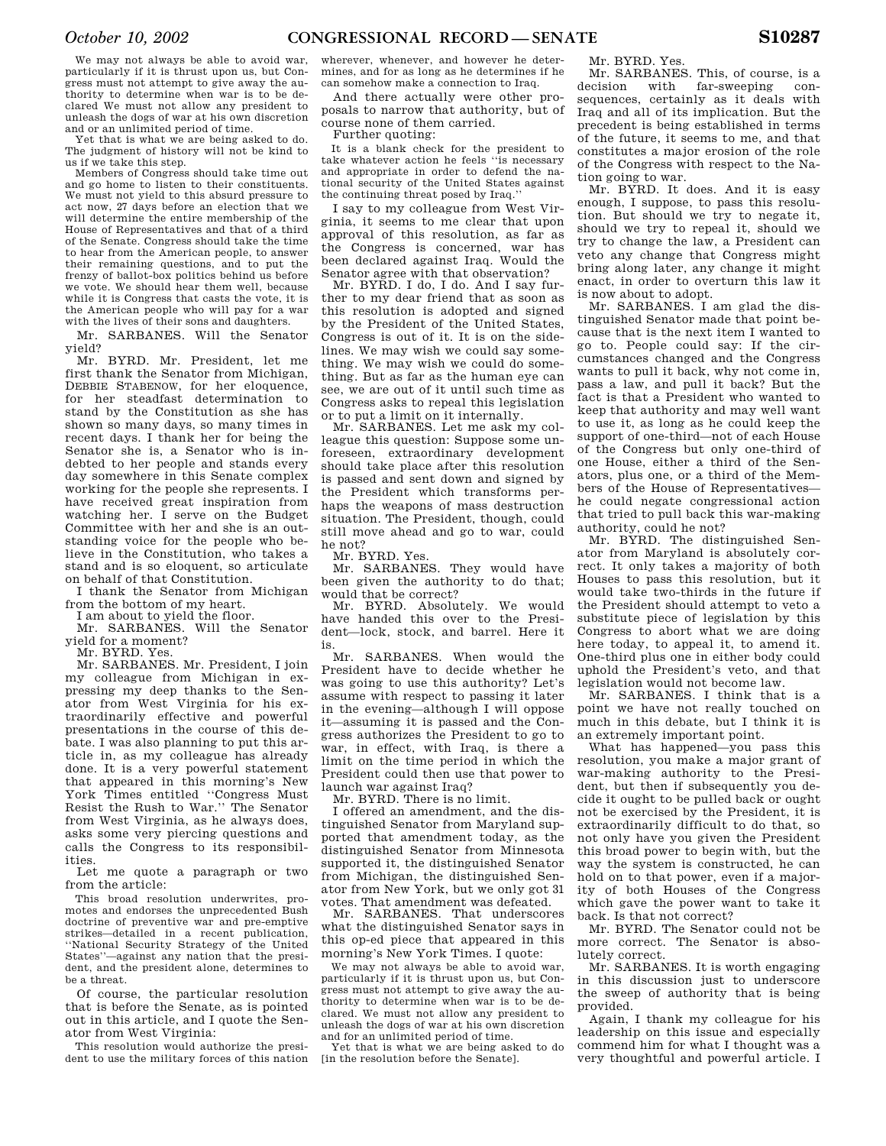We may not always be able to avoid war, particularly if it is thrust upon us, but Congress must not attempt to give away the authority to determine when war is to be declared We must not allow any president to unleash the dogs of war at his own discretion and or an unlimited period of time.

Yet that is what we are being asked to do. The judgment of history will not be kind to us if we take this step.

Members of Congress should take time out and go home to listen to their constituents. We must not yield to this absurd pressure to act now, 27 days before an election that we will determine the entire membership of the House of Representatives and that of a third of the Senate. Congress should take the time to hear from the American people, to answer their remaining questions, and to put the frenzy of ballot-box politics behind us before we vote. We should hear them well, because while it is Congress that casts the vote, it is the American people who will pay for a war with the lives of their sons and daughters.

Mr. SARBANES. Will the Senator yield?

Mr. BYRD. Mr. President, let me first thank the Senator from Michigan, DEBBIE STABENOW, for her eloquence, for her steadfast determination to stand by the Constitution as she has shown so many days, so many times in recent days. I thank her for being the Senator she is, a Senator who is indebted to her people and stands every day somewhere in this Senate complex working for the people she represents. I have received great inspiration from watching her. I serve on the Budget Committee with her and she is an outstanding voice for the people who believe in the Constitution, who takes a stand and is so eloquent, so articulate on behalf of that Constitution.

I thank the Senator from Michigan from the bottom of my heart.

I am about to yield the floor.

Mr. SARBANES. Will the Senator yield for a moment?

Mr. BYRD. Yes.

Mr. SARBANES. Mr. President, I join my colleague from Michigan in expressing my deep thanks to the Senator from West Virginia for his extraordinarily effective and powerful presentations in the course of this debate. I was also planning to put this article in, as my colleague has already done. It is a very powerful statement that appeared in this morning's New York Times entitled ''Congress Must Resist the Rush to War.'' The Senator from West Virginia, as he always does, asks some very piercing questions and calls the Congress to its responsibilities.

Let me quote a paragraph or two from the article:

This broad resolution underwrites, promotes and endorses the unprecedented Bush doctrine of preventive war and pre-emptive strikes—detailed in a recent publication, ''National Security Strategy of the United States''—against any nation that the president, and the president alone, determines to be a threat.

Of course, the particular resolution that is before the Senate, as is pointed out in this article, and I quote the Senator from West Virginia:

This resolution would authorize the president to use the military forces of this nation wherever, whenever, and however he determines, and for as long as he determines if he can somehow make a connection to Iraq.

And there actually were other proposals to narrow that authority, but of course none of them carried.

Further quoting:

It is a blank check for the president to take whatever action he feels ''is necessary and appropriate in order to defend the national security of the United States against the continuing threat posed by Iraq.''

I say to my colleague from West Virginia, it seems to me clear that upon approval of this resolution, as far as the Congress is concerned, war has been declared against Iraq. Would the Senator agree with that observation?

Mr. BYRD. I do, I do. And I say further to my dear friend that as soon as this resolution is adopted and signed by the President of the United States, Congress is out of it. It is on the sidelines. We may wish we could say something. We may wish we could do something. But as far as the human eye can see, we are out of it until such time as Congress asks to repeal this legislation or to put a limit on it internally.

Mr. SARBANES. Let me ask my colleague this question: Suppose some unforeseen, extraordinary development should take place after this resolution is passed and sent down and signed by the President which transforms perhaps the weapons of mass destruction situation. The President, though, could still move ahead and go to war, could he not?

Mr. BYRD. Yes.

Mr. SARBANES. They would have been given the authority to do that; would that be correct?

Mr. BYRD. Absolutely. We would have handed this over to the President—lock, stock, and barrel. Here it is.

Mr. SARBANES. When would the President have to decide whether he was going to use this authority? Let's assume with respect to passing it later in the evening—although I will oppose it—assuming it is passed and the Congress authorizes the President to go to war, in effect, with Iraq, is there a limit on the time period in which the President could then use that power to launch war against Iraq?

Mr. BYRD. There is no limit.

I offered an amendment, and the distinguished Senator from Maryland supported that amendment today, as the distinguished Senator from Minnesota supported it, the distinguished Senator from Michigan, the distinguished Senator from New York, but we only got 31 votes. That amendment was defeated.

Mr. SARBANES. That underscores what the distinguished Senator says in this op-ed piece that appeared in this morning's New York Times. I quote:

We may not always be able to avoid war, particularly if it is thrust upon us, but Congress must not attempt to give away the authority to determine when war is to be declared. We must not allow any president to unleash the dogs of war at his own discretion and for an unlimited period of time.

Yet that is what we are being asked to do [in the resolution before the Senate].

Mr. BYRD. Yes.

Mr. SARBANES. This, of course, is a decision with far-sweeping consequences, certainly as it deals with Iraq and all of its implication. But the precedent is being established in terms of the future, it seems to me, and that constitutes a major erosion of the role of the Congress with respect to the Nation going to war.

Mr. BYRD. It does. And it is easy enough, I suppose, to pass this resolution. But should we try to negate it, should we try to repeal it, should we try to change the law, a President can veto any change that Congress might bring along later, any change it might enact, in order to overturn this law it is now about to adopt.

Mr. SARBANES. I am glad the distinguished Senator made that point because that is the next item I wanted to go to. People could say: If the circumstances changed and the Congress wants to pull it back, why not come in. pass a law, and pull it back? But the fact is that a President who wanted to keep that authority and may well want to use it, as long as he could keep the support of one-third—not of each House of the Congress but only one-third of one House, either a third of the Senators, plus one, or a third of the Members of the House of Representatives he could negate congressional action that tried to pull back this war-making authority, could he not?

Mr. BYRD. The distinguished Senator from Maryland is absolutely correct. It only takes a majority of both Houses to pass this resolution, but it would take two-thirds in the future if the President should attempt to veto a substitute piece of legislation by this Congress to abort what we are doing here today, to appeal it, to amend it. One-third plus one in either body could uphold the President's veto, and that legislation would not become law.

Mr. SARBANES. I think that is a point we have not really touched on much in this debate, but I think it is an extremely important point.

What has happened—you pass this resolution, you make a major grant of war-making authority to the President, but then if subsequently you decide it ought to be pulled back or ought not be exercised by the President, it is extraordinarily difficult to do that, so not only have you given the President this broad power to begin with, but the way the system is constructed, he can hold on to that power, even if a majority of both Houses of the Congress which gave the power want to take it back. Is that not correct?

Mr. BYRD. The Senator could not be more correct. The Senator is absolutely correct.

Mr. SARBANES. It is worth engaging in this discussion just to underscore the sweep of authority that is being provided.

Again, I thank my colleague for his leadership on this issue and especially commend him for what I thought was a very thoughtful and powerful article. I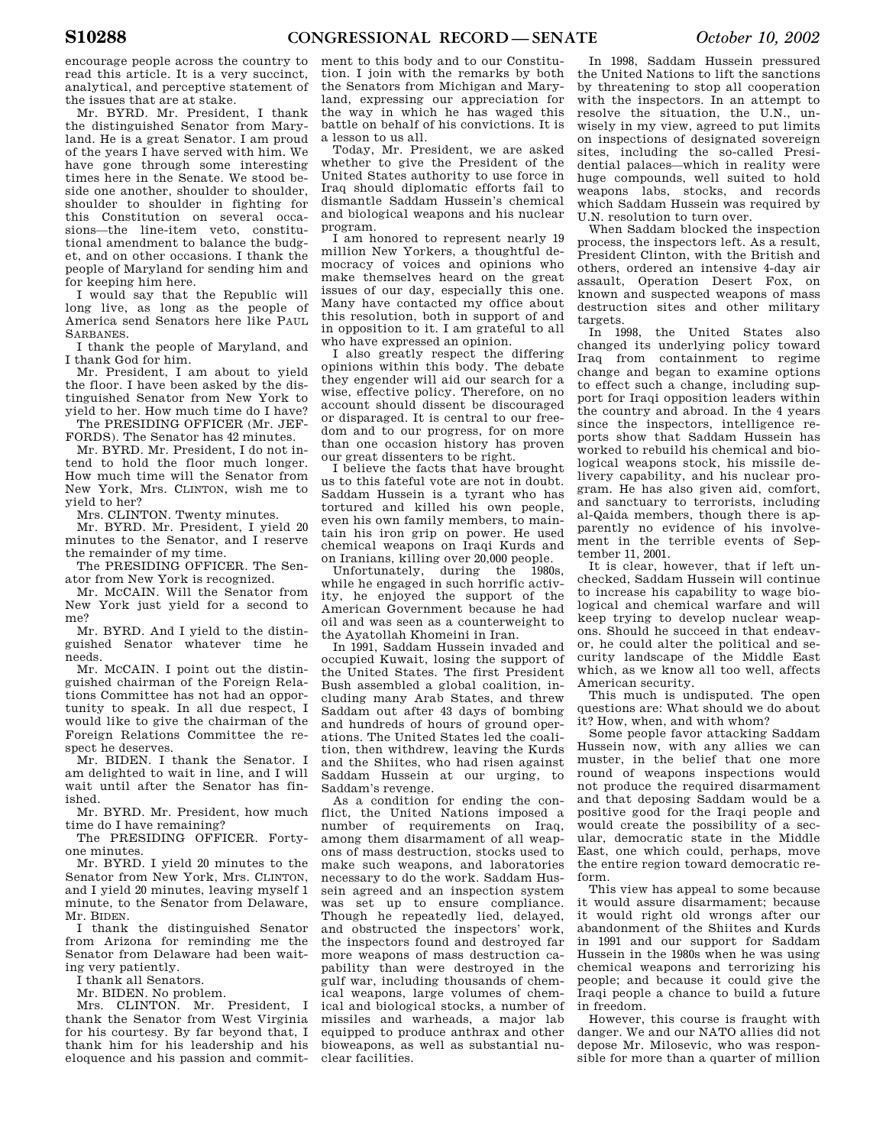encourage people across the country to read this article. It is a very succinct, analytical, and perceptive statement of the issues that are at stake.

Mr. BYRD. Mr. President, I thank the distinguished Senator from Maryland. He is a great Senator. I am proud of the years I have served with him. We have gone through some interesting times here in the Senate. We stood beside one another, shoulder to shoulder, shoulder to shoulder in fighting for this Constitution on several occasions—the line-item veto, constitutional amendment to balance the budget, and on other occasions. I thank the people of Maryland for sending him and for keeping him here.

I would say that the Republic will long live, as long as the people of America send Senators here like PAUL **SARRANES** 

I thank the people of Maryland, and I thank God for him.

Mr. President, I am about to yield the floor. I have been asked by the distinguished Senator from New York to yield to her. How much time do I have?

The PRESIDING OFFICER (Mr. JEF-FORDS). The Senator has 42 minutes.

Mr. BYRD. Mr. President, I do not intend to hold the floor much longer. How much time will the Senator from New York, Mrs. CLINTON, wish me to yield to her?

Mrs. CLINTON. Twenty minutes.

Mr. BYRD. Mr. President, I yield 20 minutes to the Senator, and I reserve the remainder of my time.

The PRESIDING OFFICER. The Senator from New York is recognized.

Mr. MCCAIN. Will the Senator from New York just yield for a second to me?

Mr. BYRD. And I yield to the distinguished Senator whatever time he needs.

Mr. MCCAIN. I point out the distinguished chairman of the Foreign Relations Committee has not had an opportunity to speak. In all due respect, I would like to give the chairman of the Foreign Relations Committee the respect he deserves.

Mr. BIDEN. I thank the Senator. I am delighted to wait in line, and I will wait until after the Senator has finished.

Mr. BYRD. Mr. President, how much time do I have remaining?

The PRESIDING OFFICER. Fortyone minutes.

Mr. BYRD. I yield 20 minutes to the Senator from New York, Mrs. CLINTON, and I yield 20 minutes, leaving myself 1 minute, to the Senator from Delaware, Mr. BIDEN.

I thank the distinguished Senator from Arizona for reminding me the Senator from Delaware had been waiting very patiently.

I thank all Senators.

Mr. BIDEN. No problem.

Mrs. CLINTON. Mr. President, I thank the Senator from West Virginia for his courtesy. By far beyond that, I thank him for his leadership and his eloquence and his passion and commit-

ment to this body and to our Constitution. I join with the remarks by both the Senators from Michigan and Maryland, expressing our appreciation for the way in which he has waged this battle on behalf of his convictions. It is a lesson to us all.

Today, Mr. President, we are asked whether to give the President of the United States authority to use force in Iraq should diplomatic efforts fail to dismantle Saddam Hussein's chemical and biological weapons and his nuclear program.

I am honored to represent nearly 19 million New Yorkers, a thoughtful democracy of voices and opinions who make themselves heard on the great issues of our day, especially this one. Many have contacted my office about this resolution, both in support of and in opposition to it. I am grateful to all who have expressed an opinion.

I also greatly respect the differing opinions within this body. The debate they engender will aid our search for a wise, effective policy. Therefore, on no account should dissent be discouraged or disparaged. It is central to our freedom and to our progress, for on more than one occasion history has proven our great dissenters to be right.

I believe the facts that have brought us to this fateful vote are not in doubt. Saddam Hussein is a tyrant who has tortured and killed his own people, even his own family members, to maintain his iron grip on power. He used chemical weapons on Iraqi Kurds and

on Iranians, killing over 20,000 people. during the 1980s, while he engaged in such horrific activity, he enjoyed the support of the American Government because he had oil and was seen as a counterweight to the Ayatollah Khomeini in Iran.

In 1991, Saddam Hussein invaded and occupied Kuwait, losing the support of the United States. The first President Bush assembled a global coalition, including many Arab States, and threw Saddam out after 43 days of bombing and hundreds of hours of ground operations. The United States led the coalition, then withdrew, leaving the Kurds and the Shiites, who had risen against Saddam Hussein at our urging, to Saddam's revenge.

As a condition for ending the conflict, the United Nations imposed a number of requirements on Iraq, among them disarmament of all weapons of mass destruction, stocks used to make such weapons, and laboratories necessary to do the work. Saddam Hussein agreed and an inspection system was set up to ensure compliance. Though he repeatedly lied, delayed, and obstructed the inspectors' work, the inspectors found and destroyed far more weapons of mass destruction capability than were destroyed in the gulf war, including thousands of chemical weapons, large volumes of chemical and biological stocks, a number of missiles and warheads, a major lab equipped to produce anthrax and other bioweapons, as well as substantial nuclear facilities.

In 1998, Saddam Hussein pressured the United Nations to lift the sanctions by threatening to stop all cooperation with the inspectors. In an attempt to resolve the situation, the U.N., unwisely in my view, agreed to put limits on inspections of designated sovereign sites, including the so-called Presidential palaces—which in reality were huge compounds, well suited to hold weapons labs, stocks, and records which Saddam Hussein was required by U.N. resolution to turn over.

When Saddam blocked the inspection process, the inspectors left. As a result, President Clinton, with the British and others, ordered an intensive 4-day air assault, Operation Desert Fox, on known and suspected weapons of mass destruction sites and other military targets.

In 1998, the United States also changed its underlying policy toward Iraq from containment to regime change and began to examine options to effect such a change, including support for Iraqi opposition leaders within the country and abroad. In the 4 years since the inspectors, intelligence reports show that Saddam Hussein has worked to rebuild his chemical and biological weapons stock, his missile delivery capability, and his nuclear program. He has also given aid, comfort, and sanctuary to terrorists, including al-Qaida members, though there is apparently no evidence of his involvement in the terrible events of September 11, 2001.

It is clear, however, that if left unchecked, Saddam Hussein will continue to increase his capability to wage biological and chemical warfare and will keep trying to develop nuclear weapons. Should he succeed in that endeavor, he could alter the political and security landscape of the Middle East which, as we know all too well, affects American security.

This much is undisputed. The open questions are: What should we do about it? How, when, and with whom?

Some people favor attacking Saddam Hussein now, with any allies we can muster, in the belief that one more round of weapons inspections would not produce the required disarmament and that deposing Saddam would be a positive good for the Iraqi people and would create the possibility of a secular, democratic state in the Middle East, one which could, perhaps, move the entire region toward democratic reform.

This view has appeal to some because it would assure disarmament; because it would right old wrongs after our abandonment of the Shiites and Kurds in 1991 and our support for Saddam Hussein in the 1980s when he was using chemical weapons and terrorizing his people; and because it could give the Iraqi people a chance to build a future in freedom.

However, this course is fraught with danger. We and our NATO allies did not depose Mr. Milosevic, who was responsible for more than a quarter of million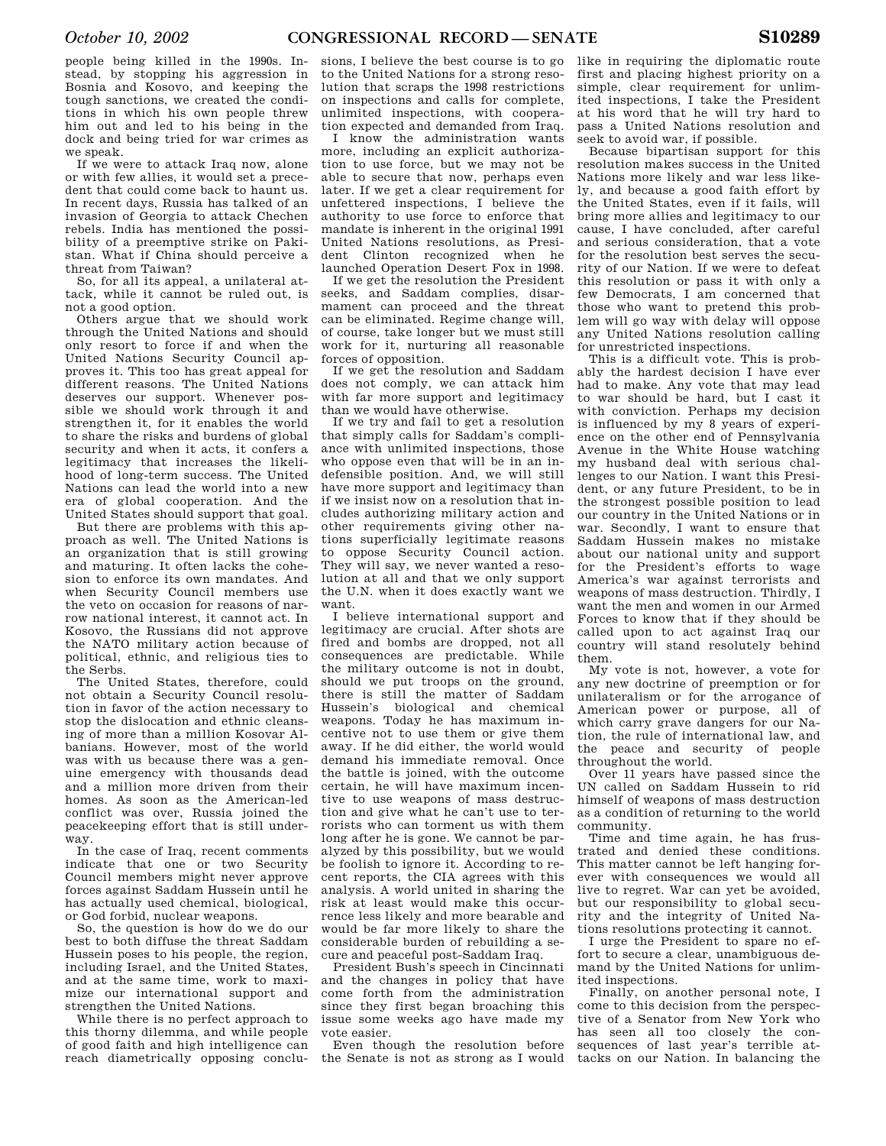people being killed in the 1990s. Instead, by stopping his aggression in Bosnia and Kosovo, and keeping the tough sanctions, we created the conditions in which his own people threw him out and led to his being in the dock and being tried for war crimes as we speak.

If we were to attack Iraq now, alone or with few allies, it would set a precedent that could come back to haunt us. In recent days, Russia has talked of an invasion of Georgia to attack Chechen rebels. India has mentioned the possibility of a preemptive strike on Pakistan. What if China should perceive a threat from Taiwan?

So, for all its appeal, a unilateral attack, while it cannot be ruled out, is not a good option.

Others argue that we should work through the United Nations and should only resort to force if and when the United Nations Security Council approves it. This too has great appeal for different reasons. The United Nations deserves our support. Whenever possible we should work through it and strengthen it, for it enables the world to share the risks and burdens of global security and when it acts, it confers a legitimacy that increases the likelihood of long-term success. The United Nations can lead the world into a new era of global cooperation. And the United States should support that goal.

But there are problems with this approach as well. The United Nations is an organization that is still growing and maturing. It often lacks the cohesion to enforce its own mandates. And when Security Council members use the veto on occasion for reasons of narrow national interest, it cannot act. In Kosovo, the Russians did not approve the NATO military action because of political, ethnic, and religious ties to the Serbs.

The United States, therefore, could not obtain a Security Council resolution in favor of the action necessary to stop the dislocation and ethnic cleansing of more than a million Kosovar Albanians. However, most of the world was with us because there was a genuine emergency with thousands dead and a million more driven from their homes. As soon as the American-led conflict was over, Russia joined the peacekeeping effort that is still underway.

In the case of Iraq, recent comments indicate that one or two Security Council members might never approve forces against Saddam Hussein until he has actually used chemical, biological, or God forbid, nuclear weapons.

So, the question is how do we do our best to both diffuse the threat Saddam Hussein poses to his people, the region, including Israel, and the United States, and at the same time, work to maximize our international support and strengthen the United Nations.

While there is no perfect approach to this thorny dilemma, and while people of good faith and high intelligence can reach diametrically opposing conclu-

sions, I believe the best course is to go to the United Nations for a strong resolution that scraps the 1998 restrictions on inspections and calls for complete, unlimited inspections, with cooperation expected and demanded from Iraq.

I know the administration wants more, including an explicit authorization to use force, but we may not be able to secure that now, perhaps even later. If we get a clear requirement for unfettered inspections, I believe the authority to use force to enforce that mandate is inherent in the original 1991 United Nations resolutions, as President Clinton recognized when he launched Operation Desert Fox in 1998.

If we get the resolution the President seeks, and Saddam complies, disarmament can proceed and the threat can be eliminated. Regime change will, of course, take longer but we must still work for it, nurturing all reasonable forces of opposition.

If we get the resolution and Saddam does not comply, we can attack him with far more support and legitimacy than we would have otherwise.

If we try and fail to get a resolution that simply calls for Saddam's compliance with unlimited inspections, those who oppose even that will be in an indefensible position. And, we will still have more support and legitimacy than if we insist now on a resolution that includes authorizing military action and other requirements giving other nations superficially legitimate reasons to oppose Security Council action. They will say, we never wanted a resolution at all and that we only support the U.N. when it does exactly want we want.

I believe international support and legitimacy are crucial. After shots are fired and bombs are dropped, not all consequences are predictable. While the military outcome is not in doubt, should we put troops on the ground, there is still the matter of Saddam Hussein's biological and chemical weapons. Today he has maximum incentive not to use them or give them away. If he did either, the world would demand his immediate removal. Once the battle is joined, with the outcome certain, he will have maximum incentive to use weapons of mass destruction and give what he can't use to terrorists who can torment us with them long after he is gone. We cannot be paralyzed by this possibility, but we would be foolish to ignore it. According to recent reports, the CIA agrees with this analysis. A world united in sharing the risk at least would make this occurrence less likely and more bearable and would be far more likely to share the considerable burden of rebuilding a secure and peaceful post-Saddam Iraq.

President Bush's speech in Cincinnati and the changes in policy that have come forth from the administration since they first began broaching this issue some weeks ago have made my vote easier.

Even though the resolution before the Senate is not as strong as I would like in requiring the diplomatic route first and placing highest priority on a simple, clear requirement for unlimited inspections, I take the President at his word that he will try hard to pass a United Nations resolution and seek to avoid war, if possible.

Because bipartisan support for this resolution makes success in the United Nations more likely and war less likely, and because a good faith effort by the United States, even if it fails, will bring more allies and legitimacy to our cause, I have concluded, after careful and serious consideration, that a vote for the resolution best serves the security of our Nation. If we were to defeat this resolution or pass it with only a few Democrats, I am concerned that those who want to pretend this problem will go way with delay will oppose any United Nations resolution calling for unrestricted inspections.

This is a difficult vote. This is probably the hardest decision I have ever had to make. Any vote that may lead to war should be hard, but I cast it with conviction. Perhaps my decision is influenced by my 8 years of experience on the other end of Pennsylvania Avenue in the White House watching my husband deal with serious challenges to our Nation. I want this President, or any future President, to be in the strongest possible position to lead our country in the United Nations or in war. Secondly, I want to ensure that Saddam Hussein makes no mistake about our national unity and support for the President's efforts to wage America's war against terrorists and weapons of mass destruction. Thirdly, I want the men and women in our Armed Forces to know that if they should be called upon to act against Iraq our country will stand resolutely behind them.

My vote is not, however, a vote for any new doctrine of preemption or for unilateralism or for the arrogance of American power or purpose, all of which carry grave dangers for our Nation, the rule of international law, and the peace and security of people throughout the world.

Over 11 years have passed since the UN called on Saddam Hussein to rid himself of weapons of mass destruction as a condition of returning to the world community.

Time and time again, he has frustrated and denied these conditions. This matter cannot be left hanging forever with consequences we would all live to regret. War can yet be avoided, but our responsibility to global security and the integrity of United Nations resolutions protecting it cannot.

I urge the President to spare no effort to secure a clear, unambiguous demand by the United Nations for unlimited inspections.

Finally, on another personal note, I come to this decision from the perspective of a Senator from New York who has seen all too closely the consequences of last year's terrible attacks on our Nation. In balancing the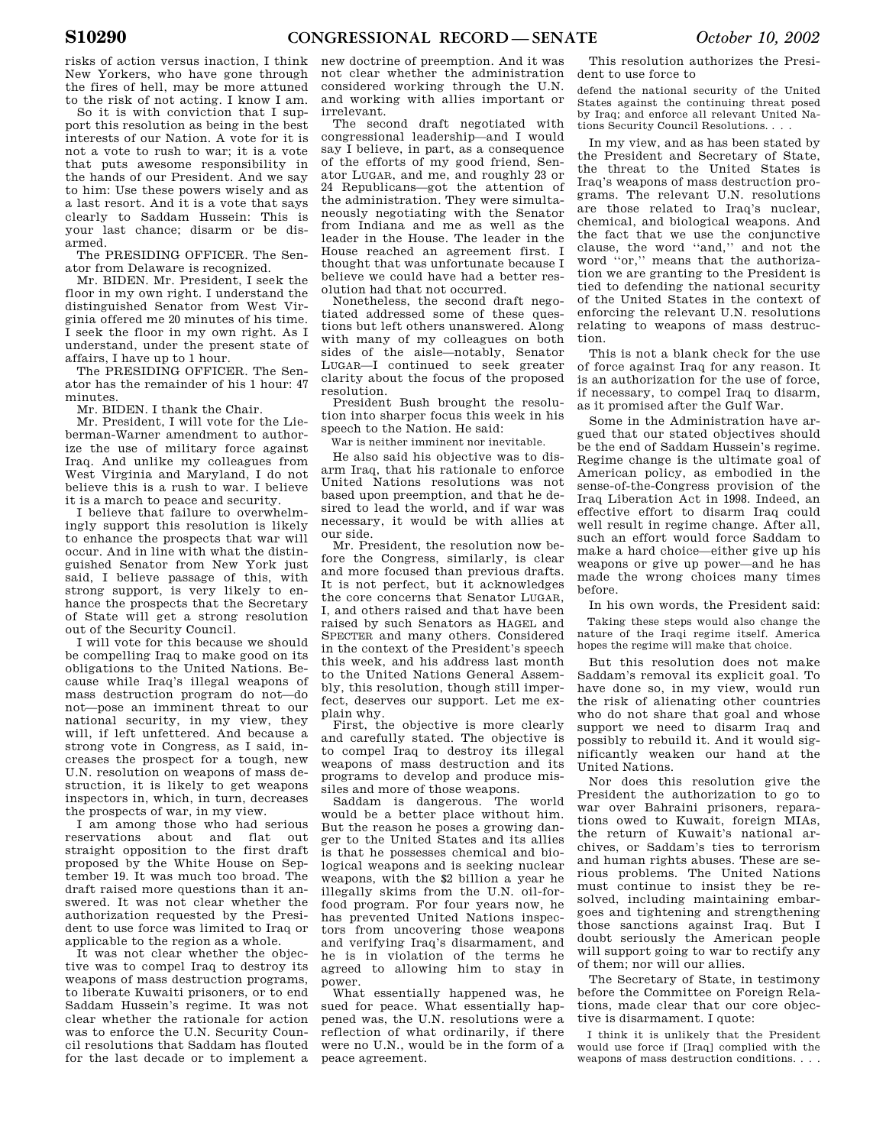risks of action versus inaction, I think New Yorkers, who have gone through the fires of hell, may be more attuned to the risk of not acting. I know I am.

So it is with conviction that I support this resolution as being in the best interests of our Nation. A vote for it is not a vote to rush to war; it is a vote that puts awesome responsibility in the hands of our President. And we say to him: Use these powers wisely and as a last resort. And it is a vote that says clearly to Saddam Hussein: This is your last chance; disarm or be disarmed.

The PRESIDING OFFICER. The Senator from Delaware is recognized.

Mr. BIDEN. Mr. President, I seek the floor in my own right. I understand the distinguished Senator from West Virginia offered me 20 minutes of his time. I seek the floor in my own right. As I understand, under the present state of affairs, I have up to 1 hour.

The PRESIDING OFFICER. The Senator has the remainder of his 1 hour: 47 minutes.

Mr. BIDEN. I thank the Chair.

Mr. President, I will vote for the Lieberman-Warner amendment to authorize the use of military force against Iraq. And unlike my colleagues from West Virginia and Maryland, I do not believe this is a rush to war. I believe it is a march to peace and security.

I believe that failure to overwhelmingly support this resolution is likely to enhance the prospects that war will occur. And in line with what the distinguished Senator from New York just said, I believe passage of this, with strong support, is very likely to enhance the prospects that the Secretary of State will get a strong resolution out of the Security Council.

I will vote for this because we should be compelling Iraq to make good on its obligations to the United Nations. Because while Iraq's illegal weapons of mass destruction program do not—do not—pose an imminent threat to our national security, in my view, they will, if left unfettered. And because a strong vote in Congress, as I said, increases the prospect for a tough, new U.N. resolution on weapons of mass destruction, it is likely to get weapons inspectors in, which, in turn, decreases the prospects of war, in my view.

I am among those who had serious reservations about and flat out straight opposition to the first draft proposed by the White House on September 19. It was much too broad. The draft raised more questions than it answered. It was not clear whether the authorization requested by the President to use force was limited to Iraq or applicable to the region as a whole.

It was not clear whether the objective was to compel Iraq to destroy its weapons of mass destruction programs, to liberate Kuwaiti prisoners, or to end Saddam Hussein's regime. It was not clear whether the rationale for action was to enforce the U.N. Security Council resolutions that Saddam has flouted for the last decade or to implement a

new doctrine of preemption. And it was not clear whether the administration considered working through the U.N. and working with allies important or irrelevant.

The second draft negotiated with congressional leadership—and I would say I believe, in part, as a consequence of the efforts of my good friend, Senator LUGAR, and me, and roughly 23 or 24 Republicans—got the attention of the administration. They were simultaneously negotiating with the Senator from Indiana and me as well as the leader in the House. The leader in the House reached an agreement first. I thought that was unfortunate because I believe we could have had a better resolution had that not occurred.

Nonetheless, the second draft negotiated addressed some of these questions but left others unanswered. Along with many of my colleagues on both sides of the aisle—notably, Senator LUGAR—I continued to seek greater clarity about the focus of the proposed resolution.

President Bush brought the resolution into sharper focus this week in his speech to the Nation. He said:

War is neither imminent nor inevitable.

He also said his objective was to disarm Iraq, that his rationale to enforce United Nations resolutions was not based upon preemption, and that he desired to lead the world, and if war was necessary, it would be with allies at our side.

Mr. President, the resolution now before the Congress, similarly, is clear and more focused than previous drafts. It is not perfect, but it acknowledges the core concerns that Senator LUGAR, I, and others raised and that have been raised by such Senators as HAGEL and SPECTER and many others. Considered in the context of the President's speech this week, and his address last month to the United Nations General Assembly, this resolution, though still imperfect, deserves our support. Let me explain why.

First, the objective is more clearly and carefully stated. The objective is to compel Iraq to destroy its illegal weapons of mass destruction and its programs to develop and produce missiles and more of those weapons.<br>Saddam is dangerous. The

Saddam is dangerous. The world would be a better place without him. But the reason he poses a growing danger to the United States and its allies is that he possesses chemical and biological weapons and is seeking nuclear weapons, with the \$2 billion a year he illegally skims from the U.N. oil-forfood program. For four years now, he has prevented United Nations inspectors from uncovering those weapons and verifying Iraq's disarmament, and he is in violation of the terms he agreed to allowing him to stay in power.

What essentially happened was, he sued for peace. What essentially happened was, the U.N. resolutions were a reflection of what ordinarily, if there were no U.N., would be in the form of a peace agreement.

This resolution authorizes the President to use force to

defend the national security of the United States against the continuing threat posed by Iraq; and enforce all relevant United Nations Security Council Resolutions. . . .

In my view, and as has been stated by the President and Secretary of State, the threat to the United States is Iraq's weapons of mass destruction programs. The relevant U.N. resolutions are those related to Iraq's nuclear, chemical, and biological weapons. And the fact that we use the conjunctive clause, the word ''and,'' and not the word ''or,'' means that the authorization we are granting to the President is tied to defending the national security of the United States in the context of enforcing the relevant U.N. resolutions relating to weapons of mass destruction.

This is not a blank check for the use of force against Iraq for any reason. It is an authorization for the use of force, if necessary, to compel Iraq to disarm, as it promised after the Gulf War.

Some in the Administration have argued that our stated objectives should be the end of Saddam Hussein's regime. Regime change is the ultimate goal of American policy, as embodied in the sense-of-the-Congress provision of the Iraq Liberation Act in 1998. Indeed, an effective effort to disarm Iraq could well result in regime change. After all, such an effort would force Saddam to make a hard choice—either give up his weapons or give up power—and he has made the wrong choices many times before.

In his own words, the President said:

Taking these steps would also change the nature of the Iraqi regime itself. America hopes the regime will make that choice.

But this resolution does not make Saddam's removal its explicit goal. To have done so, in my view, would run the risk of alienating other countries who do not share that goal and whose support we need to disarm Iraq and possibly to rebuild it. And it would significantly weaken our hand at the United Nations.

Nor does this resolution give the President the authorization to go to war over Bahraini prisoners, reparations owed to Kuwait, foreign MIAs, the return of Kuwait's national archives, or Saddam's ties to terrorism and human rights abuses. These are serious problems. The United Nations must continue to insist they be resolved, including maintaining embargoes and tightening and strengthening those sanctions against Iraq. But I doubt seriously the American people will support going to war to rectify any of them; nor will our allies.

The Secretary of State, in testimony before the Committee on Foreign Relations, made clear that our core objective is disarmament. I quote:

I think it is unlikely that the President would use force if [Iraq] complied with the weapons of mass destruction conditions. . . .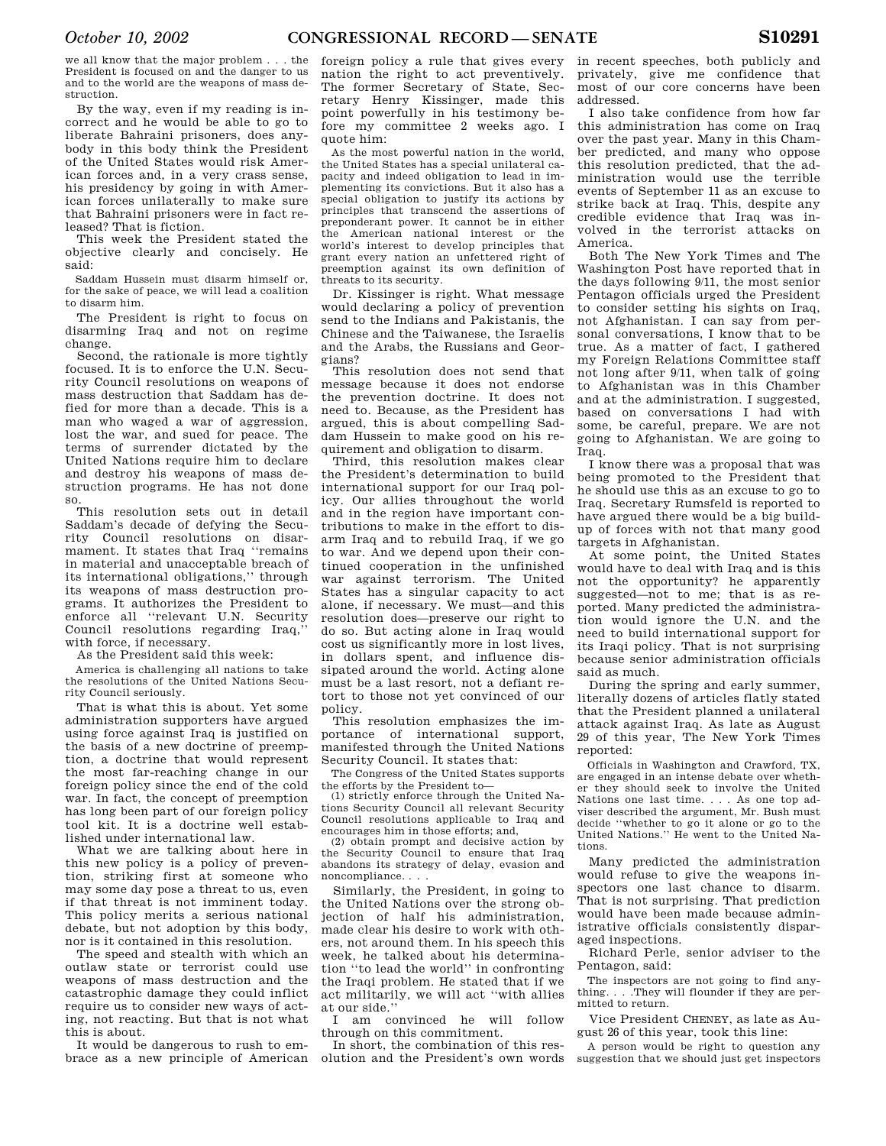we all know that the major problem . . . the President is focused on and the danger to us and to the world are the weapons of mass destruction.

By the way, even if my reading is incorrect and he would be able to go to liberate Bahraini prisoners, does anybody in this body think the President of the United States would risk American forces and, in a very crass sense, his presidency by going in with American forces unilaterally to make sure that Bahraini prisoners were in fact released? That is fiction.

This week the President stated the objective clearly and concisely. He said:

Saddam Hussein must disarm himself or, for the sake of peace, we will lead a coalition to disarm him.

The President is right to focus on disarming Iraq and not on regime change.

Second, the rationale is more tightly focused. It is to enforce the U.N. Security Council resolutions on weapons of mass destruction that Saddam has defied for more than a decade. This is a man who waged a war of aggression, lost the war, and sued for peace. The terms of surrender dictated by the United Nations require him to declare and destroy his weapons of mass destruction programs. He has not done so.

This resolution sets out in detail Saddam's decade of defying the Security Council resolutions on disarmament. It states that Iraq ''remains in material and unacceptable breach of its international obligations,'' through its weapons of mass destruction programs. It authorizes the President to enforce all ''relevant U.N. Security Council resolutions regarding Iraq, with force, if necessary.

As the President said this week:

America is challenging all nations to take the resolutions of the United Nations Security Council seriously.

That is what this is about. Yet some administration supporters have argued using force against Iraq is justified on the basis of a new doctrine of preemption, a doctrine that would represent the most far-reaching change in our foreign policy since the end of the cold war. In fact, the concept of preemption has long been part of our foreign policy tool kit. It is a doctrine well established under international law.

What we are talking about here in this new policy is a policy of prevention, striking first at someone who may some day pose a threat to us, even if that threat is not imminent today. This policy merits a serious national debate, but not adoption by this body, nor is it contained in this resolution.

The speed and stealth with which an outlaw state or terrorist could use weapons of mass destruction and the catastrophic damage they could inflict require us to consider new ways of acting, not reacting. But that is not what this is about.

It would be dangerous to rush to embrace as a new principle of American

foreign policy a rule that gives every nation the right to act preventively. The former Secretary of State, Secretary Henry Kissinger, made this point powerfully in his testimony before my committee 2 weeks ago. I quote him:

As the most powerful nation in the world, the United States has a special unilateral capacity and indeed obligation to lead in implementing its convictions. But it also has a special obligation to justify its actions by principles that transcend the assertions of preponderant power. It cannot be in either the American national interest or the world's interest to develop principles that grant every nation an unfettered right of preemption against its own definition of threats to its security.

Dr. Kissinger is right. What message would declaring a policy of prevention send to the Indians and Pakistanis, the Chinese and the Taiwanese, the Israelis and the Arabs, the Russians and Georgians?

This resolution does not send that message because it does not endorse the prevention doctrine. It does not need to. Because, as the President has argued, this is about compelling Saddam Hussein to make good on his requirement and obligation to disarm.

Third, this resolution makes clear the President's determination to build international support for our Iraq policy. Our allies throughout the world and in the region have important contributions to make in the effort to disarm Iraq and to rebuild Iraq, if we go to war. And we depend upon their continued cooperation in the unfinished war against terrorism. The United States has a singular capacity to act alone, if necessary. We must—and this resolution does—preserve our right to do so. But acting alone in Iraq would cost us significantly more in lost lives, in dollars spent, and influence dissipated around the world. Acting alone must be a last resort, not a defiant retort to those not yet convinced of our policy.

This resolution emphasizes the importance of international support, manifested through the United Nations Security Council. It states that:

The Congress of the United States supports the efforts by the President to—

(1) strictly enforce through the United Nations Security Council all relevant Security Council resolutions applicable to Iraq and encourages him in those efforts; and,

(2) obtain prompt and decisive action by the Security Council to ensure that Iraq abandons its strategy of delay, evasion and noncompliance. . . .

Similarly, the President, in going to the United Nations over the strong objection of half his administration, made clear his desire to work with others, not around them. In his speech this week, he talked about his determination ''to lead the world'' in confronting the Iraqi problem. He stated that if we act militarily, we will act ''with allies at our side.''

I am convinced he will follow through on this commitment.

In short, the combination of this resolution and the President's own words in recent speeches, both publicly and privately, give me confidence that most of our core concerns have been addressed.

I also take confidence from how far this administration has come on Iraq over the past year. Many in this Chamber predicted, and many who oppose this resolution predicted, that the administration would use the terrible events of September 11 as an excuse to strike back at Iraq. This, despite any credible evidence that Iraq was involved in the terrorist attacks on America.

Both The New York Times and The Washington Post have reported that in the days following 9/11, the most senior Pentagon officials urged the President to consider setting his sights on Iraq, not Afghanistan. I can say from personal conversations, I know that to be true. As a matter of fact, I gathered my Foreign Relations Committee staff not long after 9/11, when talk of going to Afghanistan was in this Chamber and at the administration. I suggested, based on conversations I had with some, be careful, prepare. We are not going to Afghanistan. We are going to Iraq.

I know there was a proposal that was being promoted to the President that he should use this as an excuse to go to Iraq. Secretary Rumsfeld is reported to have argued there would be a big buildup of forces with not that many good targets in Afghanistan.

At some point, the United States would have to deal with Iraq and is this not the opportunity? he apparently suggested—not to me; that is as reported. Many predicted the administration would ignore the U.N. and the need to build international support for its Iraqi policy. That is not surprising because senior administration officials said as much.

During the spring and early summer, literally dozens of articles flatly stated that the President planned a unilateral attack against Iraq. As late as August 29 of this year, The New York Times reported:

Officials in Washington and Crawford, TX, are engaged in an intense debate over whether they should seek to involve the United Nations one last time. . . . As one top adviser described the argument, Mr. Bush must decide ''whether to go it alone or go to the United Nations.'' He went to the United Nations.

Many predicted the administration would refuse to give the weapons inspectors one last chance to disarm. That is not surprising. That prediction would have been made because administrative officials consistently disparaged inspections.

Richard Perle, senior adviser to the Pentagon, said:

The inspectors are not going to find anything. . . .They will flounder if they are permitted to return.

Vice President CHENEY, as late as August 26 of this year, took this line:

A person would be right to question any suggestion that we should just get inspectors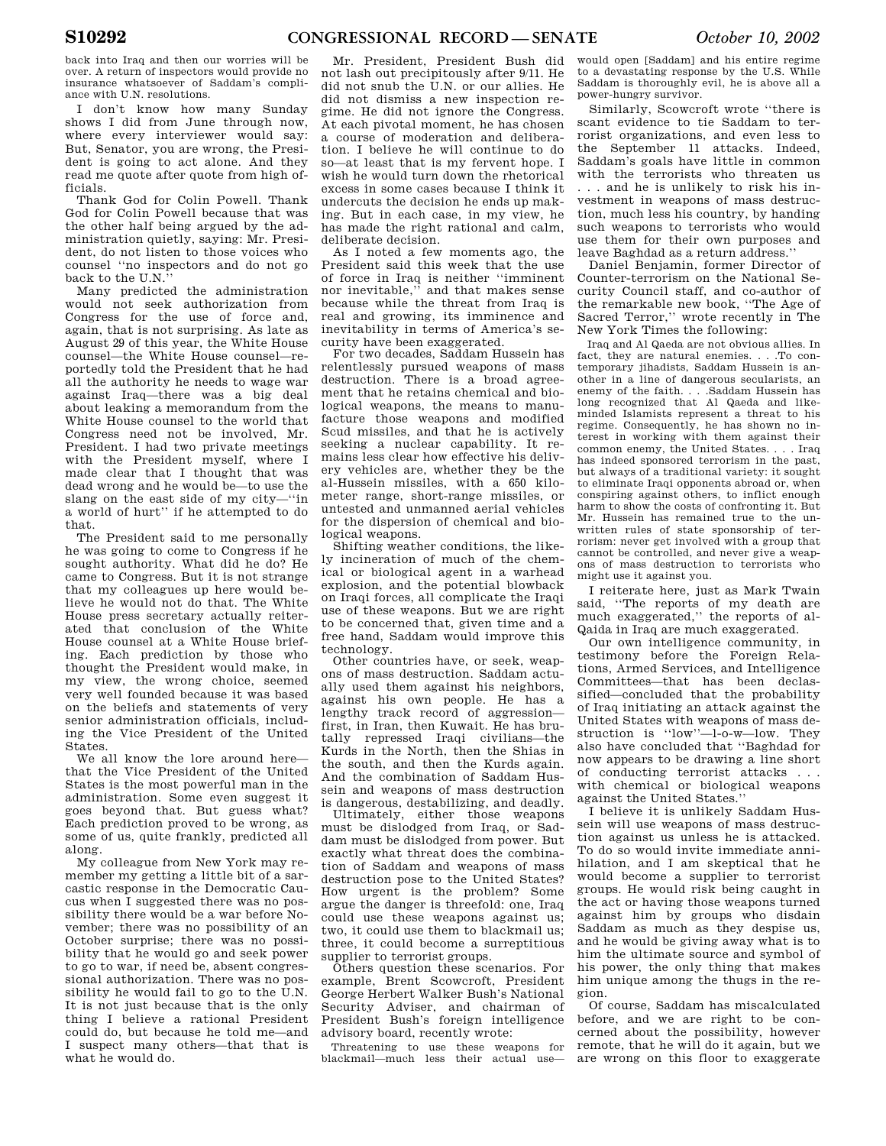back into Iraq and then our worries will be over. A return of inspectors would provide no insurance whatsoever of Saddam's compliance with U.N. resolutions.

I don't know how many Sunday shows I did from June through now, where every interviewer would say: But, Senator, you are wrong, the President is going to act alone. And they read me quote after quote from high officials.

Thank God for Colin Powell. Thank God for Colin Powell because that was the other half being argued by the administration quietly, saying: Mr. President, do not listen to those voices who counsel ''no inspectors and do not go back to the U.N.''

Many predicted the administration would not seek authorization from Congress for the use of force and, again, that is not surprising. As late as August 29 of this year, the White House counsel—the White House counsel—reportedly told the President that he had all the authority he needs to wage war against Iraq—there was a big deal about leaking a memorandum from the White House counsel to the world that Congress need not be involved, Mr. President. I had two private meetings with the President myself, where I made clear that I thought that was dead wrong and he would be—to use the slang on the east side of my city—''in a world of hurt'' if he attempted to do that.

The President said to me personally he was going to come to Congress if he sought authority. What did he do? He came to Congress. But it is not strange that my colleagues up here would believe he would not do that. The White House press secretary actually reiterated that conclusion of the White House counsel at a White House briefing. Each prediction by those who thought the President would make, in my view, the wrong choice, seemed very well founded because it was based on the beliefs and statements of very senior administration officials, including the Vice President of the United States.

We all know the lore around here that the Vice President of the United States is the most powerful man in the administration. Some even suggest it goes beyond that. But guess what? Each prediction proved to be wrong, as some of us, quite frankly, predicted all along.

My colleague from New York may remember my getting a little bit of a sarcastic response in the Democratic Caucus when I suggested there was no possibility there would be a war before November; there was no possibility of an October surprise; there was no possibility that he would go and seek power to go to war, if need be, absent congressional authorization. There was no possibility he would fail to go to the U.N. It is not just because that is the only thing I believe a rational President could do, but because he told me—and I suspect many others—that that is what he would do.

Mr. President, President Bush did not lash out precipitously after 9/11. He did not snub the U.N. or our allies. He did not dismiss a new inspection regime. He did not ignore the Congress. At each pivotal moment, he has chosen a course of moderation and deliberation. I believe he will continue to do so—at least that is my fervent hope. I wish he would turn down the rhetorical excess in some cases because I think it undercuts the decision he ends up making. But in each case, in my view, he has made the right rational and calm, deliberate decision.

As I noted a few moments ago, the President said this week that the use of force in Iraq is neither ''imminent nor inevitable,'' and that makes sense because while the threat from Iraq is real and growing, its imminence and inevitability in terms of America's security have been exaggerated.

For two decades, Saddam Hussein has relentlessly pursued weapons of mass destruction. There is a broad agreement that he retains chemical and biological weapons, the means to manufacture those weapons and modified Scud missiles, and that he is actively seeking a nuclear capability. It remains less clear how effective his delivery vehicles are, whether they be the al-Hussein missiles, with a 650 kilometer range, short-range missiles, or untested and unmanned aerial vehicles for the dispersion of chemical and biological weapons.

Shifting weather conditions, the likely incineration of much of the chemical or biological agent in a warhead explosion, and the potential blowback on Iraqi forces, all complicate the Iraqi use of these weapons. But we are right to be concerned that, given time and a free hand, Saddam would improve this technology.

Other countries have, or seek, weapons of mass destruction. Saddam actually used them against his neighbors, against his own people. He has a lengthy track record of aggression first, in Iran, then Kuwait. He has brutally repressed Iraqi civilians—the Kurds in the North, then the Shias in the south, and then the Kurds again. And the combination of Saddam Hussein and weapons of mass destruction is dangerous, destabilizing, and deadly.

Ultimately, either those weapons must be dislodged from Iraq, or Saddam must be dislodged from power. But exactly what threat does the combination of Saddam and weapons of mass destruction pose to the United States? How urgent is the problem? Some argue the danger is threefold: one, Iraq could use these weapons against us; two, it could use them to blackmail us; three, it could become a surreptitious supplier to terrorist groups.

Others question these scenarios. For example, Brent Scowcroft, President George Herbert Walker Bush's National Security Adviser, and chairman of President Bush's foreign intelligence advisory board, recently wrote:

Threatening to use these weapons for blackmail—much less their actual use—

would open [Saddam] and his entire regime to a devastating response by the U.S. While Saddam is thoroughly evil, he is above all a power-hungry survivor.

Similarly, Scowcroft wrote ''there is scant evidence to tie Saddam to terrorist organizations, and even less to the September 11 attacks. Indeed, Saddam's goals have little in common with the terrorists who threaten us

. . . and he is unlikely to risk his investment in weapons of mass destruction, much less his country, by handing such weapons to terrorists who would use them for their own purposes and leave Baghdad as a return address.''

Daniel Benjamin, former Director of Counter-terrorism on the National Security Council staff, and co-author of the remarkable new book, ''The Age of Sacred Terror,'' wrote recently in The New York Times the following:

Iraq and Al Qaeda are not obvious allies. In fact, they are natural enemies. . . .To contemporary jihadists, Saddam Hussein is another in a line of dangerous secularists, an enemy of the faith. . . .Saddam Hussein has long recognized that Al Qaeda and likeminded Islamists represent a threat to his regime. Consequently, he has shown no interest in working with them against their common enemy, the United States. . . . Iraq has indeed sponsored terrorism in the past but always of a traditional variety: it sought to eliminate Iraqi opponents abroad or, when conspiring against others, to inflict enough harm to show the costs of confronting it. But Mr. Hussein has remained true to the unwritten rules of state sponsorship of terrorism: never get involved with a group that cannot be controlled, and never give a weapons of mass destruction to terrorists who might use it against you.

I reiterate here, just as Mark Twain said, ''The reports of my death are much exaggerated,'' the reports of al-Qaida in Iraq are much exaggerated.

Our own intelligence community, in testimony before the Foreign Relations, Armed Services, and Intelligence Committees—that has been declassified—concluded that the probability of Iraq initiating an attack against the United States with weapons of mass destruction is ''low''—l-o-w—low. They also have concluded that ''Baghdad for now appears to be drawing a line short of conducting terrorist attacks . . . with chemical or biological weapons against the United States.''

I believe it is unlikely Saddam Hussein will use weapons of mass destruction against us unless he is attacked. To do so would invite immediate annihilation, and I am skeptical that he would become a supplier to terrorist groups. He would risk being caught in the act or having those weapons turned against him by groups who disdain Saddam as much as they despise us, and he would be giving away what is to him the ultimate source and symbol of his power, the only thing that makes him unique among the thugs in the region.

Of course, Saddam has miscalculated before, and we are right to be concerned about the possibility, however remote, that he will do it again, but we are wrong on this floor to exaggerate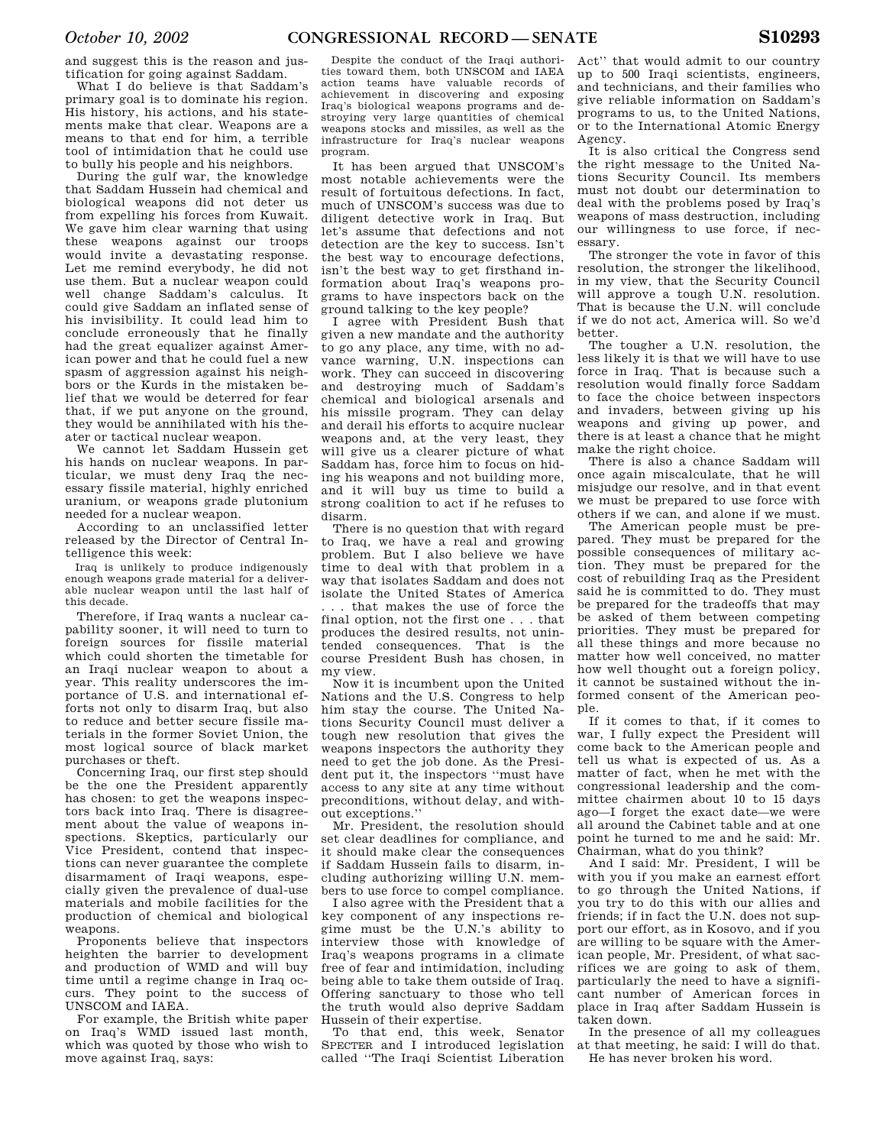and suggest this is the reason and justification for going against Saddam.

What I do believe is that Saddam's primary goal is to dominate his region. His history, his actions, and his statements make that clear. Weapons are a means to that end for him, a terrible tool of intimidation that he could use to bully his people and his neighbors.

During the gulf war, the knowledge that Saddam Hussein had chemical and biological weapons did not deter us from expelling his forces from Kuwait. We gave him clear warning that using these weapons against our troops would invite a devastating response. Let me remind everybody, he did not use them. But a nuclear weapon could well change Saddam's calculus. It could give Saddam an inflated sense of his invisibility. It could lead him to conclude erroneously that he finally had the great equalizer against American power and that he could fuel a new spasm of aggression against his neighbors or the Kurds in the mistaken belief that we would be deterred for fear that, if we put anyone on the ground, they would be annihilated with his theater or tactical nuclear weapon.

We cannot let Saddam Hussein get his hands on nuclear weapons. In particular, we must deny Iraq the necessary fissile material, highly enriched uranium, or weapons grade plutonium needed for a nuclear weapon.

According to an unclassified letter released by the Director of Central Intelligence this week:

Iraq is unlikely to produce indigenously enough weapons grade material for a deliverable nuclear weapon until the last half of this decade.

Therefore, if Iraq wants a nuclear capability sooner, it will need to turn to foreign sources for fissile material which could shorten the timetable for an Iraqi nuclear weapon to about a year. This reality underscores the importance of U.S. and international efforts not only to disarm Iraq, but also to reduce and better secure fissile materials in the former Soviet Union, the most logical source of black market purchases or theft.

Concerning Iraq, our first step should be the one the President apparently has chosen: to get the weapons inspectors back into Iraq. There is disagreement about the value of weapons inspections. Skeptics, particularly our Vice President, contend that inspections can never guarantee the complete disarmament of Iraqi weapons, especially given the prevalence of dual-use materials and mobile facilities for the production of chemical and biological weapons.

Proponents believe that inspectors heighten the barrier to development and production of WMD and will buy time until a regime change in Iraq occurs. They point to the success of UNSCOM and IAEA.

For example, the British white paper on Iraq's WMD issued last month, which was quoted by those who wish to move against Iraq, says:

Despite the conduct of the Iraqi authorities toward them, both UNSCOM and IAEA action teams have valuable records of achievement in discovering and exposing Iraq's biological weapons programs and destroying very large quantities of chemical weapons stocks and missiles, as well as the infrastructure for Iraq's nuclear weapons program.

It has been argued that UNSCOM's most notable achievements were the result of fortuitous defections. In fact, much of UNSCOM's success was due to diligent detective work in Iraq. But let's assume that defections and not detection are the key to success. Isn't the best way to encourage defections, isn't the best way to get firsthand information about Iraq's weapons programs to have inspectors back on the ground talking to the key people?

I agree with President Bush that given a new mandate and the authority to go any place, any time, with no advance warning, U.N. inspections can work. They can succeed in discovering and destroying much of Saddam's chemical and biological arsenals and his missile program. They can delay and derail his efforts to acquire nuclear weapons and, at the very least, they will give us a clearer picture of what Saddam has, force him to focus on hiding his weapons and not building more, and it will buy us time to build a strong coalition to act if he refuses to disarm.

There is no question that with regard to Iraq, we have a real and growing problem. But I also believe we have time to deal with that problem in a way that isolates Saddam and does not isolate the United States of America . . . that makes the use of force the final option, not the first one . . . that produces the desired results, not unintended consequences. That is the course President Bush has chosen, in my view.

Now it is incumbent upon the United Nations and the U.S. Congress to help him stay the course. The United Nations Security Council must deliver a tough new resolution that gives the weapons inspectors the authority they need to get the job done. As the President put it, the inspectors ''must have access to any site at any time without preconditions, without delay, and without exceptions.''

Mr. President, the resolution should set clear deadlines for compliance, and it should make clear the consequences if Saddam Hussein fails to disarm, including authorizing willing U.N. members to use force to compel compliance.

I also agree with the President that a key component of any inspections regime must be the U.N.'s ability to interview those with knowledge of Iraq's weapons programs in a climate free of fear and intimidation, including being able to take them outside of Iraq. Offering sanctuary to those who tell the truth would also deprive Saddam Hussein of their expertise.

To that end, this week, Senator SPECTER and I introduced legislation called ''The Iraqi Scientist Liberation

Act'' that would admit to our country up to 500 Iraqi scientists, engineers, and technicians, and their families who give reliable information on Saddam's programs to us, to the United Nations, or to the International Atomic Energy Agency.

It is also critical the Congress send the right message to the United Nations Security Council. Its members must not doubt our determination to deal with the problems posed by Iraq's weapons of mass destruction, including our willingness to use force, if necessary.

The stronger the vote in favor of this resolution, the stronger the likelihood, in my view, that the Security Council will approve a tough U.N. resolution. That is because the U.N. will conclude if we do not act, America will. So we'd better.

The tougher a U.N. resolution, the less likely it is that we will have to use force in Iraq. That is because such a resolution would finally force Saddam to face the choice between inspectors and invaders, between giving up his weapons and giving up power, and there is at least a chance that he might make the right choice.

There is also a chance Saddam will once again miscalculate, that he will misjudge our resolve, and in that event we must be prepared to use force with others if we can, and alone if we must.

The American people must be prepared. They must be prepared for the possible consequences of military action. They must be prepared for the cost of rebuilding Iraq as the President said he is committed to do. They must be prepared for the tradeoffs that may be asked of them between competing priorities. They must be prepared for all these things and more because no matter how well conceived, no matter how well thought out a foreign policy, it cannot be sustained without the informed consent of the American people.

If it comes to that, if it comes to war, I fully expect the President will come back to the American people and tell us what is expected of us. As a matter of fact, when he met with the congressional leadership and the committee chairmen about 10 to 15 days ago—I forget the exact date—we were all around the Cabinet table and at one point he turned to me and he said: Mr. Chairman, what do you think?

And I said: Mr. President, I will be with you if you make an earnest effort to go through the United Nations, if you try to do this with our allies and friends; if in fact the U.N. does not support our effort, as in Kosovo, and if you are willing to be square with the American people, Mr. President, of what sacrifices we are going to ask of them, particularly the need to have a significant number of American forces in place in Iraq after Saddam Hussein is taken down.

In the presence of all my colleagues at that meeting, he said: I will do that. He has never broken his word.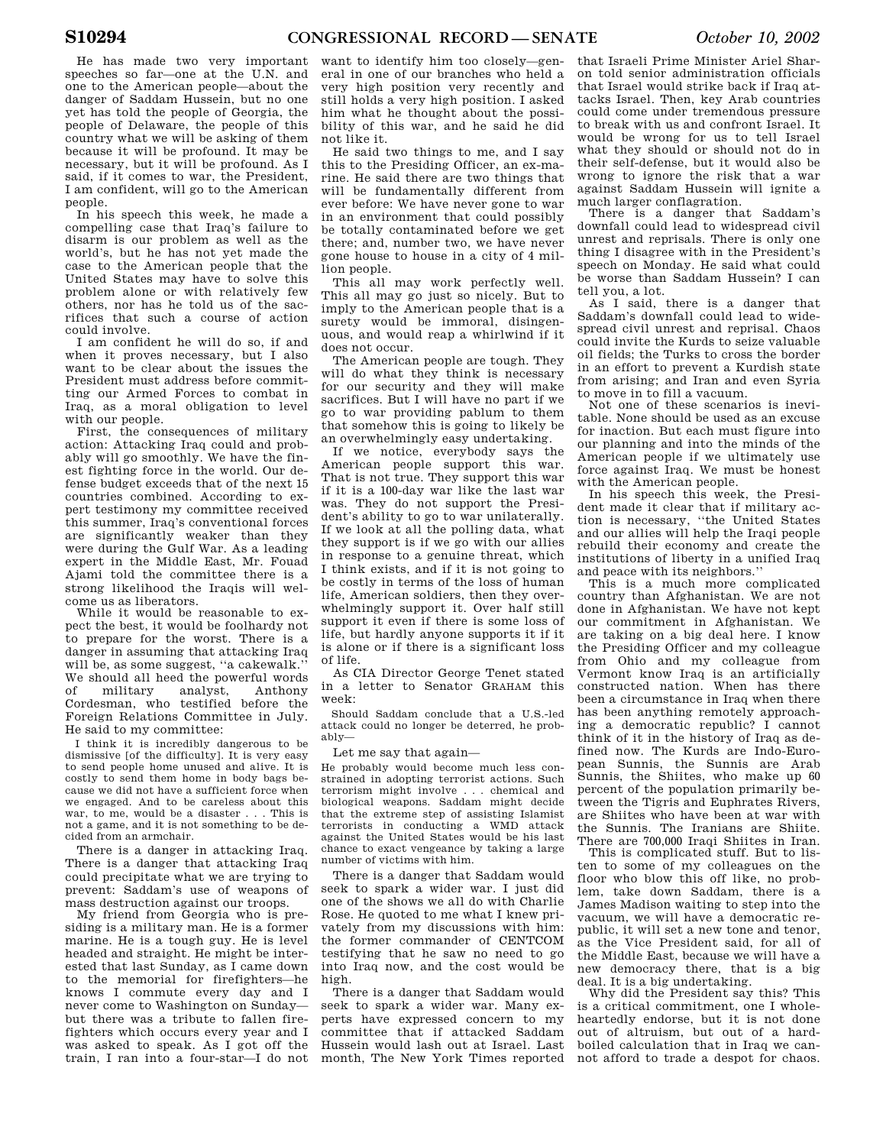people. In his speech this week, he made a compelling case that Iraq's failure to disarm is our problem as well as the world's, but he has not yet made the case to the American people that the United States may have to solve this problem alone or with relatively few others, nor has he told us of the sacrifices that such a course of action could involve.

I am confident he will do so, if and when it proves necessary, but I also want to be clear about the issues the President must address before committing our Armed Forces to combat in Iraq, as a moral obligation to level with our people.

First, the consequences of military action: Attacking Iraq could and probably will go smoothly. We have the finest fighting force in the world. Our defense budget exceeds that of the next 15 countries combined. According to expert testimony my committee received this summer, Iraq's conventional forces are significantly weaker than they were during the Gulf War. As a leading expert in the Middle East, Mr. Fouad Ajami told the committee there is a strong likelihood the Iraqis will welcome us as liberators.

While it would be reasonable to expect the best, it would be foolhardy not to prepare for the worst. There is a danger in assuming that attacking Iraq will be, as some suggest, ''a cakewalk.'' We should all heed the powerful words of military analyst, Anthony Cordesman, who testified before the Foreign Relations Committee in July. He said to my committee:

I think it is incredibly dangerous to be dismissive [of the difficulty]. It is very easy to send people home unused and alive. It is costly to send them home in body bags because we did not have a sufficient force when we engaged. And to be careless about this war, to me, would be a disaster . . . This is not a game, and it is not something to be decided from an armchair.

There is a danger in attacking Iraq. There is a danger that attacking Iraq could precipitate what we are trying to prevent: Saddam's use of weapons of mass destruction against our troops.

My friend from Georgia who is presiding is a military man. He is a former marine. He is a tough guy. He is level headed and straight. He might be interested that last Sunday, as I came down to the memorial for firefighters—he knows I commute every day and I never come to Washington on Sunday but there was a tribute to fallen firefighters which occurs every year and I was asked to speak. As I got off the train, I ran into a four-star—I do not

want to identify him too closely—general in one of our branches who held a very high position very recently and still holds a very high position. I asked him what he thought about the possibility of this war, and he said he did not like it.

He said two things to me, and I say this to the Presiding Officer, an ex-marine. He said there are two things that will be fundamentally different from ever before: We have never gone to war in an environment that could possibly be totally contaminated before we get there; and, number two, we have never gone house to house in a city of 4 million people.

This all may work perfectly well. This all may go just so nicely. But to imply to the American people that is a surety would be immoral, disingenuous, and would reap a whirlwind if it does not occur.

The American people are tough. They will do what they think is necessary for our security and they will make sacrifices. But I will have no part if we go to war providing pablum to them that somehow this is going to likely be an overwhelmingly easy undertaking.

If we notice, everybody says the American people support this war. That is not true. They support this war if it is a 100-day war like the last war was. They do not support the President's ability to go to war unilaterally. If we look at all the polling data, what they support is if we go with our allies in response to a genuine threat, which I think exists, and if it is not going to be costly in terms of the loss of human life, American soldiers, then they overwhelmingly support it. Over half still support it even if there is some loss of life, but hardly anyone supports it if it is alone or if there is a significant loss of life.

As CIA Director George Tenet stated in a letter to Senator GRAHAM this week:

Should Saddam conclude that a U.S.-led attack could no longer be deterred, he probably—

Let me say that again—

He probably would become much less constrained in adopting terrorist actions. Such terrorism might involve . . . chemical and biological weapons. Saddam might decide that the extreme step of assisting Islamist terrorists in conducting a WMD attack against the United States would be his last chance to exact vengeance by taking a large number of victims with him.

There is a danger that Saddam would seek to spark a wider war. I just did one of the shows we all do with Charlie Rose. He quoted to me what I knew privately from my discussions with him: the former commander of CENTCOM testifying that he saw no need to go into Iraq now, and the cost would be high.

There is a danger that Saddam would seek to spark a wider war. Many experts have expressed concern to my committee that if attacked Saddam Hussein would lash out at Israel. Last month, The New York Times reported

that Israeli Prime Minister Ariel Sharon told senior administration officials that Israel would strike back if Iraq attacks Israel. Then, key Arab countries could come under tremendous pressure to break with us and confront Israel. It would be wrong for us to tell Israel what they should or should not do in their self-defense, but it would also be wrong to ignore the risk that a war against Saddam Hussein will ignite a much larger conflagration.

There is a danger that Saddam's downfall could lead to widespread civil unrest and reprisals. There is only one thing I disagree with in the President's speech on Monday. He said what could be worse than Saddam Hussein? I can tell you, a lot.

As I said, there is a danger that Saddam's downfall could lead to widespread civil unrest and reprisal. Chaos could invite the Kurds to seize valuable oil fields; the Turks to cross the border in an effort to prevent a Kurdish state from arising; and Iran and even Syria to move in to fill a vacuum.

Not one of these scenarios is inevitable. None should be used as an excuse for inaction. But each must figure into our planning and into the minds of the American people if we ultimately use force against Iraq. We must be honest with the American people.

In his speech this week, the President made it clear that if military action is necessary, ''the United States and our allies will help the Iraqi people rebuild their economy and create the institutions of liberty in a unified Iraq and peace with its neighbors.''

This is a much more complicated country than Afghanistan. We are not done in Afghanistan. We have not kept our commitment in Afghanistan. We are taking on a big deal here. I know the Presiding Officer and my colleague from Ohio and my colleague from Vermont know Iraq is an artificially constructed nation. When has there been a circumstance in Iraq when there has been anything remotely approaching a democratic republic? I cannot think of it in the history of Iraq as defined now. The Kurds are Indo-European Sunnis, the Sunnis are Arab Sunnis, the Shiites, who make up 60 percent of the population primarily between the Tigris and Euphrates Rivers, are Shiites who have been at war with the Sunnis. The Iranians are Shiite. There are 700,000 Iraqi Shiites in Iran.

This is complicated stuff. But to listen to some of my colleagues on the floor who blow this off like, no problem, take down Saddam, there is a James Madison waiting to step into the vacuum, we will have a democratic republic, it will set a new tone and tenor, as the Vice President said, for all of the Middle East, because we will have a new democracy there, that is a big deal. It is a big undertaking.

Why did the President say this? This is a critical commitment, one I wholeheartedly endorse, but it is not done out of altruism, but out of a hardboiled calculation that in Iraq we cannot afford to trade a despot for chaos.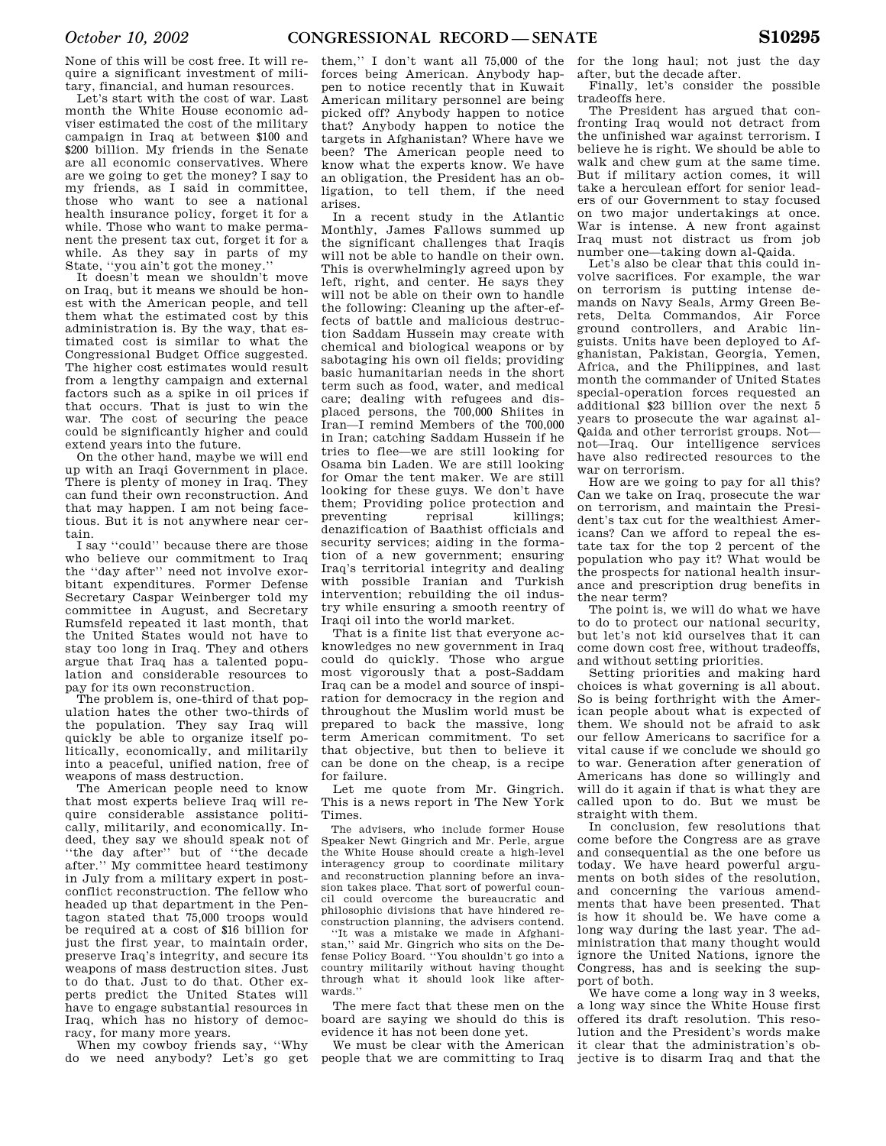None of this will be cost free. It will require a significant investment of military, financial, and human resources.

Let's start with the cost of war. Last month the White House economic adviser estimated the cost of the military campaign in Iraq at between \$100 and \$200 billion. My friends in the Senate are all economic conservatives. Where are we going to get the money? I say to my friends, as I said in committee, those who want to see a national health insurance policy, forget it for a while. Those who want to make permanent the present tax cut, forget it for a while. As they say in parts of my State, "you ain't got the money.

It doesn't mean we shouldn't move on Iraq, but it means we should be honest with the American people, and tell them what the estimated cost by this administration is. By the way, that estimated cost is similar to what the Congressional Budget Office suggested. The higher cost estimates would result from a lengthy campaign and external factors such as a spike in oil prices if that occurs. That is just to win the war. The cost of securing the peace could be significantly higher and could extend years into the future.

On the other hand, maybe we will end up with an Iraqi Government in place. There is plenty of money in Iraq. They can fund their own reconstruction. And that may happen. I am not being facetious. But it is not anywhere near certain.

I say ''could'' because there are those who believe our commitment to Iraq the ''day after'' need not involve exorbitant expenditures. Former Defense Secretary Caspar Weinberger told my committee in August, and Secretary Rumsfeld repeated it last month, that the United States would not have to stay too long in Iraq. They and others argue that Iraq has a talented population and considerable resources to pay for its own reconstruction.

The problem is, one-third of that population hates the other two-thirds of the population. They say Iraq will quickly be able to organize itself politically, economically, and militarily into a peaceful, unified nation, free of weapons of mass destruction.

The American people need to know that most experts believe Iraq will require considerable assistance politically, militarily, and economically. Indeed, they say we should speak not of ''the day after'' but of ''the decade after.'' My committee heard testimony in July from a military expert in postconflict reconstruction. The fellow who headed up that department in the Pentagon stated that 75,000 troops would be required at a cost of \$16 billion for just the first year, to maintain order, preserve Iraq's integrity, and secure its weapons of mass destruction sites. Just to do that. Just to do that. Other experts predict the United States will have to engage substantial resources in Iraq, which has no history of democracy, for many more years.

When my cowboy friends say, ''Why do we need anybody? Let's go get

them,'' I don't want all 75,000 of the forces being American. Anybody happen to notice recently that in Kuwait American military personnel are being picked off? Anybody happen to notice that? Anybody happen to notice the targets in Afghanistan? Where have we been? The American people need to know what the experts know. We have an obligation, the President has an obligation, to tell them, if the need arises.

In a recent study in the Atlantic Monthly, James Fallows summed up the significant challenges that Iraqis will not be able to handle on their own. This is overwhelmingly agreed upon by left, right, and center. He says they will not be able on their own to handle the following: Cleaning up the after-effects of battle and malicious destruction Saddam Hussein may create with chemical and biological weapons or by sabotaging his own oil fields; providing basic humanitarian needs in the short term such as food, water, and medical care; dealing with refugees and displaced persons, the 700,000 Shiites in Iran—I remind Members of the 700,000 in Iran; catching Saddam Hussein if he tries to flee—we are still looking for Osama bin Laden. We are still looking for Omar the tent maker. We are still looking for these guys. We don't have them; Providing police protection and preventing reprisal killings; denazification of Baathist officials and security services; aiding in the formation of a new government; ensuring Iraq's territorial integrity and dealing with possible Iranian and Turkish intervention; rebuilding the oil industry while ensuring a smooth reentry of Iraqi oil into the world market.

That is a finite list that everyone acknowledges no new government in Iraq could do quickly. Those who argue most vigorously that a post-Saddam Iraq can be a model and source of inspiration for democracy in the region and throughout the Muslim world must be prepared to back the massive, long term American commitment. To set that objective, but then to believe it can be done on the cheap, is a recipe for failure.

Let me quote from Mr. Gingrich. This is a news report in The New York Times.

The advisers, who include former House Speaker Newt Gingrich and Mr. Perle, argue the White House should create a high-level interagency group to coordinate military and reconstruction planning before an invasion takes place. That sort of powerful council could overcome the bureaucratic and philosophic divisions that have hindered reconstruction planning, the advisers contend.

'It was a mistake we made in Afghanistan,'' said Mr. Gingrich who sits on the Defense Policy Board. ''You shouldn't go into a country militarily without having thought through what it should look like afterwards.''

The mere fact that these men on the board are saying we should do this is evidence it has not been done yet.

We must be clear with the American people that we are committing to Iraq

for the long haul; not just the day after, but the decade after.

Finally, let's consider the possible tradeoffs here.

The President has argued that confronting Iraq would not detract from the unfinished war against terrorism. I believe he is right. We should be able to walk and chew gum at the same time. But if military action comes, it will take a herculean effort for senior leaders of our Government to stay focused on two major undertakings at once. War is intense. A new front against Iraq must not distract us from job number one—taking down al-Qaida.

Let's also be clear that this could involve sacrifices. For example, the war on terrorism is putting intense demands on Navy Seals, Army Green Berets, Delta Commandos, Air Force ground controllers, and Arabic linguists. Units have been deployed to Afghanistan, Pakistan, Georgia, Yemen, Africa, and the Philippines, and last month the commander of United States special-operation forces requested an additional \$23 billion over the next 5 years to prosecute the war against al-Qaida and other terrorist groups. Not not—Iraq. Our intelligence services have also redirected resources to the war on terrorism.

How are we going to pay for all this? Can we take on Iraq, prosecute the war on terrorism, and maintain the President's tax cut for the wealthiest Americans? Can we afford to repeal the estate tax for the top 2 percent of the population who pay it? What would be the prospects for national health insurance and prescription drug benefits in the near term?

The point is, we will do what we have to do to protect our national security, but let's not kid ourselves that it can come down cost free, without tradeoffs, and without setting priorities.

Setting priorities and making hard choices is what governing is all about. So is being forthright with the American people about what is expected of them. We should not be afraid to ask our fellow Americans to sacrifice for a vital cause if we conclude we should go to war. Generation after generation of Americans has done so willingly and will do it again if that is what they are called upon to do. But we must be straight with them.

In conclusion, few resolutions that come before the Congress are as grave and consequential as the one before us today. We have heard powerful arguments on both sides of the resolution, and concerning the various amendments that have been presented. That is how it should be. We have come a long way during the last year. The administration that many thought would ignore the United Nations, ignore the Congress, has and is seeking the support of both.

We have come a long way in 3 weeks, a long way since the White House first offered its draft resolution. This resolution and the President's words make it clear that the administration's objective is to disarm Iraq and that the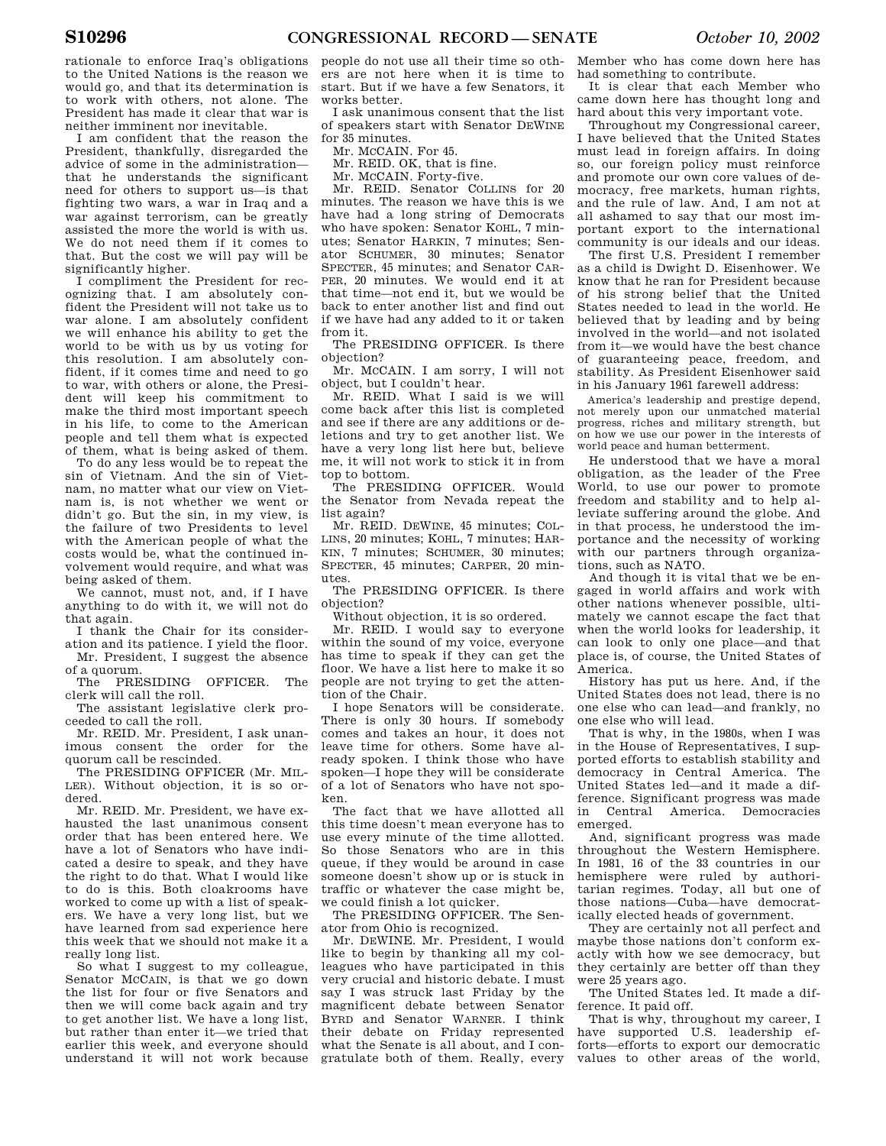rationale to enforce Iraq's obligations to the United Nations is the reason we would go, and that its determination is to work with others, not alone. The President has made it clear that war is neither imminent nor inevitable.

I am confident that the reason the President, thankfully, disregarded the advice of some in the administration that he understands the significant need for others to support us—is that fighting two wars, a war in Iraq and a war against terrorism, can be greatly assisted the more the world is with us. We do not need them if it comes to that. But the cost we will pay will be significantly higher.

I compliment the President for recognizing that. I am absolutely confident the President will not take us to war alone. I am absolutely confident we will enhance his ability to get the world to be with us by us voting for this resolution. I am absolutely confident, if it comes time and need to go to war, with others or alone, the President will keep his commitment to make the third most important speech in his life, to come to the American people and tell them what is expected of them, what is being asked of them.

To do any less would be to repeat the sin of Vietnam. And the sin of Vietnam, no matter what our view on Vietnam is, is not whether we went or didn't go. But the sin, in my view, is the failure of two Presidents to level with the American people of what the costs would be, what the continued involvement would require, and what was being asked of them.

We cannot, must not, and, if I have anything to do with it, we will not do that again.

- I thank the Chair for its consideration and its patience. I yield the floor.
- Mr. President, I suggest the absence of a quorum.

The PRESIDING OFFICER. The clerk will call the roll.

The assistant legislative clerk proceeded to call the roll.

Mr. REID. Mr. President, I ask unanimous consent the order for the quorum call be rescinded.

The PRESIDING OFFICER (Mr. MIL-LER). Without objection, it is so ordered.

Mr. REID. Mr. President, we have exhausted the last unanimous consent order that has been entered here. We have a lot of Senators who have indicated a desire to speak, and they have the right to do that. What I would like to do is this. Both cloakrooms have worked to come up with a list of speakers. We have a very long list, but we have learned from sad experience here this week that we should not make it a really long list.

So what I suggest to my colleague, Senator MCCAIN, is that we go down the list for four or five Senators and then we will come back again and try to get another list. We have a long list, but rather than enter it—we tried that earlier this week, and everyone should understand it will not work because

people do not use all their time so others are not here when it is time to start. But if we have a few Senators, it works better.

I ask unanimous consent that the list of speakers start with Senator DEWINE for 35 minutes.

Mr. MCCAIN. For 45.

Mr. REID. OK, that is fine.

Mr. MCCAIN. Forty-five.

Mr. REID. Senator COLLINS for 20 minutes. The reason we have this is we have had a long string of Democrats who have spoken: Senator KOHL, 7 minutes; Senator HARKIN, 7 minutes; Senator SCHUMER, 30 minutes; Senator SPECTER, 45 minutes; and Senator CAR-PER, 20 minutes. We would end it at that time—not end it, but we would be back to enter another list and find out if we have had any added to it or taken from it.

The PRESIDING OFFICER. Is there objection?

Mr. MCCAIN. I am sorry, I will not object, but I couldn't hear.

Mr. REID. What I said is we will come back after this list is completed and see if there are any additions or deletions and try to get another list. We have a very long list here but, believe me, it will not work to stick it in from top to bottom.

The PRESIDING OFFICER. Would the Senator from Nevada repeat the list again?

Mr. REID. DEWINE, 45 minutes; COL-LINS, 20 minutes; KOHL, 7 minutes; HAR-KIN, 7 minutes; SCHUMER, 30 minutes; SPECTER, 45 minutes; CARPER, 20 minutes.

The PRESIDING OFFICER. Is there objection?

Without objection, it is so ordered.

Mr. REID. I would say to everyone within the sound of my voice, everyone has time to speak if they can get the floor. We have a list here to make it so people are not trying to get the attention of the Chair.

I hope Senators will be considerate. There is only 30 hours. If somebody comes and takes an hour, it does not leave time for others. Some have already spoken. I think those who have spoken—I hope they will be considerate of a lot of Senators who have not spoken.

The fact that we have allotted all this time doesn't mean everyone has to use every minute of the time allotted. So those Senators who are in this queue, if they would be around in case someone doesn't show up or is stuck in traffic or whatever the case might be, we could finish a lot quicker.

The PRESIDING OFFICER. The Senator from Ohio is recognized.

Mr. DEWINE. Mr. President, I would like to begin by thanking all my colleagues who have participated in this very crucial and historic debate. I must say I was struck last Friday by the magnificent debate between Senator BYRD and Senator WARNER. I think their debate on Friday represented what the Senate is all about, and I congratulate both of them. Really, every

Member who has come down here has had something to contribute.

It is clear that each Member who came down here has thought long and hard about this very important vote.

Throughout my Congressional career, I have believed that the United States must lead in foreign affairs. In doing so, our foreign policy must reinforce and promote our own core values of democracy, free markets, human rights, and the rule of law. And, I am not at all ashamed to say that our most important export to the international community is our ideals and our ideas.

The first U.S. President I remember as a child is Dwight D. Eisenhower. We know that he ran for President because of his strong belief that the United States needed to lead in the world. He believed that by leading and by being involved in the world—and not isolated from it—we would have the best chance of guaranteeing peace, freedom, and stability. As President Eisenhower said in his January 1961 farewell address:

America's leadership and prestige depend, not merely upon our unmatched material progress, riches and military strength, but on how we use our power in the interests of world peace and human betterment.

He understood that we have a moral obligation, as the leader of the Free World, to use our power to promote freedom and stability and to help alleviate suffering around the globe. And in that process, he understood the importance and the necessity of working with our partners through organizations, such as NATO.

And though it is vital that we be engaged in world affairs and work with other nations whenever possible, ultimately we cannot escape the fact that when the world looks for leadership, it can look to only one place—and that place is, of course, the United States of America.

History has put us here. And, if the United States does not lead, there is no one else who can lead—and frankly, no one else who will lead.

That is why, in the 1980s, when I was in the House of Representatives, I supported efforts to establish stability and democracy in Central America. The United States led—and it made a difference. Significant progress was made in Central America. Democracies emerged.

And, significant progress was made throughout the Western Hemisphere. In 1981, 16 of the 33 countries in our hemisphere were ruled by authoritarian regimes. Today, all but one of those nations—Cuba—have democratically elected heads of government.

They are certainly not all perfect and maybe those nations don't conform exactly with how we see democracy, but they certainly are better off than they were 25 years ago.

The United States led. It made a difference. It paid off.

That is why, throughout my career, I have supported U.S. leadership efforts—efforts to export our democratic values to other areas of the world,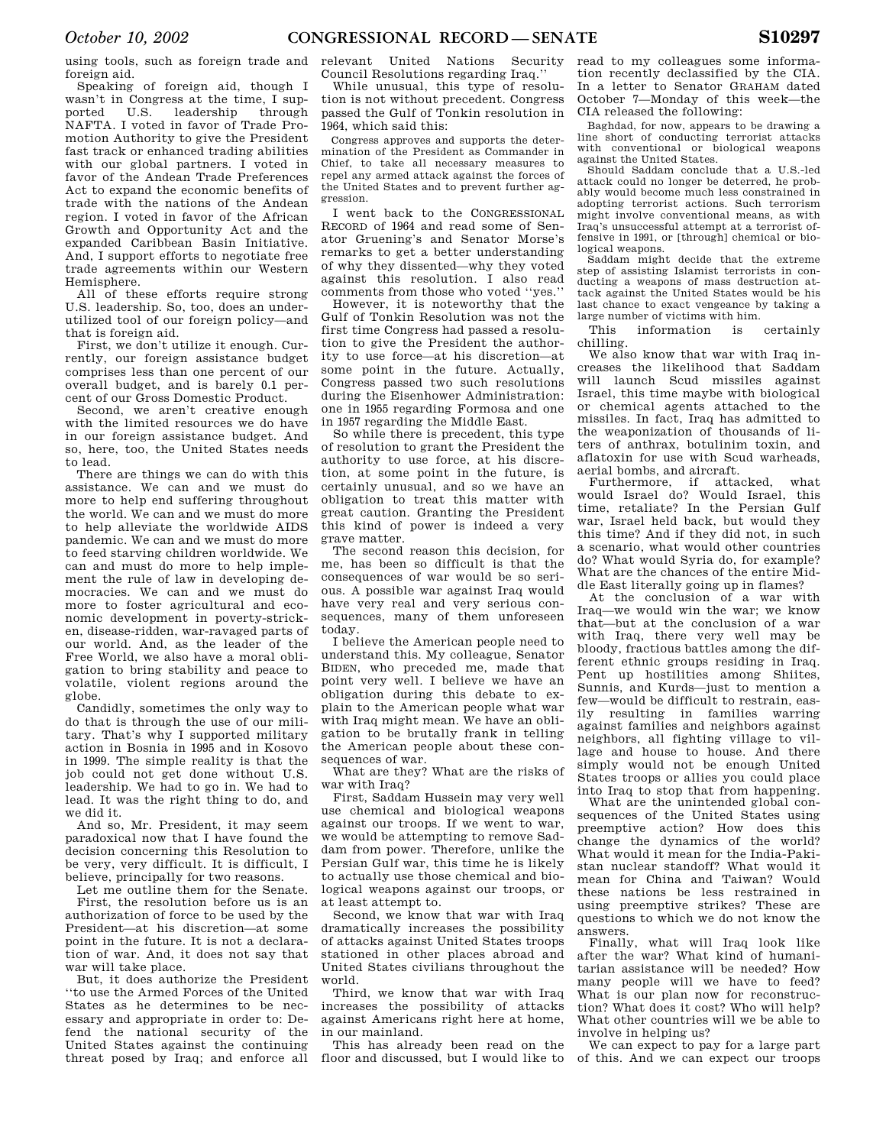using tools, such as foreign trade and foreign aid.

Speaking of foreign aid, though I wasn't in Congress at the time, I supported U.S. leadership through NAFTA. I voted in favor of Trade Promotion Authority to give the President fast track or enhanced trading abilities with our global partners. I voted in favor of the Andean Trade Preferences Act to expand the economic benefits of trade with the nations of the Andean region. I voted in favor of the African Growth and Opportunity Act and the expanded Caribbean Basin Initiative. And, I support efforts to negotiate free trade agreements within our Western Hemisphere.

All of these efforts require strong U.S. leadership. So, too, does an underutilized tool of our foreign policy—and that is foreign aid.

First, we don't utilize it enough. Currently, our foreign assistance budget comprises less than one percent of our overall budget, and is barely 0.1 percent of our Gross Domestic Product.

Second, we aren't creative enough with the limited resources we do have in our foreign assistance budget. And so, here, too, the United States needs to lead.

There are things we can do with this assistance. We can and we must do more to help end suffering throughout the world. We can and we must do more to help alleviate the worldwide AIDS pandemic. We can and we must do more to feed starving children worldwide. We can and must do more to help implement the rule of law in developing democracies. We can and we must do more to foster agricultural and economic development in poverty-stricken, disease-ridden, war-ravaged parts of our world. And, as the leader of the Free World, we also have a moral obligation to bring stability and peace to volatile, violent regions around the globe.

Candidly, sometimes the only way to do that is through the use of our military. That's why I supported military action in Bosnia in 1995 and in Kosovo in 1999. The simple reality is that the job could not get done without U.S. leadership. We had to go in. We had to lead. It was the right thing to do, and we did it.

And so, Mr. President, it may seem paradoxical now that I have found the decision concerning this Resolution to be very, very difficult. It is difficult, I believe, principally for two reasons.

Let me outline them for the Senate. First, the resolution before us is an authorization of force to be used by the President—at his discretion—at some point in the future. It is not a declaration of war. And, it does not say that war will take place.

But, it does authorize the President ''to use the Armed Forces of the United States as he determines to be necessary and appropriate in order to: Defend the national security of the United States against the continuing threat posed by Iraq; and enforce all relevant United Nations Security Council Resolutions regarding Iraq.''

While unusual, this type of resolution is not without precedent. Congress passed the Gulf of Tonkin resolution in 1964, which said this:

Congress approves and supports the determination of the President as Commander in Chief, to take all necessary measures to repel any armed attack against the forces of the United States and to prevent further aggression.

I went back to the CONGRESSIONAL RECORD of 1964 and read some of Senator Gruening's and Senator Morse's remarks to get a better understanding of why they dissented—why they voted against this resolution. I also read comments from those who voted ''yes.''

However, it is noteworthy that the Gulf of Tonkin Resolution was not the first time Congress had passed a resolution to give the President the authority to use force—at his discretion—at some point in the future. Actually, Congress passed two such resolutions during the Eisenhower Administration: one in 1955 regarding Formosa and one in 1957 regarding the Middle East.

So while there is precedent, this type of resolution to grant the President the authority to use force, at his discretion, at some point in the future, is certainly unusual, and so we have an obligation to treat this matter with great caution. Granting the President this kind of power is indeed a very grave matter.

The second reason this decision, for me, has been so difficult is that the consequences of war would be so serious. A possible war against Iraq would have very real and very serious consequences, many of them unforeseen today.

I believe the American people need to understand this. My colleague, Senator BIDEN, who preceded me, made that point very well. I believe we have an obligation during this debate to explain to the American people what war with Iraq might mean. We have an obligation to be brutally frank in telling the American people about these consequences of war.

What are they? What are the risks of war with Iraq?

First, Saddam Hussein may very well use chemical and biological weapons against our troops. If we went to war, we would be attempting to remove Saddam from power. Therefore, unlike the Persian Gulf war, this time he is likely to actually use those chemical and biological weapons against our troops, or at least attempt to.

Second, we know that war with Iraq dramatically increases the possibility of attacks against United States troops stationed in other places abroad and United States civilians throughout the world.

Third, we know that war with Iraq increases the possibility of attacks against Americans right here at home, in our mainland.

This has already been read on the floor and discussed, but I would like to read to my colleagues some information recently declassified by the CIA. In a letter to Senator GRAHAM dated October 7—Monday of this week—the CIA released the following:

Baghdad, for now, appears to be drawing a line short of conducting terrorist attacks with conventional or biological weapons against the United States.

Should Saddam conclude that a U.S.-led attack could no longer be deterred, he probably would become much less constrained in adopting terrorist actions. Such terrorism might involve conventional means, as with Iraq's unsuccessful attempt at a terrorist offensive in 1991, or [through] chemical or biological weapons.

Saddam might decide that the extreme step of assisting Islamist terrorists in conducting a weapons of mass destruction attack against the United States would be his last chance to exact vengeance by taking a large number of victims with him.

This information is certainly chilling.

We also know that war with Iraq increases the likelihood that Saddam will launch Scud missiles against Israel, this time maybe with biological or chemical agents attached to the missiles. In fact, Iraq has admitted to the weaponization of thousands of liters of anthrax, botulinim toxin, and aflatoxin for use with Scud warheads, aerial bombs, and aircraft.

Furthermore, if attacked, what would Israel do? Would Israel, this time, retaliate? In the Persian Gulf war, Israel held back, but would they this time? And if they did not, in such a scenario, what would other countries do? What would Syria do, for example? What are the chances of the entire Middle East literally going up in flames?

At the conclusion of a war with Iraq—we would win the war; we know that—but at the conclusion of a war with Iraq, there very well may be bloody, fractious battles among the different ethnic groups residing in Iraq. Pent up hostilities among Shiites, Sunnis, and Kurds—just to mention a few—would be difficult to restrain, easily resulting in families warring against families and neighbors against neighbors, all fighting village to village and house to house. And there simply would not be enough United States troops or allies you could place into Iraq to stop that from happening.

What are the unintended global consequences of the United States using preemptive action? How does this change the dynamics of the world? What would it mean for the India-Pakistan nuclear standoff? What would it mean for China and Taiwan? Would these nations be less restrained in using preemptive strikes? These are questions to which we do not know the answers.

Finally, what will Iraq look like after the war? What kind of humanitarian assistance will be needed? How many people will we have to feed? What is our plan now for reconstruction? What does it cost? Who will help? What other countries will we be able to involve in helping us?

We can expect to pay for a large part of this. And we can expect our troops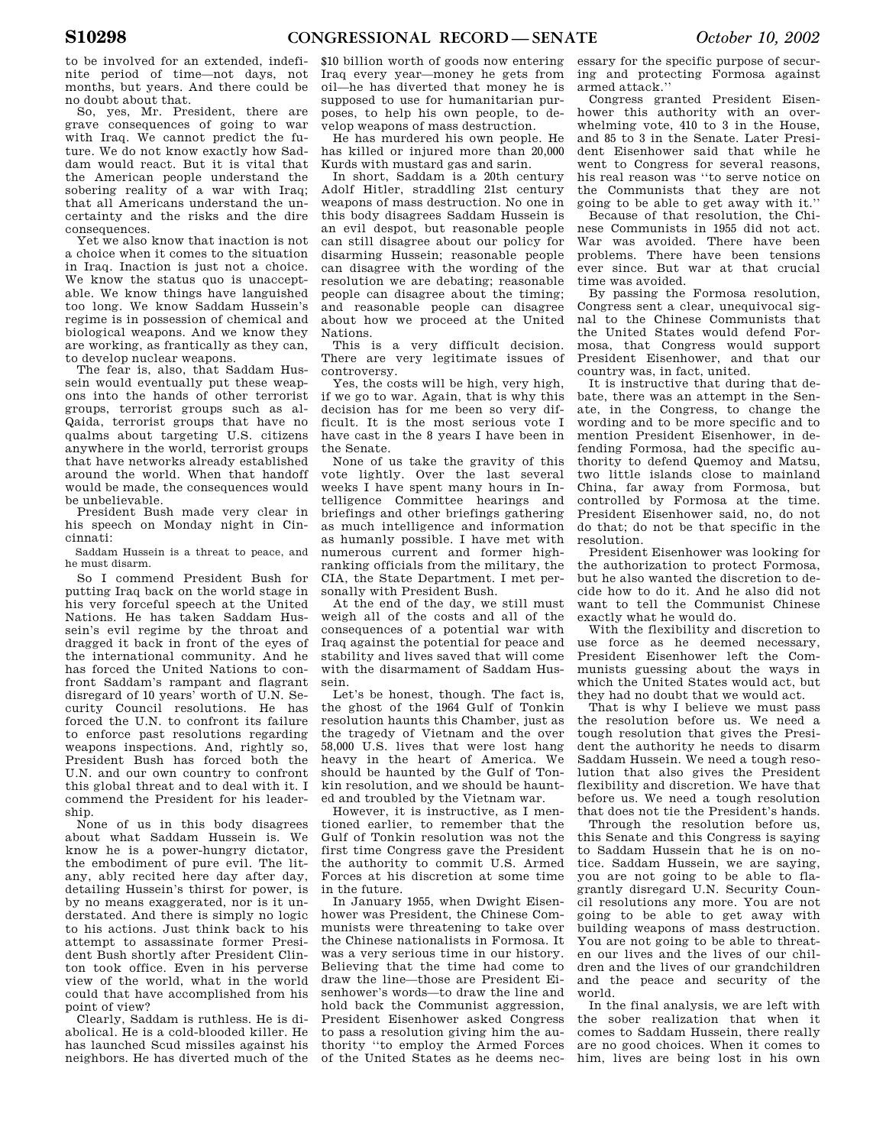to be involved for an extended, indefinite period of time—not days, not months, but years. And there could be no doubt about that.

So, yes, Mr. President, there are grave consequences of going to war with Iraq. We cannot predict the future. We do not know exactly how Saddam would react. But it is vital that the American people understand the sobering reality of a war with Iraq; that all Americans understand the uncertainty and the risks and the dire consequences.

Yet we also know that inaction is not a choice when it comes to the situation in Iraq. Inaction is just not a choice. We know the status quo is unacceptable. We know things have languished too long. We know Saddam Hussein's regime is in possession of chemical and biological weapons. And we know they are working, as frantically as they can, to develop nuclear weapons.

The fear is, also, that Saddam Hussein would eventually put these weapons into the hands of other terrorist groups, terrorist groups such as al-Qaida, terrorist groups that have no qualms about targeting U.S. citizens anywhere in the world, terrorist groups that have networks already established around the world. When that handoff would be made, the consequences would be unbelievable.

President Bush made very clear in his speech on Monday night in Cincinnati:

Saddam Hussein is a threat to peace, and he must disarm.

So I commend President Bush for putting Iraq back on the world stage in his very forceful speech at the United Nations. He has taken Saddam Hussein's evil regime by the throat and dragged it back in front of the eyes of the international community. And he has forced the United Nations to confront Saddam's rampant and flagrant disregard of 10 years' worth of U.N. Security Council resolutions. He has forced the U.N. to confront its failure to enforce past resolutions regarding weapons inspections. And, rightly so, President Bush has forced both the U.N. and our own country to confront this global threat and to deal with it. I commend the President for his leadership.

None of us in this body disagrees about what Saddam Hussein is. We know he is a power-hungry dictator, the embodiment of pure evil. The litany, ably recited here day after day, detailing Hussein's thirst for power, is by no means exaggerated, nor is it understated. And there is simply no logic to his actions. Just think back to his attempt to assassinate former President Bush shortly after President Clinton took office. Even in his perverse view of the world, what in the world could that have accomplished from his point of view?

Clearly, Saddam is ruthless. He is diabolical. He is a cold-blooded killer. He has launched Scud missiles against his neighbors. He has diverted much of the

\$10 billion worth of goods now entering Iraq every year—money he gets from oil—he has diverted that money he is supposed to use for humanitarian purposes, to help his own people, to develop weapons of mass destruction.

He has murdered his own people. He has killed or injured more than 20,000 Kurds with mustard gas and sarin.

In short, Saddam is a 20th century Adolf Hitler, straddling 21st century weapons of mass destruction. No one in this body disagrees Saddam Hussein is an evil despot, but reasonable people can still disagree about our policy for disarming Hussein; reasonable people can disagree with the wording of the resolution we are debating; reasonable people can disagree about the timing; and reasonable people can disagree about how we proceed at the United Nations.

This is a very difficult decision. There are very legitimate issues of controversy.

Yes, the costs will be high, very high, if we go to war. Again, that is why this decision has for me been so very difficult. It is the most serious vote I have cast in the 8 years I have been in the Senate.

None of us take the gravity of this vote lightly. Over the last several weeks I have spent many hours in Intelligence Committee hearings and briefings and other briefings gathering as much intelligence and information as humanly possible. I have met with numerous current and former highranking officials from the military, the CIA, the State Department. I met personally with President Bush.

At the end of the day, we still must weigh all of the costs and all of the consequences of a potential war with Iraq against the potential for peace and stability and lives saved that will come with the disarmament of Saddam Hussein.

Let's be honest, though. The fact is, the ghost of the 1964 Gulf of Tonkin resolution haunts this Chamber, just as the tragedy of Vietnam and the over 58,000 U.S. lives that were lost hang heavy in the heart of America. We should be haunted by the Gulf of Tonkin resolution, and we should be haunted and troubled by the Vietnam war.

However, it is instructive, as I mentioned earlier, to remember that the Gulf of Tonkin resolution was not the first time Congress gave the President the authority to commit U.S. Armed Forces at his discretion at some time in the future.

In January 1955, when Dwight Eisenhower was President, the Chinese Communists were threatening to take over the Chinese nationalists in Formosa. It was a very serious time in our history. Believing that the time had come to draw the line—those are President Eisenhower's words—to draw the line and hold back the Communist aggression, President Eisenhower asked Congress to pass a resolution giving him the authority ''to employ the Armed Forces of the United States as he deems nec-

essary for the specific purpose of securing and protecting Formosa against armed attack.''

Congress granted President Eisenhower this authority with an overwhelming vote, 410 to 3 in the House, and 85 to 3 in the Senate. Later President Eisenhower said that while he went to Congress for several reasons, his real reason was ''to serve notice on the Communists that they are not going to be able to get away with it.''

Because of that resolution, the Chinese Communists in 1955 did not act. War was avoided. There have been problems. There have been tensions ever since. But war at that crucial time was avoided.

By passing the Formosa resolution, Congress sent a clear, unequivocal signal to the Chinese Communists that the United States would defend Formosa, that Congress would support President Eisenhower, and that our country was, in fact, united.

It is instructive that during that debate, there was an attempt in the Senate, in the Congress, to change the wording and to be more specific and to mention President Eisenhower, in defending Formosa, had the specific authority to defend Quemoy and Matsu, two little islands close to mainland China, far away from Formosa, but controlled by Formosa at the time. President Eisenhower said, no, do not do that; do not be that specific in the resolution.

President Eisenhower was looking for the authorization to protect Formosa, but he also wanted the discretion to decide how to do it. And he also did not want to tell the Communist Chinese exactly what he would do.

With the flexibility and discretion to use force as he deemed necessary, President Eisenhower left the Communists guessing about the ways in which the United States would act, but they had no doubt that we would act.

That is why I believe we must pass the resolution before us. We need a tough resolution that gives the President the authority he needs to disarm Saddam Hussein. We need a tough resolution that also gives the President flexibility and discretion. We have that before us. We need a tough resolution that does not tie the President's hands.

Through the resolution before us, this Senate and this Congress is saying to Saddam Hussein that he is on notice. Saddam Hussein, we are saying, you are not going to be able to flagrantly disregard U.N. Security Council resolutions any more. You are not going to be able to get away with building weapons of mass destruction. You are not going to be able to threaten our lives and the lives of our children and the lives of our grandchildren and the peace and security of the world.

In the final analysis, we are left with the sober realization that when it comes to Saddam Hussein, there really are no good choices. When it comes to him, lives are being lost in his own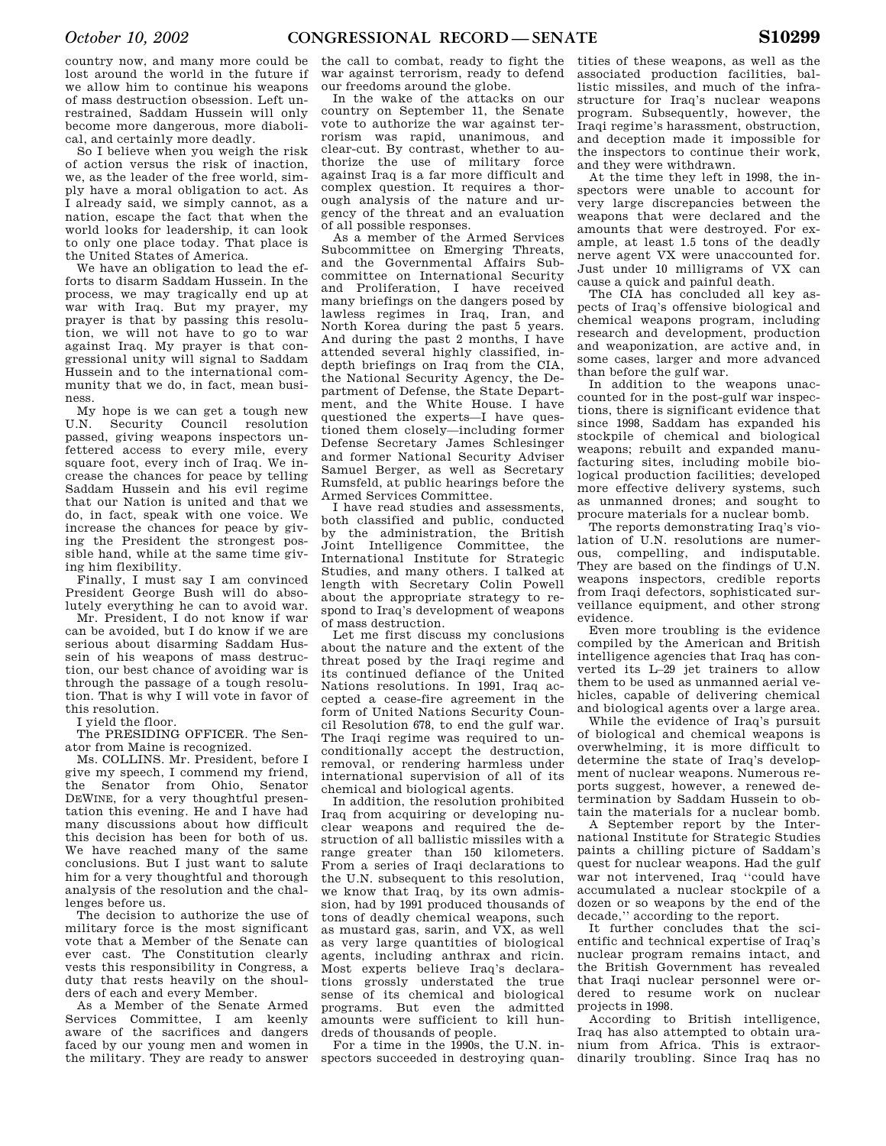country now, and many more could be lost around the world in the future if we allow him to continue his weapons of mass destruction obsession. Left unrestrained, Saddam Hussein will only become more dangerous, more diabolical, and certainly more deadly.

So I believe when you weigh the risk of action versus the risk of inaction, we, as the leader of the free world, simply have a moral obligation to act. As I already said, we simply cannot, as a nation, escape the fact that when the world looks for leadership, it can look to only one place today. That place is the United States of America.

We have an obligation to lead the efforts to disarm Saddam Hussein. In the process, we may tragically end up at war with Iraq. But my prayer, my prayer is that by passing this resolution, we will not have to go to war against Iraq. My prayer is that congressional unity will signal to Saddam Hussein and to the international community that we do, in fact, mean business.

My hope is we can get a tough new U.N. Security Council resolution passed, giving weapons inspectors unfettered access to every mile, every square foot, every inch of Iraq. We increase the chances for peace by telling Saddam Hussein and his evil regime that our Nation is united and that we do, in fact, speak with one voice. We increase the chances for peace by giving the President the strongest possible hand, while at the same time giving him flexibility.

Finally, I must say I am convinced President George Bush will do absolutely everything he can to avoid war.

Mr. President, I do not know if war can be avoided, but I do know if we are serious about disarming Saddam Hussein of his weapons of mass destruction, our best chance of avoiding war is through the passage of a tough resolution. That is why I will vote in favor of this resolution.

I yield the floor.

The PRESIDING OFFICER. The Senator from Maine is recognized.

Ms. COLLINS. Mr. President, before I give my speech, I commend my friend, the Senator from Ohio, Senator DEWINE, for a very thoughtful presentation this evening. He and I have had many discussions about how difficult this decision has been for both of us. We have reached many of the same conclusions. But I just want to salute him for a very thoughtful and thorough analysis of the resolution and the challenges before us.

The decision to authorize the use of military force is the most significant vote that a Member of the Senate can ever cast. The Constitution clearly vests this responsibility in Congress, a duty that rests heavily on the shoulders of each and every Member.

As a Member of the Senate Armed Services Committee, I am keenly aware of the sacrifices and dangers faced by our young men and women in the military. They are ready to answer

the call to combat, ready to fight the war against terrorism, ready to defend our freedoms around the globe.

In the wake of the attacks on our country on September 11, the Senate vote to authorize the war against terrorism was rapid, unanimous, and clear-cut. By contrast, whether to authorize the use of military force against Iraq is a far more difficult and complex question. It requires a thorough analysis of the nature and urgency of the threat and an evaluation of all possible responses.

As a member of the Armed Services Subcommittee on Emerging Threats, and the Governmental Affairs Subcommittee on International Security and Proliferation, I have received many briefings on the dangers posed by lawless regimes in Iraq, Iran, and North Korea during the past 5 years. And during the past 2 months, I have attended several highly classified, indepth briefings on Iraq from the CIA, the National Security Agency, the Department of Defense, the State Department, and the White House. I have questioned the experts—I have questioned them closely—including former Defense Secretary James Schlesinger and former National Security Adviser Samuel Berger, as well as Secretary Rumsfeld, at public hearings before the Armed Services Committee.

I have read studies and assessments, both classified and public, conducted by the administration, the British Joint Intelligence Committee, the International Institute for Strategic Studies, and many others. I talked at length with Secretary Colin Powell about the appropriate strategy to respond to Iraq's development of weapons of mass destruction.

Let me first discuss my conclusions about the nature and the extent of the threat posed by the Iraqi regime and its continued defiance of the United Nations resolutions. In 1991, Iraq accepted a cease-fire agreement in the form of United Nations Security Council Resolution 678, to end the gulf war. The Iraqi regime was required to unconditionally accept the destruction, removal, or rendering harmless under international supervision of all of its chemical and biological agents.

In addition, the resolution prohibited Iraq from acquiring or developing nuclear weapons and required the destruction of all ballistic missiles with a range greater than 150 kilometers. From a series of Iraqi declarations to the U.N. subsequent to this resolution, we know that Iraq, by its own admission, had by 1991 produced thousands of tons of deadly chemical weapons, such as mustard gas, sarin, and VX, as well as very large quantities of biological agents, including anthrax and ricin. Most experts believe Iraq's declarations grossly understated the true sense of its chemical and biological programs. But even the admitted amounts were sufficient to kill hundreds of thousands of people.

For a time in the 1990s, the U.N. in-

tities of these weapons, as well as the associated production facilities, ballistic missiles, and much of the infrastructure for Iraq's nuclear weapons program. Subsequently, however, the Iraqi regime's harassment, obstruction, and deception made it impossible for the inspectors to continue their work, and they were withdrawn.

At the time they left in 1998, the inspectors were unable to account for very large discrepancies between the weapons that were declared and the amounts that were destroyed. For example, at least 1.5 tons of the deadly nerve agent VX were unaccounted for. Just under 10 milligrams of VX can cause a quick and painful death.

The CIA has concluded all key aspects of Iraq's offensive biological and chemical weapons program, including research and development, production and weaponization, are active and, in some cases, larger and more advanced than before the gulf war.

In addition to the weapons unaccounted for in the post-gulf war inspections, there is significant evidence that since 1998, Saddam has expanded his stockpile of chemical and biological weapons; rebuilt and expanded manufacturing sites, including mobile biological production facilities; developed more effective delivery systems, such as unmanned drones; and sought to procure materials for a nuclear bomb.

The reports demonstrating Iraq's violation of U.N. resolutions are numerous, compelling, and indisputable. They are based on the findings of U.N. weapons inspectors, credible reports from Iraqi defectors, sophisticated surveillance equipment, and other strong evidence.

Even more troubling is the evidence compiled by the American and British intelligence agencies that Iraq has converted its L–29 jet trainers to allow them to be used as unmanned aerial vehicles, capable of delivering chemical and biological agents over a large area.

While the evidence of Iraq's pursuit of biological and chemical weapons is overwhelming, it is more difficult to determine the state of Iraq's development of nuclear weapons. Numerous reports suggest, however, a renewed determination by Saddam Hussein to obtain the materials for a nuclear bomb.

A September report by the International Institute for Strategic Studies paints a chilling picture of Saddam's quest for nuclear weapons. Had the gulf war not intervened, Iraq ''could have accumulated a nuclear stockpile of a dozen or so weapons by the end of the decade,'' according to the report.

It further concludes that the scientific and technical expertise of Iraq's nuclear program remains intact, and the British Government has revealed that Iraqi nuclear personnel were ordered to resume work on nuclear projects in 1998.

spectors succeeded in destroying quan-dinarily troubling. Since Iraq has no According to British intelligence, Iraq has also attempted to obtain uranium from Africa. This is extraor-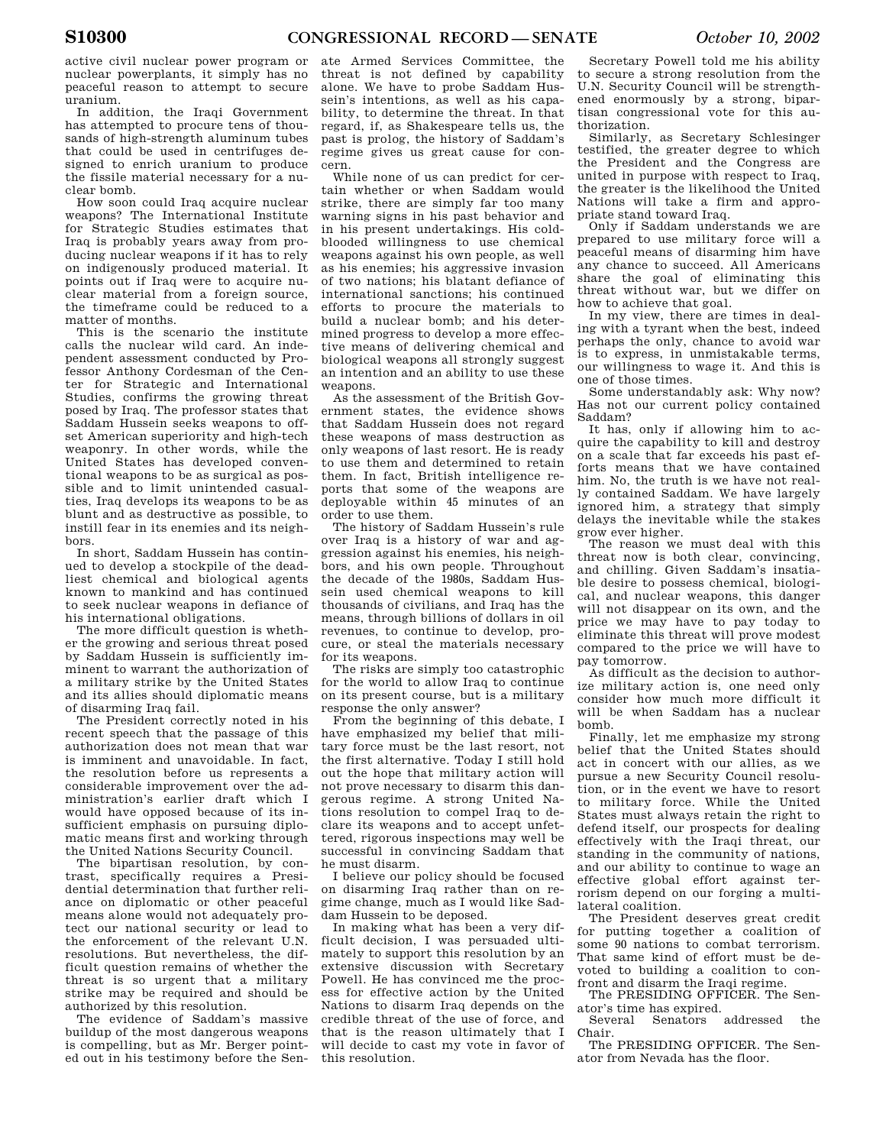active civil nuclear power program or nuclear powerplants, it simply has no peaceful reason to attempt to secure uranium.

In addition, the Iraqi Government has attempted to procure tens of thousands of high-strength aluminum tubes that could be used in centrifuges designed to enrich uranium to produce the fissile material necessary for a nuclear bomb.

How soon could Iraq acquire nuclear weapons? The International Institute for Strategic Studies estimates that Iraq is probably years away from producing nuclear weapons if it has to rely on indigenously produced material. It points out if Iraq were to acquire nuclear material from a foreign source, the timeframe could be reduced to a matter of months.

This is the scenario the institute calls the nuclear wild card. An independent assessment conducted by Professor Anthony Cordesman of the Center for Strategic and International Studies, confirms the growing threat posed by Iraq. The professor states that Saddam Hussein seeks weapons to offset American superiority and high-tech weaponry. In other words, while the United States has developed conventional weapons to be as surgical as possible and to limit unintended casualties, Iraq develops its weapons to be as blunt and as destructive as possible, to instill fear in its enemies and its neighbors.

In short, Saddam Hussein has continued to develop a stockpile of the deadliest chemical and biological agents known to mankind and has continued to seek nuclear weapons in defiance of his international obligations.

The more difficult question is whether the growing and serious threat posed by Saddam Hussein is sufficiently imminent to warrant the authorization of a military strike by the United States and its allies should diplomatic means of disarming Iraq fail.

The President correctly noted in his recent speech that the passage of this authorization does not mean that war is imminent and unavoidable. In fact, the resolution before us represents a considerable improvement over the administration's earlier draft which I would have opposed because of its insufficient emphasis on pursuing diplomatic means first and working through the United Nations Security Council.

The bipartisan resolution, by contrast, specifically requires a Presidential determination that further reliance on diplomatic or other peaceful means alone would not adequately protect our national security or lead to the enforcement of the relevant IIN. resolutions. But nevertheless, the difficult question remains of whether the threat is so urgent that a military strike may be required and should be authorized by this resolution.

The evidence of Saddam's massive buildup of the most dangerous weapons is compelling, but as Mr. Berger pointed out in his testimony before the Sen-

ate Armed Services Committee, the threat is not defined by capability alone. We have to probe Saddam Hussein's intentions, as well as his capability, to determine the threat. In that regard, if, as Shakespeare tells us, the past is prolog, the history of Saddam's regime gives us great cause for concern.

While none of us can predict for certain whether or when Saddam would strike, there are simply far too many warning signs in his past behavior and in his present undertakings. His coldblooded willingness to use chemical weapons against his own people, as well as his enemies; his aggressive invasion of two nations; his blatant defiance of international sanctions; his continued efforts to procure the materials to build a nuclear bomb; and his determined progress to develop a more effective means of delivering chemical and biological weapons all strongly suggest an intention and an ability to use these weapons.

As the assessment of the British Government states, the evidence shows that Saddam Hussein does not regard these weapons of mass destruction as only weapons of last resort. He is ready to use them and determined to retain them. In fact, British intelligence reports that some of the weapons are deployable within 45 minutes of an order to use them.

The history of Saddam Hussein's rule over Iraq is a history of war and aggression against his enemies, his neighbors, and his own people. Throughout the decade of the 1980s, Saddam Hussein used chemical weapons to kill thousands of civilians, and Iraq has the means, through billions of dollars in oil revenues, to continue to develop, procure, or steal the materials necessary for its weapons.

The risks are simply too catastrophic for the world to allow Iraq to continue on its present course, but is a military response the only answer?

From the beginning of this debate, I have emphasized my belief that military force must be the last resort, not the first alternative. Today I still hold out the hope that military action will not prove necessary to disarm this dangerous regime. A strong United Nations resolution to compel Iraq to declare its weapons and to accept unfettered, rigorous inspections may well be successful in convincing Saddam that he must disarm.

I believe our policy should be focused on disarming Iraq rather than on regime change, much as I would like Saddam Hussein to be deposed.

In making what has been a very difficult decision, I was persuaded ultimately to support this resolution by an extensive discussion with Secretary Powell. He has convinced me the process for effective action by the United Nations to disarm Iraq depends on the credible threat of the use of force, and that is the reason ultimately that I will decide to cast my vote in favor of this resolution.

Secretary Powell told me his ability to secure a strong resolution from the U.N. Security Council will be strengthened enormously by a strong, bipartisan congressional vote for this authorization.

Similarly, as Secretary Schlesinger testified, the greater degree to which the President and the Congress are united in purpose with respect to Iraq, the greater is the likelihood the United Nations will take a firm and appropriate stand toward Iraq.

Only if Saddam understands we are prepared to use military force will a peaceful means of disarming him have any chance to succeed. All Americans share the goal of eliminating this threat without war, but we differ on how to achieve that goal.

In my view, there are times in dealing with a tyrant when the best, indeed perhaps the only, chance to avoid war is to express, in unmistakable terms, our willingness to wage it. And this is one of those times.

Some understandably ask: Why now? Has not our current policy contained Saddam?

It has, only if allowing him to acquire the capability to kill and destroy on a scale that far exceeds his past efforts means that we have contained him. No, the truth is we have not really contained Saddam. We have largely ignored him, a strategy that simply delays the inevitable while the stakes grow ever higher.

The reason we must deal with this threat now is both clear, convincing, and chilling. Given Saddam's insatiable desire to possess chemical, biological, and nuclear weapons, this danger will not disappear on its own, and the price we may have to pay today to eliminate this threat will prove modest compared to the price we will have to pay tomorrow.

As difficult as the decision to authorize military action is, one need only consider how much more difficult it will be when Saddam has a nuclear bomb.

Finally, let me emphasize my strong belief that the United States should act in concert with our allies, as we pursue a new Security Council resolution, or in the event we have to resort to military force. While the United States must always retain the right to defend itself, our prospects for dealing effectively with the Iraqi threat, our standing in the community of nations, and our ability to continue to wage an effective global effort against terrorism depend on our forging a multilateral coalition.

The President deserves great credit for putting together a coalition of some 90 nations to combat terrorism. That same kind of effort must be devoted to building a coalition to confront and disarm the Iraqi regime.

The PRESIDING OFFICER. The Senator's time has expired.

Several Senators addressed the Chair.

The PRESIDING OFFICER. The Senator from Nevada has the floor.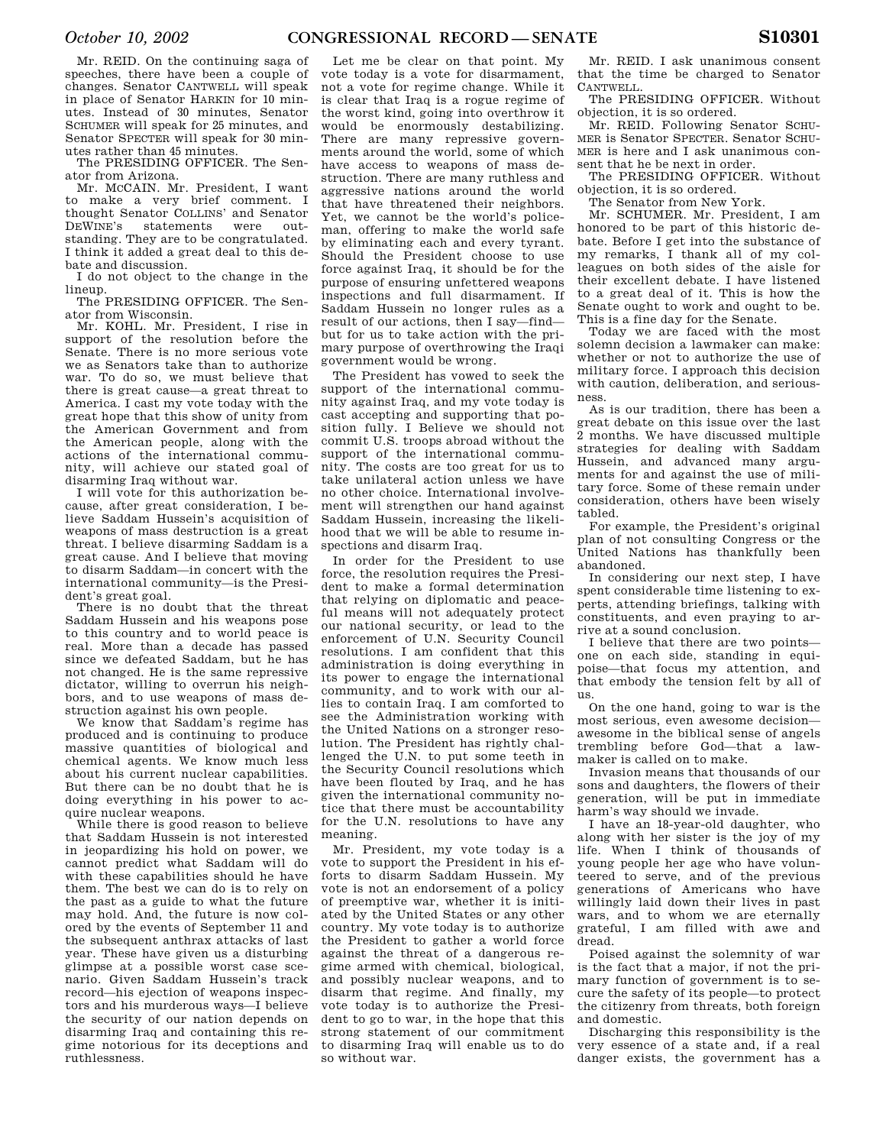Mr. REID. On the continuing saga of speeches, there have been a couple of changes. Senator CANTWELL will speak in place of Senator HARKIN for 10 minutes. Instead of 30 minutes, Senator SCHUMER will speak for 25 minutes, and Senator SPECTER will speak for 30 minutes rather than 45 minutes.

The PRESIDING OFFICER. The Senator from Arizona.

Mr. MCCAIN. Mr. President, I want to make a very brief comment. I thought Senator COLLINS' and Senator<br>
DEWINE's statements were outstatements were outstanding. They are to be congratulated. I think it added a great deal to this debate and discussion.

I do not object to the change in the lineup.

The PRESIDING OFFICER. The Senator from Wisconsin.

Mr. KOHL. Mr. President, I rise in support of the resolution before the Senate. There is no more serious vote we as Senators take than to authorize war. To do so, we must believe that there is great cause—a great threat to America. I cast my vote today with the great hope that this show of unity from the American Government and from the American people, along with the actions of the international community, will achieve our stated goal of disarming Iraq without war.

I will vote for this authorization because, after great consideration, I believe Saddam Hussein's acquisition of weapons of mass destruction is a great threat. I believe disarming Saddam is a great cause. And I believe that moving to disarm Saddam—in concert with the international community—is the President's great goal.

There is no doubt that the threat Saddam Hussein and his weapons pose to this country and to world peace is real. More than a decade has passed since we defeated Saddam, but he has not changed. He is the same repressive dictator, willing to overrun his neighbors, and to use weapons of mass destruction against his own people.

We know that Saddam's regime has produced and is continuing to produce massive quantities of biological and chemical agents. We know much less about his current nuclear capabilities. But there can be no doubt that he is doing everything in his power to acquire nuclear weapons.

While there is good reason to believe that Saddam Hussein is not interested in jeopardizing his hold on power, we cannot predict what Saddam will do with these capabilities should he have them. The best we can do is to rely on the past as a guide to what the future may hold. And, the future is now colored by the events of September 11 and the subsequent anthrax attacks of last year. These have given us a disturbing glimpse at a possible worst case scenario. Given Saddam Hussein's track record—his ejection of weapons inspectors and his murderous ways—I believe the security of our nation depends on disarming Iraq and containing this regime notorious for its deceptions and ruthlessness.

Let me be clear on that point. My vote today is a vote for disarmament, not a vote for regime change. While it is clear that Iraq is a rogue regime of the worst kind, going into overthrow it would be enormously destabilizing. There are many repressive governments around the world, some of which have access to weapons of mass destruction. There are many ruthless and aggressive nations around the world that have threatened their neighbors. Yet, we cannot be the world's policeman, offering to make the world safe by eliminating each and every tyrant. Should the President choose to use force against Iraq, it should be for the purpose of ensuring unfettered weapons inspections and full disarmament. If Saddam Hussein no longer rules as a result of our actions, then I say—find but for us to take action with the primary purpose of overthrowing the Iraqi government would be wrong.

The President has vowed to seek the support of the international community against Iraq, and my vote today is cast accepting and supporting that position fully. I Believe we should not commit U.S. troops abroad without the support of the international community. The costs are too great for us to take unilateral action unless we have no other choice. International involvement will strengthen our hand against Saddam Hussein, increasing the likelihood that we will be able to resume inspections and disarm Iraq.

In order for the President to use force, the resolution requires the President to make a formal determination that relying on diplomatic and peaceful means will not adequately protect our national security, or lead to the enforcement of U.N. Security Council resolutions. I am confident that this administration is doing everything in its power to engage the international community, and to work with our allies to contain Iraq. I am comforted to see the Administration working with the United Nations on a stronger resolution. The President has rightly challenged the U.N. to put some teeth in the Security Council resolutions which have been flouted by Iraq, and he has given the international community notice that there must be accountability for the U.N. resolutions to have any meaning.

Mr. President, my vote today is a vote to support the President in his efforts to disarm Saddam Hussein. My vote is not an endorsement of a policy of preemptive war, whether it is initiated by the United States or any other country. My vote today is to authorize the President to gather a world force against the threat of a dangerous regime armed with chemical, biological, and possibly nuclear weapons, and to disarm that regime. And finally, my vote today is to authorize the President to go to war, in the hope that this strong statement of our commitment to disarming Iraq will enable us to do so without war.

Mr. REID. I ask unanimous consent that the time be charged to Senator CANTWELL.

The PRESIDING OFFICER. Without objection, it is so ordered.

Mr. REID. Following Senator SCHU-MER is Senator SPECTER. Senator SCHU-MER is here and I ask unanimous consent that he be next in order.

The PRESIDING OFFICER. Without objection, it is so ordered.

The Senator from New York.

Mr. SCHUMER. Mr. President, I am honored to be part of this historic debate. Before I get into the substance of my remarks, I thank all of my colleagues on both sides of the aisle for their excellent debate. I have listened to a great deal of it. This is how the Senate ought to work and ought to be. This is a fine day for the Senate.

Today we are faced with the most solemn decision a lawmaker can make: whether or not to authorize the use of military force. I approach this decision with caution, deliberation, and seriousness.

As is our tradition, there has been a great debate on this issue over the last 2 months. We have discussed multiple strategies for dealing with Saddam Hussein, and advanced many arguments for and against the use of military force. Some of these remain under consideration, others have been wisely tabled.

For example, the President's original plan of not consulting Congress or the United Nations has thankfully been abandoned.

In considering our next step, I have spent considerable time listening to experts, attending briefings, talking with constituents, and even praying to arrive at a sound conclusion.

I believe that there are two points one on each side, standing in equipoise—that focus my attention, and that embody the tension felt by all of us.

On the one hand, going to war is the most serious, even awesome decision awesome in the biblical sense of angels trembling before God—that a lawmaker is called on to make.

Invasion means that thousands of our sons and daughters, the flowers of their generation, will be put in immediate harm's way should we invade.

I have an 18-year-old daughter, who along with her sister is the joy of my life. When I think of thousands of young people her age who have volunteered to serve, and of the previous generations of Americans who have willingly laid down their lives in past wars, and to whom we are eternally grateful, I am filled with awe and dread.

Poised against the solemnity of war is the fact that a major, if not the primary function of government is to secure the safety of its people—to protect the citizenry from threats, both foreign and domestic.

Discharging this responsibility is the very essence of a state and, if a real danger exists, the government has a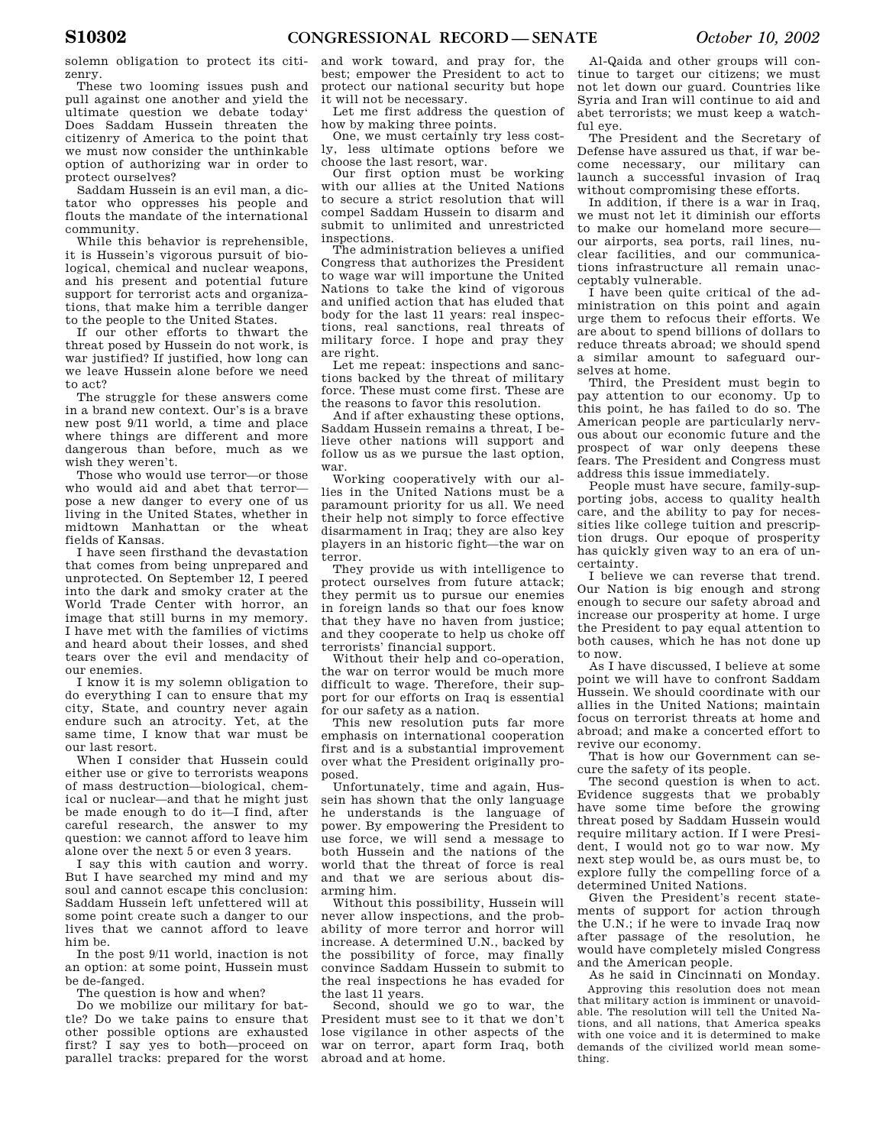solemn obligation to protect its citizenry.

These two looming issues push and pull against one another and yield the ultimate question we debate today' Does Saddam Hussein threaten the citizenry of America to the point that we must now consider the unthinkable option of authorizing war in order to protect ourselves?

Saddam Hussein is an evil man, a dictator who oppresses his people and flouts the mandate of the international community.

While this behavior is reprehensible, it is Hussein's vigorous pursuit of biological, chemical and nuclear weapons, and his present and potential future support for terrorist acts and organizations, that make him a terrible danger to the people to the United States.

If our other efforts to thwart the threat posed by Hussein do not work, is war justified? If justified, how long can we leave Hussein alone before we need to act?

The struggle for these answers come in a brand new context. Our's is a brave new post 9/11 world, a time and place where things are different and more dangerous than before, much as we wish they weren't.

Those who would use terror—or those who would aid and abet that terror pose a new danger to every one of us living in the United States, whether in midtown Manhattan or the wheat fields of Kansas.

I have seen firsthand the devastation that comes from being unprepared and unprotected. On September 12, I peered into the dark and smoky crater at the World Trade Center with horror, an image that still burns in my memory. I have met with the families of victims and heard about their losses, and shed tears over the evil and mendacity of our enemies.

I know it is my solemn obligation to do everything I can to ensure that my city, State, and country never again endure such an atrocity. Yet, at the same time, I know that war must be our last resort.

When I consider that Hussein could either use or give to terrorists weapons of mass destruction—biological, chemical or nuclear—and that he might just be made enough to do it—I find, after careful research, the answer to my question: we cannot afford to leave him alone over the next 5 or even 3 years.

I say this with caution and worry. But I have searched my mind and my soul and cannot escape this conclusion: Saddam Hussein left unfettered will at some point create such a danger to our lives that we cannot afford to leave him be.

In the post 9/11 world, inaction is not an option: at some point, Hussein must be de-fanged.

The question is how and when?

Do we mobilize our military for battle? Do we take pains to ensure that other possible options are exhausted first? I say yes to both—proceed on parallel tracks: prepared for the worst and work toward, and pray for, the best; empower the President to act to protect our national security but hope it will not be necessary.

Let me first address the question of how by making three points.

One, we must certainly try less costly, less ultimate options before we choose the last resort, war.

Our first option must be working with our allies at the United Nations to secure a strict resolution that will compel Saddam Hussein to disarm and submit to unlimited and unrestricted inspections.

The administration believes a unified Congress that authorizes the President to wage war will importune the United Nations to take the kind of vigorous and unified action that has eluded that body for the last 11 years: real inspections, real sanctions, real threats of military force. I hope and pray they are right.

Let me repeat: inspections and sanctions backed by the threat of military force. These must come first. These are the reasons to favor this resolution.

And if after exhausting these options, Saddam Hussein remains a threat, I believe other nations will support and follow us as we pursue the last option, war.

Working cooperatively with our allies in the United Nations must be a paramount priority for us all. We need their help not simply to force effective disarmament in Iraq; they are also key players in an historic fight—the war on terror.

They provide us with intelligence to protect ourselves from future attack; they permit us to pursue our enemies in foreign lands so that our foes know that they have no haven from justice; and they cooperate to help us choke off terrorists' financial support.

Without their help and co-operation, the war on terror would be much more difficult to wage. Therefore, their support for our efforts on Iraq is essential for our safety as a nation.

This new resolution puts far more emphasis on international cooperation first and is a substantial improvement over what the President originally proposed.

Unfortunately, time and again, Hussein has shown that the only language he understands is the language of power. By empowering the President to use force, we will send a message to both Hussein and the nations of the world that the threat of force is real and that we are serious about disarming him.

Without this possibility, Hussein will never allow inspections, and the probability of more terror and horror will increase. A determined U.N., backed by the possibility of force, may finally convince Saddam Hussein to submit to the real inspections he has evaded for the last 11 years.

Second, should we go to war, the President must see to it that we don't lose vigilance in other aspects of the war on terror, apart form Iraq, both abroad and at home.

Al-Qaida and other groups will continue to target our citizens; we must not let down our guard. Countries like Syria and Iran will continue to aid and abet terrorists; we must keep a watchful eye.

The President and the Secretary of Defense have assured us that, if war become necessary, our military can launch a successful invasion of Iraq without compromising these efforts.

In addition, if there is a war in Iraq, we must not let it diminish our efforts to make our homeland more secure our airports, sea ports, rail lines, nuclear facilities, and our communications infrastructure all remain unacceptably vulnerable.

I have been quite critical of the administration on this point and again urge them to refocus their efforts. We are about to spend billions of dollars to reduce threats abroad; we should spend a similar amount to safeguard ourselves at home.

Third, the President must begin to pay attention to our economy. Up to this point, he has failed to do so. The American people are particularly nervous about our economic future and the prospect of war only deepens these fears. The President and Congress must address this issue immediately.

People must have secure, family-supporting jobs, access to quality health care, and the ability to pay for necessities like college tuition and prescription drugs. Our epoque of prosperity has quickly given way to an era of uncertainty.

I believe we can reverse that trend. Our Nation is big enough and strong enough to secure our safety abroad and increase our prosperity at home. I urge the President to pay equal attention to both causes, which he has not done up to now.

As I have discussed, I believe at some point we will have to confront Saddam Hussein. We should coordinate with our allies in the United Nations; maintain focus on terrorist threats at home and abroad; and make a concerted effort to revive our economy.

That is how our Government can secure the safety of its people.

The second question is when to act. Evidence suggests that we probably have some time before the growing threat posed by Saddam Hussein would require military action. If I were President, I would not go to war now. My next step would be, as ours must be, to explore fully the compelling force of a determined United Nations.

Given the President's recent statements of support for action through the U.N.; if he were to invade Iraq now after passage of the resolution, he would have completely misled Congress and the American people.

As he said in Cincinnati on Monday. Approving this resolution does not mean that military action is imminent or unavoidable. The resolution will tell the United Nations, and all nations, that America speaks with one voice and it is determined to make demands of the civilized world mean something.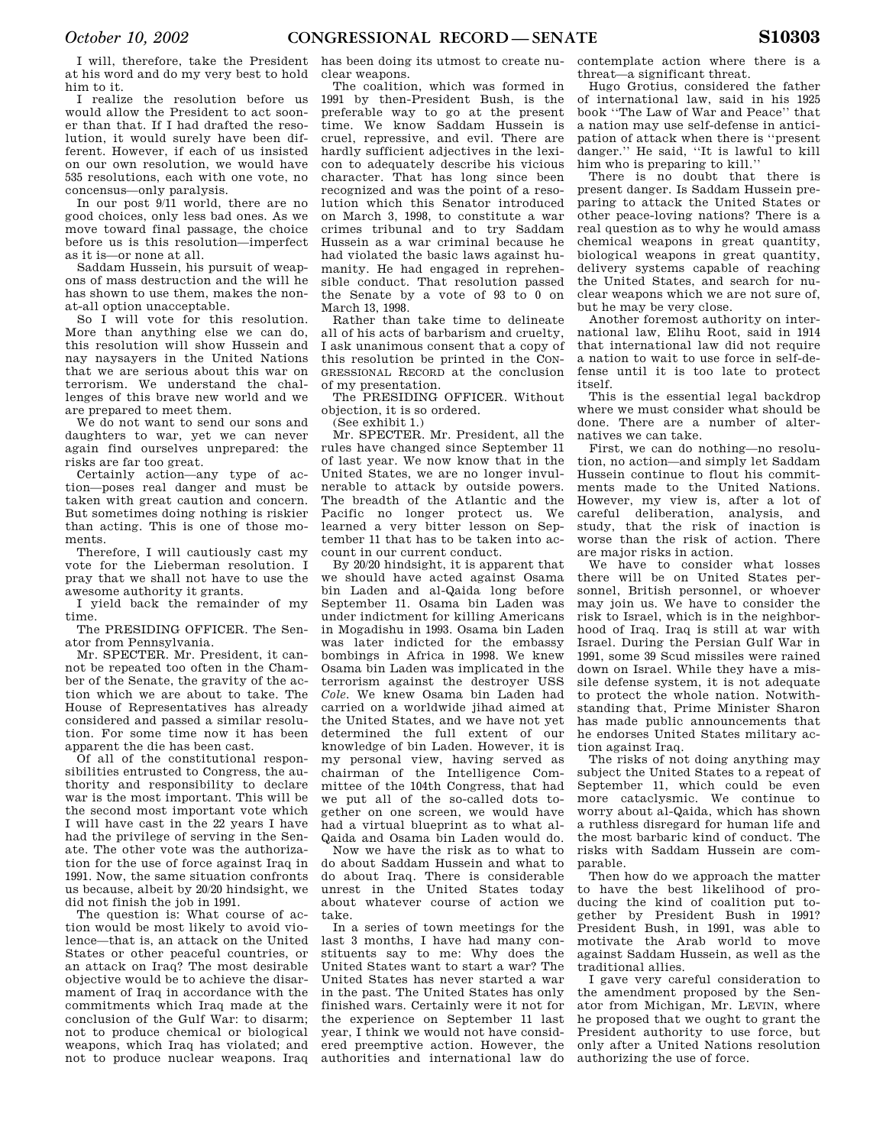I will, therefore, take the President at his word and do my very best to hold him to it.

I realize the resolution before us would allow the President to act sooner than that. If I had drafted the resolution, it would surely have been different. However, if each of us insisted on our own resolution, we would have 535 resolutions, each with one vote, no concensus—only paralysis.

In our post 9/11 world, there are no good choices, only less bad ones. As we move toward final passage, the choice before us is this resolution—imperfect as it is—or none at all.

Saddam Hussein, his pursuit of weapons of mass destruction and the will he has shown to use them, makes the nonat-all option unacceptable.

So I will vote for this resolution. More than anything else we can do, this resolution will show Hussein and nay naysayers in the United Nations that we are serious about this war on terrorism. We understand the challenges of this brave new world and we are prepared to meet them.

We do not want to send our sons and daughters to war, yet we can never again find ourselves unprepared: the risks are far too great.

Certainly action—any type of action—poses real danger and must be taken with great caution and concern. But sometimes doing nothing is riskier than acting. This is one of those moments.

Therefore, I will cautiously cast my vote for the Lieberman resolution. I pray that we shall not have to use the awesome authority it grants.

I yield back the remainder of my time.

The PRESIDING OFFICER. The Senator from Pennsylvania.

Mr. SPECTER. Mr. President, it cannot be repeated too often in the Chamber of the Senate, the gravity of the action which we are about to take. The House of Representatives has already considered and passed a similar resolution. For some time now it has been apparent the die has been cast.

Of all of the constitutional responsibilities entrusted to Congress, the authority and responsibility to declare war is the most important. This will be the second most important vote which I will have cast in the 22 years I have had the privilege of serving in the Senate. The other vote was the authorization for the use of force against Iraq in 1991. Now, the same situation confronts us because, albeit by 20/20 hindsight, we did not finish the job in 1991.

The question is: What course of action would be most likely to avoid violence—that is, an attack on the United States or other peaceful countries, or an attack on Iraq? The most desirable objective would be to achieve the disarmament of Iraq in accordance with the commitments which Iraq made at the conclusion of the Gulf War: to disarm; not to produce chemical or biological weapons, which Iraq has violated; and not to produce nuclear weapons. Iraq

has been doing its utmost to create nuclear weapons.

The coalition, which was formed in 1991 by then-President Bush, is the preferable way to go at the present time. We know Saddam Hussein is cruel, repressive, and evil. There are hardly sufficient adjectives in the lexicon to adequately describe his vicious character. That has long since been recognized and was the point of a resolution which this Senator introduced on March 3, 1998, to constitute a war crimes tribunal and to try Saddam Hussein as a war criminal because he had violated the basic laws against humanity. He had engaged in reprehensible conduct. That resolution passed the Senate by a vote of 93 to 0 on March 13, 1998.

Rather than take time to delineate all of his acts of barbarism and cruelty, I ask unanimous consent that a copy of this resolution be printed in the CON-GRESSIONAL RECORD at the conclusion of my presentation.

The PRESIDING OFFICER. Without objection, it is so ordered.

(See exhibit 1.)

Mr. SPECTER. Mr. President, all the rules have changed since September 11 of last year. We now know that in the United States, we are no longer invulnerable to attack by outside powers. The breadth of the Atlantic and the Pacific no longer protect us. We learned a very bitter lesson on September 11 that has to be taken into account in our current conduct.

By 20/20 hindsight, it is apparent that we should have acted against Osama bin Laden and al-Qaida long before September 11. Osama bin Laden was under indictment for killing Americans in Mogadishu in 1993. Osama bin Laden was later indicted for the embassy bombings in Africa in 1998. We knew Osama bin Laden was implicated in the terrorism against the destroyer USS *Cole*. We knew Osama bin Laden had carried on a worldwide jihad aimed at the United States, and we have not yet determined the full extent of our knowledge of bin Laden. However, it is my personal view, having served as chairman of the Intelligence Committee of the 104th Congress, that had we put all of the so-called dots together on one screen, we would have had a virtual blueprint as to what al-Qaida and Osama bin Laden would do.

Now we have the risk as to what to do about Saddam Hussein and what to do about Iraq. There is considerable unrest in the United States today about whatever course of action we take.

In a series of town meetings for the last 3 months, I have had many constituents say to me: Why does the United States want to start a war? The United States has never started a war in the past. The United States has only finished wars. Certainly were it not for the experience on September 11 last year, I think we would not have considered preemptive action. However, the authorities and international law do

contemplate action where there is a threat—a significant threat.

Hugo Grotius, considered the father of international law, said in his 1925 book ''The Law of War and Peace'' that a nation may use self-defense in anticipation of attack when there is ''present danger.'' He said, ''It is lawful to kill him who is preparing to kill.''

There is no doubt that there is present danger. Is Saddam Hussein preparing to attack the United States or other peace-loving nations? There is a real question as to why he would amass chemical weapons in great quantity, biological weapons in great quantity, delivery systems capable of reaching the United States, and search for nuclear weapons which we are not sure of, but he may be very close.

Another foremost authority on international law, Elihu Root, said in 1914 that international law did not require a nation to wait to use force in self-defense until it is too late to protect itself.

This is the essential legal backdrop where we must consider what should be done. There are a number of alternatives we can take.

First, we can do nothing—no resolution, no action—and simply let Saddam Hussein continue to flout his commitments made to the United Nations. However, my view is, after a lot of careful deliberation, analysis, and study, that the risk of inaction is worse than the risk of action. There are major risks in action.

We have to consider what losses there will be on United States personnel, British personnel, or whoever may join us. We have to consider the risk to Israel, which is in the neighborhood of Iraq. Iraq is still at war with Israel. During the Persian Gulf War in 1991, some 39 Scud missiles were rained down on Israel. While they have a missile defense system, it is not adequate to protect the whole nation. Notwithstanding that, Prime Minister Sharon has made public announcements that he endorses United States military action against Iraq.

The risks of not doing anything may subject the United States to a repeat of September 11, which could be even more cataclysmic. We continue to worry about al-Qaida, which has shown a ruthless disregard for human life and the most barbaric kind of conduct. The risks with Saddam Hussein are comparable.

Then how do we approach the matter to have the best likelihood of producing the kind of coalition put together by President Bush in 1991? President Bush, in 1991, was able to motivate the Arab world to move against Saddam Hussein, as well as the traditional allies.

I gave very careful consideration to the amendment proposed by the Senator from Michigan, Mr. LEVIN, where he proposed that we ought to grant the President authority to use force, but only after a United Nations resolution authorizing the use of force.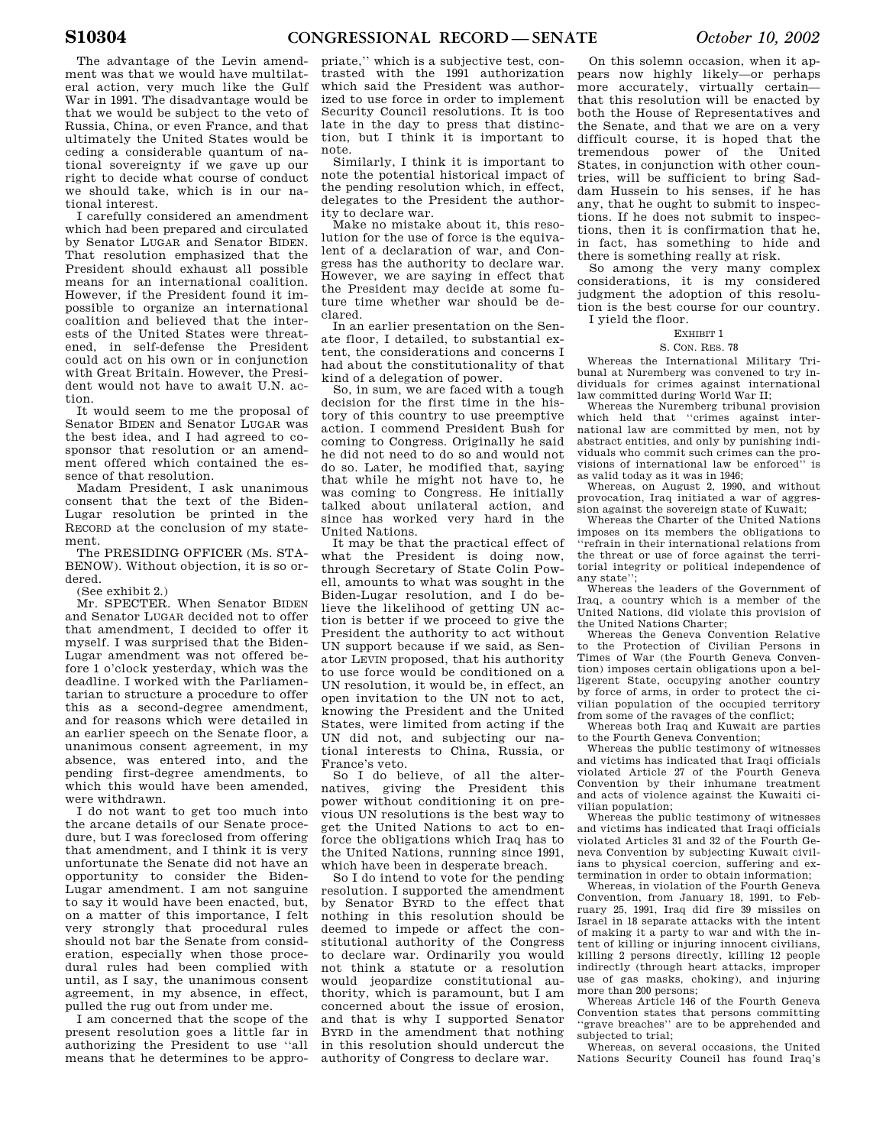The advantage of the Levin amendment was that we would have multilateral action, very much like the Gulf War in 1991. The disadvantage would be that we would be subject to the veto of Russia, China, or even France, and that ultimately the United States would be ceding a considerable quantum of national sovereignty if we gave up our right to decide what course of conduct we should take, which is in our national interest.

I carefully considered an amendment which had been prepared and circulated by Senator LUGAR and Senator BIDEN. That resolution emphasized that the President should exhaust all possible means for an international coalition. However, if the President found it impossible to organize an international coalition and believed that the interests of the United States were threatened, in self-defense the President could act on his own or in conjunction with Great Britain. However, the President would not have to await U.N. action.

It would seem to me the proposal of Senator BIDEN and Senator LUGAR was the best idea, and I had agreed to cosponsor that resolution or an amendment offered which contained the essence of that resolution.

Madam President, I ask unanimous consent that the text of the Biden-Lugar resolution be printed in the RECORD at the conclusion of my statement.

The PRESIDING OFFICER (Ms. STA-BENOW). Without objection, it is so ordered.

(See exhibit 2.)

Mr. SPECTER. When Senator BIDEN and Senator LUGAR decided not to offer that amendment, I decided to offer it myself. I was surprised that the Biden-Lugar amendment was not offered before 1 o'clock yesterday, which was the deadline. I worked with the Parliamentarian to structure a procedure to offer this as a second-degree amendment, and for reasons which were detailed in an earlier speech on the Senate floor, a unanimous consent agreement, in my absence, was entered into, and the pending first-degree amendments, to which this would have been amended, were withdrawn.

I do not want to get too much into the arcane details of our Senate procedure, but I was foreclosed from offering that amendment, and I think it is very unfortunate the Senate did not have an opportunity to consider the Biden-Lugar amendment. I am not sanguine to say it would have been enacted, but, on a matter of this importance, I felt very strongly that procedural rules should not bar the Senate from consideration, especially when those procedural rules had been complied with until, as I say, the unanimous consent agreement, in my absence, in effect, pulled the rug out from under me.

I am concerned that the scope of the present resolution goes a little far in authorizing the President to use ''all means that he determines to be appro-

priate,'' which is a subjective test, contrasted with the 1991 authorization which said the President was authorized to use force in order to implement Security Council resolutions. It is too late in the day to press that distinction, but I think it is important to note.

Similarly, I think it is important to note the potential historical impact of the pending resolution which, in effect, delegates to the President the authority to declare war.

Make no mistake about it, this resolution for the use of force is the equivalent of a declaration of war, and Congress has the authority to declare war. However, we are saying in effect that the President may decide at some future time whether war should be declared.

In an earlier presentation on the Senate floor, I detailed, to substantial extent, the considerations and concerns I had about the constitutionality of that kind of a delegation of power.

So, in sum, we are faced with a tough decision for the first time in the history of this country to use preemptive action. I commend President Bush for coming to Congress. Originally he said he did not need to do so and would not do so. Later, he modified that, saying that while he might not have to, he was coming to Congress. He initially talked about unilateral action, and since has worked very hard in the United Nations.

It may be that the practical effect of what the President is doing now, through Secretary of State Colin Powell, amounts to what was sought in the Biden-Lugar resolution, and I do believe the likelihood of getting UN action is better if we proceed to give the President the authority to act without UN support because if we said, as Senator LEVIN proposed, that his authority to use force would be conditioned on a UN resolution, it would be, in effect, an open invitation to the UN not to act, knowing the President and the United States, were limited from acting if the UN did not, and subjecting our national interests to China, Russia, or France's veto.

So I do believe, of all the alternatives, giving the President this power without conditioning it on previous UN resolutions is the best way to get the United Nations to act to enforce the obligations which Iraq has to the United Nations, running since 1991, which have been in desperate breach.

So I do intend to vote for the pending resolution. I supported the amendment by Senator BYRD to the effect that nothing in this resolution should be deemed to impede or affect the constitutional authority of the Congress to declare war. Ordinarily you would not think a statute or a resolution would jeopardize constitutional authority, which is paramount, but I am concerned about the issue of erosion, and that is why I supported Senator BYRD in the amendment that nothing in this resolution should undercut the authority of Congress to declare war.

On this solemn occasion, when it appears now highly likely—or perhaps more accurately, virtually certain that this resolution will be enacted by both the House of Representatives and the Senate, and that we are on a very difficult course, it is hoped that the tremendous power of the United States, in conjunction with other countries, will be sufficient to bring Saddam Hussein to his senses, if he has any, that he ought to submit to inspections. If he does not submit to inspections, then it is confirmation that he, in fact, has something to hide and there is something really at risk.

So among the very many complex considerations, it is my considered judgment the adoption of this resolution is the best course for our country. I yield the floor.

EXHIBIT 1

## S. CON. RES. 78

Whereas the International Military Tribunal at Nuremberg was convened to try individuals for crimes against international law committed during World War II;

Whereas the Nuremberg tribunal provision which held that ''crimes against international law are committed by men, not by abstract entities, and only by punishing individuals who commit such crimes can the provisions of international law be enforced'' is as valid today as it was in 1946;

Whereas, on August 2, 1990, and without provocation, Iraq initiated a war of aggression against the sovereign state of Kuwait;

Whereas the Charter of the United Nations imposes on its members the obligations to ''refrain in their international relations from the threat or use of force against the territorial integrity or political independence of any state"

Whereas the leaders of the Government of Iraq, a country which is a member of the United Nations, did violate this provision of the United Nations Charter;

Whereas the Geneva Convention Relative to the Protection of Civilian Persons in Times of War (the Fourth Geneva Convention) imposes certain obligations upon a belligerent State, occupying another country by force of arms, in order to protect the civilian population of the occupied territory from some of the ravages of the conflict;

Whereas both Iraq and Kuwait are parties to the Fourth Geneva Convention;

Whereas the public testimony of witnesses and victims has indicated that Iraqi officials violated Article 27 of the Fourth Geneva Convention by their inhumane treatment and acts of violence against the Kuwaiti civilian population;

Whereas the public testimony of witnesses and victims has indicated that Iraqi officials violated Articles 31 and 32 of the Fourth Geneva Convention by subjecting Kuwait civilians to physical coercion, suffering and extermination in order to obtain information;

Whereas, in violation of the Fourth Geneva Convention, from January 18, 1991, to February 25, 1991, Iraq did fire 39 missiles on Israel in 18 separate attacks with the intent of making it a party to war and with the intent of killing or injuring innocent civilians, killing 2 persons directly, killing 12 people indirectly (through heart attacks, improper use of gas masks, choking), and injuring more than 200 persons;

Whereas Article 146 of the Fourth Geneva Convention states that persons committing 'grave breaches'' are to be apprehended and subjected to trial;

Whereas, on several occasions, the United Nations Security Council has found Iraq's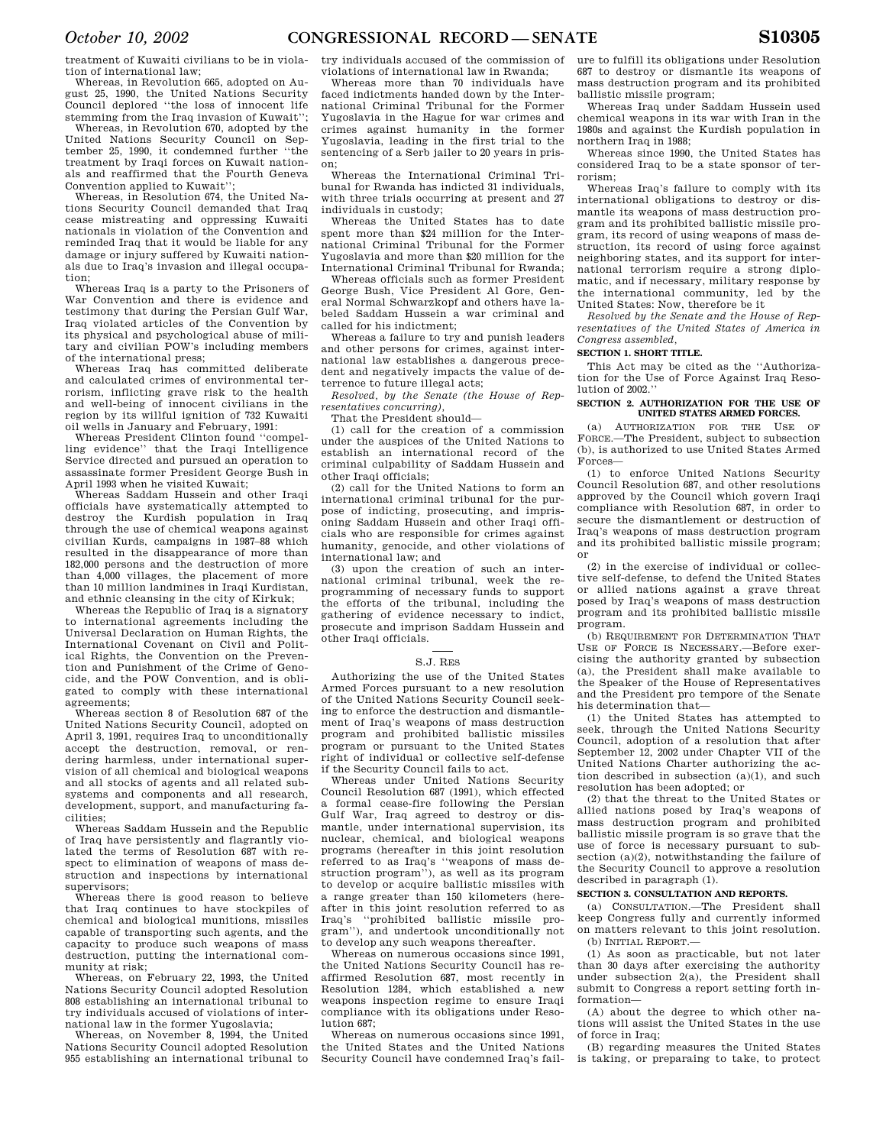treatment of Kuwaiti civilians to be in violation of international law;

Whereas, in Revolution 665, adopted on August 25, 1990, the United Nations Security Council deplored ''the loss of innocent life stemming from the Iraq invasion of Kuwait'';

Whereas, in Revolution 670, adopted by the United Nations Security Council on September 25, 1990, it condemned further ''the treatment by Iraqi forces on Kuwait nationals and reaffirmed that the Fourth Geneva Convention applied to Kuwait'';

Whereas, in Resolution 674, the United Nations Security Council demanded that Iraq cease mistreating and oppressing Kuwaiti nationals in violation of the Convention and reminded Iraq that it would be liable for any damage or injury suffered by Kuwaiti nationals due to Iraq's invasion and illegal occupation;

Whereas Iraq is a party to the Prisoners of War Convention and there is evidence and testimony that during the Persian Gulf War, Iraq violated articles of the Convention by its physical and psychological abuse of military and civilian POW's including members of the international press;

Whereas Iraq has committed deliberate and calculated crimes of environmental terrorism, inflicting grave risk to the health and well-being of innocent civilians in the region by its willful ignition of 732 Kuwaiti oil wells in January and February, 1991:

Whereas President Clinton found ''compelling evidence'' that the Iraqi Intelligence Service directed and pursued an operation to assassinate former President George Bush in April 1993 when he visited Kuwait;

Whereas Saddam Hussein and other Iraqi officials have systematically attempted to destroy the Kurdish population in Iraq through the use of chemical weapons against civilian Kurds, campaigns in 1987–88 which resulted in the disappearance of more than 182,000 persons and the destruction of more than 4,000 villages, the placement of more than 10 million landmines in Iraqi Kurdistan, and ethnic cleansing in the city of Kirkuk;

Whereas the Republic of Iraq is a signatory to international agreements including the Universal Declaration on Human Rights, the International Covenant on Civil and Political Rights, the Convention on the Prevention and Punishment of the Crime of Genocide, and the POW Convention, and is obligated to comply with these international agreements;

Whereas section 8 of Resolution 687 of the United Nations Security Council, adopted on April 3, 1991, requires Iraq to unconditionally accept the destruction, removal, or rendering harmless, under international supervision of all chemical and biological weapons and all stocks of agents and all related subsystems and components and all research, development, support, and manufacturing facilities;

Whereas Saddam Hussein and the Republic of Iraq have persistently and flagrantly violated the terms of Resolution 687 with respect to elimination of weapons of mass destruction and inspections by international supervisors;

Whereas there is good reason to believe that Iraq continues to have stockpiles of chemical and biological munitions, missiles capable of transporting such agents, and the capacity to produce such weapons of mass destruction, putting the international community at risk;

Whereas, on February 22, 1993, the United Nations Security Council adopted Resolution 808 establishing an international tribunal to try individuals accused of violations of international law in the former Yugoslavia;

Whereas, on November 8, 1994, the United Nations Security Council adopted Resolution 955 establishing an international tribunal to try individuals accused of the commission of violations of international law in Rwanda;

Whereas more than 70 individuals have faced indictments handed down by the International Criminal Tribunal for the Former Yugoslavia in the Hague for war crimes and crimes against humanity in the former Yugoslavia, leading in the first trial to the sentencing of a Serb jailer to 20 years in prison;

Whereas the International Criminal Tribunal for Rwanda has indicted 31 individuals, with three trials occurring at present and 27 individuals in custody;

Whereas the United States has to date spent more than \$24 million for the International Criminal Tribunal for the Former Yugoslavia and more than \$20 million for the International Criminal Tribunal for Rwanda;

Whereas officials such as former President George Bush, Vice President Al Gore, General Normal Schwarzkopf and others have labeled Saddam Hussein a war criminal and called for his indictment;

Whereas a failure to try and punish leaders and other persons for crimes, against international law establishes a dangerous precedent and negatively impacts the value of deterrence to future illegal acts;

*Resolved, by the Senate (the House of Representatives concurring),* 

That the President should—

(1) call for the creation of a commission under the auspices of the United Nations to establish an international record of the criminal culpability of Saddam Hussein and other Iraqi officials;

(2) call for the United Nations to form an international criminal tribunal for the purpose of indicting, prosecuting, and imprisoning Saddam Hussein and other Iraqi officials who are responsible for crimes against humanity, genocide, and other violations of international law; and

(3) upon the creation of such an international criminal tribunal, week the reprogramming of necessary funds to support the efforts of the tribunal, including the gathering of evidence necessary to indict, prosecute and imprison Saddam Hussein and other Iraqi officials.

# S.J. RES

Authorizing the use of the United States Armed Forces pursuant to a new resolution of the United Nations Security Council seeking to enforce the destruction and dismantlement of Iraq's weapons of mass destruction program and prohibited ballistic missiles program or pursuant to the United States right of individual or collective self-defense if the Security Council fails to act.

Whereas under United Nations Security Council Resolution 687 (1991), which effected a formal cease-fire following the Persian Gulf War, Iraq agreed to destroy or dismantle, under international supervision, its nuclear, chemical, and biological weapons programs (hereafter in this joint resolution referred to as Iraq's ''weapons of mass destruction program''), as well as its program to develop or acquire ballistic missiles with a range greater than 150 kilometers (hereafter in this joint resolution referred to as Iraq's ''prohibited ballistic missile program''), and undertook unconditionally not to develop any such weapons thereafter.

Whereas on numerous occasions since 1991, the United Nations Security Council has reaffirmed Resolution 687, most recently in Resolution 1284, which established a new weapons inspection regime to ensure Iraqi compliance with its obligations under Resolution 687;

Whereas on numerous occasions since 1991, the United States and the United Nations Security Council have condemned Iraq's failure to fulfill its obligations under Resolution 687 to destroy or dismantle its weapons of mass destruction program and its prohibited ballistic missile program;

Whereas Iraq under Saddam Hussein used chemical weapons in its war with Iran in the 1980s and against the Kurdish population in northern Iraq in 1988;

Whereas since 1990, the United States has considered Iraq to be a state sponsor of terrorism;

Whereas Iraq's failure to comply with its international obligations to destroy or dismantle its weapons of mass destruction program and its prohibited ballistic missile program, its record of using weapons of mass destruction, its record of using force against neighboring states, and its support for international terrorism require a strong diplomatic, and if necessary, military response by the international community, led by the United States: Now, therefore be it

*Resolved by the Senate and the House of Representatives of the United States of America in Congress assembled,* 

## **SECTION 1. SHORT TITLE.**

This Act may be cited as the ''Authorization for the Use of Force Against Iraq Resolution of 2002.''

### **SECTION 2. AUTHORIZATION FOR THE USE OF UNITED STATES ARMED FORCES.**

(a) AUTHORIZATION FOR THE USE OF FORCE.—The President, subject to subsection (b), is authorized to use United States Armed Forces—

(1) to enforce United Nations Security Council Resolution 687, and other resolutions approved by the Council which govern Iraqi compliance with Resolution 687, in order to secure the dismantlement or destruction of Iraq's weapons of mass destruction program and its prohibited ballistic missile program; or

(2) in the exercise of individual or collective self-defense, to defend the United States or allied nations against a grave threat posed by Iraq's weapons of mass destruction program and its prohibited ballistic missile program.

(b) REQUIREMENT FOR DETERMINATION THAT USE OF FORCE IS NECESSARY.—Before exercising the authority granted by subsection (a), the President shall make available to the Speaker of the House of Representatives and the President pro tempore of the Senate his determination that—

(1) the United States has attempted to seek, through the United Nations Security Council, adoption of a resolution that after September 12, 2002 under Chapter VII of the United Nations Charter authorizing the action described in subsection (a)(1), and such resolution has been adopted; or

(2) that the threat to the United States or allied nations posed by Iraq's weapons of mass destruction program and prohibited ballistic missile program is so grave that the use of force is necessary pursuant to subsection (a)(2), notwithstanding the failure of the Security Council to approve a resolution described in paragraph (1).

## **SECTION 3. CONSULTATION AND REPORTS.**

(a) CONSULTATION.—The President shall keep Congress fully and currently informed on matters relevant to this joint resolution. (b) INITIAL REPORT.—

(1) As soon as practicable, but not later than 30 days after exercising the authority under subsection 2(a), the President shall submit to Congress a report setting forth information—

(A) about the degree to which other nations will assist the United States in the use of force in Iraq;

(B) regarding measures the United States is taking, or preparaing to take, to protect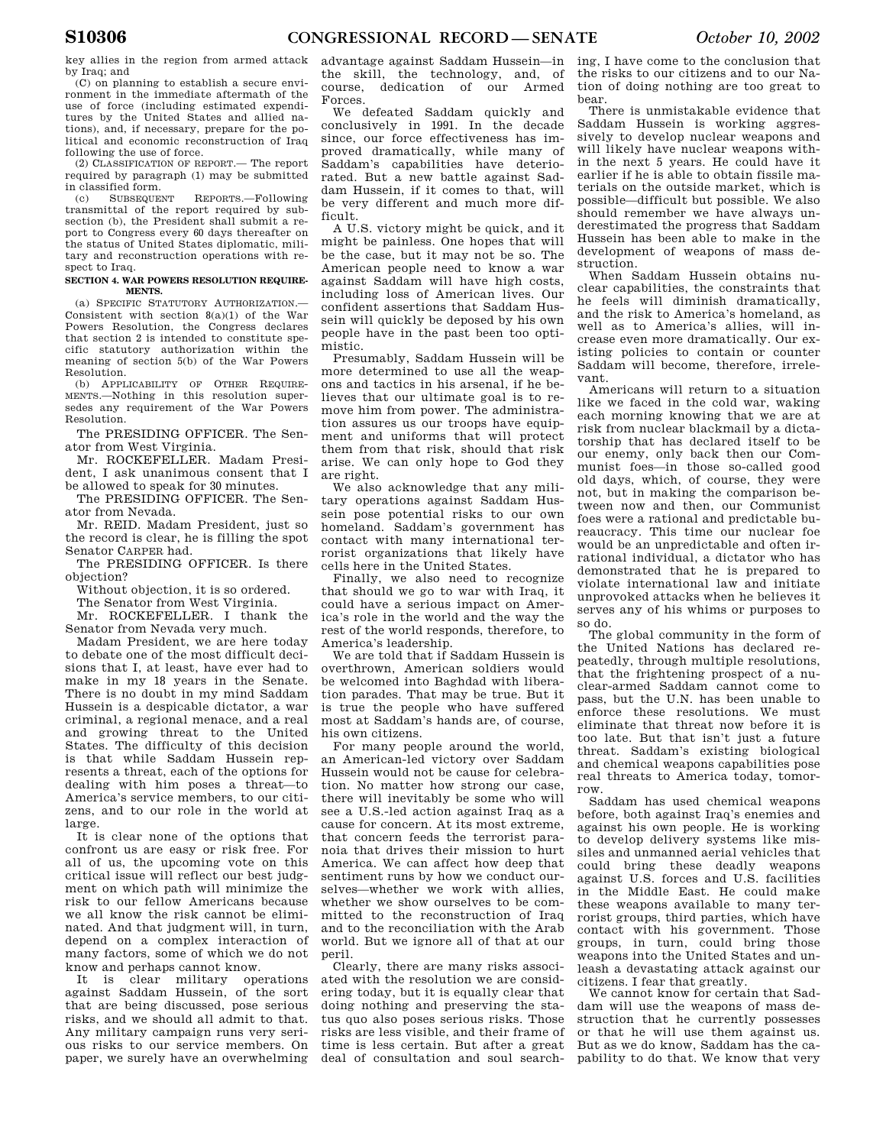key allies in the region from armed attack by Iraq; and

(C) on planning to establish a secure environment in the immediate aftermath of the use of force (including estimated expenditures by the United States and allied nations), and, if necessary, prepare for the political and economic reconstruction of Iraq following the use of force.

(2) CLASSIFICATION OF REPORT.— The report required by paragraph (1) may be submitted in classified form.<br>(c) SUBSEQUENT

REPORTS.—Following transmittal of the report required by subsection (b), the President shall submit a report to Congress every 60 days thereafter on the status of United States diplomatic, military and reconstruction operations with respect to Iraq.

#### **SECTION 4. WAR POWERS RESOLUTION REQUIRE-MENTS.**

(a) SPECIFIC STATUTORY AUTHORIZATION.— Consistent with section 8(a)(1) of the War Powers Resolution, the Congress declares that section 2 is intended to constitute specific statutory authorization within the meaning of section 5(b) of the War Powers Resolution.

(b) APPLICABILITY OF OTHER REQUIRE-MENTS.—Nothing in this resolution supersedes any requirement of the War Powers Resolution.

The PRESIDING OFFICER. The Senator from West Virginia.

Mr. ROCKEFELLER. Madam President, I ask unanimous consent that I be allowed to speak for 30 minutes.

The PRESIDING OFFICER. The Senator from Nevada.

Mr. REID. Madam President, just so the record is clear, he is filling the spot Senator CARPER had.

The PRESIDING OFFICER. Is there objection?

Without objection, it is so ordered.

The Senator from West Virginia.

Mr. ROCKEFELLER. I thank the Senator from Nevada very much.

Madam President, we are here today to debate one of the most difficult decisions that I, at least, have ever had to make in my 18 years in the Senate. There is no doubt in my mind Saddam Hussein is a despicable dictator, a war criminal, a regional menace, and a real and growing threat to the United States. The difficulty of this decision is that while Saddam Hussein represents a threat, each of the options for dealing with him poses a threat—to America's service members, to our citizens, and to our role in the world at large.

It is clear none of the options that confront us are easy or risk free. For all of us, the upcoming vote on this critical issue will reflect our best judgment on which path will minimize the risk to our fellow Americans because we all know the risk cannot be eliminated. And that judgment will, in turn, depend on a complex interaction of many factors, some of which we do not know and perhaps cannot know.

It is clear military operations against Saddam Hussein, of the sort that are being discussed, pose serious risks, and we should all admit to that. Any military campaign runs very serious risks to our service members. On paper, we surely have an overwhelming

advantage against Saddam Hussein—in the skill, the technology, and, of course, dedication of our Armed Forces.

We defeated Saddam quickly and conclusively in 1991. In the decade since, our force effectiveness has improved dramatically, while many of Saddam's capabilities have deteriorated. But a new battle against Saddam Hussein, if it comes to that, will be very different and much more difficult.

A U.S. victory might be quick, and it might be painless. One hopes that will be the case, but it may not be so. The American people need to know a war against Saddam will have high costs, including loss of American lives. Our confident assertions that Saddam Hussein will quickly be deposed by his own people have in the past been too optimistic.

Presumably, Saddam Hussein will be more determined to use all the weapons and tactics in his arsenal, if he believes that our ultimate goal is to remove him from power. The administration assures us our troops have equipment and uniforms that will protect them from that risk, should that risk arise. We can only hope to God they are right.

We also acknowledge that any military operations against Saddam Hussein pose potential risks to our own homeland. Saddam's government has contact with many international terrorist organizations that likely have cells here in the United States.

Finally, we also need to recognize that should we go to war with Iraq, it could have a serious impact on America's role in the world and the way the rest of the world responds, therefore, to America's leadership.

We are told that if Saddam Hussein is overthrown, American soldiers would be welcomed into Baghdad with liberation parades. That may be true. But it is true the people who have suffered most at Saddam's hands are, of course, his own citizens.

For many people around the world, an American-led victory over Saddam Hussein would not be cause for celebration. No matter how strong our case, there will inevitably be some who will see a U.S.-led action against Iraq as a cause for concern. At its most extreme, that concern feeds the terrorist paranoia that drives their mission to hurt America. We can affect how deep that sentiment runs by how we conduct ourselves—whether we work with allies, whether we show ourselves to be committed to the reconstruction of Iraq and to the reconciliation with the Arab world. But we ignore all of that at our peril.

Clearly, there are many risks associated with the resolution we are considering today, but it is equally clear that doing nothing and preserving the status quo also poses serious risks. Those risks are less visible, and their frame of time is less certain. But after a great deal of consultation and soul search-

ing, I have come to the conclusion that the risks to our citizens and to our Nation of doing nothing are too great to bear.

There is unmistakable evidence that Saddam Hussein is working aggressively to develop nuclear weapons and will likely have nuclear weapons within the next 5 years. He could have it earlier if he is able to obtain fissile materials on the outside market, which is possible—difficult but possible. We also should remember we have always underestimated the progress that Saddam Hussein has been able to make in the development of weapons of mass destruction.

When Saddam Hussein obtains nuclear capabilities, the constraints that he feels will diminish dramatically, and the risk to America's homeland, as well as to America's allies, will increase even more dramatically. Our existing policies to contain or counter Saddam will become, therefore, irrelevant.

Americans will return to a situation like we faced in the cold war, waking each morning knowing that we are at risk from nuclear blackmail by a dictatorship that has declared itself to be our enemy, only back then our Communist foes—in those so-called good old days, which, of course, they were not, but in making the comparison between now and then, our Communist foes were a rational and predictable bureaucracy. This time our nuclear foe would be an unpredictable and often irrational individual, a dictator who has demonstrated that he is prepared to violate international law and initiate unprovoked attacks when he believes it serves any of his whims or purposes to so do.

The global community in the form of the United Nations has declared repeatedly, through multiple resolutions, that the frightening prospect of a nuclear-armed Saddam cannot come to pass, but the U.N. has been unable to enforce these resolutions. We must eliminate that threat now before it is too late. But that isn't just a future threat. Saddam's existing biological and chemical weapons capabilities pose real threats to America today, tomorrow.

Saddam has used chemical weapons before, both against Iraq's enemies and against his own people. He is working to develop delivery systems like missiles and unmanned aerial vehicles that could bring these deadly weapons against U.S. forces and U.S. facilities in the Middle East. He could make these weapons available to many terrorist groups, third parties, which have contact with his government. Those groups, in turn, could bring those weapons into the United States and unleash a devastating attack against our citizens. I fear that greatly.

We cannot know for certain that Saddam will use the weapons of mass destruction that he currently possesses or that he will use them against us. But as we do know, Saddam has the capability to do that. We know that very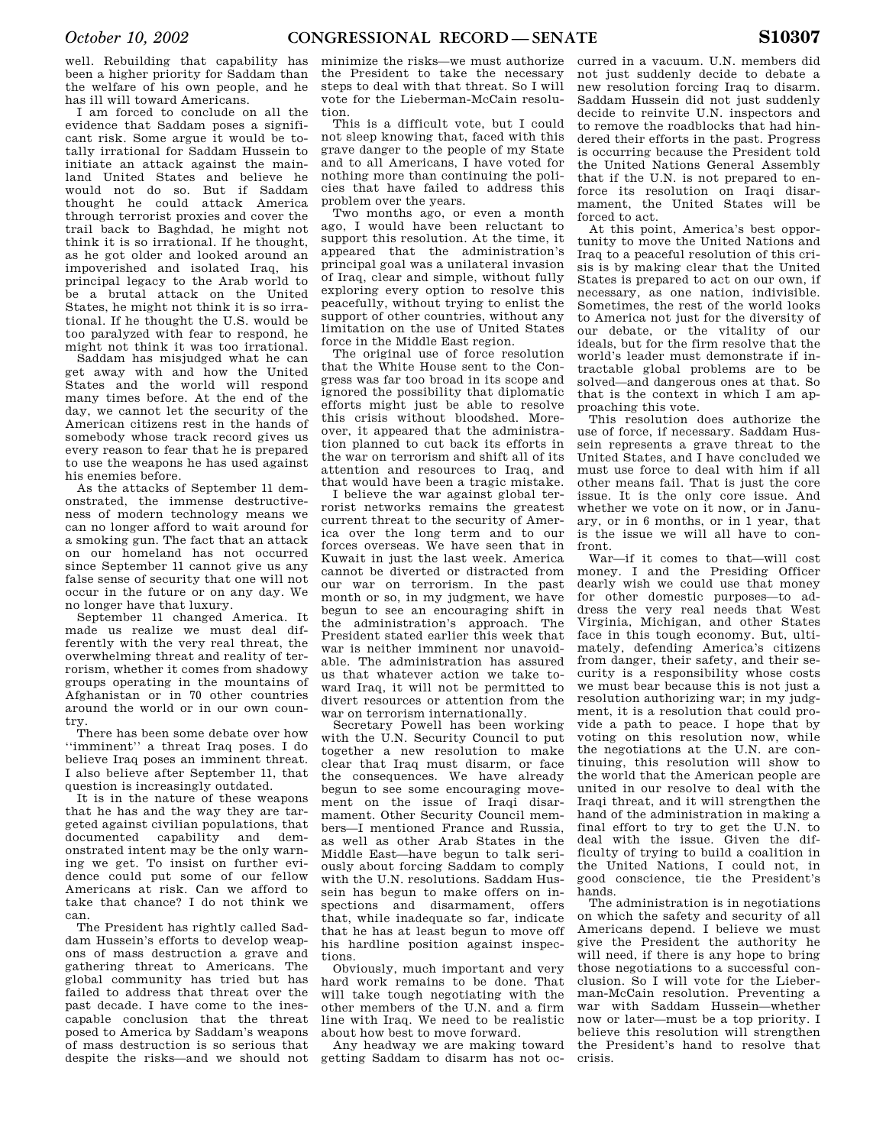well. Rebuilding that capability has been a higher priority for Saddam than the welfare of his own people, and he has ill will toward Americans.

I am forced to conclude on all the evidence that Saddam poses a significant risk. Some argue it would be totally irrational for Saddam Hussein to initiate an attack against the mainland United States and believe he would not do so. But if Saddam thought he could attack America through terrorist proxies and cover the trail back to Baghdad, he might not think it is so irrational. If he thought, as he got older and looked around an impoverished and isolated Iraq, his principal legacy to the Arab world to be a brutal attack on the United States, he might not think it is so irrational. If he thought the U.S. would be too paralyzed with fear to respond, he might not think it was too irrational.

Saddam has misjudged what he can get away with and how the United States and the world will respond many times before. At the end of the day, we cannot let the security of the American citizens rest in the hands of somebody whose track record gives us every reason to fear that he is prepared to use the weapons he has used against his enemies before.

As the attacks of September 11 demonstrated, the immense destructiveness of modern technology means we can no longer afford to wait around for a smoking gun. The fact that an attack on our homeland has not occurred since September 11 cannot give us any false sense of security that one will not occur in the future or on any day. We no longer have that luxury.

September 11 changed America. It made us realize we must deal differently with the very real threat, the overwhelming threat and reality of terrorism, whether it comes from shadowy groups operating in the mountains of Afghanistan or in 70 other countries around the world or in our own country.

There has been some debate over how ''imminent'' a threat Iraq poses. I do believe Iraq poses an imminent threat. I also believe after September 11, that question is increasingly outdated.

It is in the nature of these weapons that he has and the way they are targeted against civilian populations, that documented capability and demonstrated intent may be the only warning we get. To insist on further evidence could put some of our fellow Americans at risk. Can we afford to take that chance? I do not think we can.

The President has rightly called Saddam Hussein's efforts to develop weapons of mass destruction a grave and gathering threat to Americans. The global community has tried but has failed to address that threat over the past decade. I have come to the inescapable conclusion that the threat posed to America by Saddam's weapons of mass destruction is so serious that despite the risks—and we should not

minimize the risks—we must authorize the President to take the necessary steps to deal with that threat. So I will vote for the Lieberman-McCain resolution.

This is a difficult vote, but I could not sleep knowing that, faced with this grave danger to the people of my State and to all Americans, I have voted for nothing more than continuing the policies that have failed to address this problem over the years.

Two months ago, or even a month ago, I would have been reluctant to support this resolution. At the time, it appeared that the administration's principal goal was a unilateral invasion of Iraq, clear and simple, without fully exploring every option to resolve this peacefully, without trying to enlist the support of other countries, without any limitation on the use of United States force in the Middle East region.

The original use of force resolution that the White House sent to the Congress was far too broad in its scope and ignored the possibility that diplomatic efforts might just be able to resolve this crisis without bloodshed. Moreover, it appeared that the administration planned to cut back its efforts in the war on terrorism and shift all of its attention and resources to Iraq, and that would have been a tragic mistake.

I believe the war against global terrorist networks remains the greatest current threat to the security of America over the long term and to our forces overseas. We have seen that in Kuwait in just the last week. America cannot be diverted or distracted from our war on terrorism. In the past month or so, in my judgment, we have begun to see an encouraging shift in the administration's approach. The President stated earlier this week that war is neither imminent nor unavoidable. The administration has assured us that whatever action we take toward Iraq, it will not be permitted to divert resources or attention from the war on terrorism internationally.

Secretary Powell has been working with the U.N. Security Council to put together a new resolution to make clear that Iraq must disarm, or face the consequences. We have already begun to see some encouraging movement on the issue of Iraqi disarmament. Other Security Council members—I mentioned France and Russia, as well as other Arab States in the Middle East—have begun to talk seriously about forcing Saddam to comply with the U.N. resolutions. Saddam Hussein has begun to make offers on inspections and disarmament, offers that, while inadequate so far, indicate that he has at least begun to move off his hardline position against inspections.

Obviously, much important and very hard work remains to be done. That will take tough negotiating with the other members of the U.N. and a firm line with Iraq. We need to be realistic about how best to move forward.

Any headway we are making toward getting Saddam to disarm has not oc-

curred in a vacuum. U.N. members did not just suddenly decide to debate a new resolution forcing Iraq to disarm. Saddam Hussein did not just suddenly decide to reinvite U.N. inspectors and to remove the roadblocks that had hindered their efforts in the past. Progress is occurring because the President told the United Nations General Assembly that if the U.N. is not prepared to enforce its resolution on Iraqi disarmament, the United States will be forced to act.

At this point, America's best opportunity to move the United Nations and Iraq to a peaceful resolution of this crisis is by making clear that the United States is prepared to act on our own, if necessary, as one nation, indivisible. Sometimes, the rest of the world looks to America not just for the diversity of our debate, or the vitality of our ideals, but for the firm resolve that the world's leader must demonstrate if intractable global problems are to be solved—and dangerous ones at that. So that is the context in which I am approaching this vote.

This resolution does authorize the use of force, if necessary. Saddam Hussein represents a grave threat to the United States, and I have concluded we must use force to deal with him if all other means fail. That is just the core issue. It is the only core issue. And whether we vote on it now, or in January, or in 6 months, or in 1 year, that is the issue we will all have to confront.

War—if it comes to that—will cost money. I and the Presiding Officer dearly wish we could use that money for other domestic purposes—to address the very real needs that West Virginia, Michigan, and other States face in this tough economy. But, ultimately, defending America's citizens from danger, their safety, and their security is a responsibility whose costs we must bear because this is not just a resolution authorizing war; in my judgment, it is a resolution that could provide a path to peace. I hope that by voting on this resolution now, while the negotiations at the U.N. are continuing, this resolution will show to the world that the American people are united in our resolve to deal with the Iraqi threat, and it will strengthen the hand of the administration in making a final effort to try to get the U.N. to deal with the issue. Given the difficulty of trying to build a coalition in the United Nations, I could not, in good conscience, tie the President's hands.

The administration is in negotiations on which the safety and security of all Americans depend. I believe we must give the President the authority he will need, if there is any hope to bring those negotiations to a successful conclusion. So I will vote for the Lieberman-McCain resolution. Preventing a war with Saddam Hussein—whether now or later—must be a top priority. I believe this resolution will strengthen the President's hand to resolve that crisis.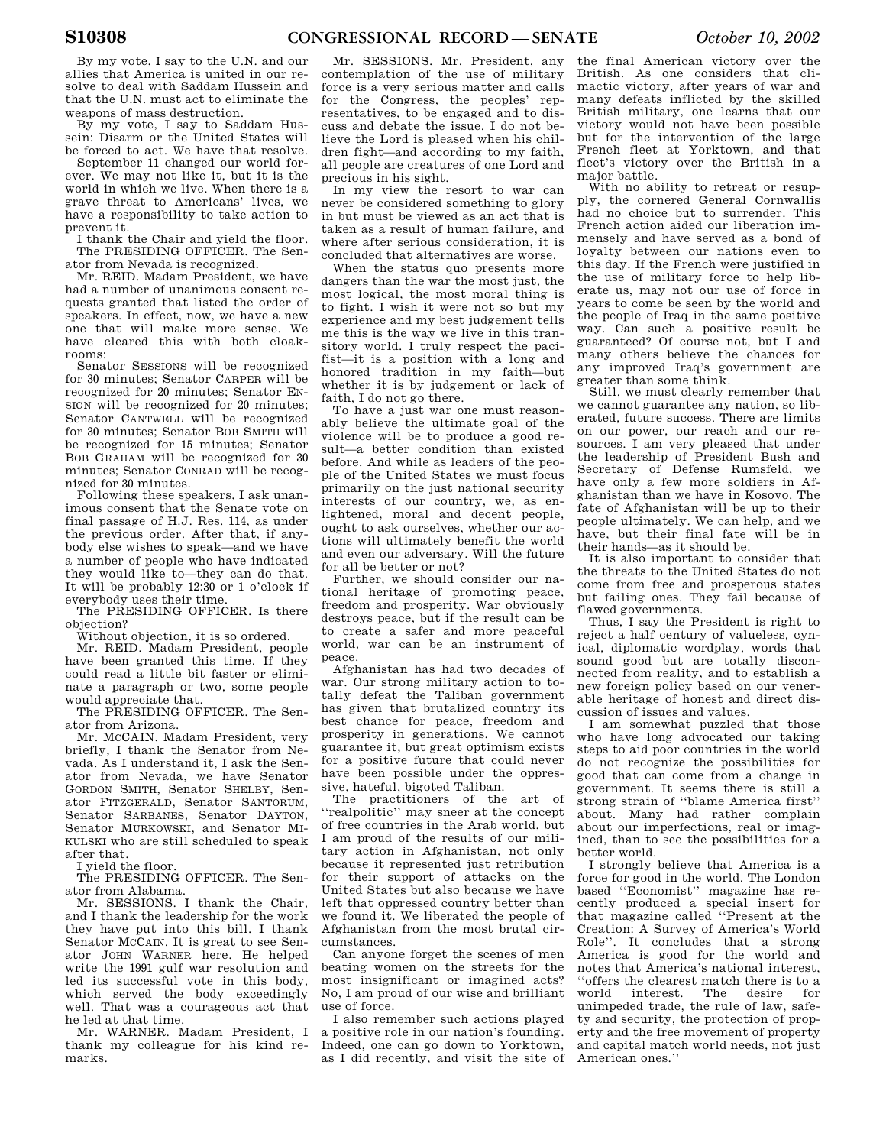By my vote, I say to the U.N. and our allies that America is united in our resolve to deal with Saddam Hussein and that the U.N. must act to eliminate the weapons of mass destruction.

By my vote, I say to Saddam Hussein: Disarm or the United States will be forced to act. We have that resolve.

September 11 changed our world forever. We may not like it, but it is the world in which we live. When there is a grave threat to Americans' lives, we have a responsibility to take action to prevent it.

I thank the Chair and yield the floor. The PRESIDING OFFICER. The Senator from Nevada is recognized.

Mr. REID. Madam President, we have had a number of unanimous consent requests granted that listed the order of speakers. In effect, now, we have a new one that will make more sense. We have cleared this with both cloakrooms:

Senator SESSIONS will be recognized for 30 minutes; Senator CARPER will be recognized for 20 minutes; Senator EN-SIGN will be recognized for 20 minutes; Senator CANTWELL will be recognized for 30 minutes; Senator BOB SMITH will be recognized for 15 minutes; Senator BOB GRAHAM will be recognized for 30 minutes; Senator CONRAD will be recognized for 30 minutes.

Following these speakers, I ask unanimous consent that the Senate vote on final passage of H.J. Res. 114, as under the previous order. After that, if anybody else wishes to speak—and we have a number of people who have indicated they would like to—they can do that. It will be probably 12:30 or 1 o'clock if everybody uses their time.

The PRESIDING OFFICER. Is there objection?

Without objection, it is so ordered.

Mr. REID. Madam President, people have been granted this time. If they could read a little bit faster or eliminate a paragraph or two, some people would appreciate that.

The PRESIDING OFFICER. The Senator from Arizona.

Mr. MCCAIN. Madam President, very briefly, I thank the Senator from Nevada. As I understand it, I ask the Senator from Nevada, we have Senator GORDON SMITH, Senator SHELBY, Senator FITZGERALD, Senator SANTORUM, Senator SARBANES, Senator DAYTON, Senator MURKOWSKI, and Senator MI-KULSKI who are still scheduled to speak after that.

I yield the floor.

The PRESIDING OFFICER. The Senator from Alabama.

Mr. SESSIONS. I thank the Chair, and I thank the leadership for the work they have put into this bill. I thank Senator MCCAIN. It is great to see Senator JOHN WARNER here. He helped write the 1991 gulf war resolution and led its successful vote in this body, which served the body exceedingly well. That was a courageous act that he led at that time.

Mr. WARNER. Madam President, I thank my colleague for his kind remarks.

Mr. SESSIONS. Mr. President, any contemplation of the use of military force is a very serious matter and calls for the Congress, the peoples' representatives, to be engaged and to discuss and debate the issue. I do not believe the Lord is pleased when his children fight—and according to my faith, all people are creatures of one Lord and precious in his sight.

In my view the resort to war can never be considered something to glory in but must be viewed as an act that is taken as a result of human failure, and where after serious consideration, it is concluded that alternatives are worse.

When the status quo presents more dangers than the war the most just, the most logical, the most moral thing is to fight. I wish it were not so but my experience and my best judgement tells me this is the way we live in this transitory world. I truly respect the pacifist—it is a position with a long and honored tradition in my faith—but whether it is by judgement or lack of faith, I do not go there.

To have a just war one must reasonably believe the ultimate goal of the violence will be to produce a good result—a better condition than existed before. And while as leaders of the people of the United States we must focus primarily on the just national security interests of our country, we, as enlightened, moral and decent people, ought to ask ourselves, whether our actions will ultimately benefit the world and even our adversary. Will the future for all be better or not?

Further, we should consider our national heritage of promoting peace, freedom and prosperity. War obviously destroys peace, but if the result can be to create a safer and more peaceful world, war can be an instrument of peace.

Afghanistan has had two decades of war. Our strong military action to totally defeat the Taliban government has given that brutalized country its best chance for peace, freedom and prosperity in generations. We cannot guarantee it, but great optimism exists for a positive future that could never have been possible under the oppressive, hateful, bigoted Taliban.

The practitioners of the art of 'realpolitic'' may sneer at the concept of free countries in the Arab world, but I am proud of the results of our military action in Afghanistan, not only because it represented just retribution for their support of attacks on the United States but also because we have left that oppressed country better than we found it. We liberated the people of Afghanistan from the most brutal circumstances.

Can anyone forget the scenes of men beating women on the streets for the most insignificant or imagined acts? No, I am proud of our wise and brilliant use of force.

I also remember such actions played a positive role in our nation's founding. Indeed, one can go down to Yorktown, as I did recently, and visit the site of American ones.''

the final American victory over the British. As one considers that climactic victory, after years of war and many defeats inflicted by the skilled British military, one learns that our victory would not have been possible but for the intervention of the large French fleet at Yorktown, and that fleet's victory over the British in a major battle.

With no ability to retreat or resupply, the cornered General Cornwallis had no choice but to surrender. This French action aided our liberation immensely and have served as a bond of loyalty between our nations even to this day. If the French were justified in the use of military force to help liberate us, may not our use of force in years to come be seen by the world and the people of Iraq in the same positive way. Can such a positive result be guaranteed? Of course not, but I and many others believe the chances for any improved Iraq's government are greater than some think.

Still, we must clearly remember that we cannot guarantee any nation, so liberated, future success. There are limits on our power, our reach and our resources. I am very pleased that under the leadership of President Bush and Secretary of Defense Rumsfeld, we have only a few more soldiers in Afghanistan than we have in Kosovo. The fate of Afghanistan will be up to their people ultimately. We can help, and we have, but their final fate will be in their hands—as it should be.

It is also important to consider that the threats to the United States do not come from free and prosperous states but failing ones. They fail because of flawed governments.

Thus, I say the President is right to reject a half century of valueless, cynical, diplomatic wordplay, words that sound good but are totally disconnected from reality, and to establish a new foreign policy based on our venerable heritage of honest and direct discussion of issues and values.

I am somewhat puzzled that those who have long advocated our taking steps to aid poor countries in the world do not recognize the possibilities for good that can come from a change in government. It seems there is still a strong strain of ''blame America first'' about. Many had rather complain about our imperfections, real or imagined, than to see the possibilities for a better world.

I strongly believe that America is a force for good in the world. The London based ''Economist'' magazine has recently produced a special insert for that magazine called ''Present at the Creation: A Survey of America's World Role''. It concludes that a strong America is good for the world and notes that America's national interest, ''offers the clearest match there is to a world interest. unimpeded trade, the rule of law, safety and security, the protection of property and the free movement of property and capital match world needs, not just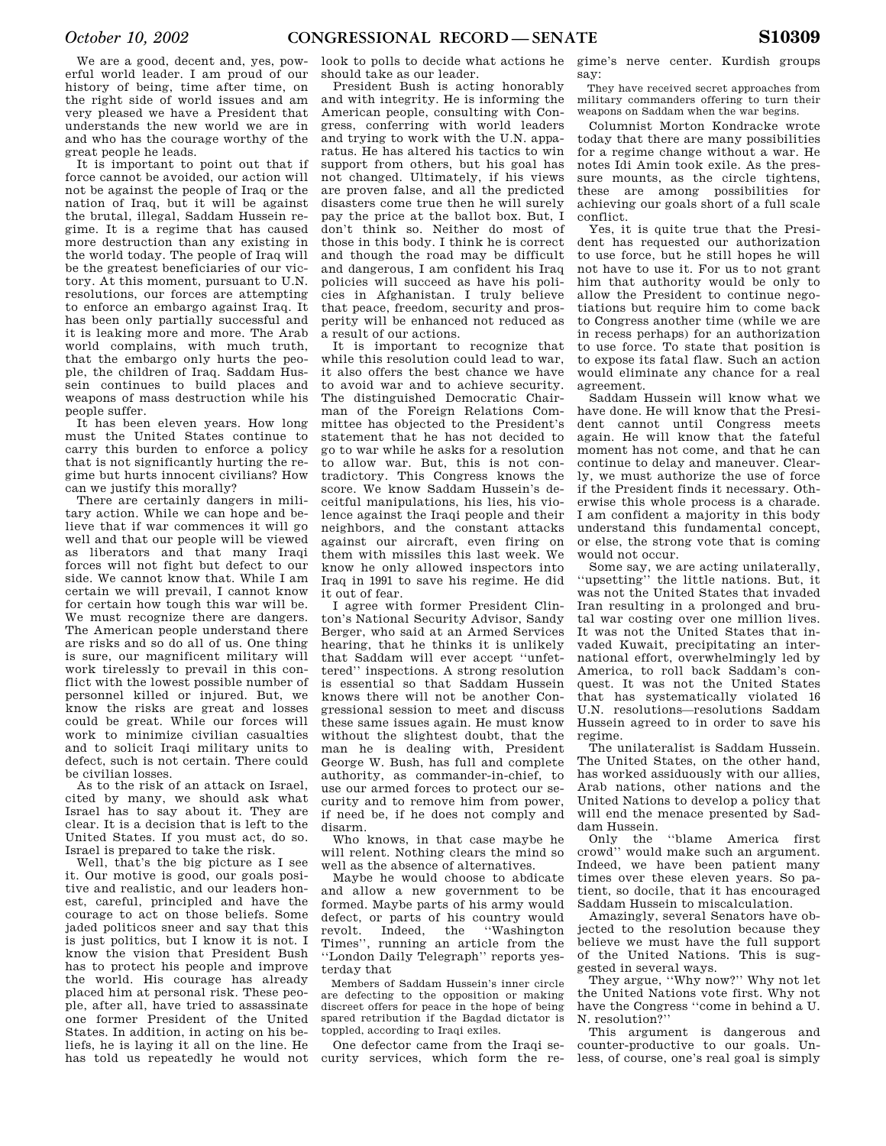We are a good, decent and, yes, powerful world leader. I am proud of our history of being, time after time, on the right side of world issues and am very pleased we have a President that understands the new world we are in and who has the courage worthy of the great people he leads.

It is important to point out that if force cannot be avoided, our action will not be against the people of Iraq or the nation of Iraq, but it will be against the brutal, illegal, Saddam Hussein regime. It is a regime that has caused more destruction than any existing in the world today. The people of Iraq will be the greatest beneficiaries of our victory. At this moment, pursuant to U.N. resolutions, our forces are attempting to enforce an embargo against Iraq. It has been only partially successful and it is leaking more and more. The Arab world complains, with much truth, that the embargo only hurts the people, the children of Iraq. Saddam Hussein continues to build places and weapons of mass destruction while his people suffer.

It has been eleven years. How long must the United States continue to carry this burden to enforce a policy that is not significantly hurting the regime but hurts innocent civilians? How can we justify this morally?

There are certainly dangers in military action. While we can hope and believe that if war commences it will go well and that our people will be viewed as liberators and that many Iraqi forces will not fight but defect to our side. We cannot know that. While I am certain we will prevail, I cannot know for certain how tough this war will be. We must recognize there are dangers. The American people understand there are risks and so do all of us. One thing is sure, our magnificent military will work tirelessly to prevail in this conflict with the lowest possible number of personnel killed or injured. But, we know the risks are great and losses could be great. While our forces will work to minimize civilian casualties and to solicit Iraqi military units to defect, such is not certain. There could be civilian losses.

As to the risk of an attack on Israel, cited by many, we should ask what Israel has to say about it. They are clear. It is a decision that is left to the United States. If you must act, do so. Israel is prepared to take the risk.

Well, that's the big picture as I see it. Our motive is good, our goals positive and realistic, and our leaders honest, careful, principled and have the courage to act on those beliefs. Some jaded politicos sneer and say that this is just politics, but I know it is not. I know the vision that President Bush has to protect his people and improve the world. His courage has already placed him at personal risk. These people, after all, have tried to assassinate one former President of the United States. In addition, in acting on his beliefs, he is laying it all on the line. He has told us repeatedly he would not

look to polls to decide what actions he should take as our leader.

President Bush is acting honorably and with integrity. He is informing the American people, consulting with Congress, conferring with world leaders and trying to work with the U.N. apparatus. He has altered his tactics to win support from others, but his goal has not changed. Ultimately, if his views are proven false, and all the predicted disasters come true then he will surely pay the price at the ballot box. But, I don't think so. Neither do most of those in this body. I think he is correct and though the road may be difficult and dangerous, I am confident his Iraq policies will succeed as have his policies in Afghanistan. I truly believe that peace, freedom, security and prosperity will be enhanced not reduced as a result of our actions.

It is important to recognize that while this resolution could lead to war, it also offers the best chance we have to avoid war and to achieve security. The distinguished Democratic Chairman of the Foreign Relations Committee has objected to the President's statement that he has not decided to go to war while he asks for a resolution to allow war. But, this is not contradictory. This Congress knows the score. We know Saddam Hussein's deceitful manipulations, his lies, his violence against the Iraqi people and their neighbors, and the constant attacks against our aircraft, even firing on them with missiles this last week. We know he only allowed inspectors into Iraq in 1991 to save his regime. He did it out of fear.

I agree with former President Clinton's National Security Advisor, Sandy Berger, who said at an Armed Services hearing, that he thinks it is unlikely that Saddam will ever accept ''unfettered'' inspections. A strong resolution is essential so that Saddam Hussein knows there will not be another Congressional session to meet and discuss these same issues again. He must know without the slightest doubt, that the man he is dealing with, President George W. Bush, has full and complete authority, as commander-in-chief, to use our armed forces to protect our security and to remove him from power, if need be, if he does not comply and disarm.

Who knows, in that case maybe he will relent. Nothing clears the mind so well as the absence of alternatives.

Maybe he would choose to abdicate and allow a new government to be formed. Maybe parts of his army would defect, or parts of his country would revolt. Indeed, the ''Washington Times'', running an article from the ''London Daily Telegraph'' reports yesterday that

Members of Saddam Hussein's inner circle are defecting to the opposition or making discreet offers for peace in the hope of being spared retribution if the Bagdad dictator is toppled, according to Iraqi exiles.

One defector came from the Iraqi security services, which form the regime's nerve center. Kurdish groups say:

They have received secret approaches from military commanders offering to turn their weapons on Saddam when the war begins.

Columnist Morton Kondracke wrote today that there are many possibilities for a regime change without a war. He notes Idi Amin took exile. As the pressure mounts, as the circle tightens, these are among possibilities for achieving our goals short of a full scale conflict.

Yes, it is quite true that the President has requested our authorization to use force, but he still hopes he will not have to use it. For us to not grant him that authority would be only to allow the President to continue negotiations but require him to come back to Congress another time (while we are in recess perhaps) for an authorization to use force. To state that position is to expose its fatal flaw. Such an action would eliminate any chance for a real agreement.

Saddam Hussein will know what we have done. He will know that the President cannot until Congress meets again. He will know that the fateful moment has not come, and that he can continue to delay and maneuver. Clearly, we must authorize the use of force if the President finds it necessary. Otherwise this whole process is a charade. I am confident a majority in this body understand this fundamental concept, or else, the strong vote that is coming would not occur.

Some say, we are acting unilaterally, ''upsetting'' the little nations. But, it was not the United States that invaded Iran resulting in a prolonged and brutal war costing over one million lives. It was not the United States that invaded Kuwait, precipitating an international effort, overwhelmingly led by America, to roll back Saddam's conquest. It was not the United States that has systematically violated 16 U.N. resolutions—resolutions Saddam Hussein agreed to in order to save his regime.

The unilateralist is Saddam Hussein. The United States, on the other hand has worked assiduously with our allies, Arab nations, other nations and the United Nations to develop a policy that will end the menace presented by Saddam Hussein.

Only the ''blame America first crowd'' would make such an argument. Indeed, we have been patient many times over these eleven years. So patient, so docile, that it has encouraged Saddam Hussein to miscalculation.

Amazingly, several Senators have objected to the resolution because they believe we must have the full support of the United Nations. This is suggested in several ways.

They argue, "Why now?" Why not let the United Nations vote first. Why not have the Congress ''come in behind a U. N. resolution?''

This argument is dangerous and counter-productive to our goals. Unless, of course, one's real goal is simply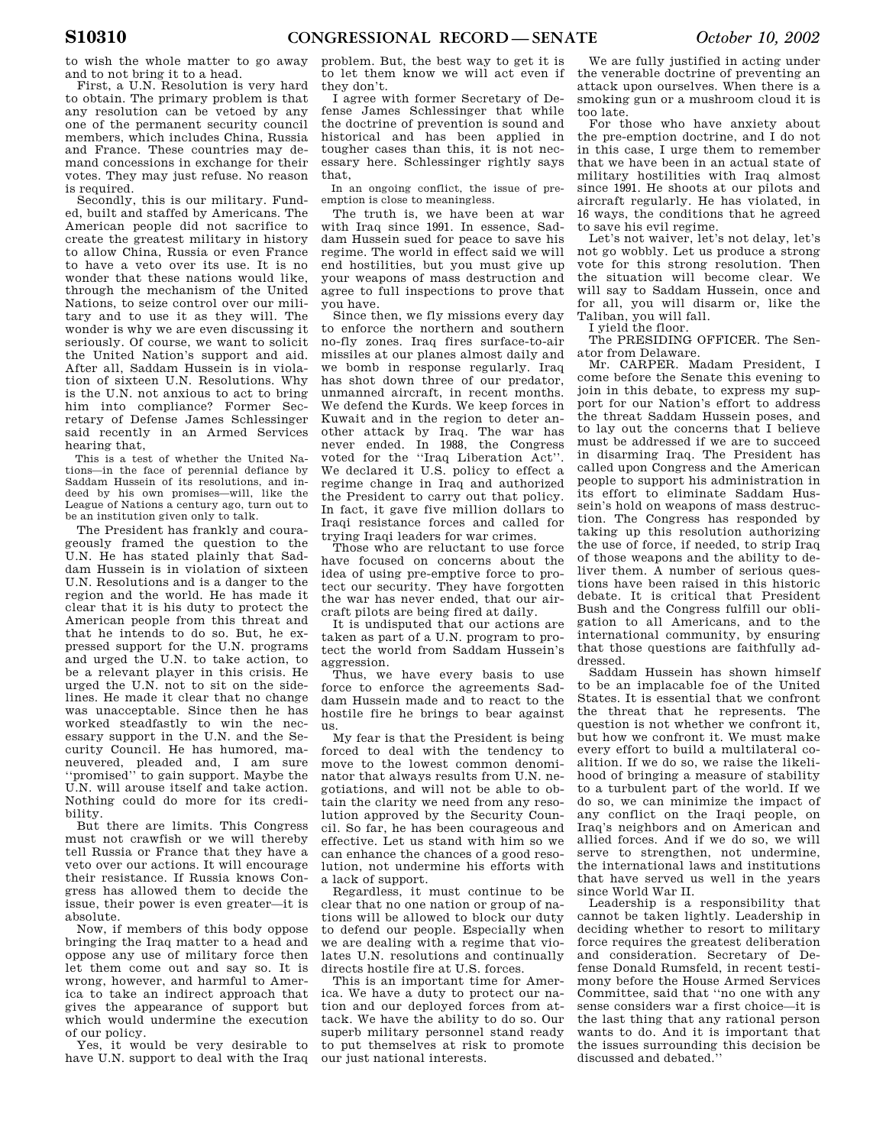to wish the whole matter to go away and to not bring it to a head.

First, a U.N. Resolution is very hard to obtain. The primary problem is that any resolution can be vetoed by any one of the permanent security council members, which includes China, Russia and France. These countries may demand concessions in exchange for their votes. They may just refuse. No reason is required.

Secondly, this is our military. Funded, built and staffed by Americans. The American people did not sacrifice to create the greatest military in history to allow China, Russia or even France to have a veto over its use. It is no wonder that these nations would like, through the mechanism of the United Nations, to seize control over our military and to use it as they will. The wonder is why we are even discussing it seriously. Of course, we want to solicit the United Nation's support and aid. After all, Saddam Hussein is in violation of sixteen U.N. Resolutions. Why is the U.N. not anxious to act to bring him into compliance? Former Secretary of Defense James Schlessinger said recently in an Armed Services hearing that,

This is a test of whether the United Nations—in the face of perennial defiance by Saddam Hussein of its resolutions, and indeed by his own promises—will, like the League of Nations a century ago, turn out to be an institution given only to talk.

The President has frankly and courageously framed the question to the U.N. He has stated plainly that Saddam Hussein is in violation of sixteen U.N. Resolutions and is a danger to the region and the world. He has made it clear that it is his duty to protect the American people from this threat and that he intends to do so. But, he expressed support for the U.N. programs and urged the U.N. to take action, to be a relevant player in this crisis. He urged the U.N. not to sit on the sidelines. He made it clear that no change was unacceptable. Since then he has worked steadfastly to win the necessary support in the U.N. and the Security Council. He has humored, maneuvered, pleaded and, I am sure ''promised'' to gain support. Maybe the U.N. will arouse itself and take action. Nothing could do more for its credibility.

But there are limits. This Congress must not crawfish or we will thereby tell Russia or France that they have a veto over our actions. It will encourage their resistance. If Russia knows Congress has allowed them to decide the issue, their power is even greater—it is absolute.

Now, if members of this body oppose bringing the Iraq matter to a head and oppose any use of military force then let them come out and say so. It is wrong, however, and harmful to America to take an indirect approach that gives the appearance of support but which would undermine the execution of our policy.

Yes, it would be very desirable to have U.N. support to deal with the Iraq problem. But, the best way to get it is to let them know we will act even if they don't.

I agree with former Secretary of Defense James Schlessinger that while the doctrine of prevention is sound and historical and has been applied in tougher cases than this, it is not necessary here. Schlessinger rightly says that,

In an ongoing conflict, the issue of preemption is close to meaningless.

The truth is, we have been at war with Iraq since 1991. In essence, Saddam Hussein sued for peace to save his regime. The world in effect said we will end hostilities, but you must give up your weapons of mass destruction and agree to full inspections to prove that you have.

Since then, we fly missions every day to enforce the northern and southern no-fly zones. Iraq fires surface-to-air missiles at our planes almost daily and we bomb in response regularly. Iraq has shot down three of our predator, unmanned aircraft, in recent months. We defend the Kurds. We keep forces in Kuwait and in the region to deter another attack by Iraq. The war has never ended. In 1988, the Congress voted for the ''Iraq Liberation Act''. We declared it U.S. policy to effect a regime change in Iraq and authorized the President to carry out that policy. In fact, it gave five million dollars to Iraqi resistance forces and called for trying Iraqi leaders for war crimes.

Those who are reluctant to use force have focused on concerns about the idea of using pre-emptive force to protect our security. They have forgotten the war has never ended, that our aircraft pilots are being fired at daily.

It is undisputed that our actions are taken as part of a U.N. program to protect the world from Saddam Hussein's aggression.

Thus, we have every basis to use force to enforce the agreements Saddam Hussein made and to react to the hostile fire he brings to bear against us.

My fear is that the President is being forced to deal with the tendency to move to the lowest common denominator that always results from U.N. negotiations, and will not be able to obtain the clarity we need from any resolution approved by the Security Council. So far, he has been courageous and effective. Let us stand with him so we can enhance the chances of a good resolution, not undermine his efforts with a lack of support.

Regardless, it must continue to be clear that no one nation or group of nations will be allowed to block our duty to defend our people. Especially when we are dealing with a regime that violates U.N. resolutions and continually directs hostile fire at U.S. forces.

This is an important time for America. We have a duty to protect our nation and our deployed forces from attack. We have the ability to do so. Our superb military personnel stand ready to put themselves at risk to promote our just national interests.

We are fully justified in acting under the venerable doctrine of preventing an attack upon ourselves. When there is a smoking gun or a mushroom cloud it is too late.

For those who have anxiety about the pre-emption doctrine, and I do not in this case, I urge them to remember that we have been in an actual state of military hostilities with Iraq almost since 1991. He shoots at our pilots and aircraft regularly. He has violated, in 16 ways, the conditions that he agreed to save his evil regime.

Let's not waiver, let's not delay, let's not go wobbly. Let us produce a strong vote for this strong resolution. Then the situation will become clear. We will say to Saddam Hussein, once and for all, you will disarm or, like the Taliban, you will fall.

I yield the floor.

The PRESIDING OFFICER. The Senator from Delaware.

Mr. CARPER. Madam President, I come before the Senate this evening to join in this debate, to express my support for our Nation's effort to address the threat Saddam Hussein poses, and to lay out the concerns that I believe must be addressed if we are to succeed in disarming Iraq. The President has called upon Congress and the American people to support his administration in its effort to eliminate Saddam Hussein's hold on weapons of mass destruction. The Congress has responded by taking up this resolution authorizing the use of force, if needed, to strip Iraq of those weapons and the ability to deliver them. A number of serious questions have been raised in this historic debate. It is critical that President Bush and the Congress fulfill our obligation to all Americans, and to the international community, by ensuring that those questions are faithfully addressed.

Saddam Hussein has shown himself to be an implacable foe of the United States. It is essential that we confront the threat that he represents. The question is not whether we confront it, but how we confront it. We must make every effort to build a multilateral coalition. If we do so, we raise the likelihood of bringing a measure of stability to a turbulent part of the world. If we do so, we can minimize the impact of any conflict on the Iraqi people, on Iraq's neighbors and on American and allied forces. And if we do so, we will serve to strengthen, not undermine, the international laws and institutions that have served us well in the years since World War II.

Leadership is a responsibility that cannot be taken lightly. Leadership in deciding whether to resort to military force requires the greatest deliberation and consideration. Secretary of Defense Donald Rumsfeld, in recent testimony before the House Armed Services Committee, said that ''no one with any sense considers war a first choice—it is the last thing that any rational person wants to do. And it is important that the issues surrounding this decision be discussed and debated.''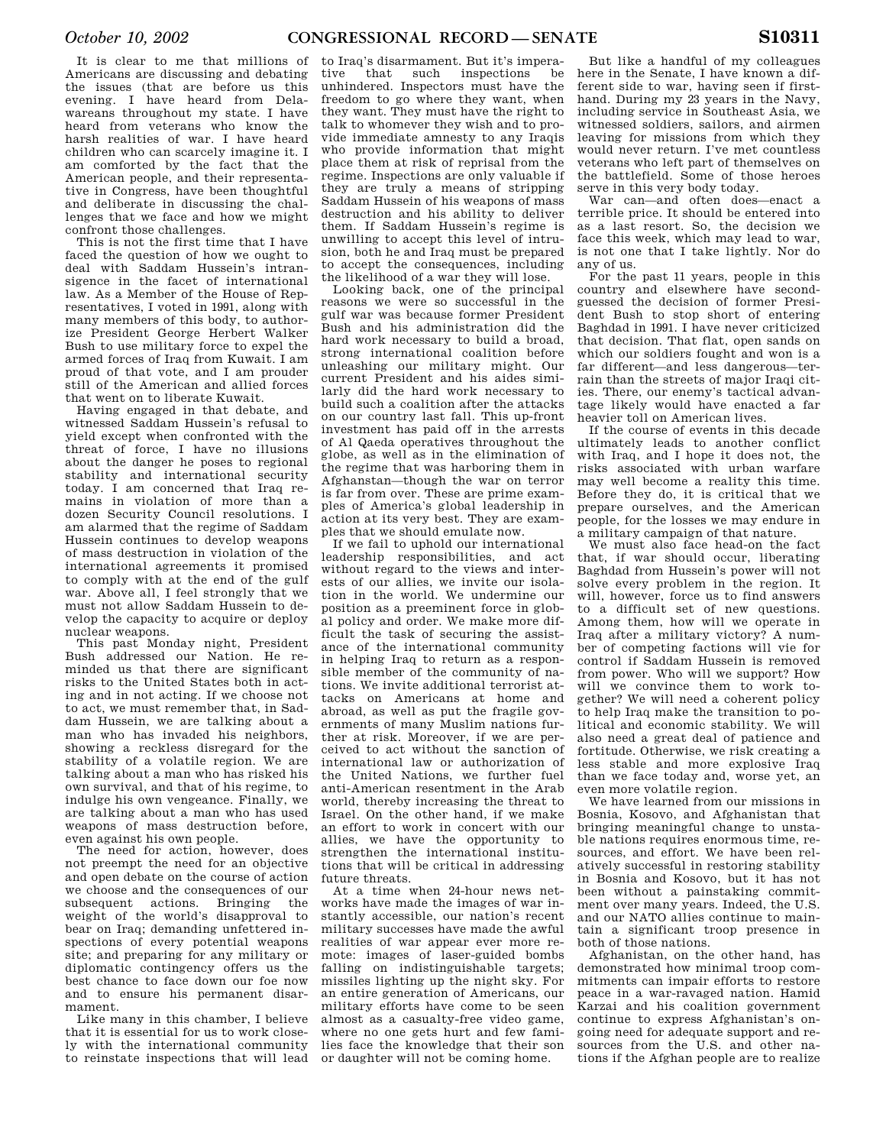It is clear to me that millions of Americans are discussing and debating the issues (that are before us this evening. I have heard from Delawareans throughout my state. I have heard from veterans who know the harsh realities of war. I have heard children who can scarcely imagine it. I am comforted by the fact that the American people, and their representative in Congress, have been thoughtful and deliberate in discussing the challenges that we face and how we might confront those challenges.

This is not the first time that I have faced the question of how we ought to deal with Saddam Hussein's intransigence in the facet of international law. As a Member of the House of Representatives, I voted in 1991, along with many members of this body, to authorize President George Herbert Walker Bush to use military force to expel the armed forces of Iraq from Kuwait. I am proud of that vote, and I am prouder still of the American and allied forces that went on to liberate Kuwait.

Having engaged in that debate, and witnessed Saddam Hussein's refusal to yield except when confronted with the threat of force, I have no illusions about the danger he poses to regional stability and international security today. I am concerned that Iraq remains in violation of more than a dozen Security Council resolutions. I am alarmed that the regime of Saddam Hussein continues to develop weapons of mass destruction in violation of the international agreements it promised to comply with at the end of the gulf war. Above all, I feel strongly that we must not allow Saddam Hussein to develop the capacity to acquire or deploy nuclear weapons.

This past Monday night, President Bush addressed our Nation. He reminded us that there are significant risks to the United States both in acting and in not acting. If we choose not to act, we must remember that, in Saddam Hussein, we are talking about a man who has invaded his neighbors, showing a reckless disregard for the stability of a volatile region. We are talking about a man who has risked his own survival, and that of his regime, to indulge his own vengeance. Finally, we are talking about a man who has used weapons of mass destruction before, even against his own people.

The need for action, however, does not preempt the need for an objective and open debate on the course of action we choose and the consequences of our subsequent actions. Bringing the weight of the world's disapproval to bear on Iraq; demanding unfettered inspections of every potential weapons site; and preparing for any military or diplomatic contingency offers us the best chance to face down our foe now and to ensure his permanent disarmament.

Like many in this chamber, I believe that it is essential for us to work closely with the international community to reinstate inspections that will lead

to Iraq's disarmament. But it's imperative that such inspections be unhindered. Inspectors must have the freedom to go where they want, when they want. They must have the right to talk to whomever they wish and to provide immediate amnesty to any Iraqis who provide information that might place them at risk of reprisal from the regime. Inspections are only valuable if they are truly a means of stripping Saddam Hussein of his weapons of mass destruction and his ability to deliver them. If Saddam Hussein's regime is unwilling to accept this level of intrusion, both he and Iraq must be prepared to accept the consequences, including the likelihood of a war they will lose.

Looking back, one of the principal reasons we were so successful in the gulf war was because former President Bush and his administration did the hard work necessary to build a broad, strong international coalition before unleashing our military might. Our current President and his aides similarly did the hard work necessary to build such a coalition after the attacks on our country last fall. This up-front investment has paid off in the arrests of Al Qaeda operatives throughout the globe, as well as in the elimination of the regime that was harboring them in Afghanstan—though the war on terror is far from over. These are prime examples of America's global leadership in action at its very best. They are examples that we should emulate now.

If we fail to uphold our international leadership responsibilities, and act without regard to the views and interests of our allies, we invite our isolation in the world. We undermine our position as a preeminent force in global policy and order. We make more difficult the task of securing the assistance of the international community in helping Iraq to return as a responsible member of the community of nations. We invite additional terrorist attacks on Americans at home and abroad, as well as put the fragile governments of many Muslim nations further at risk. Moreover, if we are perceived to act without the sanction of international law or authorization of the United Nations, we further fuel anti-American resentment in the Arab world, thereby increasing the threat to Israel. On the other hand, if we make an effort to work in concert with our allies, we have the opportunity to strengthen the international institutions that will be critical in addressing future threats.

At a time when 24-hour news networks have made the images of war instantly accessible, our nation's recent military successes have made the awful realities of war appear ever more remote: images of laser-guided bombs falling on indistinguishable targets; missiles lighting up the night sky. For an entire generation of Americans, our military efforts have come to be seen almost as a casualty-free video game, where no one gets hurt and few families face the knowledge that their son or daughter will not be coming home.

But like a handful of my colleagues here in the Senate, I have known a different side to war, having seen if firsthand. During my 23 years in the Navy, including service in Southeast Asia, we witnessed soldiers, sailors, and airmen leaving for missions from which they would never return. I've met countless veterans who left part of themselves on the battlefield. Some of those heroes serve in this very body today.

War can—and often does—enact a terrible price. It should be entered into as a last resort. So, the decision we face this week, which may lead to war, is not one that I take lightly. Nor do any of us.

For the past 11 years, people in this country and elsewhere have secondguessed the decision of former President Bush to stop short of entering Baghdad in 1991. I have never criticized that decision. That flat, open sands on which our soldiers fought and won is a far different—and less dangerous—terrain than the streets of major Iraqi cities. There, our enemy's tactical advantage likely would have enacted a far heavier toll on American lives.

If the course of events in this decade ultimately leads to another conflict with Iraq, and I hope it does not, the risks associated with urban warfare may well become a reality this time. Before they do, it is critical that we prepare ourselves, and the American people, for the losses we may endure in a military campaign of that nature.

We must also face head-on the fact that, if war should occur, liberating Baghdad from Hussein's power will not solve every problem in the region. It will, however, force us to find answers to a difficult set of new questions. Among them, how will we operate in Iraq after a military victory? A number of competing factions will vie for control if Saddam Hussein is removed from power. Who will we support? How will we convince them to work together? We will need a coherent policy to help Iraq make the transition to political and economic stability. We will also need a great deal of patience and fortitude. Otherwise, we risk creating a less stable and more explosive Iraq than we face today and, worse yet, an even more volatile region.

We have learned from our missions in Bosnia, Kosovo, and Afghanistan that bringing meaningful change to unstable nations requires enormous time, resources, and effort. We have been relatively successful in restoring stability in Bosnia and Kosovo, but it has not been without a painstaking commitment over many years. Indeed, the U.S. and our NATO allies continue to maintain a significant troop presence in both of those nations.

Afghanistan, on the other hand, has demonstrated how minimal troop commitments can impair efforts to restore peace in a war-ravaged nation. Hamid Karzai and his coalition government continue to express Afghanistan's ongoing need for adequate support and resources from the U.S. and other nations if the Afghan people are to realize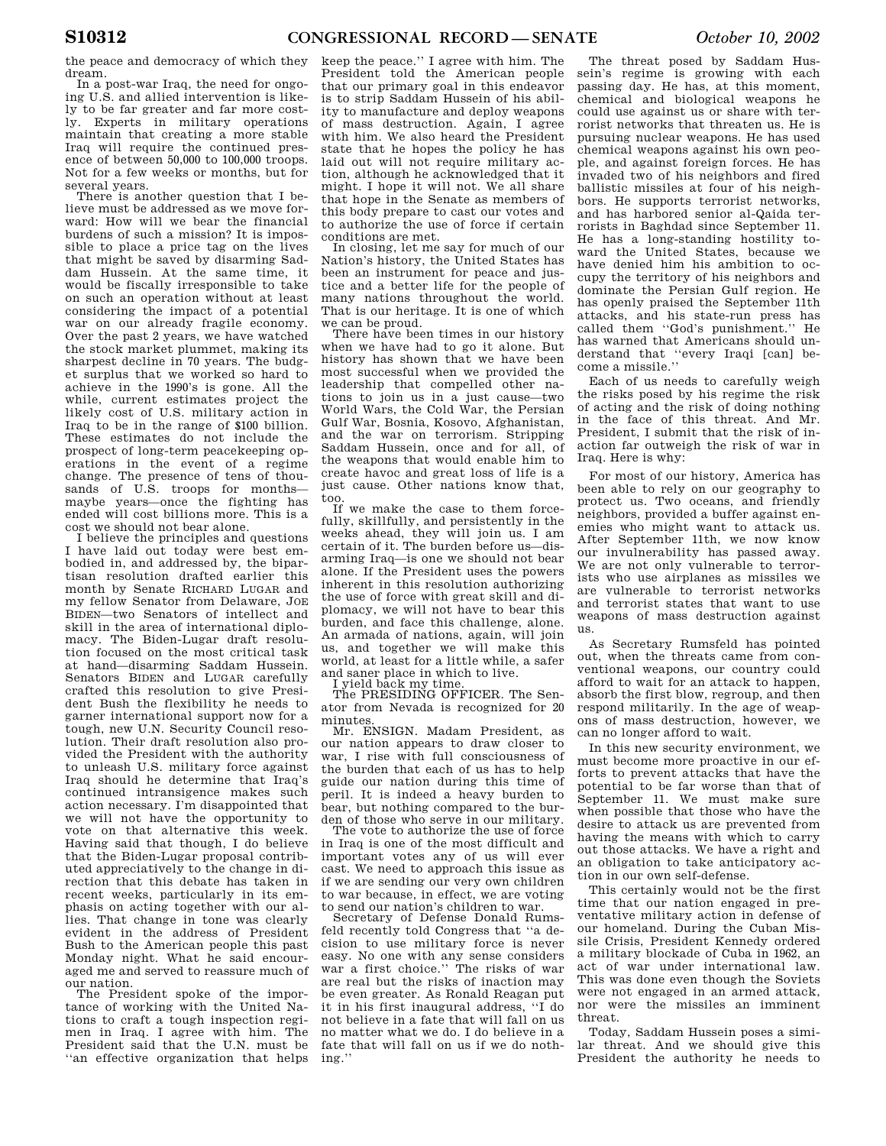the peace and democracy of which they dream.

In a post-war Iraq, the need for ongoing U.S. and allied intervention is likely to be far greater and far more costly. Experts in military operations maintain that creating a more stable Iraq will require the continued presence of between 50,000 to 100,000 troops. Not for a few weeks or months, but for several years.

There is another question that I believe must be addressed as we move forward: How will we bear the financial burdens of such a mission? It is impossible to place a price tag on the lives that might be saved by disarming Saddam Hussein. At the same time, it would be fiscally irresponsible to take on such an operation without at least considering the impact of a potential war on our already fragile economy. Over the past 2 years, we have watched the stock market plummet, making its sharpest decline in 70 years. The budget surplus that we worked so hard to achieve in the 1990's is gone. All the while, current estimates project the likely cost of U.S. military action in Iraq to be in the range of \$100 billion. These estimates do not include the prospect of long-term peacekeeping operations in the event of a regime change. The presence of tens of thousands of U.S. troops for monthsmaybe years—once the fighting has ended will cost billions more. This is a cost we should not bear alone.

I believe the principles and questions I have laid out today were best embodied in, and addressed by, the bipartisan resolution drafted earlier this month by Senate RICHARD LUGAR and my fellow Senator from Delaware, JOE BIDEN—two Senators of intellect and skill in the area of international diplomacy. The Biden-Lugar draft resolution focused on the most critical task at hand—disarming Saddam Hussein. Senators BIDEN and LUGAR carefully crafted this resolution to give President Bush the flexibility he needs to garner international support now for a tough, new U.N. Security Council resolution. Their draft resolution also provided the President with the authority to unleash U.S. military force against Iraq should he determine that Iraq's continued intransigence makes such action necessary. I'm disappointed that we will not have the opportunity to vote on that alternative this week. Having said that though, I do believe that the Biden-Lugar proposal contributed appreciatively to the change in direction that this debate has taken in recent weeks, particularly in its emphasis on acting together with our allies. That change in tone was clearly evident in the address of President Bush to the American people this past Monday night. What he said encouraged me and served to reassure much of our nation.

The President spoke of the importance of working with the United Nations to craft a tough inspection regimen in Iraq. I agree with him. The President said that the U.N. must be ''an effective organization that helps

keep the peace.'' I agree with him. The President told the American people that our primary goal in this endeavor is to strip Saddam Hussein of his ability to manufacture and deploy weapons of mass destruction. Again, I agree with him. We also heard the President state that he hopes the policy he has laid out will not require military action, although he acknowledged that it might. I hope it will not. We all share that hope in the Senate as members of this body prepare to cast our votes and to authorize the use of force if certain conditions are met.

In closing, let me say for much of our Nation's history, the United States has been an instrument for peace and justice and a better life for the people of many nations throughout the world. That is our heritage. It is one of which we can be proud.

There have been times in our history when we have had to go it alone. But history has shown that we have been most successful when we provided the leadership that compelled other nations to join us in a just cause—two World Wars, the Cold War, the Persian Gulf War, Bosnia, Kosovo, Afghanistan, and the war on terrorism. Stripping Saddam Hussein, once and for all, of the weapons that would enable him to create havoc and great loss of life is a just cause. Other nations know that,

too. If we make the case to them forcefully, skillfully, and persistently in the weeks ahead, they will join us. I am certain of it. The burden before us—disarming Iraq—is one we should not bear alone. If the President uses the powers inherent in this resolution authorizing the use of force with great skill and diplomacy, we will not have to bear this burden, and face this challenge, alone. An armada of nations, again, will join us, and together we will make this world, at least for a little while, a safer and saner place in which to live.

I yield back my time. The PRESIDING OFFICER. The Senator from Nevada is recognized for 20 minutes.

Mr. ENSIGN. Madam President, as our nation appears to draw closer to war, I rise with full consciousness of the burden that each of us has to help guide our nation during this time of peril. It is indeed a heavy burden to bear, but nothing compared to the burden of those who serve in our military.

The vote to authorize the use of force in Iraq is one of the most difficult and important votes any of us will ever cast. We need to approach this issue as if we are sending our very own children to war because, in effect, we are voting to send our nation's children to war.

Secretary of Defense Donald Rumsfeld recently told Congress that ''a decision to use military force is never easy. No one with any sense considers war a first choice.'' The risks of war are real but the risks of inaction may be even greater. As Ronald Reagan put it in his first inaugural address, ''I do not believe in a fate that will fall on us no matter what we do. I do believe in a fate that will fall on us if we do nothing.''

The threat posed by Saddam Hussein's regime is growing with each passing day. He has, at this moment, chemical and biological weapons he could use against us or share with terrorist networks that threaten us. He is pursuing nuclear weapons. He has used chemical weapons against his own people, and against foreign forces. He has invaded two of his neighbors and fired ballistic missiles at four of his neighbors. He supports terrorist networks, and has harbored senior al-Qaida terrorists in Baghdad since September 11. He has a long-standing hostility toward the United States, because we have denied him his ambition to occupy the territory of his neighbors and dominate the Persian Gulf region. He has openly praised the September 11th attacks, and his state-run press has called them ''God's punishment.'' He has warned that Americans should understand that ''every Iraqi [can] become a missile.''

Each of us needs to carefully weigh the risks posed by his regime the risk of acting and the risk of doing nothing in the face of this threat. And Mr. President, I submit that the risk of inaction far outweigh the risk of war in Iraq. Here is why:

For most of our history, America has been able to rely on our geography to protect us. Two oceans, and friendly neighbors, provided a buffer against enemies who might want to attack us. After September 11th, we now know our invulnerability has passed away. We are not only vulnerable to terrorists who use airplanes as missiles we are vulnerable to terrorist networks and terrorist states that want to use weapons of mass destruction against us.

As Secretary Rumsfeld has pointed out, when the threats came from conventional weapons, our country could afford to wait for an attack to happen, absorb the first blow, regroup, and then respond militarily. In the age of weapons of mass destruction, however, we can no longer afford to wait.

In this new security environment, we must become more proactive in our efforts to prevent attacks that have the potential to be far worse than that of September 11. We must make sure when possible that those who have the desire to attack us are prevented from having the means with which to carry out those attacks. We have a right and an obligation to take anticipatory action in our own self-defense.

This certainly would not be the first time that our nation engaged in preventative military action in defense of our homeland. During the Cuban Missile Crisis, President Kennedy ordered a military blockade of Cuba in 1962, an act of war under international law. This was done even though the Soviets were not engaged in an armed attack, nor were the missiles an imminent threat.

Today, Saddam Hussein poses a similar threat. And we should give this President the authority he needs to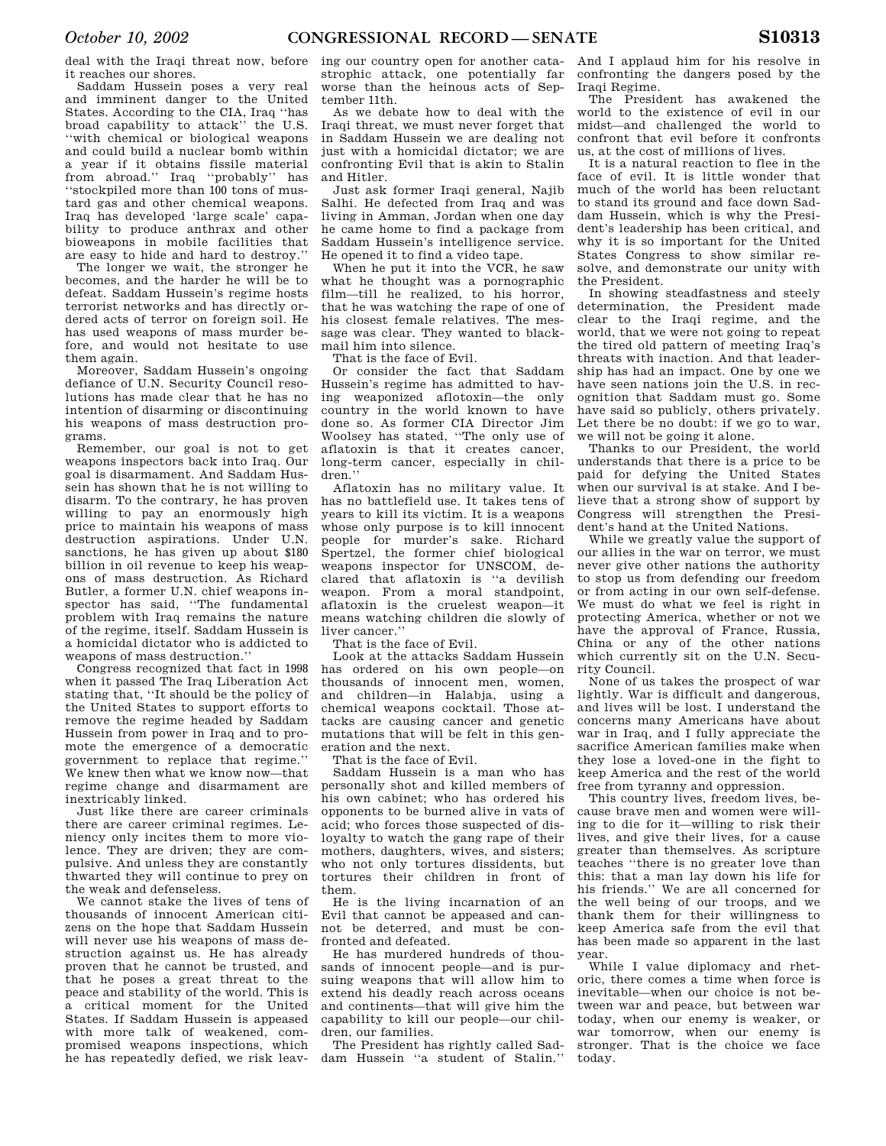deal with the Iraqi threat now, before it reaches our shores.

Saddam Hussein poses a very real and imminent danger to the United States. According to the CIA, Iraq ''has broad capability to attack'' the U.S. ''with chemical or biological weapons and could build a nuclear bomb within a year if it obtains fissile material from abroad.'' Iraq ''probably'' has ''stockpiled more than 100 tons of mustard gas and other chemical weapons. Iraq has developed 'large scale' capability to produce anthrax and other bioweapons in mobile facilities that are easy to hide and hard to destroy.''

The longer we wait, the stronger he becomes, and the harder he will be to defeat. Saddam Hussein's regime hosts terrorist networks and has directly ordered acts of terror on foreign soil. He has used weapons of mass murder before, and would not hesitate to use them again.

Moreover, Saddam Hussein's ongoing defiance of U.N. Security Council resolutions has made clear that he has no intention of disarming or discontinuing his weapons of mass destruction programs.

Remember, our goal is not to get weapons inspectors back into Iraq. Our goal is disarmament. And Saddam Hussein has shown that he is not willing to disarm. To the contrary, he has proven willing to pay an enormously high price to maintain his weapons of mass destruction aspirations. Under U.N. sanctions, he has given up about \$180 billion in oil revenue to keep his weapons of mass destruction. As Richard Butler, a former U.N. chief weapons inspector has said, ''The fundamental problem with Iraq remains the nature of the regime, itself. Saddam Hussein is a homicidal dictator who is addicted to weapons of mass destruction.''

Congress recognized that fact in 1998 when it passed The Iraq Liberation Act stating that, ''It should be the policy of the United States to support efforts to remove the regime headed by Saddam Hussein from power in Iraq and to promote the emergence of a democratic government to replace that regime.'' We knew then what we know now—that regime change and disarmament are inextricably linked.

Just like there are career criminals there are career criminal regimes. Leniency only incites them to more violence. They are driven; they are compulsive. And unless they are constantly thwarted they will continue to prey on the weak and defenseless.

We cannot stake the lives of tens of thousands of innocent American citizens on the hope that Saddam Hussein will never use his weapons of mass destruction against us. He has already proven that he cannot be trusted, and that he poses a great threat to the peace and stability of the world. This is a critical moment for the United States. If Saddam Hussein is appeased with more talk of weakened, compromised weapons inspections, which he has repeatedly defied, we risk leav-

ing our country open for another catastrophic attack, one potentially far worse than the heinous acts of September 11th.

As we debate how to deal with the Iraqi threat, we must never forget that in Saddam Hussein we are dealing not just with a homicidal dictator; we are confronting Evil that is akin to Stalin and Hitler.

Just ask former Iraqi general, Najib Salhi. He defected from Iraq and was living in Amman, Jordan when one day he came home to find a package from Saddam Hussein's intelligence service. He opened it to find a video tape.

When he put it into the VCR, he saw what he thought was a pornographic film—till he realized, to his horror, that he was watching the rape of one of his closest female relatives. The message was clear. They wanted to blackmail him into silence.

That is the face of Evil.

Or consider the fact that Saddam Hussein's regime has admitted to having weaponized aflotoxin—the only country in the world known to have done so. As former CIA Director Jim Woolsey has stated, ''The only use of aflatoxin is that it creates cancer, long-term cancer, especially in children.''

Aflatoxin has no military value. It has no battlefield use. It takes tens of years to kill its victim. It is a weapons whose only purpose is to kill innocent people for murder's sake. Richard Spertzel, the former chief biological weapons inspector for UNSCOM, declared that aflatoxin is ''a devilish weapon. From a moral standpoint, aflatoxin is the cruelest weapon—it means watching children die slowly of liver cancer.''

That is the face of Evil.

Look at the attacks Saddam Hussein has ordered on his own people—on thousands of innocent men, women, and children—in Halabja, using a chemical weapons cocktail. Those attacks are causing cancer and genetic mutations that will be felt in this generation and the next.

That is the face of Evil.

Saddam Hussein is a man who has personally shot and killed members of his own cabinet; who has ordered his opponents to be burned alive in vats of acid; who forces those suspected of disloyalty to watch the gang rape of their mothers, daughters, wives, and sisters; who not only tortures dissidents, but tortures their children in front of them.

He is the living incarnation of an Evil that cannot be appeased and cannot be deterred, and must be confronted and defeated.

He has murdered hundreds of thousands of innocent people—and is pursuing weapons that will allow him to extend his deadly reach across oceans and continents—that will give him the capability to kill our people—our children, our families.

The President has rightly called Saddam Hussein ''a student of Stalin.'' And I applaud him for his resolve in confronting the dangers posed by the Iraqi Regime.

The President has awakened the world to the existence of evil in our midst—and challenged the world to confront that evil before it confronts us, at the cost of millions of lives.

It is a natural reaction to flee in the face of evil. It is little wonder that much of the world has been reluctant to stand its ground and face down Saddam Hussein, which is why the President's leadership has been critical, and why it is so important for the United States Congress to show similar resolve, and demonstrate our unity with the President.

In showing steadfastness and steely determination, the President made clear to the Iraqi regime, and the world, that we were not going to repeat the tired old pattern of meeting Iraq's threats with inaction. And that leadership has had an impact. One by one we have seen nations join the U.S. in recognition that Saddam must go. Some have said so publicly, others privately. Let there be no doubt: if we go to war, we will not be going it alone.

Thanks to our President, the world understands that there is a price to be paid for defying the United States when our survival is at stake. And I believe that a strong show of support by Congress will strengthen the President's hand at the United Nations.

While we greatly value the support of our allies in the war on terror, we must never give other nations the authority to stop us from defending our freedom or from acting in our own self-defense. We must do what we feel is right in protecting America, whether or not we have the approval of France, Russia, China or any of the other nations which currently sit on the U.N. Security Council.

None of us takes the prospect of war lightly. War is difficult and dangerous, and lives will be lost. I understand the concerns many Americans have about war in Iraq, and I fully appreciate the sacrifice American families make when they lose a loved-one in the fight to keep America and the rest of the world free from tyranny and oppression.

This country lives, freedom lives, because brave men and women were willing to die for it—willing to risk their lives, and give their lives, for a cause greater than themselves. As scripture teaches ''there is no greater love than this: that a man lay down his life for his friends.'' We are all concerned for the well being of our troops, and we thank them for their willingness to keep America safe from the evil that has been made so apparent in the last year.

While I value diplomacy and rhetoric, there comes a time when force is inevitable—when our choice is not between war and peace, but between war today, when our enemy is weaker, or war tomorrow, when our enemy is stronger. That is the choice we face today.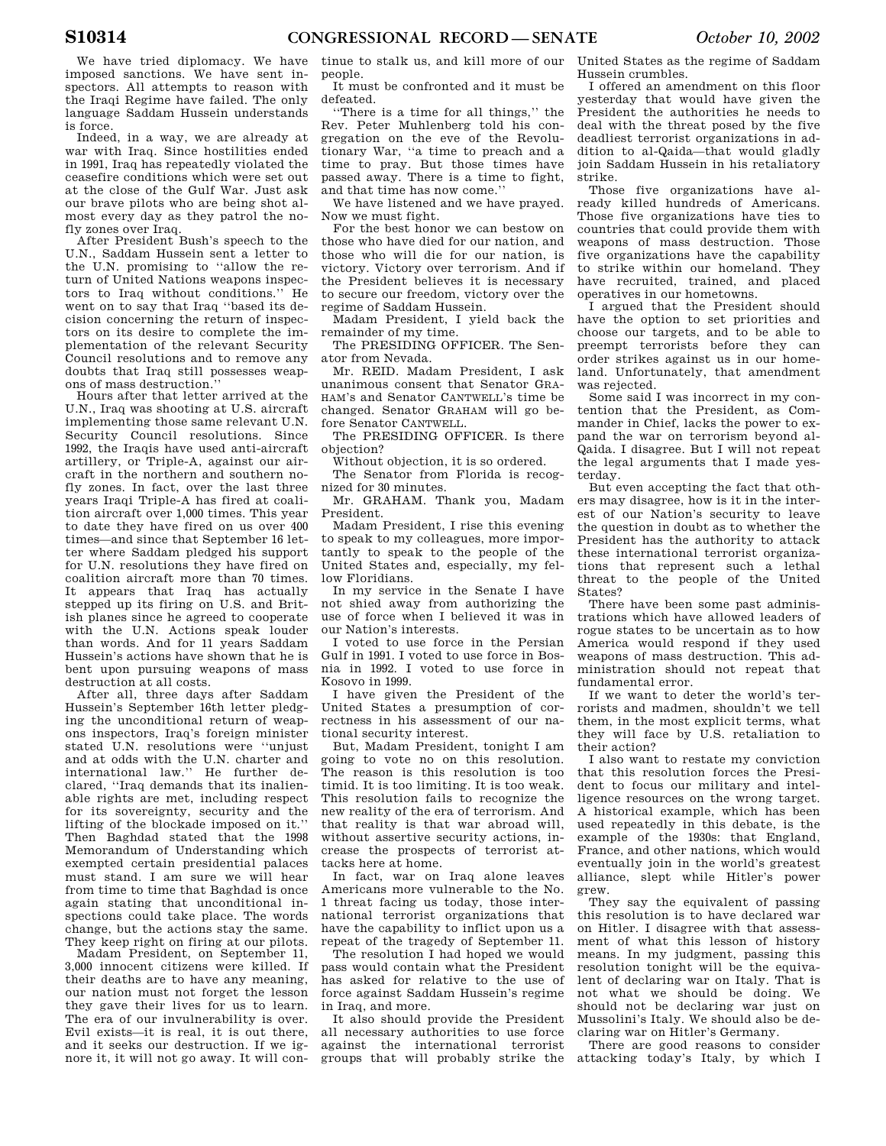We have tried diplomacy. We have imposed sanctions. We have sent inspectors. All attempts to reason with the Iraqi Regime have failed. The only language Saddam Hussein understands is force.

Indeed, in a way, we are already at war with Iraq. Since hostilities ended in 1991, Iraq has repeatedly violated the ceasefire conditions which were set out at the close of the Gulf War. Just ask our brave pilots who are being shot almost every day as they patrol the nofly zones over Iraq.

After President Bush's speech to the U.N., Saddam Hussein sent a letter to the U.N. promising to ''allow the return of United Nations weapons inspectors to Iraq without conditions.'' He went on to say that Iraq ''based its decision concerning the return of inspectors on its desire to complete the implementation of the relevant Security Council resolutions and to remove any doubts that Iraq still possesses weapons of mass destruction.''

Hours after that letter arrived at the U.N., Iraq was shooting at U.S. aircraft implementing those same relevant U.N. Security Council resolutions. Since 1992, the Iraqis have used anti-aircraft artillery, or Triple-A, against our aircraft in the northern and southern nofly zones. In fact, over the last three years Iraqi Triple-A has fired at coalition aircraft over 1,000 times. This year to date they have fired on us over 400 times—and since that September 16 letter where Saddam pledged his support for U.N. resolutions they have fired on coalition aircraft more than 70 times. It appears that Iraq has actually stepped up its firing on U.S. and British planes since he agreed to cooperate with the U.N. Actions speak louder than words. And for 11 years Saddam Hussein's actions have shown that he is bent upon pursuing weapons of mass destruction at all costs.

After all, three days after Saddam Hussein's September 16th letter pledging the unconditional return of weapons inspectors, Iraq's foreign minister stated U.N. resolutions were ''unjust and at odds with the U.N. charter and international law.'' He further declared, ''Iraq demands that its inalienable rights are met, including respect for its sovereignty, security and the lifting of the blockade imposed on it.'' Then Baghdad stated that the 1998 Memorandum of Understanding which exempted certain presidential palaces must stand. I am sure we will hear from time to time that Baghdad is once again stating that unconditional inspections could take place. The words change, but the actions stay the same. They keep right on firing at our pilots.

Madam President, on September 11, 3,000 innocent citizens were killed. If their deaths are to have any meaning, our nation must not forget the lesson they gave their lives for us to learn. The era of our invulnerability is over. Evil exists—it is real, it is out there, and it seeks our destruction. If we ignore it, it will not go away. It will con-

tinue to stalk us, and kill more of our people.

It must be confronted and it must be defeated.

''There is a time for all things,'' the Rev. Peter Muhlenberg told his congregation on the eve of the Revolutionary War, ''a time to preach and a time to pray. But those times have passed away. There is a time to fight, and that time has now come.''

We have listened and we have prayed. Now we must fight.

For the best honor we can bestow on those who have died for our nation, and those who will die for our nation, is victory. Victory over terrorism. And if the President believes it is necessary to secure our freedom, victory over the regime of Saddam Hussein.

Madam President, I yield back the remainder of my time.

The PRESIDING OFFICER. The Senator from Nevada.

Mr. REID. Madam President, I ask unanimous consent that Senator GRA-HAM's and Senator CANTWELL's time be changed. Senator GRAHAM will go before Senator CANTWELL.

The PRESIDING OFFICER. Is there objection?

Without objection, it is so ordered.

The Senator from Florida is recognized for 30 minutes.

Mr. GRAHAM. Thank you, Madam President.

Madam President, I rise this evening to speak to my colleagues, more importantly to speak to the people of the United States and, especially, my fellow Floridians.

In my service in the Senate I have not shied away from authorizing the use of force when I believed it was in our Nation's interests.

I voted to use force in the Persian Gulf in 1991. I voted to use force in Bosnia in 1992. I voted to use force in Kosovo in 1999.

I have given the President of the United States a presumption of correctness in his assessment of our national security interest.

But, Madam President, tonight I am going to vote no on this resolution. The reason is this resolution is too timid. It is too limiting. It is too weak. This resolution fails to recognize the new reality of the era of terrorism. And that reality is that war abroad will, without assertive security actions, increase the prospects of terrorist attacks here at home.

In fact, war on Iraq alone leaves Americans more vulnerable to the No. 1 threat facing us today, those international terrorist organizations that have the capability to inflict upon us a repeat of the tragedy of September 11.

The resolution I had hoped we would pass would contain what the President has asked for relative to the use of force against Saddam Hussein's regime in Iraq, and more.

It also should provide the President all necessary authorities to use force against the international terrorist groups that will probably strike the

United States as the regime of Saddam Hussein crumbles.

I offered an amendment on this floor yesterday that would have given the President the authorities he needs to deal with the threat posed by the five deadliest terrorist organizations in addition to al-Qaida—that would gladly join Saddam Hussein in his retaliatory strike.

Those five organizations have already killed hundreds of Americans. Those five organizations have ties to countries that could provide them with weapons of mass destruction. Those five organizations have the capability to strike within our homeland. They have recruited, trained, and placed operatives in our hometowns.

I argued that the President should have the option to set priorities and choose our targets, and to be able to preempt terrorists before they can order strikes against us in our homeland. Unfortunately, that amendment was rejected.

Some said I was incorrect in my contention that the President, as Commander in Chief, lacks the power to expand the war on terrorism beyond al-Qaida. I disagree. But I will not repeat the legal arguments that I made yesterday.

But even accepting the fact that others may disagree, how is it in the interest of our Nation's security to leave the question in doubt as to whether the President has the authority to attack these international terrorist organizations that represent such a lethal threat to the people of the United States?

There have been some past administrations which have allowed leaders of rogue states to be uncertain as to how America would respond if they used weapons of mass destruction. This administration should not repeat that fundamental error.

If we want to deter the world's terrorists and madmen, shouldn't we tell them, in the most explicit terms, what they will face by U.S. retaliation to their action?

I also want to restate my conviction that this resolution forces the President to focus our military and intelligence resources on the wrong target. A historical example, which has been used repeatedly in this debate, is the example of the 1930s: that England, France, and other nations, which would eventually join in the world's greatest alliance, slept while Hitler's power grew.

They say the equivalent of passing this resolution is to have declared war on Hitler. I disagree with that assessment of what this lesson of history means. In my judgment, passing this resolution tonight will be the equivalent of declaring war on Italy. That is not what we should be doing. We should not be declaring war just on Mussolini's Italy. We should also be declaring war on Hitler's Germany.

There are good reasons to consider attacking today's Italy, by which I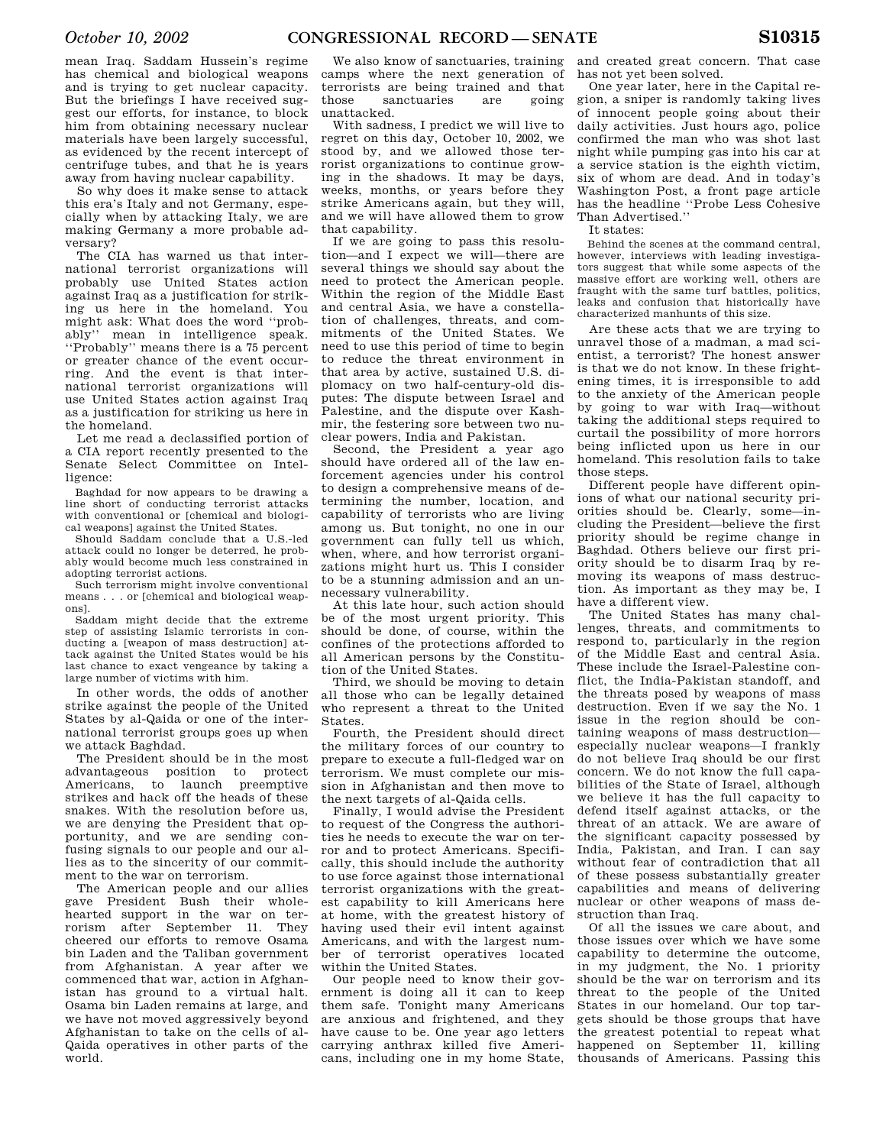mean Iraq. Saddam Hussein's regime has chemical and biological weapons and is trying to get nuclear capacity. But the briefings I have received suggest our efforts, for instance, to block him from obtaining necessary nuclear materials have been largely successful, as evidenced by the recent intercept of centrifuge tubes, and that he is years away from having nuclear capability.

So why does it make sense to attack this era's Italy and not Germany, especially when by attacking Italy, we are making Germany a more probable adversary?

The CIA has warned us that international terrorist organizations will probably use United States action against Iraq as a justification for striking us here in the homeland. You might ask: What does the word ''probably'' mean in intelligence speak. ''Probably'' means there is a 75 percent or greater chance of the event occurring. And the event is that international terrorist organizations will use United States action against Iraq as a justification for striking us here in the homeland.

Let me read a declassified portion of a CIA report recently presented to the Senate Select Committee on Intelligence:

Baghdad for now appears to be drawing a line short of conducting terrorist attacks with conventional or [chemical and biological weapons] against the United States.

Should Saddam conclude that a U.S.-led attack could no longer be deterred, he probably would become much less constrained in adopting terrorist actions.

Such terrorism might involve conventional means . . . or [chemical and biological weapons].

Saddam might decide that the extreme step of assisting Islamic terrorists in conducting a [weapon of mass destruction] attack against the United States would be his last chance to exact vengeance by taking a large number of victims with him.

In other words, the odds of another strike against the people of the United States by al-Qaida or one of the international terrorist groups goes up when we attack Baghdad.

The President should be in the most advantageous position to protect Americans, to launch preemptive strikes and hack off the heads of these snakes. With the resolution before us, we are denying the President that opportunity, and we are sending confusing signals to our people and our allies as to the sincerity of our commitment to the war on terrorism.

The American people and our allies gave President Bush their wholehearted support in the war on terrorism after September 11. They cheered our efforts to remove Osama bin Laden and the Taliban government from Afghanistan. A year after we commenced that war, action in Afghanistan has ground to a virtual halt. Osama bin Laden remains at large, and we have not moved aggressively beyond Afghanistan to take on the cells of al-Qaida operatives in other parts of the world.

We also know of sanctuaries, training camps where the next generation of terrorists are being trained and that those sanctuaries are going unattacked.

With sadness, I predict we will live to regret on this day, October 10, 2002, we stood by, and we allowed those terrorist organizations to continue growing in the shadows. It may be days, weeks, months, or years before they strike Americans again, but they will, and we will have allowed them to grow that capability.

If we are going to pass this resolution—and I expect we will—there are several things we should say about the need to protect the American people. Within the region of the Middle East and central Asia, we have a constellation of challenges, threats, and commitments of the United States. We need to use this period of time to begin to reduce the threat environment in that area by active, sustained U.S. diplomacy on two half-century-old disputes: The dispute between Israel and Palestine, and the dispute over Kashmir, the festering sore between two nuclear powers, India and Pakistan.

Second, the President a year ago should have ordered all of the law enforcement agencies under his control to design a comprehensive means of determining the number, location, and capability of terrorists who are living among us. But tonight, no one in our government can fully tell us which, when, where, and how terrorist organizations might hurt us. This I consider to be a stunning admission and an unnecessary vulnerability.

At this late hour, such action should be of the most urgent priority. This should be done, of course, within the confines of the protections afforded to all American persons by the Constitution of the United States.

Third, we should be moving to detain all those who can be legally detained who represent a threat to the United States.

Fourth, the President should direct the military forces of our country to prepare to execute a full-fledged war on terrorism. We must complete our mission in Afghanistan and then move to the next targets of al-Qaida cells.

Finally, I would advise the President to request of the Congress the authorities he needs to execute the war on terror and to protect Americans. Specifically, this should include the authority to use force against those international terrorist organizations with the greatest capability to kill Americans here at home, with the greatest history of having used their evil intent against Americans, and with the largest number of terrorist operatives located within the United States.

Our people need to know their government is doing all it can to keep them safe. Tonight many Americans are anxious and frightened, and they have cause to be. One year ago letters carrying anthrax killed five Americans, including one in my home State,

and created great concern. That case has not yet been solved.

One year later, here in the Capital region, a sniper is randomly taking lives of innocent people going about their daily activities. Just hours ago, police confirmed the man who was shot last night while pumping gas into his car at a service station is the eighth victim, six of whom are dead. And in today's Washington Post, a front page article has the headline ''Probe Less Cohesive Than Advertised.''

It states:

Behind the scenes at the command central, however, interviews with leading investigators suggest that while some aspects of the massive effort are working well, others are fraught with the same turf battles, politics, leaks and confusion that historically have characterized manhunts of this size.

Are these acts that we are trying to unravel those of a madman, a mad scientist, a terrorist? The honest answer is that we do not know. In these frightening times, it is irresponsible to add to the anxiety of the American people by going to war with Iraq—without taking the additional steps required to curtail the possibility of more horrors being inflicted upon us here in our homeland. This resolution fails to take those steps.

Different people have different opinions of what our national security priorities should be. Clearly, some—including the President—believe the first priority should be regime change in Baghdad. Others believe our first priority should be to disarm Iraq by removing its weapons of mass destruction. As important as they may be, I have a different view.

The United States has many challenges, threats, and commitments to respond to, particularly in the region of the Middle East and central Asia. These include the Israel-Palestine conflict, the India-Pakistan standoff, and the threats posed by weapons of mass destruction. Even if we say the No. 1 issue in the region should be containing weapons of mass destruction especially nuclear weapons—I frankly do not believe Iraq should be our first concern. We do not know the full capabilities of the State of Israel, although we believe it has the full capacity to defend itself against attacks, or the threat of an attack. We are aware of the significant capacity possessed by India, Pakistan, and Iran. I can say without fear of contradiction that all of these possess substantially greater capabilities and means of delivering nuclear or other weapons of mass destruction than Iraq.

Of all the issues we care about, and those issues over which we have some capability to determine the outcome, in my judgment, the No. 1 priority should be the war on terrorism and its threat to the people of the United States in our homeland. Our top targets should be those groups that have the greatest potential to repeat what happened on September 11, killing thousands of Americans. Passing this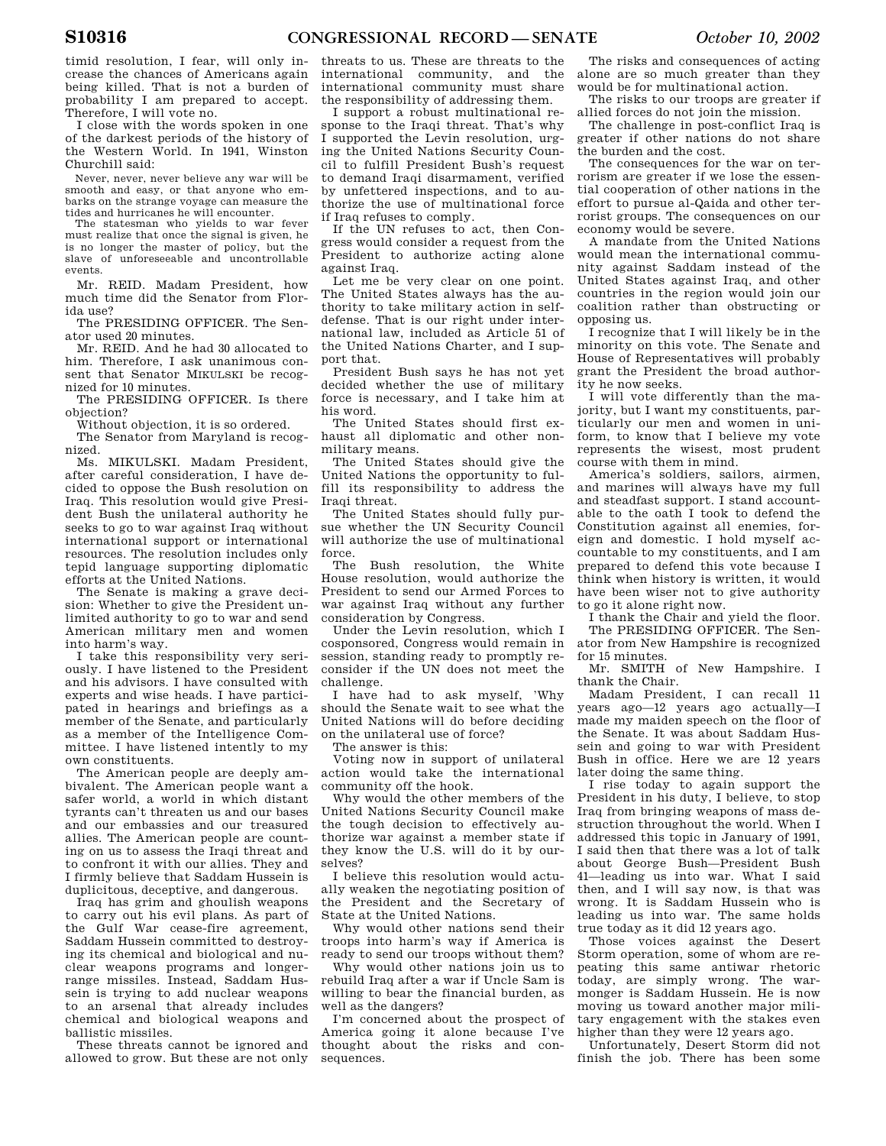timid resolution, I fear, will only increase the chances of Americans again being killed. That is not a burden of probability I am prepared to accept. Therefore, I will vote no.

I close with the words spoken in one of the darkest periods of the history of the Western World. In 1941, Winston Churchill said:

Never, never, never believe any war will be smooth and easy, or that anyone who embarks on the strange voyage can measure the tides and hurricanes he will encounter.

The statesman who yields to war fever must realize that once the signal is given, he is no longer the master of policy, but the slave of unforeseeable and uncontrollable events.

Mr. REID. Madam President, how much time did the Senator from Florida use?

The PRESIDING OFFICER. The Senator used 20 minutes.

Mr. REID. And he had 30 allocated to him. Therefore, I ask unanimous consent that Senator MIKULSKI be recognized for 10 minutes.

The PRESIDING OFFICER. Is there objection?

Without objection, it is so ordered.

The Senator from Maryland is recognized.

Ms. MIKULSKI. Madam President, after careful consideration, I have decided to oppose the Bush resolution on Iraq. This resolution would give President Bush the unilateral authority he seeks to go to war against Iraq without international support or international resources. The resolution includes only tepid language supporting diplomatic efforts at the United Nations.

The Senate is making a grave decision: Whether to give the President unlimited authority to go to war and send American military men and women into harm's way.

I take this responsibility very seriously. I have listened to the President and his advisors. I have consulted with experts and wise heads. I have participated in hearings and briefings as a member of the Senate, and particularly as a member of the Intelligence Committee. I have listened intently to my own constituents.

The American people are deeply ambivalent. The American people want a safer world, a world in which distant tyrants can't threaten us and our bases and our embassies and our treasured allies. The American people are counting on us to assess the Iraqi threat and to confront it with our allies. They and I firmly believe that Saddam Hussein is duplicitous, deceptive, and dangerous.

Iraq has grim and ghoulish weapons to carry out his evil plans. As part of the Gulf War cease-fire agreement, Saddam Hussein committed to destroying its chemical and biological and nuclear weapons programs and longerrange missiles. Instead, Saddam Hussein is trying to add nuclear weapons to an arsenal that already includes chemical and biological weapons and ballistic missiles.

These threats cannot be ignored and allowed to grow. But these are not only

threats to us. These are threats to the international community, and the international community must share the responsibility of addressing them.

I support a robust multinational response to the Iraqi threat. That's why I supported the Levin resolution, urging the United Nations Security Council to fulfill President Bush's request to demand Iraqi disarmament, verified by unfettered inspections, and to authorize the use of multinational force if Iraq refuses to comply.

If the UN refuses to act, then Congress would consider a request from the President to authorize acting alone against Iraq.

Let me be very clear on one point. The United States always has the authority to take military action in selfdefense. That is our right under international law, included as Article 51 of the United Nations Charter, and I support that.

President Bush says he has not yet decided whether the use of military force is necessary, and I take him at his word.

The United States should first exhaust all diplomatic and other nonmilitary means.

The United States should give the United Nations the opportunity to fulfill its responsibility to address the Iraqi threat.

The United States should fully pursue whether the UN Security Council will authorize the use of multinational

force.<br>The Bush resolution, the White House resolution, would authorize the President to send our Armed Forces to war against Iraq without any further consideration by Congress.

Under the Levin resolution, which I cosponsored, Congress would remain in session, standing ready to promptly reconsider if the UN does not meet the challenge.

I have had to ask myself, 'Why should the Senate wait to see what the United Nations will do before deciding on the unilateral use of force?

The answer is this:

Voting now in support of unilateral action would take the international community off the hook.

Why would the other members of the United Nations Security Council make the tough decision to effectively authorize war against a member state if they know the U.S. will do it by ourselves?

I believe this resolution would actually weaken the negotiating position of the President and the Secretary of State at the United Nations.

Why would other nations send their troops into harm's way if America is ready to send our troops without them?

Why would other nations join us to rebuild Iraq after a war if Uncle Sam is willing to bear the financial burden, as well as the dangers?

I'm concerned about the prospect of America going it alone because I've thought about the risks and consequences.

The risks and consequences of acting alone are so much greater than they would be for multinational action.

The risks to our troops are greater if allied forces do not join the mission.

The challenge in post-conflict Iraq is greater if other nations do not share the burden and the cost.

The consequences for the war on terrorism are greater if we lose the essential cooperation of other nations in the effort to pursue al-Qaida and other terrorist groups. The consequences on our economy would be severe.

A mandate from the United Nations would mean the international community against Saddam instead of the United States against Iraq, and other countries in the region would join our coalition rather than obstructing or opposing us.

I recognize that I will likely be in the minority on this vote. The Senate and House of Representatives will probably grant the President the broad authority he now seeks.

I will vote differently than the majority, but I want my constituents, particularly our men and women in uniform, to know that I believe my vote represents the wisest, most prudent course with them in mind.

America's soldiers, sailors, airmen, and marines will always have my full and steadfast support. I stand accountable to the oath I took to defend the Constitution against all enemies, foreign and domestic. I hold myself accountable to my constituents, and I am prepared to defend this vote because I think when history is written, it would have been wiser not to give authority to go it alone right now.

I thank the Chair and yield the floor.

The PRESIDING OFFICER. The Senator from New Hampshire is recognized for 15 minutes.

Mr. SMITH of New Hampshire. I thank the Chair.

Madam President, I can recall 11 years ago—12 years ago actually—I made my maiden speech on the floor of the Senate. It was about Saddam Hussein and going to war with President Bush in office. Here we are 12 years later doing the same thing.

I rise today to again support the President in his duty, I believe, to stop Iraq from bringing weapons of mass destruction throughout the world. When I addressed this topic in January of 1991, I said then that there was a lot of talk about George Bush—President Bush 41—leading us into war. What I said then, and I will say now, is that was wrong. It is Saddam Hussein who is leading us into war. The same holds true today as it did 12 years ago.

Those voices against the Desert Storm operation, some of whom are repeating this same antiwar rhetoric today, are simply wrong. The warmonger is Saddam Hussein. He is now moving us toward another major military engagement with the stakes even higher than they were 12 years ago.

Unfortunately, Desert Storm did not finish the job. There has been some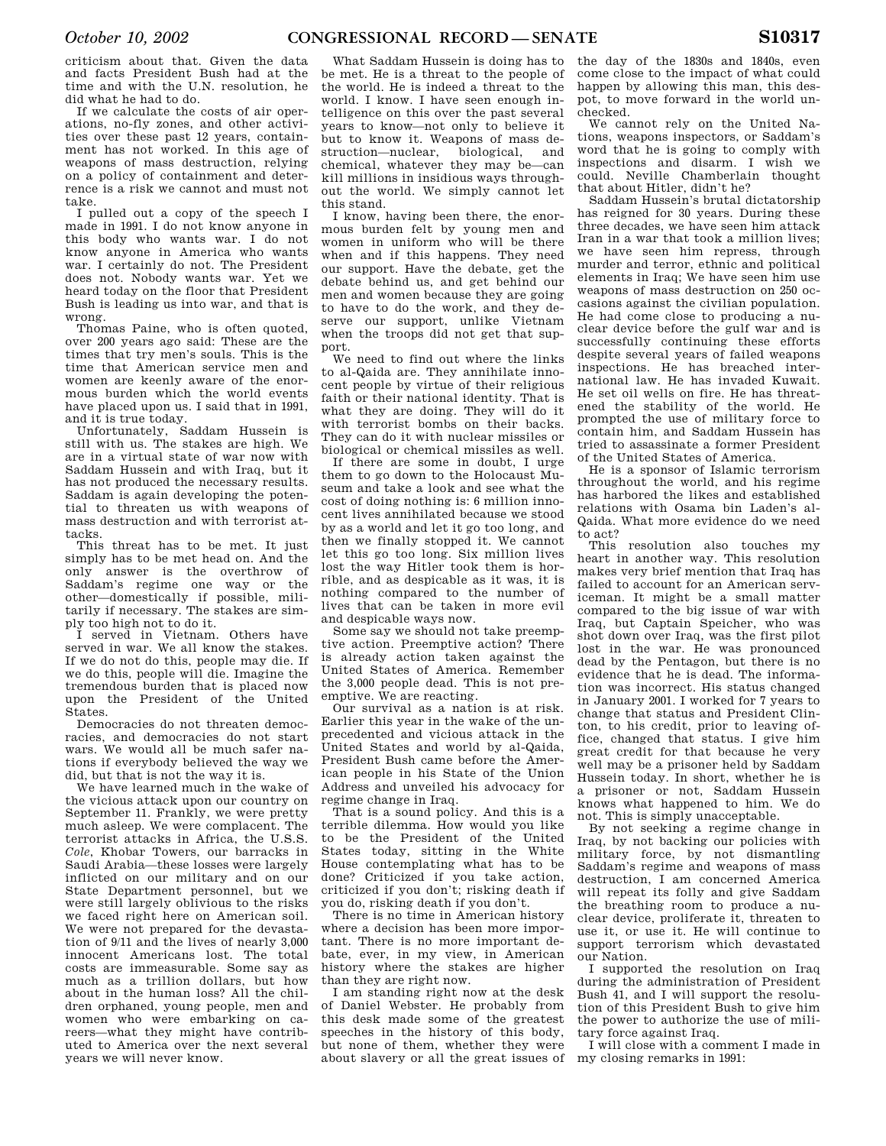criticism about that. Given the data and facts President Bush had at the time and with the U.N. resolution, he did what he had to do.

If we calculate the costs of air operations, no-fly zones, and other activities over these past 12 years, containment has not worked. In this age of weapons of mass destruction, relying on a policy of containment and deterrence is a risk we cannot and must not take.

I pulled out a copy of the speech I made in 1991. I do not know anyone in this body who wants war. I do not know anyone in America who wants war. I certainly do not. The President does not. Nobody wants war. Yet we heard today on the floor that President Bush is leading us into war, and that is wrong.

Thomas Paine, who is often quoted, over 200 years ago said: These are the times that try men's souls. This is the time that American service men and women are keenly aware of the enormous burden which the world events have placed upon us. I said that in 1991, and it is true today.

Unfortunately, Saddam Hussein is still with us. The stakes are high. We are in a virtual state of war now with Saddam Hussein and with Iraq, but it has not produced the necessary results. Saddam is again developing the potential to threaten us with weapons of mass destruction and with terrorist attacks.

This threat has to be met. It just simply has to be met head on. And the only answer is the overthrow of Saddam's regime one way or the other—domestically if possible, militarily if necessary. The stakes are simply too high not to do it.

I served in Vietnam. Others have served in war. We all know the stakes. If we do not do this, people may die. If we do this, people will die. Imagine the tremendous burden that is placed now upon the President of the United States.

Democracies do not threaten democracies, and democracies do not start wars. We would all be much safer nations if everybody believed the way we did, but that is not the way it is.

We have learned much in the wake of the vicious attack upon our country on September 11. Frankly, we were pretty much asleep. We were complacent. The terrorist attacks in Africa, the U.S.S. *Cole*, Khobar Towers, our barracks in Saudi Arabia—these losses were largely inflicted on our military and on our State Department personnel, but we were still largely oblivious to the risks we faced right here on American soil. We were not prepared for the devastation of 9/11 and the lives of nearly 3,000 innocent Americans lost. The total costs are immeasurable. Some say as much as a trillion dollars, but how about in the human loss? All the children orphaned, young people, men and women who were embarking on careers—what they might have contributed to America over the next several years we will never know.

What Saddam Hussein is doing has to be met. He is a threat to the people of the world. He is indeed a threat to the world. I know. I have seen enough intelligence on this over the past several years to know—not only to believe it but to know it. Weapons of mass destruction—nuclear, biological, and chemical, whatever they may be—can kill millions in insidious ways throughout the world. We simply cannot let this stand.

I know, having been there, the enormous burden felt by young men and women in uniform who will be there when and if this happens. They need our support. Have the debate, get the debate behind us, and get behind our men and women because they are going to have to do the work, and they deserve our support, unlike Vietnam when the troops did not get that support.

We need to find out where the links to al-Qaida are. They annihilate innocent people by virtue of their religious faith or their national identity. That is what they are doing. They will do it with terrorist bombs on their backs. They can do it with nuclear missiles or biological or chemical missiles as well.

If there are some in doubt, I urge them to go down to the Holocaust Museum and take a look and see what the cost of doing nothing is: 6 million innocent lives annihilated because we stood by as a world and let it go too long, and then we finally stopped it. We cannot let this go too long. Six million lives lost the way Hitler took them is horrible, and as despicable as it was, it is nothing compared to the number of lives that can be taken in more evil and despicable ways now.

Some say we should not take preemptive action. Preemptive action? There is already action taken against the United States of America. Remember the 3,000 people dead. This is not preemptive. We are reacting.

Our survival as a nation is at risk. Earlier this year in the wake of the unprecedented and vicious attack in the United States and world by al-Qaida, President Bush came before the American people in his State of the Union Address and unveiled his advocacy for regime change in Iraq.

That is a sound policy. And this is a terrible dilemma. How would you like to be the President of the United States today, sitting in the White House contemplating what has to be done? Criticized if you take action, criticized if you don't; risking death if you do, risking death if you don't.

There is no time in American history where a decision has been more important. There is no more important debate, ever, in my view, in American history where the stakes are higher than they are right now.

I am standing right now at the desk of Daniel Webster. He probably from this desk made some of the greatest speeches in the history of this body, but none of them, whether they were about slavery or all the great issues of

the day of the 1830s and 1840s, even come close to the impact of what could happen by allowing this man, this despot, to move forward in the world unchecked.

We cannot rely on the United Nations, weapons inspectors, or Saddam's word that he is going to comply with inspections and disarm. I wish we could. Neville Chamberlain thought that about Hitler, didn't he?

Saddam Hussein's brutal dictatorship has reigned for 30 years. During these three decades, we have seen him attack Iran in a war that took a million lives; we have seen him repress, through murder and terror, ethnic and political elements in Iraq; We have seen him use weapons of mass destruction on 250 occasions against the civilian population. He had come close to producing a nuclear device before the gulf war and is successfully continuing these efforts despite several years of failed weapons inspections. He has breached international law. He has invaded Kuwait. He set oil wells on fire. He has threatened the stability of the world. He prompted the use of military force to contain him, and Saddam Hussein has tried to assassinate a former President of the United States of America.

He is a sponsor of Islamic terrorism throughout the world, and his regime has harbored the likes and established relations with Osama bin Laden's al-Qaida. What more evidence do we need to act?

This resolution also touches my heart in another way. This resolution makes very brief mention that Iraq has failed to account for an American serviceman. It might be a small matter compared to the big issue of war with Iraq, but Captain Speicher, who was shot down over Iraq, was the first pilot lost in the war. He was pronounced dead by the Pentagon, but there is no evidence that he is dead. The information was incorrect. His status changed in January 2001. I worked for 7 years to change that status and President Clinton, to his credit, prior to leaving office, changed that status. I give him great credit for that because he very well may be a prisoner held by Saddam Hussein today. In short, whether he is a prisoner or not, Saddam Hussein knows what happened to him. We do not. This is simply unacceptable.

By not seeking a regime change in Iraq, by not backing our policies with military force, by not dismantling Saddam's regime and weapons of mass destruction, I am concerned America will repeat its folly and give Saddam the breathing room to produce a nuclear device, proliferate it, threaten to use it, or use it. He will continue to support terrorism which devastated our Nation.

I supported the resolution on Iraq during the administration of President Bush 41, and I will support the resolution of this President Bush to give him the power to authorize the use of military force against Iraq.

I will close with a comment I made in my closing remarks in 1991: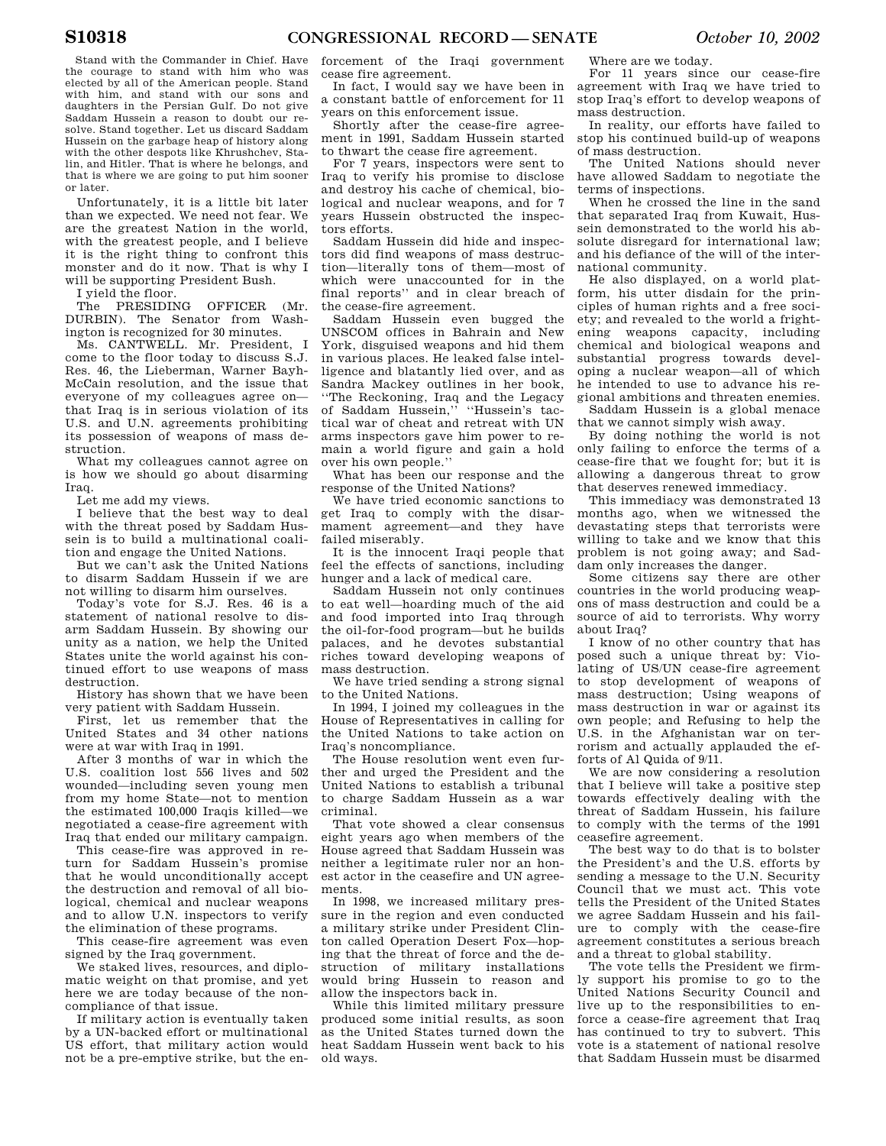Stand with the Commander in Chief. Have the courage to stand with him who was elected by all of the American people. Stand with him, and stand with our sons and daughters in the Persian Gulf. Do not give Saddam Hussein a reason to doubt our resolve. Stand together. Let us discard Saddam Hussein on the garbage heap of history along with the other despots like Khrushchev, Stalin, and Hitler. That is where he belongs, and that is where we are going to put him sooner or later.

Unfortunately, it is a little bit later than we expected. We need not fear. We are the greatest Nation in the world, with the greatest people, and I believe it is the right thing to confront this monster and do it now. That is why I will be supporting President Bush.

I yield the floor.

The PRESIDING OFFICER (Mr. DURBIN). The Senator from Washington is recognized for 30 minutes.

Ms. CANTWELL. Mr. President, I come to the floor today to discuss S.J. Res. 46, the Lieberman, Warner Bayh-McCain resolution, and the issue that everyone of my colleagues agree on that Iraq is in serious violation of its U.S. and U.N. agreements prohibiting its possession of weapons of mass destruction.

What my colleagues cannot agree on is how we should go about disarming Iraq.

Let me add my views.

I believe that the best way to deal with the threat posed by Saddam Hussein is to build a multinational coalition and engage the United Nations.

But we can't ask the United Nations to disarm Saddam Hussein if we are not willing to disarm him ourselves.

Today's vote for S.J. Res. 46 is a statement of national resolve to disarm Saddam Hussein. By showing our unity as a nation, we help the United States unite the world against his continued effort to use weapons of mass destruction.

History has shown that we have been very patient with Saddam Hussein.

First, let us remember that the United States and 34 other nations were at war with Iraq in 1991.

After 3 months of war in which the U.S. coalition lost 556 lives and 502 wounded—including seven young men from my home State—not to mention the estimated 100,000 Iraqis killed—we negotiated a cease-fire agreement with Iraq that ended our military campaign.

This cease-fire was approved in return for Saddam Hussein's promise that he would unconditionally accept the destruction and removal of all biological, chemical and nuclear weapons and to allow U.N. inspectors to verify the elimination of these programs.

This cease-fire agreement was even signed by the Iraq government.

We staked lives, resources, and diplomatic weight on that promise, and yet here we are today because of the noncompliance of that issue.

If military action is eventually taken by a UN-backed effort or multinational US effort, that military action would not be a pre-emptive strike, but the enforcement of the Iraqi government cease fire agreement.

In fact, I would say we have been in a constant battle of enforcement for 11 years on this enforcement issue.

Shortly after the cease-fire agreement in 1991, Saddam Hussein started to thwart the cease fire agreement.

For 7 years, inspectors were sent to Iraq to verify his promise to disclose and destroy his cache of chemical, biological and nuclear weapons, and for 7 years Hussein obstructed the inspectors efforts.

Saddam Hussein did hide and inspectors did find weapons of mass destruction—literally tons of them—most of which were unaccounted for in the final reports'' and in clear breach of the cease-fire agreement.

Saddam Hussein even bugged the UNSCOM offices in Bahrain and New York, disguised weapons and hid them in various places. He leaked false intelligence and blatantly lied over, and as Sandra Mackey outlines in her book, ''The Reckoning, Iraq and the Legacy of Saddam Hussein,'' ''Hussein's tactical war of cheat and retreat with UN arms inspectors gave him power to remain a world figure and gain a hold over his own people.''

What has been our response and the response of the United Nations?

We have tried economic sanctions to get Iraq to comply with the disarmament agreement—and they have failed miserably.

It is the innocent Iraqi people that feel the effects of sanctions, including hunger and a lack of medical care.

Saddam Hussein not only continues to eat well—hoarding much of the aid and food imported into Iraq through the oil-for-food program—but he builds palaces, and he devotes substantial riches toward developing weapons of mass destruction.

We have tried sending a strong signal to the United Nations.

In 1994, I joined my colleagues in the House of Representatives in calling for the United Nations to take action on Iraq's noncompliance.

The House resolution went even further and urged the President and the United Nations to establish a tribunal to charge Saddam Hussein as a war criminal.

That vote showed a clear consensus eight years ago when members of the House agreed that Saddam Hussein was neither a legitimate ruler nor an honest actor in the ceasefire and UN agreements.

In 1998, we increased military pressure in the region and even conducted a military strike under President Clinton called Operation Desert Fox—hoping that the threat of force and the destruction of military installations would bring Hussein to reason and allow the inspectors back in.

While this limited military pressure produced some initial results, as soon as the United States turned down the heat Saddam Hussein went back to his old ways.

Where are we today.

For 11 years since our cease-fire agreement with Iraq we have tried to stop Iraq's effort to develop weapons of mass destruction.

In reality, our efforts have failed to stop his continued build-up of weapons of mass destruction.

The United Nations should never have allowed Saddam to negotiate the terms of inspections.

When he crossed the line in the sand that separated Iraq from Kuwait, Hussein demonstrated to the world his absolute disregard for international law; and his defiance of the will of the international community.

He also displayed, on a world platform, his utter disdain for the principles of human rights and a free society; and revealed to the world a frightening weapons capacity, including chemical and biological weapons and substantial progress towards developing a nuclear weapon—all of which he intended to use to advance his regional ambitions and threaten enemies.

Saddam Hussein is a global menace that we cannot simply wish away.

By doing nothing the world is not only failing to enforce the terms of a cease-fire that we fought for; but it is allowing a dangerous threat to grow that deserves renewed immediacy.

This immediacy was demonstrated 13 months ago, when we witnessed the devastating steps that terrorists were willing to take and we know that this problem is not going away; and Saddam only increases the danger.

Some citizens say there are other countries in the world producing weapons of mass destruction and could be a source of aid to terrorists. Why worry about Iraq?

I know of no other country that has posed such a unique threat by: Violating of US/UN cease-fire agreement to stop development of weapons of mass destruction; Using weapons of mass destruction in war or against its own people; and Refusing to help the U.S. in the Afghanistan war on terrorism and actually applauded the efforts of Al Quida of 9/11.

We are now considering a resolution that I believe will take a positive step towards effectively dealing with the threat of Saddam Hussein, his failure to comply with the terms of the 1991 ceasefire agreement.

The best way to do that is to bolster the President's and the U.S. efforts by sending a message to the U.N. Security Council that we must act. This vote tells the President of the United States we agree Saddam Hussein and his failure to comply with the cease-fire agreement constitutes a serious breach and a threat to global stability.

The vote tells the President we firmly support his promise to go to the United Nations Security Council and live up to the responsibilities to enforce a cease-fire agreement that Iraq has continued to try to subvert. This vote is a statement of national resolve that Saddam Hussein must be disarmed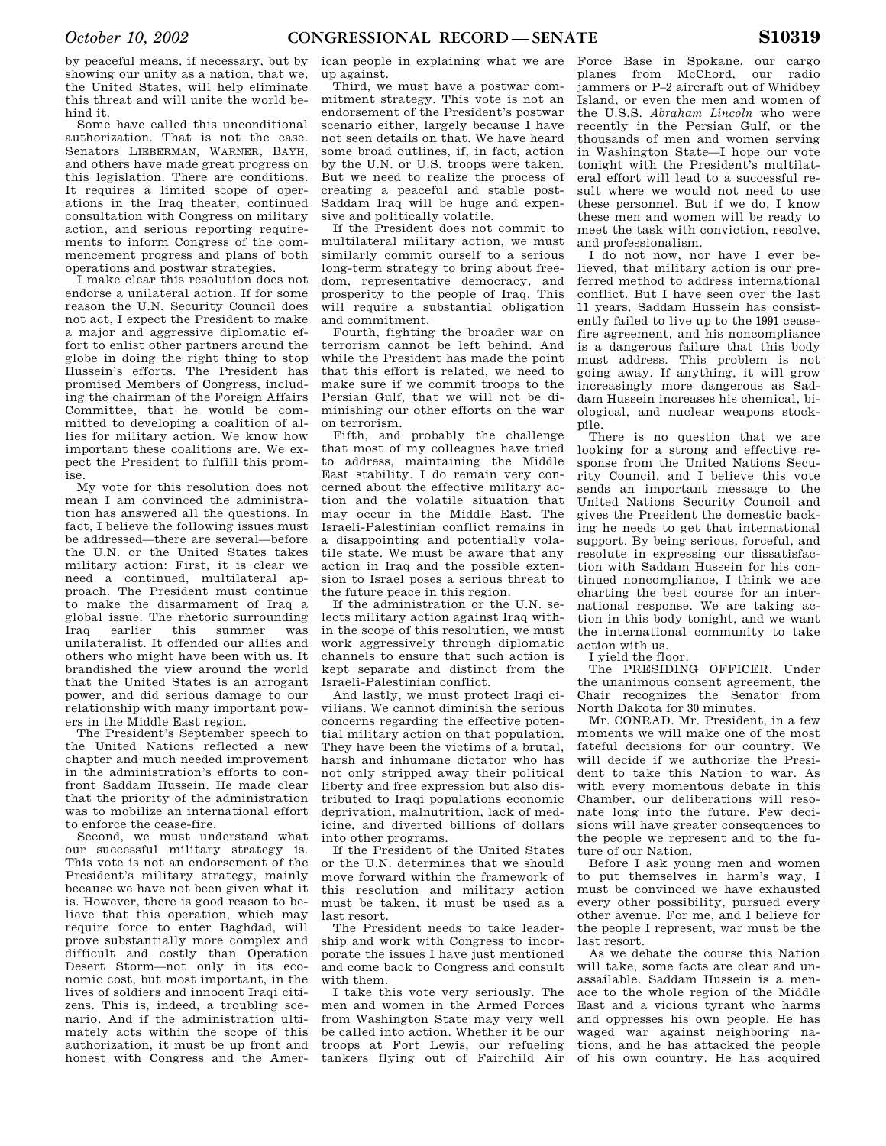by peaceful means, if necessary, but by showing our unity as a nation, that we, the United States, will help eliminate this threat and will unite the world behind it.

Some have called this unconditional authorization. That is not the case. Senators LIEBERMAN, WARNER, BAYH, and others have made great progress on this legislation. There are conditions. It requires a limited scope of operations in the Iraq theater, continued consultation with Congress on military action, and serious reporting requirements to inform Congress of the commencement progress and plans of both operations and postwar strategies.

I make clear this resolution does not endorse a unilateral action. If for some reason the U.N. Security Council does not act, I expect the President to make a major and aggressive diplomatic effort to enlist other partners around the globe in doing the right thing to stop Hussein's efforts. The President has promised Members of Congress, including the chairman of the Foreign Affairs Committee, that he would be committed to developing a coalition of allies for military action. We know how important these coalitions are. We expect the President to fulfill this promise.

My vote for this resolution does not mean I am convinced the administration has answered all the questions. In fact, I believe the following issues must be addressed—there are several—before the U.N. or the United States takes military action: First, it is clear we need a continued, multilateral approach. The President must continue to make the disarmament of Iraq a global issue. The rhetoric surrounding Iraq earlier this summer was unilateralist. It offended our allies and others who might have been with us. It brandished the view around the world that the United States is an arrogant power, and did serious damage to our relationship with many important powers in the Middle East region.

The President's September speech to the United Nations reflected a new chapter and much needed improvement in the administration's efforts to confront Saddam Hussein. He made clear that the priority of the administration was to mobilize an international effort to enforce the cease-fire.

Second, we must understand what our successful military strategy is. This vote is not an endorsement of the President's military strategy, mainly because we have not been given what it is. However, there is good reason to believe that this operation, which may require force to enter Baghdad, will prove substantially more complex and difficult and costly than Operation Desert Storm—not only in its economic cost, but most important, in the lives of soldiers and innocent Iraqi citizens. This is, indeed, a troubling scenario. And if the administration ultimately acts within the scope of this authorization, it must be up front and honest with Congress and the Amer-

ican people in explaining what we are up against.

Third, we must have a postwar commitment strategy. This vote is not an endorsement of the President's postwar scenario either, largely because I have not seen details on that. We have heard some broad outlines, if, in fact, action by the U.N. or U.S. troops were taken. But we need to realize the process of creating a peaceful and stable post-Saddam Iraq will be huge and expensive and politically volatile.

If the President does not commit to multilateral military action, we must similarly commit ourself to a serious long-term strategy to bring about freedom, representative democracy, and prosperity to the people of Iraq. This will require a substantial obligation and commitment.

Fourth, fighting the broader war on terrorism cannot be left behind. And while the President has made the point that this effort is related, we need to make sure if we commit troops to the Persian Gulf, that we will not be diminishing our other efforts on the war on terrorism.

Fifth, and probably the challenge that most of my colleagues have tried to address, maintaining the Middle East stability. I do remain very concerned about the effective military action and the volatile situation that may occur in the Middle East. The Israeli-Palestinian conflict remains in a disappointing and potentially volatile state. We must be aware that any action in Iraq and the possible extension to Israel poses a serious threat to the future peace in this region.

If the administration or the U.N. selects military action against Iraq within the scope of this resolution, we must work aggressively through diplomatic channels to ensure that such action is kept separate and distinct from the Israeli-Palestinian conflict.

And lastly, we must protect Iraqi civilians. We cannot diminish the serious concerns regarding the effective potential military action on that population. They have been the victims of a brutal, harsh and inhumane dictator who has not only stripped away their political liberty and free expression but also distributed to Iraqi populations economic deprivation, malnutrition, lack of medicine, and diverted billions of dollars into other programs.

If the President of the United States or the U.N. determines that we should move forward within the framework of this resolution and military action must be taken, it must be used as a last resort.

The President needs to take leadership and work with Congress to incorporate the issues I have just mentioned and come back to Congress and consult with them.

I take this vote very seriously. The men and women in the Armed Forces from Washington State may very well be called into action. Whether it be our troops at Fort Lewis, our refueling tankers flying out of Fairchild Air

Force Base in Spokane, our cargo planes from McChord, our radio jammers or P–2 aircraft out of Whidbey Island, or even the men and women of the U.S.S. *Abraham Lincoln* who were recently in the Persian Gulf, or the thousands of men and women serving in Washington State—I hope our vote tonight with the President's multilateral effort will lead to a successful result where we would not need to use these personnel. But if we do, I know these men and women will be ready to meet the task with conviction, resolve, and professionalism.

I do not now, nor have I ever believed, that military action is our preferred method to address international conflict. But I have seen over the last 11 years, Saddam Hussein has consistently failed to live up to the 1991 ceasefire agreement, and his noncompliance is a dangerous failure that this body must address. This problem is not going away. If anything, it will grow increasingly more dangerous as Saddam Hussein increases his chemical, biological, and nuclear weapons stockpile.

There is no question that we are looking for a strong and effective response from the United Nations Security Council, and I believe this vote sends an important message to the United Nations Security Council and gives the President the domestic backing he needs to get that international support. By being serious, forceful, and resolute in expressing our dissatisfaction with Saddam Hussein for his continued noncompliance, I think we are charting the best course for an international response. We are taking action in this body tonight, and we want the international community to take action with us.

I yield the floor.

The PRESIDING OFFICER. Under the unanimous consent agreement, the Chair recognizes the Senator from North Dakota for 30 minutes.

Mr. CONRAD. Mr. President, in a few moments we will make one of the most fateful decisions for our country. We will decide if we authorize the President to take this Nation to war. As with every momentous debate in this Chamber, our deliberations will resonate long into the future. Few decisions will have greater consequences to the people we represent and to the future of our Nation.

Before I ask young men and women to put themselves in harm's way, I must be convinced we have exhausted every other possibility, pursued every other avenue. For me, and I believe for the people I represent, war must be the last resort.

As we debate the course this Nation will take, some facts are clear and unassailable. Saddam Hussein is a menace to the whole region of the Middle East and a vicious tyrant who harms and oppresses his own people. He has waged war against neighboring nations, and he has attacked the people of his own country. He has acquired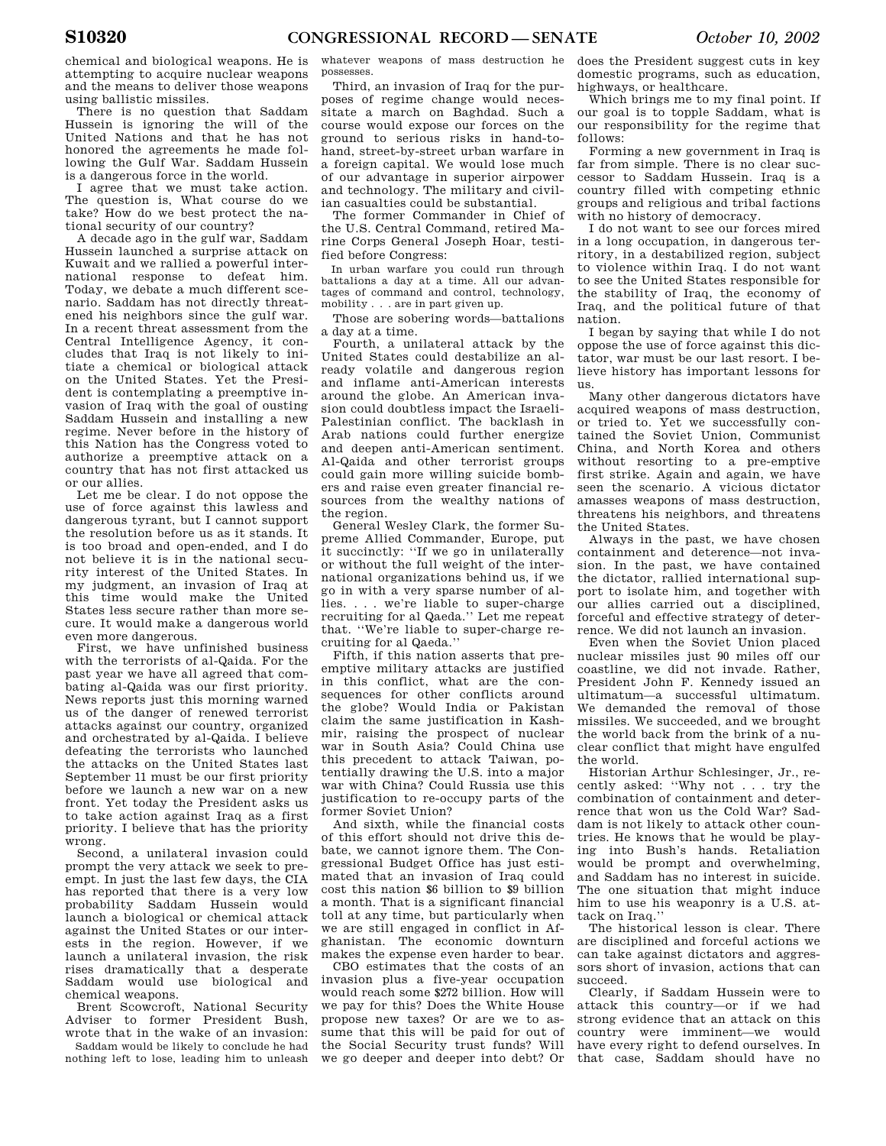chemical and biological weapons. He is attempting to acquire nuclear weapons and the means to deliver those weapons using ballistic missiles.

There is no question that Saddam Hussein is ignoring the will of the United Nations and that he has not honored the agreements he made following the Gulf War. Saddam Hussein is a dangerous force in the world.

I agree that we must take action. The question is, What course do we take? How do we best protect the national security of our country?

A decade ago in the gulf war, Saddam Hussein launched a surprise attack on Kuwait and we rallied a powerful international response to defeat him. Today, we debate a much different scenario. Saddam has not directly threatened his neighbors since the gulf war. In a recent threat assessment from the Central Intelligence Agency, it concludes that Iraq is not likely to initiate a chemical or biological attack on the United States. Yet the President is contemplating a preemptive invasion of Iraq with the goal of ousting Saddam Hussein and installing a new regime. Never before in the history of this Nation has the Congress voted to authorize a preemptive attack on a country that has not first attacked us or our allies.

Let me be clear. I do not oppose the use of force against this lawless and dangerous tyrant, but I cannot support the resolution before us as it stands. It is too broad and open-ended, and I do not believe it is in the national security interest of the United States. In my judgment, an invasion of Iraq at this time would make the United States less secure rather than more secure. It would make a dangerous world even more dangerous.

First, we have unfinished business with the terrorists of al-Qaida. For the past year we have all agreed that combating al-Qaida was our first priority. News reports just this morning warned us of the danger of renewed terrorist attacks against our country, organized and orchestrated by al-Qaida. I believe defeating the terrorists who launched the attacks on the United States last September 11 must be our first priority before we launch a new war on a new front. Yet today the President asks us to take action against Iraq as a first priority. I believe that has the priority wrong.

Second, a unilateral invasion could prompt the very attack we seek to preempt. In just the last few days, the CIA has reported that there is a very low probability Saddam Hussein would launch a biological or chemical attack against the United States or our interests in the region. However, if we launch a unilateral invasion, the risk rises dramatically that a desperate Saddam would use biological and chemical weapons.

Brent Scowcroft, National Security Adviser to former President Bush, wrote that in the wake of an invasion: Saddam would be likely to conclude he had nothing left to lose, leading him to unleash

whatever weapons of mass destruction he possesses.

Third, an invasion of Iraq for the purposes of regime change would necessitate a march on Baghdad. Such a course would expose our forces on the ground to serious risks in hand-tohand, street-by-street urban warfare in a foreign capital. We would lose much of our advantage in superior airpower and technology. The military and civilian casualties could be substantial.

The former Commander in Chief of the U.S. Central Command, retired Marine Corps General Joseph Hoar, testified before Congress:

In urban warfare you could run through battalions a day at a time. All our advantages of command and control, technology, mobility . . . are in part given up.

Those are sobering words—battalions a day at a time.

Fourth, a unilateral attack by the United States could destabilize an already volatile and dangerous region and inflame anti-American interests around the globe. An American invasion could doubtless impact the Israeli-Palestinian conflict. The backlash in Arab nations could further energize and deepen anti-American sentiment. Al-Qaida and other terrorist groups could gain more willing suicide bombers and raise even greater financial resources from the wealthy nations of the region.

General Wesley Clark, the former Supreme Allied Commander, Europe, put it succinctly: ''If we go in unilaterally or without the full weight of the international organizations behind us, if we go in with a very sparse number of allies. . . . we're liable to super-charge recruiting for al Qaeda.'' Let me repeat that. ''We're liable to super-charge recruiting for al Qaeda.''

Fifth, if this nation asserts that preemptive military attacks are justified in this conflict, what are the consequences for other conflicts around the globe? Would India or Pakistan claim the same justification in Kashmir, raising the prospect of nuclear war in South Asia? Could China use this precedent to attack Taiwan, potentially drawing the U.S. into a major war with China? Could Russia use this justification to re-occupy parts of the former Soviet Union?

And sixth, while the financial costs of this effort should not drive this debate, we cannot ignore them. The Congressional Budget Office has just estimated that an invasion of Iraq could cost this nation \$6 billion to \$9 billion a month. That is a significant financial toll at any time, but particularly when we are still engaged in conflict in Afghanistan. The economic downturn makes the expense even harder to bear.

CBO estimates that the costs of an invasion plus a five-year occupation would reach some \$272 billion. How will we pay for this? Does the White House propose new taxes? Or are we to assume that this will be paid for out of the Social Security trust funds? Will we go deeper and deeper into debt? Or

does the President suggest cuts in key domestic programs, such as education, highways, or healthcare.

Which brings me to my final point. If our goal is to topple Saddam, what is our responsibility for the regime that follows:

Forming a new government in Iraq is far from simple. There is no clear successor to Saddam Hussein. Iraq is a country filled with competing ethnic groups and religious and tribal factions with no history of democracy.

I do not want to see our forces mired in a long occupation, in dangerous territory, in a destabilized region, subject to violence within Iraq. I do not want to see the United States responsible for the stability of Iraq, the economy of Iraq, and the political future of that nation.

I began by saying that while I do not oppose the use of force against this dictator, war must be our last resort. I believe history has important lessons for us.

Many other dangerous dictators have acquired weapons of mass destruction, or tried to. Yet we successfully contained the Soviet Union, Communist China, and North Korea and others without resorting to a pre-emptive first strike. Again and again, we have seen the scenario. A vicious dictator amasses weapons of mass destruction, threatens his neighbors, and threatens the United States.

Always in the past, we have chosen containment and deterence—not invasion. In the past, we have contained the dictator, rallied international support to isolate him, and together with our allies carried out a disciplined, forceful and effective strategy of deterrence. We did not launch an invasion.

Even when the Soviet Union placed nuclear missiles just 90 miles off our coastline, we did not invade. Rather, President John F. Kennedy issued an ultimatum—a successful ultimatum. We demanded the removal of those missiles. We succeeded, and we brought the world back from the brink of a nuclear conflict that might have engulfed the world.

Historian Arthur Schlesinger, Jr., recently asked: ''Why not . . . try the combination of containment and deterrence that won us the Cold War? Saddam is not likely to attack other countries. He knows that he would be playing into Bush's hands. Retaliation would be prompt and overwhelming, and Saddam has no interest in suicide. The one situation that might induce him to use his weaponry is a U.S. attack on Iraq.''

The historical lesson is clear. There are disciplined and forceful actions we can take against dictators and aggressors short of invasion, actions that can succeed.

Clearly, if Saddam Hussein were to attack this country—or if we had strong evidence that an attack on this country were imminent—we would have every right to defend ourselves. In that case, Saddam should have no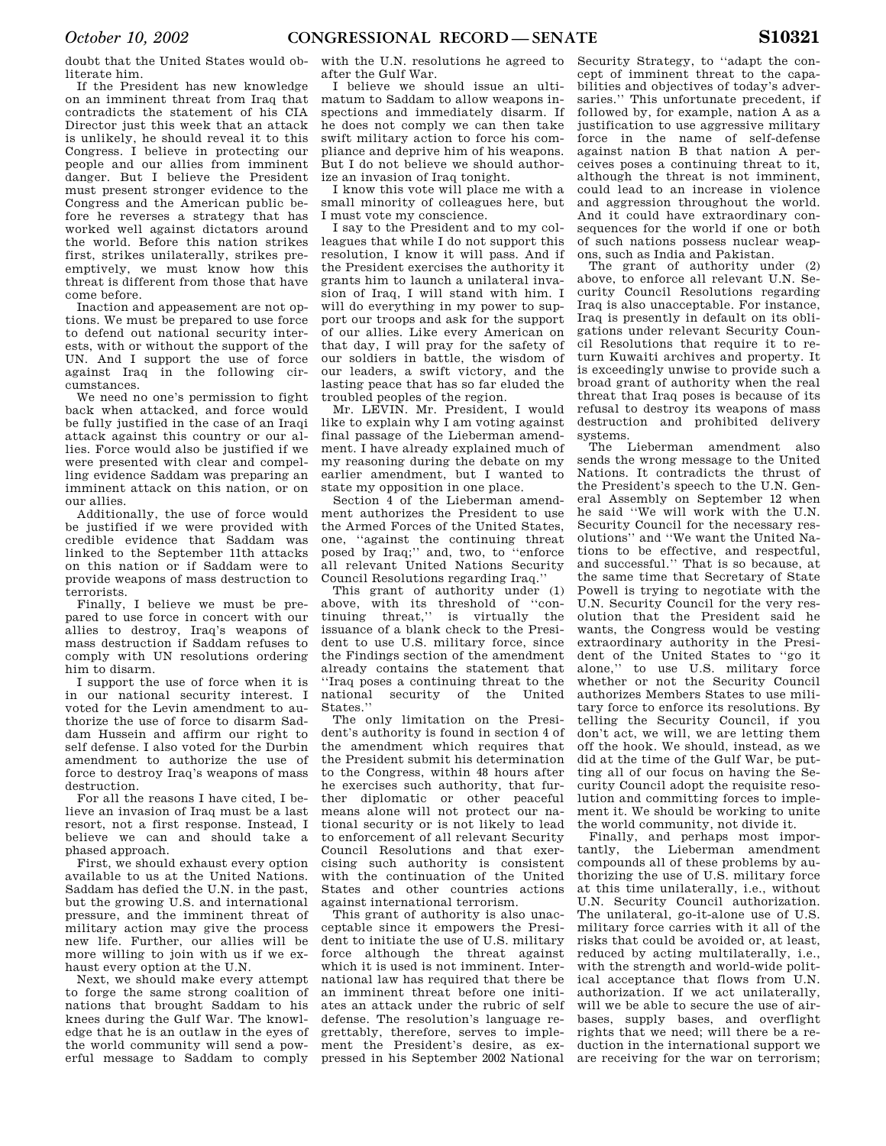doubt that the United States would obliterate him.

If the President has new knowledge on an imminent threat from Iraq that contradicts the statement of his CIA Director just this week that an attack is unlikely, he should reveal it to this Congress. I believe in protecting our people and our allies from imminent danger. But I believe the President must present stronger evidence to the Congress and the American public before he reverses a strategy that has worked well against dictators around the world. Before this nation strikes first, strikes unilaterally, strikes preemptively, we must know how this threat is different from those that have come before.

Inaction and appeasement are not options. We must be prepared to use force to defend out national security interests, with or without the support of the UN. And I support the use of force against Iraq in the following circumstances.

We need no one's permission to fight back when attacked, and force would be fully justified in the case of an Iraqi attack against this country or our allies. Force would also be justified if we were presented with clear and compelling evidence Saddam was preparing an imminent attack on this nation, or on our allies.

Additionally, the use of force would be justified if we were provided with credible evidence that Saddam was linked to the September 11th attacks on this nation or if Saddam were to provide weapons of mass destruction to terrorists.

Finally, I believe we must be prepared to use force in concert with our allies to destroy, Iraq's weapons of mass destruction if Saddam refuses to comply with UN resolutions ordering him to disarm.

I support the use of force when it is in our national security interest. I voted for the Levin amendment to authorize the use of force to disarm Saddam Hussein and affirm our right to self defense. I also voted for the Durbin amendment to authorize the use of force to destroy Iraq's weapons of mass destruction.

For all the reasons I have cited, I believe an invasion of Iraq must be a last resort, not a first response. Instead, I believe we can and should take a phased approach.

First, we should exhaust every option available to us at the United Nations. Saddam has defied the U.N. in the past, but the growing U.S. and international pressure, and the imminent threat of military action may give the process new life. Further, our allies will be more willing to join with us if we exhaust every option at the U.N.

Next, we should make every attempt to forge the same strong coalition of nations that brought Saddam to his knees during the Gulf War. The knowledge that he is an outlaw in the eyes of the world community will send a powerful message to Saddam to comply

with the U.N. resolutions he agreed to after the Gulf War.

I believe we should issue an ultimatum to Saddam to allow weapons inspections and immediately disarm. If he does not comply we can then take swift military action to force his compliance and deprive him of his weapons. But I do not believe we should authorize an invasion of Iraq tonight.

I know this vote will place me with a small minority of colleagues here, but I must vote my conscience.

I say to the President and to my colleagues that while I do not support this resolution, I know it will pass. And if the President exercises the authority it grants him to launch a unilateral invasion of Iraq, I will stand with him. I will do everything in my power to support our troops and ask for the support of our allies. Like every American on that day, I will pray for the safety of our soldiers in battle, the wisdom of our leaders, a swift victory, and the lasting peace that has so far eluded the troubled peoples of the region.

Mr. LEVIN. Mr. President, I would like to explain why I am voting against final passage of the Lieberman amendment. I have already explained much of my reasoning during the debate on my earlier amendment, but I wanted to state my opposition in one place.

Section 4 of the Lieberman amendment authorizes the President to use the Armed Forces of the United States, one, ''against the continuing threat posed by Iraq;'' and, two, to ''enforce all relevant United Nations Security Council Resolutions regarding Iraq.''

This grant of authority under (1) above, with its threshold of ''continuing threat,'' is virtually the issuance of a blank check to the President to use U.S. military force, since the Findings section of the amendment already contains the statement that ''Iraq poses a continuing threat to the national security of the United States.''

The only limitation on the President's authority is found in section 4 of the amendment which requires that the President submit his determination to the Congress, within 48 hours after he exercises such authority, that further diplomatic or other peaceful means alone will not protect our national security or is not likely to lead to enforcement of all relevant Security Council Resolutions and that exercising such authority is consistent with the continuation of the United States and other countries actions against international terrorism.

This grant of authority is also unacceptable since it empowers the President to initiate the use of U.S. military force although the threat against which it is used is not imminent. International law has required that there be an imminent threat before one initiates an attack under the rubric of self defense. The resolution's language regrettably, therefore, serves to implement the President's desire, as expressed in his September 2002 National

Security Strategy, to ''adapt the concept of imminent threat to the capabilities and objectives of today's adversaries.'' This unfortunate precedent, if followed by, for example, nation A as a justification to use aggressive military force in the name of self-defense against nation B that nation A perceives poses a continuing threat to it, although the threat is not imminent, could lead to an increase in violence and aggression throughout the world. And it could have extraordinary consequences for the world if one or both of such nations possess nuclear weapons, such as India and Pakistan.

The grant of authority under (2) above, to enforce all relevant U.N. Security Council Resolutions regarding Iraq is also unacceptable. For instance, Iraq is presently in default on its obligations under relevant Security Council Resolutions that require it to return Kuwaiti archives and property. It is exceedingly unwise to provide such a broad grant of authority when the real threat that Iraq poses is because of its refusal to destroy its weapons of mass destruction and prohibited delivery systems.

The Lieberman amendment also sends the wrong message to the United Nations. It contradicts the thrust of the President's speech to the U.N. General Assembly on September 12 when he said ''We will work with the U.N. Security Council for the necessary resolutions'' and ''We want the United Nations to be effective, and respectful, and successful.'' That is so because, at the same time that Secretary of State Powell is trying to negotiate with the U.N. Security Council for the very resolution that the President said he wants, the Congress would be vesting extraordinary authority in the President of the United States to ''go it alone,'' to use U.S. military force whether or not the Security Council authorizes Members States to use military force to enforce its resolutions. By telling the Security Council, if you don't act, we will, we are letting them off the hook. We should, instead, as we did at the time of the Gulf War, be putting all of our focus on having the Security Council adopt the requisite resolution and committing forces to implement it. We should be working to unite the world community, not divide it.

Finally, and perhaps most importantly, the Lieberman amendment compounds all of these problems by authorizing the use of U.S. military force at this time unilaterally, i.e., without U.N. Security Council authorization. The unilateral, go-it-alone use of U.S. military force carries with it all of the risks that could be avoided or, at least, reduced by acting multilaterally, i.e., with the strength and world-wide political acceptance that flows from U.N. authorization. If we act unilaterally, will we be able to secure the use of airbases, supply bases, and overflight rights that we need; will there be a reduction in the international support we are receiving for the war on terrorism;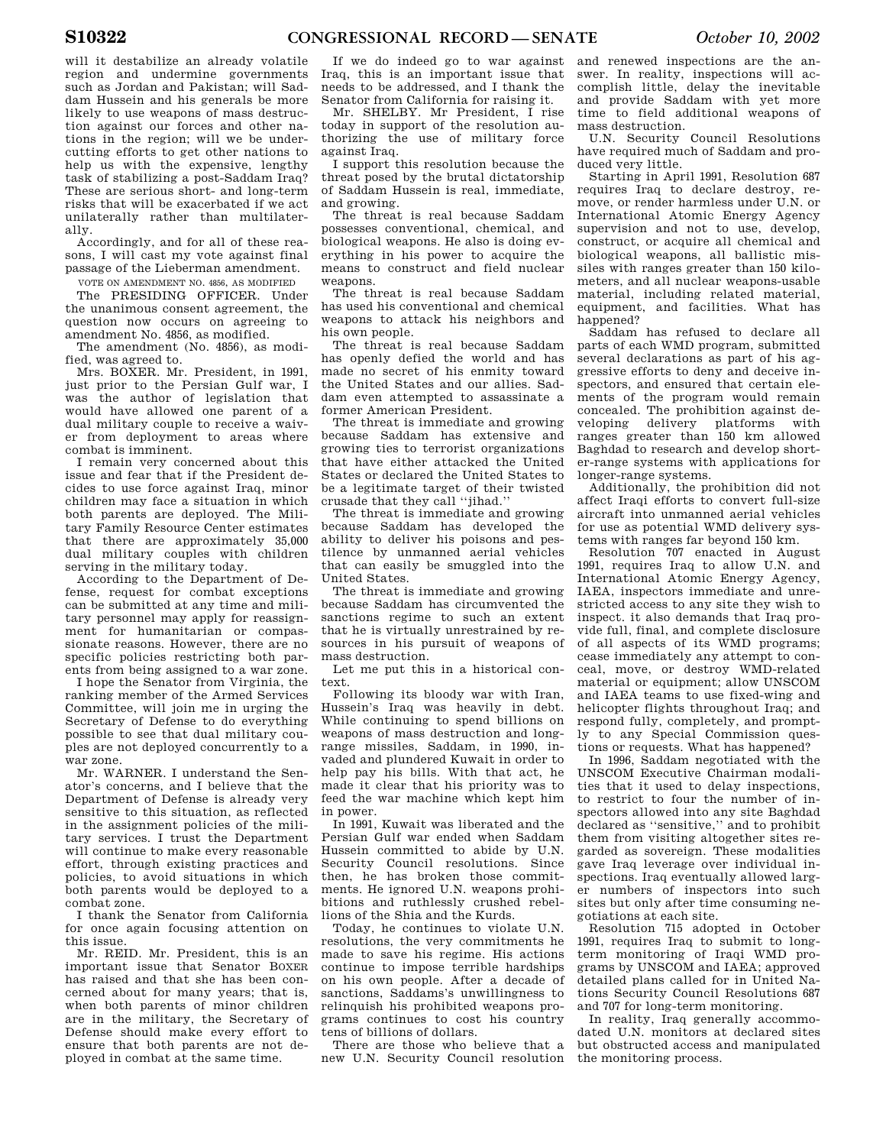will it destabilize an already volatile region and undermine governments such as Jordan and Pakistan; will Saddam Hussein and his generals be more likely to use weapons of mass destruction against our forces and other nations in the region; will we be undercutting efforts to get other nations to help us with the expensive, lengthy task of stabilizing a post-Saddam Iraq? These are serious short- and long-term risks that will be exacerbated if we act unilaterally rather than multilaterally.

Accordingly, and for all of these reasons, I will cast my vote against final passage of the Lieberman amendment.

VOTE ON AMENDMENT NO. 4856, AS MODIFIED The PRESIDING OFFICER. Under

the unanimous consent agreement, the question now occurs on agreeing to amendment No. 4856, as modified.

The amendment (No. 4856), as modified, was agreed to.

Mrs. BOXER. Mr. President, in 1991, just prior to the Persian Gulf war, I was the author of legislation that would have allowed one parent of a dual military couple to receive a waiver from deployment to areas where combat is imminent.

I remain very concerned about this issue and fear that if the President decides to use force against Iraq, minor children may face a situation in which both parents are deployed. The Military Family Resource Center estimates that there are approximately 35,000 dual military couples with children serving in the military today.

According to the Department of Defense, request for combat exceptions can be submitted at any time and military personnel may apply for reassignment for humanitarian or compassionate reasons. However, there are no specific policies restricting both parents from being assigned to a war zone.

I hope the Senator from Virginia, the ranking member of the Armed Services Committee, will join me in urging the Secretary of Defense to do everything possible to see that dual military couples are not deployed concurrently to a war zone.

Mr. WARNER. I understand the Senator's concerns, and I believe that the Department of Defense is already very sensitive to this situation, as reflected in the assignment policies of the military services. I trust the Department will continue to make every reasonable effort, through existing practices and policies, to avoid situations in which both parents would be deployed to a combat zone.

I thank the Senator from California for once again focusing attention on this issue.

Mr. REID. Mr. President, this is an important issue that Senator BOXER has raised and that she has been concerned about for many years; that is, when both parents of minor children are in the military, the Secretary of Defense should make every effort to ensure that both parents are not deployed in combat at the same time.

If we do indeed go to war against Iraq, this is an important issue that needs to be addressed, and I thank the Senator from California for raising it.

Mr. SHELBY. Mr President, I rise today in support of the resolution authorizing the use of military force against Iraq.

I support this resolution because the threat posed by the brutal dictatorship of Saddam Hussein is real, immediate, and growing.

The threat is real because Saddam possesses conventional, chemical, and biological weapons. He also is doing everything in his power to acquire the means to construct and field nuclear weapons.

The threat is real because Saddam has used his conventional and chemical weapons to attack his neighbors and his own people.

The threat is real because Saddam has openly defied the world and has made no secret of his enmity toward the United States and our allies. Saddam even attempted to assassinate a former American President.

The threat is immediate and growing because Saddam has extensive and growing ties to terrorist organizations that have either attacked the United States or declared the United States to be a legitimate target of their twisted crusade that they call ''jihad.''

The threat is immediate and growing because Saddam has developed the ability to deliver his poisons and pestilence by unmanned aerial vehicles that can easily be smuggled into the United States.

The threat is immediate and growing because Saddam has circumvented the sanctions regime to such an extent that he is virtually unrestrained by resources in his pursuit of weapons of mass destruction.

Let me put this in a historical context.

Following its bloody war with Iran, Hussein's Iraq was heavily in debt. While continuing to spend billions on weapons of mass destruction and longrange missiles, Saddam, in 1990, invaded and plundered Kuwait in order to help pay his bills. With that act, he made it clear that his priority was to feed the war machine which kept him in power.

In 1991, Kuwait was liberated and the Persian Gulf war ended when Saddam Hussein committed to abide by U.N. Security Council resolutions. Since then, he has broken those commitments. He ignored U.N. weapons prohibitions and ruthlessly crushed rebellions of the Shia and the Kurds.

Today, he continues to violate U.N. resolutions, the very commitments he made to save his regime. His actions continue to impose terrible hardships on his own people. After a decade of sanctions, Saddams's unwillingness to relinquish his prohibited weapons programs continues to cost his country tens of billions of dollars.

There are those who believe that a new U.N. Security Council resolution

and renewed inspections are the answer. In reality, inspections will accomplish little, delay the inevitable and provide Saddam with yet more time to field additional weapons of mass destruction.

U.N. Security Council Resolutions have required much of Saddam and produced very little.

Starting in April 1991, Resolution 687 requires Iraq to declare destroy, remove, or render harmless under U.N. or International Atomic Energy Agency supervision and not to use, develop, construct, or acquire all chemical and biological weapons, all ballistic missiles with ranges greater than 150 kilometers, and all nuclear weapons-usable material, including related material, equipment, and facilities. What has happened?

Saddam has refused to declare all parts of each WMD program, submitted several declarations as part of his aggressive efforts to deny and deceive inspectors, and ensured that certain elements of the program would remain concealed. The prohibition against developing delivery platforms with ranges greater than 150 km allowed Baghdad to research and develop shorter-range systems with applications for longer-range systems.

Additionally, the prohibition did not affect Iraqi efforts to convert full-size aircraft into unmanned aerial vehicles for use as potential WMD delivery systems with ranges far beyond 150 km.

Resolution 707 enacted in August 1991, requires Iraq to allow U.N. and International Atomic Energy Agency, IAEA, inspectors immediate and unrestricted access to any site they wish to inspect. it also demands that Iraq provide full, final, and complete disclosure of all aspects of its WMD programs; cease immediately any attempt to conceal, move, or destroy WMD-related material or equipment; allow UNSCOM and IAEA teams to use fixed-wing and helicopter flights throughout Iraq; and respond fully, completely, and promptly to any Special Commission questions or requests. What has happened?

In 1996, Saddam negotiated with the UNSCOM Executive Chairman modalities that it used to delay inspections, to restrict to four the number of inspectors allowed into any site Baghdad declared as ''sensitive,'' and to prohibit them from visiting altogether sites regarded as sovereign. These modalities gave Iraq leverage over individual inspections. Iraq eventually allowed larger numbers of inspectors into such sites but only after time consuming negotiations at each site.

Resolution 715 adopted in October 1991, requires Iraq to submit to longterm monitoring of Iraqi WMD programs by UNSCOM and IAEA; approved detailed plans called for in United Nations Security Council Resolutions 687 and 707 for long-term monitoring.

In reality, Iraq generally accommodated U.N. monitors at declared sites but obstructed access and manipulated the monitoring process.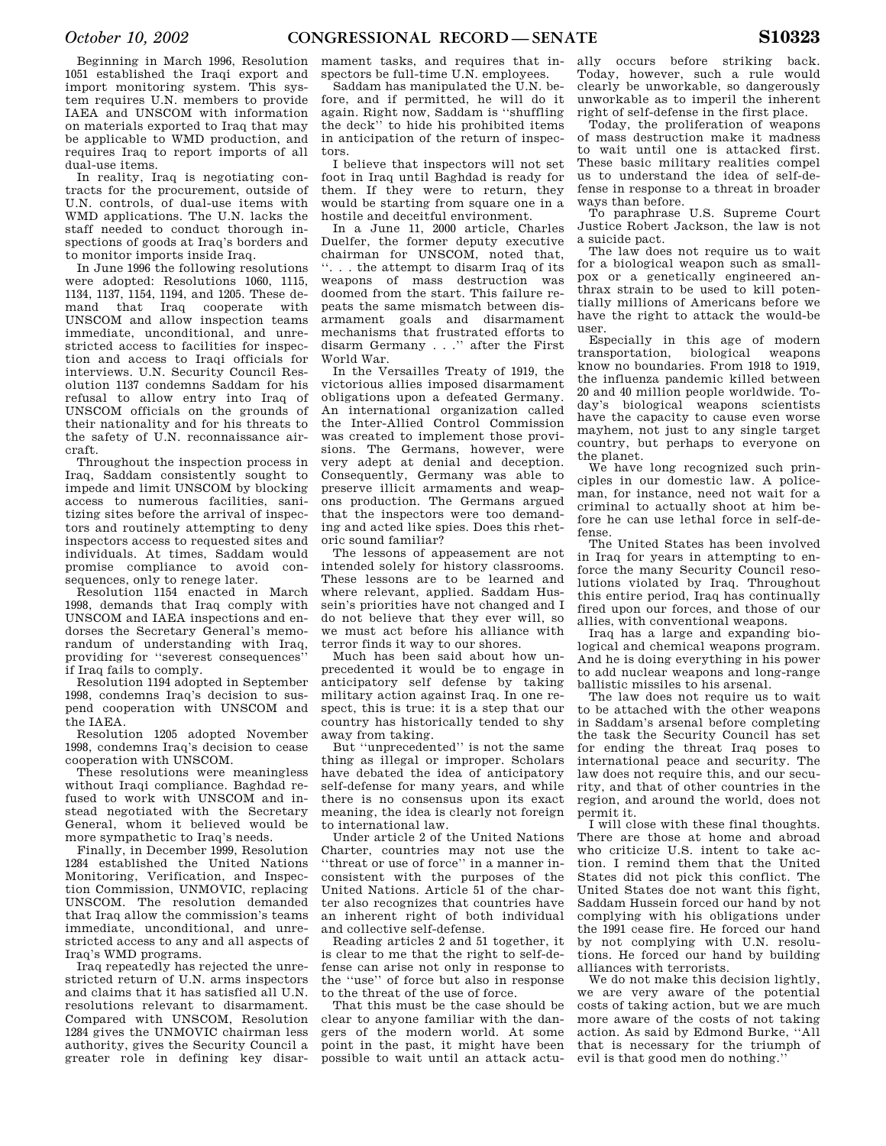Beginning in March 1996, Resolution 1051 established the Iraqi export and import monitoring system. This system requires U.N. members to provide IAEA and UNSCOM with information on materials exported to Iraq that may be applicable to WMD production, and requires Iraq to report imports of all dual-use items.

In reality, Iraq is negotiating contracts for the procurement, outside of U.N. controls, of dual-use items with WMD applications. The U.N. lacks the staff needed to conduct thorough inspections of goods at Iraq's borders and to monitor imports inside Iraq.

In June 1996 the following resolutions were adopted: Resolutions 1060, 1115, 1134, 1137, 1154, 1194, and 1205. These demand that Iraq cooperate with UNSCOM and allow inspection teams immediate, unconditional, and unrestricted access to facilities for inspection and access to Iraqi officials for interviews. U.N. Security Council Resolution 1137 condemns Saddam for his refusal to allow entry into Iraq of UNSCOM officials on the grounds of their nationality and for his threats to the safety of U.N. reconnaissance aircraft.

Throughout the inspection process in Iraq, Saddam consistently sought to impede and limit UNSCOM by blocking access to numerous facilities, sanitizing sites before the arrival of inspectors and routinely attempting to deny inspectors access to requested sites and individuals. At times, Saddam would promise compliance to avoid consequences, only to renege later.

Resolution 1154 enacted in March 1998, demands that Iraq comply with UNSCOM and IAEA inspections and endorses the Secretary General's memorandum of understanding with Iraq, providing for ''severest consequences'' if Iraq fails to comply.

Resolution 1194 adopted in September 1998, condemns Iraq's decision to suspend cooperation with UNSCOM and the IAEA.

Resolution 1205 adopted November 1998, condemns Iraq's decision to cease cooperation with UNSCOM.

These resolutions were meaningless without Iraqi compliance. Baghdad refused to work with UNSCOM and instead negotiated with the Secretary General, whom it believed would be more sympathetic to Iraq's needs.

Finally, in December 1999, Resolution 1284 established the United Nations Monitoring, Verification, and Inspection Commission, UNMOVIC, replacing UNSCOM. The resolution demanded that Iraq allow the commission's teams immediate, unconditional, and unrestricted access to any and all aspects of Iraq's WMD programs.

Iraq repeatedly has rejected the unrestricted return of U.N. arms inspectors and claims that it has satisfied all U.N. resolutions relevant to disarmament. Compared with UNSCOM, Resolution 1284 gives the UNMOVIC chairman less authority, gives the Security Council a greater role in defining key disar-

mament tasks, and requires that inspectors be full-time U.N. employees.

Saddam has manipulated the U.N. before, and if permitted, he will do it again. Right now, Saddam is ''shuffling the deck'' to hide his prohibited items in anticipation of the return of inspectors.

I believe that inspectors will not set foot in Iraq until Baghdad is ready for them. If they were to return, they would be starting from square one in a hostile and deceitful environment.

In a June 11, 2000 article, Charles Duelfer, the former deputy executive chairman for UNSCOM, noted that, ''. . . the attempt to disarm Iraq of its weapons of mass destruction was doomed from the start. This failure repeats the same mismatch between disarmament goals and disarmament mechanisms that frustrated efforts to disarm Germany . . .'' after the First World War.

In the Versailles Treaty of 1919, the victorious allies imposed disarmament obligations upon a defeated Germany. An international organization called the Inter-Allied Control Commission was created to implement those provisions. The Germans, however, were very adept at denial and deception. Consequently, Germany was able to preserve illicit armaments and weapons production. The Germans argued that the inspectors were too demanding and acted like spies. Does this rhetoric sound familiar?

The lessons of appeasement are not intended solely for history classrooms. These lessons are to be learned and where relevant, applied. Saddam Hussein's priorities have not changed and I do not believe that they ever will, so we must act before his alliance with terror finds it way to our shores.

Much has been said about how unprecedented it would be to engage in anticipatory self defense by taking military action against Iraq. In one respect, this is true: it is a step that our country has historically tended to shy away from taking.

But ''unprecedented'' is not the same thing as illegal or improper. Scholars have debated the idea of anticipatory self-defense for many years, and while there is no consensus upon its exact meaning, the idea is clearly not foreign to international law.

Under article 2 of the United Nations Charter, countries may not use the ''threat or use of force'' in a manner inconsistent with the purposes of the United Nations. Article 51 of the charter also recognizes that countries have an inherent right of both individual and collective self-defense.

Reading articles 2 and 51 together, it is clear to me that the right to self-defense can arise not only in response to the ''use'' of force but also in response to the threat of the use of force.

That this must be the case should be clear to anyone familiar with the dangers of the modern world. At some point in the past, it might have been possible to wait until an attack actu-

ally occurs before striking back. Today, however, such a rule would clearly be unworkable, so dangerously unworkable as to imperil the inherent right of self-defense in the first place.

Today, the proliferation of weapons of mass destruction make it madness to wait until one is attacked first. These basic military realities compel us to understand the idea of self-defense in response to a threat in broader ways than before.

To paraphrase U.S. Supreme Court Justice Robert Jackson, the law is not a suicide pact.

The law does not require us to wait for a biological weapon such as smallpox or a genetically engineered anthrax strain to be used to kill potentially millions of Americans before we have the right to attack the would-be user.

Especially in this age of modern transportation, biological weapons know no boundaries. From 1918 to 1919, the influenza pandemic killed between 20 and 40 million people worldwide. Today's biological weapons scientists have the capacity to cause even worse mayhem, not just to any single target country, but perhaps to everyone on the planet.

We have long recognized such principles in our domestic law. A policeman, for instance, need not wait for a criminal to actually shoot at him before he can use lethal force in self-defense.

The United States has been involved in Iraq for years in attempting to enforce the many Security Council resolutions violated by Iraq. Throughout this entire period, Iraq has continually fired upon our forces, and those of our allies, with conventional weapons.

Iraq has a large and expanding biological and chemical weapons program. And he is doing everything in his power to add nuclear weapons and long-range ballistic missiles to his arsenal.

The law does not require us to wait to be attached with the other weapons in Saddam's arsenal before completing the task the Security Council has set for ending the threat Iraq poses to international peace and security. The law does not require this, and our security, and that of other countries in the region, and around the world, does not permit it.

I will close with these final thoughts. There are those at home and abroad who criticize U.S. intent to take action. I remind them that the United States did not pick this conflict. The United States doe not want this fight, Saddam Hussein forced our hand by not complying with his obligations under the 1991 cease fire. He forced our hand by not complying with U.N. resolutions. He forced our hand by building alliances with terrorists.

We do not make this decision lightly, we are very aware of the potential costs of taking action, but we are much more aware of the costs of not taking action. As said by Edmond Burke, ''All that is necessary for the triumph of evil is that good men do nothing.''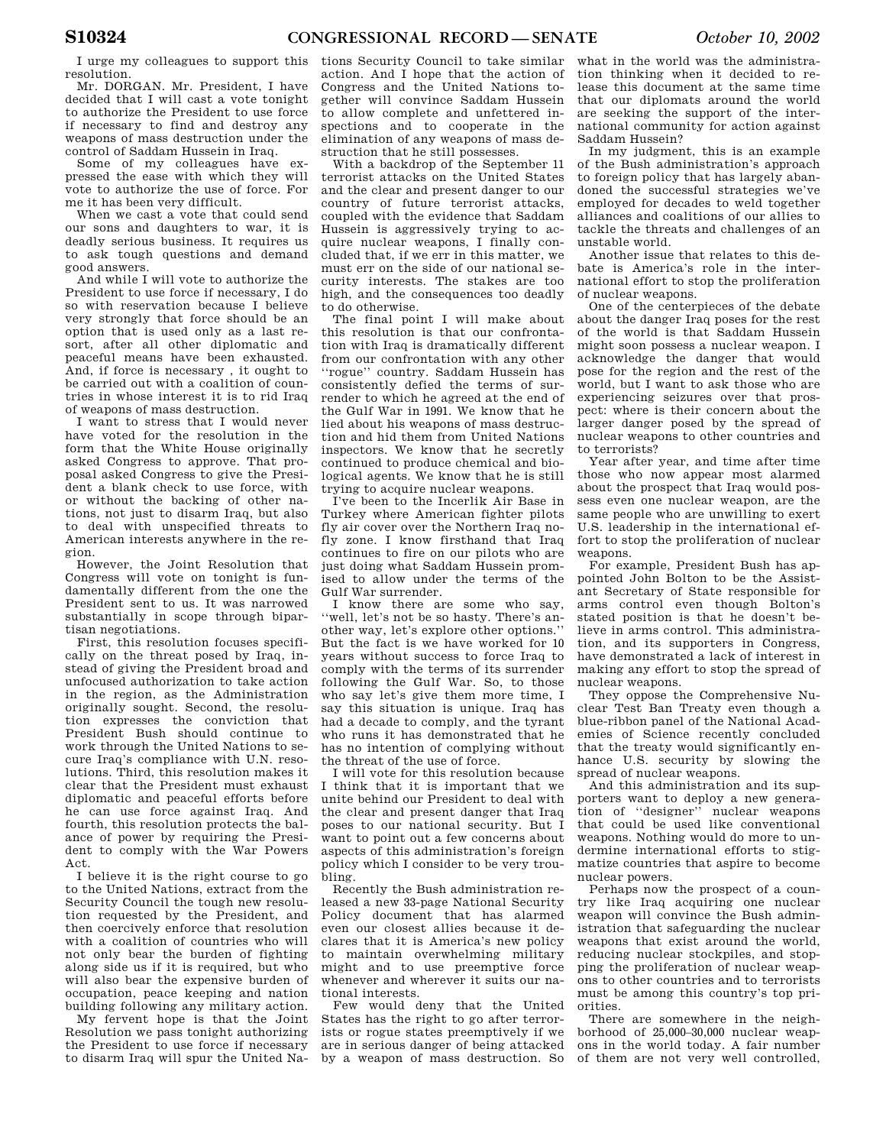I urge my colleagues to support this resolution.

Mr. DORGAN. Mr. President, I have decided that I will cast a vote tonight to authorize the President to use force if necessary to find and destroy any weapons of mass destruction under the control of Saddam Hussein in Iraq.

Some of my colleagues have expressed the ease with which they will vote to authorize the use of force. For me it has been very difficult.

When we cast a vote that could send our sons and daughters to war, it is deadly serious business. It requires us to ask tough questions and demand good answers.

And while I will vote to authorize the President to use force if necessary, I do so with reservation because I believe very strongly that force should be an option that is used only as a last resort, after all other diplomatic and peaceful means have been exhausted. And, if force is necessary , it ought to be carried out with a coalition of countries in whose interest it is to rid Iraq of weapons of mass destruction.

I want to stress that I would never have voted for the resolution in the form that the White House originally asked Congress to approve. That proposal asked Congress to give the President a blank check to use force, with or without the backing of other nations, not just to disarm Iraq, but also to deal with unspecified threats to American interests anywhere in the region.

However, the Joint Resolution that Congress will vote on tonight is fundamentally different from the one the President sent to us. It was narrowed substantially in scope through bipartisan negotiations.

First, this resolution focuses specifically on the threat posed by Iraq, instead of giving the President broad and unfocused authorization to take action in the region, as the Administration originally sought. Second, the resolution expresses the conviction that President Bush should continue to work through the United Nations to secure Iraq's compliance with U.N. resolutions. Third, this resolution makes it clear that the President must exhaust diplomatic and peaceful efforts before he can use force against Iraq. And fourth, this resolution protects the balance of power by requiring the President to comply with the War Powers Act.

I believe it is the right course to go to the United Nations, extract from the Security Council the tough new resolution requested by the President, and then coercively enforce that resolution with a coalition of countries who will not only bear the burden of fighting along side us if it is required, but who will also bear the expensive burden of occupation, peace keeping and nation building following any military action.

My fervent hope is that the Joint Resolution we pass tonight authorizing the President to use force if necessary to disarm Iraq will spur the United Na-

tions Security Council to take similar action. And I hope that the action of Congress and the United Nations together will convince Saddam Hussein to allow complete and unfettered inspections and to cooperate in the elimination of any weapons of mass destruction that he still possesses.

With a backdrop of the September 11 terrorist attacks on the United States and the clear and present danger to our country of future terrorist attacks, coupled with the evidence that Saddam Hussein is aggressively trying to acquire nuclear weapons, I finally concluded that, if we err in this matter, we must err on the side of our national security interests. The stakes are too high, and the consequences too deadly to do otherwise.

The final point I will make about this resolution is that our confrontation with Iraq is dramatically different from our confrontation with any other ''rogue'' country. Saddam Hussein has consistently defied the terms of surrender to which he agreed at the end of the Gulf War in 1991. We know that he lied about his weapons of mass destruction and hid them from United Nations inspectors. We know that he secretly continued to produce chemical and biological agents. We know that he is still trying to acquire nuclear weapons.

I've been to the Incerlik Air Base in Turkey where American fighter pilots fly air cover over the Northern Iraq nofly zone. I know firsthand that Iraq continues to fire on our pilots who are just doing what Saddam Hussein promised to allow under the terms of the Gulf War surrender.

I know there are some who say, ''well, let's not be so hasty. There's another way, let's explore other options.'' But the fact is we have worked for 10 years without success to force Iraq to comply with the terms of its surrender following the Gulf War. So, to those who say let's give them more time, I say this situation is unique. Iraq has had a decade to comply, and the tyrant who runs it has demonstrated that he has no intention of complying without the threat of the use of force.

I will vote for this resolution because I think that it is important that we unite behind our President to deal with the clear and present danger that Iraq poses to our national security. But I want to point out a few concerns about aspects of this administration's foreign policy which I consider to be very troubling.

Recently the Bush administration released a new 33-page National Security Policy document that has alarmed even our closest allies because it declares that it is America's new policy to maintain overwhelming military might and to use preemptive force whenever and wherever it suits our national interests.

Few would deny that the United States has the right to go after terrorists or rogue states preemptively if we are in serious danger of being attacked by a weapon of mass destruction. So

what in the world was the administration thinking when it decided to release this document at the same time that our diplomats around the world are seeking the support of the international community for action against Saddam Hussein?

In my judgment, this is an example of the Bush administration's approach to foreign policy that has largely abandoned the successful strategies we've employed for decades to weld together alliances and coalitions of our allies to tackle the threats and challenges of an unstable world.

Another issue that relates to this debate is America's role in the international effort to stop the proliferation of nuclear weapons.

One of the centerpieces of the debate about the danger Iraq poses for the rest of the world is that Saddam Hussein might soon possess a nuclear weapon. I acknowledge the danger that would pose for the region and the rest of the world, but I want to ask those who are experiencing seizures over that prospect: where is their concern about the larger danger posed by the spread of nuclear weapons to other countries and to terrorists?

Year after year, and time after time those who now appear most alarmed about the prospect that Iraq would possess even one nuclear weapon, are the same people who are unwilling to exert U.S. leadership in the international effort to stop the proliferation of nuclear weapons.

For example, President Bush has appointed John Bolton to be the Assistant Secretary of State responsible for arms control even though Bolton's stated position is that he doesn't believe in arms control. This administration, and its supporters in Congress, have demonstrated a lack of interest in making any effort to stop the spread of nuclear weapons.

They oppose the Comprehensive Nuclear Test Ban Treaty even though a blue-ribbon panel of the National Academies of Science recently concluded that the treaty would significantly enhance U.S. security by slowing the spread of nuclear weapons.

And this administration and its supporters want to deploy a new generation of ''designer'' nuclear weapons that could be used like conventional weapons. Nothing would do more to undermine international efforts to stigmatize countries that aspire to become nuclear powers.

Perhaps now the prospect of a country like Iraq acquiring one nuclear weapon will convince the Bush administration that safeguarding the nuclear weapons that exist around the world, reducing nuclear stockpiles, and stopping the proliferation of nuclear weapons to other countries and to terrorists must be among this country's top priorities.

There are somewhere in the neighborhood of 25,000–30,000 nuclear weapons in the world today. A fair number of them are not very well controlled,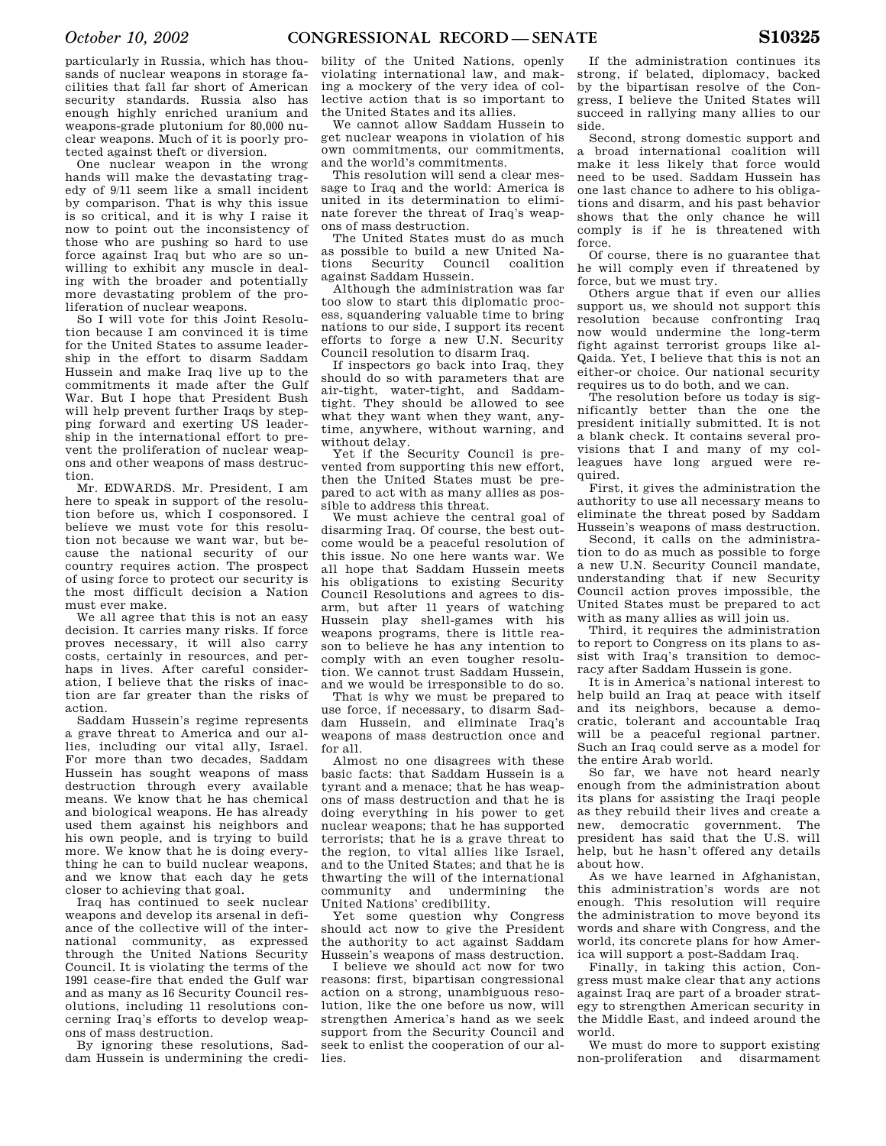particularly in Russia, which has thousands of nuclear weapons in storage facilities that fall far short of American security standards. Russia also has enough highly enriched uranium and weapons-grade plutonium for 80,000 nuclear weapons. Much of it is poorly protected against theft or diversion.

One nuclear weapon in the wrong hands will make the devastating tragedy of 9/11 seem like a small incident by comparison. That is why this issue is so critical, and it is why I raise it now to point out the inconsistency of those who are pushing so hard to use force against Iraq but who are so unwilling to exhibit any muscle in dealing with the broader and potentially more devastating problem of the proliferation of nuclear weapons.

So I will vote for this Joint Resolution because I am convinced it is time for the United States to assume leadership in the effort to disarm Saddam Hussein and make Iraq live up to the commitments it made after the Gulf War. But I hope that President Bush will help prevent further Iraqs by stepping forward and exerting US leadership in the international effort to prevent the proliferation of nuclear weapons and other weapons of mass destruction.

Mr. EDWARDS. Mr. President, I am here to speak in support of the resolution before us, which I cosponsored. I believe we must vote for this resolution not because we want war, but because the national security of our country requires action. The prospect of using force to protect our security is the most difficult decision a Nation must ever make.

We all agree that this is not an easy decision. It carries many risks. If force proves necessary, it will also carry costs, certainly in resources, and perhaps in lives. After careful consideration, I believe that the risks of inaction are far greater than the risks of action.

Saddam Hussein's regime represents a grave threat to America and our allies, including our vital ally, Israel. For more than two decades, Saddam Hussein has sought weapons of mass destruction through every available means. We know that he has chemical and biological weapons. He has already used them against his neighbors and his own people, and is trying to build more. We know that he is doing everything he can to build nuclear weapons, and we know that each day he gets closer to achieving that goal.

Iraq has continued to seek nuclear weapons and develop its arsenal in defiance of the collective will of the international community, as expressed through the United Nations Security Council. It is violating the terms of the 1991 cease-fire that ended the Gulf war and as many as 16 Security Council resolutions, including 11 resolutions concerning Iraq's efforts to develop weapons of mass destruction.

By ignoring these resolutions, Saddam Hussein is undermining the credi-

bility of the United Nations, openly violating international law, and making a mockery of the very idea of collective action that is so important to the United States and its allies.

We cannot allow Saddam Hussein to get nuclear weapons in violation of his own commitments, our commitments, and the world's commitments.

This resolution will send a clear message to Iraq and the world: America is united in its determination to eliminate forever the threat of Iraq's weapons of mass destruction.

The United States must do as much as possible to build a new United Nations Security Council against Saddam Hussein.

Although the administration was far too slow to start this diplomatic process, squandering valuable time to bring nations to our side, I support its recent efforts to forge a new U.N. Security Council resolution to disarm Iraq.

If inspectors go back into Iraq, they should do so with parameters that are air-tight, water-tight, and Saddamtight. They should be allowed to see what they want when they want, anytime, anywhere, without warning, and without delay.

Yet if the Security Council is prevented from supporting this new effort, then the United States must be prepared to act with as many allies as possible to address this threat.

We must achieve the central goal of disarming Iraq. Of course, the best outcome would be a peaceful resolution of this issue. No one here wants war. We all hope that Saddam Hussein meets his obligations to existing Security Council Resolutions and agrees to disarm, but after 11 years of watching Hussein play shell-games with his weapons programs, there is little reason to believe he has any intention to comply with an even tougher resolution. We cannot trust Saddam Hussein, and we would be irresponsible to do so.

That is why we must be prepared to use force, if necessary, to disarm Saddam Hussein, and eliminate Iraq's weapons of mass destruction once and for all.

Almost no one disagrees with these basic facts: that Saddam Hussein is a tyrant and a menace; that he has weapons of mass destruction and that he is doing everything in his power to get nuclear weapons; that he has supported terrorists; that he is a grave threat to the region, to vital allies like Israel, and to the United States; and that he is thwarting the will of the international community and undermining the United Nations' credibility.

Yet some question why Congress should act now to give the President the authority to act against Saddam Hussein's weapons of mass destruction.

I believe we should act now for two reasons: first, bipartisan congressional action on a strong, unambiguous resolution, like the one before us now, will strengthen America's hand as we seek support from the Security Council and seek to enlist the cooperation of our allies.

If the administration continues its strong, if belated, diplomacy, backed by the bipartisan resolve of the Congress, I believe the United States will succeed in rallying many allies to our side.

Second, strong domestic support and a broad international coalition will make it less likely that force would need to be used. Saddam Hussein has one last chance to adhere to his obligations and disarm, and his past behavior shows that the only chance he will comply is if he is threatened with force.

Of course, there is no guarantee that he will comply even if threatened by force, but we must try.

Others argue that if even our allies support us, we should not support this resolution because confronting Iraq now would undermine the long-term fight against terrorist groups like al-Qaida. Yet, I believe that this is not an either-or choice. Our national security requires us to do both, and we can.

The resolution before us today is significantly better than the one the president initially submitted. It is not a blank check. It contains several provisions that I and many of my colleagues have long argued were required.

First, it gives the administration the authority to use all necessary means to eliminate the threat posed by Saddam Hussein's weapons of mass destruction.

Second, it calls on the administration to do as much as possible to forge a new U.N. Security Council mandate, understanding that if new Security Council action proves impossible, the United States must be prepared to act with as many allies as will join us.

Third, it requires the administration to report to Congress on its plans to assist with Iraq's transition to democracy after Saddam Hussein is gone.

It is in America's national interest to help build an Iraq at peace with itself and its neighbors, because a democratic, tolerant and accountable Iraq will be a peaceful regional partner. Such an Iraq could serve as a model for the entire Arab world.

So far, we have not heard nearly enough from the administration about its plans for assisting the Iraqi people as they rebuild their lives and create a new, democratic government. The president has said that the U.S. will help, but he hasn't offered any details about how.

As we have learned in Afghanistan this administration's words are not enough. This resolution will require the administration to move beyond its words and share with Congress, and the world, its concrete plans for how America will support a post-Saddam Iraq.

Finally, in taking this action, Congress must make clear that any actions against Iraq are part of a broader strategy to strengthen American security in the Middle East, and indeed around the world.

We must do more to support existing non-proliferation and disarmament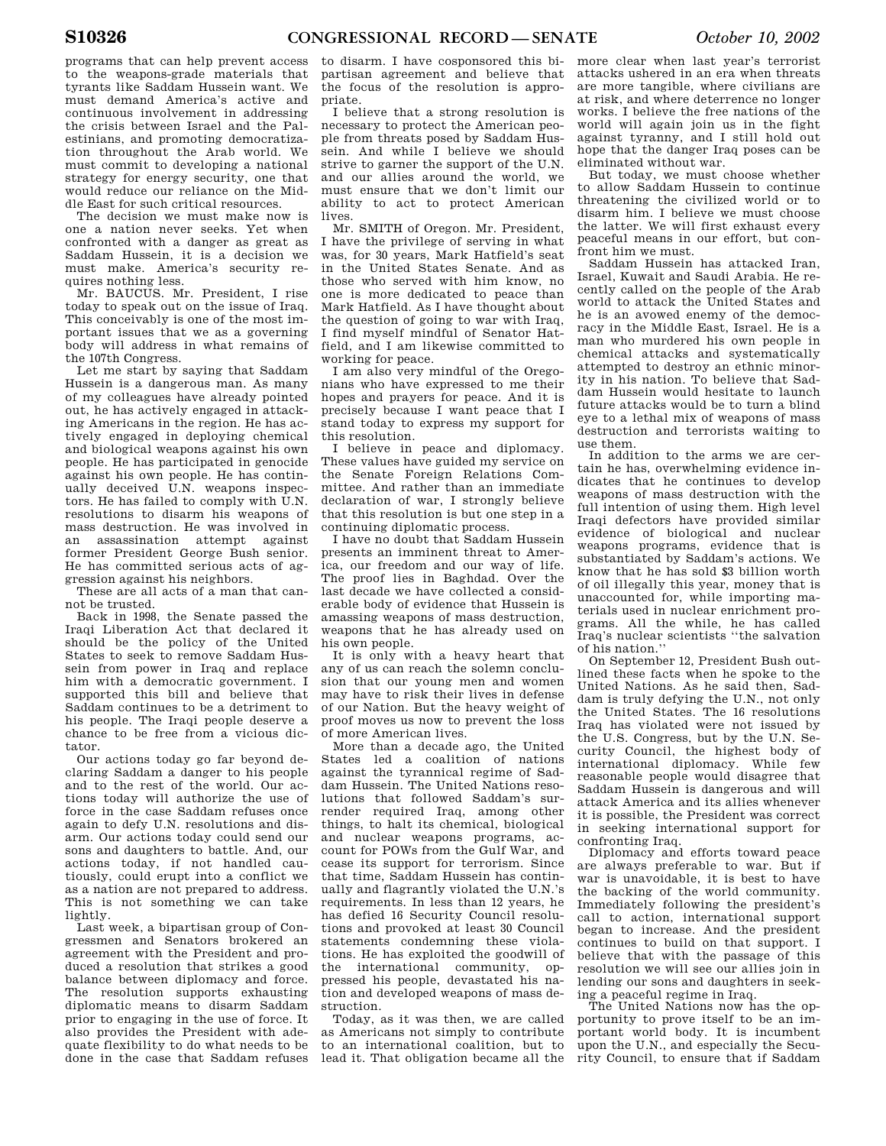programs that can help prevent access to the weapons-grade materials that tyrants like Saddam Hussein want. We must demand America's active and continuous involvement in addressing the crisis between Israel and the Palestinians, and promoting democratization throughout the Arab world. We must commit to developing a national strategy for energy security, one that would reduce our reliance on the Middle East for such critical resources.

The decision we must make now is one a nation never seeks. Yet when confronted with a danger as great as Saddam Hussein, it is a decision we must make. America's security requires nothing less.

Mr. BAUCUS. Mr. President, I rise today to speak out on the issue of Iraq. This conceivably is one of the most important issues that we as a governing body will address in what remains of the 107th Congress.

Let me start by saying that Saddam Hussein is a dangerous man. As many of my colleagues have already pointed out, he has actively engaged in attacking Americans in the region. He has actively engaged in deploying chemical and biological weapons against his own people. He has participated in genocide against his own people. He has continually deceived U.N. weapons inspectors. He has failed to comply with U.N. resolutions to disarm his weapons of mass destruction. He was involved in an assassination attempt against former President George Bush senior. He has committed serious acts of aggression against his neighbors.

These are all acts of a man that cannot be trusted.

Back in 1998, the Senate passed the Iraqi Liberation Act that declared it should be the policy of the United States to seek to remove Saddam Hussein from power in Iraq and replace him with a democratic government. I supported this bill and believe that Saddam continues to be a detriment to his people. The Iraqi people deserve a chance to be free from a vicious dictator.

Our actions today go far beyond declaring Saddam a danger to his people and to the rest of the world. Our actions today will authorize the use of force in the case Saddam refuses once again to defy U.N. resolutions and disarm. Our actions today could send our sons and daughters to battle. And, our actions today, if not handled cautiously, could erupt into a conflict we as a nation are not prepared to address. This is not something we can take lightly.

Last week, a bipartisan group of Congressmen and Senators brokered an agreement with the President and produced a resolution that strikes a good balance between diplomacy and force. The resolution supports exhausting diplomatic means to disarm Saddam prior to engaging in the use of force. It also provides the President with adequate flexibility to do what needs to be done in the case that Saddam refuses

to disarm. I have cosponsored this bipartisan agreement and believe that the focus of the resolution is appropriate.

I believe that a strong resolution is necessary to protect the American people from threats posed by Saddam Hussein. And while I believe we should strive to garner the support of the U.N. and our allies around the world, we must ensure that we don't limit our ability to act to protect American lives.

Mr. SMITH of Oregon. Mr. President, I have the privilege of serving in what was, for 30 years, Mark Hatfield's seat in the United States Senate. And as those who served with him know, no one is more dedicated to peace than Mark Hatfield. As I have thought about the question of going to war with Iraq, I find myself mindful of Senator Hatfield, and I am likewise committed to working for peace.

I am also very mindful of the Oregonians who have expressed to me their hopes and prayers for peace. And it is precisely because I want peace that I stand today to express my support for this resolution.

I believe in peace and diplomacy. These values have guided my service on the Senate Foreign Relations Committee. And rather than an immediate declaration of war, I strongly believe that this resolution is but one step in a continuing diplomatic process.

I have no doubt that Saddam Hussein presents an imminent threat to America, our freedom and our way of life. The proof lies in Baghdad. Over the last decade we have collected a considerable body of evidence that Hussein is amassing weapons of mass destruction, weapons that he has already used on his own people.

It is only with a heavy heart that any of us can reach the solemn conclusion that our young men and women may have to risk their lives in defense of our Nation. But the heavy weight of proof moves us now to prevent the loss of more American lives.

More than a decade ago, the United States led a coalition of nations against the tyrannical regime of Saddam Hussein. The United Nations resolutions that followed Saddam's surrender required Iraq, among other things, to halt its chemical, biological and nuclear weapons programs, account for POWs from the Gulf War, and cease its support for terrorism. Since that time, Saddam Hussein has continually and flagrantly violated the U.N.'s requirements. In less than 12 years, he has defied 16 Security Council resolutions and provoked at least 30 Council statements condemning these violations. He has exploited the goodwill of the international community, oppressed his people, devastated his nation and developed weapons of mass destruction.

Today, as it was then, we are called as Americans not simply to contribute to an international coalition, but to lead it. That obligation became all the

more clear when last year's terrorist attacks ushered in an era when threats are more tangible, where civilians are at risk, and where deterrence no longer works. I believe the free nations of the world will again join us in the fight against tyranny, and I still hold out hope that the danger Iraq poses can be eliminated without war.

But today, we must choose whether to allow Saddam Hussein to continue threatening the civilized world or to disarm him. I believe we must choose the latter. We will first exhaust every peaceful means in our effort, but confront him we must.

Saddam Hussein has attacked Iran, Israel, Kuwait and Saudi Arabia. He recently called on the people of the Arab world to attack the United States and he is an avowed enemy of the democracy in the Middle East, Israel. He is a man who murdered his own people in chemical attacks and systematically attempted to destroy an ethnic minority in his nation. To believe that Saddam Hussein would hesitate to launch future attacks would be to turn a blind eye to a lethal mix of weapons of mass destruction and terrorists waiting to use them.

In addition to the arms we are certain he has, overwhelming evidence indicates that he continues to develop weapons of mass destruction with the full intention of using them. High level Iraqi defectors have provided similar evidence of biological and nuclear weapons programs, evidence that is substantiated by Saddam's actions. We know that he has sold \$3 billion worth of oil illegally this year, money that is unaccounted for, while importing materials used in nuclear enrichment programs. All the while, he has called Iraq's nuclear scientists ''the salvation of his nation.''

On September 12, President Bush outlined these facts when he spoke to the United Nations. As he said then, Saddam is truly defying the U.N., not only the United States. The 16 resolutions Iraq has violated were not issued by the U.S. Congress, but by the U.N. Security Council, the highest body of international diplomacy. While few reasonable people would disagree that Saddam Hussein is dangerous and will attack America and its allies whenever it is possible, the President was correct in seeking international support for confronting Iraq.

Diplomacy and efforts toward peace are always preferable to war. But if war is unavoidable, it is best to have the backing of the world community. Immediately following the president's call to action, international support began to increase. And the president continues to build on that support. I believe that with the passage of this resolution we will see our allies join in lending our sons and daughters in seeking a peaceful regime in Iraq.

The United Nations now has the opportunity to prove itself to be an important world body. It is incumbent upon the U.N., and especially the Security Council, to ensure that if Saddam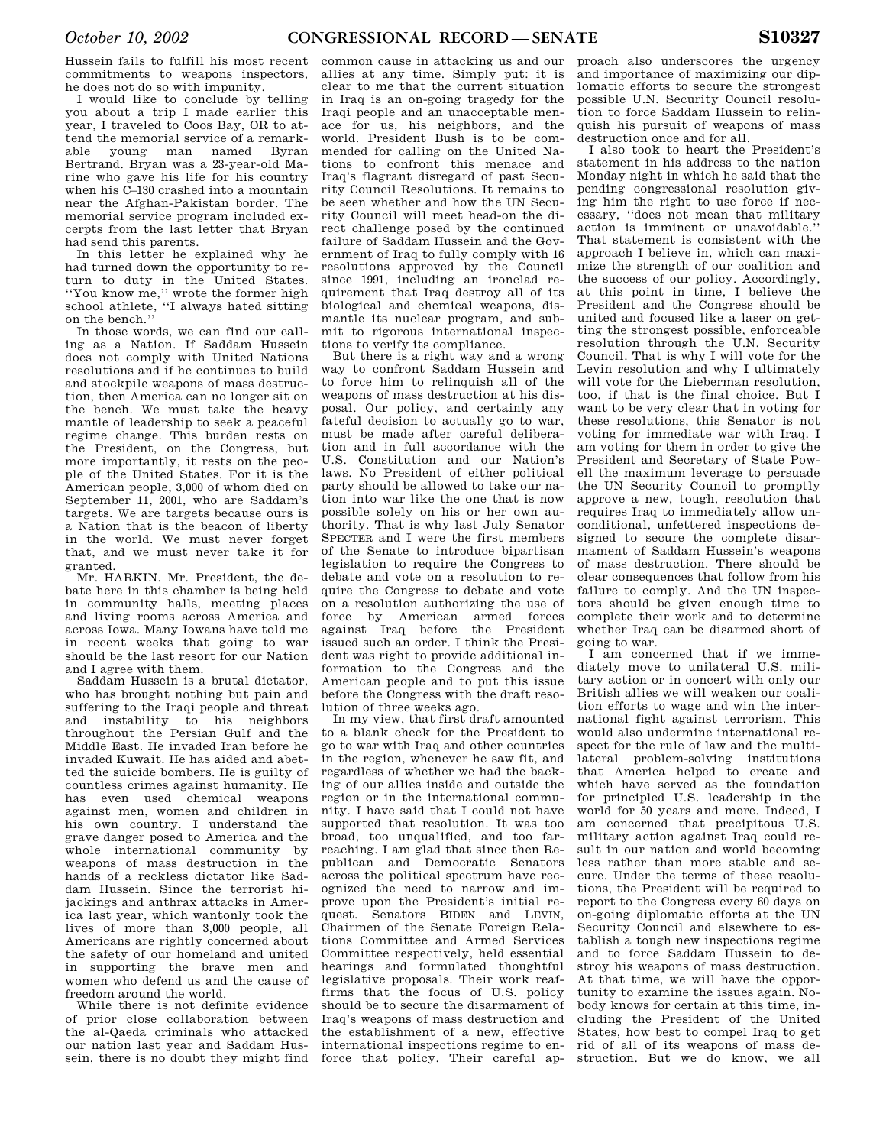Hussein fails to fulfill his most recent commitments to weapons inspectors, he does not do so with impunity.

I would like to conclude by telling you about a trip I made earlier this year, I traveled to Coos Bay, OR to attend the memorial service of a remarkable young man named Byran Bertrand. Bryan was a 23-year-old Marine who gave his life for his country when his C–130 crashed into a mountain near the Afghan-Pakistan border. The memorial service program included excerpts from the last letter that Bryan had send this parents.

In this letter he explained why he had turned down the opportunity to return to duty in the United States. ''You know me,'' wrote the former high school athlete, ''I always hated sitting on the bench.''

In those words, we can find our calling as a Nation. If Saddam Hussein does not comply with United Nations resolutions and if he continues to build and stockpile weapons of mass destruction, then America can no longer sit on the bench. We must take the heavy mantle of leadership to seek a peaceful regime change. This burden rests on the President, on the Congress, but more importantly, it rests on the people of the United States. For it is the American people, 3,000 of whom died on September 11, 2001, who are Saddam's targets. We are targets because ours is a Nation that is the beacon of liberty in the world. We must never forget that, and we must never take it for granted.

Mr. HARKIN. Mr. President, the debate here in this chamber is being held in community halls, meeting places and living rooms across America and across Iowa. Many Iowans have told me in recent weeks that going to war should be the last resort for our Nation and I agree with them.

Saddam Hussein is a brutal dictator, who has brought nothing but pain and suffering to the Iraqi people and threat and instability to his neighbors throughout the Persian Gulf and the Middle East. He invaded Iran before he invaded Kuwait. He has aided and abetted the suicide bombers. He is guilty of countless crimes against humanity. He has even used chemical weapons against men, women and children in his own country. I understand the grave danger posed to America and the whole international community by weapons of mass destruction in the hands of a reckless dictator like Saddam Hussein. Since the terrorist hijackings and anthrax attacks in America last year, which wantonly took the lives of more than 3,000 people, all Americans are rightly concerned about the safety of our homeland and united in supporting the brave men and women who defend us and the cause of freedom around the world.

While there is not definite evidence of prior close collaboration between the al-Qaeda criminals who attacked our nation last year and Saddam Hussein, there is no doubt they might find

common cause in attacking us and our allies at any time. Simply put: it is clear to me that the current situation in Iraq is an on-going tragedy for the Iraqi people and an unacceptable menace for us, his neighbors, and the world. President Bush is to be commended for calling on the United Nations to confront this menace and Iraq's flagrant disregard of past Security Council Resolutions. It remains to be seen whether and how the UN Security Council will meet head-on the direct challenge posed by the continued failure of Saddam Hussein and the Government of Iraq to fully comply with 16 resolutions approved by the Council since 1991, including an ironclad requirement that Iraq destroy all of its biological and chemical weapons, dismantle its nuclear program, and submit to rigorous international inspections to verify its compliance.

But there is a right way and a wrong way to confront Saddam Hussein and to force him to relinquish all of the weapons of mass destruction at his disposal. Our policy, and certainly any fateful decision to actually go to war, must be made after careful deliberation and in full accordance with the U.S. Constitution and our Nation's laws. No President of either political party should be allowed to take our nation into war like the one that is now possible solely on his or her own authority. That is why last July Senator SPECTER and I were the first members of the Senate to introduce bipartisan legislation to require the Congress to debate and vote on a resolution to require the Congress to debate and vote on a resolution authorizing the use of force by American armed forces against Iraq before the President issued such an order. I think the President was right to provide additional information to the Congress and the American people and to put this issue before the Congress with the draft resolution of three weeks ago.

In my view, that first draft amounted to a blank check for the President to go to war with Iraq and other countries in the region, whenever he saw fit, and regardless of whether we had the backing of our allies inside and outside the region or in the international community. I have said that I could not have supported that resolution. It was too broad, too unqualified, and too farreaching. I am glad that since then Republican and Democratic Senators across the political spectrum have recognized the need to narrow and improve upon the President's initial request. Senators BIDEN and LEVIN, Chairmen of the Senate Foreign Relations Committee and Armed Services Committee respectively, held essential hearings and formulated thoughtful legislative proposals. Their work reaffirms that the focus of U.S. policy should be to secure the disarmament of Iraq's weapons of mass destruction and the establishment of a new, effective international inspections regime to enforce that policy. Their careful ap-

proach also underscores the urgency and importance of maximizing our diplomatic efforts to secure the strongest possible U.N. Security Council resolution to force Saddam Hussein to relinquish his pursuit of weapons of mass destruction once and for all.

I also took to heart the President's statement in his address to the nation Monday night in which he said that the pending congressional resolution giving him the right to use force if necessary, ''does not mean that military action is imminent or unavoidable.'' That statement is consistent with the approach I believe in, which can maximize the strength of our coalition and the success of our policy. Accordingly, at this point in time, I believe the President and the Congress should be united and focused like a laser on getting the strongest possible, enforceable resolution through the U.N. Security Council. That is why I will vote for the Levin resolution and why I ultimately will vote for the Lieberman resolution, too, if that is the final choice. But I want to be very clear that in voting for these resolutions, this Senator is not voting for immediate war with Iraq. I am voting for them in order to give the President and Secretary of State Powell the maximum leverage to persuade the UN Security Council to promptly approve a new, tough, resolution that requires Iraq to immediately allow unconditional, unfettered inspections designed to secure the complete disarmament of Saddam Hussein's weapons of mass destruction. There should be clear consequences that follow from his failure to comply. And the UN inspectors should be given enough time to complete their work and to determine whether Iraq can be disarmed short of going to war.

I am concerned that if we immediately move to unilateral U.S. military action or in concert with only our British allies we will weaken our coalition efforts to wage and win the international fight against terrorism. This would also undermine international respect for the rule of law and the multilateral problem-solving institutions that America helped to create and which have served as the foundation for principled U.S. leadership in the world for 50 years and more. Indeed, I am concerned that precipitous U.S. military action against Iraq could result in our nation and world becoming less rather than more stable and secure. Under the terms of these resolutions, the President will be required to report to the Congress every 60 days on on-going diplomatic efforts at the UN Security Council and elsewhere to establish a tough new inspections regime and to force Saddam Hussein to destroy his weapons of mass destruction. At that time, we will have the opportunity to examine the issues again. Nobody knows for certain at this time, including the President of the United States, how best to compel Iraq to get rid of all of its weapons of mass destruction. But we do know, we all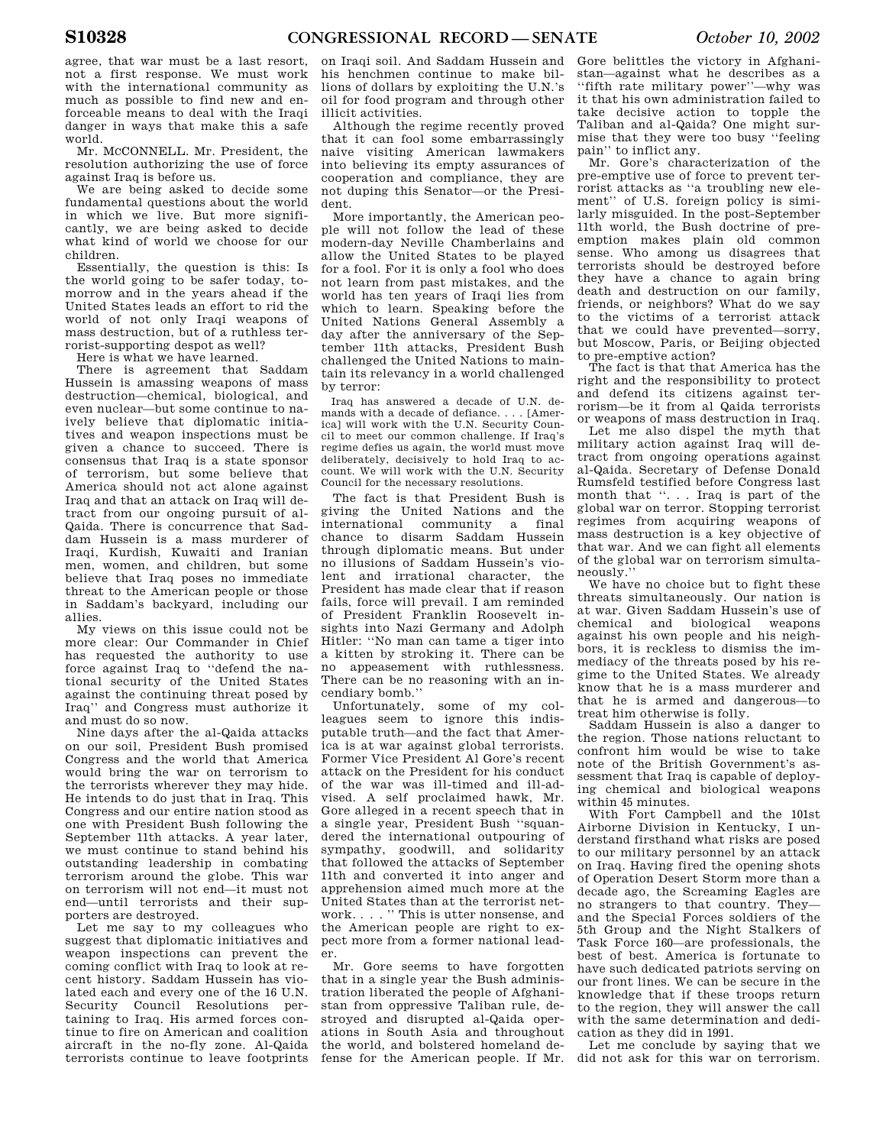agree, that war must be a last resort, not a first response. We must work with the international community as much as possible to find new and enforceable means to deal with the Iraqi danger in ways that make this a safe world.

Mr. MCCONNELL. Mr. President, the resolution authorizing the use of force against Iraq is before us.

We are being asked to decide some fundamental questions about the world in which we live. But more significantly, we are being asked to decide what kind of world we choose for our children.

Essentially, the question is this: Is the world going to be safer today, tomorrow and in the years ahead if the United States leads an effort to rid the world of not only Iraqi weapons of mass destruction, but of a ruthless terrorist-supporting despot as well?

Here is what we have learned.

There is agreement that Saddam Hussein is amassing weapons of mass destruction—chemical, biological, and even nuclear—but some continue to naively believe that diplomatic initiatives and weapon inspections must be given a chance to succeed. There is consensus that Iraq is a state sponsor of terrorism, but some believe that America should not act alone against Iraq and that an attack on Iraq will detract from our ongoing pursuit of al-Qaida. There is concurrence that Saddam Hussein is a mass murderer of Iraqi, Kurdish, Kuwaiti and Iranian men, women, and children, but some believe that Iraq poses no immediate threat to the American people or those in Saddam's backyard, including our allies.

My views on this issue could not be more clear: Our Commander in Chief has requested the authority to use force against Iraq to ''defend the national security of the United States against the continuing threat posed by Iraq'' and Congress must authorize it and must do so now.

Nine days after the al-Qaida attacks on our soil, President Bush promised Congress and the world that America would bring the war on terrorism to the terrorists wherever they may hide. He intends to do just that in Iraq. This Congress and our entire nation stood as one with President Bush following the September 11th attacks. A year later, we must continue to stand behind his outstanding leadership in combating terrorism around the globe. This war on terrorism will not end—it must not end—until terrorists and their supporters are destroyed.

Let me say to my colleagues who suggest that diplomatic initiatives and weapon inspections can prevent the coming conflict with Iraq to look at recent history. Saddam Hussein has violated each and every one of the 16 U.N. Security Council Resolutions pertaining to Iraq. His armed forces continue to fire on American and coalition aircraft in the no-fly zone. Al-Qaida terrorists continue to leave footprints

on Iraqi soil. And Saddam Hussein and his henchmen continue to make billions of dollars by exploiting the U.N.'s oil for food program and through other illicit activities.

Although the regime recently proved that it can fool some embarrassingly naive visiting American lawmakers into believing its empty assurances of cooperation and compliance, they are not duping this Senator—or the President.

More importantly, the American people will not follow the lead of these modern-day Neville Chamberlains and allow the United States to be played for a fool. For it is only a fool who does not learn from past mistakes, and the world has ten years of Iraqi lies from which to learn. Speaking before the United Nations General Assembly a day after the anniversary of the September 11th attacks, President Bush challenged the United Nations to maintain its relevancy in a world challenged by terror:

Iraq has answered a decade of U.N. demands with a decade of defiance. . . . [America] will work with the U.N. Security Council to meet our common challenge. If Iraq's regime defies us again, the world must move deliberately, decisively to hold Iraq to account. We will work with the U.N. Security Council for the necessary resolutions.

The fact is that President Bush is giving the United Nations and the international community a final chance to disarm Saddam Hussein through diplomatic means. But under no illusions of Saddam Hussein's violent and irrational character, the President has made clear that if reason fails, force will prevail. I am reminded of President Franklin Roosevelt insights into Nazi Germany and Adolph Hitler: ''No man can tame a tiger into a kitten by stroking it. There can be no appeasement with ruthlessness. There can be no reasoning with an incendiary bomb.''

Unfortunately, some of my colleagues seem to ignore this indisputable truth—and the fact that America is at war against global terrorists. Former Vice President Al Gore's recent attack on the President for his conduct of the war was ill-timed and ill-advised. A self proclaimed hawk, Mr. Gore alleged in a recent speech that in a single year, President Bush ''squandered the international outpouring of sympathy, goodwill, and solidarity that followed the attacks of September 11th and converted it into anger and apprehension aimed much more at the United States than at the terrorist network. . . . '' This is utter nonsense, and the American people are right to expect more from a former national leader.

Mr. Gore seems to have forgotten that in a single year the Bush administration liberated the people of Afghanistan from oppressive Taliban rule, destroyed and disrupted al-Qaida operations in South Asia and throughout the world, and bolstered homeland defense for the American people. If Mr.

Gore belittles the victory in Afghanistan—against what he describes as a ''fifth rate military power''—why was it that his own administration failed to take decisive action to topple the Taliban and al-Qaida? One might surmise that they were too busy ''feeling pain'' to inflict any.

Mr. Gore's characterization of the pre-emptive use of force to prevent terrorist attacks as ''a troubling new element'' of U.S. foreign policy is similarly misguided. In the post-September 11th world, the Bush doctrine of preemption makes plain old common sense. Who among us disagrees that terrorists should be destroyed before they have a chance to again bring death and destruction on our family, friends, or neighbors? What do we say to the victims of a terrorist attack that we could have prevented—sorry, but Moscow, Paris, or Beijing objected to pre-emptive action?

The fact is that that America has the right and the responsibility to protect and defend its citizens against terrorism—be it from al Qaida terrorists or weapons of mass destruction in Iraq.

Let me also dispel the myth that military action against Iraq will detract from ongoing operations against al-Qaida. Secretary of Defense Donald Rumsfeld testified before Congress last month that ''. . . Iraq is part of the global war on terror. Stopping terrorist regimes from acquiring weapons of mass destruction is a key objective of that war. And we can fight all elements of the global war on terrorism simultaneously.''

We have no choice but to fight these threats simultaneously. Our nation is at war. Given Saddam Hussein's use of chemical and biological weapons against his own people and his neighbors, it is reckless to dismiss the immediacy of the threats posed by his regime to the United States. We already know that he is a mass murderer and that he is armed and dangerous—to treat him otherwise is folly.

Saddam Hussein is also a danger to the region. Those nations reluctant to confront him would be wise to take note of the British Government's assessment that Iraq is capable of deploying chemical and biological weapons within 45 minutes.

With Fort Campbell and the 101st Airborne Division in Kentucky, I understand firsthand what risks are posed to our military personnel by an attack on Iraq. Having fired the opening shots of Operation Desert Storm more than a decade ago, the Screaming Eagles are no strangers to that country. They and the Special Forces soldiers of the 5th Group and the Night Stalkers of Task Force 160—are professionals, the best of best. America is fortunate to have such dedicated patriots serving on our front lines. We can be secure in the knowledge that if these troops return to the region, they will answer the call with the same determination and dedication as they did in 1991.

Let me conclude by saying that we did not ask for this war on terrorism.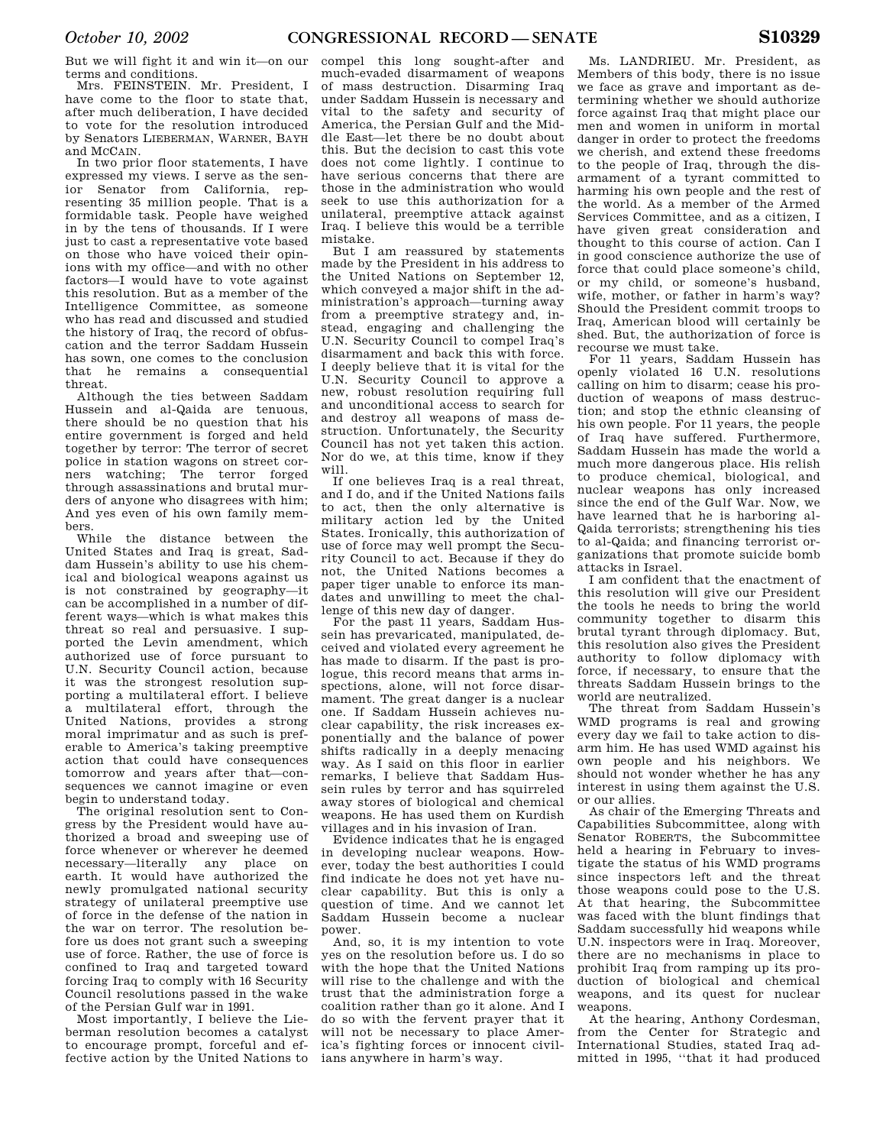But we will fight it and win it—on our terms and conditions.

Mrs. FEINSTEIN. Mr. President, I have come to the floor to state that, after much deliberation, I have decided to vote for the resolution introduced by Senators LIEBERMAN, WARNER, BAYH and MCCAIN.

In two prior floor statements, I have expressed my views. I serve as the senior Senator from California, representing 35 million people. That is a formidable task. People have weighed in by the tens of thousands. If I were just to cast a representative vote based on those who have voiced their opinions with my office—and with no other factors—I would have to vote against this resolution. But as a member of the Intelligence Committee, as someone who has read and discussed and studied the history of Iraq, the record of obfuscation and the terror Saddam Hussein has sown, one comes to the conclusion that he remains a consequential threat.

Although the ties between Saddam Hussein and al-Qaida are tenuous, there should be no question that his entire government is forged and held together by terror: The terror of secret police in station wagons on street corners watching; The terror forged through assassinations and brutal murders of anyone who disagrees with him; And yes even of his own family members.

While the distance between the United States and Iraq is great, Saddam Hussein's ability to use his chemical and biological weapons against us is not constrained by geography—it can be accomplished in a number of different ways—which is what makes this threat so real and persuasive. I supported the Levin amendment, which authorized use of force pursuant to U.N. Security Council action, because it was the strongest resolution supporting a multilateral effort. I believe a multilateral effort, through the United Nations, provides a strong moral imprimatur and as such is preferable to America's taking preemptive action that could have consequences tomorrow and years after that—consequences we cannot imagine or even begin to understand today.

The original resolution sent to Congress by the President would have authorized a broad and sweeping use of force whenever or wherever he deemed necessary—literally any place on earth. It would have authorized the newly promulgated national security strategy of unilateral preemptive use of force in the defense of the nation in the war on terror. The resolution before us does not grant such a sweeping use of force. Rather, the use of force is confined to Iraq and targeted toward forcing Iraq to comply with 16 Security Council resolutions passed in the wake of the Persian Gulf war in 1991.

Most importantly, I believe the Lieberman resolution becomes a catalyst to encourage prompt, forceful and effective action by the United Nations to

compel this long sought-after and much-evaded disarmament of weapons of mass destruction. Disarming Iraq under Saddam Hussein is necessary and vital to the safety and security of America, the Persian Gulf and the Middle East—let there be no doubt about this. But the decision to cast this vote does not come lightly. I continue to have serious concerns that there are those in the administration who would seek to use this authorization for a unilateral, preemptive attack against Iraq. I believe this would be a terrible mistake.

But I am reassured by statements made by the President in his address to the United Nations on September 12, which conveyed a major shift in the administration's approach—turning away from a preemptive strategy and, instead, engaging and challenging the U.N. Security Council to compel Iraq's disarmament and back this with force. I deeply believe that it is vital for the U.N. Security Council to approve a new, robust resolution requiring full and unconditional access to search for and destroy all weapons of mass destruction. Unfortunately, the Security Council has not yet taken this action. Nor do we, at this time, know if they will.

If one believes Iraq is a real threat, and I do, and if the United Nations fails to act, then the only alternative is military action led by the United States. Ironically, this authorization of use of force may well prompt the Security Council to act. Because if they do not, the United Nations becomes a paper tiger unable to enforce its mandates and unwilling to meet the challenge of this new day of danger.

For the past 11 years, Saddam Hussein has prevaricated, manipulated, deceived and violated every agreement he has made to disarm. If the past is prologue, this record means that arms inspections, alone, will not force disarmament. The great danger is a nuclear one. If Saddam Hussein achieves nuclear capability, the risk increases exponentially and the balance of power shifts radically in a deeply menacing way. As I said on this floor in earlier remarks, I believe that Saddam Hussein rules by terror and has squirreled away stores of biological and chemical weapons. He has used them on Kurdish villages and in his invasion of Iran.

Evidence indicates that he is engaged in developing nuclear weapons. However, today the best authorities I could find indicate he does not yet have nuclear capability. But this is only a question of time. And we cannot let Saddam Hussein become a nuclear power.

And, so, it is my intention to vote yes on the resolution before us. I do so with the hope that the United Nations will rise to the challenge and with the trust that the administration forge a coalition rather than go it alone. And I do so with the fervent prayer that it will not be necessary to place America's fighting forces or innocent civilians anywhere in harm's way.

Ms. LANDRIEU. Mr. President, as Members of this body, there is no issue we face as grave and important as determining whether we should authorize force against Iraq that might place our men and women in uniform in mortal danger in order to protect the freedoms we cherish, and extend these freedoms to the people of Iraq, through the disarmament of a tyrant committed to harming his own people and the rest of the world. As a member of the Armed Services Committee, and as a citizen, I have given great consideration and thought to this course of action. Can I in good conscience authorize the use of force that could place someone's child, or my child, or someone's husband, wife, mother, or father in harm's way? Should the President commit troops to Iraq, American blood will certainly be shed. But, the authorization of force is recourse we must take.

For 11 years, Saddam Hussein has openly violated 16 U.N. resolutions calling on him to disarm; cease his production of weapons of mass destruction; and stop the ethnic cleansing of his own people. For 11 years, the people of Iraq have suffered. Furthermore, Saddam Hussein has made the world a much more dangerous place. His relish to produce chemical, biological, and nuclear weapons has only increased since the end of the Gulf War. Now, we have learned that he is harboring al-Qaida terrorists; strengthening his ties to al-Qaida; and financing terrorist organizations that promote suicide bomb attacks in Israel.

I am confident that the enactment of this resolution will give our President the tools he needs to bring the world community together to disarm this brutal tyrant through diplomacy. But, this resolution also gives the President authority to follow diplomacy with force, if necessary, to ensure that the threats Saddam Hussein brings to the world are neutralized.

The threat from Saddam Hussein's WMD programs is real and growing every day we fail to take action to disarm him. He has used WMD against his own people and his neighbors. We should not wonder whether he has any interest in using them against the U.S. or our allies.

As chair of the Emerging Threats and Capabilities Subcommittee, along with Senator ROBERTS, the Subcommittee held a hearing in February to investigate the status of his WMD programs since inspectors left and the threat those weapons could pose to the U.S. At that hearing, the Subcommittee was faced with the blunt findings that Saddam successfully hid weapons while U.N. inspectors were in Iraq. Moreover, there are no mechanisms in place to prohibit Iraq from ramping up its production of biological and chemical weapons, and its quest for nuclear weapons.

At the hearing, Anthony Cordesman, from the Center for Strategic and International Studies, stated Iraq admitted in 1995, ''that it had produced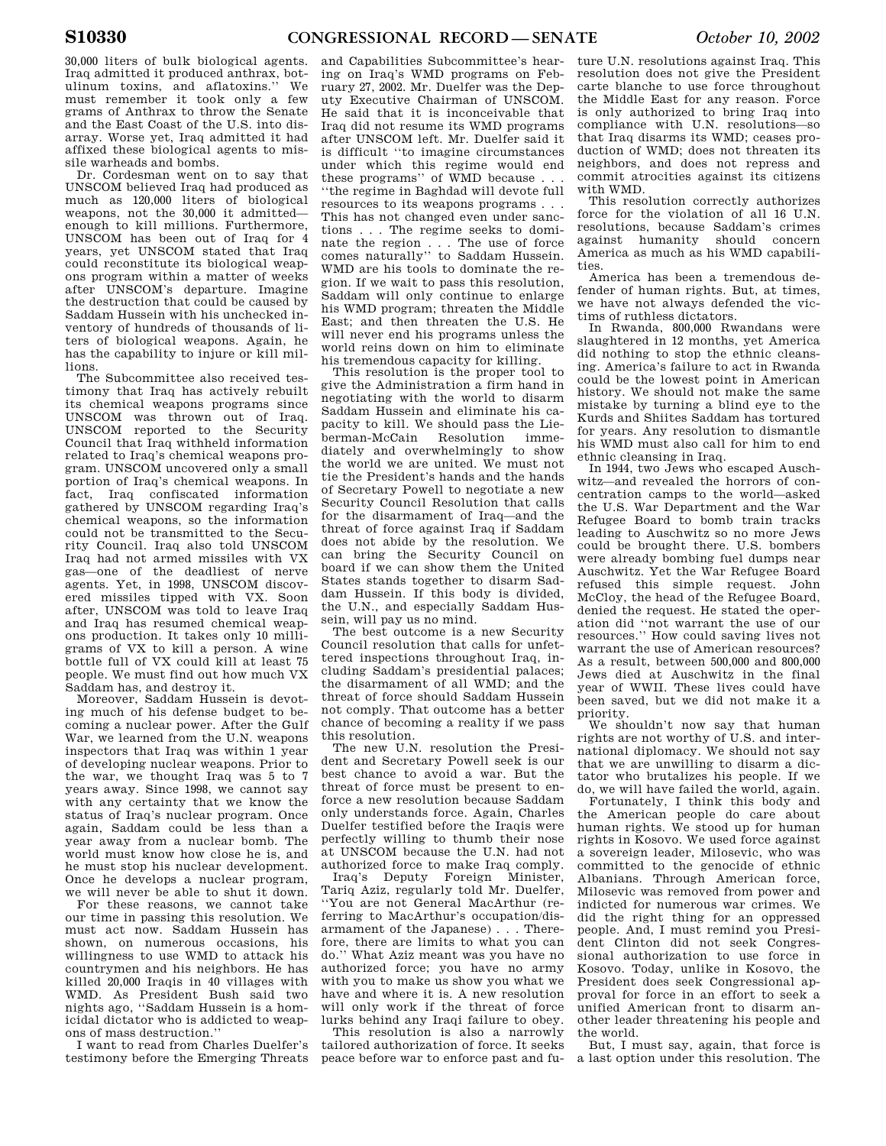30,000 liters of bulk biological agents. Iraq admitted it produced anthrax, botulinum toxins, and aflatoxins.'' We must remember it took only a few grams of Anthrax to throw the Senate and the East Coast of the U.S. into disarray. Worse yet, Iraq admitted it had affixed these biological agents to missile warheads and bombs.

Dr. Cordesman went on to say that UNSCOM believed Iraq had produced as much as 120,000 liters of biological weapons, not the 30,000 it admitted enough to kill millions. Furthermore, UNSCOM has been out of Iraq for 4 years, yet UNSCOM stated that Iraq could reconstitute its biological weapons program within a matter of weeks after UNSCOM's departure. Imagine the destruction that could be caused by Saddam Hussein with his unchecked inventory of hundreds of thousands of liters of biological weapons. Again, he has the capability to injure or kill millions.

The Subcommittee also received testimony that Iraq has actively rebuilt its chemical weapons programs since UNSCOM was thrown out of Iraq. UNSCOM reported to the Security Council that Iraq withheld information related to Iraq's chemical weapons program. UNSCOM uncovered only a small portion of Iraq's chemical weapons. In fact, Iraq confiscated information gathered by UNSCOM regarding Iraq's chemical weapons, so the information could not be transmitted to the Security Council. Iraq also told UNSCOM Iraq had not armed missiles with VX gas—one of the deadliest of nerve agents. Yet, in 1998, UNSCOM discovered missiles tipped with VX. Soon after, UNSCOM was told to leave Iraq and Iraq has resumed chemical weapons production. It takes only 10 milligrams of VX to kill a person. A wine bottle full of VX could kill at least 75 people. We must find out how much VX Saddam has, and destroy it.

Moreover, Saddam Hussein is devoting much of his defense budget to becoming a nuclear power. After the Gulf War, we learned from the U.N. weapons inspectors that Iraq was within 1 year of developing nuclear weapons. Prior to the war, we thought Iraq was 5 to 7 years away. Since 1998, we cannot say with any certainty that we know the status of Iraq's nuclear program. Once again, Saddam could be less than a year away from a nuclear bomb. The world must know how close he is, and he must stop his nuclear development. Once he develops a nuclear program, we will never be able to shut it down.

For these reasons, we cannot take our time in passing this resolution. We must act now. Saddam Hussein has shown, on numerous occasions, his willingness to use WMD to attack his countrymen and his neighbors. He has killed 20,000 Iraqis in 40 villages with WMD. As President Bush said two nights ago, ''Saddam Hussein is a homicidal dictator who is addicted to weapons of mass destruction.''

I want to read from Charles Duelfer's testimony before the Emerging Threats

and Capabilities Subcommittee's hearing on Iraq's WMD programs on February 27, 2002. Mr. Duelfer was the Deputy Executive Chairman of UNSCOM. He said that it is inconceivable that Iraq did not resume its WMD programs after UNSCOM left. Mr. Duelfer said it is difficult ''to imagine circumstances under which this regime would end these programs'' of WMD because . . . ''the regime in Baghdad will devote full resources to its weapons programs . . . This has not changed even under sanctions . . . The regime seeks to dominate the region . . . The use of force comes naturally'' to Saddam Hussein. WMD are his tools to dominate the region. If we wait to pass this resolution, Saddam will only continue to enlarge his WMD program; threaten the Middle East; and then threaten the U.S. He will never end his programs unless the world reins down on him to eliminate

his tremendous capacity for killing. This resolution is the proper tool to give the Administration a firm hand in negotiating with the world to disarm Saddam Hussein and eliminate his capacity to kill. We should pass the Lieberman-McCain Resolution immediately and overwhelmingly to show the world we are united. We must not tie the President's hands and the hands of Secretary Powell to negotiate a new Security Council Resolution that calls for the disarmament of Iraq—and the threat of force against Iraq if Saddam does not abide by the resolution. We can bring the Security Council on board if we can show them the United States stands together to disarm Saddam Hussein. If this body is divided, the U.N., and especially Saddam Hussein, will pay us no mind.

The best outcome is a new Security Council resolution that calls for unfettered inspections throughout Iraq, including Saddam's presidential palaces; the disarmament of all WMD; and the threat of force should Saddam Hussein not comply. That outcome has a better chance of becoming a reality if we pass this resolution.

The new U.N. resolution the President and Secretary Powell seek is our best chance to avoid a war. But the threat of force must be present to enforce a new resolution because Saddam only understands force. Again, Charles Duelfer testified before the Iraqis were perfectly willing to thumb their nose at UNSCOM because the U.N. had not authorized force to make Iraq comply.

Iraq's Deputy Foreign Minister, Tariq Aziz, regularly told Mr. Duelfer, ''You are not General MacArthur (referring to MacArthur's occupation/disarmament of the Japanese) . . . Therefore, there are limits to what you can do.'' What Aziz meant was you have no authorized force; you have no army with you to make us show you what we have and where it is. A new resolution will only work if the threat of force lurks behind any Iraqi failure to obey.

This resolution is also a narrowly tailored authorization of force. It seeks peace before war to enforce past and fu-

ture U.N. resolutions against Iraq. This resolution does not give the President carte blanche to use force throughout the Middle East for any reason. Force is only authorized to bring Iraq into compliance with U.N. resolutions—so that Iraq disarms its WMD; ceases production of WMD; does not threaten its neighbors, and does not repress and commit atrocities against its citizens with WMD.

This resolution correctly authorizes force for the violation of all 16 U.N. resolutions, because Saddam's crimes against humanity should concern America as much as his WMD capabilities.

America has been a tremendous defender of human rights. But, at times, we have not always defended the victims of ruthless dictators.

In Rwanda, 800,000 Rwandans were slaughtered in 12 months, yet America did nothing to stop the ethnic cleansing. America's failure to act in Rwanda could be the lowest point in American history. We should not make the same mistake by turning a blind eye to the Kurds and Shiites Saddam has tortured for years. Any resolution to dismantle his WMD must also call for him to end ethnic cleansing in Iraq.

In 1944, two Jews who escaped Auschwitz—and revealed the horrors of concentration camps to the world—asked the U.S. War Department and the War Refugee Board to bomb train tracks leading to Auschwitz so no more Jews could be brought there. U.S. bombers were already bombing fuel dumps near Auschwitz. Yet the War Refugee Board refused this simple request. John McCloy, the head of the Refugee Board, denied the request. He stated the operation did ''not warrant the use of our resources.'' How could saving lives not warrant the use of American resources? As a result, between 500,000 and 800,000 Jews died at Auschwitz in the final year of WWII. These lives could have been saved, but we did not make it a priority.

We shouldn't now say that human rights are not worthy of U.S. and international diplomacy. We should not say that we are unwilling to disarm a dictator who brutalizes his people. If we do, we will have failed the world, again.

Fortunately, I think this body and the American people do care about human rights. We stood up for human rights in Kosovo. We used force against a sovereign leader, Milosevic, who was committed to the genocide of ethnic Albanians. Through American force, Milosevic was removed from power and indicted for numerous war crimes. We did the right thing for an oppressed people. And, I must remind you President Clinton did not seek Congressional authorization to use force in Kosovo. Today, unlike in Kosovo, the President does seek Congressional approval for force in an effort to seek a unified American front to disarm another leader threatening his people and the world.

But, I must say, again, that force is a last option under this resolution. The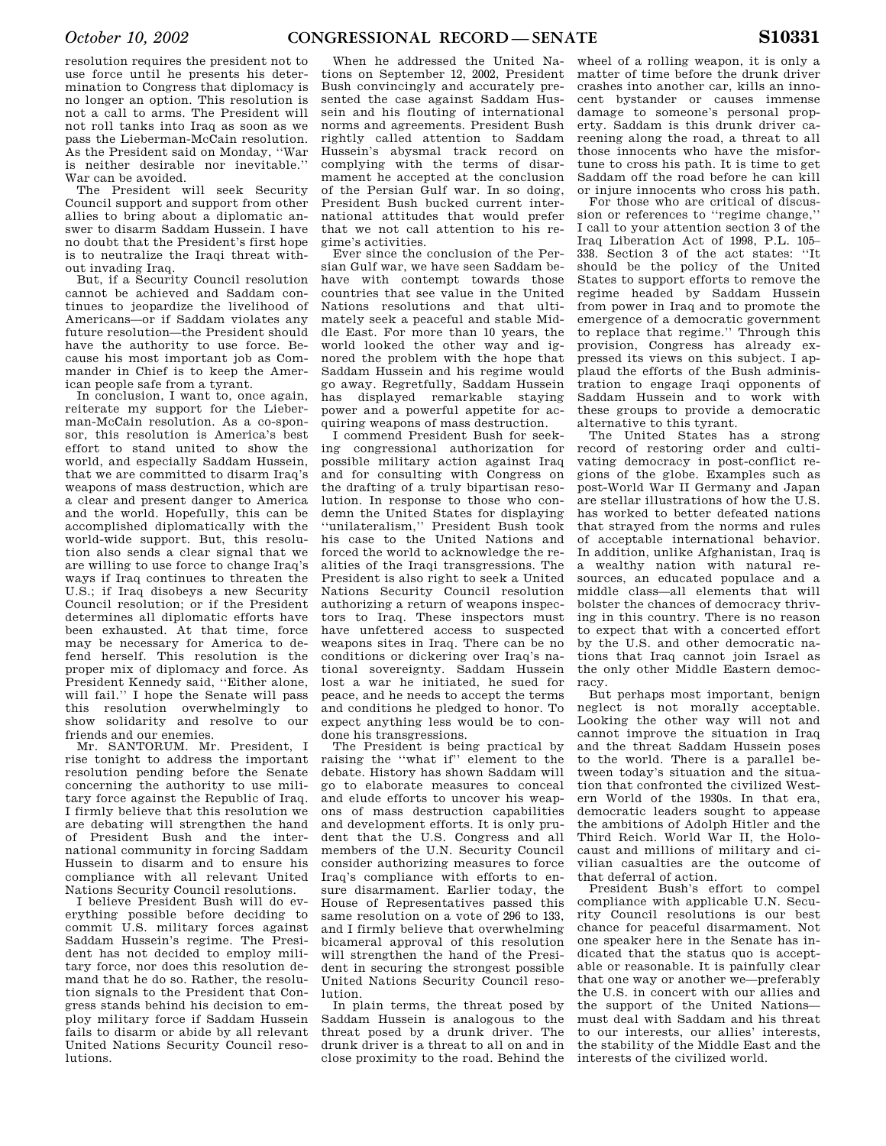resolution requires the president not to use force until he presents his determination to Congress that diplomacy is no longer an option. This resolution is not a call to arms. The President will not roll tanks into Iraq as soon as we pass the Lieberman-McCain resolution. As the President said on Monday, ''War is neither desirable nor inevitable.'' War can be avoided.

The President will seek Security Council support and support from other allies to bring about a diplomatic answer to disarm Saddam Hussein. I have no doubt that the President's first hope is to neutralize the Iraqi threat without invading Iraq.

But, if a Security Council resolution cannot be achieved and Saddam continues to jeopardize the livelihood of Americans—or if Saddam violates any future resolution—the President should have the authority to use force. Because his most important job as Commander in Chief is to keep the American people safe from a tyrant.

In conclusion, I want to, once again, reiterate my support for the Lieberman-McCain resolution. As a co-sponsor, this resolution is America's best effort to stand united to show the world, and especially Saddam Hussein, that we are committed to disarm Iraq's weapons of mass destruction, which are a clear and present danger to America and the world. Hopefully, this can be accomplished diplomatically with the world-wide support. But, this resolution also sends a clear signal that we are willing to use force to change Iraq's ways if Iraq continues to threaten the U.S.; if Iraq disobeys a new Security Council resolution; or if the President determines all diplomatic efforts have been exhausted. At that time, force may be necessary for America to defend herself. This resolution is the proper mix of diplomacy and force. As President Kennedy said, ''Either alone, will fail.'' I hope the Senate will pass this resolution overwhelmingly to show solidarity and resolve to our friends and our enemies.

Mr. SANTORUM. Mr. President, I rise tonight to address the important resolution pending before the Senate concerning the authority to use military force against the Republic of Iraq. I firmly believe that this resolution we are debating will strengthen the hand of President Bush and the international community in forcing Saddam Hussein to disarm and to ensure his compliance with all relevant United Nations Security Council resolutions.

I believe President Bush will do everything possible before deciding to commit U.S. military forces against Saddam Hussein's regime. The President has not decided to employ military force, nor does this resolution demand that he do so. Rather, the resolution signals to the President that Congress stands behind his decision to employ military force if Saddam Hussein fails to disarm or abide by all relevant United Nations Security Council resolutions.

When he addressed the United Nations on September 12, 2002, President Bush convincingly and accurately presented the case against Saddam Hussein and his flouting of international norms and agreements. President Bush rightly called attention to Saddam Hussein's abysmal track record on complying with the terms of disarmament he accepted at the conclusion of the Persian Gulf war. In so doing, President Bush bucked current international attitudes that would prefer that we not call attention to his regime's activities.

Ever since the conclusion of the Persian Gulf war, we have seen Saddam behave with contempt towards those countries that see value in the United Nations resolutions and that ultimately seek a peaceful and stable Middle East. For more than 10 years, the world looked the other way and ignored the problem with the hope that Saddam Hussein and his regime would go away. Regretfully, Saddam Hussein has displayed remarkable staying power and a powerful appetite for acquiring weapons of mass destruction.

I commend President Bush for seeking congressional authorization for possible military action against Iraq and for consulting with Congress on the drafting of a truly bipartisan resolution. In response to those who condemn the United States for displaying ''unilateralism,'' President Bush took his case to the United Nations and forced the world to acknowledge the realities of the Iraqi transgressions. The President is also right to seek a United Nations Security Council resolution authorizing a return of weapons inspectors to Iraq. These inspectors must have unfettered access to suspected weapons sites in Iraq. There can be no conditions or dickering over Iraq's national sovereignty. Saddam Hussein lost a war he initiated, he sued for peace, and he needs to accept the terms and conditions he pledged to honor. To expect anything less would be to condone his transgressions.

The President is being practical by raising the ''what if'' element to the debate. History has shown Saddam will go to elaborate measures to conceal and elude efforts to uncover his weapons of mass destruction capabilities and development efforts. It is only prudent that the U.S. Congress and all members of the U.N. Security Council consider authorizing measures to force Iraq's compliance with efforts to ensure disarmament. Earlier today, the House of Representatives passed this same resolution on a vote of 296 to 133, and I firmly believe that overwhelming bicameral approval of this resolution will strengthen the hand of the President in securing the strongest possible United Nations Security Council resolution.

In plain terms, the threat posed by Saddam Hussein is analogous to the threat posed by a drunk driver. The drunk driver is a threat to all on and in close proximity to the road. Behind the

wheel of a rolling weapon, it is only a matter of time before the drunk driver crashes into another car, kills an innocent bystander or causes immense damage to someone's personal property. Saddam is this drunk driver careening along the road, a threat to all those innocents who have the misfortune to cross his path. It is time to get Saddam off the road before he can kill or injure innocents who cross his path.

For those who are critical of discussion or references to ''regime change,'' I call to your attention section 3 of the Iraq Liberation Act of 1998, P.L. 105– 338. Section 3 of the act states: ''It should be the policy of the United States to support efforts to remove the regime headed by Saddam Hussein from power in Iraq and to promote the emergence of a democratic government to replace that regime.'' Through this provision, Congress has already expressed its views on this subject. I applaud the efforts of the Bush administration to engage Iraqi opponents of Saddam Hussein and to work with these groups to provide a democratic alternative to this tyrant.

The United States has a strong record of restoring order and cultivating democracy in post-conflict regions of the globe. Examples such as post-World War II Germany and Japan are stellar illustrations of how the U.S. has worked to better defeated nations that strayed from the norms and rules of acceptable international behavior. In addition, unlike Afghanistan, Iraq is a wealthy nation with natural resources, an educated populace and a middle class—all elements that will bolster the chances of democracy thriving in this country. There is no reason to expect that with a concerted effort by the U.S. and other democratic nations that Iraq cannot join Israel as the only other Middle Eastern democracy.

But perhaps most important, benign neglect is not morally acceptable. Looking the other way will not and cannot improve the situation in Iraq and the threat Saddam Hussein poses to the world. There is a parallel between today's situation and the situation that confronted the civilized Western World of the 1930s. In that era, democratic leaders sought to appease the ambitions of Adolph Hitler and the Third Reich. World War II, the Holocaust and millions of military and civilian casualties are the outcome of that deferral of action.

President Bush's effort to compel compliance with applicable U.N. Security Council resolutions is our best chance for peaceful disarmament. Not one speaker here in the Senate has indicated that the status quo is acceptable or reasonable. It is painfully clear that one way or another we—preferably the U.S. in concert with our allies and the support of the United Nations must deal with Saddam and his threat to our interests, our allies' interests, the stability of the Middle East and the interests of the civilized world.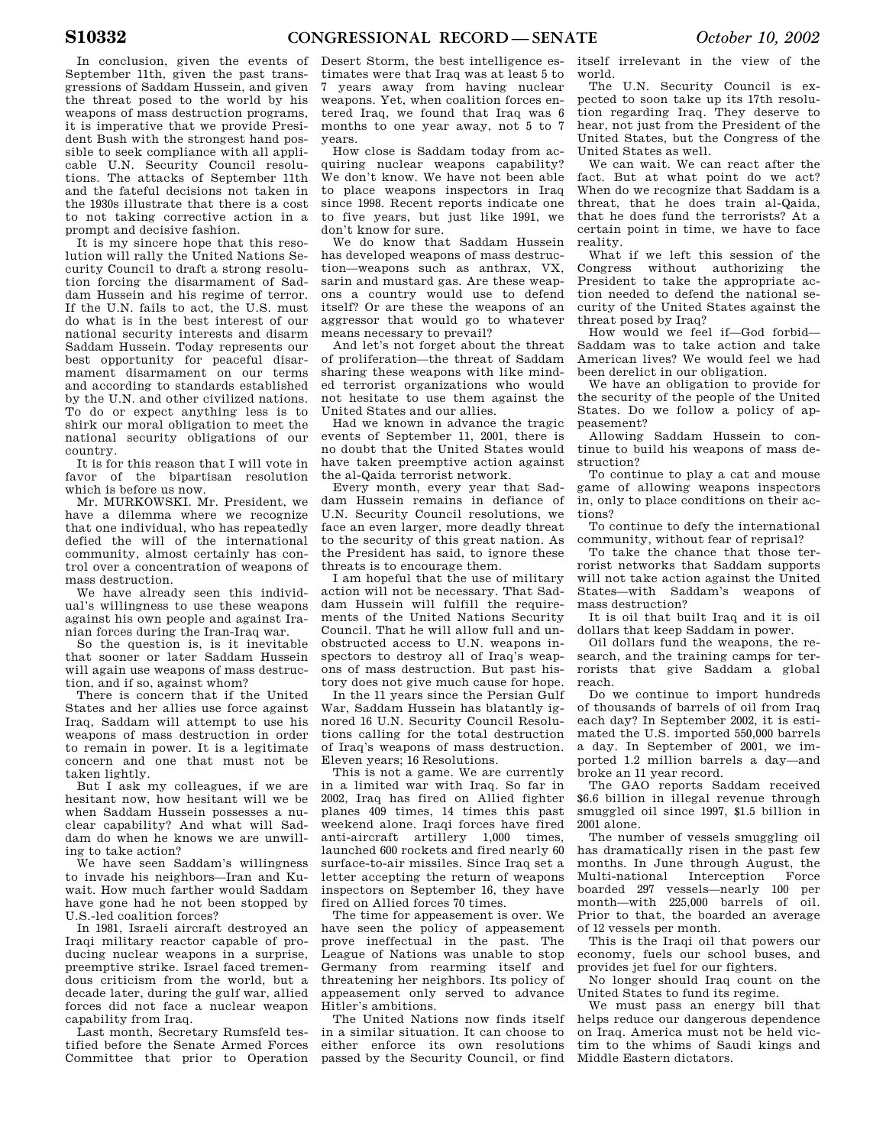In conclusion, given the events of September 11th, given the past transgressions of Saddam Hussein, and given the threat posed to the world by his weapons of mass destruction programs, it is imperative that we provide President Bush with the strongest hand possible to seek compliance with all applicable U.N. Security Council resolutions. The attacks of September 11th and the fateful decisions not taken in the 1930s illustrate that there is a cost to not taking corrective action in a prompt and decisive fashion.

It is my sincere hope that this resolution will rally the United Nations Security Council to draft a strong resolution forcing the disarmament of Saddam Hussein and his regime of terror. If the U.N. fails to act, the U.S. must do what is in the best interest of our national security interests and disarm Saddam Hussein. Today represents our best opportunity for peaceful disarmament disarmament on our terms and according to standards established by the U.N. and other civilized nations. To do or expect anything less is to shirk our moral obligation to meet the national security obligations of our country.

It is for this reason that I will vote in favor of the bipartisan resolution which is before us now.

Mr. MURKOWSKI. Mr. President, we have a dilemma where we recognize that one individual, who has repeatedly defied the will of the international community, almost certainly has control over a concentration of weapons of mass destruction.

We have already seen this individual's willingness to use these weapons against his own people and against Iranian forces during the Iran-Iraq war.

So the question is, is it inevitable that sooner or later Saddam Hussein will again use weapons of mass destruction, and if so, against whom?

There is concern that if the United States and her allies use force against Iraq, Saddam will attempt to use his weapons of mass destruction in order to remain in power. It is a legitimate concern and one that must not be taken lightly.

But I ask my colleagues, if we are hesitant now, how hesitant will we be when Saddam Hussein possesses a nuclear capability? And what will Saddam do when he knows we are unwilling to take action?

We have seen Saddam's willingness to invade his neighbors—Iran and Kuwait. How much farther would Saddam have gone had he not been stopped by U.S.-led coalition forces?

In 1981, Israeli aircraft destroyed an Iraqi military reactor capable of producing nuclear weapons in a surprise, preemptive strike. Israel faced tremendous criticism from the world, but a decade later, during the gulf war, allied forces did not face a nuclear weapon capability from Iraq.

Last month, Secretary Rumsfeld testified before the Senate Armed Forces Committee that prior to Operation

Desert Storm, the best intelligence estimates were that Iraq was at least 5 to 7 years away from having nuclear weapons. Yet, when coalition forces entered Iraq, we found that Iraq was 6 months to one year away, not 5 to 7 years.

How close is Saddam today from acquiring nuclear weapons capability? We don't know. We have not been able to place weapons inspectors in Iraq since 1998. Recent reports indicate one to five years, but just like 1991, we don't know for sure.

We do know that Saddam Hussein has developed weapons of mass destruction—weapons such as anthrax, VX, sarin and mustard gas. Are these weapons a country would use to defend itself? Or are these the weapons of an aggressor that would go to whatever means necessary to prevail?

And let's not forget about the threat of proliferation—the threat of Saddam sharing these weapons with like minded terrorist organizations who would not hesitate to use them against the United States and our allies.

Had we known in advance the tragic events of September 11, 2001, there is no doubt that the United States would have taken preemptive action against the al-Qaida terrorist network.

Every month, every year that Saddam Hussein remains in defiance of U.N. Security Council resolutions, we face an even larger, more deadly threat to the security of this great nation. As the President has said, to ignore these threats is to encourage them.

I am hopeful that the use of military action will not be necessary. That Saddam Hussein will fulfill the requirements of the United Nations Security Council. That he will allow full and unobstructed access to U.N. weapons inspectors to destroy all of Iraq's weapons of mass destruction. But past history does not give much cause for hope.

In the 11 years since the Persian Gulf War, Saddam Hussein has blatantly ignored 16 U.N. Security Council Resolutions calling for the total destruction of Iraq's weapons of mass destruction. Eleven years; 16 Resolutions.

This is not a game. We are currently in a limited war with Iraq. So far in 2002, Iraq has fired on Allied fighter planes 409 times, 14 times this past weekend alone. Iraqi forces have fired anti-aircraft artillery 1,000 times, launched 600 rockets and fired nearly 60 surface-to-air missiles. Since Iraq set a letter accepting the return of weapons inspectors on September 16, they have fired on Allied forces 70 times.

The time for appeasement is over. We have seen the policy of appeasement prove ineffectual in the past. The League of Nations was unable to stop Germany from rearming itself and threatening her neighbors. Its policy of appeasement only served to advance Hitler's ambitions.

The United Nations now finds itself in a similar situation. It can choose to either enforce its own resolutions passed by the Security Council, or find

itself irrelevant in the view of the world.

The U.N. Security Council is expected to soon take up its 17th resolution regarding Iraq. They deserve to hear, not just from the President of the United States, but the Congress of the United States as well.

We can wait. We can react after the fact. But at what point do we act? When do we recognize that Saddam is a threat, that he does train al-Qaida, that he does fund the terrorists? At a certain point in time, we have to face reality.

What if we left this session of the Congress without authorizing the President to take the appropriate action needed to defend the national security of the United States against the threat posed by Iraq?

How would we feel if—God forbid— Saddam was to take action and take American lives? We would feel we had been derelict in our obligation.

We have an obligation to provide for the security of the people of the United States. Do we follow a policy of appeasement?

Allowing Saddam Hussein to continue to build his weapons of mass destruction?

To continue to play a cat and mouse game of allowing weapons inspectors in, only to place conditions on their actions?

To continue to defy the international community, without fear of reprisal?

To take the chance that those terrorist networks that Saddam supports will not take action against the United States—with Saddam's weapons of mass destruction?

It is oil that built Iraq and it is oil dollars that keep Saddam in power.

Oil dollars fund the weapons, the research, and the training camps for terrorists that give Saddam a global reach.

Do we continue to import hundreds of thousands of barrels of oil from Iraq each day? In September 2002, it is estimated the U.S. imported 550,000 barrels a day. In September of 2001, we imported 1.2 million barrels a day—and broke an 11 year record.

The GAO reports Saddam received \$6.6 billion in illegal revenue through smuggled oil since 1997, \$1.5 billion in 2001 alone.

The number of vessels smuggling oil has dramatically risen in the past few months. In June through August, the Multi-national Interception Force boarded 297 vessels—nearly 100 per month—with 225,000 barrels of oil. Prior to that, the boarded an average of 12 vessels per month.

This is the Iraqi oil that powers our economy, fuels our school buses, and provides jet fuel for our fighters.

No longer should Iraq count on the United States to fund its regime.

We must pass an energy bill that helps reduce our dangerous dependence on Iraq. America must not be held victim to the whims of Saudi kings and Middle Eastern dictators.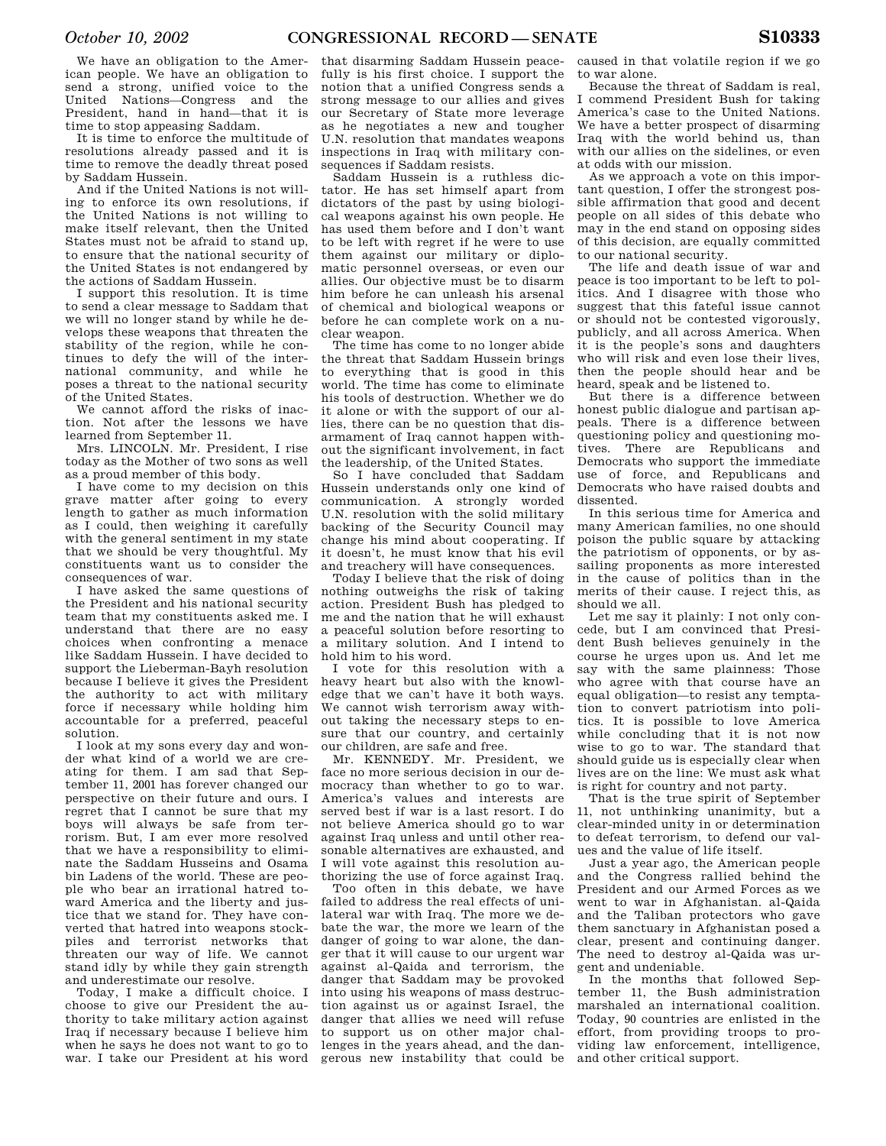We have an obligation to the American people. We have an obligation to send a strong, unified voice to the United Nations—Congress and the President, hand in hand—that it is time to stop appeasing Saddam.

It is time to enforce the multitude of resolutions already passed and it is time to remove the deadly threat posed by Saddam Hussein.

And if the United Nations is not willing to enforce its own resolutions, if the United Nations is not willing to make itself relevant, then the United States must not be afraid to stand up, to ensure that the national security of the United States is not endangered by the actions of Saddam Hussein.

I support this resolution. It is time to send a clear message to Saddam that we will no longer stand by while he develops these weapons that threaten the stability of the region, while he continues to defy the will of the international community, and while he poses a threat to the national security of the United States.

We cannot afford the risks of inaction. Not after the lessons we have learned from September 11.

Mrs. LINCOLN. Mr. President, I rise today as the Mother of two sons as well as a proud member of this body.

I have come to my decision on this grave matter after going to every length to gather as much information as I could, then weighing it carefully with the general sentiment in my state that we should be very thoughtful. My constituents want us to consider the consequences of war.

I have asked the same questions of the President and his national security team that my constituents asked me. I understand that there are no easy choices when confronting a menace like Saddam Hussein. I have decided to support the Lieberman-Bayh resolution because I believe it gives the President the authority to act with military force if necessary while holding him accountable for a preferred, peaceful solution.

I look at my sons every day and wonder what kind of a world we are creating for them. I am sad that September 11, 2001 has forever changed our perspective on their future and ours. I regret that I cannot be sure that my boys will always be safe from terrorism. But, I am ever more resolved that we have a responsibility to eliminate the Saddam Husseins and Osama bin Ladens of the world. These are people who bear an irrational hatred toward America and the liberty and justice that we stand for. They have converted that hatred into weapons stockpiles and terrorist networks that threaten our way of life. We cannot stand idly by while they gain strength and underestimate our resolve.

Today, I make a difficult choice. I choose to give our President the authority to take military action against Iraq if necessary because I believe him when he says he does not want to go to war. I take our President at his word

that disarming Saddam Hussein peacefully is his first choice. I support the notion that a unified Congress sends a strong message to our allies and gives our Secretary of State more leverage as he negotiates a new and tougher U.N. resolution that mandates weapons inspections in Iraq with military consequences if Saddam resists.

Saddam Hussein is a ruthless dictator. He has set himself apart from dictators of the past by using biological weapons against his own people. He has used them before and I don't want to be left with regret if he were to use them against our military or diplomatic personnel overseas, or even our allies. Our objective must be to disarm him before he can unleash his arsenal of chemical and biological weapons or before he can complete work on a nuclear weapon.

The time has come to no longer abide the threat that Saddam Hussein brings to everything that is good in this world. The time has come to eliminate his tools of destruction. Whether we do it alone or with the support of our allies, there can be no question that disarmament of Iraq cannot happen without the significant involvement, in fact the leadership, of the United States.

So I have concluded that Saddam Hussein understands only one kind of communication. A strongly worded U.N. resolution with the solid military backing of the Security Council may change his mind about cooperating. If it doesn't, he must know that his evil and treachery will have consequences.

Today I believe that the risk of doing nothing outweighs the risk of taking action. President Bush has pledged to me and the nation that he will exhaust a peaceful solution before resorting to a military solution. And I intend to hold him to his word.

I vote for this resolution with a heavy heart but also with the knowledge that we can't have it both ways. We cannot wish terrorism away without taking the necessary steps to ensure that our country, and certainly our children, are safe and free.

Mr. KENNEDY. Mr. President, we face no more serious decision in our democracy than whether to go to war. America's values and interests are served best if war is a last resort. I do not believe America should go to war against Iraq unless and until other reasonable alternatives are exhausted, and I will vote against this resolution authorizing the use of force against Iraq.

Too often in this debate, we have failed to address the real effects of unilateral war with Iraq. The more we debate the war, the more we learn of the danger of going to war alone, the danger that it will cause to our urgent war against al-Qaida and terrorism, the danger that Saddam may be provoked into using his weapons of mass destruction against us or against Israel, the danger that allies we need will refuse to support us on other major challenges in the years ahead, and the dangerous new instability that could be

caused in that volatile region if we go to war alone.

Because the threat of Saddam is real, I commend President Bush for taking America's case to the United Nations. We have a better prospect of disarming Iraq with the world behind us, than with our allies on the sidelines, or even at odds with our mission.

As we approach a vote on this important question, I offer the strongest possible affirmation that good and decent people on all sides of this debate who may in the end stand on opposing sides of this decision, are equally committed to our national security.

The life and death issue of war and peace is too important to be left to politics. And I disagree with those who suggest that this fateful issue cannot or should not be contested vigorously, publicly, and all across America. When it is the people's sons and daughters who will risk and even lose their lives, then the people should hear and be heard, speak and be listened to.

But there is a difference between honest public dialogue and partisan appeals. There is a difference between questioning policy and questioning motives. There are Republicans and Democrats who support the immediate use of force, and Republicans and Democrats who have raised doubts and dissented.

In this serious time for America and many American families, no one should poison the public square by attacking the patriotism of opponents, or by assailing proponents as more interested in the cause of politics than in the merits of their cause. I reject this, as should we all.

Let me say it plainly: I not only concede, but I am convinced that President Bush believes genuinely in the course he urges upon us. And let me say with the same plainness: Those who agree with that course have an equal obligation—to resist any temptation to convert patriotism into politics. It is possible to love America while concluding that it is not now wise to go to war. The standard that should guide us is especially clear when lives are on the line: We must ask what is right for country and not party.

That is the true spirit of September 11, not unthinking unanimity, but a clear-minded unity in or determination to defeat terrorism, to defend our values and the value of life itself.

Just a year ago, the American people and the Congress rallied behind the President and our Armed Forces as we went to war in Afghanistan. al-Qaida and the Taliban protectors who gave them sanctuary in Afghanistan posed a clear, present and continuing danger. The need to destroy al-Qaida was urgent and undeniable.

In the months that followed September 11, the Bush administration marshaled an international coalition. Today, 90 countries are enlisted in the effort, from providing troops to providing law enforcement, intelligence, and other critical support.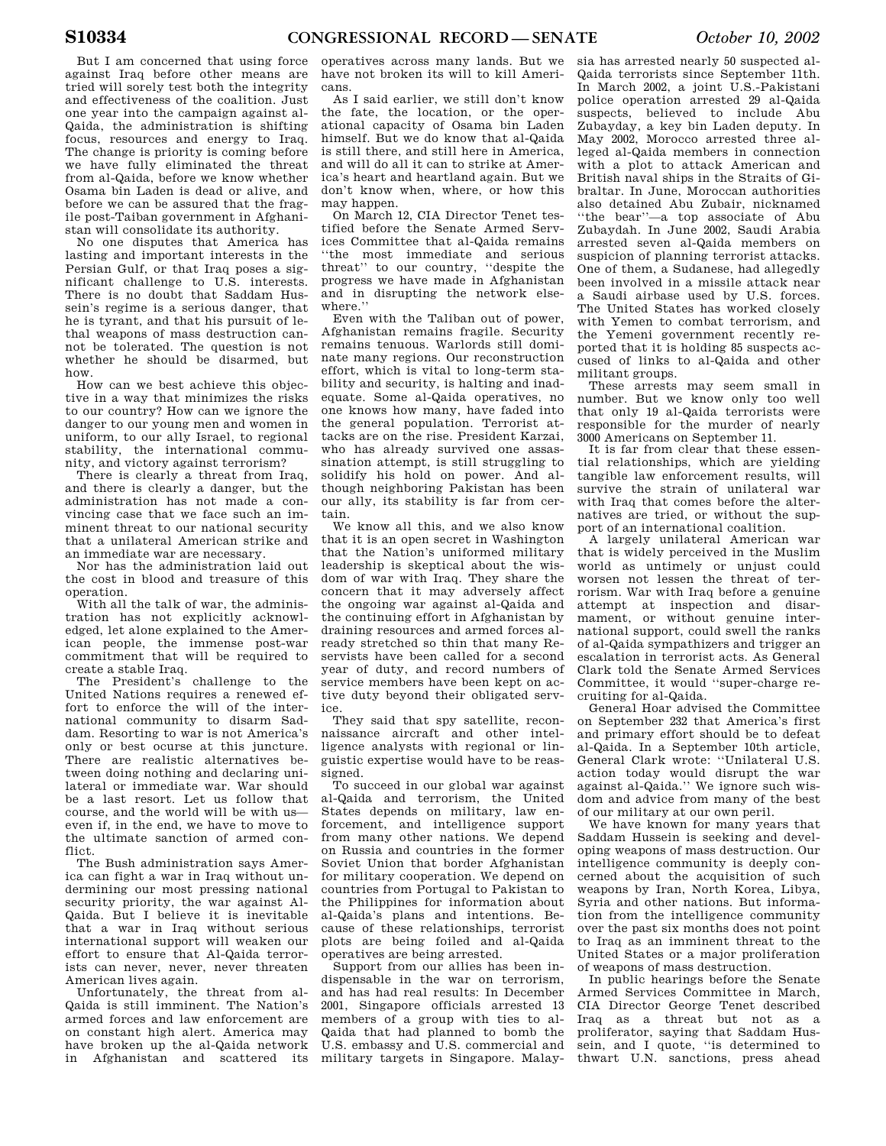But I am concerned that using force against Iraq before other means are tried will sorely test both the integrity and effectiveness of the coalition. Just one year into the campaign against al-Qaida, the administration is shifting focus, resources and energy to Iraq. The change is priority is coming before we have fully eliminated the threat from al-Qaida, before we know whether Osama bin Laden is dead or alive, and before we can be assured that the fragile post-Taiban government in Afghanistan will consolidate its authority.

No one disputes that America has lasting and important interests in the Persian Gulf, or that Iraq poses a significant challenge to U.S. interests. There is no doubt that Saddam Hussein's regime is a serious danger, that he is tyrant, and that his pursuit of lethal weapons of mass destruction cannot be tolerated. The question is not whether he should be disarmed, but how.

How can we best achieve this objective in a way that minimizes the risks to our country? How can we ignore the danger to our young men and women in uniform, to our ally Israel, to regional stability, the international community, and victory against terrorism?

There is clearly a threat from Iraq, and there is clearly a danger, but the administration has not made a convincing case that we face such an imminent threat to our national security that a unilateral American strike and an immediate war are necessary.

Nor has the administration laid out the cost in blood and treasure of this operation.

With all the talk of war, the administration has not explicitly acknowledged, let alone explained to the American people, the immense post-war commitment that will be required to create a stable Iraq.

The President's challenge to the United Nations requires a renewed effort to enforce the will of the international community to disarm Saddam. Resorting to war is not America's only or best ocurse at this juncture. There are realistic alternatives between doing nothing and declaring unilateral or immediate war. War should be a last resort. Let us follow that course, and the world will be with us even if, in the end, we have to move to the ultimate sanction of armed conflict.

The Bush administration says America can fight a war in Iraq without undermining our most pressing national security priority, the war against Al-Qaida. But I believe it is inevitable that a war in Iraq without serious international support will weaken our effort to ensure that Al-Qaida terrorists can never, never, never threaten American lives again.

Unfortunately, the threat from al-Qaida is still imminent. The Nation's armed forces and law enforcement are on constant high alert. America may have broken up the al-Qaida network in Afghanistan and scattered its

operatives across many lands. But we have not broken its will to kill Americans.

As I said earlier, we still don't know the fate, the location, or the operational capacity of Osama bin Laden himself. But we do know that al-Qaida is still there, and still here in America, and will do all it can to strike at America's heart and heartland again. But we don't know when, where, or how this may happen.

On March 12, CIA Director Tenet testified before the Senate Armed Services Committee that al-Qaida remains ''the most immediate and serious threat'' to our country, ''despite the progress we have made in Afghanistan and in disrupting the network elsewhere.''

Even with the Taliban out of power, Afghanistan remains fragile. Security remains tenuous. Warlords still dominate many regions. Our reconstruction effort, which is vital to long-term stability and security, is halting and inadequate. Some al-Qaida operatives, no one knows how many, have faded into the general population. Terrorist attacks are on the rise. President Karzai, who has already survived one assassination attempt, is still struggling to solidify his hold on power. And although neighboring Pakistan has been our ally, its stability is far from certain.

We know all this, and we also know that it is an open secret in Washington that the Nation's uniformed military leadership is skeptical about the wisdom of war with Iraq. They share the concern that it may adversely affect the ongoing war against al-Qaida and the continuing effort in Afghanistan by draining resources and armed forces already stretched so thin that many Reservists have been called for a second year of duty, and record numbers of service members have been kept on active duty beyond their obligated service.

They said that spy satellite, reconnaissance aircraft and other intelligence analysts with regional or linguistic expertise would have to be reassigned.

To succeed in our global war against al-Qaida and terrorism, the United States depends on military, law enforcement, and intelligence support from many other nations. We depend on Russia and countries in the former Soviet Union that border Afghanistan for military cooperation. We depend on countries from Portugal to Pakistan to the Philippines for information about al-Qaida's plans and intentions. Because of these relationships, terrorist plots are being foiled and al-Qaida operatives are being arrested.

Support from our allies has been indispensable in the war on terrorism, and has had real results: In December 2001, Singapore officials arrested 13 members of a group with ties to al-Qaida that had planned to bomb the U.S. embassy and U.S. commercial and military targets in Singapore. Malay-

sia has arrested nearly 50 suspected al-Qaida terrorists since September 11th. In March 2002, a joint U.S.-Pakistani police operation arrested 29 al-Qaida suspects, believed to include Abu Zubayday, a key bin Laden deputy. In May 2002, Morocco arrested three alleged al-Qaida members in connection with a plot to attack American and British naval ships in the Straits of Gibraltar. In June, Moroccan authorities also detained Abu Zubair, nicknamed ''the bear''—a top associate of Abu Zubaydah. In June 2002, Saudi Arabia arrested seven al-Qaida members on suspicion of planning terrorist attacks. One of them, a Sudanese, had allegedly been involved in a missile attack near a Saudi airbase used by U.S. forces. The United States has worked closely with Yemen to combat terrorism, and the Yemeni government recently reported that it is holding 85 suspects accused of links to al-Qaida and other militant groups.

These arrests may seem small in number. But we know only too well that only 19 al-Qaida terrorists were responsible for the murder of nearly 3000 Americans on September 11.

It is far from clear that these essential relationships, which are yielding tangible law enforcement results, will survive the strain of unilateral war with Iraq that comes before the alternatives are tried, or without the support of an international coalition.

A largely unilateral American war that is widely perceived in the Muslim world as untimely or unjust could worsen not lessen the threat of terrorism. War with Iraq before a genuine attempt at inspection and disarmament, or without genuine international support, could swell the ranks of al-Qaida sympathizers and trigger an escalation in terrorist acts. As General Clark told the Senate Armed Services Committee, it would ''super-charge recruiting for al-Qaida.

General Hoar advised the Committee on September 232 that America's first and primary effort should be to defeat al-Qaida. In a September 10th article, General Clark wrote: ''Unilateral U.S. action today would disrupt the war against al-Qaida.'' We ignore such wisdom and advice from many of the best of our military at our own peril.

We have known for many years that Saddam Hussein is seeking and developing weapons of mass destruction. Our intelligence community is deeply concerned about the acquisition of such weapons by Iran, North Korea, Libya, Syria and other nations. But information from the intelligence community over the past six months does not point to Iraq as an imminent threat to the United States or a major proliferation of weapons of mass destruction.

In public hearings before the Senate Armed Services Committee in March, CIA Director George Tenet described Iraq as a threat but not as a proliferator, saying that Saddam Hussein, and I quote, "is determined to thwart U.N. sanctions, press ahead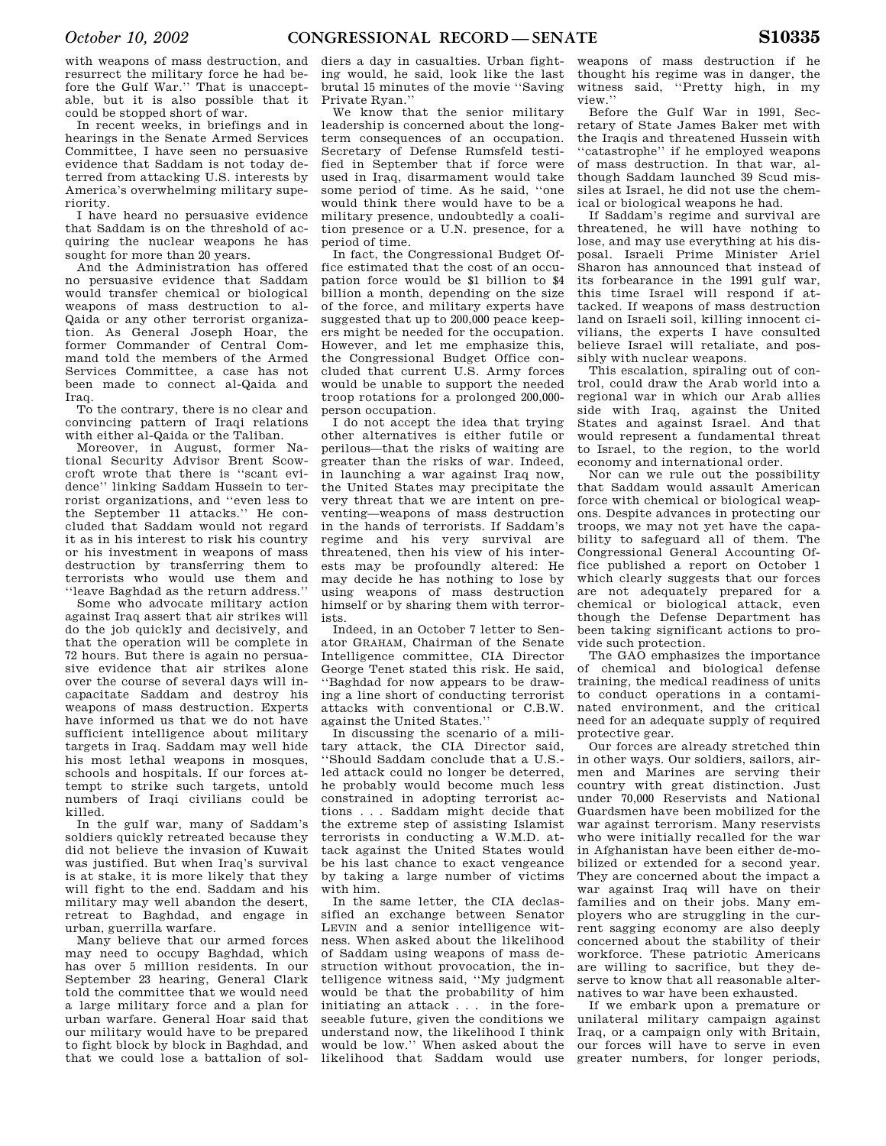with weapons of mass destruction, and resurrect the military force he had before the Gulf War.'' That is unacceptable, but it is also possible that it could be stopped short of war.

In recent weeks, in briefings and in hearings in the Senate Armed Services Committee, I have seen no persuasive evidence that Saddam is not today deterred from attacking U.S. interests by America's overwhelming military superiority.

I have heard no persuasive evidence that Saddam is on the threshold of acquiring the nuclear weapons he has sought for more than 20 years.

And the Administration has offered no persuasive evidence that Saddam would transfer chemical or biological weapons of mass destruction to al-Qaida or any other terrorist organization. As General Joseph Hoar, the former Commander of Central Command told the members of the Armed Services Committee, a case has not been made to connect al-Qaida and Iraq.

To the contrary, there is no clear and convincing pattern of Iraqi relations with either al-Qaida or the Taliban.

Moreover, in August, former National Security Advisor Brent Scowcroft wrote that there is ''scant evidence'' linking Saddam Hussein to terrorist organizations, and ''even less to the September 11 attacks.'' He concluded that Saddam would not regard it as in his interest to risk his country or his investment in weapons of mass destruction by transferring them to terrorists who would use them and ''leave Baghdad as the return address.''

Some who advocate military action against Iraq assert that air strikes will do the job quickly and decisively, and that the operation will be complete in 72 hours. But there is again no persuasive evidence that air strikes alone over the course of several days will incapacitate Saddam and destroy his weapons of mass destruction. Experts have informed us that we do not have sufficient intelligence about military targets in Iraq. Saddam may well hide his most lethal weapons in mosques, schools and hospitals. If our forces attempt to strike such targets, untold numbers of Iraqi civilians could be killed.

In the gulf war, many of Saddam's soldiers quickly retreated because they did not believe the invasion of Kuwait was justified. But when Iraq's survival is at stake, it is more likely that they will fight to the end. Saddam and his military may well abandon the desert, retreat to Baghdad, and engage in urban, guerrilla warfare.

Many believe that our armed forces may need to occupy Baghdad, which has over 5 million residents. In our September 23 hearing, General Clark told the committee that we would need a large military force and a plan for urban warfare. General Hoar said that our military would have to be prepared to fight block by block in Baghdad, and that we could lose a battalion of sol-

diers a day in casualties. Urban fighting would, he said, look like the last brutal 15 minutes of the movie ''Saving Private Ryan.''

We know that the senior military leadership is concerned about the longterm consequences of an occupation. Secretary of Defense Rumsfeld testified in September that if force were used in Iraq, disarmament would take some period of time. As he said, ''one would think there would have to be a military presence, undoubtedly a coalition presence or a U.N. presence, for a period of time.

In fact, the Congressional Budget Office estimated that the cost of an occupation force would be \$1 billion to \$4 billion a month, depending on the size of the force, and military experts have suggested that up to 200,000 peace keepers might be needed for the occupation. However, and let me emphasize this, the Congressional Budget Office concluded that current U.S. Army forces would be unable to support the needed troop rotations for a prolonged 200,000 person occupation.

I do not accept the idea that trying other alternatives is either futile or perilous—that the risks of waiting are greater than the risks of war. Indeed, in launching a war against Iraq now, the United States may precipitate the very threat that we are intent on preventing—weapons of mass destruction in the hands of terrorists. If Saddam's regime and his very survival are threatened, then his view of his interests may be profoundly altered: He may decide he has nothing to lose by using weapons of mass destruction himself or by sharing them with terrorists.

Indeed, in an October 7 letter to Senator GRAHAM, Chairman of the Senate Intelligence committee, CIA Director George Tenet stated this risk. He said, ''Baghdad for now appears to be drawing a line short of conducting terrorist attacks with conventional or C.B.W. against the United States.''

In discussing the scenario of a military attack, the CIA Director said, ''Should Saddam conclude that a U.S. led attack could no longer be deterred, he probably would become much less constrained in adopting terrorist actions . . . Saddam might decide that the extreme step of assisting Islamist terrorists in conducting a W.M.D. attack against the United States would be his last chance to exact vengeance by taking a large number of victims with him.

In the same letter, the CIA declassified an exchange between Senator LEVIN and a senior intelligence witness. When asked about the likelihood of Saddam using weapons of mass destruction without provocation, the intelligence witness said, ''My judgment would be that the probability of him initiating an attack . . . in the foreseeable future, given the conditions we understand now, the likelihood I think would be low.'' When asked about the likelihood that Saddam would use

weapons of mass destruction if he thought his regime was in danger, the witness said, ''Pretty high, in my view.''

Before the Gulf War in 1991, Secretary of State James Baker met with the Iraqis and threatened Hussein with ''catastrophe'' if he employed weapons of mass destruction. In that war, although Saddam launched 39 Scud missiles at Israel, he did not use the chemical or biological weapons he had.

If Saddam's regime and survival are threatened, he will have nothing to lose, and may use everything at his disposal. Israeli Prime Minister Ariel Sharon has announced that instead of its forbearance in the 1991 gulf war, this time Israel will respond if attacked. If weapons of mass destruction land on Israeli soil, killing innocent civilians, the experts I have consulted believe Israel will retaliate, and possibly with nuclear weapons.

This escalation, spiraling out of control, could draw the Arab world into a regional war in which our Arab allies side with Iraq, against the United States and against Israel. And that would represent a fundamental threat to Israel, to the region, to the world economy and international order.

Nor can we rule out the possibility that Saddam would assault American force with chemical or biological weapons. Despite advances in protecting our troops, we may not yet have the capability to safeguard all of them. The Congressional General Accounting Office published a report on October 1 which clearly suggests that our forces are not adequately prepared for a chemical or biological attack, even though the Defense Department has been taking significant actions to provide such protection.

The GAO emphasizes the importance of chemical and biological defense training, the medical readiness of units to conduct operations in a contaminated environment, and the critical need for an adequate supply of required protective gear.

Our forces are already stretched thin in other ways. Our soldiers, sailors, airmen and Marines are serving their country with great distinction. Just under 70,000 Reservists and National Guardsmen have been mobilized for the war against terrorism. Many reservists who were initially recalled for the war in Afghanistan have been either de-mobilized or extended for a second year. They are concerned about the impact a war against Iraq will have on their families and on their jobs. Many employers who are struggling in the current sagging economy are also deeply concerned about the stability of their workforce. These patriotic Americans are willing to sacrifice, but they deserve to know that all reasonable alternatives to war have been exhausted.

If we embark upon a premature or unilateral military campaign against Iraq, or a campaign only with Britain, our forces will have to serve in even greater numbers, for longer periods,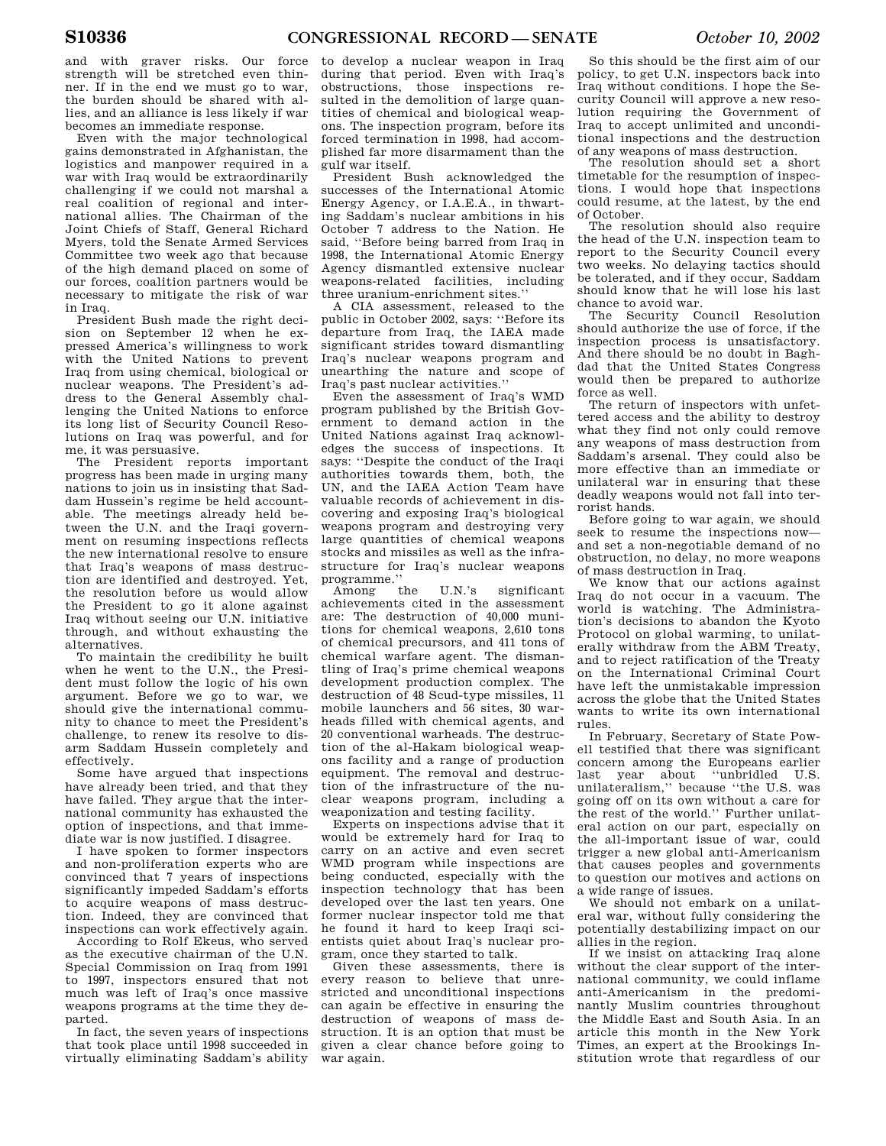and with graver risks. Our force strength will be stretched even thinner. If in the end we must go to war, the burden should be shared with allies, and an alliance is less likely if war becomes an immediate response.

Even with the major technological gains demonstrated in Afghanistan, the logistics and manpower required in a war with Iraq would be extraordinarily challenging if we could not marshal a real coalition of regional and international allies. The Chairman of the Joint Chiefs of Staff, General Richard Myers, told the Senate Armed Services Committee two week ago that because of the high demand placed on some of our forces, coalition partners would be necessary to mitigate the risk of war in Iraq.

President Bush made the right decision on September 12 when he expressed America's willingness to work with the United Nations to prevent Iraq from using chemical, biological or nuclear weapons. The President's address to the General Assembly challenging the United Nations to enforce its long list of Security Council Resolutions on Iraq was powerful, and for me, it was persuasive.

The President reports important progress has been made in urging many nations to join us in insisting that Saddam Hussein's regime be held accountable. The meetings already held between the U.N. and the Iraqi government on resuming inspections reflects the new international resolve to ensure that Iraq's weapons of mass destruction are identified and destroyed. Yet, the resolution before us would allow the President to go it alone against Iraq without seeing our U.N. initiative through, and without exhausting the alternatives.

To maintain the credibility he built when he went to the U.N., the President must follow the logic of his own argument. Before we go to war, we should give the international community to chance to meet the President's challenge, to renew its resolve to disarm Saddam Hussein completely and effectively.

Some have argued that inspections have already been tried, and that they have failed. They argue that the international community has exhausted the option of inspections, and that immediate war is now justified. I disagree.

I have spoken to former inspectors and non-proliferation experts who are convinced that 7 years of inspections significantly impeded Saddam's efforts to acquire weapons of mass destruction. Indeed, they are convinced that inspections can work effectively again.

According to Rolf Ekeus, who served as the executive chairman of the U.N. Special Commission on Iraq from 1991 to 1997, inspectors ensured that not much was left of Iraq's once massive weapons programs at the time they departed.

In fact, the seven years of inspections that took place until 1998 succeeded in virtually eliminating Saddam's ability

to develop a nuclear weapon in Iraq during that period. Even with Iraq's obstructions, those inspections resulted in the demolition of large quantities of chemical and biological weapons. The inspection program, before its forced termination in 1998, had accomplished far more disarmament than the gulf war itself.

President Bush acknowledged the successes of the International Atomic Energy Agency, or I.A.E.A., in thwarting Saddam's nuclear ambitions in his October 7 address to the Nation. He said, ''Before being barred from Iraq in 1998, the International Atomic Energy Agency dismantled extensive nuclear weapons-related facilities, including three uranium-enrichment sites.''

A CIA assessment, released to the public in October 2002, says: ''Before its departure from Iraq, the IAEA made significant strides toward dismantling Iraq's nuclear weapons program and unearthing the nature and scope of Iraq's past nuclear activities.''

Even the assessment of Iraq's WMD program published by the British Government to demand action in the United Nations against Iraq acknowledges the success of inspections. It says: ''Despite the conduct of the Iraqi authorities towards them, both, the UN, and the IAEA Action Team have valuable records of achievement in discovering and exposing Iraq's biological weapons program and destroying very large quantities of chemical weapons stocks and missiles as well as the infrastructure for Iraq's nuclear weapons

programme.'' U.N.'s significant achievements cited in the assessment are: The destruction of 40,000 munitions for chemical weapons, 2,610 tons of chemical precursors, and 411 tons of chemical warfare agent. The dismantling of Iraq's prime chemical weapons development production complex. The destruction of 48 Scud-type missiles, 11 mobile launchers and 56 sites, 30 warheads filled with chemical agents, and 20 conventional warheads. The destruction of the al-Hakam biological weapons facility and a range of production equipment. The removal and destruction of the infrastructure of the nuclear weapons program, including a weaponization and testing facility.

Experts on inspections advise that it would be extremely hard for Iraq to carry on an active and even secret WMD program while inspections are being conducted, especially with the inspection technology that has been developed over the last ten years. One former nuclear inspector told me that he found it hard to keep Iraqi scientists quiet about Iraq's nuclear program, once they started to talk.

Given these assessments, there is every reason to believe that unrestricted and unconditional inspections can again be effective in ensuring the destruction of weapons of mass destruction. It is an option that must be given a clear chance before going to war again.

So this should be the first aim of our policy, to get U.N. inspectors back into Iraq without conditions. I hope the Security Council will approve a new resolution requiring the Government of Iraq to accept unlimited and unconditional inspections and the destruction of any weapons of mass destruction.

The resolution should set a short timetable for the resumption of inspections. I would hope that inspections could resume, at the latest, by the end of October.

The resolution should also require the head of the U.N. inspection team to report to the Security Council every two weeks. No delaying tactics should be tolerated, and if they occur, Saddam should know that he will lose his last chance to avoid war.

The Security Council Resolution should authorize the use of force, if the inspection process is unsatisfactory. And there should be no doubt in Baghdad that the United States Congress would then be prepared to authorize force as well.

The return of inspectors with unfettered access and the ability to destroy what they find not only could remove any weapons of mass destruction from Saddam's arsenal. They could also be more effective than an immediate or unilateral war in ensuring that these deadly weapons would not fall into terrorist hands.

Before going to war again, we should seek to resume the inspections now and set a non-negotiable demand of no obstruction, no delay, no more weapons of mass destruction in Iraq.

We know that our actions against Iraq do not occur in a vacuum. The world is watching. The Administration's decisions to abandon the Kyoto Protocol on global warming, to unilaterally withdraw from the ABM Treaty, and to reject ratification of the Treaty on the International Criminal Court have left the unmistakable impression across the globe that the United States wants to write its own international rules.

In February, Secretary of State Powell testified that there was significant concern among the Europeans earlier last year about ''unbridled U.S. unilateralism,'' because ''the U.S. was going off on its own without a care for the rest of the world.'' Further unilateral action on our part, especially on the all-important issue of war, could trigger a new global anti-Americanism that causes peoples and governments to question our motives and actions on a wide range of issues.

We should not embark on a unilateral war, without fully considering the potentially destabilizing impact on our allies in the region.

If we insist on attacking Iraq alone without the clear support of the international community, we could inflame anti-Americanism in the predominantly Muslim countries throughout the Middle East and South Asia. In an article this month in the New York Times, an expert at the Brookings Institution wrote that regardless of our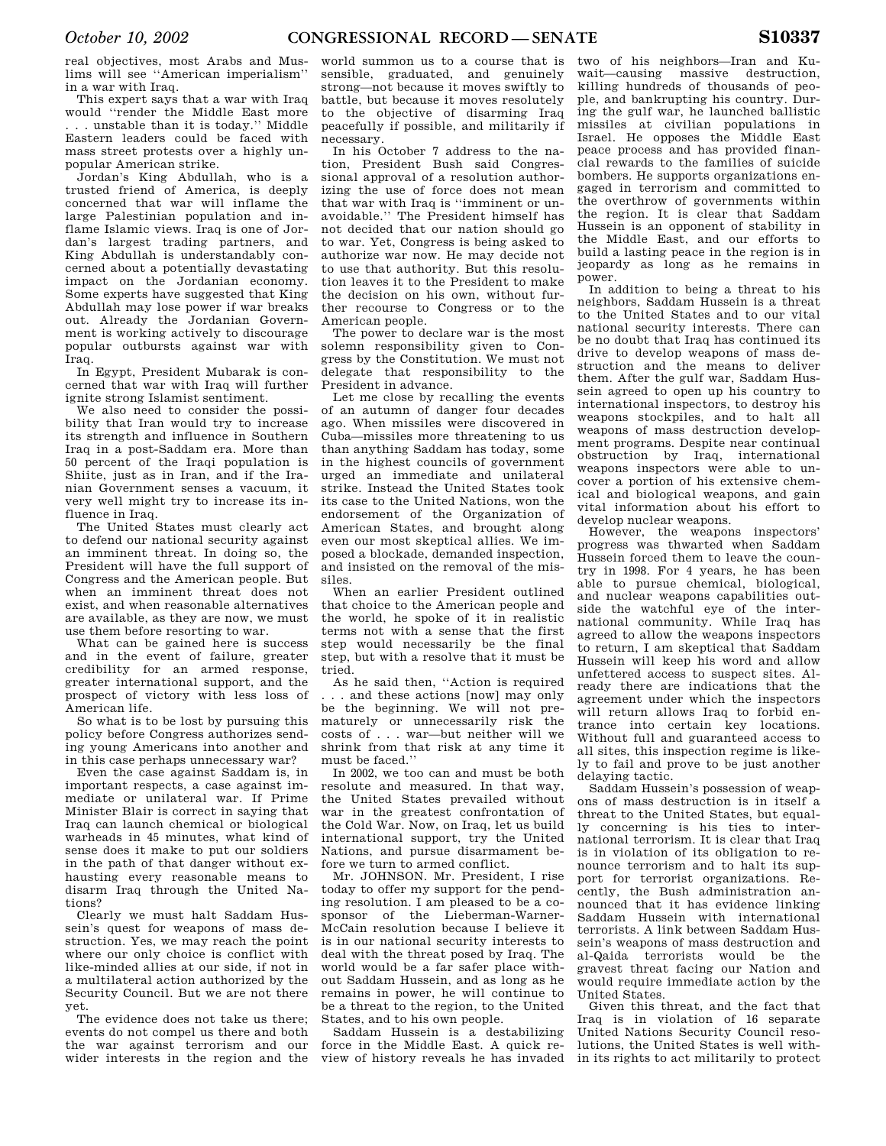real objectives, most Arabs and Muslims will see ''American imperialism'' in a war with Iraq.

This expert says that a war with Iraq would ''render the Middle East more . . . unstable than it is today.'' Middle Eastern leaders could be faced with mass street protests over a highly unpopular American strike.

Jordan's King Abdullah, who is a trusted friend of America, is deeply concerned that war will inflame the large Palestinian population and inflame Islamic views. Iraq is one of Jordan's largest trading partners, and King Abdullah is understandably concerned about a potentially devastating impact on the Jordanian economy. Some experts have suggested that King Abdullah may lose power if war breaks out. Already the Jordanian Government is working actively to discourage popular outbursts against war with Iraq.

In Egypt, President Mubarak is concerned that war with Iraq will further ignite strong Islamist sentiment.

We also need to consider the possibility that Iran would try to increase its strength and influence in Southern Iraq in a post-Saddam era. More than 50 percent of the Iraqi population is Shiite, just as in Iran, and if the Iranian Government senses a vacuum, it very well might try to increase its influence in Iraq.

The United States must clearly act to defend our national security against an imminent threat. In doing so, the President will have the full support of Congress and the American people. But when an imminent threat does not exist, and when reasonable alternatives are available, as they are now, we must use them before resorting to war.

What can be gained here is success and in the event of failure, greater credibility for an armed response, greater international support, and the prospect of victory with less loss of American life.

So what is to be lost by pursuing this policy before Congress authorizes sending young Americans into another and in this case perhaps unnecessary war?

Even the case against Saddam is, in important respects, a case against immediate or unilateral war. If Prime Minister Blair is correct in saying that Iraq can launch chemical or biological warheads in 45 minutes, what kind of sense does it make to put our soldiers in the path of that danger without exhausting every reasonable means to disarm Iraq through the United Nations?

Clearly we must halt Saddam Hussein's quest for weapons of mass destruction. Yes, we may reach the point where our only choice is conflict with like-minded allies at our side, if not in a multilateral action authorized by the Security Council. But we are not there yet.

The evidence does not take us there; events do not compel us there and both the war against terrorism and our wider interests in the region and the

world summon us to a course that is sensible, graduated, and genuinely strong—not because it moves swiftly to battle, but because it moves resolutely to the objective of disarming Iraq peacefully if possible, and militarily if necessary.

In his October 7 address to the nation, President Bush said Congressional approval of a resolution authorizing the use of force does not mean that war with Iraq is ''imminent or unavoidable.'' The President himself has not decided that our nation should go to war. Yet, Congress is being asked to authorize war now. He may decide not to use that authority. But this resolution leaves it to the President to make the decision on his own, without further recourse to Congress or to the American people.

The power to declare war is the most solemn responsibility given to Congress by the Constitution. We must not delegate that responsibility to the President in advance.

Let me close by recalling the events of an autumn of danger four decades ago. When missiles were discovered in Cuba—missiles more threatening to us than anything Saddam has today, some in the highest councils of government urged an immediate and unilateral strike. Instead the United States took its case to the United Nations, won the endorsement of the Organization of American States, and brought along even our most skeptical allies. We imposed a blockade, demanded inspection, and insisted on the removal of the missiles.

When an earlier President outlined that choice to the American people and the world, he spoke of it in realistic terms not with a sense that the first step would necessarily be the final step, but with a resolve that it must be tried.

As he said then, ''Action is required . . . and these actions [now] may only be the beginning. We will not prematurely or unnecessarily risk the costs of . . . war—but neither will we shrink from that risk at any time it must be faced.''

In 2002, we too can and must be both resolute and measured. In that way, the United States prevailed without war in the greatest confrontation of the Cold War. Now, on Iraq, let us build international support, try the United Nations, and pursue disarmament before we turn to armed conflict.

Mr. JOHNSON. Mr. President, I rise today to offer my support for the pending resolution. I am pleased to be a cosponsor of the Lieberman-Warner-McCain resolution because I believe it is in our national security interests to deal with the threat posed by Iraq. The world would be a far safer place without Saddam Hussein, and as long as he remains in power, he will continue to be a threat to the region, to the United States, and to his own people.

Saddam Hussein is a destabilizing force in the Middle East. A quick re-

two of his neighbors—Iran and Kuwait—causing massive destruction, killing hundreds of thousands of people, and bankrupting his country. During the gulf war, he launched ballistic missiles at civilian populations in Israel. He opposes the Middle East peace process and has provided financial rewards to the families of suicide bombers. He supports organizations engaged in terrorism and committed to the overthrow of governments within the region. It is clear that Saddam Hussein is an opponent of stability in the Middle East, and our efforts to build a lasting peace in the region is in jeopardy as long as he remains in power.

In addition to being a threat to his neighbors, Saddam Hussein is a threat to the United States and to our vital national security interests. There can be no doubt that Iraq has continued its drive to develop weapons of mass destruction and the means to deliver them. After the gulf war, Saddam Hussein agreed to open up his country to international inspectors, to destroy his weapons stockpiles, and to halt all weapons of mass destruction development programs. Despite near continual obstruction by Iraq, international weapons inspectors were able to uncover a portion of his extensive chemical and biological weapons, and gain vital information about his effort to develop nuclear weapons.

However, the weapons inspectors' progress was thwarted when Saddam Hussein forced them to leave the country in 1998. For 4 years, he has been able to pursue chemical, biological, and nuclear weapons capabilities outside the watchful eye of the international community. While Iraq has agreed to allow the weapons inspectors to return, I am skeptical that Saddam Hussein will keep his word and allow unfettered access to suspect sites. Already there are indications that the agreement under which the inspectors will return allows Iraq to forbid entrance into certain key locations. Without full and guaranteed access to all sites, this inspection regime is likely to fail and prove to be just another delaying tactic.

Saddam Hussein's possession of weapons of mass destruction is in itself a threat to the United States, but equally concerning is his ties to international terrorism. It is clear that Iraq is in violation of its obligation to renounce terrorism and to halt its support for terrorist organizations. Recently, the Bush administration announced that it has evidence linking Saddam Hussein with international terrorists. A link between Saddam Hussein's weapons of mass destruction and al-Qaida terrorists would be the gravest threat facing our Nation and would require immediate action by the United States.

view of history reveals he has invaded in its rights to act militarily to protect Given this threat, and the fact that Iraq is in violation of 16 separate United Nations Security Council resolutions, the United States is well with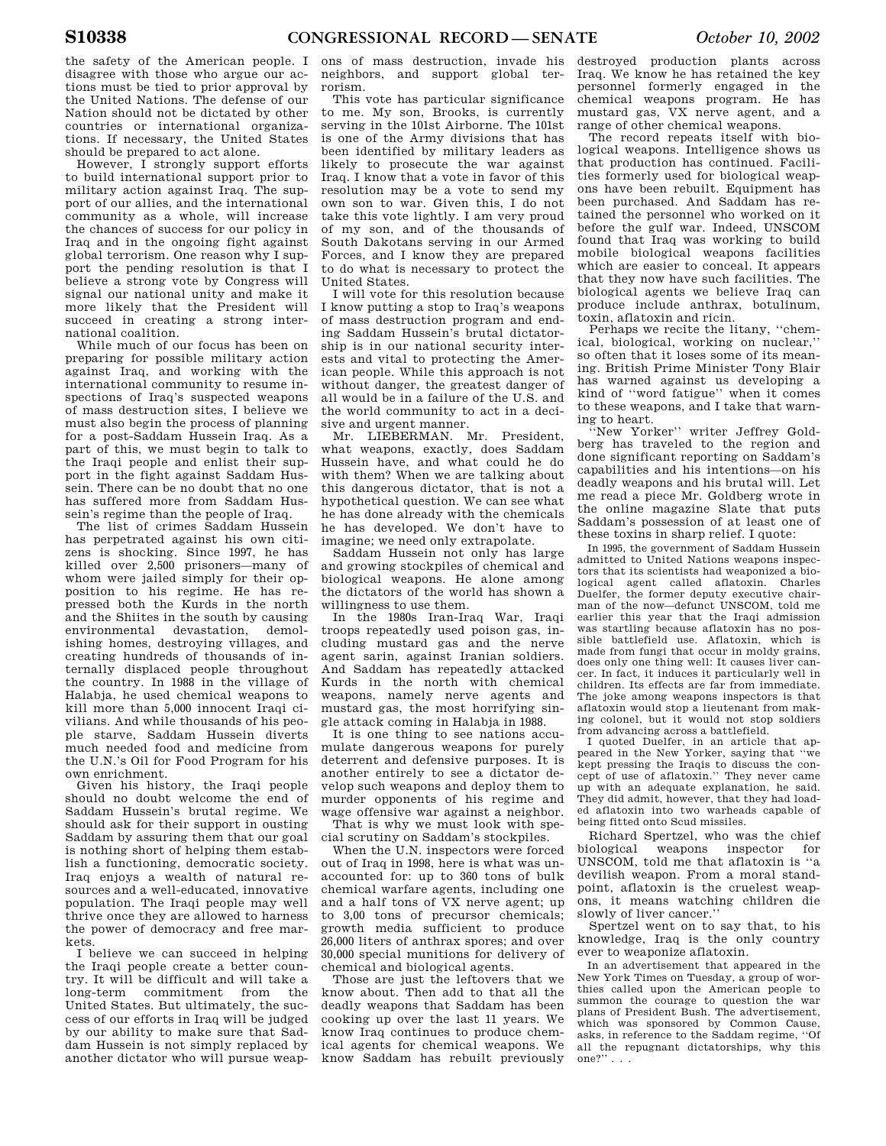the safety of the American people. I disagree with those who argue our actions must be tied to prior approval by the United Nations. The defense of our Nation should not be dictated by other countries or international organizations. If necessary, the United States should be prepared to act alone.

However, I strongly support efforts to build international support prior to military action against Iraq. The support of our allies, and the international community as a whole, will increase the chances of success for our policy in Iraq and in the ongoing fight against global terrorism. One reason why I support the pending resolution is that I believe a strong vote by Congress will signal our national unity and make it more likely that the President will succeed in creating a strong international coalition.

While much of our focus has been on preparing for possible military action against Iraq, and working with the international community to resume inspections of Iraq's suspected weapons of mass destruction sites, I believe we must also begin the process of planning for a post-Saddam Hussein Iraq. As a part of this, we must begin to talk to the Iraqi people and enlist their support in the fight against Saddam Hussein. There can be no doubt that no one has suffered more from Saddam Hussein's regime than the people of Iraq.

The list of crimes Saddam Hussein has perpetrated against his own citizens is shocking. Since 1997, he has killed over 2,500 prisoners—many of whom were jailed simply for their opposition to his regime. He has repressed both the Kurds in the north and the Shiites in the south by causing environmental devastation, demolishing homes, destroying villages, and creating hundreds of thousands of internally displaced people throughout the country. In 1988 in the village of Halabja, he used chemical weapons to kill more than 5,000 innocent Iraqi civilians. And while thousands of his people starve, Saddam Hussein diverts much needed food and medicine from the U.N.'s Oil for Food Program for his own enrichment.

Given his history, the Iraqi people should no doubt welcome the end of Saddam Hussein's brutal regime. We should ask for their support in ousting Saddam by assuring them that our goal is nothing short of helping them establish a functioning, democratic society. Iraq enjoys a wealth of natural resources and a well-educated, innovative population. The Iraqi people may well thrive once they are allowed to harness the power of democracy and free markets.

I believe we can succeed in helping the Iraqi people create a better country. It will be difficult and will take a long-term commitment from the United States. But ultimately, the success of our efforts in Iraq will be judged by our ability to make sure that Saddam Hussein is not simply replaced by another dictator who will pursue weap-

ons of mass destruction, invade his neighbors, and support global terrorism.

This vote has particular significance to me. My son, Brooks, is currently serving in the 101st Airborne. The 101st is one of the Army divisions that has been identified by military leaders as likely to prosecute the war against Iraq. I know that a vote in favor of this resolution may be a vote to send my own son to war. Given this, I do not take this vote lightly. I am very proud of my son, and of the thousands of South Dakotans serving in our Armed Forces, and I know they are prepared to do what is necessary to protect the United States.

I will vote for this resolution because I know putting a stop to Iraq's weapons of mass destruction program and ending Saddam Hussein's brutal dictatorship is in our national security interests and vital to protecting the American people. While this approach is not without danger, the greatest danger of all would be in a failure of the U.S. and the world community to act in a decisive and urgent manner.

Mr. LIEBERMAN. Mr. President, what weapons, exactly, does Saddam Hussein have, and what could he do with them? When we are talking about this dangerous dictator, that is not a hypothetical question. We can see what he has done already with the chemicals he has developed. We don't have to imagine; we need only extrapolate.

Saddam Hussein not only has large and growing stockpiles of chemical and biological weapons. He alone among the dictators of the world has shown a willingness to use them.

In the 1980s Iran-Iraq War, Iraqi troops repeatedly used poison gas, including mustard gas and the nerve agent sarin, against Iranian soldiers. And Saddam has repeatedly attacked Kurds in the north with chemical weapons, namely nerve agents and mustard gas, the most horrifying single attack coming in Halabja in 1988.

It is one thing to see nations accumulate dangerous weapons for purely deterrent and defensive purposes. It is another entirely to see a dictator develop such weapons and deploy them to murder opponents of his regime and wage offensive war against a neighbor.

That is why we must look with special scrutiny on Saddam's stockpiles.

When the U.N. inspectors were forced out of Iraq in 1998, here is what was unaccounted for: up to 360 tons of bulk chemical warfare agents, including one and a half tons of VX nerve agent; up to 3,00 tons of precursor chemicals; growth media sufficient to produce 26,000 liters of anthrax spores; and over 30,000 special munitions for delivery of chemical and biological agents.

Those are just the leftovers that we know about. Then add to that all the deadly weapons that Saddam has been cooking up over the last 11 years. We know Iraq continues to produce chemical agents for chemical weapons. We know Saddam has rebuilt previously

destroyed production plants across Iraq. We know he has retained the key personnel formerly engaged in the chemical weapons program. He has mustard gas, VX nerve agent, and a range of other chemical weapons.

The record repeats itself with biological weapons. Intelligence shows us that production has continued. Facilities formerly used for biological weapons have been rebuilt. Equipment has been purchased. And Saddam has retained the personnel who worked on it before the gulf war. Indeed, UNSCOM found that Iraq was working to build mobile biological weapons facilities which are easier to conceal. It appears that they now have such facilities. The biological agents we believe Iraq can produce include anthrax, botulinum, toxin, aflatoxin and ricin.

Perhaps we recite the litany, ''chemical, biological, working on nuclear,'' so often that it loses some of its meaning. British Prime Minister Tony Blair has warned against us developing a kind of ''word fatigue'' when it comes to these weapons, and I take that warning to heart.

''New Yorker'' writer Jeffrey Goldberg has traveled to the region and done significant reporting on Saddam's capabilities and his intentions—on his deadly weapons and his brutal will. Let me read a piece Mr. Goldberg wrote in the online magazine Slate that puts Saddam's possession of at least one of these toxins in sharp relief. I quote:

In 1995, the government of Saddam Hussein admitted to United Nations weapons inspectors that its scientists had weaponized a biological agent called aflatoxin. Charles Duelfer, the former deputy executive chairman of the now—defunct UNSCOM, told me earlier this year that the Iraqi admission was startling because aflatoxin has no possible battlefield use. Aflatoxin, which is made from fungi that occur in moldy grains, does only one thing well: It causes liver cancer. In fact, it induces it particularly well in children. Its effects are far from immediate. The joke among weapons inspectors is that aflatoxin would stop a lieutenant from making colonel, but it would not stop soldiers from advancing across a battlefield.

I quoted Duelfer, in an article that ap-peared in the New Yorker, saying that ''we kept pressing the Iraqis to discuss the concept of use of aflatoxin.'' They never came up with an adequate explanation, he said. They did admit, however, that they had loaded aflatoxin into two warheads capable of being fitted onto Scud missiles.

Richard Spertzel, who was the chief<br>biological weapons inspector for weapons inspector UNSCOM, told me that aflatoxin is ''a devilish weapon. From a moral standpoint, aflatoxin is the cruelest weapons, it means watching children die slowly of liver cancer.''

Spertzel went on to say that, to his knowledge, Iraq is the only country ever to weaponize aflatoxin.

In an advertisement that appeared in the New York Times on Tuesday, a group of worthies called upon the American people to summon the courage to question the war plans of President Bush. The advertisement, which was sponsored by Common Cause, asks, in reference to the Saddam regime, ''Of all the repugnant dictatorships, why this one?'' . . .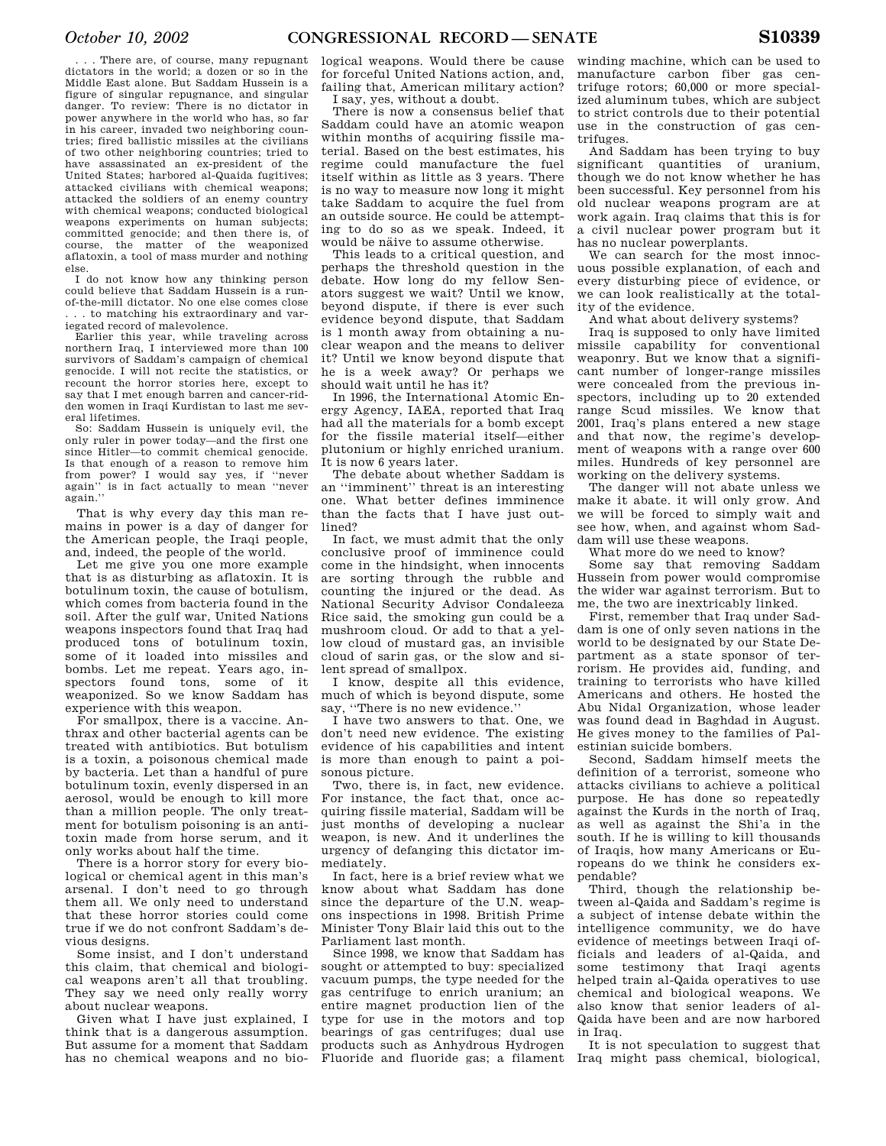There are, of course, many repugnant dictators in the world; a dozen or so in the Middle East alone. But Saddam Hussein is a figure of singular repugnance, and singular danger. To review: There is no dictator in power anywhere in the world who has, so far in his career, invaded two neighboring countries; fired ballistic missiles at the civilians of two other neighboring countries; tried to have assassinated an ex-president of the United States; harbored al-Quaida fugitives; attacked civilians with chemical weapons; attacked the soldiers of an enemy country with chemical weapons; conducted biological weapons experiments on human subjects; committed genocide; and then there is, of course, the matter of the weaponized aflatoxin, a tool of mass murder and nothing else.

I do not know how any thinking person could believe that Saddam Hussein is a runof-the-mill dictator. No one else comes close . to matching his extraordinary and variegated record of malevolence.

Earlier this year, while traveling across northern Iraq, I interviewed more than 100 survivors of Saddam's campaign of chemical genocide. I will not recite the statistics, or recount the horror stories here, except to say that I met enough barren and cancer-ridden women in Iraqi Kurdistan to last me several lifetimes.

So: Saddam Hussein is uniquely evil, the only ruler in power today—and the first one since Hitler—to commit chemical genocide. Is that enough of a reason to remove him from power? I would say yes, if ''never again'' is in fact actually to mean ''never again.''

That is why every day this man remains in power is a day of danger for the American people, the Iraqi people, and, indeed, the people of the world.

Let me give you one more example that is as disturbing as aflatoxin. It is botulinum toxin, the cause of botulism, which comes from bacteria found in the soil. After the gulf war, United Nations weapons inspectors found that Iraq had produced tons of botulinum toxin, some of it loaded into missiles and bombs. Let me repeat. Years ago, inspectors found tons, some of it weaponized. So we know Saddam has experience with this weapon.

For smallpox, there is a vaccine. Anthrax and other bacterial agents can be treated with antibiotics. But botulism is a toxin, a poisonous chemical made by bacteria. Let than a handful of pure botulinum toxin, evenly dispersed in an aerosol, would be enough to kill more than a million people. The only treatment for botulism poisoning is an antitoxin made from horse serum, and it only works about half the time.

There is a horror story for every biological or chemical agent in this man's arsenal. I don't need to go through them all. We only need to understand that these horror stories could come true if we do not confront Saddam's devious designs.

Some insist, and I don't understand this claim, that chemical and biological weapons aren't all that troubling. They say we need only really worry about nuclear weapons.

Given what I have just explained, I think that is a dangerous assumption. But assume for a moment that Saddam has no chemical weapons and no biological weapons. Would there be cause for forceful United Nations action, and, failing that, American military action? I say, yes, without a doubt.

There is now a consensus belief that Saddam could have an atomic weapon within months of acquiring fissile material. Based on the best estimates, his regime could manufacture the fuel itself within as little as 3 years. There is no way to measure now long it might take Saddam to acquire the fuel from an outside source. He could be attempting to do so as we speak. Indeed, it would be naı̈ive to assume otherwise.

This leads to a critical question, and perhaps the threshold question in the debate. How long do my fellow Senators suggest we wait? Until we know, beyond dispute, if there is ever such evidence beyond dispute, that Saddam is 1 month away from obtaining a nuclear weapon and the means to deliver it? Until we know beyond dispute that he is a week away? Or perhaps we should wait until he has it?

In 1996, the International Atomic Energy Agency, IAEA, reported that Iraq had all the materials for a bomb except for the fissile material itself—either plutonium or highly enriched uranium. It is now 6 years later.

The debate about whether Saddam is an ''imminent'' threat is an interesting one. What better defines imminence than the facts that I have just outlined?

In fact, we must admit that the only conclusive proof of imminence could come in the hindsight, when innocents are sorting through the rubble and counting the injured or the dead. As National Security Advisor Condaleeza Rice said, the smoking gun could be a mushroom cloud. Or add to that a yellow cloud of mustard gas, an invisible cloud of sarin gas, or the slow and silent spread of smallpox.

I know, despite all this evidence, much of which is beyond dispute, some say, ''There is no new evidence.''

I have two answers to that. One, we don't need new evidence. The existing evidence of his capabilities and intent is more than enough to paint a poisonous picture.

Two, there is, in fact, new evidence. For instance, the fact that, once acquiring fissile material, Saddam will be just months of developing a nuclear weapon, is new. And it underlines the urgency of defanging this dictator immediately.

In fact, here is a brief review what we know about what Saddam has done since the departure of the U.N. weapons inspections in 1998. British Prime Minister Tony Blair laid this out to the Parliament last month.

Since 1998, we know that Saddam has sought or attempted to buy: specialized vacuum pumps, the type needed for the gas centrifuge to enrich uranium; an entire magnet production lien of the type for use in the motors and top bearings of gas centrifuges; dual use products such as Anhydrous Hydrogen Fluoride and fluoride gas; a filament

winding machine, which can be used to manufacture carbon fiber gas centrifuge rotors; 60,000 or more specialized aluminum tubes, which are subject to strict controls due to their potential use in the construction of gas centrifuges.

And Saddam has been trying to buy significant quantities of uranium, though we do not know whether he has been successful. Key personnel from his old nuclear weapons program are at work again. Iraq claims that this is for a civil nuclear power program but it has no nuclear powerplants.

We can search for the most innocuous possible explanation, of each and every disturbing piece of evidence, or we can look realistically at the totality of the evidence.

And what about delivery systems?

Iraq is supposed to only have limited missile capability for conventional weaponry. But we know that a significant number of longer-range missiles were concealed from the previous inspectors, including up to 20 extended range Scud missiles. We know that 2001, Iraq's plans entered a new stage and that now, the regime's development of weapons with a range over 600 miles. Hundreds of key personnel are working on the delivery systems.

The danger will not abate unless we make it abate. it will only grow. And we will be forced to simply wait and see how, when, and against whom Saddam will use these weapons.

What more do we need to know?

Some say that removing Saddam Hussein from power would compromise the wider war against terrorism. But to me, the two are inextricably linked.

First, remember that Iraq under Saddam is one of only seven nations in the world to be designated by our State Department as a state sponsor of terrorism. He provides aid, funding, and training to terrorists who have killed Americans and others. He hosted the Abu Nidal Organization, whose leader was found dead in Baghdad in August. He gives money to the families of Palestinian suicide bombers.

Second, Saddam himself meets the definition of a terrorist, someone who attacks civilians to achieve a political purpose. He has done so repeatedly against the Kurds in the north of Iraq, as well as against the Shi'a in the south. If he is willing to kill thousands of Iraqis, how many Americans or Europeans do we think he considers expendable?

Third, though the relationship between al-Qaida and Saddam's regime is a subject of intense debate within the intelligence community, we do have evidence of meetings between Iraqi officials and leaders of al-Qaida, and some testimony that Iraqi agents helped train al-Qaida operatives to use chemical and biological weapons. We also know that senior leaders of al-Qaida have been and are now harbored in Iraq.

It is not speculation to suggest that Iraq might pass chemical, biological,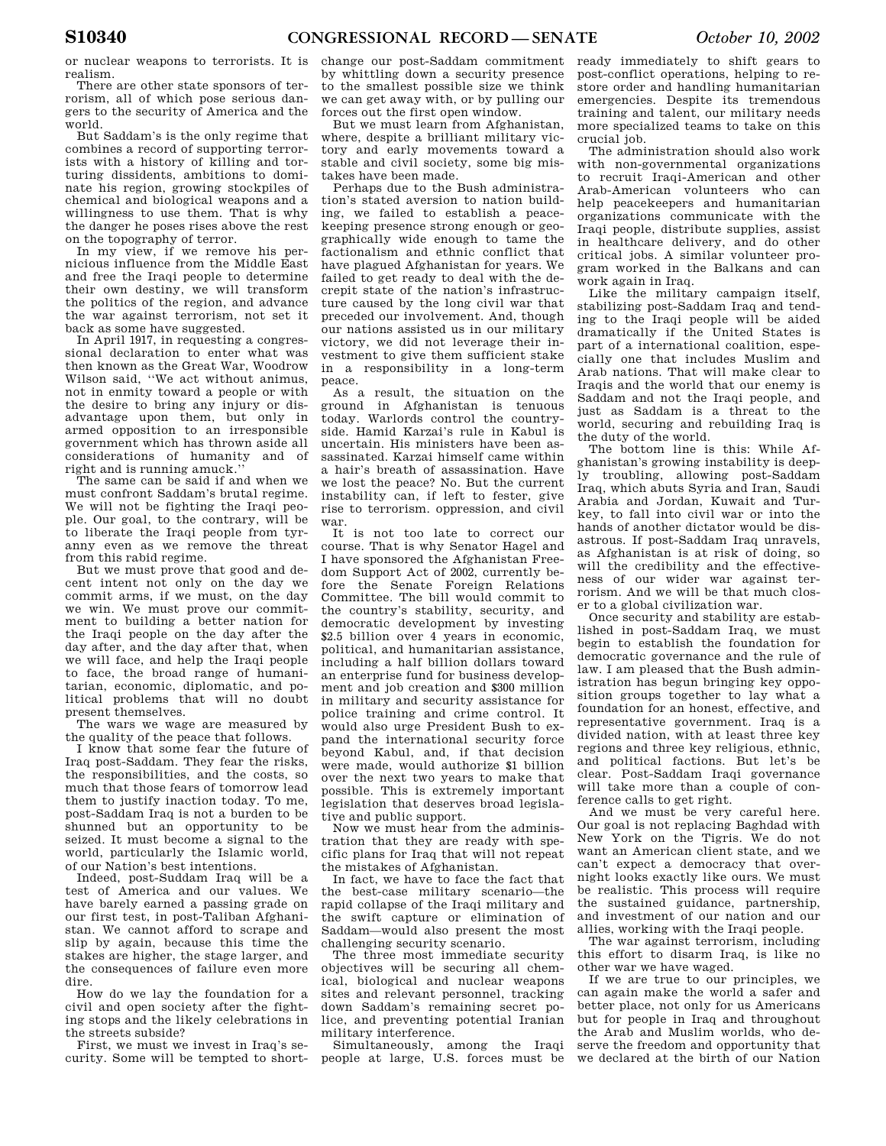or nuclear weapons to terrorists. It is realism.

There are other state sponsors of terrorism, all of which pose serious dangers to the security of America and the world.

But Saddam's is the only regime that combines a record of supporting terrorists with a history of killing and torturing dissidents, ambitions to dominate his region, growing stockpiles of chemical and biological weapons and a willingness to use them. That is why the danger he poses rises above the rest on the topography of terror.

In my view, if we remove his pernicious influence from the Middle East and free the Iraqi people to determine their own destiny, we will transform the politics of the region, and advance the war against terrorism, not set it back as some have suggested.

In April 1917, in requesting a congressional declaration to enter what was then known as the Great War, Woodrow Wilson said, ''We act without animus, not in enmity toward a people or with the desire to bring any injury or disadvantage upon them, but only in armed opposition to an irresponsible government which has thrown aside all considerations of humanity and of right and is running amuck.''

The same can be said if and when we must confront Saddam's brutal regime. We will not be fighting the Iraqi people. Our goal, to the contrary, will be to liberate the Iraqi people from tyranny even as we remove the threat from this rabid regime.

But we must prove that good and decent intent not only on the day we commit arms, if we must, on the day we win. We must prove our commitment to building a better nation for the Iraqi people on the day after the day after, and the day after that, when we will face, and help the Iraqi people to face, the broad range of humanitarian, economic, diplomatic, and political problems that will no doubt present themselves.

The wars we wage are measured by the quality of the peace that follows.

I know that some fear the future of Iraq post-Saddam. They fear the risks, the responsibilities, and the costs, so much that those fears of tomorrow lead them to justify inaction today. To me, post-Saddam Iraq is not a burden to be shunned but an opportunity to be seized. It must become a signal to the world, particularly the Islamic world, of our Nation's best intentions.

Indeed, post-Suddam Iraq will be a test of America and our values. We have barely earned a passing grade on our first test, in post-Taliban Afghanistan. We cannot afford to scrape and slip by again, because this time the stakes are higher, the stage larger, and the consequences of failure even more dire.

How do we lay the foundation for a civil and open society after the fighting stops and the likely celebrations in the streets subside?

First, we must we invest in Iraq's security. Some will be tempted to short-

change our post-Saddam commitment by whittling down a security presence to the smallest possible size we think we can get away with, or by pulling our forces out the first open window.

But we must learn from Afghanistan, where, despite a brilliant military victory and early movements toward a stable and civil society, some big mistakes have been made.

Perhaps due to the Bush administration's stated aversion to nation building, we failed to establish a peacekeeping presence strong enough or geographically wide enough to tame the factionalism and ethnic conflict that have plagued Afghanistan for years. We failed to get ready to deal with the decrepit state of the nation's infrastructure caused by the long civil war that preceded our involvement. And, though our nations assisted us in our military victory, we did not leverage their investment to give them sufficient stake in a responsibility in a long-term peace.

As a result, the situation on the ground in Afghanistan is tenuous today. Warlords control the countryside. Hamid Karzai's rule in Kabul is uncertain. His ministers have been assassinated. Karzai himself came within a hair's breath of assassination. Have we lost the peace? No. But the current instability can, if left to fester, give rise to terrorism. oppression, and civil war.

It is not too late to correct our course. That is why Senator Hagel and I have sponsored the Afghanistan Freedom Support Act of 2002, currently before the Senate Foreign Relations Committee. The bill would commit to the country's stability, security, and democratic development by investing \$2.5 billion over 4 years in economic, political, and humanitarian assistance, including a half billion dollars toward an enterprise fund for business development and job creation and \$300 million in military and security assistance for police training and crime control. It would also urge President Bush to expand the international security force beyond Kabul, and, if that decision were made, would authorize \$1 billion over the next two years to make that possible. This is extremely important legislation that deserves broad legislative and public support.

Now we must hear from the administration that they are ready with specific plans for Iraq that will not repeat the mistakes of Afghanistan.

In fact, we have to face the fact that the best-case military scenario—the rapid collapse of the Iraqi military and the swift capture or elimination of Saddam—would also present the most challenging security scenario.

The three most immediate security objectives will be securing all chemical, biological and nuclear weapons sites and relevant personnel, tracking down Saddam's remaining secret police, and preventing potential Iranian military interference.

Simultaneously, among the Iraqi people at large, U.S. forces must be ready immediately to shift gears to post-conflict operations, helping to restore order and handling humanitarian emergencies. Despite its tremendous training and talent, our military needs more specialized teams to take on this crucial job.

The administration should also work with non-governmental organizations to recruit Iraqi-American and other Arab-American volunteers who can help peacekeepers and humanitarian organizations communicate with the Iraqi people, distribute supplies, assist in healthcare delivery, and do other critical jobs. A similar volunteer program worked in the Balkans and can work again in Iraq.

Like the military campaign itself, stabilizing post-Saddam Iraq and tending to the Iraqi people will be aided dramatically if the United States is part of a international coalition, especially one that includes Muslim and Arab nations. That will make clear to Iraqis and the world that our enemy is Saddam and not the Iraqi people, and just as Saddam is a threat to the world, securing and rebuilding Iraq is the duty of the world.

The bottom line is this: While Afghanistan's growing instability is deeply troubling, allowing post-Saddam Iraq, which abuts Syria and Iran, Saudi Arabia and Jordan, Kuwait and Turkey, to fall into civil war or into the hands of another dictator would be disastrous. If post-Saddam Iraq unravels, as Afghanistan is at risk of doing, so will the credibility and the effectiveness of our wider war against terrorism. And we will be that much closer to a global civilization war.

Once security and stability are established in post-Saddam Iraq, we must begin to establish the foundation for democratic governance and the rule of law. I am pleased that the Bush administration has begun bringing key opposition groups together to lay what a foundation for an honest, effective, and representative government. Iraq is a divided nation, with at least three key regions and three key religious, ethnic, and political factions. But let's be clear. Post-Saddam Iraqi governance will take more than a couple of conference calls to get right.

And we must be very careful here. Our goal is not replacing Baghdad with New York on the Tigris. We do not want an American client state, and we can't expect a democracy that overnight looks exactly like ours. We must be realistic. This process will require the sustained guidance, partnership, and investment of our nation and our allies, working with the Iraqi people.

The war against terrorism, including this effort to disarm Iraq, is like no other war we have waged.

If we are true to our principles, we can again make the world a safer and better place, not only for us Americans but for people in Iraq and throughout the Arab and Muslim worlds, who deserve the freedom and opportunity that we declared at the birth of our Nation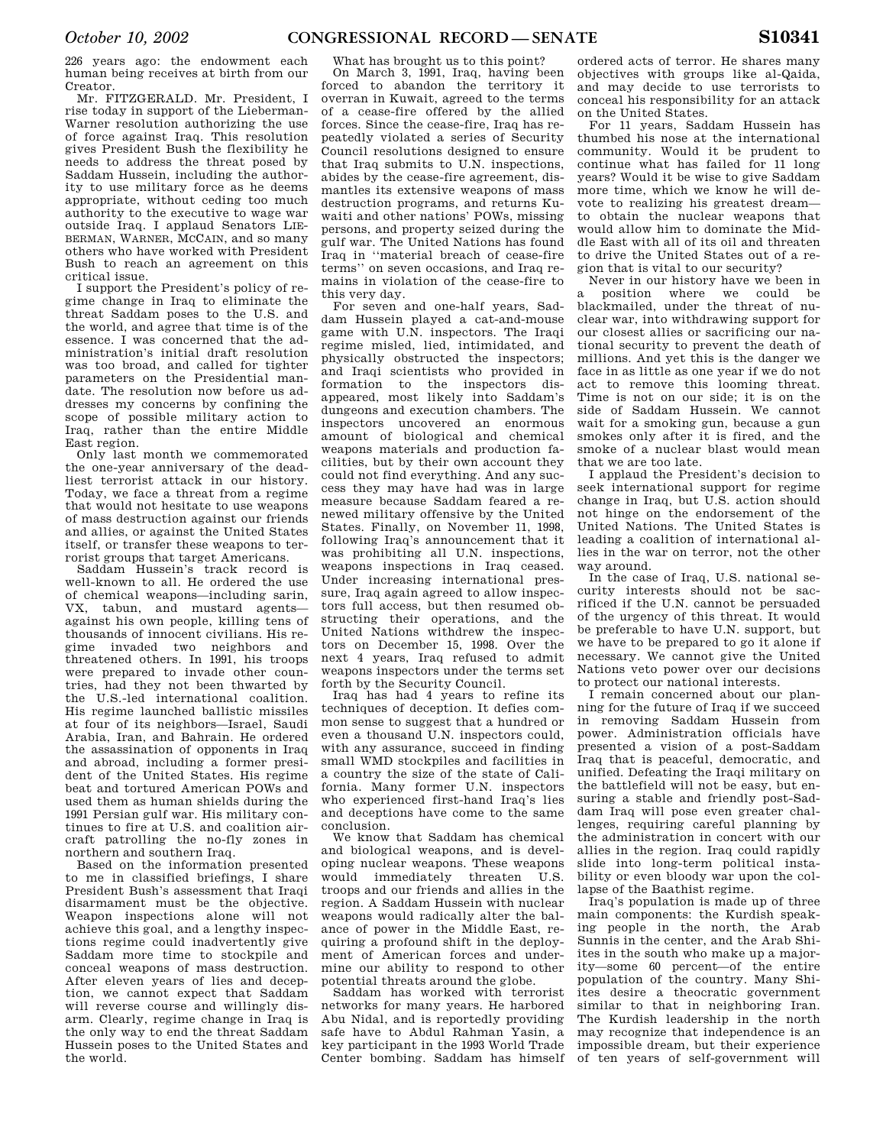226 years ago: the endowment each human being receives at birth from our Creator.

Mr. FITZGERALD. Mr. President, I rise today in support of the Lieberman-Warner resolution authorizing the use of force against Iraq. This resolution gives President Bush the flexibility he needs to address the threat posed by Saddam Hussein, including the authority to use military force as he deems appropriate, without ceding too much authority to the executive to wage war outside Iraq. I applaud Senators LIE-BERMAN, WARNER, MCCAIN, and so many others who have worked with President Bush to reach an agreement on this critical issue.

I support the President's policy of regime change in Iraq to eliminate the threat Saddam poses to the U.S. and the world, and agree that time is of the essence. I was concerned that the administration's initial draft resolution was too broad, and called for tighter parameters on the Presidential mandate. The resolution now before us addresses my concerns by confining the scope of possible military action to Iraq, rather than the entire Middle East region.

Only last month we commemorated the one-year anniversary of the deadliest terrorist attack in our history. Today, we face a threat from a regime that would not hesitate to use weapons of mass destruction against our friends and allies, or against the United States itself, or transfer these weapons to terrorist groups that target Americans.

Saddam Hussein's track record is well-known to all. He ordered the use of chemical weapons—including sarin, VX, tabun, and mustard agents against his own people, killing tens of thousands of innocent civilians. His regime invaded two neighbors and threatened others. In 1991, his troops were prepared to invade other countries, had they not been thwarted by the U.S.-led international coalition. His regime launched ballistic missiles at four of its neighbors—Israel, Saudi Arabia, Iran, and Bahrain. He ordered the assassination of opponents in Iraq and abroad, including a former president of the United States. His regime beat and tortured American POWs and used them as human shields during the 1991 Persian gulf war. His military continues to fire at U.S. and coalition aircraft patrolling the no-fly zones in northern and southern Iraq.

Based on the information presented to me in classified briefings, I share President Bush's assessment that Iraqi disarmament must be the objective. Weapon inspections alone will not achieve this goal, and a lengthy inspections regime could inadvertently give Saddam more time to stockpile and conceal weapons of mass destruction. After eleven years of lies and deception, we cannot expect that Saddam will reverse course and willingly disarm. Clearly, regime change in Iraq is the only way to end the threat Saddam Hussein poses to the United States and the world.

What has brought us to this point? On March 3, 1991, Iraq, having been forced to abandon the territory it overran in Kuwait, agreed to the terms of a cease-fire offered by the allied forces. Since the cease-fire, Iraq has repeatedly violated a series of Security Council resolutions designed to ensure that Iraq submits to U.N. inspections, abides by the cease-fire agreement, dismantles its extensive weapons of mass destruction programs, and returns Kuwaiti and other nations' POWs, missing persons, and property seized during the gulf war. The United Nations has found Iraq in ''material breach of cease-fire terms'' on seven occasions, and Iraq remains in violation of the cease-fire to this very day.

For seven and one-half years, Saddam Hussein played a cat-and-mouse game with U.N. inspectors. The Iraqi regime misled, lied, intimidated, and physically obstructed the inspectors; and Iraqi scientists who provided in formation to the inspectors disappeared, most likely into Saddam's dungeons and execution chambers. The inspectors uncovered an enormous amount of biological and chemical weapons materials and production facilities, but by their own account they could not find everything. And any success they may have had was in large measure because Saddam feared a renewed military offensive by the United States. Finally, on November 11, 1998, following Iraq's announcement that it was prohibiting all U.N. inspections, weapons inspections in Iraq ceased. Under increasing international pressure, Iraq again agreed to allow inspectors full access, but then resumed obstructing their operations, and the United Nations withdrew the inspectors on December 15, 1998. Over the next 4 years, Iraq refused to admit weapons inspectors under the terms set forth by the Security Council.

Iraq has had 4 years to refine its techniques of deception. It defies common sense to suggest that a hundred or even a thousand U.N. inspectors could, with any assurance, succeed in finding small WMD stockpiles and facilities in a country the size of the state of California. Many former U.N. inspectors who experienced first-hand Iraq's lies and deceptions have come to the same conclusion.

We know that Saddam has chemical and biological weapons, and is developing nuclear weapons. These weapons would immediately threaten U.S. troops and our friends and allies in the region. A Saddam Hussein with nuclear weapons would radically alter the balance of power in the Middle East, requiring a profound shift in the deployment of American forces and undermine our ability to respond to other potential threats around the globe.

Saddam has worked with terrorist networks for many years. He harbored Abu Nidal, and is reportedly providing safe have to Abdul Rahman Yasin, a key participant in the 1993 World Trade Center bombing. Saddam has himself of ten years of self-government will

ordered acts of terror. He shares many objectives with groups like al-Qaida, and may decide to use terrorists to conceal his responsibility for an attack on the United States.

For 11 years, Saddam Hussein has thumbed his nose at the international community. Would it be prudent to continue what has failed for 11 long years? Would it be wise to give Saddam more time, which we know he will devote to realizing his greatest dream to obtain the nuclear weapons that would allow him to dominate the Middle East with all of its oil and threaten to drive the United States out of a region that is vital to our security?

Never in our history have we been in a position where we could be blackmailed, under the threat of nuclear war, into withdrawing support for our closest allies or sacrificing our national security to prevent the death of millions. And yet this is the danger we face in as little as one year if we do not act to remove this looming threat. Time is not on our side; it is on the side of Saddam Hussein. We cannot wait for a smoking gun, because a gun smokes only after it is fired, and the smoke of a nuclear blast would mean that we are too late.

I applaud the President's decision to seek international support for regime change in Iraq, but U.S. action should not hinge on the endorsement of the United Nations. The United States is leading a coalition of international allies in the war on terror, not the other way around.

In the case of Iraq, U.S. national security interests should not be sacrificed if the U.N. cannot be persuaded of the urgency of this threat. It would be preferable to have U.N. support, but we have to be prepared to go it alone if necessary. We cannot give the United Nations veto power over our decisions to protect our national interests.

I remain concerned about our planning for the future of Iraq if we succeed in removing Saddam Hussein from power. Administration officials have presented a vision of a post-Saddam Iraq that is peaceful, democratic, and unified. Defeating the Iraqi military on the battlefield will not be easy, but ensuring a stable and friendly post-Saddam Iraq will pose even greater challenges, requiring careful planning by the administration in concert with our allies in the region. Iraq could rapidly slide into long-term political instability or even bloody war upon the collapse of the Baathist regime.

Iraq's population is made up of three main components: the Kurdish speaking people in the north, the Arab Sunnis in the center, and the Arab Shiites in the south who make up a majority—some 60 percent—of the entire population of the country. Many Shiites desire a theocratic government similar to that in neighboring Iran. The Kurdish leadership in the north may recognize that independence is an impossible dream, but their experience